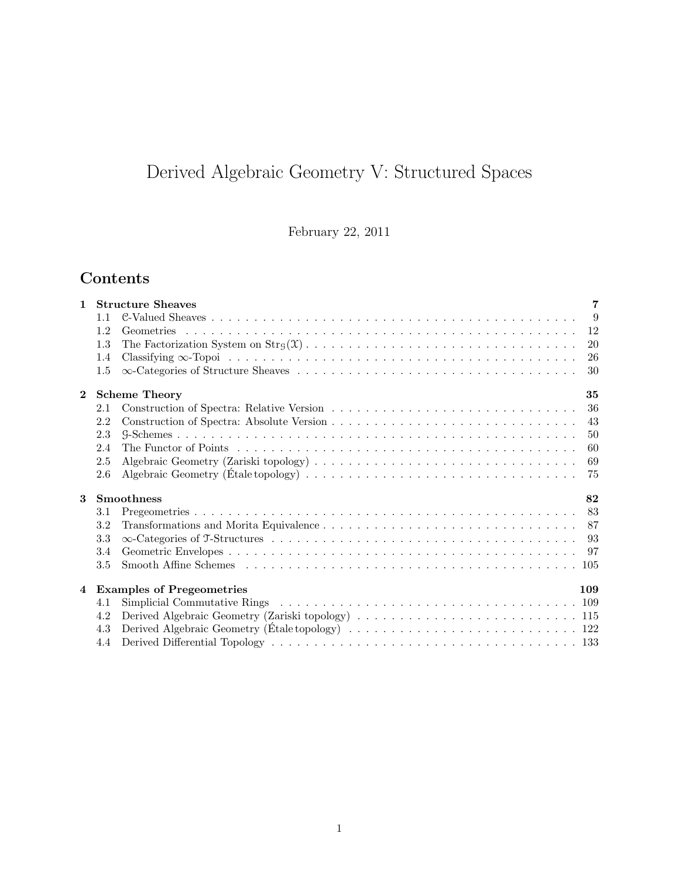# Derived Algebraic Geometry V: Structured Spaces

February 22, 2011

## Contents

| $\mathbf{1}$   |                                         | $\overline{7}$<br><b>Structure Sheaves</b> |                |  |  |
|----------------|-----------------------------------------|--------------------------------------------|----------------|--|--|
|                | 1.1                                     |                                            | $\overline{9}$ |  |  |
|                | 1.2                                     |                                            | 12             |  |  |
|                | 1.3                                     |                                            | 20             |  |  |
|                | 1.4                                     |                                            | 26             |  |  |
|                | 1.5                                     |                                            | 30             |  |  |
| $\mathbf{2}$   |                                         | <b>Scheme Theory</b>                       | 35             |  |  |
|                | 2.1                                     |                                            | 36             |  |  |
|                | 2.2                                     |                                            | 43             |  |  |
|                | 2.3                                     |                                            | 50             |  |  |
|                | 2.4                                     |                                            | 60             |  |  |
|                | 2.5                                     |                                            | 69             |  |  |
|                | 2.6                                     |                                            | 75             |  |  |
| 3              | <b>Smoothness</b><br>82                 |                                            |                |  |  |
|                | 3.1                                     |                                            | 83             |  |  |
|                | 3.2                                     |                                            |                |  |  |
|                | 3.3                                     |                                            | 93             |  |  |
|                | 3.4                                     |                                            | 97             |  |  |
|                | 3.5                                     |                                            |                |  |  |
| $\overline{4}$ | <b>Examples of Pregeometries</b><br>109 |                                            |                |  |  |
|                | 4.1                                     |                                            |                |  |  |
|                | 4.2                                     |                                            |                |  |  |
|                | 4.3                                     |                                            |                |  |  |
|                | 4.4                                     |                                            |                |  |  |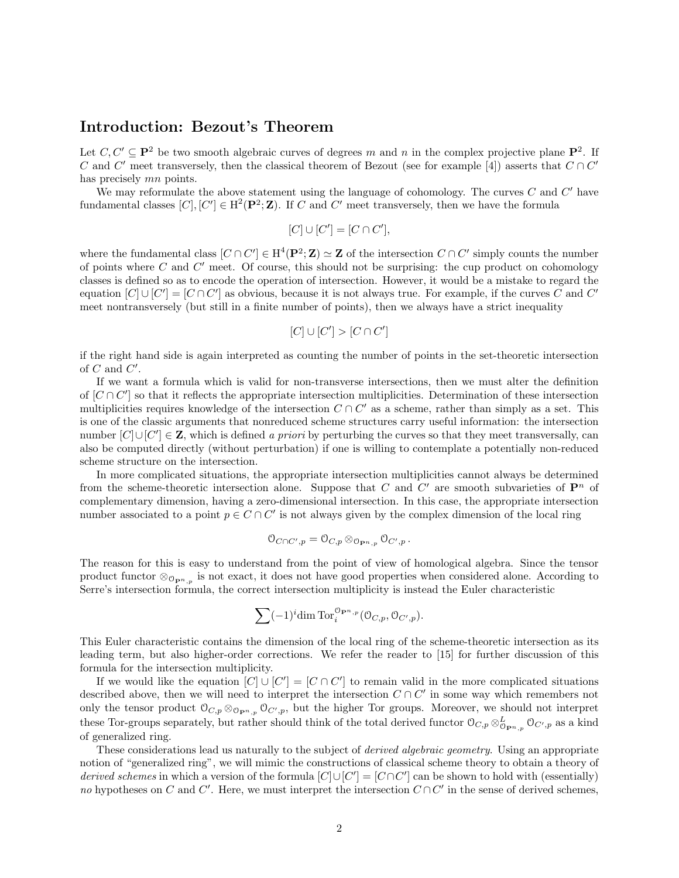## Introduction: Bezout's Theorem

Let  $C, C' \subseteq \mathbf{P}^2$  be two smooth algebraic curves of degrees m and n in the complex projective plane  $\mathbf{P}^2$ . If C and C' meet transversely, then the classical theorem of Bezout (see for example [4]) asserts that  $C \cap C'$ has precisely mn points.

We may reformulate the above statement using the language of cohomology. The curves  $C$  and  $C'$  have fundamental classes  $[C], [C'] \in H^2(\mathbf{P}^2; \mathbf{Z})$ . If C and C' meet transversely, then we have the formula

$$
[C]\cup [C']=[C\cap C'],
$$

where the fundamental class  $[C \cap C'] \in H^4(\mathbf{P}^2; \mathbf{Z}) \simeq \mathbf{Z}$  of the intersection  $C \cap C'$  simply counts the number of points where  $C$  and  $C'$  meet. Of course, this should not be surprising: the cup product on cohomology classes is defined so as to encode the operation of intersection. However, it would be a mistake to regard the equation  $[C] \cup [C'] = [C \cap C']$  as obvious, because it is not always true. For example, if the curves C and C' meet nontransversely (but still in a finite number of points), then we always have a strict inequality

$$
[C] \cup [C'] > [C \cap C']
$$

if the right hand side is again interpreted as counting the number of points in the set-theoretic intersection of  $C$  and  $C'$ .

If we want a formula which is valid for non-transverse intersections, then we must alter the definition of  $[C \cap C']$  so that it reflects the appropriate intersection multiplicities. Determination of these intersection multiplicities requires knowledge of the intersection  $C \cap C'$  as a scheme, rather than simply as a set. This is one of the classic arguments that nonreduced scheme structures carry useful information: the intersection number  $[C] \cup [C'] \in \mathbf{Z}$ , which is defined a priori by perturbing the curves so that they meet transversally, can also be computed directly (without perturbation) if one is willing to contemplate a potentially non-reduced scheme structure on the intersection.

In more complicated situations, the appropriate intersection multiplicities cannot always be determined from the scheme-theoretic intersection alone. Suppose that C and C' are smooth subvarieties of  $\mathbf{P}^n$  of complementary dimension, having a zero-dimensional intersection. In this case, the appropriate intersection number associated to a point  $p \in C \cap C'$  is not always given by the complex dimension of the local ring

$$
\mathbb{O}_{C\cap C',p}=\mathbb{O}_{C,p}\otimes_{\mathbb{O}_{\mathbf{P}^n,p}}\mathbb{O}_{C',p}.
$$

The reason for this is easy to understand from the point of view of homological algebra. Since the tensor product functor  $\otimes_{\mathcal{O}_{\mathbf{P}^n,p}}$  is not exact, it does not have good properties when considered alone. According to Serre's intersection formula, the correct intersection multiplicity is instead the Euler characteristic

$$
\sum (-1)^{i} \dim \operatorname{Tor}_{i}^{\mathcal{O}_{\mathbf{P}^{n},p}}(\mathcal{O}_{C,p}, \mathcal{O}_{C',p}).
$$

This Euler characteristic contains the dimension of the local ring of the scheme-theoretic intersection as its leading term, but also higher-order corrections. We refer the reader to [15] for further discussion of this formula for the intersection multiplicity.

If we would like the equation  $[C] \cup [C'] = [C \cap C']$  to remain valid in the more complicated situations described above, then we will need to interpret the intersection  $C \cap C'$  in some way which remembers not only the tensor product  $\mathcal{O}_{C,p} \otimes_{\mathcal{O}_{\mathbf{P}^n,p}} \mathcal{O}_{C',p}$ , but the higher Tor groups. Moreover, we should not interpret these Tor-groups separately, but rather should think of the total derived functor  $\mathcal{O}_{C,p} \otimes_{\mathcal{O}_{\mathbf{P}^n,p}}^L \mathcal{O}_{C',p}$  as a kind of generalized ring.

These considerations lead us naturally to the subject of *derived algebraic geometry*. Using an appropriate notion of "generalized ring", we will mimic the constructions of classical scheme theory to obtain a theory of derived schemes in which a version of the formula  $[C] \cup [C'] = [C \cap C']$  can be shown to hold with (essentially) no hypotheses on C and C'. Here, we must interpret the intersection  $C \cap C'$  in the sense of derived schemes,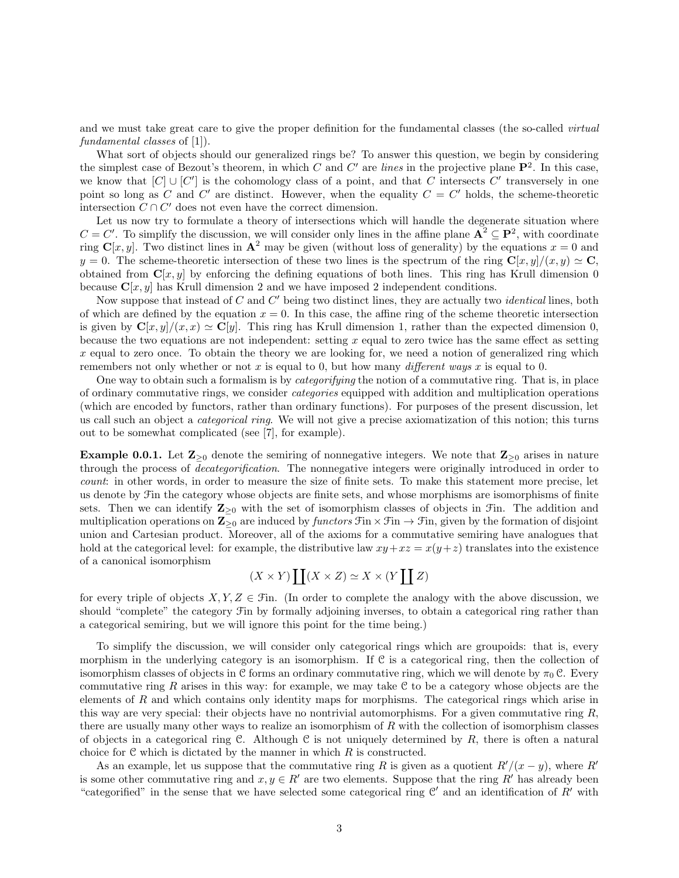and we must take great care to give the proper definition for the fundamental classes (the so-called *virtual* fundamental classes of [1]).

What sort of objects should our generalized rings be? To answer this question, we begin by considering the simplest case of Bezout's theorem, in which C and C' are lines in the projective plane  $\mathbf{P}^2$ . In this case, we know that  $[C] \cup [C']$  is the cohomology class of a point, and that C intersects C' transversely in one point so long as C and C' are distinct. However, when the equality  $C = C'$  holds, the scheme-theoretic intersection  $C \cap C'$  does not even have the correct dimension.

Let us now try to formulate a theory of intersections which will handle the degenerate situation where  $C = C'$ . To simplify the discussion, we will consider only lines in the affine plane  $\mathbf{A}^2 \subseteq \mathbf{P}^2$ , with coordinate ring  $\mathbf{C}[x, y]$ . Two distinct lines in  $\mathbf{A}^2$  may be given (without loss of generality) by the equations  $x = 0$  and  $y = 0$ . The scheme-theoretic intersection of these two lines is the spectrum of the ring  $\mathbf{C}[x, y]/(x, y) \simeq \mathbf{C}$ , obtained from  $\mathbf{C}[x, y]$  by enforcing the defining equations of both lines. This ring has Krull dimension 0 because  $C[x, y]$  has Krull dimension 2 and we have imposed 2 independent conditions.

Now suppose that instead of  $C$  and  $C'$  being two distinct lines, they are actually two *identical* lines, both of which are defined by the equation  $x = 0$ . In this case, the affine ring of the scheme theoretic intersection is given by  $\mathbf{C}[x, y]/(x, x) \simeq \mathbf{C}[y]$ . This ring has Krull dimension 1, rather than the expected dimension 0. because the two equations are not independent: setting  $x$  equal to zero twice has the same effect as setting  $x$  equal to zero once. To obtain the theory we are looking for, we need a notion of generalized ring which remembers not only whether or not x is equal to 0, but how many different ways x is equal to 0.

One way to obtain such a formalism is by *categorifying* the notion of a commutative ring. That is, in place of ordinary commutative rings, we consider categories equipped with addition and multiplication operations (which are encoded by functors, rather than ordinary functions). For purposes of the present discussion, let us call such an object a *categorical ring*. We will not give a precise axiomatization of this notion; this turns out to be somewhat complicated (see [7], for example).

**Example 0.0.1.** Let  $\mathbb{Z}_{\geq 0}$  denote the semiring of nonnegative integers. We note that  $\mathbb{Z}_{\geq 0}$  arises in nature through the process of decategorification. The nonnegative integers were originally introduced in order to count: in other words, in order to measure the size of finite sets. To make this statement more precise, let us denote by Fin the category whose objects are finite sets, and whose morphisms are isomorphisms of finite sets. Then we can identify  $\mathbb{Z}_{\geq 0}$  with the set of isomorphism classes of objects in Fin. The addition and multiplication operations on  $\mathbb{Z}_{\geq 0}$  are induced by functors  $\mathfrak{Fin} \times \mathfrak{Fin} \to \mathfrak{In}$ , given by the formation of disjoint union and Cartesian product. Moreover, all of the axioms for a commutative semiring have analogues that hold at the categorical level: for example, the distributive law  $xy+xz = x(y+z)$  translates into the existence of a canonical isomorphism

$$
(X \times Y) \coprod (X \times Z) \simeq X \times (Y \coprod Z)
$$

for every triple of objects  $X, Y, Z \in \mathcal{F}$ in. (In order to complete the analogy with the above discussion, we should "complete" the category Fin by formally adjoining inverses, to obtain a categorical ring rather than a categorical semiring, but we will ignore this point for the time being.)

To simplify the discussion, we will consider only categorical rings which are groupoids: that is, every morphism in the underlying category is an isomorphism. If  $C$  is a categorical ring, then the collection of isomorphism classes of objects in C forms an ordinary commutative ring, which we will denote by  $\pi_0$  C. Every commutative ring R arises in this way: for example, we may take  $C$  to be a category whose objects are the elements of  $R$  and which contains only identity maps for morphisms. The categorical rings which arise in this way are very special: their objects have no nontrivial automorphisms. For a given commutative ring  $R$ , there are usually many other ways to realize an isomorphism of  $R$  with the collection of isomorphism classes of objects in a categorical ring C. Although C is not uniquely determined by  $R$ , there is often a natural choice for  $C$  which is dictated by the manner in which  $R$  is constructed.

As an example, let us suppose that the commutative ring R is given as a quotient  $R'/(x - y)$ , where R<sup>ot</sup> is some other commutative ring and  $x, y \in R'$  are two elements. Suppose that the ring R' has already been "categorified" in the sense that we have selected some categorical ring  $\mathcal{C}'$  and an identification of  $R'$  with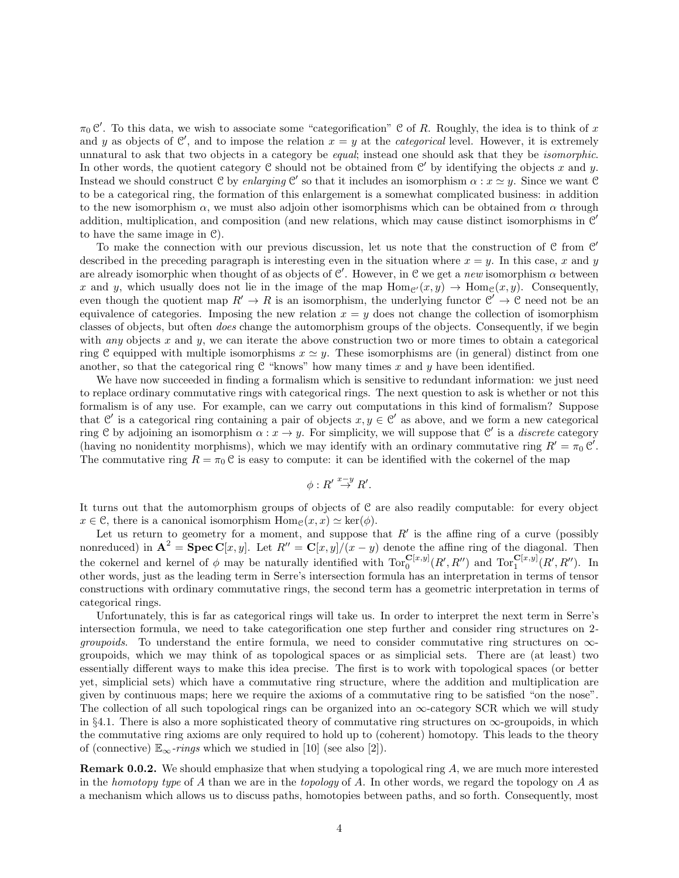$\pi_0 \mathcal{C}'$ . To this data, we wish to associate some "categorification" C of R. Roughly, the idea is to think of x and y as objects of C', and to impose the relation  $x = y$  at the *categorical* level. However, it is extremely unnatural to ask that two objects in a category be *equal*; instead one should ask that they be *isomorphic*. In other words, the quotient category  $C$  should not be obtained from  $C'$  by identifying the objects x and y. Instead we should construct C by enlarging C' so that it includes an isomorphism  $\alpha : x \simeq y$ . Since we want C to be a categorical ring, the formation of this enlargement is a somewhat complicated business: in addition to the new isomorphism  $\alpha$ , we must also adjoin other isomorphisms which can be obtained from  $\alpha$  through addition, multiplication, and composition (and new relations, which may cause distinct isomorphisms in  $\mathcal{C}'$ to have the same image in C).

To make the connection with our previous discussion, let us note that the construction of  $C$  from  $C'$ described in the preceding paragraph is interesting even in the situation where  $x = y$ . In this case, x and y are already isomorphic when thought of as objects of  $\mathcal{C}'$ . However, in  $\mathcal{C}$  we get a new isomorphism  $\alpha$  between x and y, which usually does not lie in the image of the map  $\text{Hom}_{\mathcal{C}}(x, y) \to \text{Hom}_{\mathcal{C}}(x, y)$ . Consequently, even though the quotient map  $R' \to R$  is an isomorphism, the underlying functor  $\mathcal{C}' \to \mathcal{C}$  need not be an equivalence of categories. Imposing the new relation  $x = y$  does not change the collection of isomorphism classes of objects, but often does change the automorphism groups of the objects. Consequently, if we begin with *any* objects x and y, we can iterate the above construction two or more times to obtain a categorical ring C equipped with multiple isomorphisms  $x \simeq y$ . These isomorphisms are (in general) distinct from one another, so that the categorical ring  $C$  "knows" how many times x and y have been identified.

We have now succeeded in finding a formalism which is sensitive to redundant information: we just need to replace ordinary commutative rings with categorical rings. The next question to ask is whether or not this formalism is of any use. For example, can we carry out computations in this kind of formalism? Suppose that C' is a categorical ring containing a pair of objects  $x, y \in C'$  as above, and we form a new categorical ring C by adjoining an isomorphism  $\alpha: x \to y$ . For simplicity, we will suppose that C' is a *discrete* category (having no nonidentity morphisms), which we may identify with an ordinary commutative ring  $R' = \pi_0 \mathcal{C}'$ . The commutative ring  $R = \pi_0 C$  is easy to compute: it can be identified with the cokernel of the map

$$
\phi: R' \stackrel{x-y}{\to} R'
$$

.

It turns out that the automorphism groups of objects of C are also readily computable: for every object  $x \in \mathcal{C}$ , there is a canonical isomorphism  $\text{Hom}_{\mathcal{C}}(x, x) \simeq \text{ker}(\phi)$ .

Let us return to geometry for a moment, and suppose that  $R'$  is the affine ring of a curve (possibly nonreduced) in  $\mathbf{A}^2 = \mathbf{Spec} \, \mathbf{C}[x, y]$ . Let  $R'' = \mathbf{C}[x, y]/(x - y)$  denote the affine ring of the diagonal. Then the cokernel and kernel of  $\phi$  may be naturally identified with  $Tor_0^{\mathbf{C}[x,y]}(R',R'')$  and  $Tor_1^{\mathbf{C}[x,y]}(R',R'')$ . In other words, just as the leading term in Serre's intersection formula has an interpretation in terms of tensor constructions with ordinary commutative rings, the second term has a geometric interpretation in terms of categorical rings.

Unfortunately, this is far as categorical rings will take us. In order to interpret the next term in Serre's intersection formula, we need to take categorification one step further and consider ring structures on 2 *groupoids.* To understand the entire formula, we need to consider commutative ring structures on  $\infty$ groupoids, which we may think of as topological spaces or as simplicial sets. There are (at least) two essentially different ways to make this idea precise. The first is to work with topological spaces (or better yet, simplicial sets) which have a commutative ring structure, where the addition and multiplication are given by continuous maps; here we require the axioms of a commutative ring to be satisfied "on the nose". The collection of all such topological rings can be organized into an  $\infty$ -category SCR which we will study in §4.1. There is also a more sophisticated theory of commutative ring structures on  $\infty$ -groupoids, in which the commutative ring axioms are only required to hold up to (coherent) homotopy. This leads to the theory of (connective)  $\mathbb{E}_{\infty}$ -rings which we studied in [10] (see also [2]).

Remark 0.0.2. We should emphasize that when studying a topological ring A, we are much more interested in the homotopy type of A than we are in the topology of A. In other words, we regard the topology on A as a mechanism which allows us to discuss paths, homotopies between paths, and so forth. Consequently, most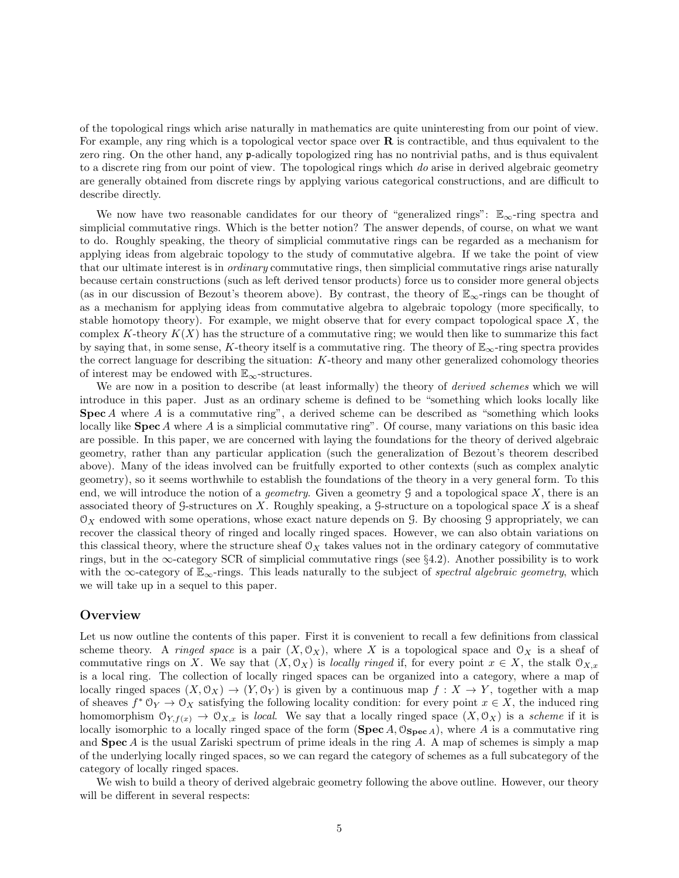of the topological rings which arise naturally in mathematics are quite uninteresting from our point of view. For example, any ring which is a topological vector space over **R** is contractible, and thus equivalent to the zero ring. On the other hand, any p-adically topologized ring has no nontrivial paths, and is thus equivalent to a discrete ring from our point of view. The topological rings which do arise in derived algebraic geometry are generally obtained from discrete rings by applying various categorical constructions, and are difficult to describe directly.

We now have two reasonable candidates for our theory of "generalized rings":  $\mathbb{E}_{\infty}$ -ring spectra and simplicial commutative rings. Which is the better notion? The answer depends, of course, on what we want to do. Roughly speaking, the theory of simplicial commutative rings can be regarded as a mechanism for applying ideas from algebraic topology to the study of commutative algebra. If we take the point of view that our ultimate interest is in *ordinary* commutative rings, then simplicial commutative rings arise naturally because certain constructions (such as left derived tensor products) force us to consider more general objects (as in our discussion of Bezout's theorem above). By contrast, the theory of  $\mathbb{E}_{\infty}$ -rings can be thought of as a mechanism for applying ideas from commutative algebra to algebraic topology (more specifically, to stable homotopy theory). For example, we might observe that for every compact topological space  $X$ , the complex K-theory  $K(X)$  has the structure of a commutative ring; we would then like to summarize this fact by saying that, in some sense, K-theory itself is a commutative ring. The theory of  $\mathbb{E}_{\infty}$ -ring spectra provides the correct language for describing the situation: K-theory and many other generalized cohomology theories of interest may be endowed with  $\mathbb{E}_{\infty}$ -structures.

We are now in a position to describe (at least informally) the theory of *derived schemes* which we will introduce in this paper. Just as an ordinary scheme is defined to be "something which looks locally like Spec A where A is a commutative ring", a derived scheme can be described as "something which looks" locally like  $\text{Spec } A$  where A is a simplicial commutative ring". Of course, many variations on this basic idea are possible. In this paper, we are concerned with laying the foundations for the theory of derived algebraic geometry, rather than any particular application (such the generalization of Bezout's theorem described above). Many of the ideas involved can be fruitfully exported to other contexts (such as complex analytic geometry), so it seems worthwhile to establish the foundations of the theory in a very general form. To this end, we will introduce the notion of a *geometry*. Given a geometry  $\mathcal G$  and a topological space  $X$ , there is an associated theory of G-structures on X. Roughly speaking, a G-structure on a topological space X is a sheaf  $\mathcal{O}_X$  endowed with some operations, whose exact nature depends on G. By choosing G appropriately, we can recover the classical theory of ringed and locally ringed spaces. However, we can also obtain variations on this classical theory, where the structure sheaf  $\mathcal{O}_X$  takes values not in the ordinary category of commutative rings, but in the  $\infty$ -category SCR of simplicial commutative rings (see §4.2). Another possibility is to work with the  $\infty$ -category of  $\mathbb{E}_{\infty}$ -rings. This leads naturally to the subject of spectral algebraic geometry, which we will take up in a sequel to this paper.

## **Overview**

Let us now outline the contents of this paper. First it is convenient to recall a few definitions from classical scheme theory. A *ringed space* is a pair  $(X, \mathcal{O}_X)$ , where X is a topological space and  $\mathcal{O}_X$  is a sheaf of commutative rings on X. We say that  $(X, \mathcal{O}_X)$  is locally ringed if, for every point  $x \in X$ , the stalk  $\mathcal{O}_{X,x}$ is a local ring. The collection of locally ringed spaces can be organized into a category, where a map of locally ringed spaces  $(X, \mathcal{O}_X) \to (Y, \mathcal{O}_Y)$  is given by a continuous map  $f : X \to Y$ , together with a map of sheaves  $f^* \mathfrak{O}_Y \to \mathfrak{O}_X$  satisfying the following locality condition: for every point  $x \in X$ , the induced ring homomorphism  $\mathcal{O}_{Y,f(x)} \to \mathcal{O}_{X,x}$  is local. We say that a locally ringed space  $(X,\mathcal{O}_X)$  is a scheme if it is locally isomorphic to a locally ringed space of the form (Spec A,  $\mathcal{O}_{Spec\ A}$ ), where A is a commutative ring and  $\text{Spec } A$  is the usual Zariski spectrum of prime ideals in the ring A. A map of schemes is simply a map of the underlying locally ringed spaces, so we can regard the category of schemes as a full subcategory of the category of locally ringed spaces.

We wish to build a theory of derived algebraic geometry following the above outline. However, our theory will be different in several respects: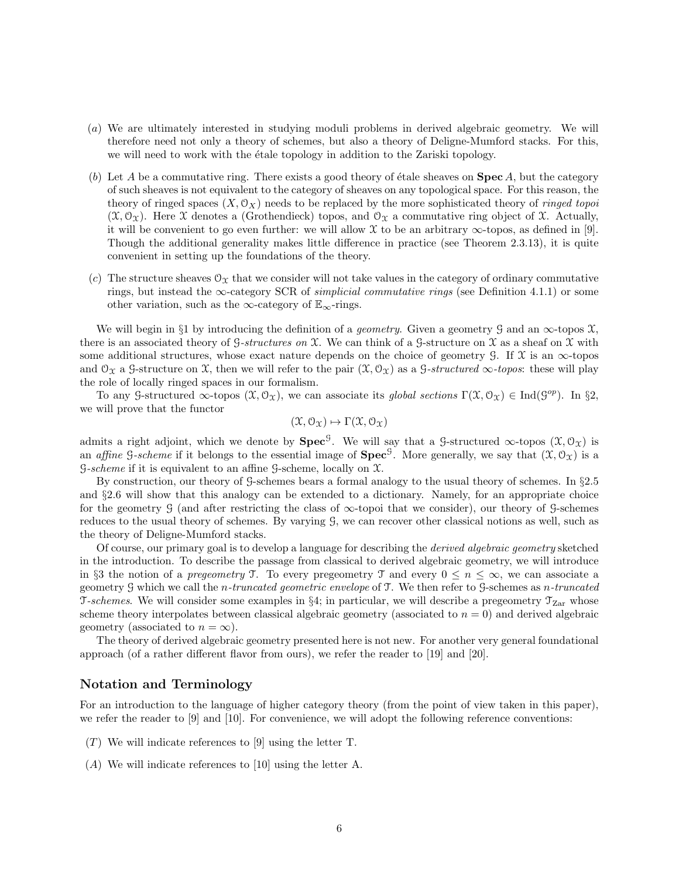- (a) We are ultimately interested in studying moduli problems in derived algebraic geometry. We will therefore need not only a theory of schemes, but also a theory of Deligne-Mumford stacks. For this, we will need to work with the  $\acute{e}t$  tale topology in addition to the Zariski topology.
- (b) Let A be a commutative ring. There exists a good theory of étale sheaves on  $\mathbf{Spec}\,A$ , but the category of such sheaves is not equivalent to the category of sheaves on any topological space. For this reason, the theory of ringed spaces  $(X, \mathcal{O}_X)$  needs to be replaced by the more sophisticated theory of *ringed topoi*  $(\mathfrak{X}, \mathcal{O}_{\mathfrak{X}})$ . Here X denotes a (Grothendieck) topos, and  $\mathcal{O}_{\mathfrak{X}}$  a commutative ring object of X. Actually, it will be convenient to go even further: we will allow  $\mathfrak X$  to be an arbitrary  $\infty$ -topos, as defined in [9]. Though the additional generality makes little difference in practice (see Theorem 2.3.13), it is quite convenient in setting up the foundations of the theory.
- (c) The structure sheaves  $\mathcal{O}_X$  that we consider will not take values in the category of ordinary commutative rings, but instead the  $\infty$ -category SCR of *simplicial commutative rings* (see Definition 4.1.1) or some other variation, such as the ∞-category of  $\mathbb{E}_{\infty}$ -rings.

We will begin in §1 by introducing the definition of a *geometry*. Given a geometry G and an  $\infty$ -topos X, there is an associated theory of G-structures on  $\mathfrak X$ . We can think of a G-structure on  $\mathfrak X$  as a sheaf on  $\mathfrak X$  with some additional structures, whose exact nature depends on the choice of geometry G. If  $\mathfrak X$  is an  $\infty$ -topos and  $\mathcal{O}_{\mathfrak{X}}$  a G-structure on X, then we will refer to the pair  $(\mathfrak{X}, \mathcal{O}_{\mathfrak{X}})$  as a G-structured  $\infty$ -topos: these will play the role of locally ringed spaces in our formalism.

To any G-structured  $\infty$ -topos  $(\mathfrak{X}, \mathcal{O}_{\mathfrak{X}})$ , we can associate its global sections  $\Gamma(\mathfrak{X}, \mathcal{O}_{\mathfrak{X}}) \in \text{Ind}(\mathcal{G}^{op})$ . In §2, we will prove that the functor

$$
(\mathfrak{X},\mathcal{O}_{\mathfrak{X}})\mapsto\Gamma(\mathfrak{X},\mathcal{O}_{\mathfrak{X}})
$$

admits a right adjoint, which we denote by  $\text{Spec}^{\mathcal{G}}$ . We will say that a  $\mathcal{G}\text{-structured} \infty\text{-topos }(\mathfrak{X},\mathcal{O}_{\mathfrak{X}})$  is an *affine* G-scheme if it belongs to the essential image of  $Spec^G$ . More generally, we say that  $(\mathfrak{X}, \mathcal{O}_{\mathfrak{X}})$  is a  $S\text{-}scheme$  if it is equivalent to an affine  $S\text{-}scheme$ , locally on  $\mathfrak{X}$ .

By construction, our theory of G-schemes bears a formal analogy to the usual theory of schemes. In §2.5 and §2.6 will show that this analogy can be extended to a dictionary. Namely, for an appropriate choice for the geometry G (and after restricting the class of  $\infty$ -topoi that we consider), our theory of G-schemes reduces to the usual theory of schemes. By varying G, we can recover other classical notions as well, such as the theory of Deligne-Mumford stacks.

Of course, our primary goal is to develop a language for describing the derived algebraic geometry sketched in the introduction. To describe the passage from classical to derived algebraic geometry, we will introduce in §3 the notion of a *pregeometry*  $\mathcal{T}$ . To every pregeometry  $\mathcal{T}$  and every  $0 \leq n \leq \infty$ , we can associate a geometry G which we call the n-truncated geometric envelope of T. We then refer to G-schemes as n-truncated T-schemes. We will consider some examples in §4; in particular, we will describe a pregeometry  $\mathcal{T}_{Zar}$  whose scheme theory interpolates between classical algebraic geometry (associated to  $n = 0$ ) and derived algebraic geometry (associated to  $n = \infty$ ).

The theory of derived algebraic geometry presented here is not new. For another very general foundational approach (of a rather different flavor from ours), we refer the reader to [19] and [20].

## Notation and Terminology

For an introduction to the language of higher category theory (from the point of view taken in this paper), we refer the reader to [9] and [10]. For convenience, we will adopt the following reference conventions:

- $(T)$  We will indicate references to [9] using the letter T.
- (A) We will indicate references to [10] using the letter A.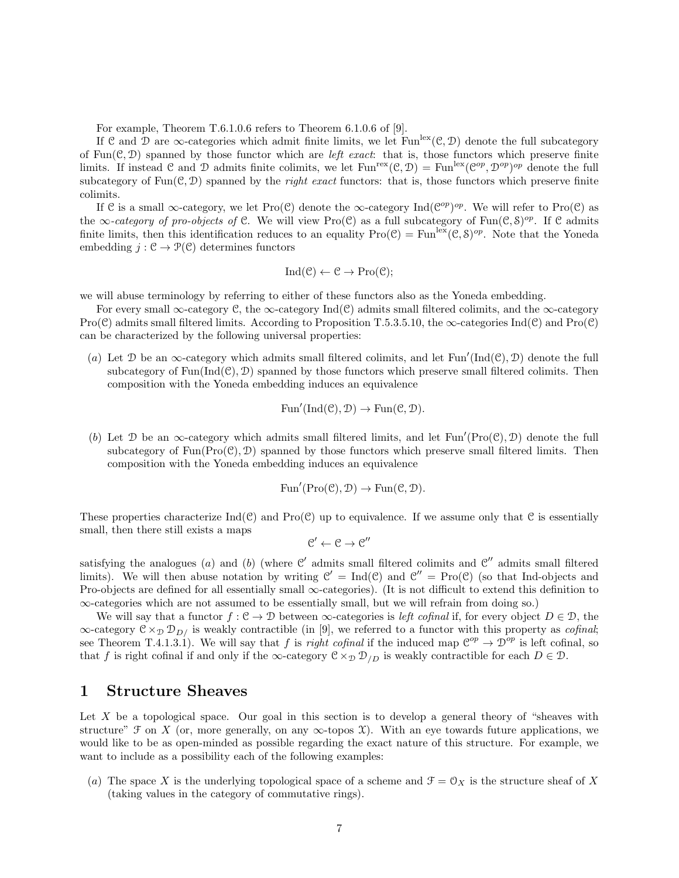For example, Theorem T.6.1.0.6 refers to Theorem 6.1.0.6 of [9].

If C and D are  $\infty$ -categories which admit finite limits, we let Fun<sup>lex</sup>(C, D) denote the full subcategory of Fun( $C, D$ ) spanned by those functor which are *left exact*: that is, those functors which preserve finite limits. If instead C and D admits finite colimits, we let  $\text{Fun}^{\text{rex}}(\mathcal{C}, \mathcal{D}) = \text{Fun}^{\text{lex}}(\mathcal{C}^{op}, \mathcal{D}^{op})^{op}$  denote the full subcategory of  $Fun(\mathcal{C}, \mathcal{D})$  spanned by the *right exact* functors: that is, those functors which preserve finite colimits.

If C is a small  $\infty$ -category, we let Pro(C) denote the  $\infty$ -category Ind( $\mathcal{C}^{op}$ )<sup>op</sup>. We will refer to Pro(C) as the  $\infty$ -category of pro-objects of C. We will view Pro(C) as a full subcategory of Fun(C, S)<sup>op</sup>. If C admits finite limits, then this identification reduces to an equality  $\text{Pro}(\mathcal{C}) = \text{Fun}^{\text{lex}}(\mathcal{C}, \mathcal{S})^{op}$ . Note that the Yoneda embedding  $j : \mathcal{C} \to \mathcal{P}(\mathcal{C})$  determines functors

$$
Ind(\mathcal{C}) \leftarrow \mathcal{C} \rightarrow Pro(\mathcal{C});
$$

we will abuse terminology by referring to either of these functors also as the Yoneda embedding.

For every small  $\infty$ -category C, the  $\infty$ -category Ind(C) admits small filtered colimits, and the  $\infty$ -category Pro(C) admits small filtered limits. According to Proposition T.5.3.5.10, the  $\infty$ -categories Ind(C) and Pro(C) can be characterized by the following universal properties:

(a) Let  $\mathcal D$  be an  $\infty$ -category which admits small filtered colimits, and let Fun'(Ind(C),  $\mathcal D$ ) denote the full subcategory of  $Fun(Ind(\mathcal{C}), \mathcal{D})$  spanned by those functors which preserve small filtered colimits. Then composition with the Yoneda embedding induces an equivalence

$$
\operatorname{Fun}'(\operatorname{Ind}(\mathcal{C}), \mathcal{D}) \to \operatorname{Fun}(\mathcal{C}, \mathcal{D}).
$$

(b) Let  $\mathcal D$  be an  $\infty$ -category which admits small filtered limits, and let Fun'(Pro(C),  $\mathcal D$ ) denote the full subcategory of  $Fun(Pro(\mathcal{C}), \mathcal{D})$  spanned by those functors which preserve small filtered limits. Then composition with the Yoneda embedding induces an equivalence

$$
\operatorname{Fun}'(\operatorname{Pro}(\mathcal{C}), \mathcal{D}) \to \operatorname{Fun}(\mathcal{C}, \mathcal{D}).
$$

These properties characterize  $\text{Ind}(\mathcal{C})$  and  $\text{Pro}(\mathcal{C})$  up to equivalence. If we assume only that  $\mathcal{C}$  is essentially small, then there still exists a maps

$$
\mathcal{C}' \leftarrow \mathcal{C} \rightarrow \mathcal{C}''
$$

satisfying the analogues (a) and (b) (where  $\mathcal{C}'$  admits small filtered colimits and  $\mathcal{C}''$  admits small filtered limits). We will then abuse notation by writing  $\mathcal{C}' = \text{Ind}(\mathcal{C})$  and  $\mathcal{C}'' = \text{Pro}(\mathcal{C})$  (so that Ind-objects and Pro-objects are defined for all essentially small ∞-categories). (It is not difficult to extend this definition to ∞-categories which are not assumed to be essentially small, but we will refrain from doing so.)

We will say that a functor  $f: \mathcal{C} \to \mathcal{D}$  between  $\infty$ -categories is *left cofinal* if, for every object  $D \in \mathcal{D}$ , the  $\infty$ -category  $C \times_{\mathcal{D}} D_{D}$  is weakly contractible (in [9], we referred to a functor with this property as *cofinal*; see Theorem T.4.1.3.1). We will say that f is right cofinal if the induced map  $\mathcal{C}^{op} \to \mathcal{D}^{op}$  is left cofinal, so that f is right cofinal if and only if the  $\infty$ -category  $\mathcal{C} \times_{\mathcal{D}} \mathcal{D}_{/D}$  is weakly contractible for each  $D \in \mathcal{D}$ .

## 1 Structure Sheaves

Let X be a topological space. Our goal in this section is to develop a general theory of "sheaves with structure"  $\mathcal F$  on X (or, more generally, on any  $\infty$ -topos X). With an eye towards future applications, we would like to be as open-minded as possible regarding the exact nature of this structure. For example, we want to include as a possibility each of the following examples:

(a) The space X is the underlying topological space of a scheme and  $\mathcal{F} = \mathcal{O}_X$  is the structure sheaf of X (taking values in the category of commutative rings).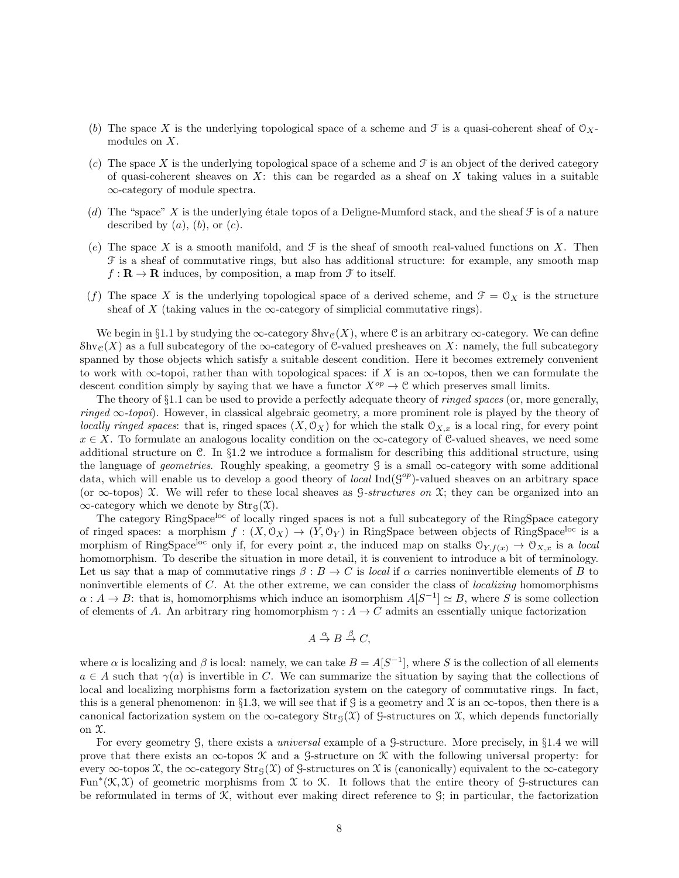- (b) The space X is the underlying topological space of a scheme and F is a quasi-coherent sheaf of  $\mathcal{O}_X$ modules on X.
- (c) The space X is the underlying topological space of a scheme and  $\mathcal F$  is an object of the derived category of quasi-coherent sheaves on  $X$ : this can be regarded as a sheaf on  $X$  taking values in a suitable ∞-category of module spectra.
- (d) The "space" X is the underlying étale topos of a Deligne-Mumford stack, and the sheaf  $\mathcal F$  is of a nature described by  $(a)$ ,  $(b)$ , or  $(c)$ .
- (e) The space X is a smooth manifold, and  $\mathcal F$  is the sheaf of smooth real-valued functions on X. Then F is a sheaf of commutative rings, but also has additional structure: for example, any smooth map  $f: \mathbf{R} \to \mathbf{R}$  induces, by composition, a map from  $\mathcal F$  to itself.
- (f) The space X is the underlying topological space of a derived scheme, and  $\mathcal{F} = \mathcal{O}_X$  is the structure sheaf of X (taking values in the  $\infty$ -category of simplicial commutative rings).

We begin in §1.1 by studying the  $\infty$ -category Shv<sub>C</sub>(X), where C is an arbitrary  $\infty$ -category. We can define  $\text{Shv}_\mathcal{C}(X)$  as a full subcategory of the  $\infty$ -category of C-valued presheaves on X: namely, the full subcategory spanned by those objects which satisfy a suitable descent condition. Here it becomes extremely convenient to work with  $\infty$ -topoi, rather than with topological spaces: if X is an  $\infty$ -topos, then we can formulate the descent condition simply by saying that we have a functor  $X^{op} \to \mathcal{C}$  which preserves small limits.

The theory of  $\S1.1$  can be used to provide a perfectly adequate theory of *ringed spaces* (or, more generally, ringed  $\infty$ -topoi). However, in classical algebraic geometry, a more prominent role is played by the theory of locally ringed spaces: that is, ringed spaces  $(X, \mathcal{O}_X)$  for which the stalk  $\mathcal{O}_{X,x}$  is a local ring, for every point  $x \in X$ . To formulate an analogous locality condition on the  $\infty$ -category of C-valued sheaves, we need some additional structure on C. In  $\S1.2$  we introduce a formalism for describing this additional structure, using the language of *geometries*. Roughly speaking, a geometry G is a small  $\infty$ -category with some additional data, which will enable us to develop a good theory of *local*  $\text{Ind}(G^{op})$ -valued sheaves on an arbitrary space (or  $\infty$ -topos) X. We will refer to these local sheaves as  $G\text{-}structures on X$ ; they can be organized into an  $\infty$ -category which we denote by  $\text{Str}_\mathcal{G}(\mathcal{X})$ .

The category RingSpace<sup>loc</sup> of locally ringed spaces is not a full subcategory of the RingSpace category of ringed spaces: a morphism  $f : (X, \mathcal{O}_X) \to (Y, \mathcal{O}_Y)$  in RingSpace between objects of RingSpace<sup>loc</sup> is a morphism of RingSpace<sup>loc</sup> only if, for every point x, the induced map on stalks  $\mathcal{O}_{Y,f(x)} \to \mathcal{O}_{X,x}$  is a local homomorphism. To describe the situation in more detail, it is convenient to introduce a bit of terminology. Let us say that a map of commutative rings  $\beta : B \to C$  is local if  $\alpha$  carries noninvertible elements of B to noninvertible elements of C. At the other extreme, we can consider the class of localizing homomorphisms  $\alpha: A \to B$ : that is, homomorphisms which induce an isomorphism  $A[S^{-1}] \simeq B$ , where S is some collection of elements of A. An arbitrary ring homomorphism  $\gamma : A \to C$  admits an essentially unique factorization

$$
A \stackrel{\alpha}{\to} B \stackrel{\beta}{\to} C,
$$

where  $\alpha$  is localizing and  $\beta$  is local: namely, we can take  $B = A[S^{-1}]$ , where S is the collection of all elements  $a \in A$  such that  $\gamma(a)$  is invertible in C. We can summarize the situation by saying that the collections of local and localizing morphisms form a factorization system on the category of commutative rings. In fact, this is a general phenomenon: in §1.3, we will see that if G is a geometry and X is an  $\infty$ -topos, then there is a canonical factorization system on the ∞-category  $\text{Str}_{G}(\mathcal{X})$  of G-structures on X, which depends functorially on  $\mathfrak{X}.$ 

For every geometry G, there exists a universal example of a G-structure. More precisely, in §1.4 we will prove that there exists an  $\infty$ -topos K and a G-structure on K with the following universal property: for every  $\infty$ -topos X, the  $\infty$ -category Str<sub>G</sub>(X) of G-structures on X is (canonically) equivalent to the  $\infty$ -category Fun<sup> $*$ </sup>( $\mathfrak{K}, \mathfrak{X}$ ) of geometric morphisms from  $\mathfrak{X}$  to  $\mathfrak{X}$ . It follows that the entire theory of G-structures can be reformulated in terms of  $\mathcal{K}$ , without ever making direct reference to  $\mathcal{G}$ ; in particular, the factorization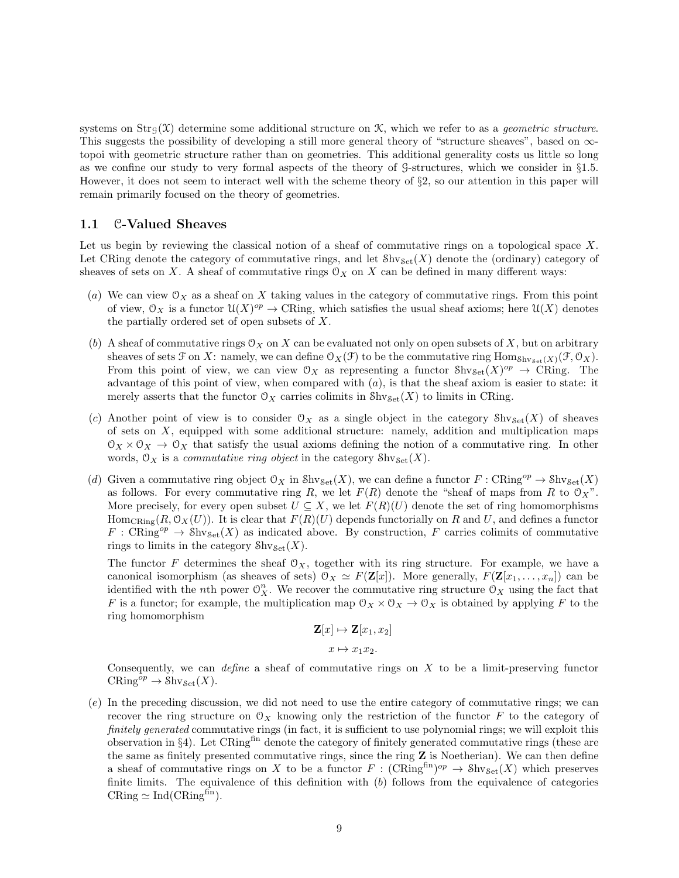systems on  $Str_G(\mathfrak{X})$  determine some additional structure on  $\mathfrak{X}$ , which we refer to as a *geometric structure*. This suggests the possibility of developing a still more general theory of "structure sheaves", based on ∞topoi with geometric structure rather than on geometries. This additional generality costs us little so long as we confine our study to very formal aspects of the theory of G-structures, which we consider in §1.5. However, it does not seem to interact well with the scheme theory of §2, so our attention in this paper will remain primarily focused on the theory of geometries.

### 1.1 C-Valued Sheaves

Let us begin by reviewing the classical notion of a sheaf of commutative rings on a topological space  $X$ . Let CRing denote the category of commutative rings, and let  $\mathcal{S}_{\text{hVSet}}(X)$  denote the (ordinary) category of sheaves of sets on X. A sheaf of commutative rings  $\mathcal{O}_X$  on X can be defined in many different ways:

- (a) We can view  $\mathcal{O}_X$  as a sheaf on X taking values in the category of commutative rings. From this point of view,  $\mathcal{O}_X$  is a functor  $\mathcal{U}(X)^{op} \to \mathbb{C}$ Ring, which satisfies the usual sheaf axioms; here  $\mathcal{U}(X)$  denotes the partially ordered set of open subsets of X.
- (b) A sheaf of commutative rings  $\mathcal{O}_X$  on X can be evaluated not only on open subsets of X, but on arbitrary sheaves of sets  $\mathcal F$  on X: namely, we can define  $\mathcal O_X(\mathcal F)$  to be the commutative ring  $\text{Hom}_{\text{Shv}_{\text{Set}}(X)}(\mathcal F,\mathcal O_X)$ . From this point of view, we can view  $\mathcal{O}_X$  as representing a functor  $\text{Shv}_{\text{Set}}(X)^{op} \to \text{CRing}$ . The advantage of this point of view, when compared with  $(a)$ , is that the sheaf axiom is easier to state: it merely asserts that the functor  $\mathcal{O}_X$  carries colimits in  $\mathcal{S}_{\text{het}}(X)$  to limits in CRing.
- (c) Another point of view is to consider  $\mathcal{O}_X$  as a single object in the category  $\mathcal{S}h v_{\mathcal{S}et}(X)$  of sheaves of sets on X, equipped with some additional structure: namely, addition and multiplication maps  $\mathcal{O}_X \times \mathcal{O}_X \to \mathcal{O}_X$  that satisfy the usual axioms defining the notion of a commutative ring. In other words,  $\mathcal{O}_X$  is a *commutative ring object* in the category  $\mathcal{S}_{\text{hv}\mathcal{S}_{\text{et}}}(X)$ .
- (d) Given a commutative ring object  $\mathcal{O}_X$  in  $\text{Shv}_{\text{Set}}(X)$ , we can define a functor  $F: \text{CRing}^{op} \to \text{Shv}_{\text{Set}}(X)$ as follows. For every commutative ring R, we let  $F(R)$  denote the "sheaf of maps from R to  $\mathcal{O}_X$ ". More precisely, for every open subset  $U \subseteq X$ , we let  $F(R)(U)$  denote the set of ring homomorphisms Hom<sub>CRing</sub> $(R, \mathcal{O}_X(U))$ . It is clear that  $F(R)(U)$  depends functorially on R and U, and defines a functor  $F: \mathrm{CRing}^{op} \to \mathrm{Shv}_{\mathrm{Set}}(X)$  as indicated above. By construction, F carries colimits of commutative rings to limits in the category  $\mathcal{S}_{\text{hv}\text{Set}}(X)$ .

The functor F determines the sheaf  $\mathcal{O}_X$ , together with its ring structure. For example, we have a canonical isomorphism (as sheaves of sets)  $\mathcal{O}_X \simeq F(\mathbf{Z}[x])$ . More generally,  $F(\mathbf{Z}[x_1, \ldots, x_n])$  can be identified with the *n*th power  $\mathcal{O}_X^n$ . We recover the commutative ring structure  $\mathcal{O}_X$  using the fact that F is a functor; for example, the multiplication map  $\mathcal{O}_X \times \mathcal{O}_X \to \mathcal{O}_X$  is obtained by applying F to the ring homomorphism

$$
\mathbf{Z}[x] \mapsto \mathbf{Z}[x_1, x_2]
$$

$$
x \mapsto x_1 x_2.
$$

Consequently, we can *define* a sheaf of commutative rings on  $X$  to be a limit-preserving functor  $CRing^{op} \to \text{Shv}_{\text{Set}}(X).$ 

(e) In the preceding discussion, we did not need to use the entire category of commutative rings; we can recover the ring structure on  $\mathcal{O}_X$  knowing only the restriction of the functor F to the category of finitely generated commutative rings (in fact, it is sufficient to use polynomial rings; we will exploit this observation in §4). Let  $CRing<sup>fin</sup>$  denote the category of finitely generated commutative rings (these are the same as finitely presented commutative rings, since the ring Z is Noetherian). We can then define a sheaf of commutative rings on X to be a functor  $F : (\mathrm{CRing}^{\text{fin}})^{op} \to \mathrm{Shv}_{\mathrm{Set}}(X)$  which preserves finite limits. The equivalence of this definition with (b) follows from the equivalence of categories  $CRing \simeq Ind(CRing<sup>fin</sup>).$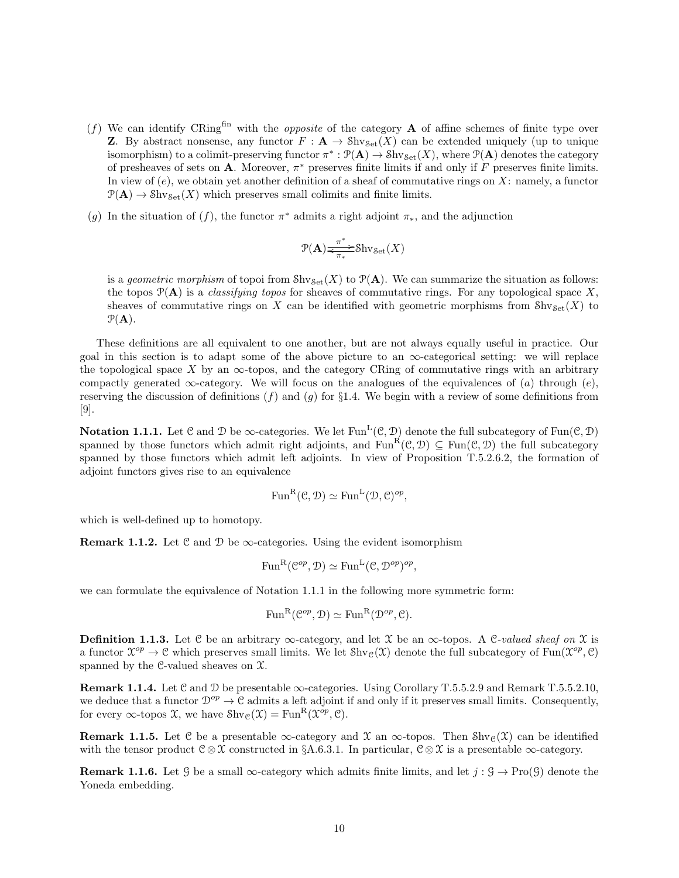- (f) We can identify CRing<sup>fin</sup> with the *opposite* of the category **A** of affine schemes of finite type over **Z**. By abstract nonsense, any functor  $F: \mathbf{A} \to \text{Shv}_{\text{Set}}(X)$  can be extended uniquely (up to unique isomorphism) to a colimit-preserving functor  $\pi^*: \mathcal{P}(\mathbf{A}) \to \mathcal{S}hv_{\mathcal{S}et}(X)$ , where  $\mathcal{P}(\mathbf{A})$  denotes the category of presheaves of sets on **A**. Moreover,  $\pi^*$  preserves finite limits if and only if F preserves finite limits. In view of  $(e)$ , we obtain yet another definition of a sheaf of commutative rings on X: namely, a functor  $\mathcal{P}(\mathbf{A}) \to \text{Shv}_{\text{Set}}(X)$  which preserves small colimits and finite limits.
- (g) In the situation of (f), the functor  $\pi^*$  admits a right adjoint  $\pi_*$ , and the adjunction

$$
\mathcal{P}(\mathbf{A})\text{max}^* \text{Shv}_{\mathbf{Set}}(X)
$$

is a geometric morphism of topoi from  $\text{Shv}_{\text{Set}}(X)$  to  $\mathcal{P}(\mathbf{A})$ . We can summarize the situation as follows: the topos  $\mathcal{P}(\mathbf{A})$  is a *classifying topos* for sheaves of commutative rings. For any topological space X, sheaves of commutative rings on X can be identified with geometric morphisms from  $\text{Shv}_{\text{Set}}(X)$  to  $\mathcal{P}(\mathbf{A})$ .

These definitions are all equivalent to one another, but are not always equally useful in practice. Our goal in this section is to adapt some of the above picture to an  $\infty$ -categorical setting: we will replace the topological space X by an  $\infty$ -topos, and the category CRing of commutative rings with an arbitrary compactly generated  $\infty$ -category. We will focus on the analogues of the equivalences of (a) through (e), reserving the discussion of definitions  $(f)$  and  $(g)$  for §1.4. We begin with a review of some definitions from [9].

**Notation 1.1.1.** Let C and D be  $\infty$ -categories. We let Fun<sup>L</sup>(C, D) denote the full subcategory of Fun(C, D) spanned by those functors which admit right adjoints, and  $\text{Fun}^R(\mathcal{C}, \mathcal{D}) \subseteq \text{Fun}(\mathcal{C}, \mathcal{D})$  the full subcategory spanned by those functors which admit left adjoints. In view of Proposition T.5.2.6.2, the formation of adjoint functors gives rise to an equivalence

$$
\text{Fun}^{\text{R}}(\mathcal{C}, \mathcal{D}) \simeq \text{Fun}^{\text{L}}(\mathcal{D}, \mathcal{C})^{op},
$$

which is well-defined up to homotopy.

**Remark 1.1.2.** Let  $\mathcal{C}$  and  $\mathcal{D}$  be  $\infty$ -categories. Using the evident isomorphism

$$
\text{Fun}^{\text{R}}(\mathcal{C}^{op}, \mathcal{D}) \simeq \text{Fun}^{\text{L}}(\mathcal{C}, \mathcal{D}^{op})^{op},
$$

we can formulate the equivalence of Notation 1.1.1 in the following more symmetric form:

$$
\text{Fun}^{\text{R}}(\mathcal{C}^{op}, \mathcal{D}) \simeq \text{Fun}^{\text{R}}(\mathcal{D}^{op}, \mathcal{C}).
$$

**Definition 1.1.3.** Let C be an arbitrary  $\infty$ -category, and let X be an  $\infty$ -topos. A C-valued sheaf on X is a functor  $\mathcal{X}^{op} \to \mathcal{C}$  which preserves small limits. We let  $\text{Shv}_{\mathcal{C}}(\mathcal{X})$  denote the full subcategory of  $\text{Fun}(\mathcal{X}^{op}, \mathcal{C})$ spanned by the C-valued sheaves on  $\mathfrak{X}$ .

Remark 1.1.4. Let C and D be presentable ∞-categories. Using Corollary T.5.5.2.9 and Remark T.5.5.2.10, we deduce that a functor  $\mathcal{D}^{op} \to \mathcal{C}$  admits a left adjoint if and only if it preserves small limits. Consequently, for every  $\infty$ -topos  $\mathfrak{X}$ , we have  $\text{Shv}_{\mathfrak{C}}(\mathfrak{X}) = \text{Fun}^{\mathbf{R}}(\mathfrak{X}^{op}, \mathfrak{C})$ .

**Remark 1.1.5.** Let C be a presentable  $\infty$ -category and X an  $\infty$ -topos. Then  $\text{Shv}_\mathcal{C}(\mathcal{X})$  can be identified with the tensor product  $C \otimes \mathfrak{X}$  constructed in §A.6.3.1. In particular,  $C \otimes \mathfrak{X}$  is a presentable  $\infty$ -category.

**Remark 1.1.6.** Let G be a small  $\infty$ -category which admits finite limits, and let  $j : \mathcal{G} \to \text{Pro}(\mathcal{G})$  denote the Yoneda embedding.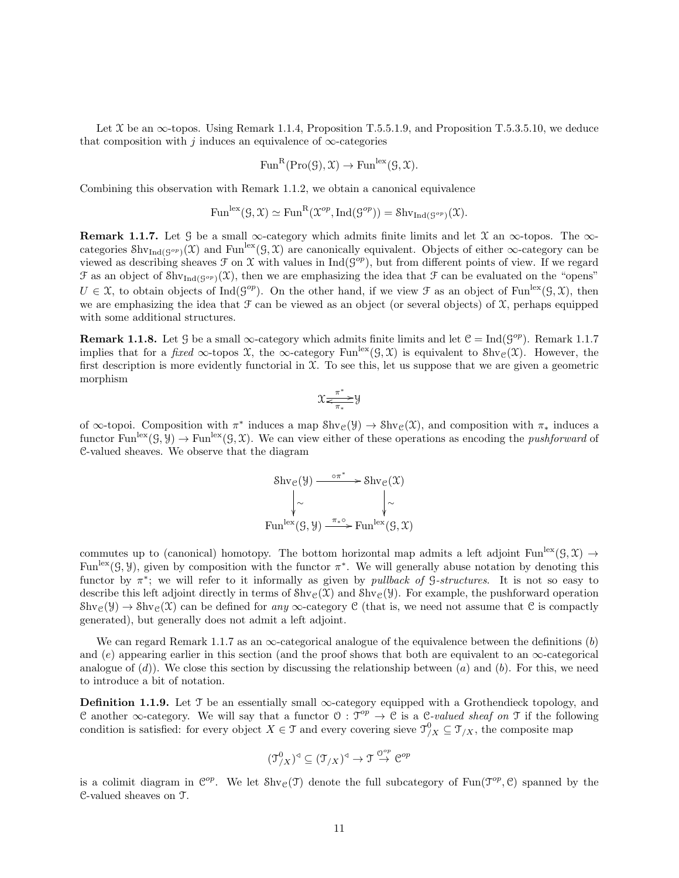Let  $\mathfrak X$  be an  $\infty$ -topos. Using Remark 1.1.4, Proposition T.5.5.1.9, and Proposition T.5.3.5.10, we deduce that composition with j induces an equivalence of  $\infty$ -categories

$$
\text{Fun}^R(\text{Pro}(\mathcal{G}), \mathcal{X}) \to \text{Fun}^{\text{lex}}(\mathcal{G}, \mathcal{X}).
$$

Combining this observation with Remark 1.1.2, we obtain a canonical equivalence

$$
\mathrm{Fun}^{\mathrm{lex}}(\mathcal{G}, \mathcal{X}) \simeq \mathrm{Fun}^{\mathrm{R}}(\mathcal{X}^{op}, \mathrm{Ind}(\mathcal{G}^{op})) = \mathrm{Shv}_{\mathrm{Ind}(\mathcal{G}^{op})}(\mathcal{X}).
$$

Remark 1.1.7. Let G be a small  $\infty$ -category which admits finite limits and let X an  $\infty$ -topos. The  $\infty$ categories  $\text{Shv}_{\text{Ind}(\mathcal{G}^{op})}(\mathfrak{X})$  and  $\text{Fun}^{\text{lex}}(\mathfrak{G}, \mathfrak{X})$  are canonically equivalent. Objects of either  $\infty$ -category can be viewed as describing sheaves  $\mathcal F$  on  $\mathcal X$  with values in Ind( $\mathcal G^{op}$ ), but from different points of view. If we regard  $\mathcal F$  as an object of  $\text{Shv}_{\text{Ind}(\mathcal G^{op})}(\mathfrak{X})$ , then we are emphasizing the idea that  $\mathcal F$  can be evaluated on the "opens"  $U \in \mathcal{X}$ , to obtain objects of Ind( $\mathcal{G}^{op}$ ). On the other hand, if we view  $\mathcal F$  as an object of Fun<sup>lex</sup>( $\mathcal G, \mathcal X$ ), then we are emphasizing the idea that  $\mathcal F$  can be viewed as an object (or several objects) of  $\mathcal X$ , perhaps equipped with some additional structures.

**Remark 1.1.8.** Let  $\mathcal{G}$  be a small  $\infty$ -category which admits finite limits and let  $\mathcal{C} = \text{Ind}(\mathcal{G}^{op})$ . Remark 1.1.7 implies that for a fixed ∞-topos X, the ∞-category Fun<sup>lex</sup>( $\mathcal{G}, \mathcal{X}$ ) is equivalent to Shv<sub>C</sub>( $\mathcal{X}$ ). However, the first description is more evidently functorial in  $\mathfrak{X}$ . To see this, let us suppose that we are given a geometric morphism

$$
\mathfrak{X} \underset{\pi_*}{\overset{\pi^*}{\Longleftrightarrow}} \mathfrak{Y}
$$

of  $\infty$ -topoi. Composition with  $\pi^*$  induces a map  $\text{Shv}_{\mathcal{C}}(\mathcal{Y}) \to \text{Shv}_{\mathcal{C}}(\mathcal{X})$ , and composition with  $\pi_*$  induces a functor Fun<sup>lex</sup>( $\mathcal{G}, \mathcal{Y}$ )  $\to$  Funlex( $\mathcal{G}, \mathcal{X}$ ). We can view either of these operations as encoding the *pushforward* of C-valued sheaves. We observe that the diagram

$$
\text{Shv}_{\mathcal{C}}(\mathcal{Y}) \xrightarrow{\sigma \pi^*} \text{Shv}_{\mathcal{C}}(\mathcal{X})
$$
\n
$$
\downarrow \sim \qquad \qquad \downarrow \sim
$$
\n
$$
\text{Fun}^{\text{lex}}(\mathcal{G}, \mathcal{Y}) \xrightarrow{\pi_{*} \circ} \text{Fun}^{\text{lex}}(\mathcal{G}, \mathcal{X})
$$

commutes up to (canonical) homotopy. The bottom horizontal map admits a left adjoint Fun<sup>lex</sup> $(\mathcal{G}, \mathcal{X}) \rightarrow$ Fun<sup>lex</sup>( $\mathcal{G}, \mathcal{Y}$ ), given by composition with the functor  $\pi^*$ . We will generally abuse notation by denoting this functor by  $\pi^*$ ; we will refer to it informally as given by *pullback of G-structures*. It is not so easy to describe this left adjoint directly in terms of  $\text{Shv}_{\mathcal{C}}(\mathcal{X})$  and  $\text{Shv}_{\mathcal{C}}(\mathcal{Y})$ . For example, the pushforward operation  $\text{Shv}_{\mathcal{C}}(\mathcal{Y}) \to \text{Shv}_{\mathcal{C}}(\mathcal{X})$  can be defined for any  $\infty$ -category C (that is, we need not assume that C is compactly generated), but generally does not admit a left adjoint.

We can regard Remark 1.1.7 as an  $\infty$ -categorical analogue of the equivalence between the definitions (b) and (e) appearing earlier in this section (and the proof shows that both are equivalent to an  $\infty$ -categorical analogue of  $(d)$ ). We close this section by discussing the relationship between  $(a)$  and  $(b)$ . For this, we need to introduce a bit of notation.

Definition 1.1.9. Let  $\mathcal T$  be an essentially small  $\infty$ -category equipped with a Grothendieck topology, and C another  $\infty$ -category. We will say that a functor  $\mathcal{O}: \mathcal{T}^{op} \to \mathcal{C}$  is a C-valued sheaf on T if the following condition is satisfied: for every object  $X \in \mathcal{T}$  and every covering sieve  $\mathcal{T}_{/X}^0 \subseteq \mathcal{T}_{/X}$ , the composite map

$$
(\mathfrak{I}_{/X}^0)^{\triangleleft} \subseteq (\mathfrak{I}_{/X})^{\triangleleft} \to \mathfrak{I} \stackrel{\mathcal{O}^{op}}{\to} \mathfrak{C}^{op}
$$

is a colimit diagram in  $\mathcal{C}^{op}$ . We let  $\text{Shv}_{\mathcal{C}}(\mathcal{T})$  denote the full subcategory of  $\text{Fun}(\mathcal{T}^{op},\mathcal{C})$  spanned by the C-valued sheaves on T.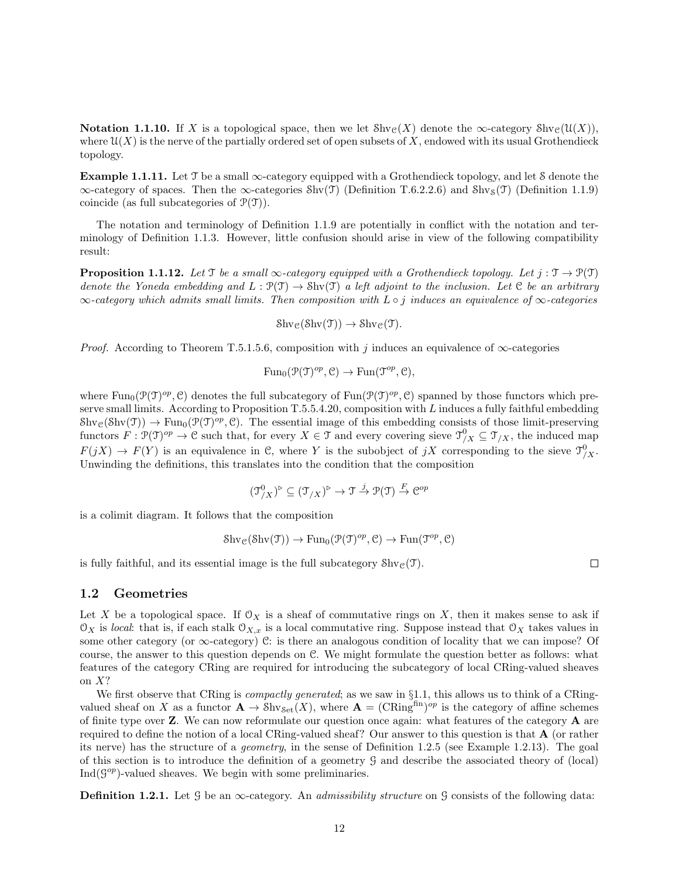Notation 1.1.10. If X is a topological space, then we let  $\text{Shv}_c(X)$  denote the  $\infty$ -category  $\text{Shv}_c(\mathcal{U}(X))$ , where  $\mathfrak{U}(X)$  is the nerve of the partially ordered set of open subsets of X, endowed with its usual Grothendieck topology.

Example 1.1.11. Let  $\mathcal T$  be a small  $\infty$ -category equipped with a Grothendieck topology, and let S denote the  $\infty$ -category of spaces. Then the  $\infty$ -categories Shv(T) (Definition T.6.2.2.6) and Shv<sub>S</sub>(T) (Definition 1.1.9) coincide (as full subcategories of  $P(\mathcal{T})$ ).

The notation and terminology of Definition 1.1.9 are potentially in conflict with the notation and terminology of Definition 1.1.3. However, little confusion should arise in view of the following compatibility result:

**Proposition 1.1.12.** Let  $\mathcal{T}$  be a small  $\infty$ -category equipped with a Grothendieck topology. Let  $j : \mathcal{T} \to \mathcal{P}(\mathcal{T})$ denote the Yoneda embedding and  $L : \mathcal{P}(\mathcal{T}) \to \text{Shv}(\mathcal{T})$  a left adjoint to the inclusion. Let C be an arbitrary  $\infty$ -category which admits small limits. Then composition with  $L \circ j$  induces an equivalence of  $\infty$ -categories

$$
\mathrm{Shv}_{\mathcal{C}}(\mathrm{Shv}(\mathfrak{T})) \to \mathrm{Shv}_{\mathcal{C}}(\mathfrak{T}).
$$

*Proof.* According to Theorem T.5.1.5.6, composition with j induces an equivalence of  $\infty$ -categories

$$
\operatorname{Fun}_0(\mathcal{P}(\mathcal{T})^{op}, \mathcal{C}) \to \operatorname{Fun}(\mathcal{T}^{op}, \mathcal{C}),
$$

where  $\text{Fun}_{0}(\mathcal{P}(\mathcal{T})^{op}, \mathcal{C})$  denotes the full subcategory of  $\text{Fun}(\mathcal{P}(\mathcal{T})^{op}, \mathcal{C})$  spanned by those functors which preserve small limits. According to Proposition T.5.5.4.20, composition with L induces a fully faithful embedding  $\text{Shv}_{\mathcal{C}}(\text{Shv}(\mathcal{T})) \to \text{Fun}_{0}(\mathcal{P}(\mathcal{T})^{op}, \mathcal{C})$ . The essential image of this embedding consists of those limit-preserving functors  $F: \mathcal{P}(\mathcal{T})^{op} \to \mathcal{C}$  such that, for every  $X \in \mathcal{T}$  and every covering sieve  $\mathcal{T}_{/X}^0 \subseteq \mathcal{T}_{/X}$ , the induced map  $F(jX) \to F(Y)$  is an equivalence in C, where Y is the subobject of  $jX$  corresponding to the sieve  $\mathcal{T}_{/X}^0$ . Unwinding the definitions, this translates into the condition that the composition

$$
(\mathfrak{T}^0_{/X})^{\triangleright} \subseteq (\mathfrak{T}_{/X})^{\triangleright} \to \mathfrak{T} \xrightarrow{j} \mathfrak{P}(\mathfrak{T}) \xrightarrow{F} \mathfrak{C}^{op}
$$

is a colimit diagram. It follows that the composition

$$
\mathop{\operatorname{{\cal S}hv}}\nolimits_{\operatorname{\mathcal C}\nolimits}(\mathop{\operatorname{{\cal S}hv}}\nolimits({\operatorname{\mathcal T}\nolimits})) \to \mathop{\operatorname{Fun}}\nolimits_0({\operatorname{\mathcal T}\nolimits}({\operatorname{\mathcal T}\nolimits})^{op},{\operatorname{\mathcal C}\nolimits}) \to \mathop{\operatorname{Fun}\nolimits}({\operatorname{\mathcal T}\nolimits}^{op},{\operatorname{\mathcal C}\nolimits})
$$

is fully faithful, and its essential image is the full subcategory  $\text{Shv}_\mathcal{C}(\mathcal{T})$ .

## 1.2 Geometries

Let X be a topological space. If  $\mathcal{O}_X$  is a sheaf of commutative rings on X, then it makes sense to ask if  $\mathcal{O}_X$  is local: that is, if each stalk  $\mathcal{O}_{X,x}$  is a local commutative ring. Suppose instead that  $\mathcal{O}_X$  takes values in some other category (or  $\infty$ -category) C: is there an analogous condition of locality that we can impose? Of course, the answer to this question depends on  $\mathcal{C}$ . We might formulate the question better as follows: what features of the category CRing are required for introducing the subcategory of local CRing-valued sheaves on  $X$ ?

We first observe that CRing is *compactly generated*; as we saw in  $\S1.1$ , this allows us to think of a CRingvalued sheaf on X as a functor  $\mathbf{A} \to \text{Shv}_{\text{Set}}(X)$ , where  $\mathbf{A} = (\text{CRing}^{\text{fin}})^{op}$  is the category of affine schemes of finite type over  $Z$ . We can now reformulate our question once again: what features of the category  $A$  are required to define the notion of a local CRing-valued sheaf? Our answer to this question is that A (or rather its nerve) has the structure of a geometry, in the sense of Definition 1.2.5 (see Example 1.2.13). The goal of this section is to introduce the definition of a geometry G and describe the associated theory of (local)  $\text{Ind}(\mathcal{G}^{op})$ -valued sheaves. We begin with some preliminaries.

**Definition 1.2.1.** Let G be an  $\infty$ -category. An *admissibility structure* on G consists of the following data: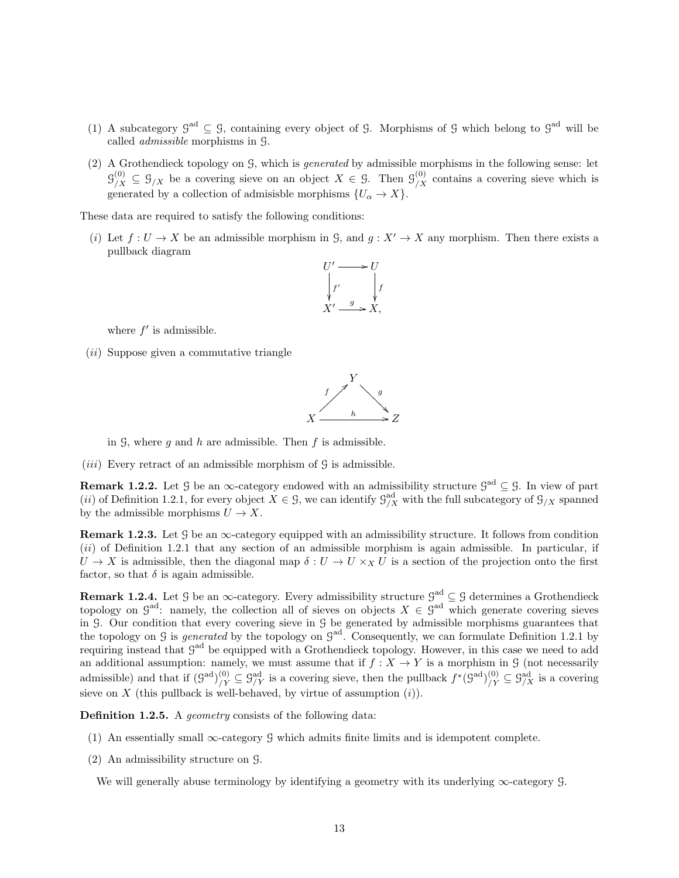- (1) A subcategory  $\mathcal{G}^{\text{ad}} \subseteq \mathcal{G}$ , containing every object of  $\mathcal{G}$ . Morphisms of  $\mathcal{G}$  which belong to  $\mathcal{G}^{\text{ad}}$  will be called admissible morphisms in G.
- (2) A Grothendieck topology on G, which is generated by admissible morphisms in the following sense: let  $\mathfrak{G}_{/X}^{(0)} \subseteq \mathfrak{G}_{/X}$  be a covering sieve on an object  $X \in \mathfrak{G}$ . Then  $\mathfrak{G}_{/X}^{(0)}$  contains a covering sieve which is generated by a collection of admisisble morphisms  $\{U_\alpha \to X\}$ .

These data are required to satisfy the following conditions:

(i) Let  $f: U \to X$  be an admissible morphism in  $\mathcal{G}$ , and  $g: X' \to X$  any morphism. Then there exists a pullback diagram



where  $f'$  is admissible.

(ii) Suppose given a commutative triangle



in  $\mathcal{G}$ , where q and h are admissible. Then f is admissible.

(*iii*) Every retract of an admissible morphism of  $\mathcal G$  is admissible.

**Remark 1.2.2.** Let G be an  $\infty$ -category endowed with an admissibility structure  $\mathcal{G}^{ad} \subseteq \mathcal{G}$ . In view of part (*ii*) of Definition 1.2.1, for every object  $X \in \mathcal{G}$ , we can identify  $\mathcal{G}_{/X}^{ad}$  with the full subcategory of  $\mathcal{G}_{/X}$  spanned by the admissible morphisms  $U \to X$ .

**Remark 1.2.3.** Let  $\mathcal{G}$  be an  $\infty$ -category equipped with an admissibility structure. It follows from condition  $(ii)$  of Definition 1.2.1 that any section of an admissible morphism is again admissible. In particular, if  $U \to X$  is admissible, then the diagonal map  $\delta: U \to U \times_X U$  is a section of the projection onto the first factor, so that  $\delta$  is again admissible.

**Remark 1.2.4.** Let  $\mathcal{G}$  be an  $\infty$ -category. Every admissibility structure  $\mathcal{G}^{ad} \subseteq \mathcal{G}$  determines a Grothendieck topology on  $\mathcal{G}^{\text{ad}}$ : namely, the collection all of sieves on objects  $X \in \mathcal{G}^{\text{ad}}$  which generate covering sieves in G. Our condition that every covering sieve in G be generated by admissible morphisms guarantees that the topology on  $\mathcal G$  is *generated* by the topology on  $\mathcal G^{ad}$ . Consequently, we can formulate Definition 1.2.1 by requiring instead that  $\mathcal{G}^{ad}$  be equipped with a Grothendieck topology. However, in this case we need to add an additional assumption: namely, we must assume that if  $f : X \to Y$  is a morphism in G (not necessarily admissible) and that if  $(\mathcal{G}^{ad})^{(0)}_{/Y} \subseteq \mathcal{G}^{ad}_{/Y}$  is a covering sieve, then the pullback  $f^*(\mathcal{G}^{ad})^{(0)}_{/Y} \subseteq \mathcal{G}^{ad}_{/X}$  is a covering sieve on X (this pullback is well-behaved, by virtue of assumption  $(i)$ ).

Definition 1.2.5. A geometry consists of the following data:

- (1) An essentially small  $\infty$ -category G which admits finite limits and is idempotent complete.
- (2) An admissibility structure on G.

We will generally abuse terminology by identifying a geometry with its underlying ∞-category G.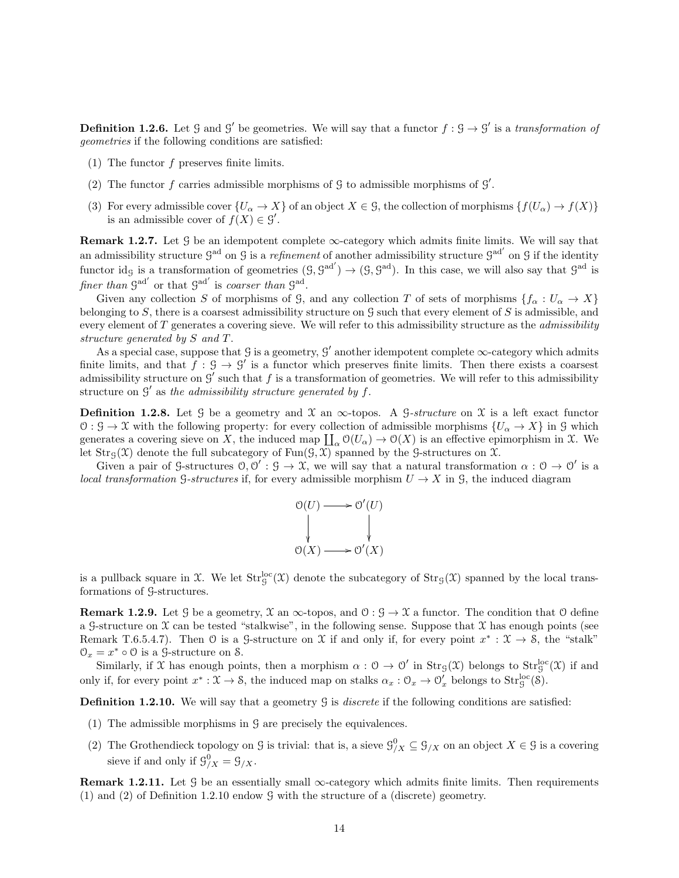**Definition 1.2.6.** Let  $\mathcal{G}$  and  $\mathcal{G}'$  be geometries. We will say that a functor  $f : \mathcal{G} \to \mathcal{G}'$  is a transformation of geometries if the following conditions are satisfied:

- (1) The functor  $f$  preserves finite limits.
- (2) The functor f carries admissible morphisms of  $\mathcal G$  to admissible morphisms of  $\mathcal G'$ .
- (3) For every admissible cover  $\{U_{\alpha} \to X\}$  of an object  $X \in \mathcal{G}$ , the collection of morphisms  $\{f(U_{\alpha}) \to f(X)\}$ is an admissible cover of  $f(X) \in \mathcal{G}'$ .

**Remark 1.2.7.** Let  $\mathcal G$  be an idempotent complete  $\infty$ -category which admits finite limits. We will say that an admissibility structure  $\mathcal{G}^{\text{ad}}$  on  $\mathcal{G}$  is a refinement of another admissibility structure  $\mathcal{G}^{\text{ad}}$  on  $\mathcal{G}$  if the identity functor idg is a transformation of geometries  $(9, 9^{ad'}) \rightarrow (9, 9^{ad})$ . In this case, we will also say that  $9^{ad}$  is finer than  $\mathfrak{G}^{\rm ad'}$  or that  $\mathfrak{G}^{\rm ad'}$  is coarser than  $\mathfrak{G}^{\rm ad}$ .

Given any collection S of morphisms of G, and any collection T of sets of morphisms  $\{f_\alpha: U_\alpha \to X\}$ belonging to  $S$ , there is a coarsest admissibility structure on  $\mathcal G$  such that every element of  $S$  is admissible, and every element of  $T$  generates a covering sieve. We will refer to this admissibility structure as the *admissibility* structure generated by S and T.

As a special case, suppose that  $\mathcal G$  is a geometry,  $\mathcal G'$  another idempotent complete  $\infty$ -category which admits finite limits, and that  $f : \mathcal{G} \to \mathcal{G}'$  is a functor which preserves finite limits. Then there exists a coarsest admissibility structure on  $\mathcal{G}'$  such that f is a transformation of geometries. We will refer to this admissibility structure on  $\mathcal{G}'$  as the admissibility structure generated by f.

**Definition 1.2.8.** Let G be a geometry and X an  $\infty$ -topos. A G-structure on X is a left exact functor  $\mathcal{O}: \mathcal{G} \to \mathcal{X}$  with the following property: for every collection of admissible morphisms  $\{U_\alpha \to X\}$  in  $\mathcal{G}$  which generates a covering sieve on X, the induced map  $\prod_{\alpha} O(U_{\alpha}) \to O(X)$  is an effective epimorphism in X. We let  $\text{Str}_{G}(\mathfrak{X})$  denote the full subcategory of  $\text{Fun}(G, \mathfrak{X})$  spanned by the G-structures on X.

Given a pair of G-structures  $0, 0' : G \to \mathcal{X}$ , we will say that a natural transformation  $\alpha : \mathcal{O} \to \mathcal{O}'$  is a local transformation G-structures if, for every admissible morphism  $U \to X$  in G, the induced diagram



is a pullback square in X. We let  $Str_g^{loc}(\mathfrak{X})$  denote the subcategory of  $Str_g(\mathfrak{X})$  spanned by the local transformations of G-structures.

**Remark 1.2.9.** Let G be a geometry,  $\mathcal{X}$  an  $\infty$ -topos, and  $\mathcal{O}: \mathcal{G} \to \mathcal{X}$  a functor. The condition that  $\mathcal{O}$  define a G-structure on  $\mathfrak X$  can be tested "stalkwise", in the following sense. Suppose that  $\mathfrak X$  has enough points (see Remark T.6.5.4.7). Then  $\emptyset$  is a  $\mathcal{G}\text{-structure on }\mathfrak{X}$  if and only if, for every point  $x^*: \mathfrak{X} \to \mathcal{S}$ , the "stalk"  $\mathcal{O}_x = x^* \circ \mathcal{O}$  is a  $\mathcal{G}\text{-structure on } \mathcal{S}.$ 

Similarly, if X has enough points, then a morphism  $\alpha: \mathcal{O} \to \mathcal{O}'$  in  $\text{Str}_{\mathcal{G}}(\mathcal{X})$  belongs to  $\text{Str}_{\mathcal{G}}^{\text{loc}}(\mathcal{X})$  if and only if, for every point  $x^*: \mathfrak{X} \to \mathfrak{S}$ , the induced map on stalks  $\alpha_x : \mathfrak{O}_x \to \mathfrak{O}'_x$  belongs to  $\text{Str}_\mathcal{G}^{\text{loc}}(\mathcal{S})$ .

**Definition 1.2.10.** We will say that a geometry  $\mathcal{G}$  is *discrete* if the following conditions are satisfied:

- (1) The admissible morphisms in G are precisely the equivalences.
- (2) The Grothendieck topology on G is trivial: that is, a sieve  $\mathcal{G}_{/X}^0 \subseteq \mathcal{G}_{/X}$  on an object  $X \in \mathcal{G}$  is a covering sieve if and only if  $\mathcal{G}_{/X}^0 = \mathcal{G}_{/X}$ .

**Remark 1.2.11.** Let G be an essentially small  $\infty$ -category which admits finite limits. Then requirements (1) and (2) of Definition 1.2.10 endow G with the structure of a (discrete) geometry.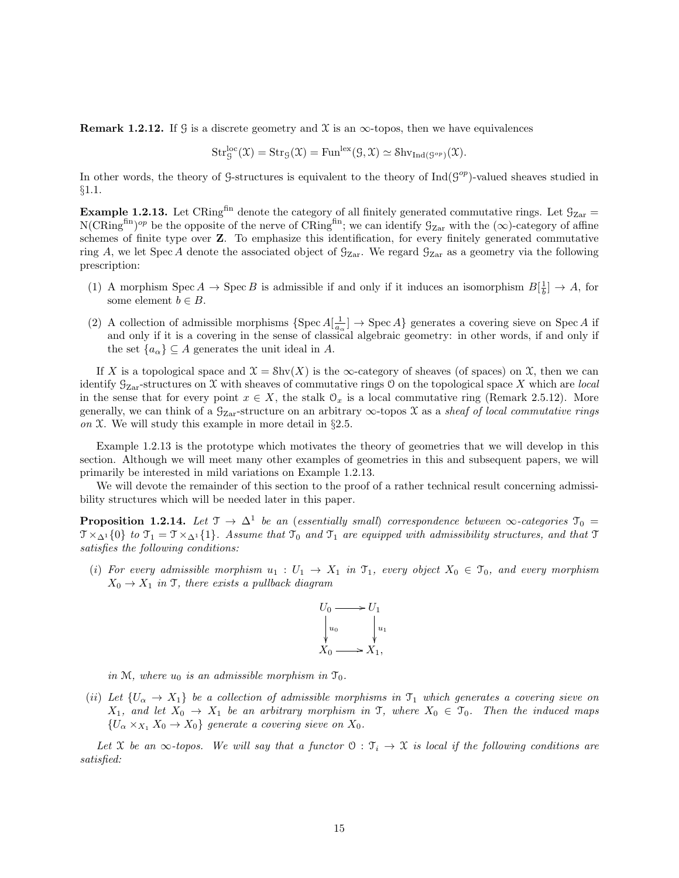**Remark 1.2.12.** If G is a discrete geometry and X is an  $\infty$ -topos, then we have equivalences

$$
\mathrm{Str}^{\mathrm{loc}}_G(\mathfrak{X}) = \mathrm{Str}_G(\mathfrak{X}) = \mathrm{Fun}^{\mathrm{lex}}(G, \mathfrak{X}) \simeq \mathrm{Shv}_{\mathrm{Ind}(G^{op})}(\mathfrak{X}).
$$

In other words, the theory of G-structures is equivalent to the theory of  $\text{Ind}(G^{op})$ -valued sheaves studied in §1.1.

**Example 1.2.13.** Let CRing<sup>fin</sup> denote the category of all finitely generated commutative rings. Let  $\mathcal{G}_{\text{Zar}} =$  $N(\text{CRing}^{\text{fin}})^{op}$  be the opposite of the nerve of  $\text{CRing}^{\text{fin}}$ ; we can identify  $\mathcal{G}_{\text{Zar}}$  with the  $(\infty)$ -category of affine schemes of finite type over Z. To emphasize this identification, for every finitely generated commutative ring A, we let Spec A denote the associated object of  $\mathcal{G}_{\mathrm{Zar}}$ . We regard  $\mathcal{G}_{\mathrm{Zar}}$  as a geometry via the following prescription:

- (1) A morphism  $Spec A \to Spec B$  is admissible if and only if it induces an isomorphism  $B[\frac{1}{b}] \to A$ , for some element  $b \in B$ .
- (2) A collection of admissible morphisms  $\{Spec A[\frac{1}{a_\alpha}] \to Spec A\}$  generates a covering sieve on Spec A if and only if it is a covering in the sense of classical algebraic geometry: in other words, if and only if the set  $\{a_{\alpha}\}\subseteq A$  generates the unit ideal in A.

If X is a topological space and  $\mathfrak{X} = \text{Shv}(X)$  is the  $\infty$ -category of sheaves (of spaces) on X, then we can identify  $\mathcal{G}_{\mathrm{Zar}}$ -structures on X with sheaves of commutative rings 0 on the topological space X which are *local* in the sense that for every point  $x \in X$ , the stalk  $\mathcal{O}_x$  is a local commutative ring (Remark 2.5.12). More generally, we can think of a  $\mathcal{G}_{\text{Zar}}$ -structure on an arbitrary  $\infty$ -topos X as a sheaf of local commutative rings on  $\mathfrak X$ . We will study this example in more detail in §2.5.

Example 1.2.13 is the prototype which motivates the theory of geometries that we will develop in this section. Although we will meet many other examples of geometries in this and subsequent papers, we will primarily be interested in mild variations on Example 1.2.13.

We will devote the remainder of this section to the proof of a rather technical result concerning admissibility structures which will be needed later in this paper.

**Proposition 1.2.14.** Let  $\mathcal{T} \to \Delta^1$  be an (essentially small) correspondence between  $\infty$ -categories  $\mathcal{T}_0$  =  $\mathcal{T} \times_{\Delta^1} \{0\}$  to  $\mathcal{T}_1 = \mathcal{T} \times_{\Delta^1} \{1\}$ . Assume that  $\mathcal{T}_0$  and  $\mathcal{T}_1$  are equipped with admissibility structures, and that  $\mathcal{T}_1$ satisfies the following conditions:

(i) For every admissible morphism  $u_1 : U_1 \to X_1$  in  $\mathfrak{T}_1$ , every object  $X_0 \in \mathfrak{T}_0$ , and every morphism  $X_0 \rightarrow X_1$  in T, there exists a pullback diagram



in M, where  $u_0$  is an admissible morphism in  $\mathfrak{T}_0$ .

(ii) Let  $\{U_\alpha \to X_1\}$  be a collection of admissible morphisms in  $\mathfrak{T}_1$  which generates a covering sieve on  $X_1$ , and let  $X_0 \to X_1$  be an arbitrary morphism in T, where  $X_0 \in \mathcal{T}_0$ . Then the induced maps  ${U_{\alpha} \times_{X_1} X_0 \to X_0}$  generate a covering sieve on  $X_0$ .

Let X be an  $\infty$ -topos. We will say that a functor  $\mathcal{O}: \mathcal{T}_i \to \mathcal{X}$  is local if the following conditions are satisfied: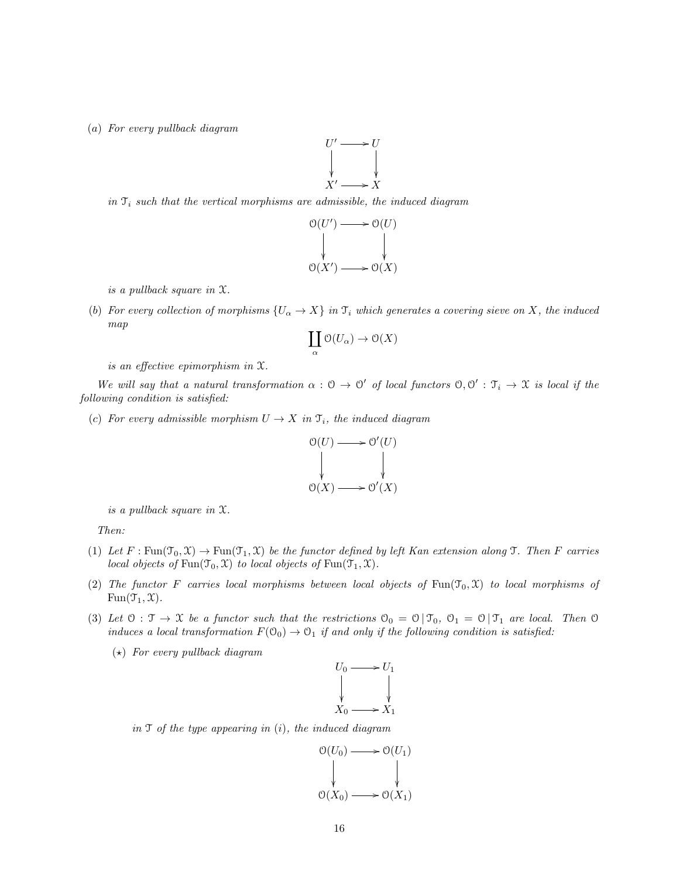(a) For every pullback diagram



in  $\mathcal{T}_i$  such that the vertical morphisms are admissible, the induced diagram



is a pullback square in X.

(b) For every collection of morphisms  $\{U_\alpha \to X\}$  in  $\mathfrak{T}_i$  which generates a covering sieve on X, the induced map

$$
\coprod_\alpha \mathfrak O(U_\alpha) \to \mathfrak O(X)
$$

is an effective epimorphism in X.

We will say that a natural transformation  $\alpha: \mathcal{O} \to \mathcal{O}'$  of local functors  $\mathcal{O}, \mathcal{O}' : \mathcal{T}_i \to \mathcal{X}$  is local if the following condition is satisfied:

(c) For every admissible morphism  $U \to X$  in  $\mathfrak{T}_i$ , the induced diagram



is a pullback square in X.

Then:

- (1) Let  $F: \text{Fun}(\mathfrak{T}_0, \mathfrak{X}) \to \text{Fun}(\mathfrak{T}_1, \mathfrak{X})$  be the functor defined by left Kan extension along T. Then F carries local objects of  $\text{Fun}(\mathfrak{T}_0, \mathfrak{X})$  to local objects of  $\text{Fun}(\mathfrak{T}_1, \mathfrak{X})$ .
- (2) The functor F carries local morphisms between local objects of  $Fun(\mathcal{T}_0, \mathcal{X})$  to local morphisms of  $Fun(\mathfrak{T}_1,\mathfrak{X}).$
- (3) Let  $0: \mathcal{T} \to \mathcal{X}$  be a functor such that the restrictions  $\mathcal{O}_0 = \mathcal{O} | \mathcal{T}_0$ ,  $\mathcal{O}_1 = \mathcal{O} | \mathcal{T}_1$  are local. Then  $\mathcal{O}$ induces a local transformation  $F(\mathcal{O}_0) \to \mathcal{O}_1$  if and only if the following condition is satisfied:
	- $(\star)$  For every pullback diagram



in  $\mathcal T$  of the type appearing in (i), the induced diagram

$$
\begin{array}{ccc}\n\mathcal{O}(U_0) & \longrightarrow & \mathcal{O}(U_1) \\
\downarrow & & \downarrow \\
\mathcal{O}(X_0) & \longrightarrow & \mathcal{O}(X_1)\n\end{array}
$$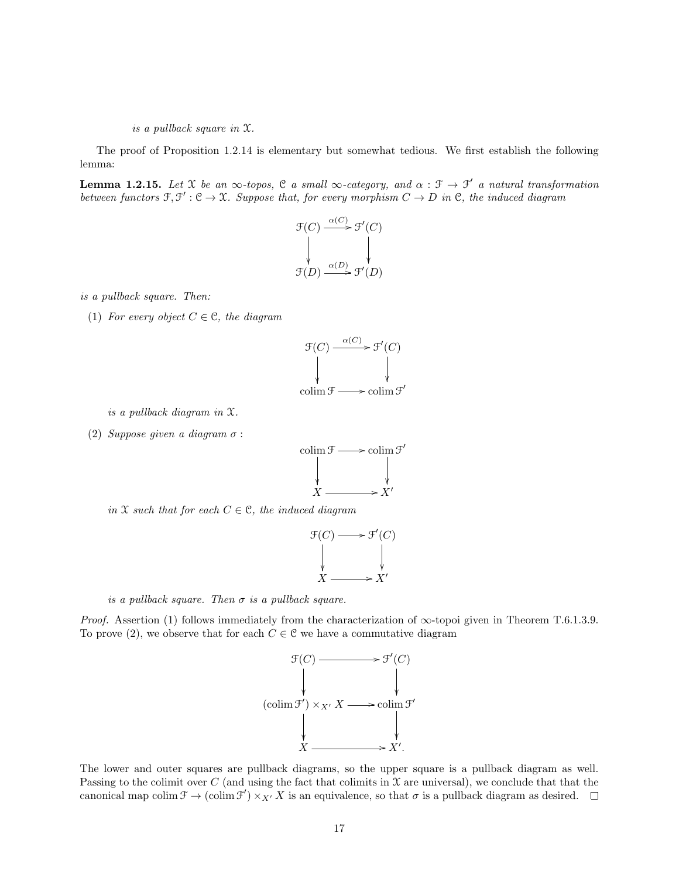is a pullback square in X.

The proof of Proposition 1.2.14 is elementary but somewhat tedious. We first establish the following lemma:

**Lemma 1.2.15.** Let X be an  $\infty$ -topos, C a small  $\infty$ -category, and  $\alpha : \mathcal{F} \to \mathcal{F}'$  a natural transformation between functors  $\mathfrak{F}, \mathfrak{F}': \mathfrak{C} \to \mathfrak{X}$ . Suppose that, for every morphism  $C \to D$  in  $\mathfrak{C}$ , the induced diagram

$$
\begin{array}{c}\n\mathfrak{F}(C) \xrightarrow{\alpha(C)} \mathfrak{F}'(C) \\
\downarrow \qquad \qquad \downarrow \qquad \qquad \downarrow \\
\mathfrak{F}(D) \xrightarrow{\alpha(D)} \mathfrak{F}'(D)\n\end{array}
$$

is a pullback square. Then:

(1) For every object  $C \in \mathcal{C}$ , the diagram

$$
\mathcal{F}(C) \xrightarrow{\alpha(C)} \mathcal{F}'(C)
$$
\n
$$
\downarrow \qquad \qquad \downarrow
$$
\n
$$
\downarrow \qquad \qquad \downarrow
$$
\n
$$
\downarrow \qquad \qquad \downarrow
$$
\n
$$
\downarrow \qquad \qquad \downarrow
$$
\n
$$
\downarrow \qquad \qquad \downarrow
$$
\n
$$
\downarrow \qquad \qquad \downarrow
$$
\n
$$
\downarrow \qquad \qquad \downarrow
$$
\n
$$
\downarrow \qquad \qquad \downarrow
$$
\n
$$
\downarrow \qquad \qquad \downarrow
$$

is a pullback diagram in X.

(2) Suppose given a diagram  $\sigma$ :



in X such that for each  $C \in \mathcal{C}$ , the induced diagram

$$
\begin{array}{ccc}\n\mathcal{F}(C) & \longrightarrow & \mathcal{F}'(C) \\
\downarrow & & \downarrow \\
X & \longrightarrow & X'\n\end{array}
$$

is a pullback square. Then  $\sigma$  is a pullback square.

*Proof.* Assertion (1) follows immediately from the characterization of  $\infty$ -topoi given in Theorem T.6.1.3.9. To prove (2), we observe that for each  $C \in \mathcal{C}$  we have a commutative diagram



The lower and outer squares are pullback diagrams, so the upper square is a pullback diagram as well. Passing to the colimit over C (and using the fact that colimits in  $\mathfrak X$  are universal), we conclude that that the canonical map colim  $\mathcal{F} \to (\text{colim } \mathcal{F}') \times_{X'} X$  is an equivalence, so that  $\sigma$  is a pullback diagram as desired.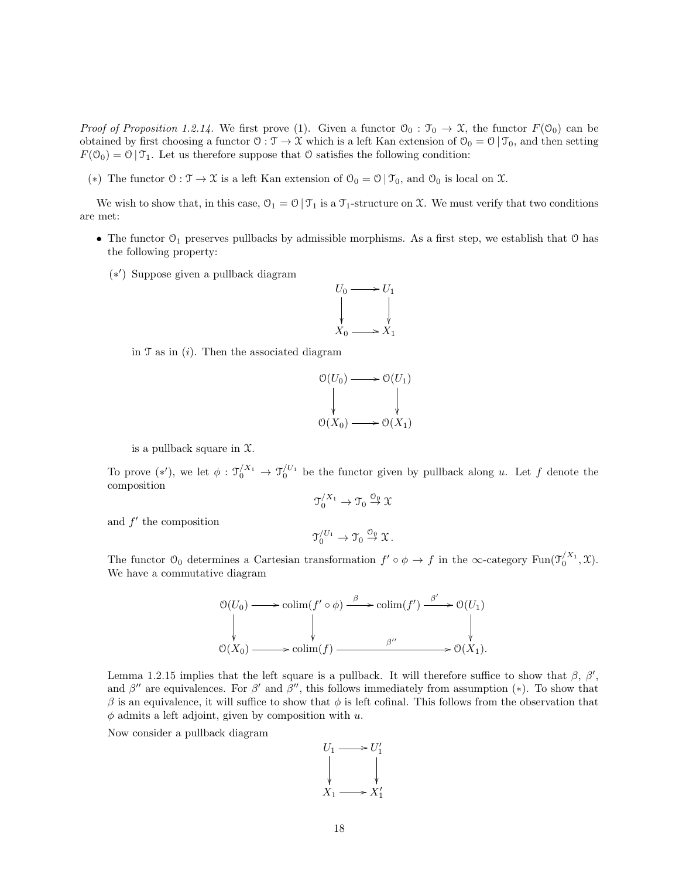*Proof of Proposition 1.2.14.* We first prove (1). Given a functor  $\mathcal{O}_0 : \mathcal{T}_0 \to \mathcal{X}$ , the functor  $F(\mathcal{O}_0)$  can be obtained by first choosing a functor  $\mathcal{O}: \mathcal{T} \to \mathcal{X}$  which is a left Kan extension of  $\mathcal{O}_0 = \mathcal{O} | \mathcal{T}_0$ , and then setting  $F(\mathcal{O}_0) = \mathcal{O} | \mathcal{T}_1$ . Let us therefore suppose that  $\mathcal{O}$  satisfies the following condition:

(\*) The functor  $0: \mathcal{T} \to \mathcal{X}$  is a left Kan extension of  $\mathcal{O}_0 = \mathcal{O} | \mathcal{T}_0$ , and  $\mathcal{O}_0$  is local on  $\mathcal{X}$ .

We wish to show that, in this case,  $\mathcal{O}_1 = \mathcal{O} | \mathcal{T}_1$  is a  $\mathcal{T}_1$ -structure on X. We must verify that two conditions are met:

- The functor  $\mathcal{O}_1$  preserves pullbacks by admissible morphisms. As a first step, we establish that  $\mathcal O$  has the following property:
	- (∗ 0 ) Suppose given a pullback diagram



in  $\mathfrak T$  as in  $(i)$ . Then the associated diagram

$$
\begin{array}{ccc}\n\mathfrak{O}(U_0) & \longrightarrow & \mathfrak{O}(U_1) \\
\downarrow & & \downarrow \\
\mathfrak{O}(X_0) & \longrightarrow & \mathfrak{O}(X_1)\n\end{array}
$$

is a pullback square in  $\mathfrak{X}$ .

To prove  $(*')$ , we let  $\phi: \mathfrak{I}'^{X_1} \to \mathfrak{I}'^{U_1}$  be the functor given by pullback along u. Let f denote the composition

$$
\mathfrak{T}'^{\mathfrak{X}_1}_0 \to \mathfrak{T}_0 \overset{\mathcal{O}_0}{\to} \mathfrak{X}
$$

and  $f'$  the composition

$$
\mathfrak{I}_0^{/U_1} \to \mathfrak{I}_0 \overset{\mathcal{O}_0}{\to} \mathfrak{X}.
$$

The functor  $\mathfrak{O}_0$  determines a Cartesian transformation  $f' \circ \phi \to f$  in the  $\infty$ -category Fun $(\mathfrak{I}_0^{X_1}, \mathfrak{X})$ . We have a commutative diagram

$$
\mathcal{O}(U_0) \longrightarrow \text{colim}(f' \circ \phi) \xrightarrow{\beta} \text{colim}(f') \xrightarrow{\beta'} \mathcal{O}(U_1)
$$
\n
$$
\downarrow \qquad \qquad \downarrow \qquad \qquad \downarrow
$$
\n
$$
\mathcal{O}(X_0) \longrightarrow \text{colim}(f) \xrightarrow{\beta''} \mathcal{O}(X_1).
$$

Lemma 1.2.15 implies that the left square is a pullback. It will therefore suffice to show that  $\beta$ ,  $\beta'$ , and  $\beta''$  are equivalences. For  $\beta'$  and  $\beta''$ , this follows immediately from assumption (\*). To show that  $\beta$  is an equivalence, it will suffice to show that  $\phi$  is left cofinal. This follows from the observation that  $\phi$  admits a left adjoint, given by composition with u.

Now consider a pullback diagram

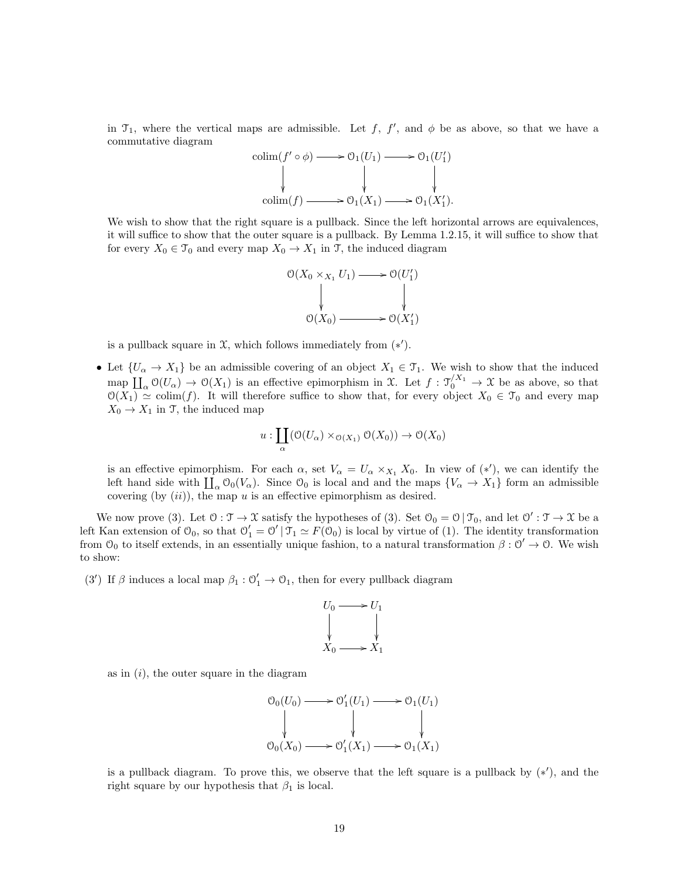in  $\mathcal{T}_1$ , where the vertical maps are admissible. Let f, f', and  $\phi$  be as above, so that we have a commutative diagram

$$
\begin{array}{ccc}\n\text{colim}(f' \circ \phi) & \longrightarrow \mathcal{O}_1(U_1) & \longrightarrow \mathcal{O}_1(U'_1) \\
\downarrow & \downarrow & \downarrow & \downarrow \\
\text{colim}(f) & \longrightarrow \mathcal{O}_1(X_1) & \longrightarrow \mathcal{O}_1(X'_1).\n\end{array}
$$

We wish to show that the right square is a pullback. Since the left horizontal arrows are equivalences. it will suffice to show that the outer square is a pullback. By Lemma 1.2.15, it will suffice to show that for every  $X_0 \in \mathcal{T}_0$  and every map  $X_0 \to X_1$  in  $\mathcal{T}$ , the induced diagram



is a pullback square in  $\mathfrak X$ , which follows immediately from  $(*')$ .

• Let  $\{U_\alpha \to X_1\}$  be an admissible covering of an object  $X_1 \in \mathfrak{T}_1$ . We wish to show that the induced map  $\prod_{\alpha} \mathcal{O}(U_{\alpha}) \to \mathcal{O}(X_1)$  is an effective epimorphism in X. Let  $f : \mathcal{T}'^{X_1} \to \mathcal{X}$  be as above, so that  $\mathcal{O}(X_1) \simeq \text{colim}(f)$ . It will therefore suffice to show that, for every object  $X_0 \in \mathcal{T}_0$  and every map  $X_0 \to X_1$  in T, the induced map

$$
u: \coprod_{\alpha} (\mathcal{O}(U_{\alpha}) \times_{\mathcal{O}(X_1)} \mathcal{O}(X_0)) \to \mathcal{O}(X_0)
$$

is an effective epimorphism. For each  $\alpha$ , set  $V_{\alpha} = U_{\alpha} \times_{X_1} X_0$ . In view of  $(*')$ , we can identify the left hand side with  $\prod_{\alpha} \mathcal{O}_0(V_{\alpha})$ . Since  $\mathcal{O}_0$  is local and and the maps  $\{V_{\alpha} \to X_1\}$  form an admissible covering (by  $(ii)$ ), the map u is an effective epimorphism as desired.

We now prove (3). Let  $0: \mathcal{T} \to \mathcal{X}$  satisfy the hypotheses of (3). Set  $\mathcal{O}_0 = \mathcal{O} | \mathcal{T}_0$ , and let  $\mathcal{O}' : \mathcal{T} \to \mathcal{X}$  be a left Kan extension of  $\mathcal{O}_0$ , so that  $\mathcal{O}'_1 = \mathcal{O}' \mid \mathcal{T}_1 \simeq F(\mathcal{O}_0)$  is local by virtue of (1). The identity transformation from  $\mathcal{O}_0$  to itself extends, in an essentially unique fashion, to a natural transformation  $\beta : \mathcal{O}' \to \mathcal{O}$ . We wish to show:

(3') If  $\beta$  induces a local map  $\beta_1: \mathcal{O}'_1 \to \mathcal{O}_1$ , then for every pullback diagram



as in  $(i)$ , the outer square in the diagram

$$
\begin{array}{ccc}\n\mathcal{O}_0(U_0) & \longrightarrow \mathcal{O}'_1(U_1) & \longrightarrow \mathcal{O}_1(U_1) \\
\downarrow & & \downarrow & \\
\mathcal{O}_0(X_0) & \longrightarrow \mathcal{O}'_1(X_1) & \longrightarrow \mathcal{O}_1(X_1)\n\end{array}
$$

is a pullback diagram. To prove this, we observe that the left square is a pullback by  $(*')$ , and the right square by our hypothesis that  $\beta_1$  is local.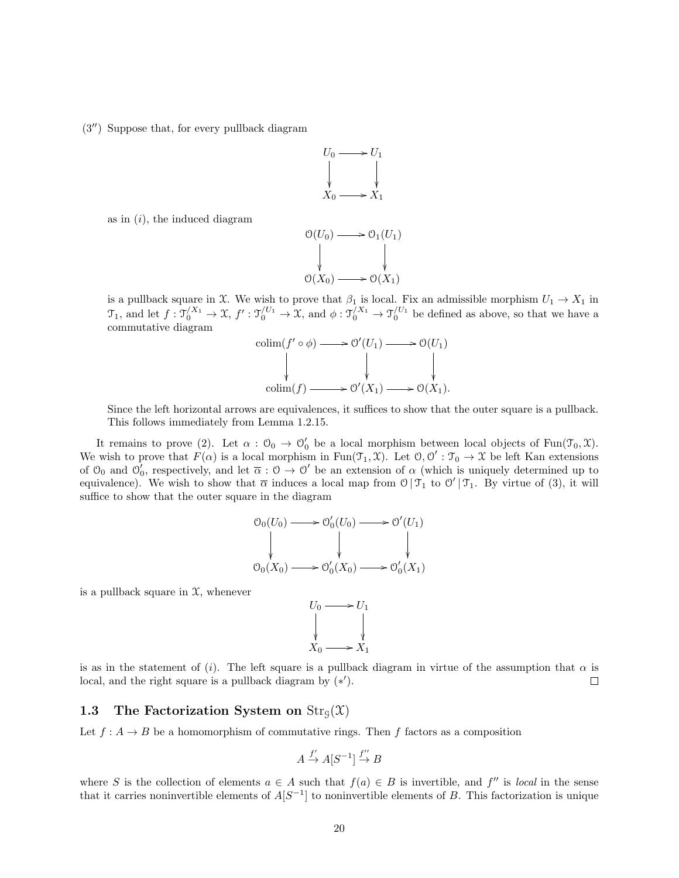$(3'')$  Suppose that, for every pullback diagram



as in  $(i)$ , the induced diagram

$$
\begin{array}{ccc}\n\mathcal{O}(U_0) & \longrightarrow & \mathcal{O}_1(U_1) \\
\downarrow & & \downarrow \\
\mathcal{O}(X_0) & \longrightarrow & \mathcal{O}(X_1)\n\end{array}
$$

is a pullback square in X. We wish to prove that  $\beta_1$  is local. Fix an admissible morphism  $U_1 \to X_1$  in  $\mathfrak{I}_1$ , and let  $f: \mathfrak{I}_0^{X_1} \to \mathfrak{X}, f': \mathfrak{I}_0^{U_1} \to \mathfrak{X},$  and  $\phi: \mathfrak{I}_0^{X_1} \to \mathfrak{I}_0^{U_1}$  be defined as above, so that we have a commutative diagram

$$
\begin{aligned}\n\text{colim}(f' \circ \phi) &\longrightarrow \mathcal{O}'(U_1) \longrightarrow \mathcal{O}(U_1) \\
\downarrow &\downarrow &\downarrow \\
\text{colim}(f) &\longrightarrow \mathcal{O}'(X_1) \longrightarrow \mathcal{O}(X_1).\n\end{aligned}
$$

Since the left horizontal arrows are equivalences, it suffices to show that the outer square is a pullback. This follows immediately from Lemma 1.2.15.

It remains to prove (2). Let  $\alpha : \mathcal{O}_0 \to \mathcal{O}'_0$  be a local morphism between local objects of Fun( $\mathcal{T}_0, \mathcal{X}$ ). We wish to prove that  $F(\alpha)$  is a local morphism in Fun $(\mathcal{T}_1, \mathcal{X})$ . Let  $\mathcal{O}, \mathcal{O}' : \mathcal{T}_0 \to \mathcal{X}$  be left Kan extensions of  $\mathcal{O}_0$  and  $\mathcal{O}'_0$ , respectively, and let  $\overline{\alpha} : \mathcal{O} \to \mathcal{O}'$  be an extension of  $\alpha$  (which is uniquely determined up to equivalence). We wish to show that  $\overline{\alpha}$  induces a local map from  $\mathcal{O} | \mathcal{T}_1$  to  $\mathcal{O}' | \mathcal{T}_1$ . By virtue of (3), it will suffice to show that the outer square in the diagram

$$
\begin{array}{ccc}\n\mathcal{O}_0(U_0) & \longrightarrow & \mathcal{O}'_0(U_0) \longrightarrow & \mathcal{O}'(U_1) \\
\downarrow & & \downarrow & \downarrow & \downarrow & \\
\mathcal{O}_0(X_0) & \longrightarrow & \mathcal{O}'_0(X_0) \longrightarrow & \mathcal{O}'_0(X_1)\n\end{array}
$$

is a pullback square in  $\mathfrak{X}$ , whenever

 $U_0 \longrightarrow U_1$ ŗ ŗ  $X_0 \longrightarrow X_1$ 

is as in the statement of (i). The left square is a pullback diagram in virtue of the assumption that  $\alpha$  is local, and the right square is a pullback diagram by  $(*')$ .  $\Box$ 

## 1.3 The Factorization System on  $\text{Str}_\mathcal{G}(\mathcal{X})$

Let  $f : A \to B$  be a homomorphism of commutative rings. Then f factors as a composition

$$
A \xrightarrow{f'} A[S^{-1}] \xrightarrow{f''} B
$$

where S is the collection of elements  $a \in A$  such that  $f(a) \in B$  is invertible, and  $f''$  is local in the sense that it carries noninvertible elements of  $A[S^{-1}]$  to noninvertible elements of B. This factorization is unique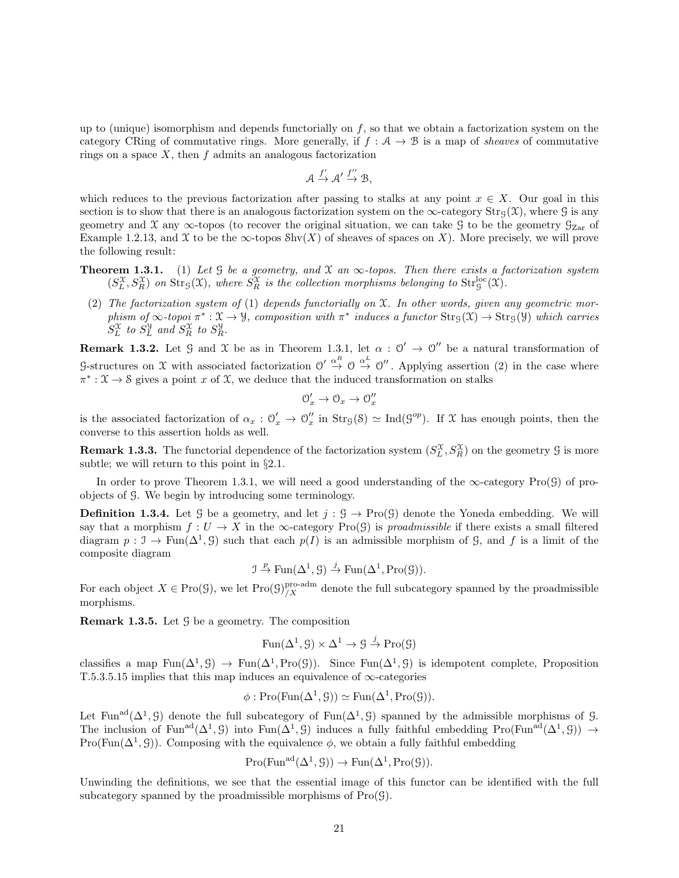up to (unique) isomorphism and depends functorially on  $f$ , so that we obtain a factorization system on the category CRing of commutative rings. More generally, if  $f : A \rightarrow B$  is a map of *sheaves* of commutative rings on a space  $X$ , then  $f$  admits an analogous factorization

$$
\mathcal{A} \xrightarrow{f'} \mathcal{A}' \xrightarrow{f''} \mathcal{B},
$$

which reduces to the previous factorization after passing to stalks at any point  $x \in X$ . Our goal in this section is to show that there is an analogous factorization system on the  $\infty$ -category Str<sub>G</sub>(X), where G is any geometry and X any  $\infty$ -topos (to recover the original situation, we can take G to be the geometry  $\mathcal{G}_{\mathrm{Zar}}$  of Example 1.2.13, and X to be the  $\infty$ -topos Shv $(X)$  of sheaves of spaces on X). More precisely, we will prove the following result:

- **Theorem 1.3.1.** (1) Let G be a geometry, and X an  $\infty$ -topos. Then there exists a factorization system  $(S_L^{\mathfrak{X}},S_R^{\mathfrak{X}})$  on  $\mathrm{Str}_{\mathfrak{S}}(\mathfrak{X})$ , where  $S_R^{\mathfrak{X}}$  is the collection morphisms belonging to  $\mathrm{Str}_{\mathfrak{S}}^{\mathrm{loc}}(\mathfrak{X})$ .
	- (2) The factorization system of (1) depends functorially on  $\mathfrak{X}$ . In other words, given any geometric morphism of  $\infty$ -topoi  $\pi^*: \mathfrak{X} \to \mathcal{Y}$ , composition with  $\pi^*$  induces a functor  $\text{Str}_{\mathcal{G}}(\mathfrak{X}) \to \text{Str}_{\mathcal{G}}(\mathcal{Y})$  which carries  $S_L^{\mathfrak{X}}$  to  $S_L^{\mathfrak{Y}}$  and  $S_R^{\mathfrak{X}}$  to  $S_R^{\mathfrak{Y}}$ .

**Remark 1.3.2.** Let  $\mathcal{G}$  and  $\mathcal{X}$  be as in Theorem 1.3.1, let  $\alpha : \mathcal{O}' \to \mathcal{O}''$  be a natural transformation of G-structures on X with associated factorization  $\mathcal{O}' \stackrel{\alpha^R}{\to} \mathcal{O} \stackrel{\alpha^L}{\to} \mathcal{O}''$ . Applying assertion (2) in the case where  $\pi^*: \mathfrak{X} \to \mathfrak{S}$  gives a point x of X, we deduce that the induced transformation on stalks

$$
\mathcal{O}'_x \to \mathcal{O}_x \to \mathcal{O}''_x
$$

is the associated factorization of  $\alpha_x : \mathcal{O}'_x \to \mathcal{O}''_x$  in  $\text{Str}_\mathcal{G}(S) \simeq \text{Ind}(\mathcal{G}^{op})$ . If X has enough points, then the converse to this assertion holds as well.

**Remark 1.3.3.** The functorial dependence of the factorization system  $(S_L^{\mathcal{X}}, S_R^{\mathcal{X}})$  on the geometry  $\mathcal{G}$  is more subtle; we will return to this point in §2.1.

In order to prove Theorem 1.3.1, we will need a good understanding of the  $\infty$ -category Pro( $\mathcal{G}$ ) of proobjects of G. We begin by introducing some terminology.

**Definition 1.3.4.** Let G be a geometry, and let  $j : \mathcal{G} \to \text{Pro}(\mathcal{G})$  denote the Yoneda embedding. We will say that a morphism  $f: U \to X$  in the  $\infty$ -category Pro(G) is *proadmissible* if there exists a small filtered diagram  $p: \mathcal{I} \to \text{Fun}(\Delta^1, \mathcal{G})$  such that each  $p(I)$  is an admissible morphism of  $\mathcal{G}$ , and f is a limit of the composite diagram

$$
\mathcal{I} \stackrel{p}{\to} \operatorname{Fun}(\Delta^1, \mathcal{G}) \stackrel{j}{\to} \operatorname{Fun}(\Delta^1, \operatorname{Pro}(\mathcal{G})).
$$

For each object  $X \in \text{Pro}(\mathcal{G})$ , we let  $\text{Pro}(\mathcal{G})^{\text{pro-adm}}_{/X}$  denote the full subcategory spanned by the proadmissible morphisms.

**Remark 1.3.5.** Let  $\mathcal{G}$  be a geometry. The composition

$$
Fun(\Delta^1, \mathcal{G}) \times \Delta^1 \to \mathcal{G} \xrightarrow{j} Pro(\mathcal{G})
$$

classifies a map  $\text{Fun}(\Delta^1, \mathcal{G}) \to \text{Fun}(\Delta^1, \text{Pro}(\mathcal{G}))$ . Since  $\text{Fun}(\Delta^1, \mathcal{G})$  is idempotent complete, Proposition T.5.3.5.15 implies that this map induces an equivalence of  $\infty$ -categories

$$
\phi: \mathrm{Pro}(\mathrm{Fun}(\Delta^1, \mathcal{G})) \simeq \mathrm{Fun}(\Delta^1, \mathrm{Pro}(\mathcal{G})).
$$

Let Fun<sup>ad</sup>( $\Delta^1$ , G) denote the full subcategory of Fun( $\Delta^1$ , G) spanned by the admissible morphisms of G. The inclusion of Fun<sup>ad</sup>( $\Delta^1$ , G) into Fun( $\Delta^1$ , G) induces a fully faithful embedding Pro(Fun<sup>ad</sup>( $\Delta^1$ , G))  $\rightarrow$ Pro(Fun( $\Delta^1$ , G)). Composing with the equivalence  $\phi$ , we obtain a fully faithful embedding

$$
Pro(Fun^{ad}(\Delta^1, \mathcal{G})) \to Fun(\Delta^1, Pro(\mathcal{G})).
$$

Unwinding the definitions, we see that the essential image of this functor can be identified with the full subcategory spanned by the proadmissible morphisms of  $Pro(\mathcal{G})$ .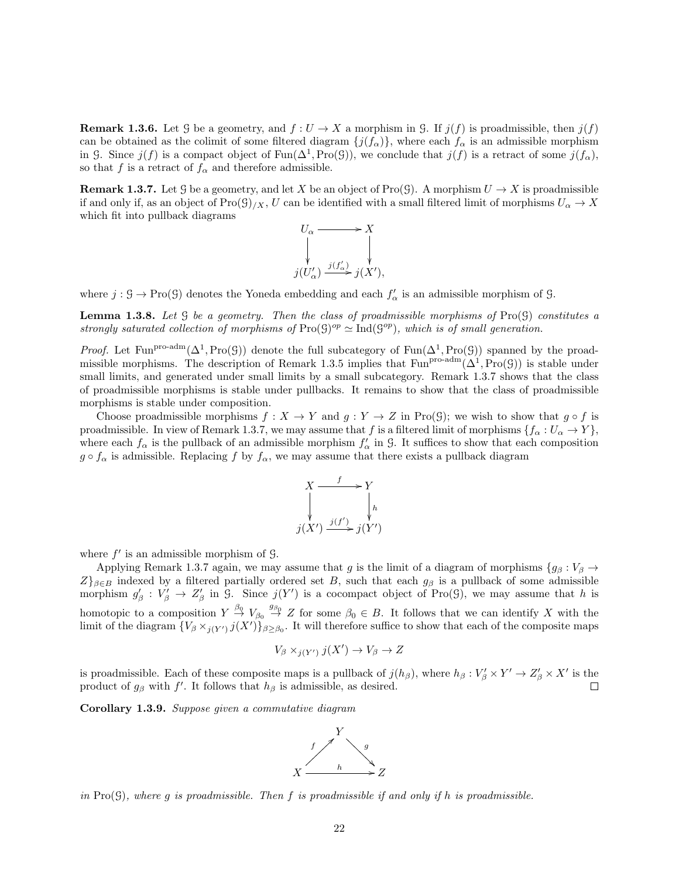**Remark 1.3.6.** Let G be a geometry, and  $f: U \to X$  a morphism in G. If  $j(f)$  is proadmissible, then  $j(f)$ can be obtained as the colimit of some filtered diagram  $\{j(f_\alpha)\}\,$ , where each  $f_\alpha$  is an admissible morphism in G. Since  $j(f)$  is a compact object of  $Fun(\Delta^1, Pro(\mathcal{G}))$ , we conclude that  $j(f)$  is a retract of some  $j(f_\alpha)$ , so that f is a retract of  $f_{\alpha}$  and therefore admissible.

**Remark 1.3.7.** Let G be a geometry, and let X be an object of Pro(G). A morphism  $U \to X$  is proadmissible if and only if, as an object of  $\text{Pro}(\mathcal{G})/X, U$  can be identified with a small filtered limit of morphisms  $U_{\alpha} \to X$ which fit into pullback diagrams

$$
U_{\alpha} \longrightarrow X
$$
  
\n
$$
\downarrow \qquad \qquad \downarrow
$$
  
\n
$$
j(U'_{\alpha}) \xrightarrow{j(f'_{\alpha})} j(X'),
$$

where  $j: \mathcal{G} \to \text{Pro}(\mathcal{G})$  denotes the Yoneda embedding and each  $f'_{\alpha}$  is an admissible morphism of  $\mathcal{G}$ .

**Lemma 1.3.8.** Let  $G$  be a geometry. Then the class of proadmissible morphisms of Pro $(G)$  constitutes a strongly saturated collection of morphisms of  $\text{Pro}(\mathcal{G})^{op} \simeq \text{Ind}(\mathcal{G}^{op})$ , which is of small generation.

*Proof.* Let Fun<sup>pro-adm</sup>( $\Delta^1$ , Pro(G)) denote the full subcategory of Fun( $\Delta^1$ , Pro(G)) spanned by the proadmissible morphisms. The description of Remark 1.3.5 implies that  $Fun<sup>pro-adm</sup>(\Delta^1, Pro(G))$  is stable under small limits, and generated under small limits by a small subcategory. Remark 1.3.7 shows that the class of proadmissible morphisms is stable under pullbacks. It remains to show that the class of proadmissible morphisms is stable under composition.

Choose proadmissible morphisms  $f : X \to Y$  and  $g : Y \to Z$  in Pro(G); we wish to show that  $g \circ f$  is proadmissible. In view of Remark 1.3.7, we may assume that f is a filtered limit of morphisms  $\{f_\alpha : U_\alpha \to Y\}$ , where each  $f_{\alpha}$  is the pullback of an admissible morphism  $f'_{\alpha}$  in G. It suffices to show that each composition  $g \circ f_{\alpha}$  is admissible. Replacing f by  $f_{\alpha}$ , we may assume that there exists a pullback diagram



where  $f'$  is an admissible morphism of  $\mathcal{G}$ .

Applying Remark 1.3.7 again, we may assume that g is the limit of a diagram of morphisms  ${g_\beta : V_\beta \to P}$  $Z\}_{\beta\in B}$  indexed by a filtered partially ordered set B, such that each  $g_{\beta}$  is a pullback of some admissible morphism  $g'_{\beta}: V'_{\beta} \to Z'_{\beta}$  in G. Since  $j(Y')$  is a cocompact object of Pro(G), we may assume that h is homotopic to a composition  $Y \stackrel{\beta_0}{\to} V_{\beta_0} \stackrel{g_{\beta_0}}{\to} Z$  for some  $\beta_0 \in B$ . It follows that we can identify X with the limit of the diagram  $\{V_\beta \times_{j(Y')} j(X')\}_{\beta \ge \beta_0}$ . It will therefore suffice to show that each of the composite maps

$$
V_{\beta} \times_{j(Y')} j(X') \to V_{\beta} \to Z
$$

is proadmissible. Each of these composite maps is a pullback of  $j(h_\beta)$ , where  $h_\beta: V'_\beta \times Y' \to Z'_\beta \times X'$  is the product of  $g_\beta$  with f'. It follows that  $h_\beta$  is admissible, as desired.

Corollary 1.3.9. Suppose given a commutative diagram



in Pro( $\mathcal{G}$ ), where q is proadmissible. Then f is proadmissible if and only if h is proadmissible.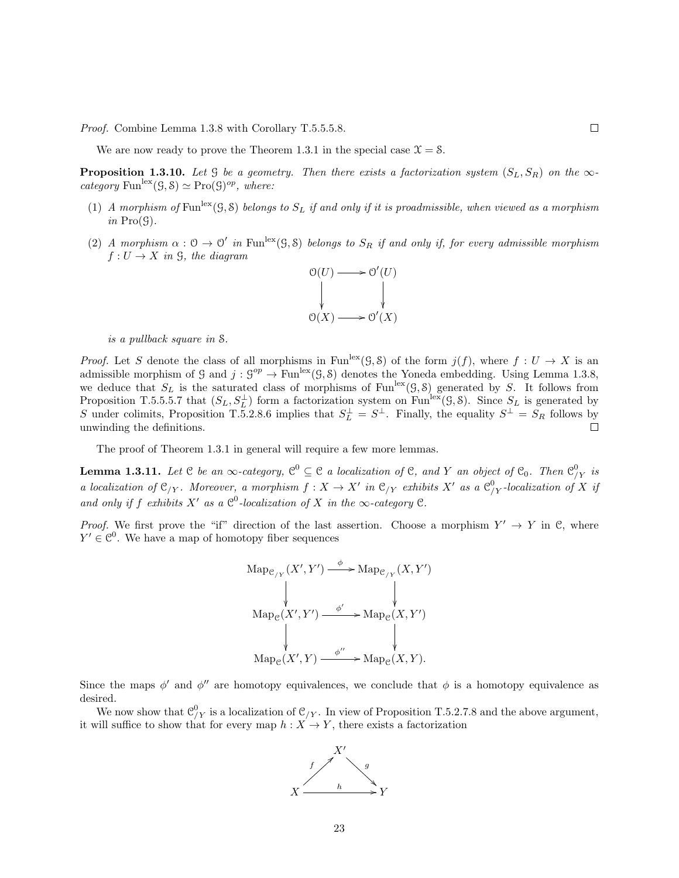Proof. Combine Lemma 1.3.8 with Corollary T.5.5.5.8.

We are now ready to prove the Theorem 1.3.1 in the special case  $\mathfrak{X} = \mathcal{S}$ .

**Proposition 1.3.10.** Let G be a geometry. Then there exists a factorization system  $(S_L, S_R)$  on the  $\infty$ category Fun<sup>lex</sup> $(\mathcal{G}, \mathcal{S}) \simeq \text{Pro}(\mathcal{G})^{op}$ , where:

- (1) A morphism of Fun<sup>lex</sup>( $\mathcal{G}, \mathcal{S}$ ) belongs to  $S_L$  if and only if it is proadmissible, when viewed as a morphism in  $Pro(G)$ .
- (2) A morphism  $\alpha: \mathcal{O} \to \mathcal{O}'$  in Fun<sup>lex</sup>(9,8) belongs to  $S_R$  if and only if, for every admissible morphism  $f: U \to X$  in  $\mathcal{G}$ , the diagram



is a pullback square in S.

*Proof.* Let S denote the class of all morphisms in Fun<sup>lex</sup>( $\mathcal{G}, \mathcal{S}$ ) of the form  $j(f)$ , where  $f : U \to X$  is an admissible morphism of G and  $j: \mathcal{G}^{op} \to \text{Fun}^{\text{lex}}(\mathcal{G}, \mathcal{S})$  denotes the Yoneda embedding. Using Lemma 1.3.8, we deduce that  $S_L$  is the saturated class of morphisms of Fun<sup>lex</sup>( $G, \delta$ ) generated by S. It follows from Proposition T.5.5.5.7 that  $(S_L, S_L^{\perp})$  form a factorization system on Fun<sup>lex</sup> $(\mathcal{G}, \mathcal{S})$ . Since  $S_L$  is generated by S under colimits, Proposition T.5.2.8.6 implies that  $S_L^{\perp} = S^{\perp}$ . Finally, the equality  $S^{\perp} = S_R$  follows by unwinding the definitions.  $\Box$ 

The proof of Theorem 1.3.1 in general will require a few more lemmas.

**Lemma 1.3.11.** Let  $C$  be an  $\infty$ -category,  $C^0 \subseteq C$  a localization of  $C$ , and  $Y$  an object of  $C_0$ . Then  $C^0_{/Y}$  is a localization of  $\mathfrak{C}_{/Y}$ . Moreover, a morphism  $f: X \to X'$  in  $\mathfrak{C}_{/Y}$  exhibits  $X'$  as a  $\mathfrak{C}_{/Y}^0$ -localization of X if and only if f exhibits X' as a  $\mathcal{C}^0$ -localization of X in the  $\infty$ -category  $\mathcal{C}$ .

*Proof.* We first prove the "if" direction of the last assertion. Choose a morphism  $Y' \to Y$  in C, where  $Y' \in \mathcal{C}^0$ . We have a map of homotopy fiber sequences

$$
\begin{array}{ccc}\n\text{Map}_{\mathcal{C}/Y}(X',Y') \xrightarrow{\phi} \text{Map}_{\mathcal{C}/Y}(X,Y') \\
\downarrow & \downarrow & \downarrow \\
\text{Map}_{\mathcal{C}}(X',Y') \xrightarrow{\phi'} \text{Map}_{\mathcal{C}}(X,Y') \\
\downarrow & \downarrow & \downarrow \\
\text{Map}_{\mathcal{C}}(X',Y) \xrightarrow{\phi''} \text{Map}_{\mathcal{C}}(X,Y).\n\end{array}
$$

Since the maps  $\phi'$  and  $\phi''$  are homotopy equivalences, we conclude that  $\phi$  is a homotopy equivalence as desired.

We now show that  $\mathcal{C}_{/Y}^0$  is a localization of  $\mathcal{C}_{/Y}$ . In view of Proposition T.5.2.7.8 and the above argument, it will suffice to show that for every map  $h: X \to Y$ , there exists a factorization

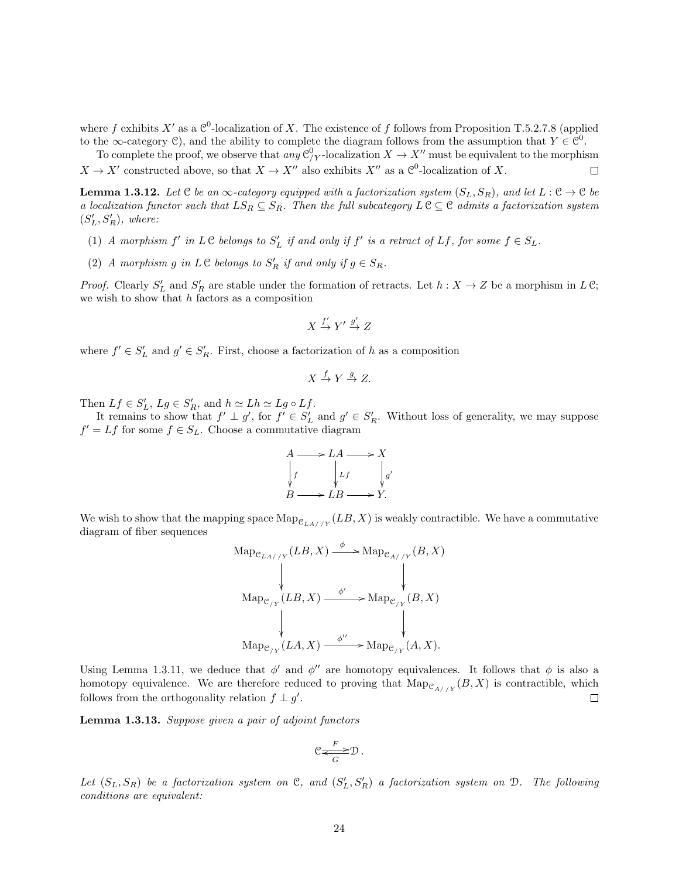where f exhibits X' as a  $\mathcal{C}^0$ -localization of X. The existence of f follows from Proposition T.5.2.7.8 (applied to the  $\infty$ -category C), and the ability to complete the diagram follows from the assumption that  $Y \in \mathbb{C}^0$ .

To complete the proof, we observe that any  $\mathcal{C}_{/Y}^0$ -localization  $X \to X''$  must be equivalent to the morphism  $X \to X'$  constructed above, so that  $X \to X''$  also exhibits  $X''$  as a  $\mathcal{C}^0$ -localization of X.  $\Box$ 

**Lemma 1.3.12.** Let C be an  $\infty$ -category equipped with a factorization system  $(S_L, S_R)$ , and let  $L : \mathcal{C} \to \mathcal{C}$  be a localization functor such that  $LS_R \subseteq S_R$ . Then the full subcategory  $L \subset \mathcal{C}$  admits a factorization system  $(S'_L, S'_R)$ , where:

- (1) A morphism  $f'$  in  $L \mathcal{C}$  belongs to  $S'_{L}$  if and only if  $f'$  is a retract of  $Lf$ , for some  $f \in S_{L}$ .
- (2) A morphism g in  $L \mathcal{C}$  belongs to  $S'_R$  if and only if  $g \in S_R$ .

*Proof.* Clearly  $S'_{L}$  and  $S'_{R}$  are stable under the formation of retracts. Let  $h: X \to Z$  be a morphism in  $L \mathfrak{C}$ ; we wish to show that  $h$  factors as a composition

$$
X \xrightarrow{f'} Y' \xrightarrow{g'} Z
$$

where  $f' \in S'_L$  and  $g' \in S'_R$ . First, choose a factorization of h as a composition

$$
X \xrightarrow{f} Y \xrightarrow{g} Z.
$$

Then  $Lf \in S'_L$ ,  $Lg \in S'_R$ , and  $h \simeq Lh \simeq Lg \circ Lf$ .

It remains to show that  $f' \perp g'$ , for  $f' \in S'_L$  and  $g' \in S'_R$ . Without loss of generality, we may suppose  $f' = Lf$  for some  $f \in S_L$ . Choose a commutative diagram

$$
A \longrightarrow LA \longrightarrow X
$$
  
\n
$$
\downarrow f \qquad \qquad \downarrow f \qquad \qquad \downarrow g'
$$
  
\n
$$
B \longrightarrow LB \longrightarrow Y.
$$

We wish to show that the mapping space  $\mathrm{Map}_{\mathcal{C}_{LA//Y}}(LB, X)$  is weakly contractible. We have a commutative diagram of fiber sequences

$$
\begin{array}{ccc}\n\text{Map}_{\mathcal{C}_{LA//Y}}(LB,X) \xrightarrow{\phi} \text{Map}_{\mathcal{C}_{A//Y}}(B,X) \\
\downarrow & \downarrow & \downarrow \\
\text{Map}_{\mathcal{C}_{/Y}}(LB,X) \xrightarrow{\phi'} \text{Map}_{\mathcal{C}_{/Y}}(B,X) \\
\downarrow & \downarrow & \downarrow \\
\text{Map}_{\mathcal{C}_{/Y}}(LA,X) \xrightarrow{\phi''} \text{Map}_{\mathcal{C}_{/Y}}(A,X).\n\end{array}
$$

Using Lemma 1.3.11, we deduce that  $\phi'$  and  $\phi''$  are homotopy equivalences. It follows that  $\phi$  is also a homotopy equivalence. We are therefore reduced to proving that  $\mathrm{Map}_{\mathcal{C}_{A//Y}}(B, X)$  is contractible, which follows from the orthogonality relation  $f \perp g'$ .  $\Box$ 

Lemma 1.3.13. Suppose given a pair of adjoint functors

$$
\mathfrak{C} \underset{G}{\overset{F}{\Longleftrightarrow}} \mathfrak{D} \, .
$$

Let  $(S_L, S_R)$  be a factorization system on C, and  $(S'_L, S'_R)$  a factorization system on D. The following conditions are equivalent: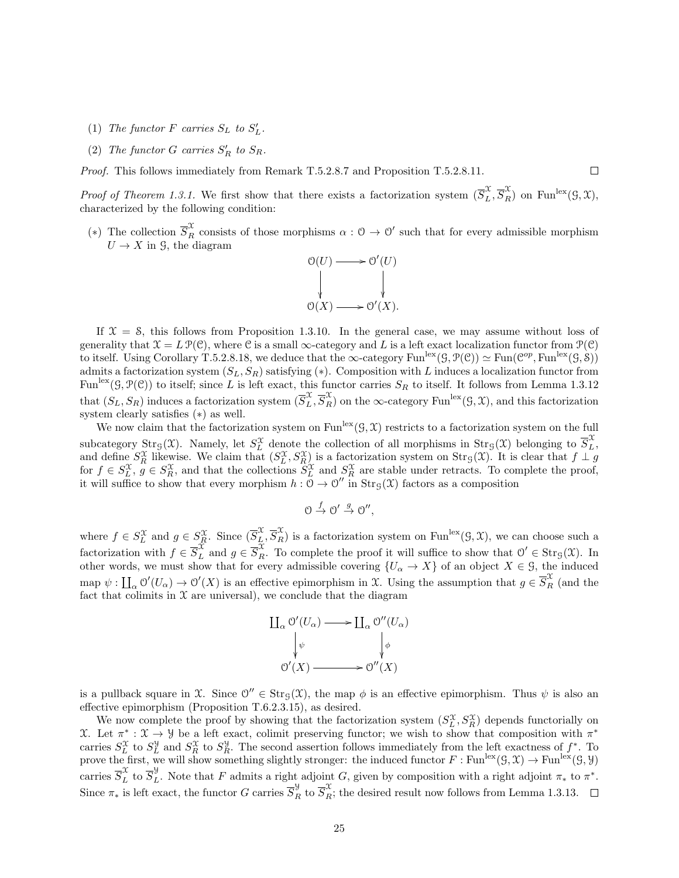- (1) The functor F carries  $S_L$  to  $S'_L$ .
- (2) The functor G carries  $S'_R$  to  $S_R$ .

Proof. This follows immediately from Remark T.5.2.8.7 and Proposition T.5.2.8.11.

*Proof of Theorem 1.3.1.* We first show that there exists a factorization system  $(\overline{S}_L^{\mathcal{X}}, \overline{S}_R^{\mathcal{X}})$  on Fun<sup>lex</sup> $(\mathcal{G}, \mathcal{X}),$ characterized by the following condition:

 $\Box$ 

(\*) The collection  $\overline{S}_R^{\mathcal{X}}$  consists of those morphisms  $\alpha: \mathcal{O} \to \mathcal{O}'$  such that for every admissible morphism  $U \rightarrow X$  in 9, the diagram



If  $X = S$ , this follows from Proposition 1.3.10. In the general case, we may assume without loss of generality that  $\mathfrak{X} = L \mathcal{P}(\mathfrak{C})$ , where C is a small  $\infty$ -category and L is a left exact localization functor from  $\mathcal{P}(\mathfrak{C})$ to itself. Using Corollary T.5.2.8.18, we deduce that the  $\infty$ -category Fun<sup>lex</sup> $(\mathcal{G}, \mathcal{P}(\mathcal{C})) \simeq \text{Fun}(\mathcal{C}^{op}, \text{Fun}^{\text{lex}}(\mathcal{G}, \delta))$ admits a factorization system  $(S_L, S_R)$  satisfying (\*). Composition with L induces a localization functor from Fun<sup>lex</sup>( $\mathcal{G}, \mathcal{P}(\mathcal{C})$ ) to itself; since L is left exact, this functor carries  $S_R$  to itself. It follows from Lemma 1.3.12 that  $(S_L, S_R)$  induces a factorization system  $(\overline{S}_L^{\mathcal{X}}, \overline{S}_R^{\mathcal{X}})$  on the  $\infty$ -category Fun<sup>lex</sup> $(\mathcal{G}, \mathcal{X})$ , and this factorization system clearly satisfies (∗) as well.

We now claim that the factorization system on Fun<sup>lex</sup> $(\mathcal{G}, \mathcal{X})$  restricts to a factorization system on the full subcategory  $\text{Str}_{\mathcal{G}}(\mathfrak{X})$ . Namely, let  $S_L^{\mathfrak{X}}$  denote the collection of all morphisms in  $\text{Str}_{\mathcal{G}}(\mathfrak{X})$  belonging to  $\overline{S}_L^{\mathfrak{X}}$ , and define  $S_R^{\mathcal{X}}$  likewise. We claim that  $(S_L^{\mathcal{X}}, S_R^{\mathcal{X}})$  is a factorization system on  $\text{Str}_{\mathcal{G}}(\mathcal{X})$ . It is clear that  $f \perp g$ for  $f \in S_L^{\mathcal{X}}, g \in S_R^{\mathcal{X}},$  and that the collections  $S_L^{\mathcal{X}}$  and  $S_R^{\mathcal{X}}$  are stable under retracts. To complete the proof, it will suffice to show that every morphism  $h : \mathcal{O} \to \mathcal{O}''$  in  $\text{Str}_{\mathcal{G}}(\mathfrak{X})$  factors as a composition

$$
\mathcal{O} \stackrel{f}{\rightarrow} \mathcal{O}' \stackrel{g}{\rightarrow} \mathcal{O}'',
$$

where  $f \in S_L^{\mathfrak{X}}$  and  $g \in S_R^{\mathfrak{X}}$ . Since  $(\overline{S}_L^{\mathfrak{X}}, \overline{S}_R^{\mathfrak{X}})$  is a factorization system on Fun<sup>lex</sup> $(\mathfrak{G}, \mathfrak{X})$ , we can choose such a factorization with  $f \in \overline{S}_L^{\mathcal{X}}$  and  $g \in \overline{S}_R^{\mathcal{X}}$ . To complete the proof it will suffice to show that  $\mathcal{O}' \in \text{Str}_{\mathcal{G}}(\mathcal{X})$ . In other words, we must show that for every admissible covering  $\{U_\alpha \to X\}$  of an object  $X \in \mathcal{G}$ , the induced map  $\psi: \coprod_{\alpha} O'(U_{\alpha}) \to O'(X)$  is an effective epimorphism in X. Using the assumption that  $g \in \overline{S}_{R}^{\mathfrak{X}}$  (and the fact that colimits in  $\mathfrak X$  are universal), we conclude that the diagram

$$
\begin{array}{ccc}\n\coprod_{\alpha} \mathcal{O}'(U_{\alpha}) & \longrightarrow & \coprod_{\alpha} \mathcal{O}''(U_{\alpha}) \\
\downarrow_{\psi} & & \downarrow_{\phi} \\
\mathcal{O}'(X) & \longrightarrow & \mathcal{O}''(X)\n\end{array}
$$

is a pullback square in X. Since  $\mathcal{O}'' \in \text{Str}_{\mathcal{G}}(\mathcal{X})$ , the map  $\phi$  is an effective epimorphism. Thus  $\psi$  is also an effective epimorphism (Proposition T.6.2.3.15), as desired.

We now complete the proof by showing that the factorization system  $(S_L^{\mathcal{X}}, S_R^{\mathcal{X}})$  depends functorially on  $\mathcal{X}$ . Let π<sup>\*</sup> :  $\mathcal{X}$  → *Y* be a left exact, colimit preserving functor; we wish to show that composition with π<sup>\*</sup> carries  $S_L^{\mathfrak{X}}$  to  $S_L^{\mathfrak{Y}}$  and  $S_R^{\mathfrak{X}}$  to  $S_R^{\mathfrak{Y}}$ . The second assertion follows immediately from the left exactness of  $f^*$ . To prove the first, we will show something slightly stronger: the induced functor  $F : \text{Fun}^{\text{lex}}(\mathcal{G}, \mathcal{X}) \to \text{Fun}^{\text{lex}}(\mathcal{G}, \mathcal{Y})$ carries  $\overline{S}_L^{\mathcal{X}}$  to  $\overline{S}_L^{\mathcal{Y}}$ . Note that F admits a right adjoint G, given by composition with a right adjoint  $\pi_*$  to  $\pi^*$ . Since  $\pi_*$  is left exact, the functor G carries  $\overline{S}_R^{\mathcal{Y}}$  to  $\overline{S}_R^{\mathcal{X}}$ ; the desired result now follows from Lemma 1.3.13.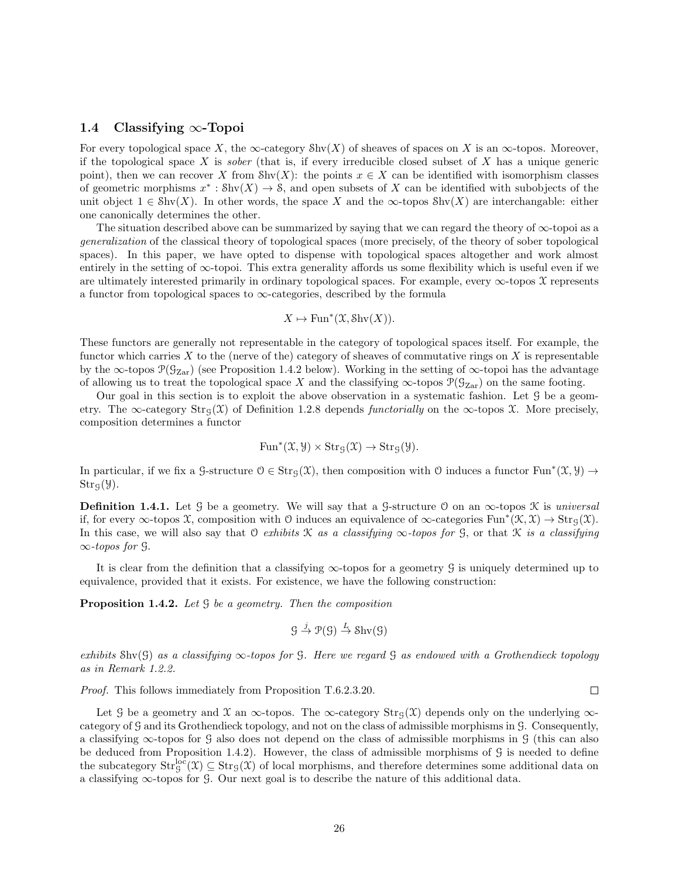## 1.4 Classifying ∞-Topoi

For every topological space X, the  $\infty$ -category Shv(X) of sheaves of spaces on X is an  $\infty$ -topos. Moreover, if the topological space X is *sober* (that is, if every irreducible closed subset of X has a unique generic point), then we can recover X from Shv(X): the points  $x \in X$  can be identified with isomorphism classes of geometric morphisms  $x^* : Shv(X) \to S$ , and open subsets of X can be identified with subobjects of the unit object  $1 \in Shv(X)$ . In other words, the space X and the  $\infty$ -topos Shv $(X)$  are interchangable: either one canonically determines the other.

The situation described above can be summarized by saying that we can regard the theory of ∞-topoi as a generalization of the classical theory of topological spaces (more precisely, of the theory of sober topological spaces). In this paper, we have opted to dispense with topological spaces altogether and work almost entirely in the setting of ∞-topoi. This extra generality affords us some flexibility which is useful even if we are ultimately interested primarily in ordinary topological spaces. For example, every  $\infty$ -topos X represents a functor from topological spaces to  $\infty$ -categories, described by the formula

$$
X \mapsto \text{Fun}^*(\mathfrak{X}, \text{Shv}(X)).
$$

These functors are generally not representable in the category of topological spaces itself. For example, the functor which carries X to the (nerve of the) category of sheaves of commutative rings on X is representable by the  $\infty$ -topos  $\mathcal{P}(\mathcal{G}_{\text{Zar}})$  (see Proposition 1.4.2 below). Working in the setting of  $\infty$ -topoi has the advantage of allowing us to treat the topological space X and the classifying  $\infty$ -topos  $\mathcal{P}(\mathcal{G}_{Zar})$  on the same footing.

Our goal in this section is to exploit the above observation in a systematic fashion. Let G be a geometry. The ∞-category  $\text{Str}_{G}(\mathcal{X})$  of Definition 1.2.8 depends *functorially* on the ∞-topos  $\mathcal{X}$ . More precisely, composition determines a functor

$$
\operatorname{Fun}^*(\mathfrak X,\mathcal Y)\times\operatorname{Str}_\mathfrak{G}(\mathfrak X)\to\operatorname{Str}_\mathfrak{G}(\mathcal Y).
$$

In particular, if we fix a G-structure  $0 \in \text{Str}_{\mathcal{G}}(\mathcal{X})$ , then composition with O induces a functor  $\text{Fun}^*(\mathcal{X}, \mathcal{Y}) \to$  $Str<sub>g</sub>(\mathcal{Y}).$ 

**Definition 1.4.1.** Let G be a geometry. We will say that a G-structure O on an  $\infty$ -topos K is universal if, for every  $\infty$ -topos X, composition with O induces an equivalence of  $\infty$ -categories Fun<sup>\*</sup>( $\mathcal{K}, \mathcal{X}$ )  $\rightarrow$  Str<sub>g</sub>( $\mathcal{X}$ ). In this case, we will also say that O exhibits K as a classifying  $\infty$ -topos for G, or that K is a classifying  $\infty$ -topos for  $\mathcal{G}$ .

It is clear from the definition that a classifying  $\infty$ -topos for a geometry G is uniquely determined up to equivalence, provided that it exists. For existence, we have the following construction:

Proposition 1.4.2. Let  $\mathcal G$  be a geometry. Then the composition

$$
\mathcal{G} \stackrel{j}{\to} \mathcal{P}(\mathcal{G}) \stackrel{L}{\to} \text{Shv}(\mathcal{G})
$$

exhibits Shy(G) as a classifying  $\infty$ -topos for G. Here we regard G as endowed with a Grothendieck topology as in Remark 1.2.2.

Proof. This follows immediately from Proposition T.6.2.3.20.

Let G be a geometry and X an  $\infty$ -topos. The  $\infty$ -category Str<sub>G</sub>(X) depends only on the underlying  $\infty$ category of G and its Grothendieck topology, and not on the class of admissible morphisms in G. Consequently, a classifying ∞-topos for G also does not depend on the class of admissible morphisms in G (this can also be deduced from Proposition 1.4.2). However, the class of admissible morphisms of G is needed to define the subcategory  $Str_g^{loc}(\mathfrak{X}) \subseteq Str_{\mathcal{G}}(\mathfrak{X})$  of local morphisms, and therefore determines some additional data on a classifying ∞-topos for G. Our next goal is to describe the nature of this additional data.

 $\Box$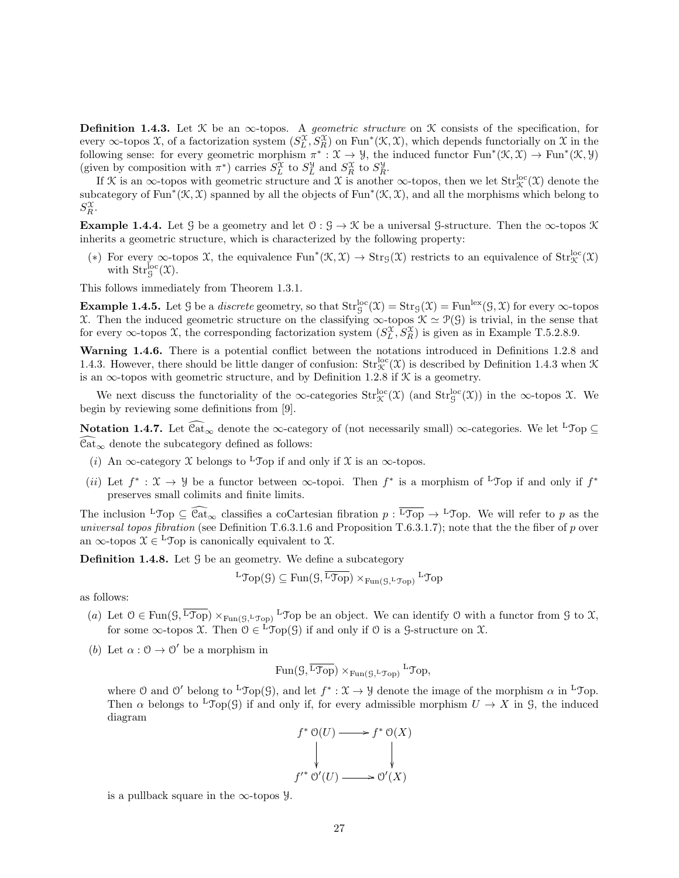**Definition 1.4.3.** Let  $\mathcal{K}$  be an  $\infty$ -topos. A *geometric structure* on  $\mathcal{K}$  consists of the specification, for every  $\infty$ -topos X, of a factorization system  $(S_L^{\mathcal{X}}, S_R^{\mathcal{X}})$  on Fun<sup>\*</sup>( $\mathcal{K}, \mathcal{X}$ ), which depends functorially on X in the following sense: for every geometric morphism  $\pi^*: \mathfrak{X} \to \mathcal{Y}$ , the induced functor  $\text{Fun}^*(\mathfrak{X}, \mathfrak{X}) \to \text{Fun}^*(\mathfrak{X}, \mathcal{Y})$ (given by composition with  $\pi^*$ ) carries  $S_L^{\mathcal{X}}$  to  $S_R^{\mathcal{Y}}$  and  $S_R^{\mathcal{X}}$  to  $S_R^{\mathcal{Y}}$ .

If X is an  $\infty$ -topos with geometric structure and X is another  $\infty$ -topos, then we let  $Str_{\mathcal{K}}^{\text{loc}}(\mathfrak{X})$  denote the subcategory of Fun<sup>\*</sup>( $\mathcal{K}, \mathcal{X}$ ) spanned by all the objects of Fun<sup>\*</sup>( $\mathcal{K}, \mathcal{X}$ ), and all the morphisms which belong to  $S_R^{\mathfrak{X}}.$ 

**Example 1.4.4.** Let G be a geometry and let  $0: \mathcal{G} \to \mathcal{K}$  be a universal G-structure. Then the  $\infty$ -topos K inherits a geometric structure, which is characterized by the following property:

(\*) For every  $\infty$ -topos X, the equivalence Fun<sup>\*</sup>( $\mathcal{K}, \mathcal{X}$ )  $\to$  Str<sub>G</sub>( $\mathcal{X}$ ) restricts to an equivalence of Str $_{\mathcal{K}}^{loc}(\mathcal{X})$ with  $\mathrm{Str}^{\mathrm{loc}}_{\mathcal{G}}(\mathfrak{X}).$ 

This follows immediately from Theorem 1.3.1.

**Example 1.4.5.** Let G be a *discrete* geometry, so that  $\text{Str}_\mathcal{G}^{\text{loc}}(\mathcal{X}) = \text{Str}_\mathcal{G}(\mathcal{X}) = \text{Fun}^{\text{lex}}(\mathcal{G}, \mathcal{X})$  for every  $\infty$ -topos X. Then the induced geometric structure on the classifying  $\infty$ -topos  $\mathcal{K} \simeq \mathcal{P}(\mathcal{G})$  is trivial, in the sense that for every  $\infty$ -topos X, the corresponding factorization system  $(S_L^{\mathcal{X}}, S_R^{\mathcal{X}})$  is given as in Example T.5.2.8.9.

Warning 1.4.6. There is a potential conflict between the notations introduced in Definitions 1.2.8 and 1.4.3. However, there should be little danger of confusion:  $Str_{\mathcal{K}}^{loc}(\mathcal{X})$  is described by Definition 1.4.3 when  $\mathcal K$ is an  $\infty$ -topos with geometric structure, and by Definition 1.2.8 if  $\mathcal K$  is a geometry.

We next discuss the functoriality of the  $\infty$ -categories  $Str_{\mathcal{K}}^{loc}(\mathcal{X})$  (and  $Str_{\mathcal{G}}^{loc}(\mathcal{X})$ ) in the  $\infty$ -topos X. We begin by reviewing some definitions from [9].

Notation 1.4.7. Let  $\widehat{\text{Cat}}_{\infty}$  denote the  $\infty$ -category of (not necessarily small)  $\infty$ -categories. We let <sup>L</sup>Top ⊆  $\widehat{\text{Cat}}_{\infty}$  denote the subcategory defined as follows:

- (i) An  $\infty$ -category X belongs to <sup>L</sup>Top if and only if X is an  $\infty$ -topos.
- (*ii*) Let  $f^*: \mathfrak{X} \to \mathcal{Y}$  be a functor between  $\infty$ -topoi. Then  $f^*$  is a morphism of <sup>L</sup>Top if and only if  $f^*$ preserves small colimits and finite limits.

The inclusion  ${}^L\mathcal{T}_{\text{op}} \subseteq \widehat{\mathcal{C}at}_{\infty}$  classifies a coCartesian fibration  $p : {}^L\mathcal{T}_{\text{op}} \to {}^L\mathcal{T}_{\text{op}}$ . We will refer to p as the universal topos fibration (see Definition T.6.3.1.6 and Proposition T.6.3.1.7); note that the the fiber of  $p$  over an  $\infty$ -topos  $\mathcal{X} \in {}^{\mathbf{L}}\mathcal{T}$ op is canonically equivalent to  $\mathcal{X}$ .

**Definition 1.4.8.** Let  $\mathcal{G}$  be an geometry. We define a subcategory

$$
{}^{\mathrm{L}}\hspace{-0.05cm}\mathfrak{Top}(\mathcal{G})\subseteq \mathrm{Fun}(\mathcal{G},\overline{{}^{\mathrm{L}}\hspace{-0.05cm}\mathfrak{Top}})\times_{\mathrm{Fun}(\mathcal{G},{}^{\mathrm{L}}\hspace{-0.05cm}\mathfrak{Top})}{}^{\mathrm{L}}\hspace{-0.05cm}\mathfrak{Top}
$$

as follows:

- (a) Let  $0 \in \text{Fun}(G, \overline{\text{Top}}) \times_{\text{Fun}(G, \text{Top})} L^{\text{Top}}$  be an object. We can identify 0 with a functor from  $G$  to  $\mathfrak{X},$ for some  $\infty$ -topos X. Then  $\mathcal{O} \in {}^L \mathcal{I}$ op(G) if and only if  $\mathcal O$  is a G-structure on X.
- (b) Let  $\alpha: \mathcal{O} \to \mathcal{O}'$  be a morphism in

$$
\mathrm{Fun}(\mathcal{G},\overline{\mathrm{LTop}}) \times_{\mathrm{Fun}(\mathcal{G},\mathrm{LTop})} \mathrm{LTop},
$$

where 0 and 0' belong to <sup>L</sup>Top(9), and let  $f^*: \mathfrak{X} \to \mathcal{Y}$  denote the image of the morphism  $\alpha$  in <sup>L</sup>Top. Then  $\alpha$  belongs to <sup>L</sup>Top(G) if and only if, for every admissible morphism  $U \to X$  in G, the induced diagram



is a pullback square in the  $\infty$ -topos y.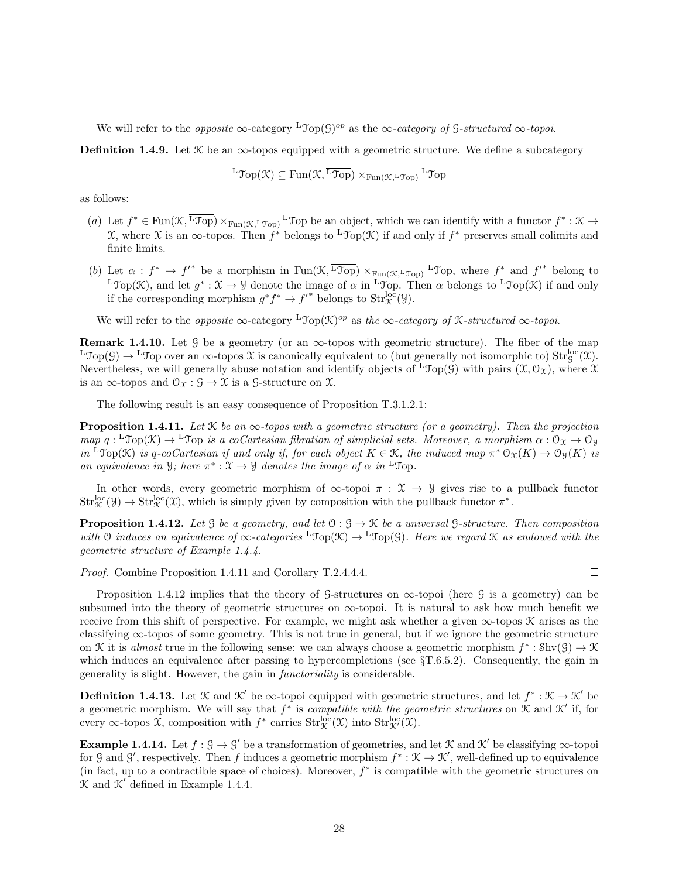We will refer to the *opposite*  $\infty$ -category <sup>L</sup>Top(G)<sup>op</sup> as the  $\infty$ -category of G-structured  $\infty$ -topoi.

**Definition 1.4.9.** Let  $\mathcal{K}$  be an  $\infty$ -topos equipped with a geometric structure. We define a subcategory

$$
{}^{\mathbf{L}}\mathfrak{Top}(\mathfrak{K}) \subseteq \mathrm{Fun}(\mathfrak{K},\overline{{}^{\mathbf{L}}\mathfrak{Top}}) \times_{\mathrm{Fun}(\mathfrak{K},{}^{\mathbf{L}}\mathfrak{Top})} {}^{\mathbf{L}}\mathfrak{Top}
$$

as follows:

- (a) Let  $f^* \in \text{Fun}(\mathfrak{K}, \overline{\text{Top}}) \times_{\text{Fun}(\mathfrak{K}, \text{Top})} L \text{Top}$  be an object, which we can identify with a functor  $f^* : \mathfrak{K} \to$ X, where X is an ∞-topos. Then  $f^*$  belongs to <sup>L</sup>Top(X) if and only if  $f^*$  preserves small colimits and finite limits.
- (b) Let  $\alpha : f^* \to f'^*$  be a morphism in  $Fun(\mathfrak{K},\overline{L\mathfrak{Top}}) \times_{Fun(\mathfrak{K},L\mathfrak{Top})} L\mathfrak{Top}$ , where  $f^*$  and  $f'^*$  belong to <sup>L</sup> $\text{Top}(\mathcal{K})$ , and let  $g^*: \mathcal{X} \to \mathcal{Y}$  denote the image of  $\alpha$  in <sup>L</sup> $\text{Top}$ . Then  $\alpha$  belongs to <sup>L</sup> $\text{Top}(\mathcal{K})$  if and only if the corresponding morphism  $g^*f^* \to f'^*$  belongs to  $\text{Str}^{\text{loc}}_{\mathcal{K}}(\mathcal{Y})$ .

We will refer to the *opposite*  $\infty$ -category <sup>L</sup>Top( $\mathcal{K}$ )<sup>op</sup> as the  $\infty$ -category of *K*-structured  $\infty$ -topoi.

**Remark 1.4.10.** Let G be a geometry (or an  $\infty$ -topos with geometric structure). The fiber of the map  $L\text{Top}(\mathcal{G}) \to L\text{Top}$  over an  $\infty$ -topos X is canonically equivalent to (but generally not isomorphic to)  $Str_g^{loc}(\mathcal{X})$ . Nevertheless, we will generally abuse notation and identify objects of  ${}^{\mathsf{L}}\mathcal{T}_{\mathsf{op}}(\mathcal{G})$  with pairs  $(\mathcal{X}, \mathcal{O}_{\mathcal{X}})$ , where  $\mathcal{X}$ is an  $\infty$ -topos and  $\mathcal{O}_{\mathfrak{X}} : \mathcal{G} \to \mathfrak{X}$  is a  $\mathcal{G}$ -structure on  $\mathfrak{X}$ .

The following result is an easy consequence of Proposition T.3.1.2.1:

**Proposition 1.4.11.** Let  $\mathcal{K}$  be an  $\infty$ -topos with a geometric structure (or a geometry). Then the projection  $map\ q: {}^L\text{Top}(\mathfrak{K}) \to {}^L\text{Top}$  is a coCartesian fibration of simplicial sets. Moreover, a morphism  $\alpha: \mathfrak{O}_\mathfrak{X} \to \mathfrak{O}_\mathfrak{Y}$ in <sup>L</sup>Top(K) is q-coCartesian if and only if, for each object  $K \in \mathcal{K}$ , the induced map  $\pi^* \mathcal{O}_{\mathfrak{X}}(K) \to \mathcal{O}_{\mathfrak{Y}}(K)$  is an equivalence in *y*; here  $\pi^*: \mathfrak{X} \to \mathfrak{Y}$  denotes the image of  $\alpha$  in <sup>L</sup>Top.

In other words, every geometric morphism of  $\infty$ -topoi  $\pi : \mathcal{X} \to \mathcal{Y}$  gives rise to a pullback functor  $Str_{\mathcal{K}}^{\text{loc}}(\mathcal{Y}) \to Str_{\mathcal{K}}^{\text{loc}}(\mathcal{X})$ , which is simply given by composition with the pullback functor  $\pi^*$ .

**Proposition 1.4.12.** Let  $\mathcal{G}$  be a geometry, and let  $\mathcal{O}: \mathcal{G} \to \mathcal{K}$  be a universal  $\mathcal{G}\text{-}structure$ . Then composition with O induces an equivalence of  $\infty$ -categories <sup>L</sup>Top(X)  $\rightarrow$  <sup>L</sup>Top(G). Here we regard X as endowed with the geometric structure of Example 1.4.4.

Proof. Combine Proposition 1.4.11 and Corollary T.2.4.4.4.

Proposition 1.4.12 implies that the theory of G-structures on  $\infty$ -topoi (here G is a geometry) can be subsumed into the theory of geometric structures on  $\infty$ -topoi. It is natural to ask how much benefit we receive from this shift of perspective. For example, we might ask whether a given  $\infty$ -topos  $\mathcal K$  arises as the classifying ∞-topos of some geometry. This is not true in general, but if we ignore the geometric structure on K it is almost true in the following sense: we can always choose a geometric morphism  $f^* : \text{Shv}(G) \to \mathcal{K}$ which induces an equivalence after passing to hypercompletions (see  $\S T.6.5.2$ ). Consequently, the gain in generality is slight. However, the gain in functoriality is considerable.

**Definition 1.4.13.** Let  $\mathcal{K}$  and  $\mathcal{K}'$  be  $\infty$ -topoi equipped with geometric structures, and let  $f^*:\mathcal{K}\to\mathcal{K}'$  be a geometric morphism. We will say that  $f^*$  is *compatible with the geometric structures* on  $\mathcal K$  and  $\mathcal K'$  if, for every  $\infty$ -topos  $\mathfrak{X}$ , composition with  $f^*$  carries  $\mathrm{Str}^{\mathrm{loc}}_{\mathcal{K}}(\mathfrak{X})$  into  $\mathrm{Str}^{\mathrm{loc}}_{\mathcal{K}}(\mathfrak{X})$ .

**Example 1.4.14.** Let  $f : \mathcal{G} \to \mathcal{G}'$  be a transformation of geometries, and let  $\mathcal{K}$  and  $\mathcal{K}'$  be classifying  $\infty$ -topoi for G and G', respectively. Then f induces a geometric morphism  $f^*: \mathcal{K} \to \mathcal{K}'$ , well-defined up to equivalence (in fact, up to a contractible space of choices). Moreover,  $f^*$  is compatible with the geometric structures on  $\mathcal K$  and  $\mathcal K'$  defined in Example 1.4.4.

 $\Box$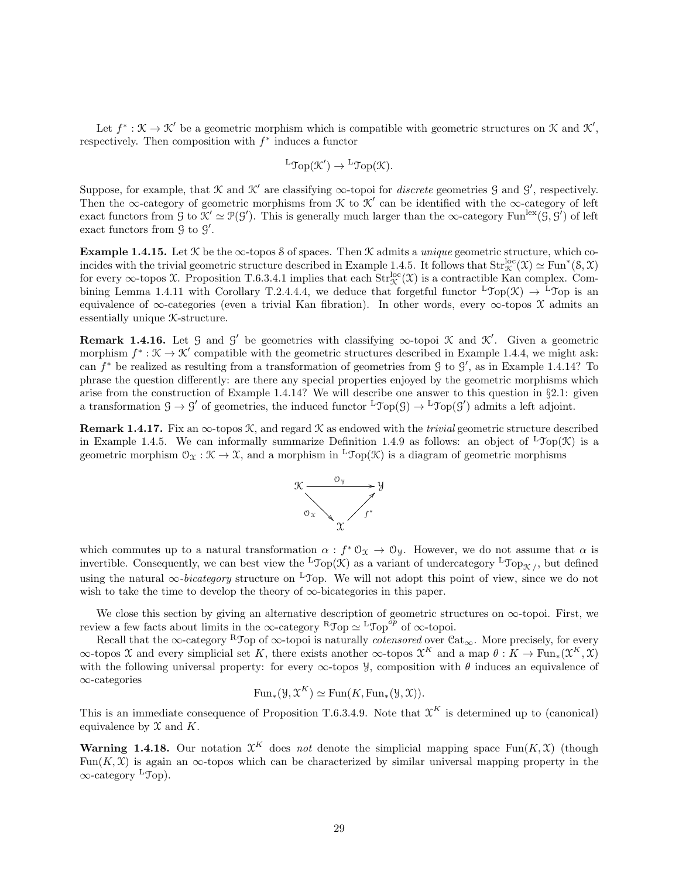Let  $f^*: \mathcal{K} \to \mathcal{K}'$  be a geometric morphism which is compatible with geometric structures on  $\mathcal{K}$  and  $\mathcal{K}',$ respectively. Then composition with  $f^*$  induces a functor

$$
{}^{\mathbf{L}}\mathfrak{Top}(\mathfrak{K}') \to {}^{\mathbf{L}}\mathfrak{Top}(\mathfrak{K}).
$$

Suppose, for example, that  $\mathcal K$  and  $\mathcal K'$  are classifying  $\infty$ -topoi for *discrete* geometries  $\mathcal G$  and  $\mathcal G'$ , respectively. Then the ∞-category of geometric morphisms from  $\mathcal K$  to  $\mathcal K'$  can be identified with the ∞-category of left exact functors from  $\mathcal{G}$  to  $\mathcal{K}' \simeq \mathcal{P}(\mathcal{G}')$ . This is generally much larger than the  $\infty$ -category Fun<sup>lex</sup> $(\tilde{\mathcal{G}}, \tilde{\mathcal{G}}')$  of left exact functors from  $\mathfrak{G}$  to  $\mathfrak{G}'$ .

Example 1.4.15. Let  $K$  be the  $\infty$ -topos S of spaces. Then  $K$  admits a *unique* geometric structure, which coincides with the trivial geometric structure described in Example 1.4.5. It follows that  $Str_{\mathcal{K}}^{loc}(\mathfrak{X}) \simeq Fun^*(\mathcal{S}, \mathfrak{X})$ for every  $\infty$ -topos X. Proposition T.6.3.4.1 implies that each  $Str_{\mathcal{K}}^{loc}(\mathfrak{X})$  is a contractible Kan complex. Combining Lemma 1.4.11 with Corollary T.2.4.4.4, we deduce that forgetful functor  ${}^{\text{L}}\text{Top}(\mathcal{K}) \rightarrow {}^{\text{L}}\text{Top}$  is an equivalence of  $\infty$ -categories (even a trivial Kan fibration). In other words, every  $\infty$ -topos X admits an essentially unique K-structure.

**Remark 1.4.16.** Let  $\mathcal{G}$  and  $\mathcal{G}'$  be geometries with classifying  $\infty$ -topoi  $\mathcal{K}$  and  $\mathcal{K}'$ . Given a geometric morphism  $f^*: \mathcal{K} \to \mathcal{K}'$  compatible with the geometric structures described in Example 1.4.4, we might ask: can  $f^*$  be realized as resulting from a transformation of geometries from  $\mathcal G$  to  $\mathcal G'$ , as in Example 1.4.14? To phrase the question differently: are there any special properties enjoyed by the geometric morphisms which arise from the construction of Example 1.4.14? We will describe one answer to this question in §2.1: given a transformation  $\mathcal{G} \to \mathcal{G}'$  of geometries, the induced functor  ${}^L \mathfrak{Top}(\mathcal{G}) \to {}^L \mathfrak{Top}(\mathcal{G}')$  admits a left adjoint.

**Remark 1.4.17.** Fix an  $\infty$ -topos K, and regard K as endowed with the *trivial* geometric structure described in Example 1.4.5. We can informally summarize Definition 1.4.9 as follows: an object of  $L\text{Top}(\mathcal{K})$  is a geometric morphism  $\mathcal{O}_{\mathfrak{X}} : \mathcal{K} \to \mathcal{X}$ , and a morphism in <sup>L</sup>Top( $\mathcal{K}$ ) is a diagram of geometric morphisms



which commutes up to a natural transformation  $\alpha : f^* \mathcal{O}_\mathfrak{X} \to \mathcal{O}_\mathfrak{Y}$ . However, we do not assume that  $\alpha$  is invertible. Consequently, we can best view the  ${}^{\text{L}}\text{Top}(\mathcal K)$  as a variant of undercategory  ${}^{\text{L}}\text{Top}_{\mathcal K}$ , but defined using the natural  $\infty$ -bicategory structure on <sup>L</sup>Top. We will not adopt this point of view, since we do not wish to take the time to develop the theory of  $\infty$ -bicategories in this paper.

We close this section by giving an alternative description of geometric structures on  $\infty$ -topoi. First, we review a few facts about limits in the  $\infty$ -category  ${}^R\mathcal{J}$ op  $\simeq {}^L\mathcal{J}$ op  $\stackrel{\rightarrow}{\sigma}$  of  $\infty$ -topoi.

Recall that the ∞-category RTop of ∞-topoi is naturally *cotensored* over  $\text{Cat}_{\infty}$ . More precisely, for every  $\infty$ -topos X and every simplicial set K, there exists another  $\infty$ -topos  $\mathfrak{X}^K$  and a map  $\theta: K \to \text{Fun}_*(\mathfrak{X}^K, \mathfrak{X})$ with the following universal property: for every  $\infty$ -topos y, composition with  $\theta$  induces an equivalence of ∞-categories

$$
\text{Fun}_*(\mathcal{Y}, \mathcal{X}^K) \simeq \text{Fun}(K, \text{Fun}_*(\mathcal{Y}, \mathcal{X})).
$$

This is an immediate consequence of Proposition T.6.3.4.9. Note that  $\mathcal{X}^K$  is determined up to (canonical) equivalence by  $\mathfrak X$  and  $K$ .

**Warning 1.4.18.** Our notation  $\mathfrak{X}^K$  does not denote the simplicial mapping space Fun $(K,\mathfrak{X})$  (though Fun(K, X) is again an  $\infty$ -topos which can be characterized by similar universal mapping property in the ∞-category <sup>L</sup>Top).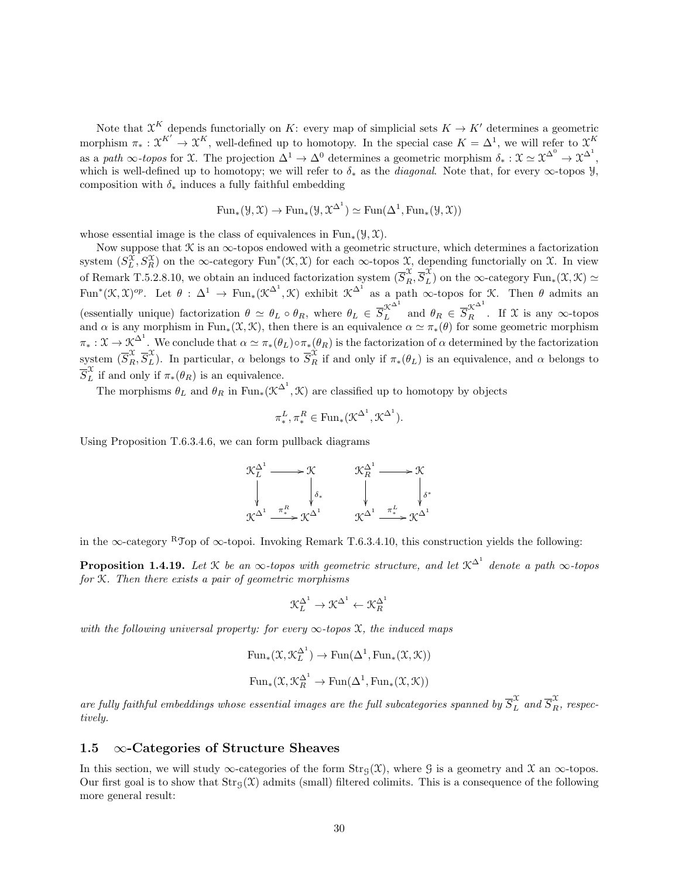Note that  $\mathfrak{X}^K$  depends functorially on K: every map of simplicial sets  $K \to K'$  determines a geometric morphism  $\pi_* : \mathfrak{X}^{K'} \to \mathfrak{X}^K$ , well-defined up to homotopy. In the special case  $K = \Delta^1$ , we will refer to  $\mathfrak{X}^K$ as a path  $\infty$ -topos for X. The projection  $\Delta^1 \to \Delta^0$  determines a geometric morphism  $\delta_* : \mathfrak{X} \simeq \mathfrak{X}^{\Delta^0} \to \mathfrak{X}^{\Delta^1}$ , which is well-defined up to homotopy; we will refer to  $\delta_*$  as the *diagonal*. Note that, for every  $\infty$ -topos y, composition with  $\delta_*$  induces a fully faithful embedding

$$
\mathrm{Fun}_*(\mathcal{Y},\mathcal{X}) \to \mathrm{Fun}_*(\mathcal{Y},\mathcal{X}^{\Delta^1}) \simeq \mathrm{Fun}(\Delta^1,\mathrm{Fun}_*(\mathcal{Y},\mathcal{X}))
$$

whose essential image is the class of equivalences in Fun<sub>∗</sub>( $\mathcal{Y}, \mathcal{X}$ ).

Now suppose that  $\mathcal K$  is an  $\infty$ -topos endowed with a geometric structure, which determines a factorization system  $(S_L^{\mathcal{X}}, S_R^{\mathcal{X}})$  on the ∞-category Fun<sup>\*</sup>( $\mathcal{K}, \mathcal{X}$ ) for each ∞-topos  $\mathcal{X}$ , depending functorially on  $\mathcal{X}$ . In view L of Remark T.5.2.8.10, we obtain an induced factorization system  $(\overline{S}_R^{\mathcal{X}}, \overline{S}_L^{\mathcal{X}})$  on the  $\infty$ -category Fun<sub>\*</sub>( $\mathcal{X}, \mathcal{K}$ )  $\simeq$ Fun<sup>\*</sup>( $\mathfrak{K}, \mathfrak{X}$ )<sup>op</sup>. Let  $\theta : \Delta^1 \to \text{Fun}_*(\mathfrak{K}^{\Delta^1}, \mathfrak{K})$  exhibit  $\mathfrak{K}^{\Delta^1}$  as a path  $\infty$ -topos for  $\mathfrak{K}$ . Then  $\theta$  admits an (essentially unique) factorization  $\theta \simeq \theta_L \circ \theta_R$ , where  $\theta_L \in \overline{S}_L^{\chi^{\Delta^1}}$  and  $\theta_R \in \overline{S}_R^{\chi^{\Delta^1}}$ . If X is any  $\infty$ -topos and  $\alpha$  is any morphism in Fun<sub>\*</sub>( $\mathfrak{X}, \mathfrak{X}$ ), then there is an equivalence  $\alpha \simeq \pi_*(\theta)$  for some geometric morphism  $\pi_* : \mathfrak{X} \to \mathfrak{X}^{\Delta^1}$ . We conclude that  $\alpha \simeq \pi_*(\theta_L) \circ \pi_*(\theta_R)$  is the factorization of  $\alpha$  determined by the factorization system  $(\overline{S}_R^{\mathcal{X}}, \overline{S}_L^{\mathcal{X}})$ . In particular,  $\alpha$  belongs to  $\overline{S}_R^{\mathcal{X}}$  if and only if  $\pi_*(\theta_L)$  is an equivalence, and  $\alpha$  belongs to  $\overline{S}_{L}^{\mathcal{X}}$  if and only if  $\pi_*(\theta_R)$  is an equivalence.

The morphisms  $\theta_L$  and  $\theta_R$  in  $\text{Fun}_*(\mathfrak{K}^{\Delta^1}, \mathfrak{K})$  are classified up to homotopy by objects

$$
\pi_*^L, \pi_*^R \in \text{Fun}_*(\mathfrak{K}^{\Delta^1}, \mathfrak{K}^{\Delta^1}).
$$

Using Proposition T.6.3.4.6, we can form pullback diagrams

$$
\mathcal{K}_{L}^{\Delta^{1}} \longrightarrow \mathcal{K} \qquad \qquad \mathcal{K}_{R}^{\Delta^{1}} \longrightarrow \mathcal{K}
$$
\n
$$
\downarrow \qquad \qquad \downarrow \qquad \qquad \downarrow \qquad \qquad \downarrow \qquad \qquad \downarrow \qquad \qquad \downarrow \qquad \qquad \downarrow \qquad \downarrow \qquad \downarrow \qquad \downarrow \qquad \downarrow \qquad \downarrow \qquad \downarrow \qquad \downarrow \qquad \downarrow \qquad \downarrow \qquad \downarrow \qquad \downarrow \qquad \downarrow \qquad \downarrow \qquad \downarrow \qquad \downarrow \qquad \downarrow \qquad \downarrow \qquad \downarrow \qquad \downarrow \qquad \downarrow \qquad \downarrow \qquad \downarrow \qquad \downarrow \qquad \downarrow \qquad \downarrow \qquad \downarrow \qquad \downarrow \qquad \downarrow \qquad \downarrow \qquad \downarrow \qquad \downarrow \qquad \downarrow \qquad \downarrow \qquad \downarrow \qquad \downarrow \qquad \downarrow \qquad \downarrow \qquad \downarrow \qquad \downarrow \qquad \downarrow \qquad \downarrow \qquad \downarrow \qquad \downarrow \qquad \downarrow \qquad \downarrow \qquad \downarrow \qquad \downarrow \qquad \downarrow \qquad \downarrow \qquad \downarrow \qquad \downarrow \qquad \downarrow \qquad \downarrow \qquad \downarrow \qquad \downarrow \qquad \downarrow \qquad \downarrow \qquad \downarrow \qquad \downarrow \qquad \downarrow \qquad \downarrow \qquad \downarrow \qquad \downarrow \qquad \downarrow \qquad \downarrow \qquad \downarrow \qquad \downarrow \qquad \downarrow \qquad \downarrow \qquad \downarrow \qquad \downarrow \qquad \downarrow \qquad \downarrow \qquad \downarrow \qquad \downarrow \qquad \downarrow \qquad \downarrow \qquad \downarrow \qquad \downarrow \qquad \downarrow \qquad \downarrow \qquad \downarrow \qquad \downarrow \qquad \downarrow \qquad \downarrow \qquad \downarrow \qquad \downarrow \qquad \downarrow \qquad \downarrow \qquad \downarrow \qquad \downarrow \qquad \downarrow \qquad \downarrow \qquad \downarrow \qquad \downarrow \qquad \downarrow \qquad \downarrow \qquad \downarrow \qquad \downarrow \qquad \downarrow \qquad \downarrow \qquad \downarrow \qquad \downarrow \qquad \downarrow \qquad \downarrow \qquad \downarrow \qquad \downarrow \qquad
$$

in the ∞-category RTop of ∞-topoi. Invoking Remark T.6.3.4.10, this construction yields the following:

**Proposition 1.4.19.** Let  $\mathcal K$  be an  $\infty$ -topos with geometric structure, and let  $\mathcal K^{\Delta^1}$  denote a path  $\infty$ -topos for K. Then there exists a pair of geometric morphisms

$$
\mathcal{K}_L^{\Delta^1} \to \mathcal{K}^{\Delta^1} \gets \mathcal{K}_R^{\Delta^1}
$$

with the following universal property: for every  $\infty$ -topos X, the induced maps

$$
\text{Fun}_*(\mathfrak{X}, \mathfrak{X}_L^{\Delta^1}) \to \text{Fun}(\Delta^1, \text{Fun}_*(\mathfrak{X}, \mathfrak{X}))
$$
  

$$
\text{Fun}_*(\mathfrak{X}, \mathfrak{X}_R^{\Delta^1} \to \text{Fun}(\Delta^1, \text{Fun}_*(\mathfrak{X}, \mathfrak{X}))
$$

are fully faithful embeddings whose essential images are the full subcategories spanned by  $\overline{S}_L^{\mathfrak{X}}$  and  $\overline{S}_R^{\mathfrak{X}},$  respectively.

### 1.5  $\infty$ -Categories of Structure Sheaves

In this section, we will study  $\infty$ -categories of the form  $\text{Str}_G(\mathfrak{X})$ , where G is a geometry and X an  $\infty$ -topos. Our first goal is to show that  $\text{Str}_G(\mathfrak{X})$  admits (small) filtered colimits. This is a consequence of the following more general result: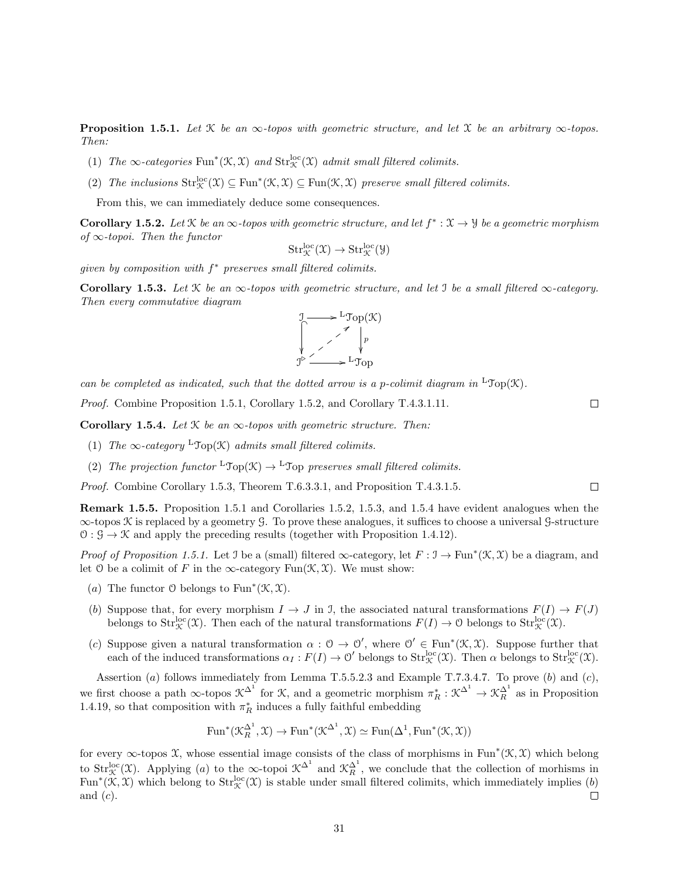**Proposition 1.5.1.** Let  $\mathcal{K}$  be an  $\infty$ -topos with geometric structure, and let  $\mathcal{X}$  be an arbitrary  $\infty$ -topos. Then:

- (1) The  $\infty$ -categories Fun<sup>\*</sup>( $\mathcal{K}, \mathcal{X}$ ) and  $\text{Str}^{\text{loc}}_{\mathcal{K}}(\mathcal{X})$  admit small filtered colimits.
- (2) The inclusions  $\text{Str}^{\text{loc}}_{\mathcal{K}}(\mathcal{X}) \subseteq \text{Fun}(\mathcal{K}, \mathcal{X}) \subseteq \text{Fun}(\mathcal{K}, \mathcal{X})$  preserve small filtered colimits.

From this, we can immediately deduce some consequences.

**Corollary 1.5.2.** Let  $\mathcal{K}$  be an  $\infty$ -topos with geometric structure, and let  $f^*: \mathcal{X} \to \mathcal{Y}$  be a geometric morphism of  $\infty$ -topoi. Then the functor

$$
\mathrm{Str}^{\mathrm{loc}}_{\mathcal{K}}(\mathfrak{X}) \to \mathrm{Str}^{\mathrm{loc}}_{\mathcal{K}}(\mathfrak{Y})
$$

given by composition with  $f^*$  preserves small filtered colimits.

Corollary 1.5.3. Let  $\mathcal K$  be an  $\infty$ -topos with geometric structure, and let I be a small filtered  $\infty$ -category. Then every commutative diagram



can be completed as indicated, such that the dotted arrow is a p-colimit diagram in  ${}^{\text{L}}$ Top(K).

Proof. Combine Proposition 1.5.1, Corollary 1.5.2, and Corollary T.4.3.1.11.

Corollary 1.5.4. Let  $K$  be an  $\infty$ -topos with geometric structure. Then:

- (1) The  $\infty$ -category <sup>L</sup>Top(K) admits small filtered colimits.
- (2) The projection functor  ${}^{\mathsf{L}}\mathcal{T}_{\text{OD}}(\mathcal{K}) \to {}^{\mathsf{L}}\mathcal{T}_{\text{OD}}$  preserves small filtered colimits.

Proof. Combine Corollary 1.5.3, Theorem T.6.3.3.1, and Proposition T.4.3.1.5.

Remark 1.5.5. Proposition 1.5.1 and Corollaries 1.5.2, 1.5.3, and 1.5.4 have evident analogues when the ∞-topos K is replaced by a geometry G. To prove these analogues, it suffices to choose a universal G-structure  $\mathcal{O}: \mathcal{G} \to \mathcal{K}$  and apply the preceding results (together with Proposition 1.4.12).

*Proof of Proposition 1.5.1.* Let J be a (small) filtered  $\infty$ -category, let  $F : \mathcal{I} \to \text{Fun}^*(\mathcal{K}, \mathcal{X})$  be a diagram, and let O be a colimit of F in the  $\infty$ -category Fun $(\mathcal{K}, \mathcal{X})$ . We must show:

- (a) The functor  $\mathcal O$  belongs to Fun<sup>\*</sup>( $\mathcal K, \mathcal X$ ).
- (b) Suppose that, for every morphism  $I \to J$  in J, the associated natural transformations  $F(I) \to F(J)$ belongs to  $Str_{\mathcal{K}}^{\text{loc}}(\mathcal{X})$ . Then each of the natural transformations  $F(I) \to 0$  belongs to  $Str_{\mathcal{K}}^{\text{loc}}(\mathcal{X})$ .
- (c) Suppose given a natural transformation  $\alpha: \mathcal{O} \to \mathcal{O}'$ , where  $\mathcal{O}' \in \text{Fun}^*(\mathcal{K}, \mathcal{X})$ . Suppose further that each of the induced transformations  $\alpha_I : F(I) \to \mathcal{O}'$  belongs to  $Str_{\mathcal{K}}^{\text{loc}}(\mathfrak{X})$ . Then  $\alpha$  belongs to  $Str_{\mathcal{K}}^{\text{loc}}(\mathfrak{X})$ .

Assertion (a) follows immediately from Lemma T.5.5.2.3 and Example T.7.3.4.7. To prove (b) and (c), we first choose a path  $\infty$ -topos  $\mathcal{K}^{\Delta^1}$  for  $\mathcal{K}$ , and a geometric morphism  $\pi_R^*: \mathcal{K}^{\Delta^1} \to \mathcal{K}_R^{\Delta^1}$  as in Proposition 1.4.19, so that composition with  $\pi^*_R$  induces a fully faithful embedding

$$
\mathrm{Fun}^*(\mathfrak{K}^{\Delta^1}_R,\mathfrak{X}) \to \mathrm{Fun}^*(\mathfrak{K}^{\Delta^1},\mathfrak{X}) \simeq \mathrm{Fun}(\Delta^1,\mathrm{Fun}^*(\mathfrak{K},\mathfrak{X}))
$$

for every  $\infty$ -topos X, whose essential image consists of the class of morphisms in Fun<sup>\*</sup>( $\mathfrak{K}, \mathfrak{X}$ ) which belong to  $Str_{\mathcal{K}}^{\text{loc}}(\mathfrak{X})$ . Applying (a) to the  $\infty$ -topoi  $\mathfrak{K}^{\Delta^1}$  and  $\mathfrak{K}_R^{\Delta^1}$ , we conclude that the collection of morhisms in Fun<sup>\*</sup>( $\mathfrak{K}, \mathfrak{X}$ ) which belong to  $Str_{\mathfrak{X}}^{\text{loc}}(\mathfrak{X})$  is stable under small filtered colimits, which immediately implies (b) and  $(c)$ .  $\Box$ 

 $\Box$ 

 $\Box$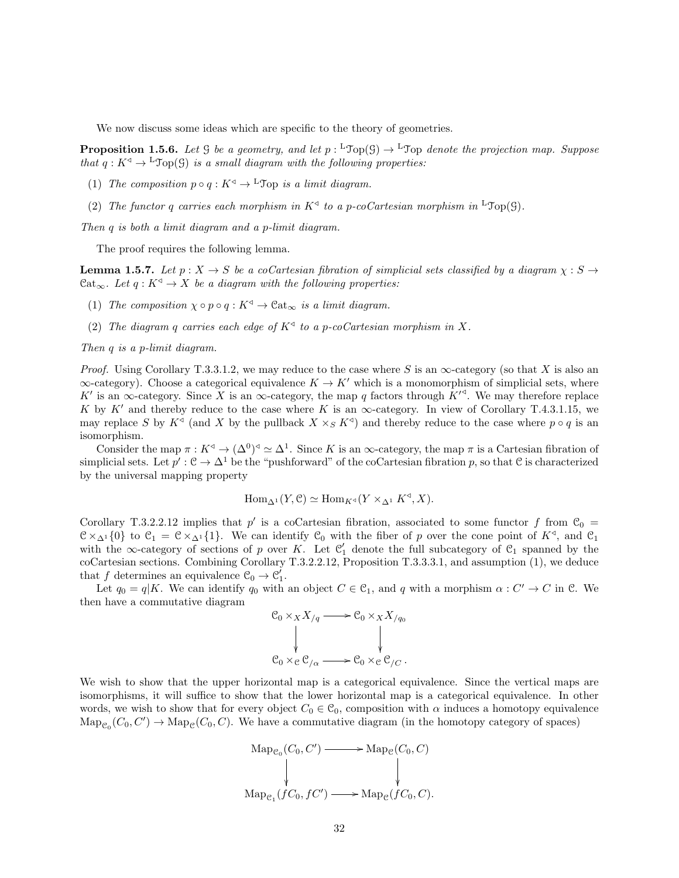We now discuss some ideas which are specific to the theory of geometries.

**Proposition 1.5.6.** Let  $\mathcal G$  be a geometry, and let  $p: {}^{\mathsf{L}}\mathfrak{Top}(\mathcal G) \to {}^{\mathsf{L}}\mathfrak{Top}$  denote the projection map. Suppose that  $q: K^{\triangleleft} \to {}^{\mathsf{L}} \mathcal{T}_{\text{op}}(\mathcal{G})$  is a small diagram with the following properties:

- (1) The composition  $p \circ q : K^{\triangleleft} \to {}^{\mathbb{L}} \mathfrak{Top}$  is a limit diagram.
- (2) The functor q carries each morphism in  $K^4$  to a p-coCartesian morphism in <sup>L</sup>Top(9).

Then q is both a limit diagram and a p-limit diagram.

The proof requires the following lemma.

**Lemma 1.5.7.** Let  $p: X \to S$  be a coCartesian fibration of simplicial sets classified by a diagram  $\chi: S \to$ Cat<sub>∞</sub>. Let  $q: K^{\triangleleft} \to X$  be a diagram with the following properties:

- (1) The composition  $\chi \circ p \circ q : K^{\triangleleft} \to \mathcal{C}at_{\infty}$  is a limit diagram.
- (2) The diagram q carries each edge of  $K^4$  to a p-coCartesian morphism in X.

Then q is a p-limit diagram.

*Proof.* Using Corollary T.3.3.1.2, we may reduce to the case where S is an  $\infty$ -category (so that X is also an  $\infty$ -category). Choose a categorical equivalence  $K \to K'$  which is a monomorphism of simplicial sets, where K' is an  $\infty$ -category. Since X is an  $\infty$ -category, the map q factors through  $K'^{3}$ . We may therefore replace K by K' and thereby reduce to the case where K is an  $\infty$ -category. In view of Corollary T.4.3.1.15, we may replace S by  $K^{\triangleleft}$  (and X by the pullback  $X \times_S K^{\triangleleft}$ ) and thereby reduce to the case where  $p \circ q$  is an isomorphism.

Consider the map  $\pi: K^{\triangleleft} \to (\Delta^0)^{\triangleleft} \simeq \Delta^1$ . Since K is an  $\infty$ -category, the map  $\pi$  is a Cartesian fibration of simplicial sets. Let  $p': \mathcal{C} \to \Delta^1$  be the "pushforward" of the coCartesian fibration p, so that  $\mathcal{C}$  is characterized by the universal mapping property

$$
\operatorname{Hom}_{\Delta^1}(Y, \mathcal{C}) \simeq \operatorname{Hom}_{K^{\triangleleft}}(Y \times_{\Delta^1} K^{\triangleleft}, X).
$$

Corollary T.3.2.2.12 implies that p' is a coCartesian fibration, associated to some functor f from  $\mathcal{C}_0$  =  $\mathcal{C} \times_{\Delta^1} \{0\}$  to  $\mathcal{C}_1 = \mathcal{C} \times_{\Delta^1} \{1\}$ . We can identify  $\mathcal{C}_0$  with the fiber of p over the cone point of  $K^{\triangleleft}$ , and  $\mathcal{C}_1$ with the  $\infty$ -category of sections of p over K. Let  $\mathfrak{C}'_1$  denote the full subcategory of  $\mathfrak{C}_1$  spanned by the coCartesian sections. Combining Corollary T.3.2.2.12, Proposition T.3.3.3.1, and assumption (1), we deduce that f determines an equivalence  $\mathcal{C}_0 \to \mathcal{C}'_1$ .

Let  $q_0 = q|K$ . We can identify  $q_0$  with an object  $C \in \mathcal{C}_1$ , and q with a morphism  $\alpha: C' \to C$  in  $\mathcal{C}$ . We then have a commutative diagram

$$
\begin{aligned}\n\mathcal{C}_0 \times_X X_{/q} &\longrightarrow \mathcal{C}_0 \times_X X_{/q_0} \\
&\downarrow \qquad \qquad \downarrow \\
\mathcal{C}_0 \times_{\mathcal{C}} \mathcal{C}_{/\alpha} &\longrightarrow \mathcal{C}_0 \times_{\mathcal{C}} \mathcal{C}_{/C}.\n\end{aligned}
$$

We wish to show that the upper horizontal map is a categorical equivalence. Since the vertical maps are isomorphisms, it will suffice to show that the lower horizontal map is a categorical equivalence. In other words, we wish to show that for every object  $C_0 \in \mathcal{C}_0$ , composition with  $\alpha$  induces a homotopy equivalence  $\text{Map}_{\mathcal{C}_0}(C_0, C') \to \text{Map}_{\mathcal{C}}(C_0, C)$ . We have a commutative diagram (in the homotopy category of spaces)

$$
\text{Map}_{e_0}(C_0, C') \longrightarrow \text{Map}_e(C_0, C)
$$
\n
$$
\downarrow \qquad \qquad \downarrow
$$
\n
$$
\text{Map}_{e_1}(fC_0, fC') \longrightarrow \text{Map}_e(fC_0, C).
$$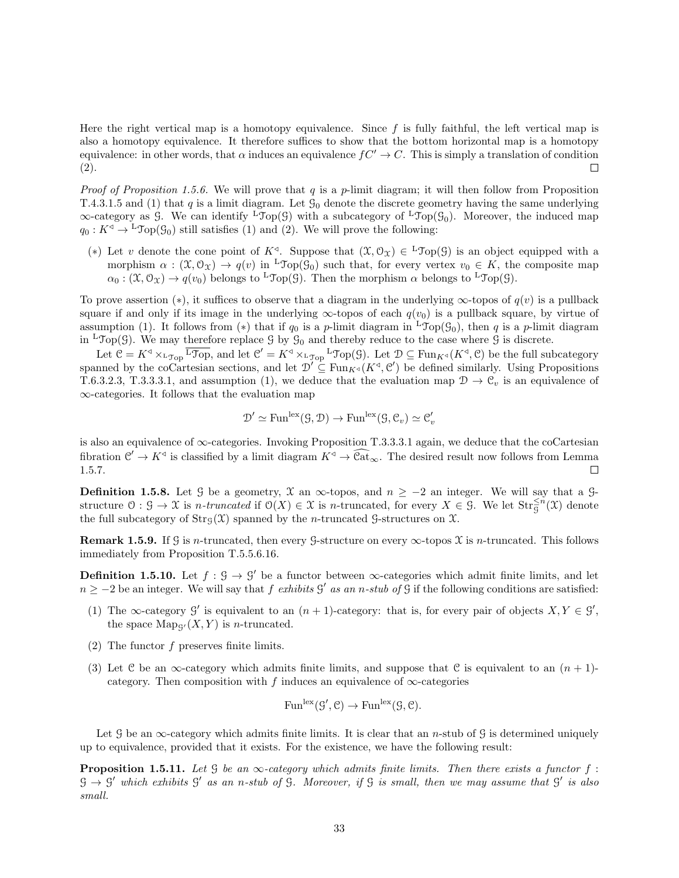Here the right vertical map is a homotopy equivalence. Since  $f$  is fully faithful, the left vertical map is also a homotopy equivalence. It therefore suffices to show that the bottom horizontal map is a homotopy equivalence: in other words, that  $\alpha$  induces an equivalence  $fC' \rightarrow C$ . This is simply a translation of condition (2).  $\Box$ 

*Proof of Proposition 1.5.6.* We will prove that q is a p-limit diagram; it will then follow from Proposition T.4.3.1.5 and (1) that q is a limit diagram. Let  $\mathcal{G}_0$  denote the discrete geometry having the same underlying  $\infty$ -category as G. We can identify <sup>L</sup>Top(G) with a subcategory of <sup>L</sup>Top(G<sub>0</sub>). Moreover, the induced map  $q_0 : K^{\triangleleft} \to {}^{\mathsf{L}} \mathfrak{Top}(\mathcal{G}_0)$  still satisfies (1) and (2). We will prove the following:

(\*) Let v denote the cone point of  $K^{\triangleleft}$ . Suppose that  $(\mathfrak{X}, \mathcal{O}_{\mathfrak{X}}) \in {}^{\mathsf{L}}\mathfrak{Top}(\mathcal{G})$  is an object equipped with a morphism  $\alpha : (\mathfrak{X}, \mathcal{O}_{\mathfrak{X}}) \to q(v)$  in <sup>L</sup>Top( $\mathcal{G}_0$ ) such that, for every vertex  $v_0 \in K$ , the composite map  $\alpha_0$ :  $(\mathfrak{X}, \mathfrak{O}_{\mathfrak{X}}) \to q(v_0)$  belongs to <sup>L</sup>Top(G). Then the morphism  $\alpha$  belongs to <sup>L</sup>Top(G).

To prove assertion (\*), it suffices to observe that a diagram in the underlying  $\infty$ -topos of  $q(v)$  is a pullback square if and only if its image in the underlying  $\infty$ -topos of each  $q(v_0)$  is a pullback square, by virtue of assumption (1). It follows from (\*) that if  $q_0$  is a p-limit diagram in <sup>L</sup>Top( $\mathcal{G}_0$ ), then q is a p-limit diagram in <sup>L</sup>Top(G). We may therefore replace G by  $\mathcal{G}_0$  and thereby reduce to the case where G is discrete.

Let  $\mathcal{C} = K^{\triangleleft} \times_{\text{LTop}} \overline{\text{LTop}}$ , and let  $\mathcal{C}' = K^{\triangleleft} \times_{\text{LTop}} \text{LTop}(\mathcal{G})$ . Let  $\mathcal{D} \subseteq \text{Fun}_{K^{\triangleleft}}(K^{\triangleleft}, \mathcal{C})$  be the full subcategory spanned by the coCartesian sections, and let  $\mathcal{D}' \subseteq \text{Fun}_{K^{\triangleleft}}(K^{\triangleleft}, \mathcal{C}')$  be defined similarly. Using Propositions T.6.3.2.3, T.3.3.3.1, and assumption (1), we deduce that the evaluation map  $\mathcal{D} \to \mathcal{C}_v$  is an equivalence of ∞-categories. It follows that the evaluation map

$$
\mathcal{D}' \simeq \text{Fun}^{\text{lex}}(\mathcal{G}, \mathcal{D}) \to \text{Fun}^{\text{lex}}(\mathcal{G}, \mathcal{C}_v) \simeq \mathcal{C}'_v
$$

is also an equivalence of  $\infty$ -categories. Invoking Proposition T.3.3.3.1 again, we deduce that the coCartesian fibration  $\mathcal{C}' \to K^{\triangleleft}$  is classified by a limit diagram  $K^{\triangleleft} \to \widehat{\mathcal{C}at}_{\infty}$ . The desired result now follows from Lemma 1.5.7.

**Definition 1.5.8.** Let G be a geometry, X an  $\infty$ -topos, and  $n \ge -2$  an integer. We will say that a Gstructure  $\mathcal{O}: \mathcal{G} \to \mathcal{X}$  is *n*-truncated if  $\mathcal{O}(X) \in \mathcal{X}$  is *n*-truncated, for every  $X \in \mathcal{G}$ . We let  $\text{Str}_{\mathcal{G}}^{\leq n}(\mathcal{X})$  denote the full subcategory of  $\text{Str}_G(\mathfrak{X})$  spanned by the *n*-truncated G-structures on  $\mathfrak{X}$ .

Remark 1.5.9. If G is n-truncated, then every G-structure on every  $\infty$ -topos X is n-truncated. This follows immediately from Proposition T.5.5.6.16.

**Definition 1.5.10.** Let  $f : \mathcal{G} \to \mathcal{G}'$  be a functor between  $\infty$ -categories which admit finite limits, and let  $n \ge -2$  be an integer. We will say that f exhibits  $\mathcal{G}'$  as an n-stub of  $\mathcal{G}$  if the following conditions are satisfied:

- (1) The  $\infty$ -category  $\mathcal{G}'$  is equivalent to an  $(n + 1)$ -category: that is, for every pair of objects  $X, Y \in \mathcal{G}'$ , the space  $\text{Map}_{\mathcal{G}}(X, Y)$  is *n*-truncated.
- (2) The functor  $f$  preserves finite limits.
- (3) Let C be an  $\infty$ -category which admits finite limits, and suppose that C is equivalent to an  $(n + 1)$ category. Then composition with f induces an equivalence of  $\infty$ -categories

$$
\mathrm{Fun}^{\mathrm{lex}}(\mathcal{G}', \mathcal{C}) \to \mathrm{Fun}^{\mathrm{lex}}(\mathcal{G}, \mathcal{C}).
$$

Let G be an  $\infty$ -category which admits finite limits. It is clear that an n-stub of G is determined uniquely up to equivalence, provided that it exists. For the existence, we have the following result:

**Proposition 1.5.11.** Let G be an  $\infty$ -category which admits finite limits. Then there exists a functor f:  $G \rightarrow G'$  which exhibits  $G'$  as an n-stub of  $\tilde{G}$ . Moreover, if  $G$  is small, then we may assume that  $G'$  is also small.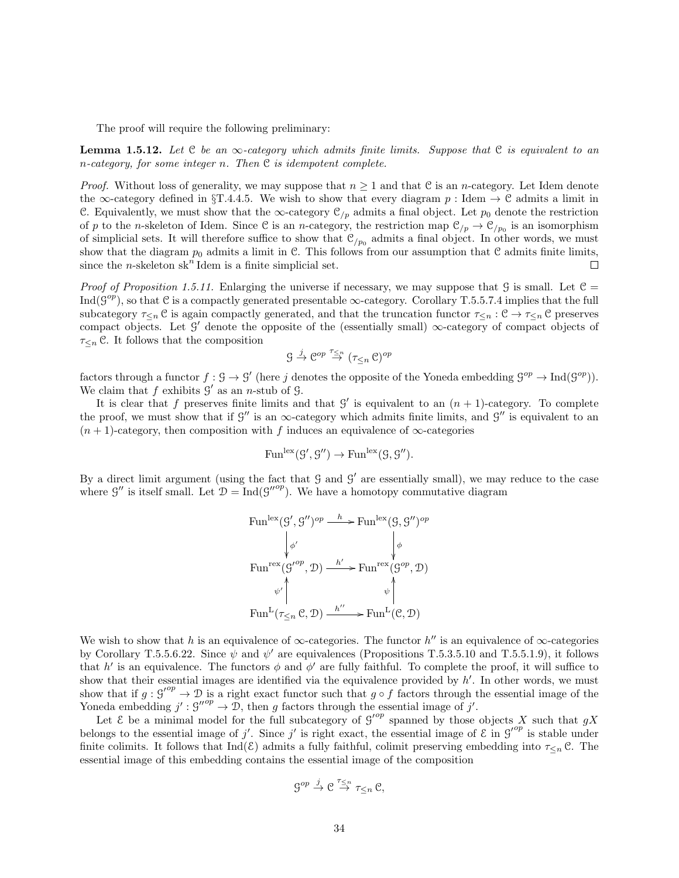The proof will require the following preliminary:

**Lemma 1.5.12.** Let  $C$  be an  $\infty$ -category which admits finite limits. Suppose that  $C$  is equivalent to an n-category, for some integer n. Then  $C$  is idempotent complete.

*Proof.* Without loss of generality, we may suppose that  $n \geq 1$  and that C is an *n*-category. Let Idem denote the ∞-category defined in §T.4.4.5. We wish to show that every diagram  $p:$  Idem  $\rightarrow \mathcal{C}$  admits a limit in C. Equivalently, we must show that the  $\infty$ -category  $\mathcal{C}_{/p}$  admits a final object. Let  $p_0$  denote the restriction of p to the n-skeleton of Idem. Since C is an n-category, the restriction map  $\mathcal{C}_{/p} \to \mathcal{C}_{/p_0}$  is an isomorphism of simplicial sets. It will therefore suffice to show that  $\mathcal{C}_{/p_0}$  admits a final object. In other words, we must show that the diagram  $p_0$  admits a limit in C. This follows from our assumption that C admits finite limits, since the *n*-skeleton  $sk<sup>n</sup>$  Idem is a finite simplicial set.  $\Box$ 

Proof of Proposition 1.5.11. Enlarging the universe if necessary, we may suppose that  $\mathcal G$  is small. Let  $\mathcal C$  = Ind( $\mathcal{G}^{op}$ ), so that C is a compactly generated presentable  $\infty$ -category. Corollary T.5.5.7.4 implies that the full subcategory  $\tau_{\leq n}$  C is again compactly generated, and that the truncation functor  $\tau_{\leq n} : \mathcal{C} \to \tau_{\leq n}$  C preserves compact objects. Let  $\mathcal{G}'$  denote the opposite of the (essentially small)  $\infty$ -category of compact objects of  $\tau_{\leq n}$  C. It follows that the composition

$$
\mathcal{G} \xrightarrow{j} \mathcal{C}^{op} \xrightarrow{\tau_{\leq n}} (\tau_{\leq n} \mathcal{C})^{op}
$$

factors through a functor  $f : \mathcal{G} \to \mathcal{G}'$  (here j denotes the opposite of the Yoneda embedding  $\mathcal{G}^{op} \to \text{Ind}(\mathcal{G}^{op})$ ). We claim that  $f$  exhibits  $\mathcal{G}'$  as an *n*-stub of  $\mathcal{G}$ .

It is clear that f preserves finite limits and that  $\mathcal{G}'$  is equivalent to an  $(n + 1)$ -category. To complete the proof, we must show that if  $\mathcal{G}''$  is an  $\infty$ -category which admits finite limits, and  $\mathcal{G}''$  is equivalent to an  $(n + 1)$ -category, then composition with f induces an equivalence of  $\infty$ -categories

$$
\mathrm{Fun}^{\mathrm{lex}}(\mathcal{G}', \mathcal{G}'') \to \mathrm{Fun}^{\mathrm{lex}}(\mathcal{G}, \mathcal{G}'').
$$

By a direct limit argument (using the fact that  $G$  and  $G'$  are essentially small), we may reduce to the case where  $\mathcal{G}''$  is itself small. Let  $\mathcal{D} = \text{Ind}(\mathcal{G}''^{op})$ . We have a homotopy commutative diagram

$$
\text{Fun}^{\text{lex}}(\mathcal{G}', \mathcal{G}'')^{op} \xrightarrow{h} \text{Fun}^{\text{lex}}(\mathcal{G}, \mathcal{G}'')^{op}
$$
\n
$$
\downarrow \phi'
$$
\n
$$
\text{Fun}^{\text{rex}}(\mathcal{G}'^{op}, \mathcal{D}) \xrightarrow{h'} \text{Fun}^{\text{rex}}(\mathcal{G}^{op}, \mathcal{D})
$$
\n
$$
\psi' \uparrow \psi' \uparrow \psi' \uparrow \psi \uparrow \psi \uparrow \downarrow \downarrow
$$
\n
$$
\text{Fun}^{\text{L}}(\tau_{\leq n} \mathcal{C}, \mathcal{D}) \xrightarrow{h''} \text{Fun}^{\text{L}}(\mathcal{C}, \mathcal{D})
$$

We wish to show that h is an equivalence of  $\infty$ -categories. The functor h'' is an equivalence of  $\infty$ -categories by Corollary T.5.5.6.22. Since  $\psi$  and  $\psi'$  are equivalences (Propositions T.5.3.5.10 and T.5.5.1.9), it follows that h' is an equivalence. The functors  $\phi$  and  $\phi'$  are fully faithful. To complete the proof, it will suffice to show that their essential images are identified via the equivalence provided by  $h'$ . In other words, we must show that if  $g : g'^{op} \to \mathcal{D}$  is a right exact functor such that  $g \circ f$  factors through the essential image of the Yoneda embedding  $j': \mathcal{G}^{\prime\prime op} \to \mathcal{D}$ , then g factors through the essential image of j'.

Let  $\mathcal E$  be a minimal model for the full subcategory of  $g'^{op}$  spanned by those objects X such that gX belongs to the essential image of j'. Since j' is right exact, the essential image of  $\mathcal{E}$  in  $\mathcal{G}'^{op}$  is stable under finite colimits. It follows that Ind( $\mathcal{E}$ ) admits a fully faithful, colimit preserving embedding into  $\tau_{\leq n}$  C. The essential image of this embedding contains the essential image of the composition

$$
\mathcal{G}^{op} \xrightarrow{j} \mathcal{C} \xrightarrow{\tau_{\leq n}} \tau_{\leq n} \mathcal{C},
$$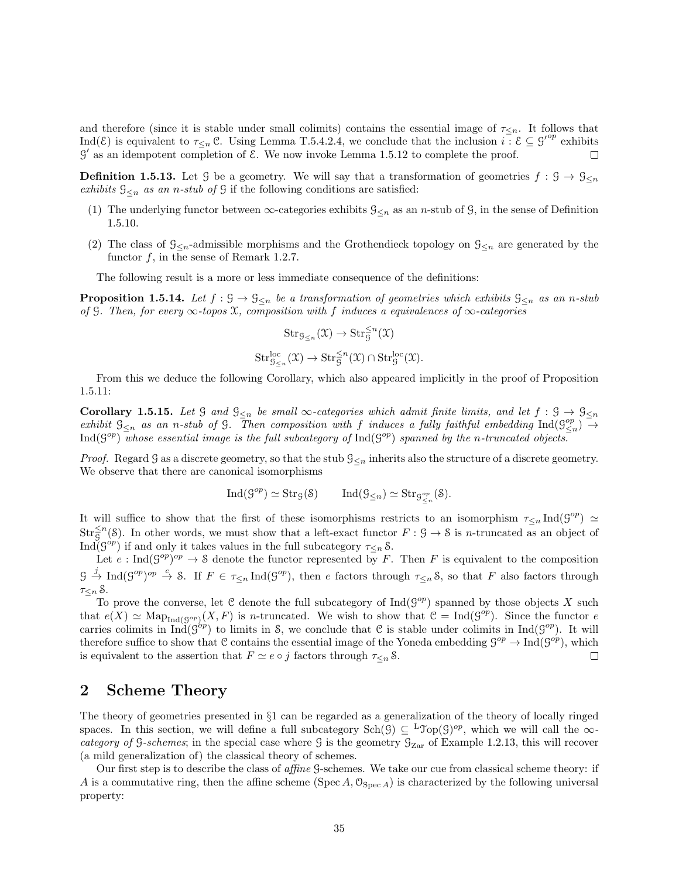and therefore (since it is stable under small colimits) contains the essential image of  $\tau_{\leq n}$ . It follows that Ind(E) is equivalent to  $\tau_{\leq n}$  C. Using Lemma T.5.4.2.4, we conclude that the inclusion  $i \in \mathcal{E} \subseteq g^{op}$  exhibits  $\mathcal{G}'$  as an idempotent completion of  $\mathcal{E}$ . We now invoke Lemma 1.5.12 to complete the proof.

**Definition 1.5.13.** Let G be a geometry. We will say that a transformation of geometries  $f : \mathcal{G} \to \mathcal{G}_{\leq n}$ exhibits  $\mathcal{G}_{\leq n}$  as an n-stub of  $\mathcal G$  if the following conditions are satisfied:

- (1) The underlying functor between  $\infty$ -categories exhibits  $\mathcal{G}_{\leq n}$  as an *n*-stub of  $\mathcal{G}$ , in the sense of Definition 1.5.10.
- (2) The class of  $\mathcal{G}_{\leq n}$ -admissible morphisms and the Grothendieck topology on  $\mathcal{G}_{\leq n}$  are generated by the functor  $f$ , in the sense of Remark 1.2.7.

The following result is a more or less immediate consequence of the definitions:

**Proposition 1.5.14.** Let  $f: \mathcal{G} \to \mathcal{G}_{\leq n}$  be a transformation of geometries which exhibits  $\mathcal{G}_{\leq n}$  as an n-stub of G. Then, for every  $\infty$ -topos X, composition with f induces a equivalences of  $\infty$ -categories

$$
Str_{\mathcal{G}_{\leq n}}(\mathfrak{X}) \to Str_{\mathcal{G}}^{\leq n}(\mathfrak{X})
$$
  

$$
Str_{\mathcal{G}_{\leq n}}^{loc}(\mathfrak{X}) \to Str_{\mathcal{G}}^{\leq n}(\mathfrak{X}) \cap Str_{\mathcal{G}}^{loc}(\mathfrak{X}).
$$

From this we deduce the following Corollary, which also appeared implicitly in the proof of Proposition 1.5.11:

Corollary 1.5.15. Let G and  $\mathcal{G}_{\leq n}$  be small  $\infty$ -categories which admit finite limits, and let  $f : \mathcal{G} \to \mathcal{G}_{\leq n}$ exhibit  $\mathcal{G}_{\leq n}$  as an n-stub of  $\mathcal{G}$ . Then composition with f induces a fully faithful embedding  $\text{Ind}(\mathcal{G}_{\leq n}^{op}) \to$  $\text{Ind}(\mathcal{G}^{op})$  whose essential image is the full subcategory of  $\text{Ind}(\mathcal{G}^{op})$  spanned by the n-truncated objects.

*Proof.* Regard G as a discrete geometry, so that the stub  $\mathcal{G}_{\leq n}$  inherits also the structure of a discrete geometry. We observe that there are canonical isomorphisms

$$
\mathrm{Ind}(\mathcal{G}^{op}) \simeq \mathrm{Str}_{\mathcal{G}}(\mathcal{S}) \qquad \mathrm{Ind}(\mathcal{G}_{\leq n}) \simeq \mathrm{Str}_{\mathcal{G}^{op}_{\leq n}}(\mathcal{S}).
$$

It will suffice to show that the first of these isomorphisms restricts to an isomorphism  $\tau_{\leq n} \text{Ind}(\mathcal{G}^{op}) \simeq$  $Str_{\mathcal{G}}^{\leq n}(\mathcal{S})$ . In other words, we must show that a left-exact functor  $F: \mathcal{G} \to \mathcal{S}$  is *n*-truncated as an object of Ind( $\mathcal{G}^{op}$ ) if and only it takes values in the full subcategory  $\tau_{\leq n}$  S.

Let  $e: \text{Ind}(\mathcal{G}^{op})^{op} \to \mathcal{S}$  denote the functor represented by F. Then F is equivalent to the composition  $\mathcal{G} \stackrel{j}{\to} \text{Ind}(\mathcal{G}^{op})^{op} \stackrel{e}{\to} \mathcal{S}$ . If  $F \in \tau_{\leq n} \text{Ind}(\mathcal{G}^{op})$ , then e factors through  $\tau_{\leq n} \mathcal{S}$ , so that F also factors through  $\tau_{\leq n}$   $\&$ .

To prove the converse, let C denote the full subcategory of  $\text{Ind}(G^{op})$  spanned by those objects X such that  $e(X) \simeq \text{Map}_{\text{Ind}(\mathcal{G}^{op})}(X, F)$  is n-truncated. We wish to show that  $\mathcal{C} = \text{Ind}(\mathcal{G}^{op})$ . Since the functor e carries colimits in  $\text{Ind}(\mathcal{G}^{op})$  to limits in S, we conclude that C is stable under colimits in  $\text{Ind}(\mathcal{G}^{op})$ . It will therefore suffice to show that C contains the essential image of the Yoneda embedding  $\mathcal{G}^{op} \to \text{Ind}(\mathcal{G}^{op})$ , which is equivalent to the assertion that  $F \simeq e \circ j$  factors through  $\tau \lt n \mathcal{S}$ .  $\Box$ 

## 2 Scheme Theory

The theory of geometries presented in §1 can be regarded as a generalization of the theory of locally ringed spaces. In this section, we will define a full subcategory  $\text{Sch}(\mathcal{G}) \subseteq {}^{\text{L}}\text{Top}(\mathcal{G})^{op}$ , which we will call the  $\infty$ category of G-schemes; in the special case where G is the geometry  $\mathcal{G}_{Zar}$  of Example 1.2.13, this will recover (a mild generalization of) the classical theory of schemes.

Our first step is to describe the class of affine G-schemes. We take our cue from classical scheme theory: if A is a commutative ring, then the affine scheme (Spec A,  $\mathcal{O}_{\text{Spec }A}$ ) is characterized by the following universal property: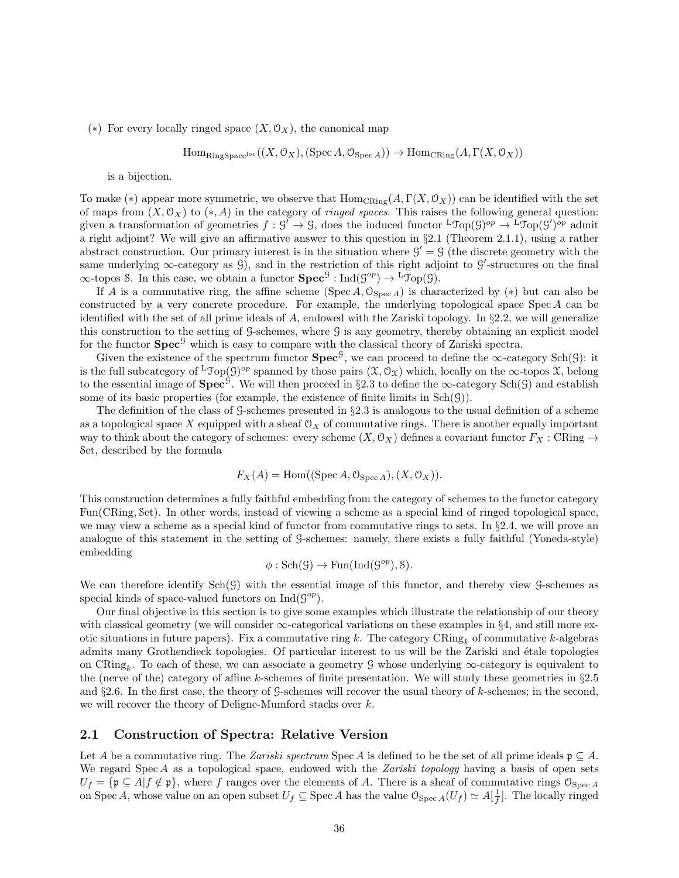(\*) For every locally ringed space  $(X, \mathcal{O}_X)$ , the canonical map

$$
\mathrm{Hom}_{\mathrm{RingSpace}^{\mathrm{loc}}}((X,\mathcal{O}_X),(\mathrm{Spec}\,A,\mathcal{O}_{\mathrm{Spec}\,A})) \to \mathrm{Hom}_{\mathrm{CRing}}(A,\Gamma(X,\mathcal{O}_X))
$$

is a bijection.

To make (\*) appear more symmetric, we observe that  $\text{Hom}_{\text{CRing}}(A, \Gamma(X, \mathcal{O}_X))$  can be identified with the set of maps from  $(X, 0_X)$  to  $(*, A)$  in the category of *ringed spaces*. This raises the following general question: given a transformation of geometries  $f : \mathcal{G}' \to \mathcal{G}$ , does the induced functor  ${}^{\mathsf{L}} \mathfrak{Top}(\mathcal{G})^{op} \to {}^{\mathsf{L}} \mathfrak{Top}(\mathcal{G}')^{op}$  admit a right adjoint? We will give an affirmative answer to this question in §2.1 (Theorem 2.1.1), using a rather abstract construction. Our primary interest is in the situation where  $\mathcal{G}' = \mathcal{G}$  (the discrete geometry with the same underlying  $\infty$ -category as  $\mathcal{G}$ ), and in the restriction of this right adjoint to  $\mathcal{G}'$ -structures on the final  $\infty$ -topos S. In this case, we obtain a functor  $\text{Spec}^{\mathcal{G}} : \text{Ind}(\mathcal{G}^{op}) \to {}^{\mathcal{L}} \mathcal{T}_{\text{op}}(\mathcal{G})$ .

If A is a commutative ring, the affine scheme (Spec A,  $\mathcal{O}_{\text{Spec }A}$ ) is characterized by (\*) but can also be constructed by a very concrete procedure. For example, the underlying topological space Spec A can be identified with the set of all prime ideals of A, endowed with the Zariski topology. In §2.2, we will generalize this construction to the setting of G-schemes, where G is any geometry, thereby obtaining an explicit model for the functor  $\text{Spec}^{\mathcal{G}}$  which is easy to compare with the classical theory of Zariski spectra.

Given the existence of the spectrum functor  $\text{Spec}^{\mathcal{G}}$ , we can proceed to define the  $\infty$ -category Sch(G): it is the full subcategory of <sup>L</sup>Top(G)<sup>op</sup> spanned by those pairs  $(\mathfrak{X},\mathcal{O}_\mathfrak{X})$  which, locally on the  $\infty$ -topos  $\mathfrak{X}$ , belong to the essential image of  $\text{Spec}^{\mathcal{G}}$ . We will then proceed in §2.3 to define the  $\infty$ -category Sch(G) and establish some of its basic properties (for example, the existence of finite limits in  $Sch(G)$ ).

The definition of the class of G-schemes presented in §2.3 is analogous to the usual definition of a scheme as a topological space X equipped with a sheaf  $\mathcal{O}_X$  of commutative rings. There is another equally important way to think about the category of schemes: every scheme  $(X, \mathcal{O}_X)$  defines a covariant functor  $F_X$ : CRing  $\rightarrow$ Set, described by the formula

$$
F_X(A) = \text{Hom}((\text{Spec } A, \mathcal{O}_{\text{Spec } A}), (X, \mathcal{O}_X)).
$$

This construction determines a fully faithful embedding from the category of schemes to the functor category Fun(CRing, Set). In other words, instead of viewing a scheme as a special kind of ringed topological space, we may view a scheme as a special kind of functor from commutative rings to sets. In §2.4, we will prove an analogue of this statement in the setting of G-schemes: namely, there exists a fully faithful (Yoneda-style) embedding

$$
\phi: \mathrm{Sch}(\mathcal{G}) \to \mathrm{Fun}(\mathrm{Ind}(\mathcal{G}^{op}), \mathcal{S}).
$$

We can therefore identify  $Sch(\mathcal{G})$  with the essential image of this functor, and thereby view  $\mathcal{G}$ -schemes as special kinds of space-valued functors on  $\text{Ind}(\mathcal{G}^{op}).$ 

Our final objective in this section is to give some examples which illustrate the relationship of our theory with classical geometry (we will consider  $\infty$ -categorical variations on these examples in §4, and still more exotic situations in future papers). Fix a commutative ring k. The category  $\text{CRing}_k$  of commutative k-algebras admits many Grothendieck topologies. Of particular interest to us will be the Zariski and étale topologies on CRing<sub>k</sub>. To each of these, we can associate a geometry G whose underlying  $\infty$ -category is equivalent to the (nerve of the) category of affine k-schemes of finite presentation. We will study these geometries in  $\S 2.5$ and  $\S2.6$ . In the first case, the theory of G-schemes will recover the usual theory of k-schemes; in the second, we will recover the theory of Deligne-Mumford stacks over k.

### 2.1 Construction of Spectra: Relative Version

Let A be a commutative ring. The Zariski spectrum Spec A is defined to be the set of all prime ideals  $\mathfrak{p} \subseteq A$ . We regard Spec A as a topological space, endowed with the Zariski topology having a basis of open sets  $U_f = \{ \mathfrak{p} \subseteq A | f \notin \mathfrak{p} \}$ , where f ranges over the elements of A. There is a sheaf of commutative rings  $\mathcal{O}_{\text{Spec } A}$ on Spec A, whose value on an open subset  $U_f \subseteq \text{Spec } A$  has the value  $\mathcal{O}_{\text{Spec } A}(U_f) \simeq A[\frac{1}{f}]$ . The locally ringed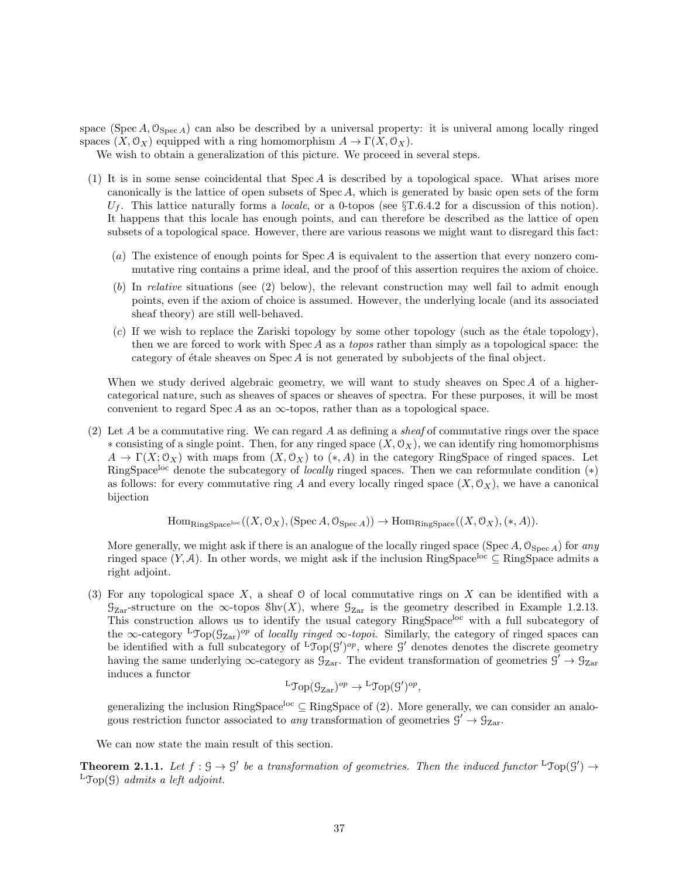space (Spec A,  $\mathcal{O}_{\text{Spec }A}$ ) can also be described by a universal property: it is univeral among locally ringed spaces  $(X, \mathcal{O}_X)$  equipped with a ring homomorphism  $A \to \Gamma(X, \mathcal{O}_X)$ .

We wish to obtain a generalization of this picture. We proceed in several steps.

- (1) It is in some sense coincidental that Spec A is described by a topological space. What arises more canonically is the lattice of open subsets of Spec A, which is generated by basic open sets of the form  $U_f$ . This lattice naturally forms a *locale*, or a 0-topos (see  $\S T.6.4.2$  for a discussion of this notion). It happens that this locale has enough points, and can therefore be described as the lattice of open subsets of a topological space. However, there are various reasons we might want to disregard this fact:
	- (a) The existence of enough points for Spec A is equivalent to the assertion that every nonzero commutative ring contains a prime ideal, and the proof of this assertion requires the axiom of choice.
	- (b) In relative situations (see (2) below), the relevant construction may well fail to admit enough points, even if the axiom of choice is assumed. However, the underlying locale (and its associated sheaf theory) are still well-behaved.
	- $(c)$  If we wish to replace the Zariski topology by some other topology (such as the étale topology), then we are forced to work with  $Spec A$  as a *topos* rather than simply as a topological space: the category of étale sheaves on  $Spec A$  is not generated by subobjects of the final object.

When we study derived algebraic geometry, we will want to study sheaves on Spec A of a highercategorical nature, such as sheaves of spaces or sheaves of spectra. For these purposes, it will be most convenient to regard Spec A as an  $\infty$ -topos, rather than as a topological space.

(2) Let A be a commutative ring. We can regard A as defining a *sheaf* of commutative rings over the space  $*$  consisting of a single point. Then, for any ringed space  $(X, \mathcal{O}_X)$ , we can identify ring homomorphisms  $A \to \Gamma(X; \mathcal{O}_X)$  with maps from  $(X, \mathcal{O}_X)$  to  $(*, A)$  in the category RingSpace of ringed spaces. Let RingSpace<sup>loc</sup> denote the subcategory of *locally* ringed spaces. Then we can reformulate condition  $(*)$ as follows: for every commutative ring A and every locally ringed space  $(X, \mathcal{O}_X)$ , we have a canonical bijection

 $\text{Hom}_{\text{RingSpace}}((X, \mathcal{O}_X), (\text{Spec }A, \mathcal{O}_{\text{Spec }A})) \to \text{Hom}_{\text{RingSpace}}((X, \mathcal{O}_X), (*, A)).$ 

More generally, we might ask if there is an analogue of the locally ringed space (Spec A,  $\mathcal{O}_{\text{Spec }A}$ ) for any ringed space  $(Y, \mathcal{A})$ . In other words, we might ask if the inclusion RingSpace<sup>loc</sup> ⊆ RingSpace admits a right adjoint.

(3) For any topological space  $X$ , a sheaf  $\Theta$  of local commutative rings on  $X$  can be identified with a  $\mathcal{G}_{\mathrm{Zar}}$ -structure on the  $\infty$ -topos Shv $(X)$ , where  $\mathcal{G}_{\mathrm{Zar}}$  is the geometry described in Example 1.2.13. This construction allows us to identify the usual category RingSpace<sup>loc</sup> with a full subcategory of the ∞-category <sup>L</sup>Top( $\mathcal{G}_{\text{Zar}}$ )<sup>op</sup> of locally ringed ∞-topoi. Similarly, the category of ringed spaces can be identified with a full subcategory of  ${}^L\mathcal{T}_{\text{op}}(G')^{op}$ , where G' denotes denotes the discrete geometry having the same underlying  $\infty$ -category as  $\mathcal{G}_{\text{Zar}}$ . The evident transformation of geometries  $\mathcal{G}' \to \mathcal{G}_{\text{Zar}}$ induces a functor

$$
{}^{\mathsf{L}}\mathfrak{Top}(\mathcal{G}_{\mathrm{Zar}})^{op} \to {}^{\mathsf{L}}\mathfrak{Top}(\mathcal{G}')^{op},
$$

generalizing the inclusion RingSpace<sup>loc</sup> ⊆ RingSpace of (2). More generally, we can consider an analogous restriction functor associated to *any* transformation of geometries  $g' \rightarrow g_{\text{Zar}}$ .

We can now state the main result of this section.

**Theorem 2.1.1.** Let  $f : \mathcal{G} \to \mathcal{G}'$  be a transformation of geometries. Then the induced functor  ${}^L \mathfrak{Top}(\mathcal{G}') \to$  ${}^{\text{L}}\text{Top}(\mathcal{G})$  admits a left adjoint.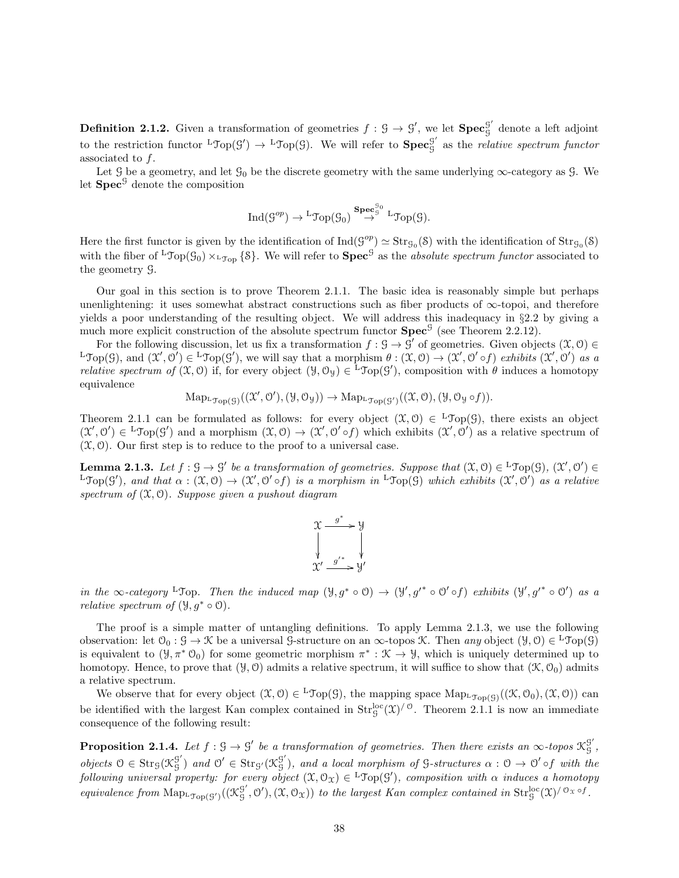**Definition 2.1.2.** Given a transformation of geometries  $f : \mathcal{G} \to \mathcal{G}'$ , we let  $\text{Spec}^{\mathcal{G}'}_{\mathcal{G}}$ G denote a left adjoint to the restriction functor  ${}^{\text{L}}\text{Top}(\mathcal{G}') \rightarrow {}^{\text{L}}\text{Top}(\mathcal{G})$ . We will refer to  $\text{Spec}^{\mathcal{G}'}_{\mathcal{G}}$  $\frac{9}{9}$  as the *relative spectrum functor* associated to f.

Let  $\mathcal{G}$  be a geometry, and let  $\mathcal{G}_0$  be the discrete geometry with the same underlying  $\infty$ -category as  $\mathcal{G}$ . We let  $Spec^{\mathcal{G}}$  denote the composition

$$
\operatorname{Ind}(\mathcal{G}^{op}) \to {}^{\rm L}\hspace{-0.05cm}\mathfrak{Top}(\mathcal{G}_0) \overset{\mathbf{Spec}^{\mathcal{G}_0}_{\mathcal{G}}}{\to} {}^{\rm L}\hspace{-0.05cm}\mathfrak{Top}(\mathcal{G}).
$$

Here the first functor is given by the identification of  $\text{Ind}(S^{op}) \simeq \text{Str}_{\mathcal{G}_0}(\mathcal{S})$  with the identification of  $\text{Str}_{\mathcal{G}_0}(\mathcal{S})$ with the fiber of <sup>L</sup>Top( $\mathcal{G}_0$ )  $\times$  L<sub>Top</sub> {8}. We will refer to **Spec**<sup>*G*</sup> as the *absolute spectrum functor* associated to the geometry G.

Our goal in this section is to prove Theorem 2.1.1. The basic idea is reasonably simple but perhaps unenlightening: it uses somewhat abstract constructions such as fiber products of  $\infty$ -topoi, and therefore yields a poor understanding of the resulting object. We will address this inadequacy in §2.2 by giving a much more explicit construction of the absolute spectrum functor  $\text{Spec}^{\mathcal{G}}$  (see Theorem 2.2.12).

For the following discussion, let us fix a transformation  $f : \mathcal{G} \to \mathcal{G}'$  of geometries. Given objects  $(\mathcal{X}, \mathcal{O}) \in$  ${}^{\mathbf{L}}\mathcal{T}_{\mathbf{O}(\mathcal{G})}(\mathcal{G})$ , and  $(\mathcal{X}',\mathcal{O}') \in {}^{\mathbf{L}}\mathcal{T}_{\mathbf{O}(\mathcal{G}')},$  we will say that a morphism  $\theta : (\mathcal{X},\mathcal{O}) \to (\mathcal{X}',\mathcal{O}' \circ f)$  exhibits  $(\mathcal{X}',\mathcal{O}')$  as a *relative spectrum of*  $(\mathfrak{X},0)$  if, for every object  $(\mathfrak{Y},0_{\mathfrak{Y}}) \in {}^{\mathbf{L}}\mathcal{Top}(\mathcal{G}')$ , composition with  $\theta$  induces a homotopy equivalence

$$
\mathrm{Map}_{\mathrm{L}\mathfrak{Top}(\mathcal{G})}((\mathfrak{X}',\mathcal{O}'),(\mathcal{Y},\mathcal{O}_{\mathcal{Y}}))\rightarrow \mathrm{Map}_{\mathrm{L}\mathfrak{Top}(\mathcal{G}')}((\mathfrak{X},\mathcal{O}),(\mathcal{Y},\mathcal{O}_{\mathcal{Y}}\circ f)).
$$

Theorem 2.1.1 can be formulated as follows: for every object  $(\mathfrak{X},0) \in {}^{\mathsf{L}}\mathfrak{Top}(\mathcal{G})$ , there exists an object  $(\mathcal{X}', \mathcal{O}') \in {}^{\mathsf{L}}\mathfrak{Top}(\mathcal{G}')$  and a morphism  $(\mathcal{X}, \mathcal{O}) \to (\mathcal{X}', \mathcal{O}' \circ f)$  which exhibits  $(\mathcal{X}', \mathcal{O}')$  as a relative spectrum of  $(\mathfrak{X}, \mathfrak{O})$ . Our first step is to reduce to the proof to a universal case.

**Lemma 2.1.3.** Let  $f : \mathcal{G} \to \mathcal{G}'$  be a transformation of geometries. Suppose that  $(\mathcal{X}, \mathcal{O}) \in {}^{\mathsf{L}}\mathfrak{Top}(\mathcal{G}),$   $(\mathcal{X}', \mathcal{O}') \in$  ${}^{\text{L}}\text{Top}(\mathcal{G}')$ , and that  $\alpha: (\mathcal{X}, \mathcal{O}) \to (\mathcal{X}', \mathcal{O}' \circ f)$  is a morphism in  ${}^{\text{L}}\text{Top}(\mathcal{G})$  which exhibits  $(\mathcal{X}', \mathcal{O}')$  as a relative spectrum of  $(\mathfrak{X}, \mathfrak{O})$ . Suppose given a pushout diagram



in the  $\infty$ -category <sup>L</sup>Top. Then the induced map  $(\mathcal{Y}, g^* \circ \mathcal{O}) \to (\mathcal{Y}', g'^* \circ \mathcal{O}' \circ f)$  exhibits  $(\mathcal{Y}', g'^* \circ \mathcal{O}')$  as a *relative spectrum of*  $(\mathcal{Y}, g^* \circ \mathcal{O})$ .

The proof is a simple matter of untangling definitions. To apply Lemma 2.1.3, we use the following observation: let  $\mathcal{O}_0: \mathcal{G} \to \mathcal{K}$  be a universal  $\mathcal{G}$ -structure on an  $\infty$ -topos  $\mathcal{K}$ . Then any object  $(\mathcal{Y}, \mathcal{O}) \in {}^L\mathcal{Top}(\mathcal{G})$ is equivalent to  $(\mathcal{Y}, \pi^* \mathcal{O}_0)$  for some geometric morphism  $\pi^* : \mathcal{K} \to \mathcal{Y}$ , which is uniquely determined up to homotopy. Hence, to prove that  $(\mathcal{Y}, \mathcal{O})$  admits a relative spectrum, it will suffice to show that  $(\mathcal{K}, \mathcal{O}_0)$  admits a relative spectrum.

We observe that for every object  $(\mathfrak{X}, \mathfrak{O}) \in {}^{\mathbf{L}}\mathcal{T}\mathrm{op}(\mathfrak{G})$ , the mapping space  $\mathrm{Map}_{\mathbf{L}\mathcal{T}\mathrm{op}(\mathfrak{G})}((\mathfrak{X}, \mathfrak{O}_0), (\mathfrak{X}, \mathfrak{O}))$  can be identified with the largest Kan complex contained in  $Str_g^{loc}(\mathfrak{X})^{10}$ . Theorem 2.1.1 is now an immediate consequence of the following result:

**Proposition 2.1.4.** Let  $f : \mathcal{G} \to \mathcal{G}'$  be a transformation of geometries. Then there exists an  $\infty$ -topos  $\mathcal{K}_{\mathcal{G}}^{\mathcal{G}'}$ g,  $objects \space 0 \in \text{Str}_{\mathcal{G}}(\mathcal{K}_{\mathcal{G}}^{\mathcal{G}'}$  ${}_{g}^{g'}$ ) and  $0' \in \text{Str}_{g'}(\mathfrak{K}_{g}^{g'})$  $S'_{\mathcal{G}}$ ), and a local morphism of  $\mathcal{G}$ -structures  $\alpha : \mathcal{O} \to \mathcal{O}'$  of with the following universal property: for every object  $(\mathfrak{X},\mathcal{O}_\mathfrak{X})\in {}^{\mathsf{L}}\mathfrak{Top}(\mathcal{G}'),$  composition with  $\alpha$  induces a homotopy equivalence from  $\mathrm{Map}_{\mathrm{top}(G')}( (\mathcal{K}_g^{G'})$  $\mathcal{G}'_g$ ,  $\mathcal{O}'$ ,  $(\mathfrak{X}, \mathcal{O}_\mathfrak{X})$  to the largest Kan complex contained in Str $\mathcal{G}^{\text{loc}}(\mathfrak{X})^{\text{loc}}$ .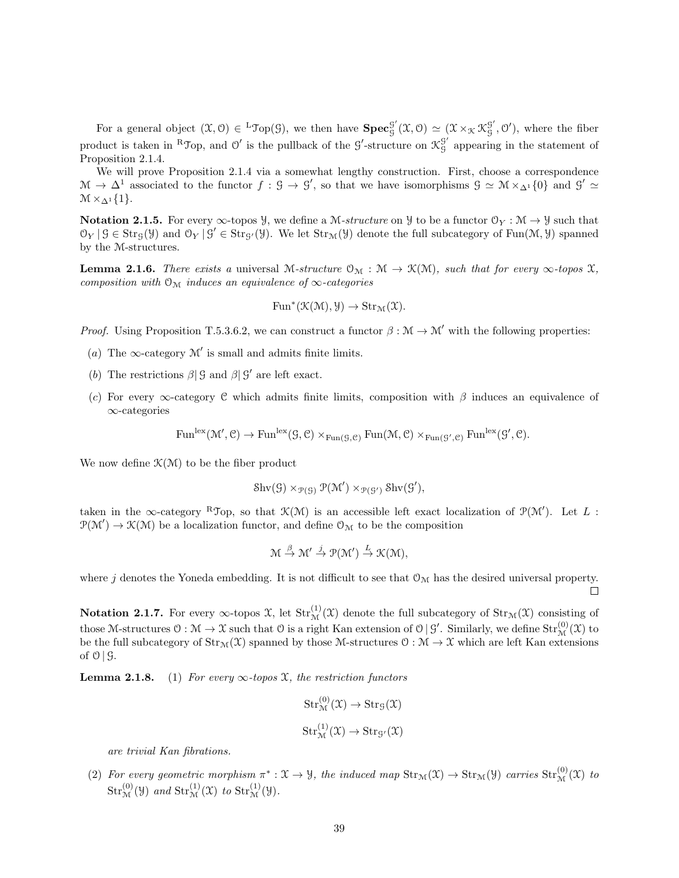For a general object  $(\mathfrak{X}, \mathfrak{O}) \in {}^{\mathsf{L}} \mathfrak{Top}(\mathfrak{G})$ , we then have  $\mathbf{Spec}_{\mathsf{G}}^{\mathsf{G}'}$  ${}_{g}^{g'}(\mathfrak{X},\mathfrak{O}) \simeq (\mathfrak{X} \times_{\mathfrak{X}} \mathfrak{K}^{g'}_{g})$  $g'$ ,  $\mathcal{O}'$ ), where the fiber product is taken in <sup>R</sup>J op, and  $\mathcal{O}'$  is the pullback of the  $\mathcal{G}'$ -structure on  $\mathcal{K}_{q}^{\mathcal{G}'}$  $\frac{9}{9}$  appearing in the statement of Proposition 2.1.4.

We will prove Proposition 2.1.4 via a somewhat lengthy construction. First, choose a correspondence  $\mathcal{M} \to \Delta^1$  associated to the functor  $f : \mathcal{G} \to \mathcal{G}'$ , so that we have isomorphisms  $\mathcal{G} \simeq \mathcal{M} \times_{\Delta^1} \{0\}$  and  $\mathcal{G}' \simeq$  $\mathcal{M} \times_{\Lambda^1} \{1\}.$ 

Notation 2.1.5. For every  $\infty$ -topos  $\mathcal{Y}$ , we define a M-structure on  $\mathcal{Y}$  to be a functor  $\mathcal{O}_Y : \mathcal{M} \to \mathcal{Y}$  such that  $\mathcal{O}_Y | \mathcal{G} \in \text{Str}_{\mathcal{G}}(\mathcal{Y})$  and  $\mathcal{O}_Y | \mathcal{G}' \in \text{Str}_{\mathcal{G}'}(\mathcal{Y})$ . We let  $\text{Str}_{\mathcal{M}}(\mathcal{Y})$  denote the full subcategory of Fun $(\mathcal{M}, \mathcal{Y})$  spanned by the M-structures.

**Lemma 2.1.6.** There exists a universal M-structure  $\mathcal{O}_{\mathcal{M}} : \mathcal{M} \to \mathcal{K}(\mathcal{M})$ , such that for every  $\infty$ -topos  $\mathcal{X}$ , composition with  $\mathcal{O}_{\mathcal{M}}$  induces an equivalence of  $\infty$ -categories

$$
\operatorname{Fun}^*(\mathcal K(\mathcal M),\mathcal Y)\to\operatorname{Str}_{\mathcal M}(\mathfrak X).
$$

*Proof.* Using Proposition T.5.3.6.2, we can construct a functor  $\beta : \mathcal{M} \to \mathcal{M}'$  with the following properties:

- (a) The  $\infty$ -category M' is small and admits finite limits.
- (b) The restrictions  $\beta$ |  $\beta$  and  $\beta$ |  $\beta'$  are left exact.
- (c) For every  $\infty$ -category C which admits finite limits, composition with  $\beta$  induces an equivalence of ∞-categories

 $\text{Fun}^{\text{lex}}(\mathcal{M}', \mathcal{C}) \to \text{Fun}^{\text{lex}}(\mathcal{G}, \mathcal{C}) \times_{\text{Fun}(\mathcal{G}, \mathcal{C})} \text{Fun}(\mathcal{M}, \mathcal{C}) \times_{\text{Fun}(\mathcal{G}', \mathcal{C})} \text{Fun}^{\text{lex}}(\mathcal{G}', \mathcal{C}).$ 

We now define  $\mathcal{K}(\mathcal{M})$  to be the fiber product

$$
Shv(\mathcal{G}) \times_{\mathcal{P}(\mathcal{G})} \mathcal{P}(\mathcal{M}') \times_{\mathcal{P}(\mathcal{G}')} Shv(\mathcal{G}'),
$$

taken in the  $\infty$ -category <sup>R</sup>Top, so that  $\mathcal{K}(\mathcal{M})$  is an accessible left exact localization of  $\mathcal{P}(\mathcal{M}')$ . Let L:  $\mathcal{P}(\mathcal{M}') \to \mathcal{K}(\mathcal{M})$  be a localization functor, and define  $\mathcal{O}_{\mathcal{M}}$  to be the composition

$$
\mathcal{M} \stackrel{\beta}{\rightarrow} \mathcal{M}' \stackrel{j}{\rightarrow} \mathcal{P}(\mathcal{M}') \stackrel{L}{\rightarrow} \mathcal{K}(\mathcal{M}),
$$

where j denotes the Yoneda embedding. It is not difficult to see that  $\mathcal{O}_{\mathcal{M}}$  has the desired universal property.  $\Box$ 

Notation 2.1.7. For every  $\infty$ -topos X, let  $Str_{\mathcal{M}}^{(1)}(\mathcal{X})$  denote the full subcategory of  $Str_{\mathcal{M}}(\mathcal{X})$  consisting of those M-structures  $\mathfrak{O}: \mathcal{M} \to \mathfrak{X}$  such that  $\mathfrak{O}$  is a right Kan extension of  $\mathfrak{O} \mid \mathcal{G}'$ . Similarly, we define  $\mathrm{Str}_{\mathcal{M}}^{(0)}(\mathfrak{X})$  to be the full subcategory of  $\text{Str}_{\mathcal{M}}(\mathfrak{X})$  spanned by those M-structures  $\mathfrak{O}: \mathfrak{M} \to \mathfrak{X}$  which are left Kan extensions of  $\mathcal{O}$  |  $\mathcal{G}$ .

**Lemma 2.1.8.** (1) For every  $\infty$ -topos  $\mathfrak{X}$ , the restriction functors

$$
Str_{\mathcal{M}}^{(0)}(\mathfrak{X}) \to Str_{\mathcal{G}}(\mathfrak{X})
$$
  

$$
Str_{\mathcal{M}}^{(1)}(\mathfrak{X}) \to Str_{\mathcal{G}'}(\mathfrak{X})
$$

are trivial Kan fibrations.

(2) For every geometric morphism  $\pi^*: \mathfrak{X} \to \mathcal{Y}$ , the induced map  $\text{Str}_{\mathfrak{M}}(\mathfrak{X}) \to \text{Str}_{\mathfrak{M}}(\mathcal{Y})$  carries  $\text{Str}_{\mathfrak{M}}^{\left(0\right)}(\mathfrak{X})$  to  $Str_{\mathcal{M}}^{(0)}(\mathcal{Y})$  and  $Str_{\mathcal{M}}^{(1)}(\mathcal{X})$  to  $Str_{\mathcal{M}}^{(1)}(\mathcal{Y})$ .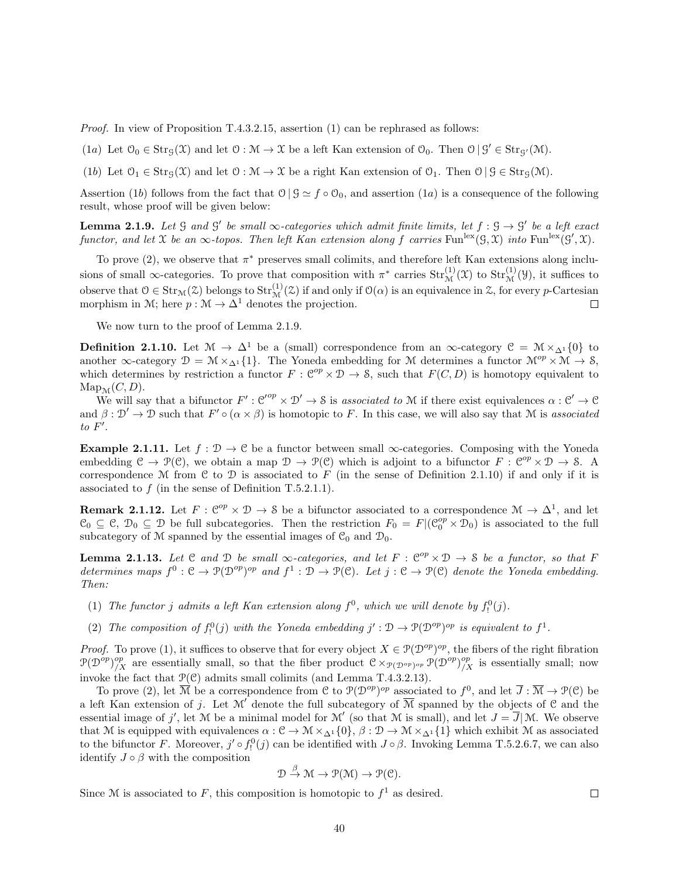*Proof.* In view of Proposition T.4.3.2.15, assertion  $(1)$  can be rephrased as follows:

(1a) Let  $\mathcal{O}_0 \in \text{Str}_{\mathcal{G}}(\mathfrak{X})$  and let  $\mathcal{O} : \mathcal{M} \to \mathfrak{X}$  be a left Kan extension of  $\mathcal{O}_0$ . Then  $\mathcal{O} \mid \mathcal{G}' \in \text{Str}_{\mathcal{G}'}(\mathcal{M})$ .

(1b) Let  $\mathcal{O}_1 \in \text{Str}_{\mathcal{G}}(\mathcal{X})$  and let  $\mathcal{O} : \mathcal{M} \to \mathcal{X}$  be a right Kan extension of  $\mathcal{O}_1$ . Then  $\mathcal{O} \mid \mathcal{G} \in \text{Str}_{\mathcal{G}}(\mathcal{M})$ .

Assertion (1b) follows from the fact that  $\mathcal{O} \mid \mathcal{G} \simeq f \circ \mathcal{O}_0$ , and assertion (1a) is a consequence of the following result, whose proof will be given below:

**Lemma 2.1.9.** Let  $\mathcal G$  and  $\mathcal G'$  be small  $\infty$ -categories which admit finite limits, let  $f : \mathcal G \to \mathcal G'$  be a left exact functor, and let X be an  $\infty$ -topos. Then left Kan extension along f carries Fun<sup>lex</sup>( $\mathcal{G}, \mathcal{X}$ ) into Fun<sup>lex</sup>( $\mathcal{G}', \mathcal{X}$ ).

To prove  $(2)$ , we observe that  $\pi^*$  preserves small colimits, and therefore left Kan extensions along inclusions of small  $\infty$ -categories. To prove that composition with  $\pi^*$  carries  $Str_{\mathcal{M}}^{(1)}(\mathfrak{X})$  to  $Str_{\mathcal{M}}^{(1)}(\mathfrak{Y})$ , it suffices to observe that  $0 \in Str_{\mathcal{M}}(\mathcal{Z})$  belongs to  $Str_{\mathcal{M}}^{(1)}(\mathcal{Z})$  if and only if  $\mathcal{O}(\alpha)$  is an equivalence in  $\mathcal{Z}$ , for every *p*-Cartesian morphism in M; here  $p : \mathcal{M} \to \Delta^1$  denotes the projection.

We now turn to the proof of Lemma 2.1.9.

**Definition 2.1.10.** Let  $\mathcal{M} \to \Delta^1$  be a (small) correspondence from an  $\infty$ -category  $\mathcal{C} = \mathcal{M} \times_{\Delta^1} \{0\}$  to another ∞-category  $\mathcal{D} = \mathcal{M} \times_{\Delta^1} \{1\}$ . The Yoneda embedding for M determines a functor  $\mathcal{M}^{op} \times \mathcal{M} \to \mathcal{S}$ , which determines by restriction a functor  $F: \mathcal{C}^{op} \times \mathcal{D} \to \mathcal{S}$ , such that  $F(C, D)$  is homotopy equivalent to  $\text{Map}_{\mathcal{M}}(C, D).$ 

We will say that a bifunctor  $F': \mathcal{C}'^{op} \times \mathcal{D}' \to \mathcal{S}$  is associated to M if there exist equivalences  $\alpha : \mathcal{C}' \to \mathcal{C}$ and  $\beta : \mathcal{D}' \to \mathcal{D}$  such that  $F' \circ (\alpha \times \beta)$  is homotopic to F. In this case, we will also say that M is associated  $to F'.$ 

Example 2.1.11. Let  $f: \mathcal{D} \to \mathcal{C}$  be a functor between small  $\infty$ -categories. Composing with the Yoneda embedding  $\mathcal{C} \to \mathcal{P}(\mathcal{C})$ , we obtain a map  $\mathcal{D} \to \mathcal{P}(\mathcal{C})$  which is adjoint to a bifunctor  $F : \mathcal{C}^{op} \times \mathcal{D} \to \mathcal{S}$ . A correspondence M from C to D is associated to F (in the sense of Definition 2.1.10) if and only if it is associated to  $f$  (in the sense of Definition T.5.2.1.1).

**Remark 2.1.12.** Let  $F: \mathbb{C}^{op} \times \mathcal{D} \to \mathcal{S}$  be a bifunctor associated to a correspondence  $\mathcal{M} \to \Delta^1$ , and let  $\mathcal{C}_0 \subseteq \mathcal{C}, \mathcal{D}_0 \subseteq \mathcal{D}$  be full subcategories. Then the restriction  $F_0 = F | (\mathcal{C}_0^{op} \times \mathcal{D}_0)$  is associated to the full subcategory of M spanned by the essential images of  $\mathcal{C}_0$  and  $\mathcal{D}_0$ .

**Lemma 2.1.13.** Let C and D be small  $\infty$ -categories, and let  $F : \mathbb{C}^{op} \times \mathbb{D} \to \mathbb{S}$  be a functor, so that F determines maps  $f^0: \mathcal{C} \to \mathcal{P}(\mathcal{D}^{op})^{op}$  and  $f^1: \mathcal{D} \to \mathcal{P}(\mathcal{C})$ . Let  $j: \mathcal{C} \to \mathcal{P}(\mathcal{C})$  denote the Yoneda embedding. Then:

- (1) The functor j admits a left Kan extension along  $f^0$ , which we will denote by  $f^0_!(j)$ .
- (2) The composition of  $f_!^0(j)$  with the Yoneda embedding  $j': \mathcal{D} \to \mathcal{P}(\mathcal{D}^{op})^{op}$  is equivalent to  $f^1$ .

*Proof.* To prove (1), it suffices to observe that for every object  $X \in \mathcal{P}(\mathcal{D}^{op})^{op}$ , the fibers of the right fibration  $\mathcal{P}(\mathcal{D}^{\text{op}})_{/X}^{\text{op}}$  are essentially small, so that the fiber product  $\mathcal{C} \times_{\mathcal{P}(\mathcal{D}^{\text{op}})^{\text{op}}} \mathcal{P}(\mathcal{D}^{\text{op}})_{/X}^{\text{op}}$  is essentially small; now invoke the fact that  $\mathcal{P}(\mathcal{C})$  admits small colimits (and Lemma T.4.3.2.13).

To prove (2), let  $\overline{\mathcal{M}}$  be a correspondence from C to  $\mathcal{P}(\mathcal{D}^{op})^{op}$  associated to  $f^0$ , and let  $\overline{J}:\overline{\mathcal{M}}\to\mathcal{P}(\mathcal{C})$  be a left Kan extension of j. Let  $\mathcal{M}'$  denote the full subcategory of  $\overline{\mathcal{M}}$  spanned by the objects of C and the essential image of j', let M be a minimal model for M' (so that M is small), and let  $J = \overline{J}|\mathcal{M}$ . We observe that M is equipped with equivalences  $\alpha : \mathcal{C} \to \mathcal{M} \times_{\Delta^1} \{0\}, \beta : \mathcal{D} \to \mathcal{M} \times_{\Delta^1} \{1\}$  which exhibit M as associated to the bifunctor F. Moreover,  $j' \circ f_!^0(j)$  can be identified with  $J \circ \beta$ . Invoking Lemma T.5.2.6.7, we can also identify  $J \circ \beta$  with the composition

$$
\mathcal{D} \stackrel{\beta}{\to} \mathcal{M} \to \mathcal{P}(\mathcal{M}) \to \mathcal{P}(\mathcal{C}).
$$

 $\Box$ 

Since M is associated to F, this composition is homotopic to  $f^1$  as desired.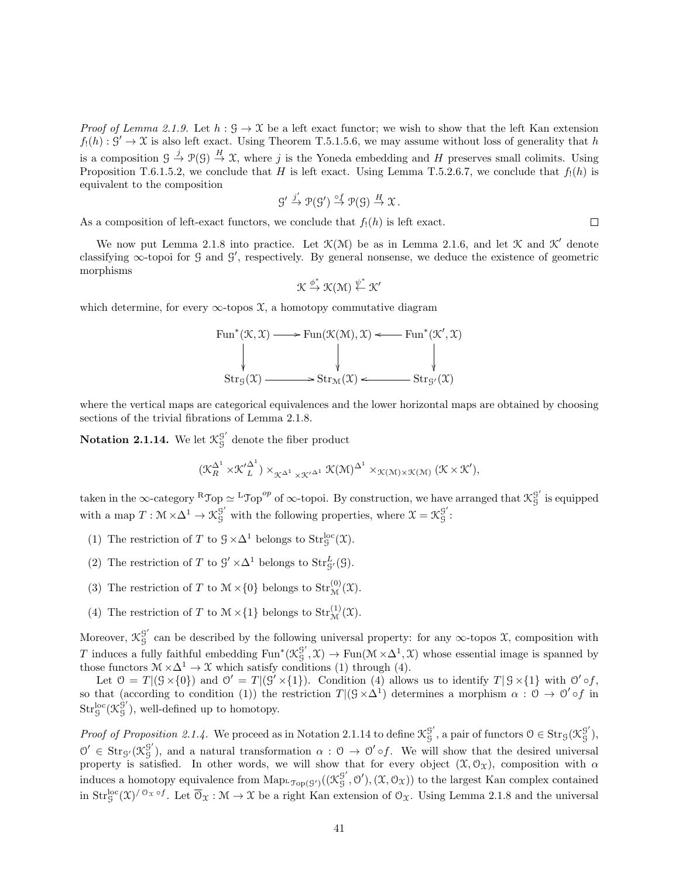*Proof of Lemma 2.1.9.* Let  $h : \mathcal{G} \to \mathcal{X}$  be a left exact functor; we wish to show that the left Kan extension  $f_!(h): \mathcal{G}' \to \mathcal{X}$  is also left exact. Using Theorem T.5.1.5.6, we may assume without loss of generality that h is a composition  $\mathcal{G} \stackrel{j}{\to} \mathcal{P}(\mathcal{G}) \stackrel{H}{\to} \mathcal{X}$ , where j is the Yoneda embedding and H preserves small colimits. Using Proposition T.6.1.5.2, we conclude that H is left exact. Using Lemma T.5.2.6.7, we conclude that  $f_1(h)$  is equivalent to the composition

$$
g' \xrightarrow{j'} \mathcal{P}(g') \xrightarrow{\circ f} \mathcal{P}(g) \xrightarrow{H} \mathcal{X}.
$$

As a composition of left-exact functors, we conclude that  $f_1(h)$  is left exact.

We now put Lemma 2.1.8 into practice. Let  $\mathcal{K}(\mathcal{M})$  be as in Lemma 2.1.6, and let  $\mathcal{K}$  and  $\mathcal{K}'$  denote classifying  $\infty$ -topoi for G and G', respectively. By general nonsense, we deduce the existence of geometric morphisms

$$
\mathcal{K} \xrightarrow{\phi^*} \mathcal{K}(\mathcal{M}) \xleftarrow{\psi^*} \mathcal{K}'
$$

which determine, for every  $\infty$ -topos  $\mathfrak{X}$ , a homotopy commutative diagram

$$
\begin{array}{ccc}\n\operatorname{Fun}^*(\mathcal{K},\mathcal{X}) & \longrightarrow & \operatorname{Fun}(\mathcal{K}(\mathcal{M}),\mathcal{X}) \prec \longrightarrow & \operatorname{Fun}^*(\mathcal{K}',\mathcal{X}) \\
\downarrow & & \downarrow & \downarrow & \downarrow & \downarrow \\
\operatorname{Str}_G(\mathcal{X}) & \longrightarrow & \operatorname{Str}_{\mathcal{M}}(\mathcal{X}) \prec \longrightarrow & \operatorname{Str}_{S'}(\mathcal{X})\n\end{array}
$$

where the vertical maps are categorical equivalences and the lower horizontal maps are obtained by choosing sections of the trivial fibrations of Lemma 2.1.8.

Notation 2.1.14. We let  $\mathcal{K}^{\mathcal{G}'}_{\mathcal{G}}$  $\frac{9}{9}$  denote the fiber product

$$
(\mathcal{K}_R^{\Delta^1} \times \mathcal{K'}_L^{\Delta^1}) \times_{\mathcal{K}^{\Delta^1} \times \mathcal{K'}^{\Delta^1}} \mathcal{K}(\mathcal{M})^{\Delta^1} \times_{\mathcal{K}(\mathcal{M}) \times \mathcal{K}(\mathcal{M})} (\mathcal{K} \times \mathcal{K'}),
$$

taken in the  $\infty$ -category  $^R\mathcal{T}_{\text{op}} \simeq {}^L\mathcal{T}_{\text{op}}^{op}$  of  $\infty$ -topoi. By construction, we have arranged that  $\mathcal{K}_q^{\mathcal{G}'}$ G is equipped with a map  $T: \mathcal{M} \times \Delta^1 \to \mathcal{K}_g^{\mathcal{G}'}$  with the following properties, where  $\mathcal{X} = \mathcal{K}_g^{\mathcal{G}'}$ G :

- (1) The restriction of T to  $\mathcal{G} \times \Delta^1$  belongs to  $\text{Str}_\mathcal{G}^{\text{loc}}(\mathfrak{X})$ .
- (2) The restriction of T to  $\mathcal{G}' \times \Delta^1$  belongs to  $Str_{\mathcal{G}'}^L(\mathcal{G})$ .
- (3) The restriction of T to  $\mathcal{M} \times \{0\}$  belongs to  $\text{Str}_{\mathcal{M}}^{(0)}(\mathfrak{X})$ .
- (4) The restriction of T to  $\mathcal{M} \times \{1\}$  belongs to  $\text{Str}_{\mathcal{M}}^{(1)}(\mathcal{X})$ .

Moreover,  $\mathfrak{K}^{\mathcal{G}'}_{\mathcal{G}}$  $G<sub>G</sub>$  can be described by the following universal property: for any  $\infty$ -topos  $\mathfrak{X}$ , composition with T induces a fully faithful embedding Fun<sup>\*</sup>( $\mathcal{K}^{\mathcal{G}'}_{\mathcal{G}}$  ${}_{g}^{g'}$ ,  $\mathfrak{X}$   $\rightarrow$  Fun( $\mathfrak{M} \times \Delta^1$ ,  $\mathfrak{X}$ ) whose essential image is spanned by those functors  $M \times \Delta^1 \to \mathfrak{X}$  which satisfy conditions (1) through (4).

Let  $0 = T | (\mathcal{G} \times \{0\})$  and  $0' = T | (\mathcal{G}' \times \{1\})$ . Condition (4) allows us to identify  $T | \mathcal{G} \times \{1\}$  with  $0' \circ f$ , so that (according to condition (1)) the restriction  $T|(\mathcal{G}\times\Delta^1)$  determines a morphism  $\alpha: \mathcal{O} \to \mathcal{O}' \circ f$  in  $\mathrm{Str}^{\mathrm{loc}}_{{\mathrm S}}({\mathfrak K}^{\grave{\mathrm g}'}_{\mathrm S}$  $\frac{9}{9}$ ), well-defined up to homotopy.

*Proof of Proposition 2.1.4.* We proceed as in Notation 2.1.14 to define  $\mathcal{K}_q^{\mathcal{G}'}$  $g'$ , a pair of functors  $0 \in \text{Str}_\mathcal{G}(\mathcal{K}_\mathcal{G}^{\mathcal{G}'}$ G ),  $0' \in \text{Str}_{\mathcal{G}'}(\mathcal{K}^{\mathcal{G}'}_{\mathcal{G}})$  $g'_{\mathcal{G}}$ , and a natural transformation  $\alpha$ :  $\mathcal{O} \to \mathcal{O}' \circ f$ . We will show that the desired universal property is satisfied. In other words, we will show that for every object  $(\mathfrak{X}, \mathcal{O}_{\mathfrak{X}})$ , composition with  $\alpha$ induces a homotopy equivalence from  $\text{Map}_{\text{top}(G')}( (\mathcal{K}_g^{\mathcal{G}'})$  $g'$ ,  $\mathcal{O}'$ ,  $(\mathcal{X}, \mathcal{O}_{\mathcal{X}})$  to the largest Kan complex contained in  $Str_g^{loc}(\mathfrak{X})^{\prime\sigma_{\mathfrak{X}}\circ f}$ . Let  $\overline{\sigma}_{\mathfrak{X}}:\mathcal{M}\to \mathcal{X}$  be a right Kan extension of  $\mathfrak{O}_{\mathfrak{X}}$ . Using Lemma 2.1.8 and the universal

 $\Box$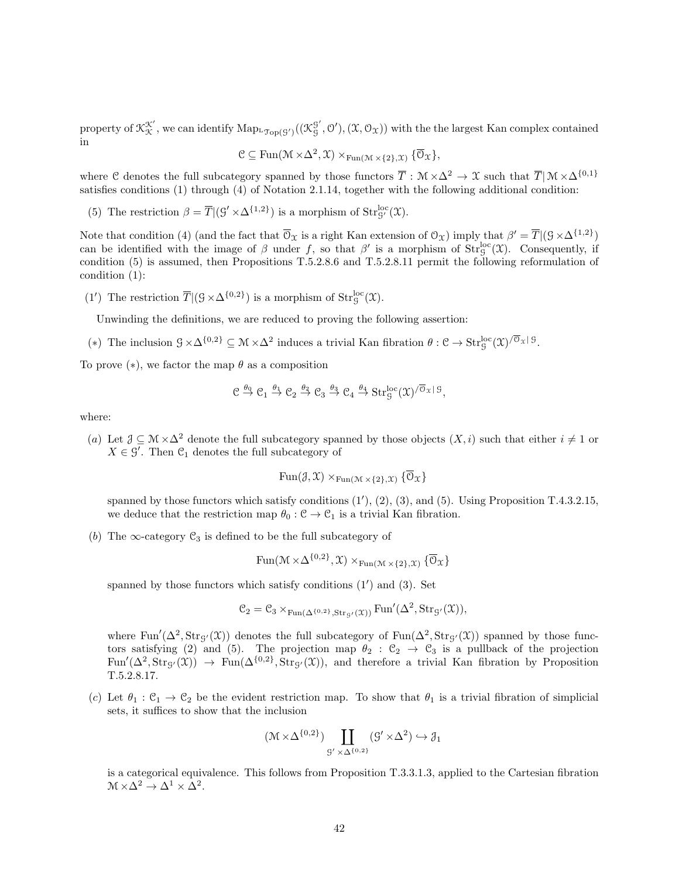property of  $\mathfrak{K}^{\mathfrak{X}'}_{\mathfrak{X}}$ , we can identify  $\mathrm{Map}_{L\mathfrak{Top}(\mathcal{G}')}( (\mathfrak{K}^{\mathcal{G}'}_{\mathcal{G}}$  $g'$ ,  $\mathcal{O}'$ ,  $(\mathcal{X}, \mathcal{O}_{\mathcal{X}})$  with the the largest Kan complex contained in

$$
\mathcal{C} \subseteq \mathrm{Fun}(\mathcal{M} \times \Delta^2, \mathcal{X}) \times_{\mathrm{Fun}(\mathcal{M} \times \{2\}, \mathcal{X})} {\overline{\mathcal{O}}}_{\mathcal{X}}\},
$$

where C denotes the full subcategory spanned by those functors  $\overline{T}$  :  $\mathcal{M} \times \Delta^2 \to \mathcal{X}$  such that  $\overline{T} | \mathcal{M} \times \Delta^{\{0,1\}}$ satisfies conditions (1) through (4) of Notation 2.1.14, together with the following additional condition:

(5) The restriction  $\beta = \overline{T} | (G' \times \Delta^{\{1,2\}})$  is a morphism of  $Str_{G'}^{loc}(\mathfrak{X})$ .

Note that condition (4) (and the fact that  $\overline{\mathcal{O}}_{\mathfrak{X}}$  is a right Kan extension of  $\mathcal{O}_{\mathfrak{X}}$ ) imply that  $\beta' = \overline{T} |(\mathcal{G} \times \Delta^{\{1,2\}})$ can be identified with the image of  $\beta$  under f, so that  $\beta'$  is a morphism of  $Str_g^{loc}(\mathfrak{X})$ . Consequently, if condition (5) is assumed, then Propositions T.5.2.8.6 and T.5.2.8.11 permit the following reformulation of condition (1):

(1') The restriction  $\overline{T} |(\mathcal{G} \times \Delta^{\{0,2\}})$  is a morphism of  $\text{Str}_\mathcal{G}^{\text{loc}}(\mathfrak{X})$ .

Unwinding the definitions, we are reduced to proving the following assertion:

(\*) The inclusion  $\mathcal{G} \times \Delta^{\{0,2\}} \subseteq \mathcal{M} \times \Delta^2$  induces a trivial Kan fibration  $\theta : \mathcal{C} \to \mathrm{Str}^{\mathrm{loc}}_{\mathcal{G}}(\mathfrak{X})/\overline{\mathfrak{O}}_{\mathfrak{X}}\,{\mathfrak{g}}$ .

To prove  $(*),$  we factor the map  $\theta$  as a composition

$$
\mathcal{C} \stackrel{\theta_0}{\rightarrow} \mathcal{C}_1 \stackrel{\theta_1}{\rightarrow} \mathcal{C}_2 \stackrel{\theta_2}{\rightarrow} \mathcal{C}_3 \stackrel{\theta_3}{\rightarrow} \mathcal{C}_4 \stackrel{\theta_4}{\rightarrow} Str_S^{loc}(\mathfrak{X})^{/\overline{\mathcal{O}}_{\mathfrak{X}}|\, \mathfrak{S}},
$$

where:

(a) Let  $\mathcal{J} \subseteq \mathcal{M} \times \Delta^2$  denote the full subcategory spanned by those objects  $(X, i)$  such that either  $i \neq 1$  or  $X \in \mathcal{G}'$ . Then  $\mathcal{C}_1$  denotes the full subcategory of

$$
\text{Fun}(\mathcal{J}, \mathcal{X}) \times_{\text{Fun}(\mathcal{M} \times \{2\}, \mathcal{X})} {\overline{\mathcal{O}}_{\mathcal{X}}}
$$

spanned by those functors which satisfy conditions  $(1')$ ,  $(2)$ ,  $(3)$ , and  $(5)$ . Using Proposition T.4.3.2.15, we deduce that the restriction map  $\theta_0 : \mathcal{C} \to \mathcal{C}_1$  is a trivial Kan fibration.

(b) The  $\infty$ -category  $\mathcal{C}_3$  is defined to be the full subcategory of

$$
\operatorname{Fun}(\mathcal{M}\times\Delta^{\{0,2\}},\mathfrak{X})\times_{\operatorname{Fun}(\mathcal{M}\times\{2\},\mathfrak{X})}\{\overline{\mathbb{O}}_{\mathfrak{X}}\}
$$

spanned by those functors which satisfy conditions  $(1')$  and  $(3)$ . Set

$$
\mathcal{C}_2=\mathcal{C}_3\times_{\operatorname{Fun}(\Delta^{\{0,2\}},\operatorname{Str}_{\mathcal{G}'}(\mathfrak{X}))}\operatorname{Fun}'(\Delta^2,\operatorname{Str}_{\mathcal{G}'}(\mathfrak{X})),
$$

where  $\text{Fun}'(\Delta^2, \text{Str}_{\mathcal{G}}(\mathfrak{X}))$  denotes the full subcategory of  $\text{Fun}(\Delta^2, \text{Str}_{\mathcal{G}}(\mathfrak{X}))$  spanned by those functors satisfying (2) and (5). The projection map  $\theta_2 : \mathcal{C}_2 \rightarrow \mathcal{C}_3$  is a pullback of the projection  $\text{Fun}'(\Delta^2, \text{Str}_{\mathcal{G}'}(\mathfrak{X})) \to \text{Fun}(\Delta^{\{0,2\}}, \text{Str}_{\mathcal{G}'}(\mathfrak{X}))$ , and therefore a trivial Kan fibration by Proposition T.5.2.8.17.

(c) Let  $\theta_1 : \mathcal{C}_1 \to \mathcal{C}_2$  be the evident restriction map. To show that  $\theta_1$  is a trivial fibration of simplicial sets, it suffices to show that the inclusion

$$
(\mathcal{M} \times \Delta^{\{0,2\}}) \coprod_{\mathcal{G}' \times \Delta^{\{0,2\}}} (\mathcal{G}' \times \Delta^2) \hookrightarrow \mathcal{J}_1
$$

is a categorical equivalence. This follows from Proposition T.3.3.1.3, applied to the Cartesian fibration  $M \times \Delta^2 \rightarrow \Delta^1 \times \Delta^2$ .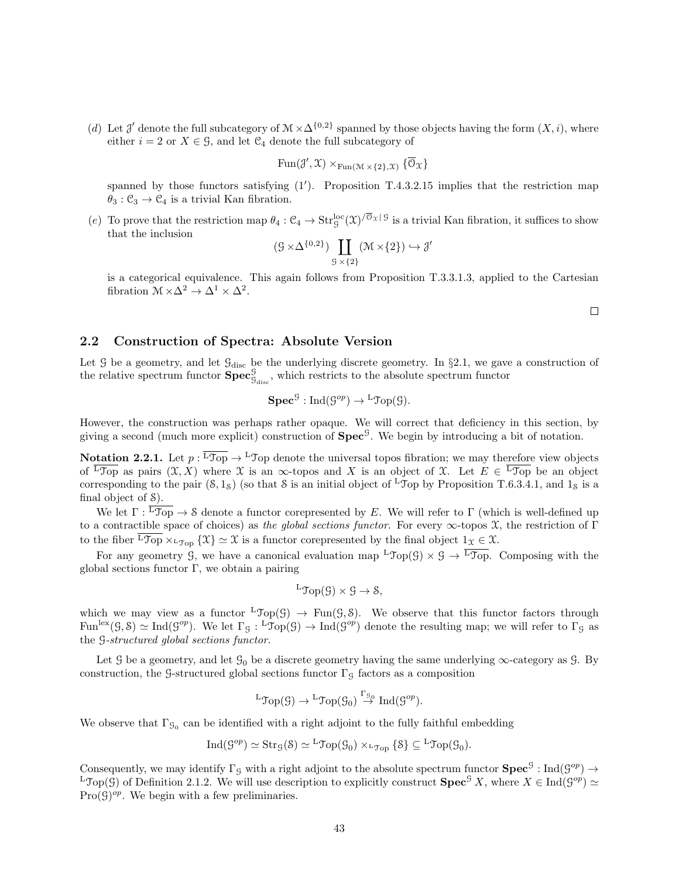(d) Let J' denote the full subcategory of  $\mathcal{M} \times \Delta^{\{0,2\}}$  spanned by those objects having the form  $(X, i)$ , where either  $i = 2$  or  $X \in \mathcal{G}$ , and let  $\mathcal{C}_4$  denote the full subcategory of

$$
\operatorname{Fun}(\mathcal{J}', \mathfrak{X}) \times_{\operatorname{Fun}(\mathfrak{M} \times \{2\}, \mathfrak{X})} {\overline{\mathbb{O}}}_{\mathfrak{X}}
$$

spanned by those functors satisfying  $(1')$ . Proposition T.4.3.2.15 implies that the restriction map  $\theta_3: \mathcal{C}_3 \to \mathcal{C}_4$  is a trivial Kan fibration.

(e) To prove that the restriction map  $\theta_4$ :  $\mathfrak{C}_4 \to \text{Str}_9^{\text{loc}}(\mathfrak{X})^{/\overline{\mathfrak{O}}_{\mathfrak{X}}|\mathfrak{S}}$  is a trivial Kan fibration, it suffices to show that the inclusion

$$
(\mathcal{G} \times \Delta^{\{0,2\}}) \coprod_{\mathcal{G} \times \{2\}} (\mathcal{M} \times \{2\}) \hookrightarrow \mathcal{J}'
$$

is a categorical equivalence. This again follows from Proposition T.3.3.1.3, applied to the Cartesian fibration  $\mathcal{M} \times \Delta^2 \to \Delta^1 \times \Delta^2$ .

 $\Box$ 

## 2.2 Construction of Spectra: Absolute Version

Let G be a geometry, and let  $G_{\text{disc}}$  be the underlying discrete geometry. In §2.1, we gave a construction of the relative spectrum functor  $\text{Spec}^{\mathcal{G}}_{\mathcal{G}_{\text{disc}}}$ , which restricts to the absolute spectrum functor

$$
\mathbf{Spec}^{\mathcal{G}} : \mathrm{Ind}(\mathcal{G}^{op}) \to {}^{\mathrm{L}}\mathcal{T}\mathrm{op}(\mathcal{G}).
$$

However, the construction was perhaps rather opaque. We will correct that deficiency in this section, by giving a second (much more explicit) construction of  $\text{Spec}^{\mathcal{G}}$ . We begin by introducing a bit of notation.

**Notation 2.2.1.** Let  $p: \overline{^L \mathcal{T}_{\text{op}}} \to {^L \mathcal{T}_{\text{op}}}$  denote the universal topos fibration; we may therefore view objects of  $\overline{\text{LTop}}$  as pairs  $(\mathfrak{X}, X)$  where X is an  $\infty$ -topos and X is an object of X. Let  $E \in \overline{\text{LTop}}$  be an object corresponding to the pair  $(\mathcal{S}, 1_{\mathcal{S}})$  (so that S is an initial object of <sup>L</sup>Top by Proposition T.6.3.4.1, and  $1_{\mathcal{S}}$  is a final object of S).

We let  $\Gamma : \overline{L_{\text{Top}}} \to \mathcal{S}$  denote a functor corepresented by E. We will refer to  $\Gamma$  (which is well-defined up to a contractible space of choices) as the global sections functor. For every  $\infty$ -topos  $\mathfrak X$ , the restriction of Γ to the fiber  $\overline{L_{Top}} \times_{L_{Top}} {\mathfrak{X}} \simeq \mathfrak{X}$  is a functor corepresented by the final object  $1_{\mathfrak{X}} \in \mathfrak{X}$ .

For any geometry G, we have a canonical evaluation map  ${}^{\text{L}}\mathcal{T}_{\text{op}}(G) \times \mathcal{G} \to \overline{{}^{\text{L}}\mathcal{T}_{\text{op}}}$ . Composing with the global sections functor Γ, we obtain a pairing

$$
{}^L\mathcal Top(\mathcal G)\times \mathcal G\to \mathcal S,
$$

which we may view as a functor  ${}^L\mathcal{T}_{op}(\mathcal{G}) \to \text{Fun}(\mathcal{G}, \mathcal{S})$ . We observe that this functor factors through  $\text{Fun}^{\text{lex}}(\mathcal{G},\mathcal{S}) \simeq \text{Ind}(\mathcal{G}^{op})$ . We let  $\Gamma_{\mathcal{G}}: {}^{\text{L}}\text{Top}(\mathcal{G}) \to \text{Ind}(\mathcal{G}^{op})$  denote the resulting map; we will refer to  $\Gamma_{\mathcal{G}}$  as the G-structured global sections functor.

Let G be a geometry, and let  $\mathcal{G}_0$  be a discrete geometry having the same underlying  $\infty$ -category as G. By construction, the G-structured global sections functor  $\Gamma$ <sub>G</sub> factors as a composition

$$
{}^{\mathrm{L}}\mathrm{Top}(\mathcal{G})\to{}^{\mathrm{L}}\mathrm{Top}(\mathcal{G}_0)\stackrel{\Gamma_{\mathcal{G}_0}}{\to}\mathrm{Ind}(\mathcal{G}^{op}).
$$

We observe that  $\Gamma_{\mathcal{G}_0}$  can be identified with a right adjoint to the fully faithful embedding

$$
\operatorname{Ind}(\mathcal{G}^{op}) \simeq \operatorname{Str}_{\mathcal{G}}(\mathcal{S}) \simeq {}^{\operatorname{L}}\operatorname{\mathcal{T}\!\mathit{op}}(\mathcal{G}_0) \times_{{}^{\operatorname{L}}\operatorname{\mathcal{T}\!\mathit{op}}} \{\mathcal{S}\} \subseteq {}^{\operatorname{L}}\operatorname{\mathcal{T}\!\mathit{op}}(\mathcal{G}_0).
$$

Consequently, we may identify  $\Gamma_g$  with a right adjoint to the absolute spectrum functor  $\text{Spec}^{\mathcal{G}}:\text{Ind}(\mathcal{G}^{op})\to$  $\text{LTop}(\mathcal{G})$  of Definition 2.1.2. We will use description to explicitly construct  $\text{Spec}^{\mathcal{G}} X$ , where  $X \in \text{Ind}(\mathcal{G}^{op}) \simeq$  $Pro(\mathcal{G})^{op}$ . We begin with a few preliminaries.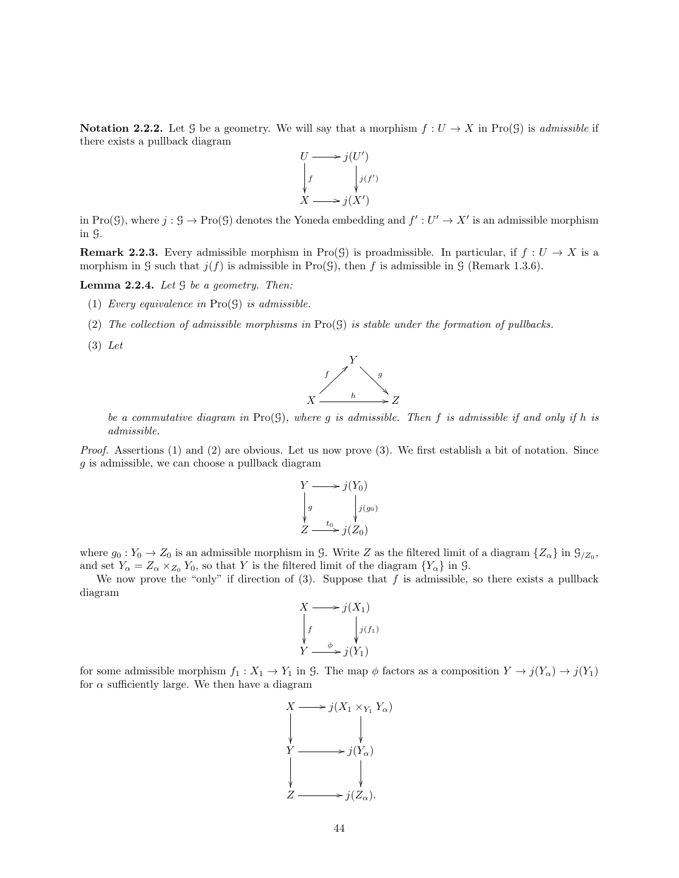Notation 2.2.2. Let G be a geometry. We will say that a morphism  $f: U \to X$  in Pro(G) is admissible if there exists a pullback diagram



in Pro(G), where  $j: \mathcal{G} \to \text{Pro}(\mathcal{G})$  denotes the Yoneda embedding and  $f': U' \to X'$  is an admissible morphism in G.

**Remark 2.2.3.** Every admissible morphism in Pro(G) is proadmissible. In particular, if  $f: U \to X$  is a morphism in G such that  $j(f)$  is admissible in Pro(G), then f is admissible in G (Remark 1.3.6).

**Lemma 2.2.4.** Let  $\mathcal G$  be a geometry. Then:

- (1) Every equivalence in  $Pro(G)$  is admissible.
- (2) The collection of admissible morphisms in  $\text{Pro}(S)$  is stable under the formation of pullbacks.
- (3) Let



be a commutative diagram in  $\text{Pro}(S)$ , where g is admissible. Then f is admissible if and only if h is admissible.

Proof. Assertions (1) and (2) are obvious. Let us now prove (3). We first establish a bit of notation. Since g is admissible, we can choose a pullback diagram

$$
\begin{aligned}\nY &\longrightarrow j(Y_0) \\
g &\downarrow j(g_0) \\
Z &\longrightarrow j(Z_0)\n\end{aligned}
$$

where  $g_0: Y_0 \to Z_0$  is an admissible morphism in G. Write Z as the filtered limit of a diagram  $\{Z_\alpha\}$  in  $\mathcal{G}_{Z_0}$ , and set  $Y_{\alpha} = Z_{\alpha} \times_{Z_0} Y_0$ , so that Y is the filtered limit of the diagram  $\{Y_{\alpha}\}\$ in  $\mathcal{G}$ .

We now prove the "only" if direction of  $(3)$ . Suppose that f is admissible, so there exists a pullback diagram

$$
X \longrightarrow j(X_1)
$$
\n
$$
\downarrow f \qquad \qquad j(f_1)
$$
\n
$$
Y \longrightarrow j(Y_1)
$$

for some admissible morphism  $f_1 : X_1 \to Y_1$  in G. The map  $\phi$  factors as a composition  $Y \to j(Y_\alpha) \to j(Y_1)$ for  $\alpha$  sufficiently large. We then have a diagram

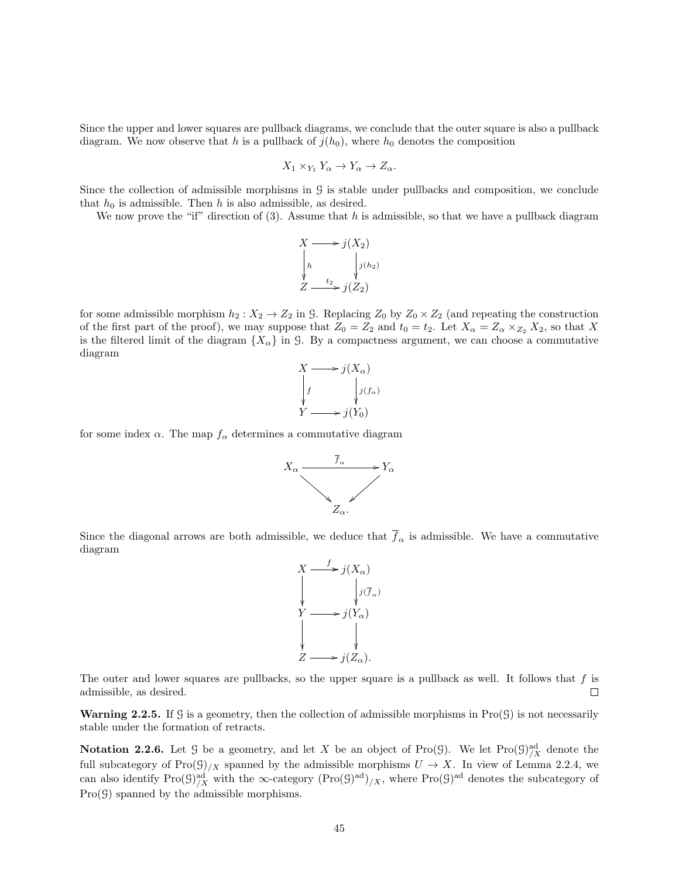Since the upper and lower squares are pullback diagrams, we conclude that the outer square is also a pullback diagram. We now observe that h is a pullback of  $j(h_0)$ , where  $h_0$  denotes the composition

$$
X_1 \times_{Y_1} Y_{\alpha} \to Y_{\alpha} \to Z_{\alpha}.
$$

Since the collection of admissible morphisms in G is stable under pullbacks and composition, we conclude that  $h_0$  is admissible. Then h is also admissible, as desired.

We now prove the "if" direction of  $(3)$ . Assume that h is admissible, so that we have a pullback diagram

$$
X \longrightarrow j(X_2)
$$
\n
$$
\downarrow h \qquad \qquad j(h_2)
$$
\n
$$
Z \longrightarrow j(Z_2)
$$

for some admissible morphism  $h_2 : X_2 \to Z_2$  in G. Replacing  $Z_0$  by  $Z_0 \times Z_2$  (and repeating the construction of the first part of the proof), we may suppose that  $Z_0 = Z_2$  and  $t_0 = t_2$ . Let  $X_\alpha = Z_\alpha \times_{Z_2} X_2$ , so that X is the filtered limit of the diagram  $\{X_\alpha\}$  in G. By a compactness argument, we can choose a commutative diagram



for some index  $\alpha$ . The map  $f_{\alpha}$  determines a commutative diagram



Since the diagonal arrows are both admissible, we deduce that  $\overline{f}_{\alpha}$  is admissible. We have a commutative diagram



The outer and lower squares are pullbacks, so the upper square is a pullback as well. It follows that  $f$  is admissible, as desired. П

**Warning 2.2.5.** If G is a geometry, then the collection of admissible morphisms in  $\text{Pro}(\mathcal{G})$  is not necessarily stable under the formation of retracts.

**Notation 2.2.6.** Let  $\mathcal G$  be a geometry, and let X be an object of Pro( $\mathcal G$ ). We let Pro( $\mathcal G)^{\text{ad}}_{/X}$  denote the full subcategory of  $\text{Pro}(\mathcal{G})_{/X}$  spanned by the admissible morphisms  $U \to X$ . In view of Lemma 2.2.4, we can also identify  $\text{Pro}(\mathcal{G})^{\text{ad}}_{/X}$  with the  $\infty$ -category  $(\text{Pro}(\mathcal{G})^{\text{ad}})_{/X}$ , where  $\text{Pro}(\mathcal{G})^{\text{ad}}$  denotes the subcategory of  $Pro(\mathcal{G})$  spanned by the admissible morphisms.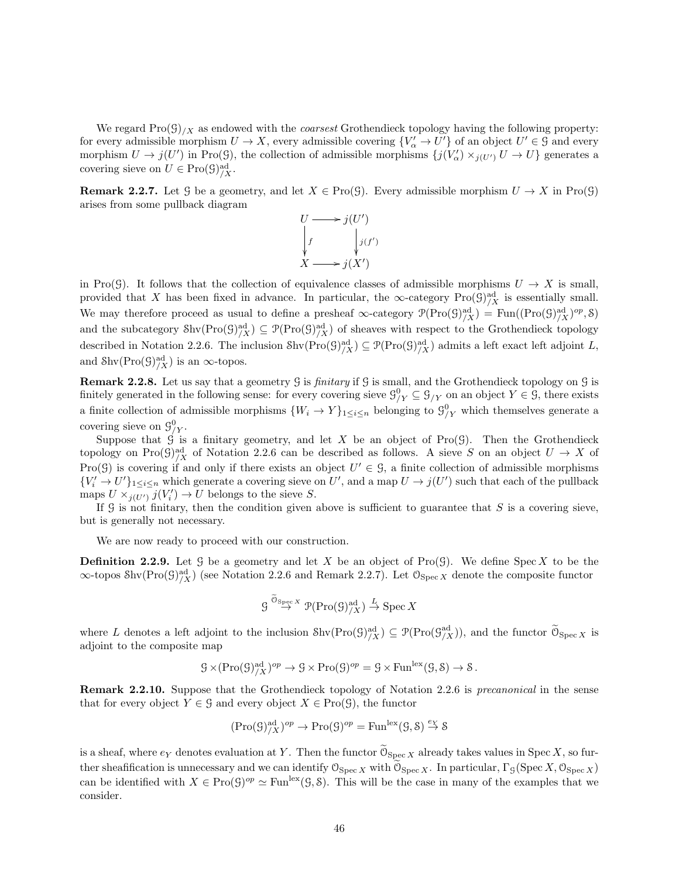We regard  $\text{Pro}(G)/X$  as endowed with the *coarsest* Grothendieck topology having the following property: for every admissible morphism  $U \to X$ , every admissible covering  ${V'_\alpha \to U'}$  of an object  $U' \in \mathcal{G}$  and every morphism  $U \to j(U')$  in Pro(G), the collection of admissible morphisms  $\{j(V'_\alpha) \times_{j(U')} U \to U\}$  generates a covering sieve on  $U \in \text{Pro}(\mathcal{G})_{/X}^{\text{ad}}$ .

**Remark 2.2.7.** Let G be a geometry, and let  $X \in \text{Pro}(\mathcal{G})$ . Every admissible morphism  $U \to X$  in Pro(G) arises from some pullback diagram



in Pro(G). It follows that the collection of equivalence classes of admissible morphisms  $U \to X$  is small, provided that X has been fixed in advance. In particular, the  $\infty$ -category Pro( $\mathcal{G}$ )<sup>ad</sup><sub>/X</sub> is essentially small. We may therefore proceed as usual to define a presheaf  $\infty$ -category  $\mathcal{P}(\text{Pro}(\mathcal{G})^{\text{ad}}_{/X}) = \text{Fun}((\text{Pro}(\mathcal{G})^{\text{ad}}_{/X})^{op}, \mathcal{S})$ and the subcategory  $\text{Shv}(\text{Pro}(\mathcal{G})^{\text{ad}}_{/X}) \subseteq \mathcal{P}(\text{Pro}(\mathcal{G})^{\text{ad}}_{/X})$  of sheaves with respect to the Grothendieck topology described in Notation 2.2.6. The inclusion  $\text{Shv}(\text{Pro}(\mathcal{G})^{\text{ad}}_{/X}) \subseteq \mathcal{P}(\text{Pro}(\mathcal{G})^{\text{ad}}_{/X})$  admits a left exact left adjoint L, and  $\text{Shv}(\text{Pro}(\mathcal{G})_{/X}^{\text{ad}})$  is an  $\infty$ -topos.

Remark 2.2.8. Let us say that a geometry G is *finitary* if G is small, and the Grothendieck topology on G is finitely generated in the following sense: for every covering sieve  $\mathcal{G}_{/Y}^0 \subseteq \mathcal{G}_{/Y}$  on an object  $Y \in \mathcal{G}$ , there exists a finite collection of admissible morphisms  $\{W_i \to Y\}_{1 \leq i \leq n}$  belonging to  $\mathcal{G}_{/Y}^0$  which themselves generate a covering sieve on  $\mathcal{G}_{/Y}^0$ .

Suppose that  $\hat{G}$  is a finitary geometry, and let X be an object of Pro( $G$ ). Then the Grothendieck topology on Pro $(\mathcal{G})^{\text{ad}}_{/X}$  of Notation 2.2.6 can be described as follows. A sieve S on an object  $U \to X$  of Pro(G) is covering if and only if there exists an object  $U' \in \mathcal{G}$ , a finite collection of admissible morphisms  ${V'_i \to U'}_{1 \leq i \leq n}$  which generate a covering sieve on U', and a map  $U \to j(U')$  such that each of the pullback maps  $U \times_{j(U')} U(V'_i) \to U$  belongs to the sieve S.

If  $G$  is not finitary, then the condition given above is sufficient to guarantee that  $S$  is a covering sieve, but is generally not necessary.

We are now ready to proceed with our construction.

**Definition 2.2.9.** Let G be a geometry and let X be an object of  $\text{Pro}(\mathcal{G})$ . We define  $\text{Spec } X$  to be the  $\infty$ -topos Shv $(Pro(g)^{ad}_{/X})$  (see Notation 2.2.6 and Remark 2.2.7). Let  $\mathcal{O}_{Spec X}$  denote the composite functor

$$
\mathcal{G} \overset{\widetilde{\mathcal{O}}_{\operatorname{Spec} X}}{\to} \mathcal{P}(\operatorname{Pro}(\mathcal{G})^{\operatorname{ad}}_{/X}) \overset{L}{\to} \operatorname{Spec} X
$$

where L denotes a left adjoint to the inclusion  $\text{Shv}(\text{Pro}(\mathcal{G})^{\text{ad}}_{/X}) \subseteq \mathcal{P}(\text{Pro}(\mathcal{G}^{\text{ad}}_{/X}))$ , and the functor  $\widetilde{\mathcal{O}}_{\text{Spec } X}$  is adjoint to the composite map

$$
\mathcal{G} \times (\mathrm{Pro}(\mathcal{G})^{\mathrm{ad}}_{/X})^{op} \to \mathcal{G} \times \mathrm{Pro}(\mathcal{G})^{op} = \mathcal{G} \times \mathrm{Fun}^{\mathrm{lex}}(\mathcal{G}, \mathcal{S}) \to \mathcal{S}.
$$

Remark 2.2.10. Suppose that the Grothendieck topology of Notation 2.2.6 is *precanonical* in the sense that for every object  $Y \in \mathcal{G}$  and every object  $X \in \text{Pro}(\mathcal{G})$ , the functor

$$
({\rm Pro}(\mathcal{G})^{{\rm ad}}_{/X})^{op}\to {\rm Pro}(\mathcal{G})^{op}={\rm Fun}^{{\rm lex}}(\mathcal{G},\mathcal{S})\stackrel{e_Y}\to \mathcal{S}
$$

is a sheaf, where  $e_Y$  denotes evaluation at Y. Then the functor  $0_{\text{Spec } X}$  already takes values in Spec X, so further sheafification is unnecessary and we can identify  $\mathcal{O}_{\text{Spec } X}$  with  $\mathcal{O}_{\text{Spec } X}$ . In particular,  $\Gamma_{\mathcal{G}}(\text{Spec } X, \mathcal{O}_{\text{Spec } X})$ can be identified with  $X \in \text{Pro}(\mathcal{G})^{op} \simeq \text{Fun}^{\text{lex}}(\mathcal{G}, \mathcal{S})$ . This will be the case in many of the examples that we consider.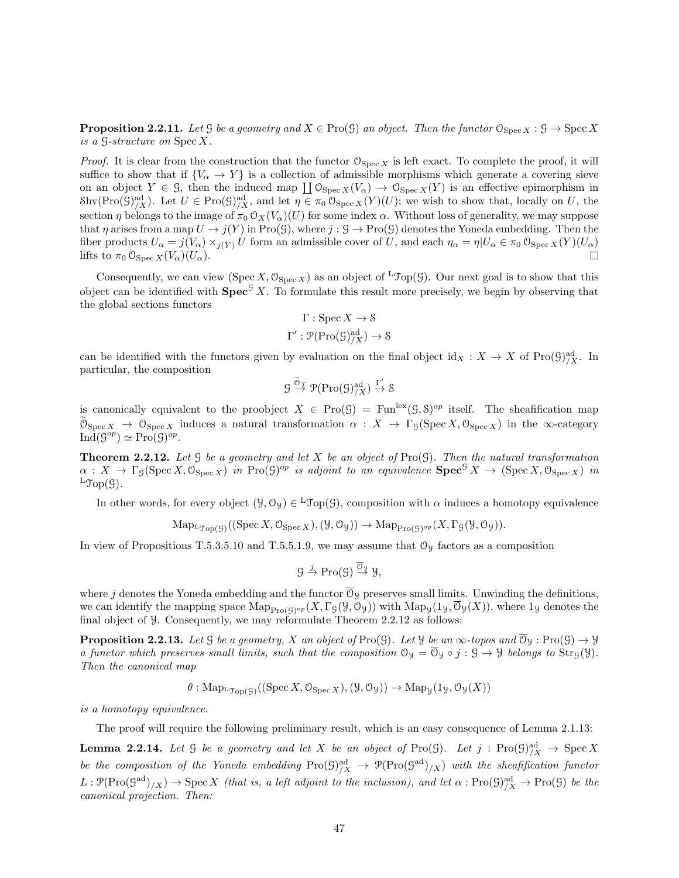**Proposition 2.2.11.** Let G be a geometry and  $X \in \text{Pro}(\mathcal{G})$  an object. Then the functor  $\mathcal{O}_{\text{Spec } X}: \mathcal{G} \to \text{Spec } X$ is a G-structure on Spec X.

*Proof.* It is clear from the construction that the functor  $\mathcal{O}_{\text{Spec } X}$  is left exact. To complete the proof, it will suffice to show that if  ${V_\alpha \to Y}$  is a collection of admissible morphisms which generate a covering sieve on an object  $Y \in \mathcal{G}$ , then the induced map  $\coprod \mathcal{O}_{\text{Spec } X}(V_\alpha) \to \mathcal{O}_{\text{Spec } X}(Y)$  is an effective epimorphism in  $\text{Shv}(\text{Pro}(\mathcal{G})^{\text{ad}}_{/X})$ . Let  $U \in \text{Pro}(\mathcal{G})^{\text{ad}}_{/X}$ , and let  $\eta \in \pi_0 \,\mathcal{O}_{\text{Spec } X}(Y)(U)$ ; we wish to show that, locally on U, the section  $\eta$  belongs to the image of  $\pi_0 \mathcal{O}_X(V_\alpha)(U)$  for some index  $\alpha$ . Without loss of generality, we may suppose that  $\eta$  arises from a map  $U \to j(Y)$  in Pro(G), where  $j : \mathcal{G} \to \text{Pro}(\mathcal{G})$  denotes the Yoneda embedding. Then the fiber products  $U_{\alpha} = j(V_{\alpha}) \times_{j(Y)} U$  form an admissible cover of U, and each  $\eta_{\alpha} = \eta | U_{\alpha} \in \pi_0 \mathcal{O}_{\text{Spec } X}(Y)(U_{\alpha})$ lifts to  $\pi_0 \mathfrak{O}_{\operatorname{Spec} X}(V_\alpha)(U_\alpha)$ .  $\Box$ 

Consequently, we can view (Spec X,  $\mathcal{O}_{\text{Spec } X}$ ) as an object of  ${}^{\text{L}}\mathcal{Top}(\mathcal{G})$ . Our next goal is to show that this object can be identified with  $\text{Spec}^{\mathcal{G}} X$ . To formulate this result more precisely, we begin by observing that the global sections functors

$$
\Gamma : \operatorname{Spec} X \to \mathcal{S}
$$

$$
\Gamma' : \mathcal{P}(\operatorname{Pro}(\mathcal{G})_{/X}^{\operatorname{ad}}) \to \mathcal{S}
$$

can be identified with the functors given by evaluation on the final object  $\mathrm{id}_X : X \to X$  of  $\mathrm{Pro}(\mathcal{G})^{\mathrm{ad}}_{/X}$ . In particular, the composition

$$
\mathcal{G} \stackrel{\widetilde{\mathcal{O}}_{\mathfrak{X}}}{\to} \mathcal{P}(\mathrm{Pro}(\mathcal{G})^{\mathrm{ad}}_{/X}) \stackrel{\Gamma'}{\to} \mathcal{S}
$$

is canonically equivalent to the proobject  $X \in \text{Pro}(\mathcal{G}) = \text{Fun}^{\text{lex}}(\mathcal{G}, \mathcal{S})^{op}$  itself. The sheafification map  $\mathcal{O}_{\text{Spec } X} \to \mathcal{O}_{\text{Spec } X}$  induces a natural transformation  $\alpha : X \to \Gamma_{\mathcal{G}}(\text{Spec } X, \mathcal{O}_{\text{Spec } X})$  in the  $\infty$ -category  $\mathrm{Ind}(\mathcal{G}^{op}) \simeq \mathrm{Pro}(\mathcal{G})^{op}.$ 

**Theorem 2.2.12.** Let  $G$  be a geometry and let  $X$  be an object of  $\text{Pro}(G)$ . Then the natural transformation  $\alpha: X \to \Gamma_{\mathcal{G}}(\operatorname{Spec} X, \mathcal{O}_{\operatorname{Spec} X})$  in  $\operatorname{Pro}(\mathcal{G})^{op}$  is adjoint to an equivalence  $\operatorname{Spec}^{\mathcal{G}} X \to (\operatorname{Spec} X, \mathcal{O}_{\operatorname{Spec} X})$  in  $L\text{Top}(\mathcal{G})$ .

In other words, for every object  $(\mathcal{Y}, \mathcal{O}_{\mathcal{Y}}) \in {}^L\mathcal{Top}(\mathcal{G})$ , composition with  $\alpha$  induces a homotopy equivalence

$$
\mathrm{Map}_{\mathrm{L}\mathfrak{Top}(\mathcal{G})}((\mathrm{Spec} X, \mathcal{O}_{\mathrm{Spec} X}), (\mathcal{Y}, \mathcal{O}_{\mathcal{Y}})) \to \mathrm{Map}_{\mathrm{Pro}(\mathcal{G})^{op}}(X, \Gamma_{\mathcal{G}}(\mathcal{Y}, \mathcal{O}_{\mathcal{Y}})).
$$

In view of Propositions T.5.3.5.10 and T.5.5.1.9, we may assume that  $\mathcal{O}_y$  factors as a composition

$$
\mathcal{G} \stackrel{j}{\to} \mathrm{Pro}(\mathcal{G}) \stackrel{\overline{\mathcal{O}}_{\mathcal{Y}}}{\to} \mathcal{Y},
$$

where j denotes the Yoneda embedding and the functor  $\overline{\mathcal{O}}_y$  preserves small limits. Unwinding the definitions, we can identify the mapping space  $\mathrm{Map}_{\mathrm{Pro}(\mathcal{G})^{op}}(X,\Gamma_{\mathcal{G}}(\mathcal{Y},\mathcal{O}_{\mathcal{Y}}))$  with  $\mathrm{Map}_{\mathcal{Y}}(1_{\mathcal{Y}},\mathcal{O}_{\mathcal{Y}}(X))$ , where  $1_{\mathcal{Y}}$  denotes the final object of Y. Consequently, we may reformulate Theorem 2.2.12 as follows:

**Proposition 2.2.13.** Let G be a geometry, X an object of Pro(G). Let  $\mathcal{Y}$  be an  $\infty$ -topos and  $\overline{\mathcal{O}}_{\mathcal{Y}}$ : Pro(G)  $\rightarrow \mathcal{Y}$ a functor which preserves small limits, such that the composition  $\mathcal{O}_y = \overline{\mathcal{O}}_y \circ j : \mathcal{G} \to \mathcal{Y}$  belongs to  $\text{Str}_{\mathcal{G}}(\mathcal{Y})$ . Then the canonical map

$$
\theta: \mathrm{Map}_{\mathrm{L}\mathfrak{Top}(\mathcal{G})}((\mathrm{Spec}\,X,\mathcal{O}_{\mathrm{Spec}\,X}),(\mathcal{Y},\mathcal{O}_{\mathcal{Y}})) \to \mathrm{Map}_{\mathcal{Y}}(\mathbb{1}_{\mathcal{Y}},\mathcal{O}_{\mathcal{Y}}(X))
$$

is a homotopy equivalence.

The proof will require the following preliminary result, which is an easy consequence of Lemma 2.1.13:

Lemma 2.2.14. Let G be a geometry and let X be an object of Pro(G). Let j : Pro(G) ad /X → Spec X be the composition of the Yoneda embedding  $\text{Pro}(\mathcal{G})^{\text{ad}}_{/X} \to \mathcal{P}(\text{Pro}(\mathcal{G}^{\text{ad}})_{/X})$  with the sheafification functor  $L : \mathcal{P}(\text{Pro}(\mathcal{G}^{\text{ad}})/X) \to \text{Spec } X$  (that is, a left adjoint to the inclusion), and let  $\alpha : \text{Pro}(\mathcal{G})^{\text{ad}}_{/X} \to \text{Pro}(\mathcal{G})$  be the canonical projection. Then: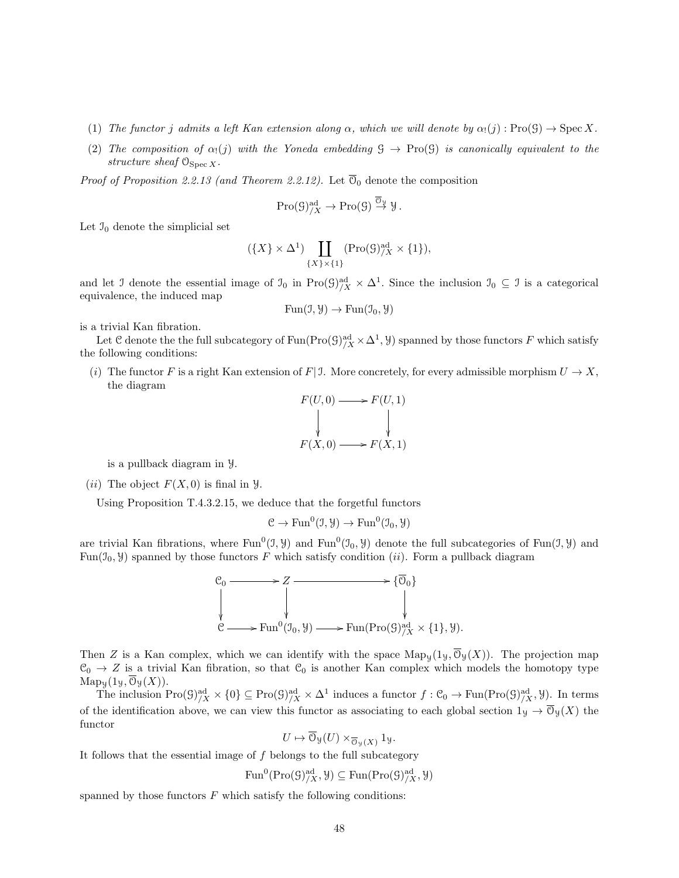- (1) The functor j admits a left Kan extension along  $\alpha$ , which we will denote by  $\alpha_1(j) : \text{Pro}(\mathcal{G}) \to \text{Spec } X$ .
- (2) The composition of  $\alpha_1(j)$  with the Yoneda embedding  $\mathcal{G} \to \text{Pro}(\mathcal{G})$  is canonically equivalent to the structure sheaf  $\mathcal{O}_{\text{Spec } X}$ .

*Proof of Proposition 2.2.13 (and Theorem 2.2.12).* Let  $\overline{\mathcal{O}}_0$  denote the composition

$$
\mathrm{Pro}(\mathcal{G})^{\mathrm{ad}}_{/X} \to \mathrm{Pro}(\mathcal{G}) \stackrel{\overline{\mathcal{O}}_{\mathcal{Y}}}{\to} \mathcal{Y}.
$$

Let  $\mathfrak{I}_0$  denote the simplicial set

$$
(\{X\} \times \Delta^1) \coprod_{\{X\} \times \{1\}} (\text{Pro}(\mathcal{G})^{\text{ad}}_{/X} \times \{1\}),
$$

and let J denote the essential image of  $\mathfrak{I}_0$  in Pro $(\mathfrak{G})^{\text{ad}}_{/X} \times \Delta^1$ . Since the inclusion  $\mathfrak{I}_0 \subseteq \mathfrak{I}$  is a categorical equivalence, the induced map

$$
Fun(\mathcal{I}, \mathcal{Y}) \to Fun(\mathcal{I}_0, \mathcal{Y})
$$

is a trivial Kan fibration.

Let C denote the the full subcategory of  $\text{Fun}(\text{Pro}(\mathcal{G})^{\text{ad}}_{/X} \times \Delta^1, \mathcal{Y})$  spanned by those functors F which satisfy the following conditions:

(i) The functor F is a right Kan extension of F| J. More concretely, for every admissible morphism  $U \to X$ , the diagram

$$
F(U,0) \longrightarrow F(U,1)
$$
  
\n
$$
\downarrow \qquad \qquad \downarrow
$$
  
\n
$$
F(X,0) \longrightarrow F(X,1)
$$

is a pullback diagram in Y.

(*ii*) The object  $F(X, 0)$  is final in  $\mathcal{Y}$ .

Using Proposition T.4.3.2.15, we deduce that the forgetful functors

$$
\mathcal{C} \to \mathrm{Fun}^0(\mathfrak{I}, \mathcal{Y}) \to \mathrm{Fun}^0(\mathfrak{I}_0, \mathcal{Y})
$$

are trivial Kan fibrations, where  $Fun^0(1, Y)$  and  $Fun^0(1, Y)$  denote the full subcategories of  $Fun(1, Y)$  and Fun( $\mathfrak{I}_0$ ,  $\mathfrak{Y}$ ) spanned by those functors F which satisfy condition (*ii*). Form a pullback diagram



Then Z is a Kan complex, which we can identify with the space  $\operatorname{Map}_y(1_y, \overline{O}_y(X))$ . The projection map  $\mathcal{C}_0 \to Z$  is a trivial Kan fibration, so that  $\mathcal{C}_0$  is another Kan complex which models the homotopy type  $\operatorname{Map}_{\mathcal{Y}}(1_{\mathcal{Y}}, \mathcal{O}_{\mathcal{Y}}(X)).$ 

The inclusion  $\text{Pro}(\mathcal{G})^{\text{ad}}_{/X} \times \{0\} \subseteq \text{Pro}(\mathcal{G})^{\text{ad}}_{/X} \times \Delta^1$  induces a functor  $f: \mathcal{C}_0 \to \text{Fun}(\text{Pro}(\mathcal{G})^{\text{ad}}_{/X}, \mathcal{Y})$ . In terms of the identification above, we can view this functor as associating to each global section  $1_y \to \overline{\mathcal{O}}_y(X)$  the functor

$$
U \mapsto \mathcal{O}_{\mathcal{Y}}(U) \times_{\overline{\mathcal{O}}_{\mathcal{Y}}(X)} 1_{\mathcal{Y}}.
$$

It follows that the essential image of  $f$  belongs to the full subcategory

$$
\text{Fun}^0(\text{Pro}(\mathcal{G})_{/X}^{\text{ad}}, \mathcal{Y}) \subseteq \text{Fun}(\text{Pro}(\mathcal{G})_{/X}^{\text{ad}}, \mathcal{Y})
$$

spanned by those functors  $F$  which satisfy the following conditions: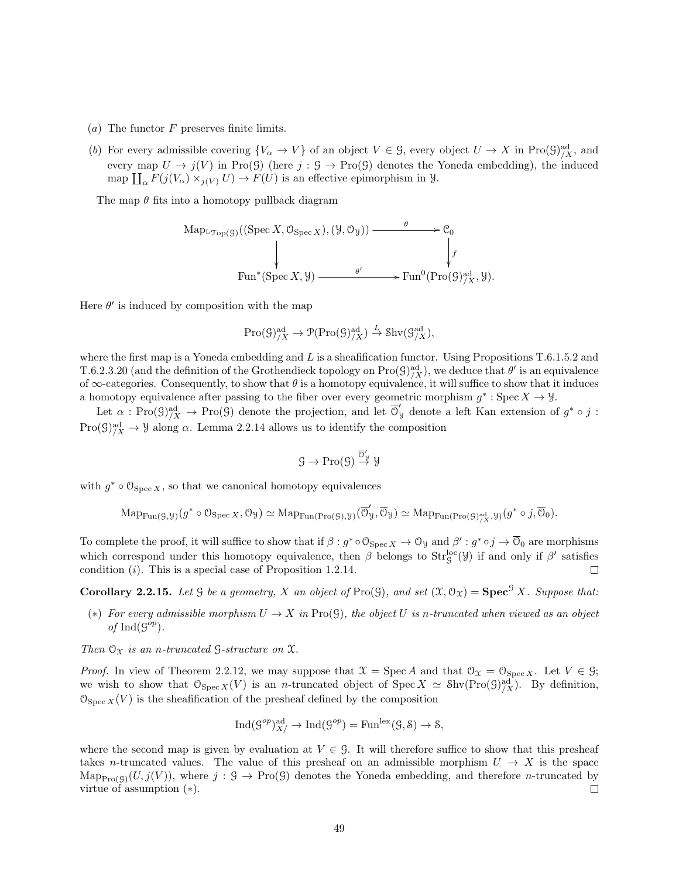- (a) The functor  $F$  preserves finite limits.
- (b) For every admissible covering  $\{V_{\alpha} \to V\}$  of an object  $V \in \mathcal{G}$ , every object  $U \to X$  in Pro $(\mathcal{G})_{/X}^{\mathrm{ad}}$ , and every map  $U \to j(V)$  in Pro(G) (here  $j : \mathcal{G} \to \text{Pro}(\mathcal{G})$  denotes the Yoneda embedding), the induced map  $\prod_{\alpha} F(j(V_{\alpha}) \times_{j(V)} U) \to F(U)$  is an effective epimorphism in  $\mathcal{Y}$ .

The map  $\theta$  fits into a homotopy pullback diagram

Map<sub>LTop(G)</sub>((Spec X, O<sub>Spec X</sub>), (Y, O<sub>y</sub>)) 
$$
\xrightarrow{\theta}
$$
  $\downarrow$   $\downarrow$   
\n
$$
\downarrow
$$
 Fun<sup>\*</sup>(Spec X, Y)  $\xrightarrow{\theta'}$  Fun<sup>0</sup>(Pro(G)<sup>ad</sup><sub>/X</sub>, Y).

Here  $\theta'$  is induced by composition with the map

$$
\mathrm{Pro}(\mathcal{G})^{\mathrm{ad}}_{/X} \to \mathcal{P}(\mathrm{Pro}(\mathcal{G})^{\mathrm{ad}}_{/X}) \xrightarrow{L} \mathrm{Shv}(\mathcal{G}_{/X}^{\mathrm{ad}}),
$$

where the first map is a Yoneda embedding and  $L$  is a sheafification functor. Using Propositions T.6.1.5.2 and T.6.2.3.20 (and the definition of the Grothendieck topology on  $\text{Pro}(\mathcal{G})^{\text{ad}}_{/X}$ ), we deduce that  $\theta'$  is an equivalence of  $\infty$ -categories. Consequently, to show that  $\theta$  is a homotopy equivalence, it will suffice to show that it induces a homotopy equivalence after passing to the fiber over every geometric morphism  $g^*$ : Spec  $X \to \mathcal{Y}$ .

Let  $\alpha : \text{Pro}(\mathcal{G})_{/X}^{\text{ad}} \to \text{Pro}(\mathcal{G})$  denote the projection, and let  $\overline{\mathcal{O}}_{\mathcal{Y}}'$  denote a left Kan extension of  $g^* \circ j$ :  $\text{Pro}(\mathcal{G})^{\text{ad}}_{/X} \to \mathcal{Y}$  along  $\alpha$ . Lemma 2.2.14 allows us to identify the composition

$$
\mathcal{G}\to\mathrm{Pro}(\mathcal{G})\stackrel{\overline{\mathcal{O}}_{\mathcal{Y}}'}{\to}\mathcal{Y}
$$

with  $g^* \circ \mathcal{O}_{\text{Spec } X}$ , so that we canonical homotopy equivalences

$$
\mathrm{Map}_{\mathrm{Fun}(\mathcal{G}, \mathcal{Y})}(g^* \circ \mathcal{O}_{\mathrm{Spec} X}, \mathcal{O}_{\mathcal{Y}}) \simeq \mathrm{Map}_{\mathrm{Fun}(\mathrm{Pro}(\mathcal{G}), \mathcal{Y})}(\overline{\mathcal{O}}'_{\mathcal{Y}}, \overline{\mathcal{O}}_{\mathcal{Y}}) \simeq \mathrm{Map}_{\mathrm{Fun}(\mathrm{Pro}(\mathcal{G})_{/X}^{\mathrm{ad}}, \mathcal{Y})}(g^* \circ j, \overline{\mathcal{O}}_0).
$$

To complete the proof, it will suffice to show that if  $\beta:g^*\circ \mathcal{O}_{\text{Spec } X} \to \mathcal{O}_y$  and  $\beta': g^*\circ j \to \overline{\mathcal{O}}_0$  are morphisms which correspond under this homotopy equivalence, then  $\beta$  belongs to  $Str_g^{loc}(\mathcal{Y})$  if and only if  $\beta'$  satisfies condition  $(i)$ . This is a special case of Proposition 1.2.14.  $\Box$ 

**Corollary 2.2.15.** Let G be a geometry, X an object of Pro(G), and set  $(\mathfrak{X}, \mathcal{O}_{\mathfrak{X}}) = \mathbf{Spec}^{\mathcal{G}} X$ . Suppose that:

(\*) For every admissible morphism  $U \to X$  in Pro(9), the object U is n-truncated when viewed as an object of Ind $(\mathcal{G}^{op})$ .

Then  $\mathcal{O}_{\mathfrak{X}}$  is an n-truncated  $\mathcal{G}$ -structure on  $\mathfrak{X}$ .

*Proof.* In view of Theorem 2.2.12, we may suppose that  $\mathcal{X} = \text{Spec } A$  and that  $\mathcal{O}_{\mathcal{X}} = \mathcal{O}_{\text{Spec } X}$ . Let  $V \in \mathcal{G}$ ; we wish to show that  $\mathcal{O}_{\text{Spec } X}(V)$  is an *n*-truncated object of  $\text{Spec } X \simeq \text{Shv}(\text{Pro}(\mathcal{G})_{/X}^{\text{ad}})$ . By definition,  $\mathcal{O}_{\text{Spec } X}(V)$  is the sheafification of the presheaf defined by the composition

$$
\mathrm{Ind}(\mathcal{G}^{op})^{\mathrm{ad}}_{X/} \to \mathrm{Ind}(\mathcal{G}^{op}) = \mathrm{Fun}^{\mathrm{lex}}(\mathcal{G}, \mathcal{S}) \to \mathcal{S},
$$

where the second map is given by evaluation at  $V \in \mathcal{G}$ . It will therefore suffice to show that this presheaf takes n-truncated values. The value of this presheaf on an admissible morphism  $U \to X$  is the space  $\text{Map}_{\text{Pro}(\mathcal{G})}(U, j(V))$ , where  $j : \mathcal{G} \to \text{Pro}(\mathcal{G})$  denotes the Yoneda embedding, and therefore *n*-truncated by virtue of assumption (∗).  $\Box$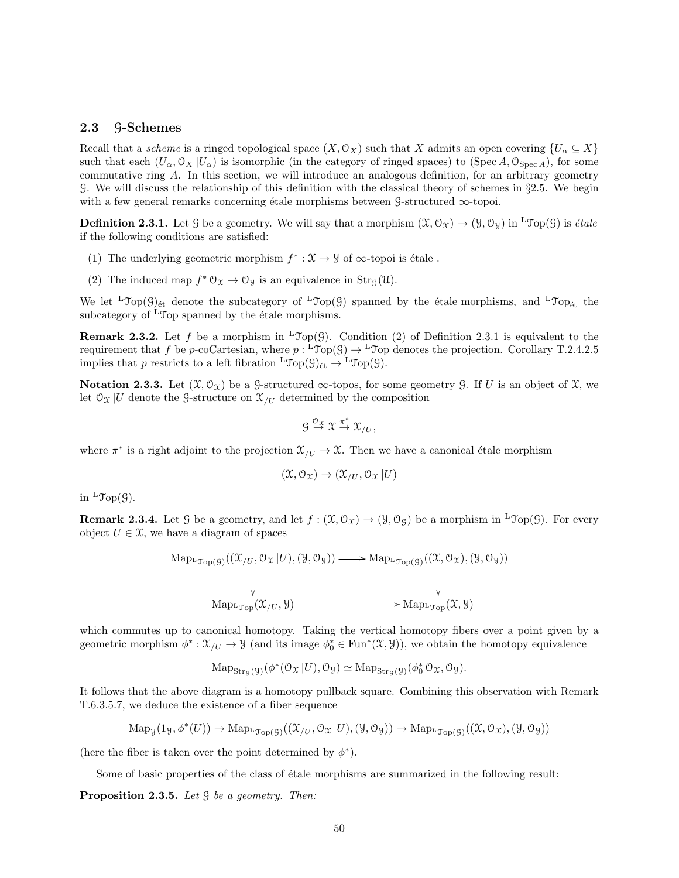# 2.3 G-Schemes

Recall that a *scheme* is a ringed topological space  $(X, \mathcal{O}_X)$  such that X admits an open covering  $\{U_\alpha \subseteq X\}$ such that each  $(U_\alpha, \mathcal{O}_X | U_\alpha)$  is isomorphic (in the category of ringed spaces) to (Spec A,  $\mathcal{O}_{\text{Spec }A}$ ), for some commutative ring A. In this section, we will introduce an analogous definition, for an arbitrary geometry G. We will discuss the relationship of this definition with the classical theory of schemes in §2.5. We begin with a few general remarks concerning étale morphisms between G-structured  $\infty$ -topoi.

**Definition 2.3.1.** Let G be a geometry. We will say that a morphism  $(\mathcal{X}, \mathcal{O}_{\mathcal{X}}) \to (\mathcal{Y}, \mathcal{O}_{\mathcal{Y}})$  in <sup>L</sup>Top(G) is *étale* if the following conditions are satisfied:

- (1) The underlying geometric morphism  $f^* : \mathfrak{X} \to \mathcal{Y}$  of  $\infty$ -topoi is étale.
- (2) The induced map  $f^* \mathcal{O}_\mathfrak{X} \to \mathcal{O}_\mathfrak{Y}$  is an equivalence in  $\text{Str}_\mathfrak{G}(\mathfrak{U})$ .

We let <sup>L</sup>Top(G)<sub> $\acute{e}t$ </sub> denote the subcategory of <sup>L</sup>Top(G) spanned by the étale morphisms, and <sup>L</sup>Top<sub>ét</sub> the subcategory of  ${}^{L}$ Top spanned by the étale morphisms.

**Remark 2.3.2.** Let f be a morphism in <sup>L</sup>Top(G). Condition (2) of Definition 2.3.1 is equivalent to the requirement that f be p-coCartesian, where  $p: {}^{\mathsf{L}} \mathfrak{Top}(\mathcal{G}) \to {}^{\mathsf{L}} \mathfrak{Top}$  denotes the projection. Corollary T.2.4.2.5 implies that p restricts to a left fibration  ${}^L\mathcal{T}_{\text{op}}(\mathcal{G})_{\text{\'et}} \to {}^L\mathcal{T}_{\text{op}}(\mathcal{G})$ .

Notation 2.3.3. Let  $(\mathfrak{X}, \mathcal{O}_{\mathfrak{X}})$  be a G-structured  $\infty$ -topos, for some geometry G. If U is an object of X, we let  $\mathfrak{O}_{\mathfrak{X}}|U$  denote the G-structure on  $\mathfrak{X}_{U}$  determined by the composition

$$
g \stackrel{\sigma_{\mathfrak{X}}}{\rightarrow} \mathfrak{X} \stackrel{\pi^*}{\rightarrow} \mathfrak{X}_{/U},
$$

where  $\pi^*$  is a right adjoint to the projection  $\mathfrak{X}_{/U} \to \mathfrak{X}$ . Then we have a canonical étale morphism

$$
(\mathfrak{X}, \mathfrak{O}_{\mathfrak{X}}) \to (\mathfrak{X}_{/U}, \mathfrak{O}_{\mathfrak{X}} | U)
$$

in  ${}^{\mathrm{L}}\mathcal{T}\mathrm{op}(\mathcal{G})$ .

**Remark 2.3.4.** Let G be a geometry, and let  $f : (\mathfrak{X}, \mathcal{O}_{\mathfrak{X}}) \to (\mathcal{Y}, \mathcal{O}_{\mathfrak{G}})$  be a morphism in <sup>L</sup>Top(G). For every object  $U \in \mathcal{X}$ , we have a diagram of spaces

Map<sub>L<sub>Top</sub>(g)</sub>
$$
((\mathcal{X}_{/U}, \mathcal{O}_{\mathcal{X}} | U), (\mathcal{Y}, \mathcal{O}_{\mathcal{Y}})) \longrightarrow \mathrm{MapLTop(g) $((\mathcal{X}, \mathcal{O}_{\mathcal{X}}), (\mathcal{Y}, \mathcal{O}_{\mathcal{Y}}))$   
\n
$$
\downarrow \qquad \qquad \downarrow
$$
\nMap<sub>L<sub>Top</sub></sub>(\mathcal{X}_{/U}, \mathcal{Y}) \longrightarrow \mathrm{Map<sub>L<sub>Top</sub></sub>(\mathcal{X}, \mathcal{Y})
$$

which commutes up to canonical homotopy. Taking the vertical homotopy fibers over a point given by a geometric morphism  $\phi^*: \mathfrak{X}_{/U} \to \mathfrak{Y}$  (and its image  $\phi_0^* \in \text{Fun}^*(\mathfrak{X}, \mathfrak{Y})$ ), we obtain the homotopy equivalence

$$
\mathrm{Map}_{\mathrm{Str}_{\mathcal{G}}(\mathcal{Y})}(\phi^*(\mathcal{O}_{\mathcal{X}}|U), \mathcal{O}_{\mathcal{Y}}) \simeq \mathrm{Map}_{\mathrm{Str}_{\mathcal{G}}(\mathcal{Y})}(\phi_0^*\mathcal{O}_{\mathcal{X}}, \mathcal{O}_{\mathcal{Y}}).
$$

It follows that the above diagram is a homotopy pullback square. Combining this observation with Remark T.6.3.5.7, we deduce the existence of a fiber sequence

$$
\mathrm{Map}_{\mathcal{Y}}(1_{\mathcal{Y}}, \phi^*(U)) \to \mathrm{Map}_{{}^{\mathcal{F}}\mathrm{op}(\mathcal{G})}((\mathcal{X}_{/U}, \mathcal{O}_{\mathcal{X}} | U), (\mathcal{Y}, \mathcal{O}_{\mathcal{Y}})) \to \mathrm{Map}_{{}^{\mathcal{F}}\mathrm{op}(\mathcal{G})}((\mathcal{X}, \mathcal{O}_{\mathcal{X}}), (\mathcal{Y}, \mathcal{O}_{\mathcal{Y}}))
$$

(here the fiber is taken over the point determined by  $\phi^*$ ).

Some of basic properties of the class of étale morphisms are summarized in the following result:

**Proposition 2.3.5.** Let  $\mathcal G$  be a geometry. Then: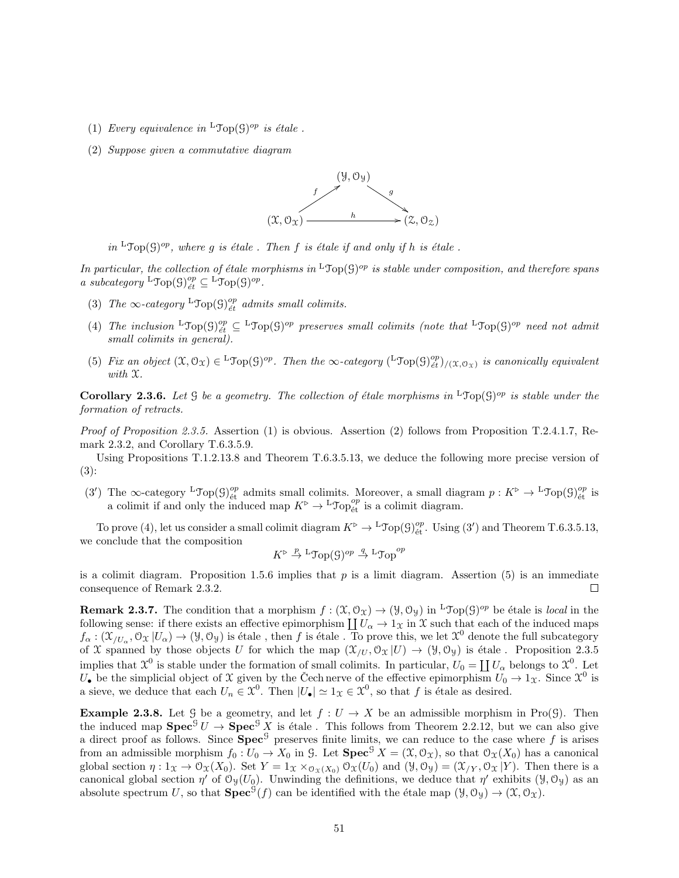- (1) Every equivalence in  ${}^{\text{L}}\text{Top}(\mathcal{G})^{op}$  is étale.
- (2) Suppose given a commutative diagram



in <sup>L</sup>Top(G)<sup>op</sup>, where g is étale. Then f is étale if and only if h is étale.

In particular, the collection of étale morphisms in <sup>L</sup>Top(G)<sup>op</sup> is stable under composition, and therefore spans a subcategory  ${}^{\text{L}}\text{Top}(\mathcal{G})_{\acute{e}t}^{op} \subseteq {}^{\text{L}}\text{Top}(\mathcal{G})^{op}.$ 

- (3) The  $\infty$ -category <sup>L</sup>Top(9)<sup>op</sup><sub>ét</sub> admits small colimits.
- (4) The inclusion  ${}^{\text{L}}\text{Top}(\mathcal{G})_{\text{\'et}}^{\text{op}} \subseteq {}^{\text{L}}\text{Top}(\mathcal{G})^{\text{op}}$  preserves small colimits (note that  ${}^{\text{L}}\text{Top}(\mathcal{G})^{\text{op}}$  need not admit small colimits in general).
- (5) Fix an object  $(\mathfrak{X}, \mathcal{O}_{\mathfrak{X}}) \in {}^{\mathbf{L}}\mathcal{Top}(\mathcal{G})^{op}$ . Then the  $\infty$ -category  $({}^{\mathbf{L}}\mathcal{Top}(\mathcal{G})^{op}_{\acute{e}t})_{/(\mathfrak{X}, \mathcal{O}_{\mathfrak{X}})}$  is canonically equivalent with X.

**Corollary 2.3.6.** Let  $\mathcal G$  be a geometry. The collection of étale morphisms in <sup>L</sup>Top( $\mathcal G$ )<sup>op</sup> is stable under the formation of retracts.

*Proof of Proposition 2.3.5.* Assertion (1) is obvious. Assertion (2) follows from Proposition T.2.4.1.7, Remark 2.3.2, and Corollary T.6.3.5.9.

Using Propositions T.1.2.13.8 and Theorem T.6.3.5.13, we deduce the following more precise version of (3):

(3') The  $\infty$ -category <sup>L</sup>Top( $\mathfrak{G}\}^{op}_{\text{\'et}}$  admits small colimits. Moreover, a small diagram  $p: K^{\triangleright} \to {}^{\mathsf{L}}$ Top( $\mathfrak{G}\}^{op}_{\text{\'et}}$  is a colimit if and only the induced map  $K^{\triangleright} \to {}^{\mathsf{L}} \mathcal{J} \mathsf{op}^{op}_{\text{\'et}}$  is a colimit diagram.

To prove (4), let us consider a small colimit diagram  $K^{\triangleright} \to {}^{\mathsf{L}} \mathfrak{Top}(\mathcal{G})^{\mathit{op}}_{\text{\'et}}$ . Using (3') and Theorem T.6.3.5.13, we conclude that the composition

$$
K^{\triangleright} \stackrel{p}{\to} {}^{\mathrm{L}} \mathfrak{Top}(\mathcal{G})^{op} \stackrel{q}{\to} {}^{\mathrm{L}} \mathfrak{Top}^{op}
$$

is a colimit diagram. Proposition 1.5.6 implies that  $p$  is a limit diagram. Assertion  $(5)$  is an immediate consequence of Remark 2.3.2.  $\Box$ 

**Remark 2.3.7.** The condition that a morphism  $f : (\mathfrak{X}, \mathcal{O}_{\mathfrak{X}}) \to (\mathcal{Y}, \mathcal{O}_{\mathcal{Y}})$  in <sup>L</sup>Top(G)<sup>op</sup> be étale is *local* in the following sense: if there exists an effective epimorphism  $\coprod U_\alpha \to 1_X$  in X such that each of the induced maps  $f_{\alpha}: (\mathfrak{X}_{/U_{\alpha}}, \mathfrak{O}_{\mathfrak{X}} | U_{\alpha}) \to (\mathcal{Y}, \mathfrak{O}_{\mathcal{Y}})$  is étale , then f is étale . To prove this, we let  $\mathfrak{X}^0$  denote the full subcategory of X spanned by those objects U for which the map  $(\mathfrak{X}_{/U}, \mathfrak{O}_{\mathfrak{X}} |U) \to (\mathfrak{Y}, \mathfrak{O}_{\mathfrak{Y}})$  is étale. Proposition 2.3.5 implies that  $\mathfrak{X}^0$  is stable under the formation of small colimits. In particular,  $U_0 = \coprod U_\alpha$  belongs to  $\mathfrak{X}^0$ . Let  $U_{\bullet}$  be the simplicial object of X given by the Cech nerve of the effective epimorphism  $U_0 \to 1_X$ . Since  $\mathcal{X}^0$  is a sieve, we deduce that each  $U_n \in \mathcal{X}^0$ . Then  $|U_{\bullet}| \simeq 1_{\mathcal{X}} \in \mathcal{X}^0$ , so that f is étale as desired.

**Example 2.3.8.** Let G be a geometry, and let  $f: U \to X$  be an admissible morphism in Pro(G). Then the induced map  $\text{Spec}^{\mathcal{G}} U \to \text{Spec}^{\mathcal{G}} X$  is étale. This follows from Theorem 2.2.12, but we can also give a direct proof as follows. Since  $\text{Spec}^{\mathcal{G}}$  preserves finite limits, we can reduce to the case where f is arises from an admissible morphism  $f_0 : U_0 \to X_0$  in G. Let  $\text{Spec}^{\mathcal{G}} X = (\mathfrak{X}, \mathcal{O}_{\mathfrak{X}})$ , so that  $\mathcal{O}_{\mathfrak{X}}(X_0)$  has a canonical global section  $\eta: 1_X \to \mathcal{O}_X(X_0)$ . Set  $Y = 1_X \times_{\mathcal{O}_X(X_0)} \mathcal{O}_X(U_0)$  and  $(\mathcal{Y}, \mathcal{O}_Y) = (\mathcal{X}_{/Y}, \mathcal{O}_X | Y)$ . Then there is a canonical global section  $\eta'$  of  $\mathcal{O}_{\mathcal{Y}}(U_0)$ . Unwinding the definitions, we deduce that  $\eta'$  exhibits  $(\mathcal{Y}, \mathcal{O}_{\mathcal{Y}})$  as an absolute spectrum U, so that  $\text{Spec}^{\mathcal{G}}(f)$  can be identified with the étale map  $(\mathcal{Y}, \mathcal{O}_{\mathcal{Y}}) \to (\mathcal{X}, \mathcal{O}_{\mathcal{X}})$ .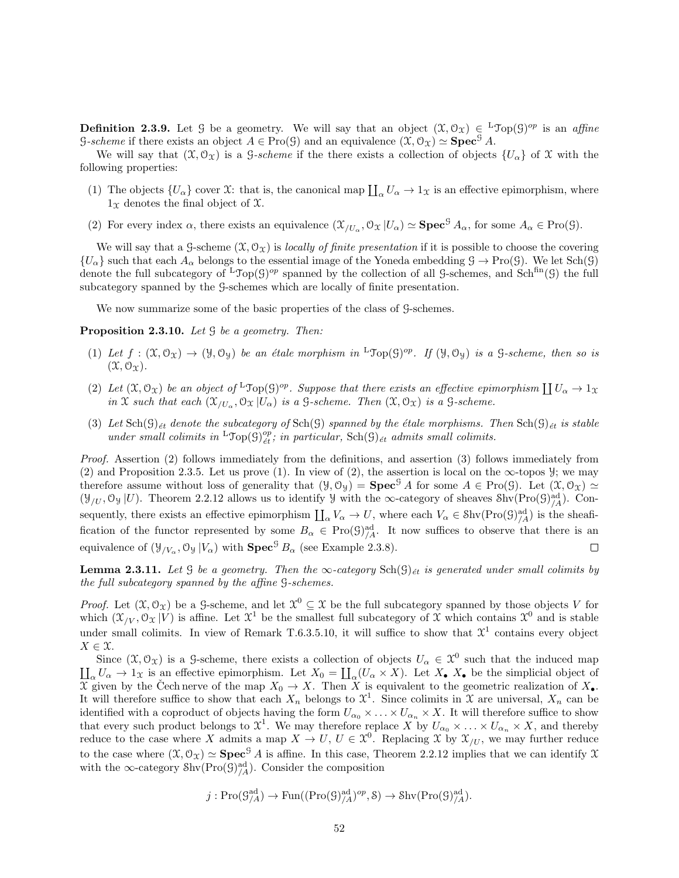**Definition 2.3.9.** Let G be a geometry. We will say that an object  $(\mathfrak{X}, \mathcal{O}_{\mathfrak{X}}) \in {}^{\mathsf{L}}\mathfrak{Top}(\mathcal{G})^{op}$  is an affine G-scheme if there exists an object  $A \in \text{Pro}(\mathcal{G})$  and an equivalence  $(\mathcal{X}, \mathcal{O}_{\mathcal{X}}) \simeq$  Spec<sup>G</sup> A.

We will say that  $(\mathfrak{X}, \mathfrak{O}_{\mathfrak{X}})$  is a *G-scheme* if the there exists a collection of objects  $\{U_{\alpha}\}\;$  of X with the following properties:

- (1) The objects  $\{U_{\alpha}\}\right\}$  cover X: that is, the canonical map  $\prod_{\alpha} U_{\alpha} \to 1_{\mathfrak{X}}\$  is an effective epimorphism, where  $1\chi$  denotes the final object of  $\mathfrak X.$
- (2) For every index  $\alpha$ , there exists an equivalence  $(\mathfrak{X}_{/U_{\alpha}}, \mathfrak{O}_{\mathfrak{X}} | U_{\alpha}) \simeq \mathbf{Spec}^{\mathcal{G}} A_{\alpha}$ , for some  $A_{\alpha} \in \text{Pro}(\mathcal{G})$ .

We will say that a G-scheme  $(\mathfrak{X}, \mathcal{O}_{\mathfrak{X}})$  is locally of finite presentation if it is possible to choose the covering  ${U_\alpha}$  such that each  $A_\alpha$  belongs to the essential image of the Yoneda embedding  $\beta \to \text{Pro}(\beta)$ . We let Sch $(\beta)$ denote the full subcategory of  ${}^L\mathcal{Top}(\mathcal{G})^{op}$  spanned by the collection of all G-schemes, and Sch<sup>fin</sup>(G) the full subcategory spanned by the G-schemes which are locally of finite presentation.

We now summarize some of the basic properties of the class of  $\mathcal G$ -schemes.

**Proposition 2.3.10.** Let  $\mathcal G$  be a geometry. Then:

- (1) Let  $f: (\mathfrak{X}, \mathcal{O}_{\mathfrak{X}}) \to (\mathcal{Y}, \mathcal{O}_{\mathcal{Y}})$  be an étale morphism in  ${}^{\mathbb{L}} \mathfrak{Top}(\mathcal{G})^{op}$ . If  $(\mathcal{Y}, \mathcal{O}_{\mathcal{Y}})$  is a  $\mathcal{G}\text{-scheme}$ , then so is  $(\mathfrak{X}, \mathfrak{O}_\Upsilon).$
- (2) Let  $(\mathfrak{X}, \mathfrak{O}_{\mathfrak{X}})$  be an object of  ${}^{\mathsf{L}}\mathcal{T}\mathrm{op}(\mathfrak{G})^{\mathrm{op}}$ . Suppose that there exists an effective epimorphism  $\coprod U_{\alpha} \to 1_{\mathfrak{X}}$ in X such that each  $(\mathfrak{X}_{/U_{\alpha}}, \mathfrak{O}_{\mathfrak{X}} | U_{\alpha})$  is a  $\mathfrak{S}\text{-}scheme.$  Then  $(\mathfrak{X}, \mathfrak{O}_{\mathfrak{X}})$  is a  $\mathfrak{S}\text{-}scheme.$
- (3) Let  $\text{Sch}(\mathcal{G})_{\text{\'{e}t}}$  denote the subcategory of  $\text{Sch}(\mathcal{G})$  spanned by the étale morphisms. Then  $\text{Sch}(\mathcal{G})_{\text{\'{e}t}}$  is stable under small colimits in  ${}^{L}\text{Top}(\mathcal{G})_{\acute{e}t}^{op}$ , in particular,  $\text{Sch}(\mathcal{G})_{\acute{e}t}$  admits small colimits.

Proof. Assertion (2) follows immediately from the definitions, and assertion (3) follows immediately from (2) and Proposition 2.3.5. Let us prove (1). In view of (2), the assertion is local on the  $\infty$ -topos  $\mathcal{Y}$ ; we may therefore assume without loss of generality that  $(\mathcal{Y}, \mathcal{O}_{\mathcal{Y}}) = \mathbf{Spec}^{\mathcal{G}} A$  for some  $A \in \text{Pro}(\mathcal{G})$ . Let  $(\mathcal{X}, \mathcal{O}_{\mathcal{X}}) \simeq$  $(\mathcal{Y}_{/U}, \mathcal{O}_{\mathcal{Y}} | U)$ . Theorem 2.2.12 allows us to identify  $\mathcal{Y}$  with the  $\infty$ -category of sheaves Shv $(Pro(\mathcal{G})^{\text{ad}}_{/A})$ . Consequently, there exists an effective epimorphism  $\coprod_{\alpha} V_{\alpha} \to U$ , where each  $V_{\alpha} \in \text{Shv}(\text{Pro}(\mathcal{G})^{\text{ad}}_{/A})$  is the sheafification of the functor represented by some  $B_{\alpha} \in \text{Pro}(\mathcal{G})^{\text{ad}}_{/A}$ . It now suffices to observe that there is an equivalence of  $(\mathcal{Y}_{/V_{\alpha}}, \mathcal{O}_{\mathcal{Y}} | V_{\alpha})$  with  $\mathbf{Spec}^{\mathcal{G}} B_{\alpha}$  (see Example 2.3.8).  $\Box$ 

**Lemma 2.3.11.** Let G be a geometry. Then the  $\infty$ -category  $\text{Sch}(\mathcal{G})_{\acute{e}t}$  is generated under small colimits by the full subcategory spanned by the affine G-schemes.

*Proof.* Let  $(\mathfrak{X}, \mathcal{O}_{\mathfrak{X}})$  be a G-scheme, and let  $\mathfrak{X}^0 \subseteq \mathfrak{X}$  be the full subcategory spanned by those objects V for which  $(\mathfrak{X}_{/V}, \mathfrak{O}_{\mathfrak{X}} | V)$  is affine. Let  $\mathfrak{X}^1$  be the smallest full subcategory of  $\mathfrak{X}$  which contains  $\mathfrak{X}^0$  and is stable under small colimits. In view of Remark T.6.3.5.10, it will suffice to show that  $\mathcal{X}^1$  contains every object  $X \in \mathfrak{X}$ .

Since  $(\mathfrak{X}, \mathcal{O}_{\mathfrak{X}})$  is a G-scheme, there exists a collection of objects  $U_{\alpha} \in \mathfrak{X}^0$  such that the induced map  $\prod_{\alpha} U_{\alpha} \to 1_{\mathfrak{X}}$  is an effective epimorphism. Let  $X_0 = \prod_{\alpha} (U_{\alpha} \times X)$ . Let  $X_{\bullet}$  X<sub>\*</sub> be the simplicial object of  $\overline{X}$  given by the Cech nerve of the map  $X_0 \to X$ . Then X is equivalent to the geometric realization of  $X_{\bullet}$ . It will therefore suffice to show that each  $X_n$  belongs to  $\mathfrak{X}^1$ . Since colimits in  $\mathfrak{X}$  are universal,  $X_n$  can be identified with a coproduct of objects having the form  $U_{\alpha_0} \times \ldots \times U_{\alpha_n} \times X$ . It will therefore suffice to show that every such product belongs to  $\mathfrak{X}^1$ . We may therefore replace X by  $U_{\alpha_0} \times \ldots \times U_{\alpha_n} \times X$ , and thereby reduce to the case where X admits a map  $X \to U$ ,  $U \in \mathfrak{X}^0$ . Replacing X by  $\mathfrak{X}_{/U}$ , we may further reduce to the case where  $(\mathfrak{X}, \mathfrak{O}_{\mathfrak{X}}) \simeq$  **Spec**<sup>G</sup> A is affine. In this case, Theorem 2.2.12 implies that we can identify X with the  $\infty$ -category Shv $(Pro(\mathcal{G})^{\text{ad}}_{/A})$ . Consider the composition

$$
j: \mathrm{Pro}(\mathcal{G}_{/A}^{\mathrm{ad}}) \to \mathrm{Fun}((\mathrm{Pro}(\mathcal{G})_{/A}^{\mathrm{ad}})^{op}, \mathcal{S}) \to \mathrm{Shv}(\mathrm{Pro}(\mathcal{G})_{/A}^{\mathrm{ad}}).
$$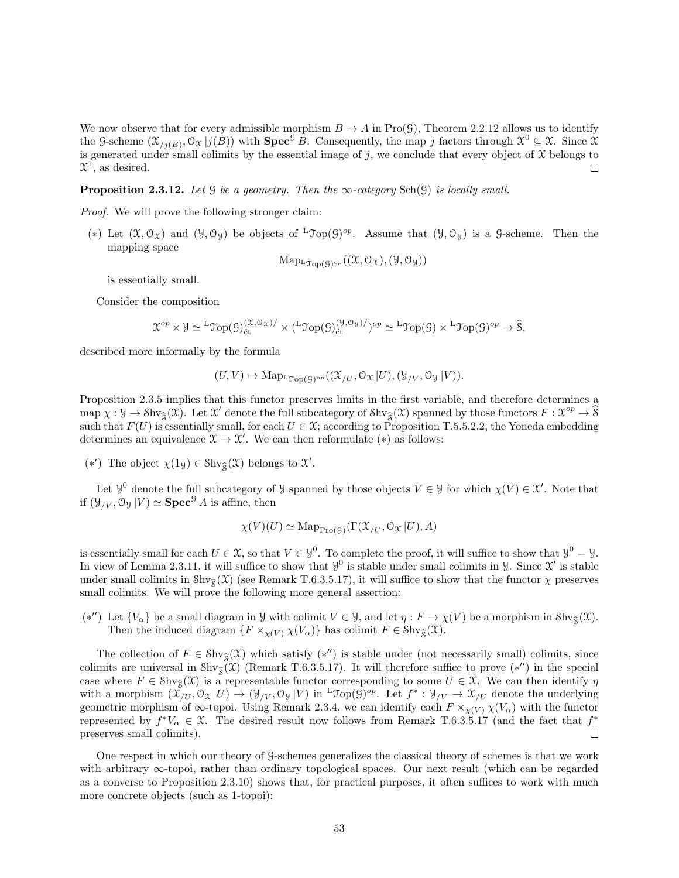We now observe that for every admissible morphism  $B \to A$  in Pro(G), Theorem 2.2.12 allows us to identify the G-scheme  $(\mathfrak{X}_{j(B)}, \mathfrak{O}_{\mathfrak{X}} | j(B))$  with  $\mathbf{Spec}^{\mathcal{G}} B$ . Consequently, the map j factors through  $\mathfrak{X}^0 \subseteq \mathfrak{X}$ . Since  $\mathfrak{X}$ is generated under small colimits by the essential image of j, we conclude that every object of  $\overline{\mathcal{X}}$  belongs to  $x^1$ , as desired.  $\Box$ 

**Proposition 2.3.12.** Let G be a geometry. Then the  $\infty$ -category Sch(G) is locally small.

Proof. We will prove the following stronger claim:

(\*) Let  $(\mathfrak{X}, \mathcal{O}_{\mathfrak{X}})$  and  $(\mathfrak{Y}, \mathcal{O}_{\mathfrak{Y}})$  be objects of  ${}^{\mathsf{L}}\mathcal{T}\mathrm{op}(\mathcal{G})^{op}$ . Assume that  $(\mathfrak{Y}, \mathcal{O}_{\mathfrak{Y}})$  is a  $\mathcal{G}\text{-scheme}$ . Then the mapping space

$$
\mathrm{Map}_{\mathrm{L}\mathfrak{Top}(\mathcal{G})^{op}}((\mathfrak{X},\mathcal{O}_{\mathfrak{X}}),(\mathcal{Y},\mathcal{O}_{\mathcal{Y}}))
$$

is essentially small.

Consider the composition

$$
\mathfrak{X}^{op} \times \mathcal{Y} \simeq {}^{L} \mathfrak{Top}(\mathcal{G})^{(\mathfrak{X},\mathcal{O}_{\mathfrak{X}})}_{\text{\'et}} \times ({}^{L} \mathfrak{Top}(\mathcal{G})^{(\mathcal{Y},\mathcal{O}_{\mathfrak{Y}})}_{\text{\'et}})^{op} \simeq {}^{L} \mathfrak{Top}(\mathcal{G}) \times {}^{L} \mathfrak{Top}(\mathcal{G})^{op} \to \widehat{\mathcal{S}},
$$

described more informally by the formula

$$
(U, V) \mapsto \mathrm{Map}_{{}^{\mathsf{L}} \mathfrak{Top}(\mathcal{G})^{op}}((\mathfrak{X}_{/U}, \mathfrak{O}_{\mathfrak{X}} | U), (\mathcal{Y}_{/V}, \mathfrak{O}_{\mathcal{Y}} | V)).
$$

Proposition 2.3.5 implies that this functor preserves limits in the first variable, and therefore determines a  $\text{map } \chi : \mathcal{Y} \to \text{Shv}_{\widehat{S}}(\mathcal{X})$ . Let  $\mathcal{X}'$  denote the full subcategory of  $\text{Shv}_{\widehat{S}}(\mathcal{X})$  spanned by those functors  $F : \mathcal{X}^{op} \to \widehat{S}$ such that  $F(U)$  is essentially small, for each  $U \in \mathfrak{X}$ ; according to Proposition T.5.5.2.2, the Yoneda embedding determines an equivalence  $\mathfrak{X} \to \mathfrak{X}'$ . We can then reformulate (\*) as follows:

(\*') The object  $\chi(1_\mathcal{Y})$  ∈ Shv<sub>§</sub>( $\mathcal{X}$ ) belongs to  $\mathcal{X}'$ .

Let  $\mathcal{Y}^0$  denote the full subcategory of  $\mathcal{Y}$  spanned by those objects  $V \in \mathcal{Y}$  for which  $\chi(V) \in \mathcal{X}'$ . Note that if  $(\mathcal{Y}_{/V}, \mathcal{O}_{\mathcal{Y}} | V) \simeq$  **Spec**<sup>G</sup> A is affine, then

$$
\chi(V)(U) \simeq \operatorname{Map}_{\operatorname{Pro}(\mathcal{G})}(\Gamma(\mathcal{X}_{/U}, \mathcal{O}_{\mathcal{X}} | U), A)
$$

is essentially small for each  $U \in \mathfrak{X}$ , so that  $V \in \mathcal{Y}^0$ . To complete the proof, it will suffice to show that  $\mathcal{Y}^0 = \mathcal{Y}$ . In view of Lemma 2.3.11, it will suffice to show that  $\mathcal{Y}^0$  is stable under small colimits in  $\mathcal{Y}$ . Since  $\mathcal{X}'$  is stable under small colimits in  $\text{Shv}_{\hat{\mathcal{S}}}(\mathcal{X})$  (see Remark T.6.3.5.17), it will suffice to show that the functor  $\chi$  preserves small colimits. We will prove the following more general assertion:

(\*'') Let  $\{V_{\alpha}\}\$ be a small diagram in Y with colimit  $V \in \mathcal{Y}$ , and let  $\eta: F \to \chi(V)$  be a morphism in Shv<sub>S</sub>(X). Then the induced diagram  $\{F \times_{\chi(V)} \chi(V_\alpha)\}$  has colimit  $F \in \text{Shv}_{\hat{\mathcal{S}}}(\mathfrak{X})$ .

The collection of  $F \in \text{Shv}_{\mathfrak{F}}(\mathfrak{X})$  which satisfy  $(*'')$  is stable under (not necessarily small) colimits, since colimits are universal in Shv<sub>S</sub> $(\mathcal{X})$  (Remark T.6.3.5.17). It will therefore suffice to prove  $(*'')$  in the special case where  $F \in \text{Shv}_{\hat{\mathcal{S}}}(\mathcal{X})$  is a representable functor corresponding to some  $U \in \mathcal{X}$ . We can then identify  $\eta$ with a morphism  $(\mathfrak{X}_{/U},\mathfrak{O}_{\mathfrak{X}}|U) \to (\mathcal{Y}_{/V},\mathfrak{O}_{\mathfrak{Y}}|V)$  in <sup>L</sup> $\mathfrak{Top}(\mathfrak{G})^{op}$ . Let  $f^*:\mathcal{Y}_{/V} \to \mathfrak{X}_{/U}$  denote the underlying geometric morphism of  $\infty$ -topoi. Using Remark 2.3.4, we can identify each  $F \times_{\chi(V)} \chi(V_\alpha)$  with the functor represented by  $f^*V_\alpha \in \mathfrak{X}$ . The desired result now follows from Remark T.6.3.5.17 (and the fact that  $f^*$ preserves small colimits).  $\Box$ 

One respect in which our theory of G-schemes generalizes the classical theory of schemes is that we work with arbitrary ∞-topoi, rather than ordinary topological spaces. Our next result (which can be regarded as a converse to Proposition 2.3.10) shows that, for practical purposes, it often suffices to work with much more concrete objects (such as 1-topoi):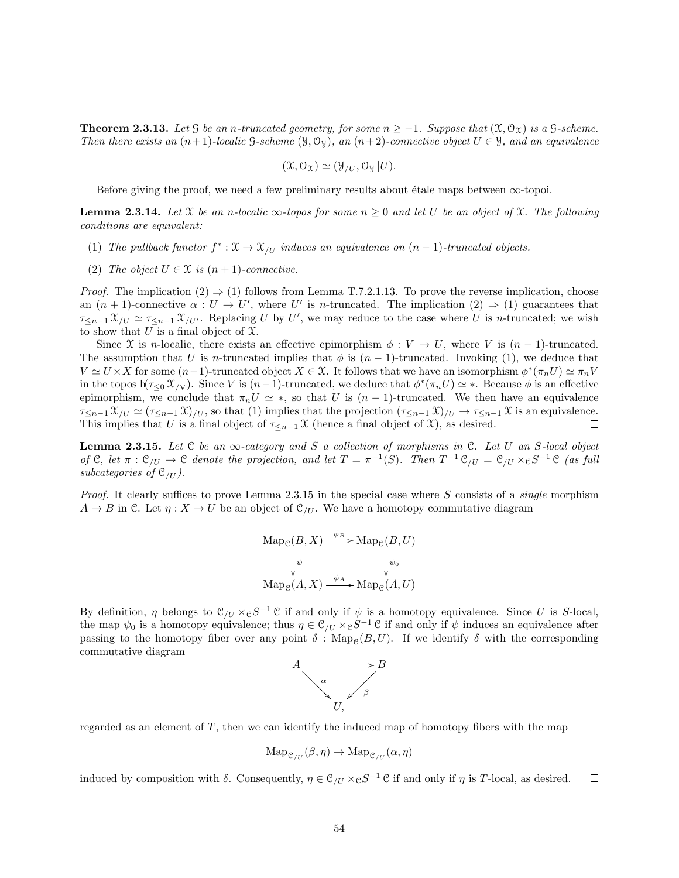**Theorem 2.3.13.** Let G be an n-truncated geometry, for some  $n \ge -1$ . Suppose that  $(\mathfrak{X}, \mathcal{O}_{\mathfrak{X}})$  is a G-scheme. Then there exists an  $(n+1)$ -localic G-scheme  $(\mathcal{Y}, \mathcal{O}_{\mathcal{Y}})$ , an  $(n+2)$ -connective object  $U \in \mathcal{Y}$ , and an equivalence

$$
(\mathfrak{X},\mathcal{O}_{\mathfrak{X}})\simeq(\mathfrak{Y}_{/U},\mathcal{O}_{\mathfrak{Y}}|U).
$$

Before giving the proof, we need a few preliminary results about étale maps between  $\infty$ -topoi.

**Lemma 2.3.14.** Let X be an n-localic  $\infty$ -topos for some  $n \geq 0$  and let U be an object of X. The following conditions are equivalent:

- (1) The pullback functor  $f^* : \mathfrak{X} \to \mathfrak{X}_{/U}$  induces an equivalence on  $(n-1)$ -truncated objects.
- (2) The object  $U \in \mathcal{X}$  is  $(n+1)$ -connective.

*Proof.* The implication  $(2) \Rightarrow (1)$  follows from Lemma T.7.2.1.13. To prove the reverse implication, choose an  $(n + 1)$ -connective  $\alpha : U \to U'$ , where U' is *n*-truncated. The implication  $(2) \Rightarrow (1)$  guarantees that  $\tau_{\leq n-1} \mathfrak{X}_{/U} \simeq \tau_{\leq n-1} \mathfrak{X}_{/U'}$ . Replacing U by U', we may reduce to the case where U is n-truncated; we wish to show that  $U$  is a final object of  $\mathfrak{X}$ .

Since X is n-localic, there exists an effective epimorphism  $\phi: V \to U$ , where V is  $(n-1)$ -truncated. The assumption that U is n-truncated implies that  $\phi$  is  $(n-1)$ -truncated. Invoking (1), we deduce that  $V \simeq U \times X$  for some  $(n-1)$ -truncated object  $X \in \mathcal{X}$ . It follows that we have an isomorphism  $\phi^*(\pi_n U) \simeq \pi_n V$ in the topos  $h(\tau_{\leq 0} \mathcal{X}_{/V})$ . Since V is  $(n-1)$ -truncated, we deduce that  $\phi^*(\pi_n U) \simeq *$ . Because  $\phi$  is an effective epimorphism, we conclude that  $\pi_n U \simeq *$ , so that U is  $(n-1)$ -truncated. We then have an equivalence  $\tau_{\leq n-1} \mathfrak{X}_{/U} \simeq (\tau_{\leq n-1} \mathfrak{X})_{/U}$ , so that (1) implies that the projection  $(\tau_{\leq n-1} \mathfrak{X})_{/U} \to \tau_{\leq n-1} \mathfrak{X}$  is an equivalence. This implies that U is a final object of  $\tau_{\leq n-1} \mathfrak{X}$  (hence a final object of  $\mathfrak{X}$ ), as desired.  $\Box$ 

**Lemma 2.3.15.** Let C be an  $\infty$ -category and S a collection of morphisms in C. Let U an S-local object of C, let  $\pi : \mathcal{C}_{/U} \to \mathcal{C}$  denote the projection, and let  $T = \pi^{-1}(S)$ . Then  $T^{-1} \mathcal{C}_{/U} = \mathcal{C}_{/U} \times_{\mathcal{C}} S^{-1} \mathcal{C}$  (as full subcategories of  $\mathfrak{C}_{\ell U}$ ).

*Proof.* It clearly suffices to prove Lemma 2.3.15 in the special case where S consists of a *single* morphism  $A \rightarrow B$  in C. Let  $\eta: X \rightarrow U$  be an object of  $\mathcal{C}_{U}$ . We have a homotopy commutative diagram

$$
\mathrm{Map}_{\mathcal{C}}(B, X) \xrightarrow{\phi_B} \mathrm{Map}_{\mathcal{C}}(B, U)
$$
  

$$
\downarrow_{\psi} \qquad \qquad \downarrow_{\psi_0}
$$
  

$$
\mathrm{Map}_{\mathcal{C}}(A, X) \xrightarrow{\phi_A} \mathrm{Map}_{\mathcal{C}}(A, U)
$$

By definition,  $\eta$  belongs to  $\mathcal{C}_{/U} \times_{\mathcal{C}} S^{-1} \mathcal{C}$  if and only if  $\psi$  is a homotopy equivalence. Since U is S-local, the map  $\psi_0$  is a homotopy equivalence; thus  $\eta \in \mathcal{C}_{/U} \times_{\mathcal{C}} S^{-1}$  C if and only if  $\psi$  induces an equivalence after passing to the homotopy fiber over any point  $\delta$ : Map<sub>e</sub>(B, U). If we identify  $\delta$  with the corresponding commutative diagram



regarded as an element of  $T$ , then we can identify the induced map of homotopy fibers with the map

$$
\mathrm{Map}_{\mathcal{C}_{/U}}(\beta,\eta) \to \mathrm{Map}_{\mathcal{C}_{/U}}(\alpha,\eta)
$$

induced by composition with  $\delta$ . Consequently,  $\eta \in \mathcal{C}_{/U} \times_{\mathcal{C}} S^{-1}$  C if and only if  $\eta$  is T-local, as desired.  $\Box$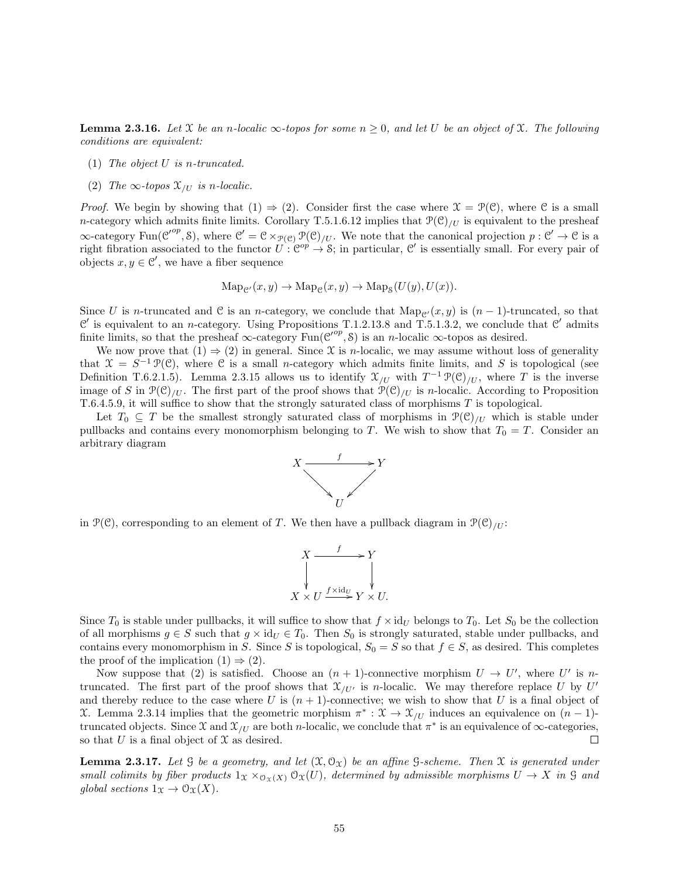**Lemma 2.3.16.** Let X be an n-localic  $\infty$ -topos for some  $n \geq 0$ , and let U be an object of X. The following conditions are equivalent:

- (1) The object  $U$  is n-truncated.
- (2) The  $\infty$ -topos  $\mathfrak{X}_{/U}$  is n-localic.

*Proof.* We begin by showing that  $(1) \Rightarrow (2)$ . Consider first the case where  $\mathcal{X} = \mathcal{P}(\mathcal{C})$ , where  $\mathcal{C}$  is a small n-category which admits finite limits. Corollary T.5.1.6.12 implies that  $\mathcal{P}(\mathcal{C})_{U}$  is equivalent to the presheaf  $\infty$ -category Fun( $\mathcal{C}^{op}, \mathcal{S}$ ), where  $\mathcal{C}' = \mathcal{C} \times_{\mathcal{P}(\mathcal{C})} \mathcal{P}(\mathcal{C})_{/U}$ . We note that the canonical projection  $p : \mathcal{C}' \to \mathcal{C}$  is a right fibration associated to the functor  $U: \mathbb{C}^{op} \to \mathcal{S}$ ; in particular,  $\mathcal{C}'$  is essentially small. For every pair of objects  $x, y \in \mathcal{C}'$ , we have a fiber sequence

$$
\mathrm{Map}_{\mathcal{C}'}(x,y) \to \mathrm{Map}_{\mathcal{C}}(x,y) \to \mathrm{Map}_{\mathcal{S}}(U(y),U(x)).
$$

Since U is n-truncated and C is an n-category, we conclude that  $\text{Map}_{\mathcal{C}}(x, y)$  is  $(n - 1)$ -truncated, so that  $\mathcal{C}'$  is equivalent to an *n*-category. Using Propositions T.1.2.13.8 and T.5.1.3.2, we conclude that  $\mathcal{C}'$  admits finite limits, so that the presheaf  $\infty$ -category  $\text{Fun}(\mathcal{C}^{op}, \mathcal{S})$  is an *n*-localic  $\infty$ -topos as desired.

We now prove that  $(1) \Rightarrow (2)$  in general. Since X is *n*-localic, we may assume without loss of generality that  $\mathfrak{X} = S^{-1} \mathfrak{P}(\mathfrak{C})$ , where  $\mathfrak{C}$  is a small *n*-category which admits finite limits, and S is topological (see Definition T.6.2.1.5). Lemma 2.3.15 allows us to identify  $\mathfrak{X}_{/U}$  with  $T^{-1} \mathfrak{P}(\mathfrak{C})_{/U}$ , where T is the inverse image of S in  $\mathcal{P}(\mathcal{C})_{U}$ . The first part of the proof shows that  $\mathcal{P}(\mathcal{C})_{U}$  is n-localic. According to Proposition T.6.4.5.9, it will suffice to show that the strongly saturated class of morphisms T is topological.

Let  $T_0 \subseteq T$  be the smallest strongly saturated class of morphisms in  $\mathcal{P}(\mathcal{C})_{U}$  which is stable under pullbacks and contains every monomorphism belonging to T. We wish to show that  $T_0 = T$ . Consider an arbitrary diagram



in  $\mathcal{P}(\mathcal{C})$ , corresponding to an element of T. We then have a pullback diagram in  $\mathcal{P}(\mathcal{C})_{U}$ :

$$
X \xrightarrow{f} Y
$$
  
\n
$$
\downarrow \qquad \qquad \downarrow
$$
  
\n
$$
X \times U \xrightarrow{f \times \text{id}_U} Y \times U.
$$

Since  $T_0$  is stable under pullbacks, it will suffice to show that  $f \times id_U$  belongs to  $T_0$ . Let  $S_0$  be the collection of all morphisms  $g \in S$  such that  $g \times id_U \in T_0$ . Then  $S_0$  is strongly saturated, stable under pullbacks, and contains every monomorphism in S. Since S is topological,  $S_0 = S$  so that  $f \in S$ , as desired. This completes the proof of the implication  $(1) \Rightarrow (2)$ .

Now suppose that (2) is satisfied. Choose an  $(n + 1)$ -connective morphism  $U \to U'$ , where U' is ntruncated. The first part of the proof shows that  $\mathfrak{X}_{/U'}$  is *n*-localic. We may therefore replace U by U' and thereby reduce to the case where U is  $(n + 1)$ -connective; we wish to show that U is a final object of X. Lemma 2.3.14 implies that the geometric morphism  $\pi^*: \mathfrak{X} \to \mathfrak{X}_{/U}$  induces an equivalence on  $(n-1)$ truncated objects. Since X and  $\mathfrak{X}_{/U}$  are both *n*-localic, we conclude that  $\pi^*$  is an equivalence of  $\infty$ -categories, so that U is a final object of  $\mathfrak X$  as desired. □

**Lemma 2.3.17.** Let G be a geometry, and let  $(\mathfrak{X}, \mathfrak{O}_{\mathfrak{X}})$  be an affine G-scheme. Then  $\mathfrak{X}$  is generated under small colimits by fiber products  $1_X \times_{\mathcal{O}_X(X)} \mathcal{O}_X(U)$ , determined by admissible morphisms  $U \to X$  in G and global sections  $1_X \to \mathcal{O}_X(X)$ .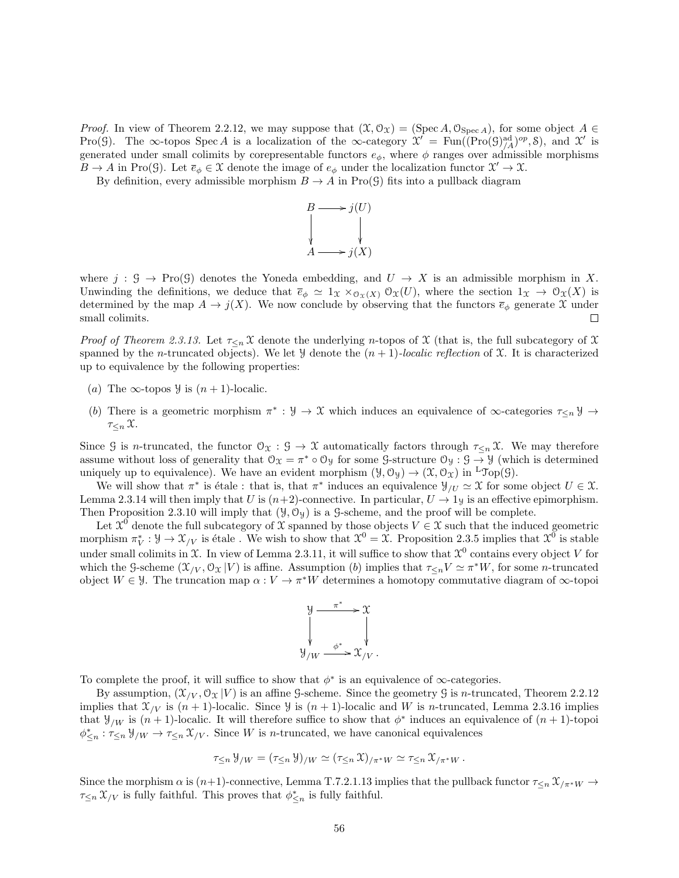*Proof.* In view of Theorem 2.2.12, we may suppose that  $(\mathfrak{X}, \mathcal{O}_{\mathfrak{X}}) = (\text{Spec } A, \mathcal{O}_{\text{Spec } A})$ , for some object  $A \in$ Pro(9). The  $\infty$ -topos Spec A is a localization of the  $\infty$ -category  $\mathcal{X} = \text{Fun}((\text{Pro}(\mathcal{G})_{A}^{\text{ad}})^{op}, \mathcal{S})$ , and  $\mathcal{X}'$  is generated under small colimits by corepresentable functors  $e_{\phi}$ , where  $\phi$  ranges over admissible morphisms  $B \to A$  in Pro(G). Let  $\overline{e}_{\phi} \in \mathfrak{X}$  denote the image of  $e_{\phi}$  under the localization functor  $\mathfrak{X}' \to \mathfrak{X}$ .

By definition, every admissible morphism  $B \to A$  in Pro(G) fits into a pullback diagram



where  $j : \mathcal{G} \to \text{Pro}(\mathcal{G})$  denotes the Yoneda embedding, and  $U \to X$  is an admissible morphism in X. Unwinding the definitions, we deduce that  $\overline{e}_{\phi} \simeq 1_X \times_{\mathcal{O}_X(X)} \mathcal{O}_X(U)$ , where the section  $1_X \to \mathcal{O}_X(X)$  is determined by the map  $A \to j(X)$ . We now conclude by observing that the functors  $\bar{e}_{\phi}$  generate X under small colimits. □

Proof of Theorem 2.3.13. Let  $\tau_{\leq n} \mathfrak{X}$  denote the underlying n-topos of X (that is, the full subcategory of X spanned by the n-truncated objects). We let  $\mathcal{Y}$  denote the  $(n + 1)$ -localic reflection of X. It is characterized up to equivalence by the following properties:

- (a) The  $\infty$ -topos  $\mathcal{Y}$  is  $(n+1)$ -localic.
- (b) There is a geometric morphism  $\pi^*: \mathcal{Y} \to \mathcal{X}$  which induces an equivalence of  $\infty$ -categories  $\tau_{\leq n} \mathcal{Y} \to$  $\tau_{\leq n}$   $\mathfrak{X}.$

Since G is n-truncated, the functor  $\mathcal{O}_{\mathfrak{X}} : \mathcal{G} \to \mathcal{X}$  automatically factors through  $\tau_{\leq n} \mathcal{X}$ . We may therefore assume without loss of generality that  $\mathcal{O}_\mathfrak{X} = \pi^* \circ \mathcal{O}_\mathfrak{Y}$  for some  $\mathcal{G}\text{-structure } \mathcal{O}_\mathfrak{Y} : \mathcal{G} \to \mathcal{Y}$  (which is determined uniquely up to equivalence). We have an evident morphism  $(\mathcal{Y}, \mathcal{O}_{\mathcal{Y}}) \to (\mathcal{X}, \mathcal{O}_{\mathcal{X}})$  in <sup>L</sup>Top(G).

We will show that  $\pi^*$  is étale : that is, that  $\pi^*$  induces an equivalence  $\mathcal{Y}_{/U} \simeq \mathcal{X}$  for some object  $U \in \mathcal{X}$ . Lemma 2.3.14 will then imply that U is  $(n+2)$ -connective. In particular,  $U \rightarrow 1$ y is an effective epimorphism. Then Proposition 2.3.10 will imply that  $(\mathcal{Y}, \mathcal{O}_{\mathcal{Y}})$  is a G-scheme, and the proof will be complete.

Let  $\mathcal{X}^0$  denote the full subcategory of X spanned by those objects  $V \in \mathcal{X}$  such that the induced geometric morphism  $\pi_V^*: \mathcal{Y} \to \mathcal{X}_{/V}$  is étale. We wish to show that  $\mathcal{X}^0 = \mathcal{X}$ . Proposition 2.3.5 implies that  $\mathcal{X}^0$  is stable under small colimits in X. In view of Lemma 2.3.11, it will suffice to show that  $\mathfrak{X}^0$  contains every object V for which the G-scheme  $(\mathfrak{X}_{/V}, \mathfrak{O}_{\mathfrak{X}} | V)$  is affine. Assumption (b) implies that  $\tau_{\leq n} V \simeq \pi^* W$ , for some *n*-truncated object  $W \in \mathcal{Y}$ . The truncation map  $\alpha: V \to \pi^*W$  determines a homotopy commutative diagram of  $\infty$ -topoi



To complete the proof, it will suffice to show that  $\phi^*$  is an equivalence of  $\infty$ -categories.

By assumption,  $(\mathcal{X}_{/V}, \mathcal{O}_{\mathcal{X}} | V)$  is an affine G-scheme. Since the geometry G is *n*-truncated, Theorem 2.2.12 implies that  $\mathfrak{X}_{/V}$  is  $(n + 1)$ -localic. Since  $\mathcal{Y}$  is  $(n + 1)$ -localic and W is n-truncated, Lemma 2.3.16 implies that  $\mathcal{Y}_{/W}$  is  $(n+1)$ -localic. It will therefore suffice to show that  $\phi^*$  induces an equivalence of  $(n+1)$ -topoi  $\phi_{\leq n}^* : \tau_{\leq n} \mathcal{Y}_{/W} \to \tau_{\leq n} \mathcal{X}_{/V}$ . Since W is *n*-truncated, we have canonical equivalences

$$
\tau_{\leq n} \mathcal{Y}_{/W} = (\tau_{\leq n} \mathcal{Y})_{/W} \simeq (\tau_{\leq n} \mathcal{X})_{/\pi^*W} \simeq \tau_{\leq n} \mathcal{X}_{/\pi^*W}.
$$

Since the morphism  $\alpha$  is  $(n+1)$ -connective, Lemma T.7.2.1.13 implies that the pullback functor  $\tau_{\leq n} \mathcal{X}_{/\pi^*W} \to$  $\tau_{\leq n} \mathfrak{X}_{/V}$  is fully faithful. This proves that  $\phi_{\leq n}^*$  is fully faithful.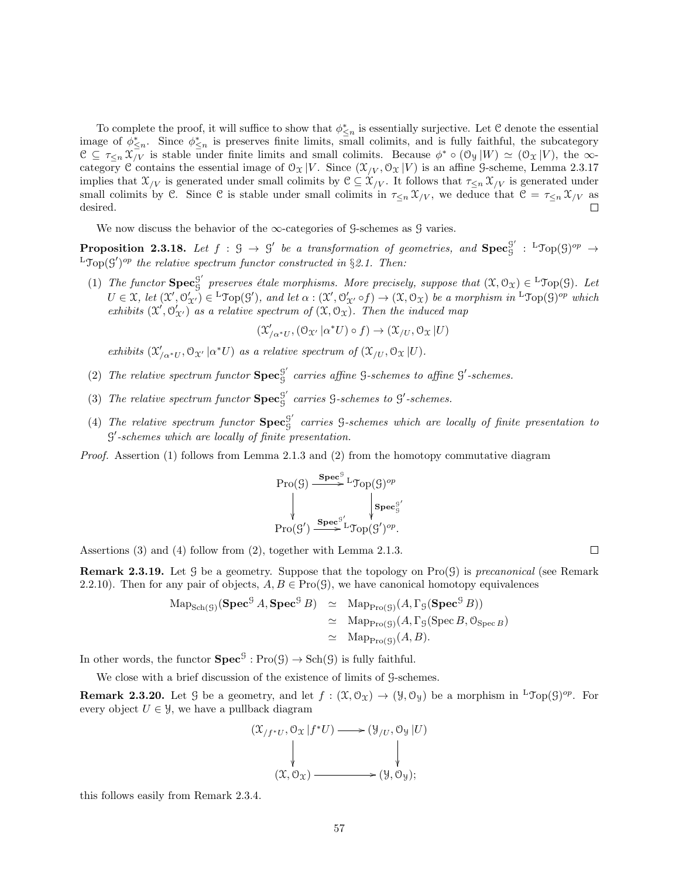To complete the proof, it will suffice to show that  $\phi_{\leq n}^*$  is essentially surjective. Let C denote the essential image of  $\phi_{\leq n}^*$ . Since  $\phi_{\leq n}^*$  is preserves finite limits, small colimits, and is fully faithful, the subcategory  $\mathcal{C} \subseteq \tau_{\leq n} \mathcal{X}_{/V}$  is stable under finite limits and small colimits. Because  $\phi^* \circ (\mathcal{O}_{\mathcal{Y}}|W) \simeq (\mathcal{O}_{\mathcal{X}}|V)$ , the  $\infty$ category C contains the essential image of  $\mathcal{O}_{\mathfrak{X}}|V$ . Since  $(\mathcal{X}_{/V}, \mathcal{O}_{\mathfrak{X}}|V)$  is an affine G-scheme, Lemma 2.3.17 implies that  $\mathfrak{X}_{/V}$  is generated under small colimits by  $\mathfrak{C} \subseteq \mathfrak{X}_{/V}$ . It follows that  $\tau_{\leq n} \mathfrak{X}_{/V}$  is generated under small colimits by C. Since C is stable under small colimits in  $\tau \leq_n \mathcal{X}_{/V}$ , we deduce that  $\mathcal{C} = \tau \leq_n \mathcal{X}_{/V}$  as desired.

We now discuss the behavior of the  $\infty$ -categories of G-schemes as G varies.

**Proposition 2.3.18.** Let  $f : \mathcal{G} \to \mathcal{G}'$  be a transformation of geometries, and  $\text{Spec}^{\mathcal{G}'}_{\mathcal{G}}$  $g' : {}^{\mathsf{L}}\mathcal{T}\mathrm{op}(\mathcal{G})^{op} \to$  ${}^{\text{L}}$ Top(S')<sup>op</sup> the relative spectrum functor constructed in §2.1. Then:

(1) The functor  $\text{Spec}_{\mathcal{C}}^{\mathcal{G}'}$  $G'_{\mathcal{G}}$  preserves étale morphisms. More precisely, suppose that  $(\mathfrak{X}, \mathcal{O}_{\mathfrak{X}}) \in L^{\infty}(\mathfrak{G})$ . Let  $U \in \mathfrak{X}$ , let  $(\mathfrak{X}', \mathcal{O}'_{\mathfrak{X}'} ) \in {}^{\mathsf{L}} \mathfrak{Top}(\mathcal{G}'),$  and let  $\alpha : (\mathfrak{X}', \mathcal{O}'_{\mathfrak{X}'} \circ f) \to (\mathfrak{X}, \mathcal{O}_{\mathfrak{X}})$  be a morphism in  ${}^{\mathsf{L}} \mathfrak{Top}(\mathcal{G})^{op}$  which exhibits  $(\mathfrak{X}', \mathfrak{O}'_{\mathfrak{X}'})$  as a relative spectrum of  $(\mathfrak{X}, \mathfrak{O}_{\mathfrak{X}})$ . Then the induced map

 $(\mathfrak{X}'_{/\alpha^*U},(\mathfrak{O}_{\mathfrak{X}'}\vert \alpha^*U)\circ f)\rightarrow (\mathfrak{X}_{/U},\mathfrak{O}_{\mathfrak{X}}\vert U)$ 

exhibits  $(\mathfrak{X}'_{/\alpha^*U}, \mathfrak{O}_{\mathfrak{X}'} | \alpha^*U)$  as a relative spectrum of  $(\mathfrak{X}_{/U}, \mathfrak{O}_{\mathfrak{X}} | U)$ .

- (2) The relative spectrum functor  $\mathbf{Spec}_{\mathbf{G}}^{\mathbf{G}'}$  $S<sub>S</sub><sup>g</sup>$  carries affine  $S$ -schemes to affine  $S'$ -schemes.
- (3) The relative spectrum functor  $\mathbf{Spec}_{\mathbf{G}}^{\mathbf{G}'}$  $S<sub>g</sub><sup>g</sup>$  carries  $S$ -schemes to  $S'$ -schemes.
- (4) The relative spectrum functor  $\mathbf{Spec}_{\mathbf{G}}^{\mathbf{G}'}$  $G<sub>S</sub>$  carries  $G$ -schemes which are locally of finite presentation to  $\mathcal{G}'$ -schemes which are locally of finite presentation.

Proof. Assertion (1) follows from Lemma 2.1.3 and (2) from the homotopy commutative diagram

$$
\mathrm{Pro}(\mathcal{G}) \xrightarrow{\textbf{Spec}^{\mathcal{G}} \textbf{L}} \mathrm{Top}(\mathcal{G})^{op}
$$
\n
$$
\downarrow \qquad \qquad \downarrow \textbf{Spec}^{\mathcal{G}'}_{\mathcal{G}}
$$
\n
$$
\mathrm{Pro}(\mathcal{G}') \xrightarrow{\textbf{Spec}^{\mathcal{G}'} \textbf{L}} \mathrm{Top}(\mathcal{G}')^{op}.
$$

Assertions (3) and (4) follow from (2), together with Lemma 2.1.3.

**Remark 2.3.19.** Let G be a geometry. Suppose that the topology on  $\text{Pro}(G)$  is precanonical (see Remark 2.2.10). Then for any pair of objects,  $A, B \in \text{Pro}(\mathcal{G})$ , we have canonical homotopy equivalences

$$
\begin{array}{rcl}\n\text{Map}_{\text{Sch}(\mathcal{G})}(\text{Spec}^{\mathcal{G}} A, \text{Spec}^{\mathcal{G}} B) & \simeq & \text{Map}_{\text{Pro}(\mathcal{G})}(A, \Gamma_{\mathcal{G}}(\text{Spec}^{\mathcal{G}} B)) \\
& \simeq & \text{Map}_{\text{Pro}(\mathcal{G})}(A, \Gamma_{\mathcal{G}}(\text{Spec }B, \mathcal{O}_{\text{Spec }B}) \\
& \simeq & \text{Map}_{\text{Pro}(\mathcal{G})}(A, B).\n\end{array}
$$

In other words, the functor  $\text{Spec}^{\mathcal{G}} : \text{Pro}(\mathcal{G}) \to \text{Sch}(\mathcal{G})$  is fully faithful.

We close with a brief discussion of the existence of limits of G-schemes.

**Remark 2.3.20.** Let G be a geometry, and let  $f : (\mathfrak{X}, \mathcal{O}_{\mathfrak{X}}) \to (\mathcal{Y}, \mathcal{O}_{\mathcal{Y}})$  be a morphism in  ${}^{\mathsf{L}} \mathfrak{Top}(\mathcal{G})^{op}$ . For every object  $U \in \mathcal{Y}$ , we have a pullback diagram



this follows easily from Remark 2.3.4.

 $\Box$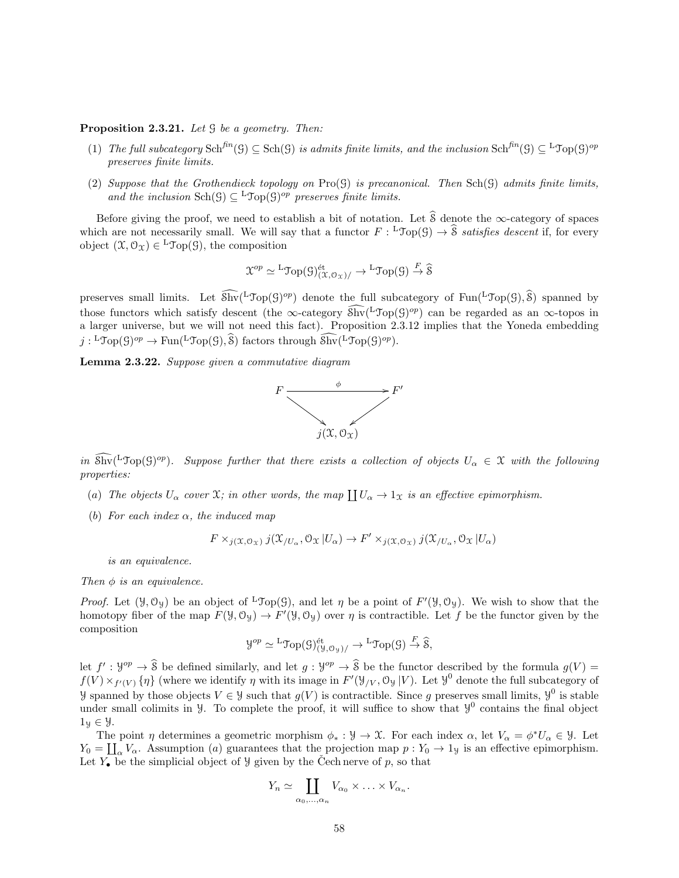#### **Proposition 2.3.21.** Let  $\mathcal G$  be a geometry. Then:

- (1) The full subcategory  $\text{Sch}^{\text{fin}}(\mathcal{G}) \subseteq \text{Sch}(\mathcal{G})$  is admits finite limits, and the inclusion  $\text{Sch}^{\text{fin}}(\mathcal{G}) \subseteq {}^{\text{L}}\mathcal{Top}(\mathcal{G})^{\text{op}}$ preserves finite limits.
- (2) Suppose that the Grothendieck topology on  $\text{Pro}(\mathcal{G})$  is precanonical. Then  $\text{Sch}(\mathcal{G})$  admits finite limits, and the inclusion  $\text{Sch}(\mathcal{G}) \subseteq {}^{\mathbf{L}} \mathcal{Top}(\mathcal{G})^{op}$  preserves finite limits.

Before giving the proof, we need to establish a bit of notation. Let  $\hat{\mathcal{S}}$  denote the ∞-category of spaces which are not necessarily small. We will say that a functor  $F: {}^{\mathsf{L}}\mathcal{T}\mathrm{op}(\mathcal{G}) \to \widehat{\mathcal{S}}$  satisfies descent if, for every object  $(\mathfrak{X}, \mathcal{O}_{\mathfrak{X}}) \in {}^{\mathbf{L}} \mathcal{Top}(\mathcal{G})$ , the composition

$$
\mathfrak{X}^{op} \simeq {}^{\mathrm{L}} \mathrm{Top}(\mathfrak{H})^{\mathrm{\acute{e}t}}_{(\mathfrak{X},\mathcal{O}_{\mathfrak{X}})/} \to {}^{\mathrm{L}} \mathrm{Top}(\mathfrak{G}) \xrightarrow{F} \widehat{\mathfrak{S}}
$$

preserves small limits. Let  $\widehat{\text{Shv}}(\text{LTop}(G)^{op})$  denote the full subcategory of  $\text{Fun}(\text{LTop}(G), \widehat{\text{S}})$  spanned by those functors which satisfy descent (the ∞-category  $\widehat{\text{Shv}}(\text{LTop}(G)^{op})$  can be regarded as an ∞-topos in a larger universe, but we will not need this fact). Proposition 2.3.12 implies that the Yoneda embedding  $j: {}^{\mathsf{L}}\mathcal{T}_{\mathsf{op}}(\mathcal{G})^{op} \to \text{Fun}({}^{\mathsf{L}}\mathcal{T}_{\mathsf{op}}(\mathcal{G}), \widehat{\mathcal{S}})$  factors through  $\widehat{\text{Shv}}({}^{\mathsf{L}}\mathcal{T}_{\mathsf{op}}(\mathcal{G})^{op}).$ 

Lemma 2.3.22. Suppose given a commutative diagram



in  $\widehat{\text{Shv}}(\text{LTop}(G)^{op})$ . Suppose further that there exists a collection of objects  $U_{\alpha} \in \mathfrak{X}$  with the following properties:

- (a) The objects  $U_{\alpha}$  cover  $\mathfrak{X}$ ; in other words, the map  $\coprod U_{\alpha} \to 1_{\mathfrak{X}}$  is an effective epimorphism.
- (b) For each index  $\alpha$ , the induced map

$$
F \times_{j(\mathfrak{X},\mathcal{O}_{\mathfrak{X}})} j(\mathfrak{X}_{/U_{\alpha}},\mathcal{O}_{\mathfrak{X}} | U_{\alpha}) \to F' \times_{j(\mathfrak{X},\mathcal{O}_{\mathfrak{X}})} j(\mathfrak{X}_{/U_{\alpha}},\mathcal{O}_{\mathfrak{X}} | U_{\alpha})
$$

is an equivalence.

### Then  $\phi$  is an equivalence.

*Proof.* Let  $(\mathcal{Y}, \mathcal{O}_{\mathcal{Y}})$  be an object of <sup>L</sup>Top(G), and let  $\eta$  be a point of  $F'(\mathcal{Y}, \mathcal{O}_{\mathcal{Y}})$ . We wish to show that the homotopy fiber of the map  $F(\mathcal{Y}, \mathcal{O}_{\mathcal{Y}}) \to F'(\mathcal{Y}, \mathcal{O}_{\mathcal{Y}})$  over  $\eta$  is contractible. Let f be the functor given by the composition

$$
\mathcal{Y}^{op} \simeq {}^{\mathrm{L}}\mathrm{Top}(\mathcal{G})_{(\mathcal{Y}, \mathcal{O}_{\mathcal{Y}})/}^{\mathrm{\acute{e}t}} \to {}^{\mathrm{L}}\mathrm{Top}(\mathcal{G}) \xrightarrow{F} \widehat{\mathcal{S}},
$$

let  $f' : \mathcal{Y}^{op} \to \widehat{\mathcal{S}}$  be defined similarly, and let  $g : \mathcal{Y}^{op} \to \widehat{\mathcal{S}}$  be the functor described by the formula  $g(V) =$  $f(V) \times_{f'(V)} {\eta}$  (where we identify  $\eta$  with its image in  $F'(\mathcal{Y}_{/V}, \mathcal{O}_{\mathcal{Y}} | V)$ ). Let  $\mathcal{Y}^0$  denote the full subcategory of y spanned by those objects  $V \in \mathcal{Y}$  such that  $g(V)$  is contractible. Since g preserves small limits,  $\mathcal{Y}^0$  is stable under small colimits in  $\mathcal{Y}$ . To complete the proof, it will suffice to show that  $\mathcal{Y}^0$  contains the final object  $1_y \in \mathcal{Y}$ .

The point  $\eta$  determines a geometric morphism  $\phi_* : \mathcal{Y} \to \mathcal{X}$ . For each index  $\alpha$ , let  $V_\alpha = \phi^* U_\alpha \in \mathcal{Y}$ . Let  $Y_0 = \coprod_{\alpha} V_{\alpha}$ . Assumption (a) guarantees that the projection map  $p : Y_0 \to 1$  is an effective epimorphism. Let  $Y_{\bullet}$  be the simplicial object of  $\mathcal{Y}$  given by the Cech nerve of p, so that

$$
Y_n \simeq \coprod_{\alpha_0, ..., \alpha_n} V_{\alpha_0} \times ... \times V_{\alpha_n}.
$$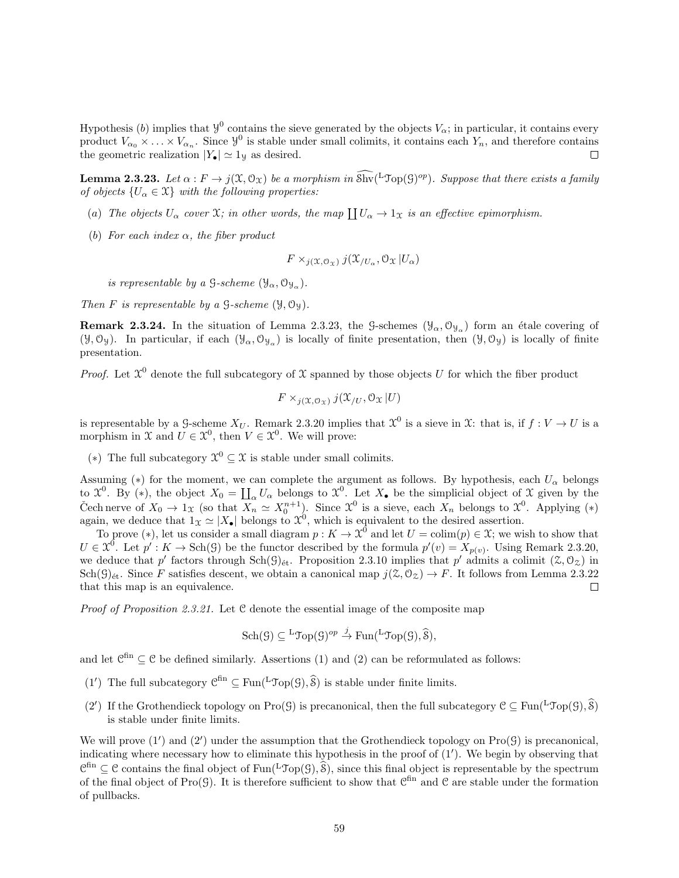Hypothesis (b) implies that  $y^0$  contains the sieve generated by the objects  $V_\alpha$ ; in particular, it contains every product  $V_{\alpha_0} \times \ldots \times V_{\alpha_n}$ . Since  $\mathcal{Y}^0$  is stable under small colimits, it contains each  $Y_n$ , and therefore contains the geometric realization  $|Y_{\bullet}| \simeq 1$  as desired.

**Lemma 2.3.23.** Let  $\alpha : F \to j(\mathfrak{X}, \mathfrak{O}_{\mathfrak{X}})$  be a morphism in  $\widehat{\text{Shv}}(\mathfrak{LTop}(\mathfrak{G})^{op})$ . Suppose that there exists a family of objects  $\{U_{\alpha} \in \mathfrak{X}\}\$  with the following properties:

- (a) The objects  $U_{\alpha}$  cover  $\mathfrak{X}$ ; in other words, the map  $\coprod U_{\alpha} \to 1_{\mathfrak{X}}$  is an effective epimorphism.
- (b) For each index  $\alpha$ , the fiber product

$$
F \times_{j(\mathfrak{X},\mathcal{O}_{\mathfrak{X}})} j(\mathfrak{X}_{/U_{\alpha}},\mathcal{O}_{\mathfrak{X}} | U_{\alpha})
$$

is representable by a  $\mathcal{G}\text{-scheme }(\mathcal{Y}_{\alpha},\mathcal{O}_{\mathcal{Y}_{\alpha}}).$ 

Then F is representable by a  $\mathcal{G}\text{-}scheme$  ( $\mathcal{Y}, \mathcal{O}_Y$ ).

**Remark 2.3.24.** In the situation of Lemma 2.3.23, the G-schemes  $(\mathcal{Y}_{\alpha}, \mathcal{O}_{\mathcal{Y}_{\alpha}})$  form an étale covering of  $(\mathcal{Y}, \mathcal{O}_{\mathcal{Y}})$ . In particular, if each  $(\mathcal{Y}_{\alpha}, \mathcal{O}_{\mathcal{Y}_{\alpha}})$  is locally of finite presentation, then  $(\mathcal{Y}, \mathcal{O}_{\mathcal{Y}})$  is locally of finite presentation.

*Proof.* Let  $\mathcal{X}^0$  denote the full subcategory of  $\mathcal{X}$  spanned by those objects U for which the fiber product

$$
F \times_{j(\mathfrak{X},\mathfrak{O}_{\mathfrak{X}})} j(\mathfrak{X}_{/U},\mathfrak{O}_{\mathfrak{X}} | U)
$$

is representable by a G-scheme  $X_U$ . Remark 2.3.20 implies that  $\mathcal{X}^0$  is a sieve in  $\mathcal{X}$ : that is, if  $f: V \to U$  is a morphism in  $\mathcal{X}$  and  $U \in \mathcal{X}^0$ , then  $V \in \mathcal{X}^0$ . We will prove:

(\*) The full subcategory  $\mathcal{X}^0$  ⊆ X is stable under small colimits.

Assuming (\*) for the moment, we can complete the argument as follows. By hypothesis, each  $U_{\alpha}$  belongs to  $\mathfrak{X}^0$ . By (\*), the object  $X_0 = \coprod_{\alpha} U_{\alpha}$  belongs to  $\mathfrak{X}^0$ . Let  $X_{\bullet}$  be the simplicial object of  $\mathfrak{X}$  given by the Čech nerve of  $X_0 \to 1_X$  (so that  $\overline{X_n} \simeq X_0^{n+1}$ ). Since  $\mathfrak{X}^0$  is a sieve, each  $X_n$  belongs to  $\mathfrak{X}^0$ . Applying (\*) again, we deduce that  $1_{\mathcal{X}} \simeq |X_{\bullet}|$  belongs to  $\mathcal{X}^0$ , which is equivalent to the desired assertion.

To prove (\*), let us consider a small diagram  $p: K \to \mathcal{X}^0$  and let  $U = \text{colim}(p) \in \mathcal{X}$ ; we wish to show that  $U \in \mathfrak{X}^0$ . Let  $p': K \to \text{Sch}(\mathcal{G})$  be the functor described by the formula  $p'(v) = X_{p(v)}$ . Using Remark 2.3.20, we deduce that p' factors through  $Sch(\mathcal{G})_{\text{\'et}}$ . Proposition 2.3.10 implies that p' admits a colimit  $(\mathcal{Z},\mathcal{O}_{\mathcal{Z}})$  in  $Sch(\mathcal{G})_{\text{\'et}}$ . Since F satisfies descent, we obtain a canonical map  $j(\mathcal{Z}, \mathcal{O}_{\mathcal{Z}}) \to F$ . It follows from Lemma 2.3.22 that this map is an equivalence.  $\Box$ 

Proof of Proposition 2.3.21. Let C denote the essential image of the composite map

$$
\mathrm{Sch}(\mathcal{G}) \subseteq {}^{\mathrm{L}}\mathfrak{Top}(\mathcal{G})^{op} \stackrel{j}{\to} \mathrm{Fun}({}^{\mathrm{L}}\mathfrak{Top}(\mathcal{G}),\widehat{\mathcal{S}}),
$$

and let  $\mathcal{C}^{\text{fin}} \subseteq \mathcal{C}$  be defined similarly. Assertions (1) and (2) can be reformulated as follows:

- (1') The full subcategory  $\mathcal{C}^{\text{fin}} \subseteq \text{Fun}({}^L\mathcal{Top}(\mathcal{G}), \widehat{\mathcal{S}})$  is stable under finite limits.
- (2') If the Grothendieck topology on Pro(G) is precanonical, then the full subcategory  $C \subseteq \text{Fun}^{L} \mathcal{T}_{\text{op}}(G), \widehat{\mathcal{S}})$ is stable under finite limits.

We will prove  $(1')$  and  $(2')$  under the assumption that the Grothendieck topology on  $\text{Pro}(\mathcal{G})$  is precanonical, indicating where necessary how to eliminate this hypothesis in the proof of  $(1')$ . We begin by observing that  $\mathcal{C}^{\text{fin}} \subseteq \mathcal{C}$  contains the final object of Fun(<sup>L</sup>Top(G),  $\widehat{\mathcal{S}}$ ), since this final object is representable by the spectrum of the final object of Pro(G). It is therefore sufficient to show that  $\mathcal{C}^{\text{fin}}$  and  $\mathcal{C}$  are stable under the formation of pullbacks.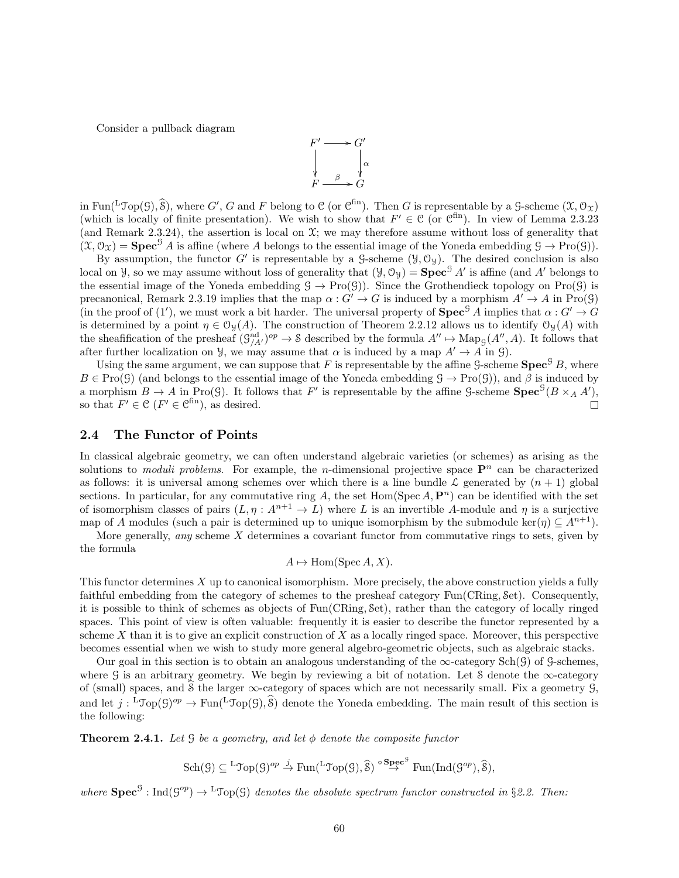Consider a pullback diagram



in Fun(<sup>L</sup>Top(G),  $\widehat{\mathcal{S}}$ ), where G', G and F belong to C (or C<sup>fin</sup>). Then G is representable by a G-scheme  $(\mathcal{X}, \mathcal{O}_{\mathcal{X}})$ (which is locally of finite presentation). We wish to show that  $F' \in \mathcal{C}$  (or  $\mathcal{C}^{\text{fin}}$ ). In view of Lemma 2.3.23 (and Remark 2.3.24), the assertion is local on  $\mathfrak{X}$ ; we may therefore assume without loss of generality that  $(\mathfrak{X}, \mathcal{O}_\Upsilon)$  =  $\mathbf{Spec}^{\mathcal{G}} A$  is affine (where A belongs to the essential image of the Yoneda embedding  $\mathcal{G} \to \text{Pro}(\mathcal{G})$ ).

By assumption, the functor G' is representable by a  $\mathcal{G}$ -scheme  $(\mathcal{Y}, \mathcal{O}_{\mathcal{Y}})$ . The desired conclusion is also local on *y*, so we may assume without loss of generality that  $(y, 0_y) = \textbf{Spec}^{\mathcal{G}} A'$  is affine (and A' belongs to the essential image of the Yoneda embedding  $G \to \text{Pro}(\mathcal{G})$ . Since the Grothendieck topology on Pro( $\mathcal{G}$ ) is precanonical, Remark 2.3.19 implies that the map  $\alpha$ :  $G' \rightarrow G$  is induced by a morphism  $A' \rightarrow A$  in Pro(9) (in the proof of (1'), we must work a bit harder. The universal property of  $\text{Spec}^{\mathcal{G}} A$  implies that  $\alpha: G' \to G$ is determined by a point  $\eta \in \mathcal{O}_{\mathcal{Y}}(A)$ . The construction of Theorem 2.2.12 allows us to identify  $\mathcal{O}_{\mathcal{Y}}(A)$  with the sheafification of the presheaf  $(\mathcal{G}_{A'}^{ad})^{op} \to \mathcal{S}$  described by the formula  $A'' \mapsto \text{Map}_{\mathcal{G}}(A'', A)$ . It follows that after further localization on *y*, we may assume that  $\alpha$  is induced by a map  $A' \rightarrow A$  in *g*).

Using the same argument, we can suppose that F is representable by the affine  $\mathcal{G}\text{-scheme}$  **Spec**<sup>G</sup> B, where  $B \in \text{Pro}(\mathcal{G})$  (and belongs to the essential image of the Yoneda embedding  $\mathcal{G} \to \text{Pro}(\mathcal{G})$ ), and  $\beta$  is induced by a morphism  $B \to A$  in Pro(G). It follows that F' is representable by the affine G-scheme  $Spec^{G}(B \times_A A')$ , so that  $F' \in \mathcal{C}$   $(F' \in \mathcal{C}^{\text{fin}})$ , as desired.  $\Box$ 

### 2.4 The Functor of Points

In classical algebraic geometry, we can often understand algebraic varieties (or schemes) as arising as the solutions to *moduli problems*. For example, the *n*-dimensional projective space  $\mathbf{P}^n$  can be characterized as follows: it is universal among schemes over which there is a line bundle  $\mathcal L$  generated by  $(n + 1)$  global sections. In particular, for any commutative ring A, the set  $Hom(Spec A, P<sup>n</sup>)$  can be identified with the set of isomorphism classes of pairs  $(L, \eta : A^{n+1} \to L)$  where L is an invertible A-module and  $\eta$  is a surjective map of A modules (such a pair is determined up to unique isomorphism by the submodule ker( $\eta$ )  $\subseteq$   $A^{n+1}$ ).

More generally, *any* scheme  $X$  determines a covariant functor from commutative rings to sets, given by the formula

$$
A \mapsto \text{Hom}(\text{Spec } A, X).
$$

This functor determines X up to canonical isomorphism. More precisely, the above construction yields a fully faithful embedding from the category of schemes to the presheaf category Fun(CRing, Set). Consequently, it is possible to think of schemes as objects of Fun(CRing, Set), rather than the category of locally ringed spaces. This point of view is often valuable: frequently it is easier to describe the functor represented by a scheme  $X$  than it is to give an explicit construction of  $X$  as a locally ringed space. Moreover, this perspective becomes essential when we wish to study more general algebro-geometric objects, such as algebraic stacks.

Our goal in this section is to obtain an analogous understanding of the  $\infty$ -category Sch(G) of G-schemes, where G is an arbitrary geometry. We begin by reviewing a bit of notation. Let S denote the  $\infty$ -category of (small) spaces, and  $\hat{S}$  the larger  $\infty$ -category of spaces which are not necessarily small. Fix a geometry  $\mathcal{G}$ , and let  $j: {}^L\text{Top}(\mathcal{G})^{op} \to \text{Fun}({}^L\text{Top}(\mathcal{G}), \mathcal{S})$  denote the Yoneda embedding. The main result of this section is the following:

**Theorem 2.4.1.** Let  $\mathcal G$  be a geometry, and let  $\phi$  denote the composite functor

$$
\mathrm{Sch}(\mathcal{G})\subseteq {}^{L}\mathcal{T}\mathrm{op}(\mathcal{G})^{op}\stackrel{j}{\to}\mathrm{Fun}({}^{L}\mathcal{T}\mathrm{op}(\mathcal{G}),\widehat{\mathcal{S}})\stackrel{\circ}{\to} {}^{\mathbf{Spec}^{\mathcal{G}}}\mathrm{Fun}(\mathrm{Ind}(\mathcal{G}^{op}),\widehat{\mathcal{S}}),
$$

where  $\text{Spec}^{\mathcal{G}} : \text{Ind}(\mathcal{G}^{op}) \to {}^{\text{L}}\mathcal{J}\text{op}(\mathcal{G})$  denotes the absolute spectrum functor constructed in §2.2. Then: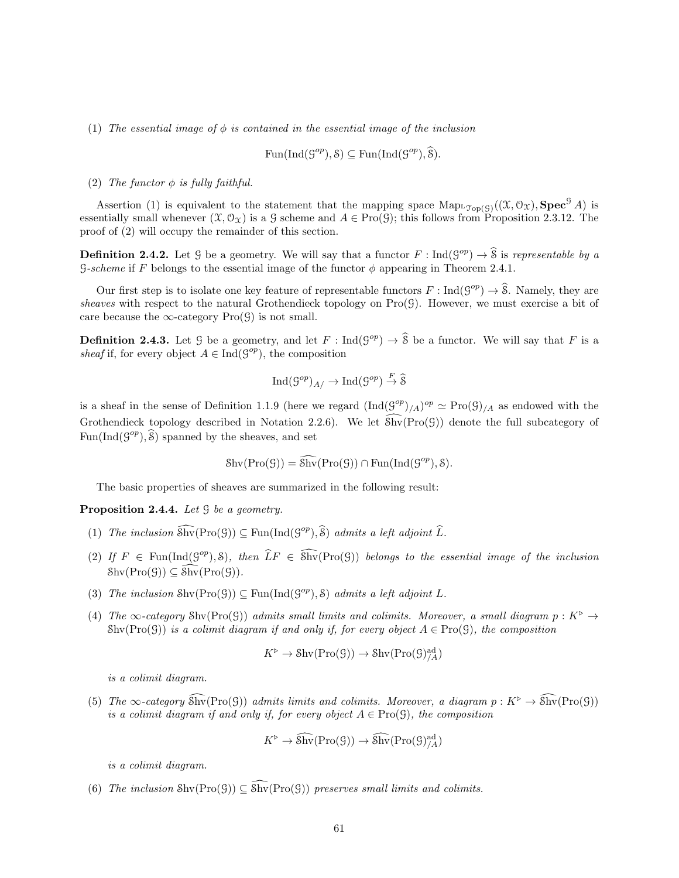(1) The essential image of  $\phi$  is contained in the essential image of the inclusion

$$
\text{Fun}(\text{Ind}(\mathcal{G}^{op}), \mathcal{S}) \subseteq \text{Fun}(\text{Ind}(\mathcal{G}^{op}), \widehat{\mathcal{S}}).
$$

(2) The functor  $\phi$  is fully faithful.

Assertion (1) is equivalent to the statement that the mapping space  $\text{Map}_{\text{top}(G)}((\mathfrak{X}, \mathcal{O}_{\mathfrak{X}}), \text{Spec}^{\mathcal{G}} A)$  is essentially small whenever  $(\mathfrak{X}, \mathcal{O}_{\mathfrak{X}})$  is a G scheme and  $A \in \text{Pro}(\mathfrak{G})$ ; this follows from Proposition 2.3.12. The proof of (2) will occupy the remainder of this section.

**Definition 2.4.2.** Let G be a geometry. We will say that a functor  $F : \text{Ind}(\mathcal{G}^{op}) \to \hat{\mathcal{S}}$  is representable by a G-scheme if F belongs to the essential image of the functor  $\phi$  appearing in Theorem 2.4.1.

Our first step is to isolate one key feature of representable functors  $F : \text{Ind}(G^{op}) \to \hat{\mathcal{S}}$ . Namely, they are sheaves with respect to the natural Grothendieck topology on  $\text{Pro}(\mathcal{G})$ . However, we must exercise a bit of care because the  $\infty$ -category Pro( $\mathcal{G}$ ) is not small.

**Definition 2.4.3.** Let G be a geometry, and let  $F : \text{Ind}(\mathcal{G}^{op}) \to \widehat{\mathcal{S}}$  be a functor. We will say that F is a sheaf if, for every object  $A \in \text{Ind}(\mathcal{G}^{op})$ , the composition

$$
\mathrm{Ind}(\mathcal{G}^{op})_{A/} \to \mathrm{Ind}(\mathcal{G}^{op}) \stackrel{F}{\to} \widehat{\mathcal{S}}
$$

is a sheaf in the sense of Definition 1.1.9 (here we regard  $(\text{Ind}(G^{op})_{/A})^{op} \simeq \text{Pro}(G)_{/A}$  as endowed with the Grothendieck topology described in Notation 2.2.6). We let  $\widehat{\text{Shv}}(\text{Pro}(\mathcal{G}))$  denote the full subcategory of  $Fun(Ind(\mathcal{G}^{op}), \widehat{\mathcal{S}})$  spanned by the sheaves, and set

$$
Shv(Pro(\mathcal{G})) = \widehat{Shv}(Pro(\mathcal{G})) \cap Fun(Ind(\mathcal{G}^{op}), \mathcal{S}).
$$

The basic properties of sheaves are summarized in the following result:

Proposition 2.4.4. Let  $\mathcal G$  be a geometry.

- (1) The inclusion  $\widehat{\text{Shv}}(\text{Pro}(\mathcal{G})) \subseteq \text{Fun}(\text{Ind}(\mathcal{G}^{op}), \widehat{\mathcal{S}})$  admits a left adjoint  $\widehat{L}$ .
- (2) If  $F \in \text{Fun}(\text{Ind}(\mathcal{G}^{op}), \mathcal{S})$ , then  $\widehat{L}F \in \widehat{\text{Shv}}(\text{Pro}(\mathcal{G}))$  belongs to the essential image of the inclusion  $\text{Shv}(\text{Pro}(\mathcal{G})) \subseteq \overline{\text{Shv}}(\text{Pro}(\mathcal{G})).$
- (3) The inclusion  $\text{Shv}(\text{Pro}(\mathcal{G})) \subseteq \text{Fun}(\text{Ind}(\mathcal{G}^{op}), \mathcal{S})$  admits a left adjoint L.
- (4) The  $\infty$ -category Shv(Pro(G)) admits small limits and colimits. Moreover, a small diagram  $p: K^{\triangleright} \to$ Shv(Pro(G)) is a colimit diagram if and only if, for every object  $A \in \text{Pro}(G)$ , the composition

$$
K^{\triangleright} \to \mathrm{Shv}(\mathrm{Pro}(\mathcal{G})) \to \mathrm{Shv}(\mathrm{Pro}(\mathcal{G})^{\mathrm{ad}}_{/A})
$$

is a colimit diagram.

(5) The  $\infty$ -category  $\widehat{\text{Shv}}(\text{Pro}(\mathcal{G}))$  admits limits and colimits. Moreover, a diagram  $p: K^{\triangleright} \to \widehat{\text{Shv}}(\text{Pro}(\mathcal{G}))$ is a colimit diagram if and only if, for every object  $A \in \text{Pro}(\mathcal{G})$ , the composition

$$
K^{\triangleright} \to \widehat{\text{Shv}}(\text{Pro}(\mathcal{G})) \to \widehat{\text{Shv}}(\text{Pro}(\mathcal{G})^{\text{ad}}_{/A})
$$

is a colimit diagram.

(6) The inclusion Shv $(Pro(G)) \subseteq \widehat{Shv}(Pro(G))$  preserves small limits and colimits.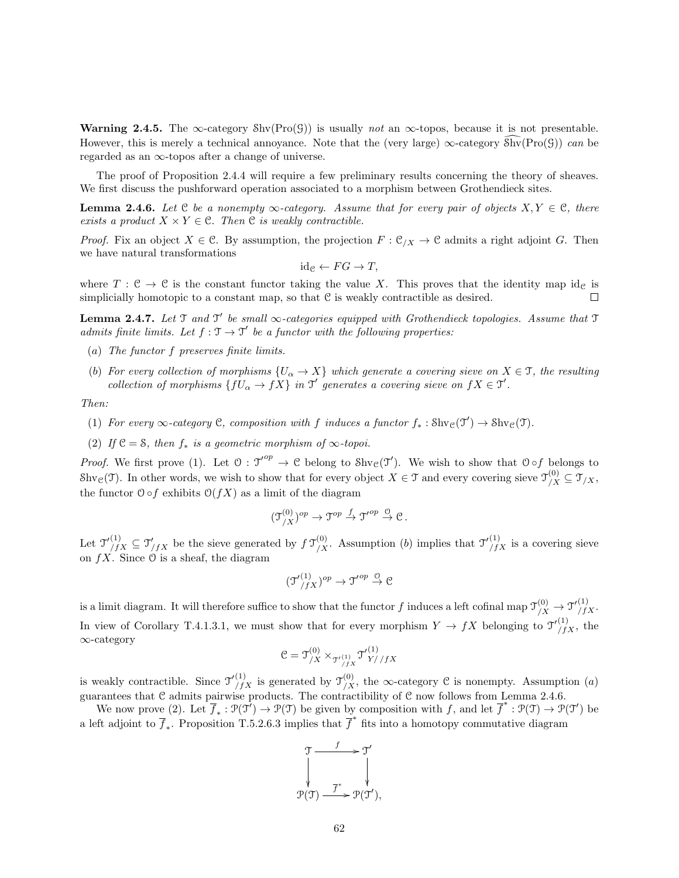**Warning 2.4.5.** The  $\infty$ -category  $\text{Shv}(\text{Pro}(\mathcal{G}))$  is usually not an  $\infty$ -topos, because it is not presentable. However, this is merely a technical annoyance. Note that the (very large)  $\infty$ -category  $\widehat{\text{Shv}}(Pro(\mathcal{G}))$  can be regarded as an  $\infty$ -topos after a change of universe.

The proof of Proposition 2.4.4 will require a few preliminary results concerning the theory of sheaves. We first discuss the pushforward operation associated to a morphism between Grothendieck sites.

**Lemma 2.4.6.** Let  $C$  be a nonempty  $\infty$ -category. Assume that for every pair of objects  $X, Y \in C$ , there exists a product  $X \times Y \in \mathcal{C}$ . Then  $\mathcal{C}$  is weakly contractible.

*Proof.* Fix an object  $X \in \mathcal{C}$ . By assumption, the projection  $F : \mathcal{C}_{X} \to \mathcal{C}$  admits a right adjoint G. Then we have natural transformations

$$
id_{\mathcal{C}} \leftarrow FG \rightarrow T,
$$

where  $T: \mathcal{C} \to \mathcal{C}$  is the constant functor taking the value X. This proves that the identity map id<sub>C</sub> is simplicially homotopic to a constant map, so that  $C$  is weakly contractible as desired. П

**Lemma 2.4.7.** Let  $\mathcal T$  and  $\mathcal T'$  be small  $\infty$ -categories equipped with Grothendieck topologies. Assume that  $\mathcal T$ admits finite limits. Let  $f : \mathcal{T} \to \mathcal{T}'$  be a functor with the following properties:

- (a) The functor f preserves finite limits.
- (b) For every collection of morphisms  $\{U_\alpha \to X\}$  which generate a covering sieve on  $X \in \mathcal{T}$ , the resulting collection of morphisms  $\{fU_{\alpha} \to fX\}$  in  $\mathcal{T}'$  generates a covering sieve on  $fX \in \mathcal{T}'$ .

Then:

- (1) For every  $\infty$ -category C, composition with f induces a functor  $f_* : \text{Shv}_\mathcal{C}(\mathfrak{I}') \to \text{Shv}_\mathcal{C}(\mathfrak{I})$ .
- (2) If  $C = S$ , then  $f_*$  is a geometric morphism of  $\infty$ -topoi.

*Proof.* We first prove (1). Let  $\mathcal{O}: \mathcal{T}'^{op} \to \mathcal{C}$  belong to  $\text{Shv}_{\mathcal{C}}(\mathcal{T}')$ . We wish to show that  $\mathcal{O} \circ f$  belongs to Shv<sub>C</sub>(T). In other words, we wish to show that for every object  $X \in \mathcal{T}$  and every covering sieve  $\mathcal{T}_{/X}^{(0)} \subseteq \mathcal{T}_{/X}$ , the functor  $\mathcal{O} \circ f$  exhibits  $\mathcal{O}(fX)$  as a limit of the diagram

$$
(\mathfrak{I}_{/X}^{(0)})^{op} \to \mathfrak{I}^{op} \to \mathfrak{I'}^{op} \xrightarrow{\mathfrak{S}} \mathfrak{C}.
$$

Let  $\mathfrak{T}'^{(1)}_{/fX} \subseteq \mathfrak{T}'_{/fX}$  be the sieve generated by  $f \mathfrak{T}'^{(0)}_{/X}$ . Assumption (b) implies that  $\mathfrak{T}'^{(1)}_{/fX}$  is a covering sieve on  $fX$ . Since  $\Theta$  is a sheaf, the diagram

$$
(\mathfrak{I'}_{/fX}^{(1)})^{op} \to \mathfrak{I'}^{op} \overset{\mathcal{O}}{\to} \mathcal{C}
$$

is a limit diagram. It will therefore suffice to show that the functor f induces a left cofinal map  $\mathcal{T}_{/X}^{(0)} \to \mathcal{T}_{/fX}^{(1)}$ . In view of Corollary T.4.1.3.1, we must show that for every morphism  $Y \to fX$  belonging to  $\mathcal{T}'^{(1)}_{/fX}$ , the ∞-category

$$
\mathcal{C} = \mathfrak{I}^{(0)}_{/X} \times_{\mathfrak{T}'^{(1)}_{/fX}} \mathfrak{I}'^{(1)}_{Y//fX}
$$

is weakly contractible. Since  $\mathcal{T}'^{(1)}_{/fX}$  is generated by  $\mathcal{T}'^{(0)}_{/X}$ , the  $\infty$ -category C is nonempty. Assumption (a) guarantees that C admits pairwise products. The contractibility of C now follows from Lemma 2.4.6.

We now prove (2). Let  $\overline{f}_* : \mathcal{P}(\mathcal{T}') \to \mathcal{P}(\mathcal{T})$  be given by composition with f, and let  $\overline{f}^* : \mathcal{P}(\mathcal{T}) \to \mathcal{P}(\mathcal{T}')$  be a left adjoint to  $\overline{f}_*$ . Proposition T.5.2.6.3 implies that  $\overline{f}^*$  fits into a homotopy commutative diagram

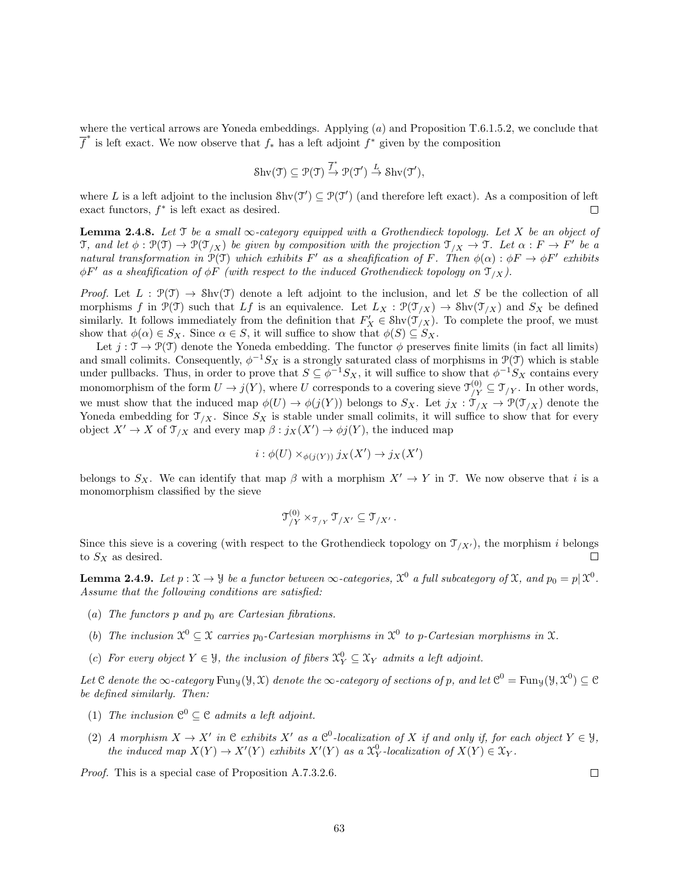where the vertical arrows are Yoneda embeddings. Applying  $(a)$  and Proposition T.6.1.5.2, we conclude that  $\overline{f}^*$  is left exact. We now observe that  $f_*$  has a left adjoint  $f^*$  given by the composition

$$
\mathrm{Shv}(\mathfrak{T}) \subseteq \mathcal{P}(\mathfrak{T}) \xrightarrow{\overline{f}^*} \mathcal{P}(\mathfrak{T}') \xrightarrow{L} \mathrm{Shv}(\mathfrak{T}'),
$$

where L is a left adjoint to the inclusion  $\text{Shv}(\mathcal{T}') \subseteq \mathcal{P}(\mathcal{T}')$  (and therefore left exact). As a composition of left exact functors,  $f^*$  is left exact as desired.  $\Box$ 

Lemma 2.4.8. Let  $\mathcal T$  be a small  $\infty$ -category equipped with a Grothendieck topology. Let X be an object of T, and let  $\phi: \mathcal{P}(\mathcal{T}) \to \mathcal{P}(\mathcal{T}_{/X})$  be given by composition with the projection  $\mathcal{T}_{/X} \to \mathcal{T}$ . Let  $\alpha: F \to F'$  be a natural transformation in  $\mathcal{P}(\mathcal{T})$  which exhibits F' as a sheafification of F. Then  $\phi(\alpha): \phi F \to \phi F'$  exhibits  $\phi F'$  as a sheafification of  $\phi F$  (with respect to the induced Grothendieck topology on  $\mathcal{T}_{/X}$ ).

Proof. Let  $L : \mathcal{P}(\mathcal{T}) \to \text{Shv}(\mathcal{T})$  denote a left adjoint to the inclusion, and let S be the collection of all morphisms f in  $\mathcal{P}(\mathcal{T})$  such that Lf is an equivalence. Let  $L_X : \mathcal{P}(\mathcal{T}_{/X}) \to \text{Shv}(\mathcal{T}_{/X})$  and  $S_X$  be defined similarly. It follows immediately from the definition that  $F'_X \in Shv(\mathcal{T}_{/X})$ . To complete the proof, we must show that  $\phi(\alpha) \in S_X$ . Since  $\alpha \in S$ , it will suffice to show that  $\phi(S) \subseteq S_X$ .

Let  $j : \mathcal{T} \to \mathcal{P}(\mathcal{T})$  denote the Yoneda embedding. The functor  $\phi$  preserves finite limits (in fact all limits) and small colimits. Consequently,  $\phi^{-1}S_X$  is a strongly saturated class of morphisms in  $\mathcal{P}(\mathcal{T})$  which is stable under pullbacks. Thus, in order to prove that  $S \subseteq \phi^{-1}S_X$ , it will suffice to show that  $\phi^{-1}S_X$  contains every monomorphism of the form  $U \to j(Y)$ , where U corresponds to a covering sieve  $\mathcal{T}_{/Y}^{(0)} \subseteq \mathcal{T}_{/Y}$ . In other words, we must show that the induced map  $\phi(U) \to \phi(j(Y))$  belongs to  $S_X$ . Let  $j_X : \overbrace{\mathcal{I}}'_{X} \to \mathcal{P}(\mathcal{T}_{X})$  denote the Yoneda embedding for  $\mathcal{T}_{X}$ . Since  $S_X$  is stable under small colimits, it will suffice to show that for every object  $X' \to X$  of  $\mathfrak{T}_{/X}$  and every map  $\beta : j_X(X') \to \phi j(Y)$ , the induced map

$$
i: \phi(U) \times_{\phi(j(Y))} j_X(X') \to j_X(X')
$$

belongs to  $S_X$ . We can identify that map  $\beta$  with a morphism  $X' \to Y$  in T. We now observe that i is a monomorphism classified by the sieve

$$
\mathfrak{T}_{/Y}^{(0)} \times_{\mathfrak{T}_{/Y}} \mathfrak{T}_{/X'} \subseteq \mathfrak{T}_{/X'}.
$$

Since this sieve is a covering (with respect to the Grothendieck topology on  $\mathcal{T}_{X'}$ ), the morphism i belongs to  $S_X$  as desired.  $\Box$ 

**Lemma 2.4.9.** Let  $p: \mathfrak{X} \to \mathcal{Y}$  be a functor between  $\infty$ -categories,  $\mathfrak{X}^0$  a full subcategory of  $\mathfrak{X}$ , and  $p_0 = p | \mathfrak{X}^0$ . Assume that the following conditions are satisfied:

- (a) The functors  $p$  and  $p_0$  are Cartesian fibrations.
- (b) The inclusion  $\mathcal{X}^0 \subseteq \mathcal{X}$  carries  $p_0$ -Cartesian morphisms in  $\mathcal{X}^0$  to p-Cartesian morphisms in  $\mathcal{X}$ .
- (c) For every object  $Y \in \mathcal{Y}$ , the inclusion of fibers  $\mathcal{X}_Y^0 \subseteq \mathcal{X}_Y$  admits a left adjoint.

Let C denote the  $\infty$ -category Funy $(\mathcal{Y}, \mathcal{X})$  denote the  $\infty$ -category of sections of p, and let  $\mathcal{C}^0 = \text{Fun}_{\mathcal{Y}}(\mathcal{Y}, \mathcal{X}^0) \subseteq \mathcal{C}$ be defined similarly. Then:

- (1) The inclusion  $\mathcal{C}^0 \subseteq \mathcal{C}$  admits a left adjoint.
- (2) A morphism  $X \to X'$  in  $\mathfrak C$  exhibits  $X'$  as a  $\mathfrak C^0$ -localization of X if and only if, for each object  $Y \in \mathcal Y$ , the induced map  $X(Y) \to X'(Y)$  exhibits  $X'(Y)$  as a  $\mathfrak{X}_Y^0$ -localization of  $X(Y) \in \mathfrak{X}_Y$ .

Proof. This is a special case of Proposition A.7.3.2.6.

 $\Box$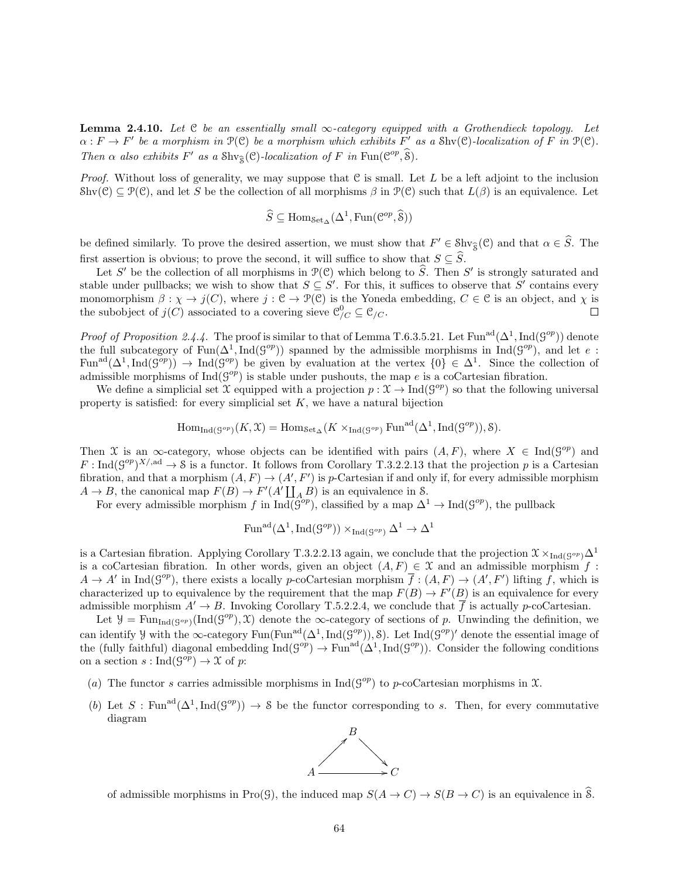**Lemma 2.4.10.** Let  $C$  be an essentially small  $\infty$ -category equipped with a Grothendieck topology. Let  $\alpha: F \to F'$  be a morphism in  $\mathcal{P}(\mathcal{C})$  be a morphism which exhibits F' as a Shv $(\mathcal{C})$ -localization of F in  $\mathcal{P}(\mathcal{C})$ . Then  $\alpha$  also exhibits  $F'$  as a  $\text{Shv}_{\hat{\mathcal{S}}}(\mathcal{C})$ -localization of  $F$  in  $\text{Fun}(\mathcal{C}^{op},\hat{\mathcal{S}})$ .

*Proof.* Without loss of generality, we may suppose that C is small. Let L be a left adjoint to the inclusion Shv(C)  $\subseteq \mathcal{P}(\mathcal{C})$ , and let S be the collection of all morphisms  $\beta$  in  $\mathcal{P}(\mathcal{C})$  such that  $L(\beta)$  is an equivalence. Let

$$
\widehat{S} \subseteq \text{Hom}_{\text{Set}_{\Delta}}(\Delta^1, \text{Fun}(\mathcal{C}^{op}, \widehat{\mathcal{S}}))
$$

be defined similarly. To prove the desired assertion, we must show that  $F' \in \text{Shv}_{\hat{\mathcal{S}}}(\mathcal{C})$  and that  $\alpha \in \hat{S}$ . The first assertion is obvious; to prove the second, it will suffice to show that  $S \subseteq \widehat{S}$ .

Let S' be the collection of all morphisms in  $\mathcal{P}(\mathcal{C})$  which belong to  $\widehat{S}$ . Then S' is strongly saturated and stable under pullbacks; we wish to show that  $S \subseteq S'$ . For this, it suffices to observe that S' contains every monomorphism  $\beta : \chi \to j(C)$ , where  $j : \mathfrak{C} \to \mathfrak{P}(\mathfrak{C})$  is the Yoneda embedding,  $C \in \mathfrak{C}$  is an object, and  $\chi$  is the subobject of  $j(C)$  associated to a covering sieve  $\mathcal{C}_{/C}^0 \subseteq \mathcal{C}_{/C}$ .  $\Box$ 

*Proof of Proposition 2.4.4.* The proof is similar to that of Lemma T.6.3.5.21. Let Fun<sup>ad</sup>( $\Delta^1$ , Ind( $\mathcal{G}^{op}$ )) denote the full subcategory of  $\text{Fun}(\Delta^1,\text{Ind}(\mathcal{G}^{op}))$  spanned by the admissible morphisms in  $\text{Ind}(\mathcal{G}^{op})$ , and let e: Fun<sup>ad</sup>( $\Delta^1$ ,Ind( $\mathcal{G}^{op}$ ))  $\to \text{Ind}(\mathcal{G}^{op})$  be given by evaluation at the vertex  $\{0\} \in \Delta^1$ . Since the collection of admissible morphisms of  $\text{Ind}(\mathcal{G}^{op})$  is stable under pushouts, the map e is a coCartesian fibration.

We define a simplicial set  $\mathfrak X$  equipped with a projection  $p: \mathfrak X \to \mathrm{Ind}(\mathcal G^{op})$  so that the following universal property is satisfied: for every simplicial set  $K$ , we have a natural bijection

$$
\mathrm{Hom}_{\mathrm{Ind}(\mathcal{G}^{op})}(K,\mathfrak{X})=\mathrm{Hom}_{\mathrm{Set}_{\Delta}}(K\times_{\mathrm{Ind}(\mathcal{G}^{op})}\mathrm{Fun}^{\mathrm{ad}}(\Delta^1,\mathrm{Ind}(\mathcal{G}^{op})),\mathcal{S}).
$$

Then X is an  $\infty$ -category, whose objects can be identified with pairs  $(A, F)$ , where  $X \in \text{Ind}(\mathcal{G}^{op})$  and  $F: \text{Ind}(\mathcal{G}^{op})^{X/\text{,ad}} \to \mathcal{S}$  is a functor. It follows from Corollary T.3.2.2.13 that the projection p is a Cartesian fibration, and that a morphism  $(A, F) \to (A', F')$  is p-Cartesian if and only if, for every admissible morphism  $A \to B$ , the canonical map  $F(B) \to F'(A' \coprod_A B)$  is an equivalence in S.

For every admissible morphism f in  $\text{Ind}(\mathcal{G}^{op})$ , classified by a map  $\Delta^1 \to \text{Ind}(\mathcal{G}^{op})$ , the pullback

$$
\mathrm{Fun}^{\mathrm{ad}}(\Delta^1, \mathrm{Ind}(\mathcal{G}^{op})) \times_{\mathrm{Ind}(\mathcal{G}^{op})} \Delta^1 \to \Delta^1
$$

is a Cartesian fibration. Applying Corollary T.3.2.2.13 again, we conclude that the projection  $\mathfrak{X} \times_{\text{Ind}(\mathcal{G}^{op})} \Delta^1$ is a coCartesian fibration. In other words, given an object  $(A, F) \in \mathcal{X}$  and an admissible morphism  $f$ :  $A \to A'$  in Ind( $\mathcal{G}^{op}$ ), there exists a locally p-coCartesian morphism  $\overline{f} : (A, F) \to (A', F')$  lifting f, which is characterized up to equivalence by the requirement that the map  $F(B) \to F'(B)$  is an equivalence for every admissible morphism  $A' \to B$ . Invoking Corollary T.5.2.2.4, we conclude that  $\overline{f}$  is actually p-coCartesian.

Let  $\mathcal{Y} = \text{Fun}_{\text{Ind}(\mathcal{G}^{op})}(\text{Ind}(\mathcal{G}^{op}), \mathcal{X})$  denote the  $\infty$ -category of sections of p. Unwinding the definition, we can identify y with the ∞-category  $\text{Fun}^{\text{ad}}(\Delta^1, \text{Ind}(\mathcal{G}^{op})),$  S). Let  $\text{Ind}(\mathcal{G}^{op})'$  denote the essential image of the (fully faithful) diagonal embedding  $\text{Ind}(\mathcal{G}^{op}) \to \text{Fun}^{\text{ad}}(\Delta^1,\text{Ind}(\mathcal{G}^{op}))$ . Consider the following conditions on a section  $s: \text{Ind}(S^{op}) \to \mathfrak{X}$  of  $p$ :

- (a) The functor s carries admissible morphisms in  $\text{Ind}(\mathcal{G}^{op})$  to p-coCartesian morphisms in X.
- (b) Let S: Fun<sup>ad</sup>( $\Delta^1$ , Ind( $\mathcal{G}^{op}$ ))  $\to$  S be the functor corresponding to s. Then, for every commutative diagram



of admissible morphisms in Pro(G), the induced map  $S(A \to C) \to S(B \to C)$  is an equivalence in  $\widehat{\mathcal{S}}$ .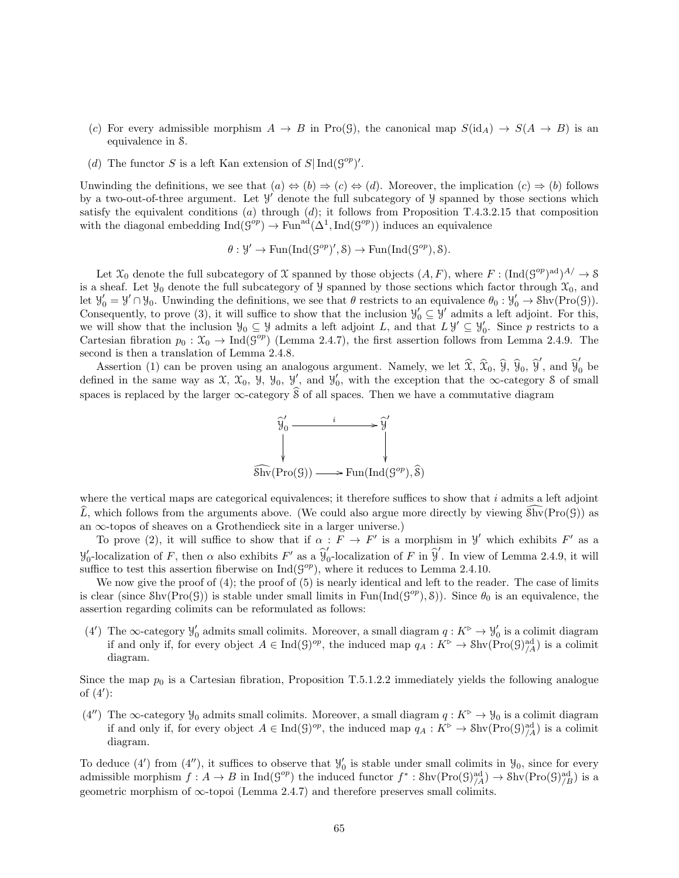- (c) For every admissible morphism  $A \to B$  in Pro(G), the canonical map  $S(\text{id}_A) \to S(A \to B)$  is an equivalence in S.
- (d) The functor S is a left Kan extension of  $S|\operatorname{Ind}(G^{op})'$ .

Unwinding the definitions, we see that  $(a) \Leftrightarrow (b) \Rightarrow (c) \Leftrightarrow (d)$ . Moreover, the implication  $(c) \Rightarrow (b)$  follows by a two-out-of-three argument. Let  $\mathcal{Y}'$  denote the full subcategory of  $\mathcal{Y}$  spanned by those sections which satisfy the equivalent conditions (a) through  $(d)$ ; it follows from Proposition T.4.3.2.15 that composition with the diagonal embedding  $\text{Ind}(\mathcal{G}^{op}) \to \text{Fun}^{ad}(\Delta^1, \text{Ind}(\mathcal{G}^{op}))$  induces an equivalence

$$
\theta: \mathcal{Y}' \to \text{Fun}(\text{Ind}(\mathcal{G}^{op})', \mathcal{S}) \to \text{Fun}(\text{Ind}(\mathcal{G}^{op}), \mathcal{S}).
$$

Let  $\mathfrak{X}_0$  denote the full subcategory of X spanned by those objects  $(A, F)$ , where  $F : (\text{Ind}(G^{op})^{\text{ad}})^{A} \rightarrow \mathcal{S}$ is a sheaf. Let  $\mathcal{Y}_0$  denote the full subcategory of  $\mathcal{Y}$  spanned by those sections which factor through  $\mathcal{X}_0$ , and let  $\mathcal{Y}'_0 = \mathcal{Y}' \cap \mathcal{Y}_0$ . Unwinding the definitions, we see that  $\theta$  restricts to an equivalence  $\theta_0 : \mathcal{Y}'_0 \to \text{Shv}(\text{Pro}(\mathcal{G}))$ . Consequently, to prove (3), it will suffice to show that the inclusion  $\mathcal{Y}'_0 \subseteq \mathcal{Y}'$  admits a left adjoint. For this, we will show that the inclusion  $\mathcal{Y}_0 \subseteq \mathcal{Y}$  admits a left adjoint L, and that  $L \mathcal{Y}' \subseteq \mathcal{Y}'_0$ . Since p restricts to a Cartesian fibration  $p_0 : \mathfrak{X}_0 \to \text{Ind}(\mathcal{G}^{op})$  (Lemma 2.4.7), the first assertion follows from Lemma 2.4.9. The second is then a translation of Lemma 2.4.8.

Assertion (1) can be proven using an analogous argument. Namely, we let  $\hat{\mathfrak{X}}, \hat{\mathfrak{X}}_0, \hat{\mathfrak{Y}}, \hat{\mathfrak{Y}}_0, \hat{\mathfrak{Y}}'$ , and  $\hat{\mathfrak{Y}}'_0$  be defined in the same way as  $\mathfrak{X}, \mathfrak{X}_0, \mathfrak{Y}, \mathfrak{Y}_0, \mathfrak{Y}'$ , and  $\mathfrak{Y}'_0$ , with the exception that the  $\infty$ -category  $\mathcal S$  of small spaces is replaced by the larger  $\infty$ -category  $\hat{\mathcal{S}}$  of all spaces. Then we have a commutative diagram



where the vertical maps are categorical equivalences; it therefore suffices to show that  $i$  admits a left adjoint  $\widehat{L}$ , which follows from the arguments above. (We could also argue more directly by viewing  $\widehat{\text{Shv}}(\text{Pro}(\mathcal{G}))$ ) as an  $\infty$ -topos of sheaves on a Grothendieck site in a larger universe.)

To prove (2), it will suffice to show that if  $\alpha : \tilde{F} \to F'$  is a morphism in Y' which exhibits F' as a  $y'_0$ -localization of F, then  $\alpha$  also exhibits F' as a  $\hat{y}'_0$  $\int_0^{\pi}$ localization of F in  $\widehat{\mathcal{Y}}'$ . In view of Lemma 2.4.9, it will suffice to test this assertion fiberwise on  $\text{Ind}(\mathcal{G}^{op})$ , where it reduces to Lemma 2.4.10.

We now give the proof of (4); the proof of (5) is nearly identical and left to the reader. The case of limits is clear (since  $\text{Shv}(\text{Pro}(\mathcal{G}))$  is stable under small limits in  $\text{Fun}(\text{Ind}(\mathcal{G}^{op}), \mathcal{S}))$ ). Since  $\theta_0$  is an equivalence, the assertion regarding colimits can be reformulated as follows:

(4') The  $\infty$ -category  $\mathcal{Y}'_0$  admits small colimits. Moreover, a small diagram  $q: K^{\triangleright} \to \mathcal{Y}'_0$  is a colimit diagram if and only if, for every object  $A \in \text{Ind}(\mathcal{G})^{op}$ , the induced map  $q_A: K^{\triangleright} \to \text{Shv}(\text{Pro}(\mathcal{G})^{ad}_{/A})$  is a colimit diagram.

Since the map  $p_0$  is a Cartesian fibration, Proposition T.5.1.2.2 immediately yields the following analogue of  $(4')$ :

(4") The ∞-category  $\mathcal{Y}_0$  admits small colimits. Moreover, a small diagram  $q: K^{\triangleright} \to \mathcal{Y}_0$  is a colimit diagram if and only if, for every object  $A \in \text{Ind}(\mathcal{G})^{op}$ , the induced map  $q_A: K^{\triangleright} \to \text{Shv}(\text{Pro}(\mathcal{G})^{ad}_{/A})$  is a colimit diagram.

To deduce (4') from (4''), it suffices to observe that  $\mathcal{Y}'_0$  is stable under small colimits in  $\mathcal{Y}_0$ , since for every admissible morphism  $f: A \to B$  in  $\text{Ind}(\mathcal{G}^{op})$  the induced functor  $f^* : \text{Shv}(\text{Pro}(\mathcal{G})^{\text{ad}}_{/A}) \to \text{Shv}(\text{Pro}(\mathcal{G})^{\text{ad}}_{/B})$  is a geometric morphism of  $\infty$ -topoi (Lemma 2.4.7) and therefore preserves small colimits.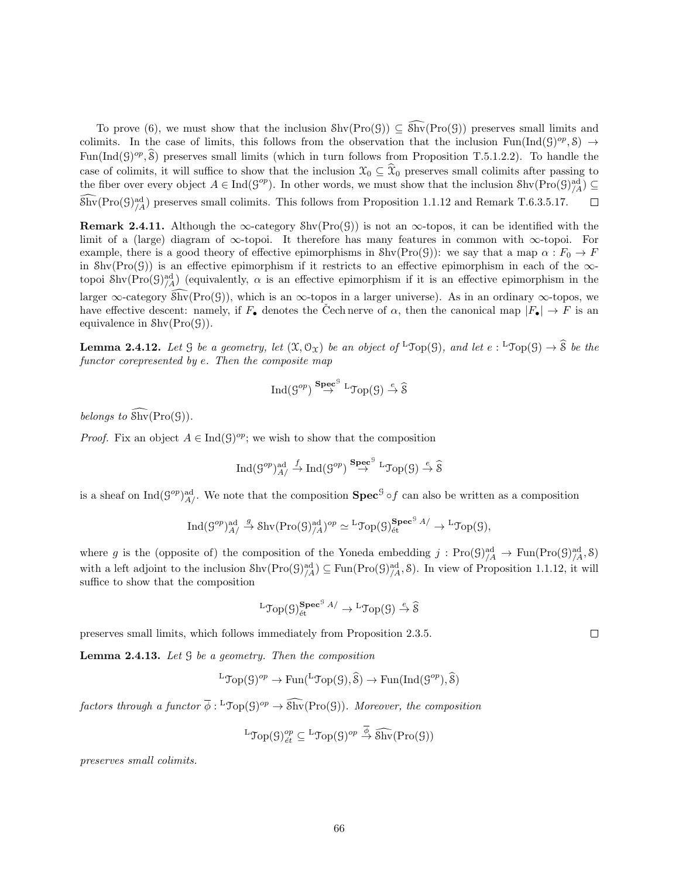To prove (6), we must show that the inclusion  $\text{Shv}(\text{Pro}(\mathcal{G})) \subseteq \widehat{\text{Shv}}(\text{Pro}(\mathcal{G}))$  preserves small limits and colimits. In the case of limits, this follows from the observation that the inclusion  $\text{Fun}(\text{Ind}(\mathcal{G})^{op}, \mathcal{S}) \to$ Fun(Ind(G)<sup>op</sup>,  $\hat{\mathcal{S}}$ ) preserves small limits (which in turn follows from Proposition T.5.1.2.2). To handle the case of colimits, it will suffice to show that the inclusion  $\mathcal{X}_0 \subseteq \mathcal{X}_0$  preserves small colimits after passing to the fiber over every object  $A \in \text{Ind}(\mathcal{G}^{op})$ . In other words, we must show that the inclusion  $\text{Shv}(\text{Pro}(\mathcal{G})^{\text{ad}}_{A}) \subseteq$  $\widehat{\text{Shv}}(\text{Pro}(\mathcal{G})^{\text{ad}}_{/A})$  preserves small colimits. This follows from Proposition 1.1.12 and Remark T.6.3.5.17.  $\Box$ 

Remark 2.4.11. Although the  $\infty$ -category Shv(Pro(G)) is not an  $\infty$ -topos, it can be identified with the limit of a (large) diagram of  $\infty$ -topoi. It therefore has many features in common with  $\infty$ -topoi. For example, there is a good theory of effective epimorphisms in  $\text{Shv}(\text{Pro}(\mathcal{G}))$ : we say that a map  $\alpha : F_0 \to F$ in  $\text{Shv}(\text{Pro}(\mathcal{G}))$  is an effective epimorphism if it restricts to an effective epimorphism in each of the  $\infty$ topoi Shv $(Pro(\mathcal{G})^{\text{ad}}_{/A})$  (equivalently,  $\alpha$  is an effective epimorphism if it is an effective epimorphism in the larger  $\infty$ -category Shv(Pro(G)), which is an  $\infty$ -topos in a larger universe). As in an ordinary  $\infty$ -topos, we have effective descent: namely, if  $F_{\bullet}$  denotes the Čech nerve of  $\alpha$ , then the canonical map  $|F_{\bullet}| \to F$  is an equivalence in  $\text{Shv}(\text{Pro}(\mathcal{G}))$ .

**Lemma 2.4.12.** Let  $\mathcal{G}$  be a geometry, let  $(\mathcal{X}, \mathcal{O}_\mathcal{X})$  be an object of  $^L\mathcal{Top}(\mathcal{G})$ , and let  $e: {}^L\mathcal{Top}(\mathcal{G}) \to \widehat{\mathcal{S}}$  be the functor corepresented by e. Then the composite map

$$
\operatorname{Ind}(\mathcal{G}^{op}) \stackrel{\mathbf{Spec}^{\mathcal{G}}}{\rightarrow} {}^{\mathbf{L}}\mathcal{T}\mathrm{op}(\mathcal{G}) \stackrel{e}{\rightarrow} \widehat{\mathcal{S}}
$$

belongs to  $\widehat{\text{Shv}}(\text{Pro}(\mathcal{G}))$ .

*Proof.* Fix an object  $A \in Ind(\mathcal{G})^{op}$ ; we wish to show that the composition

$$
\operatorname{Ind}(\mathcal{G}^{op})^{\operatorname{ad}}_{A/}\xrightarrow{f}\operatorname{Ind}(\mathcal{G}^{op})\xrightarrow{\operatorname{\mathbf{Spec}}^{\operatorname{g}}}\xrightarrow{\operatorname{L}}\operatorname{\mathcal{T}\!\mathit{op}}(\mathcal{G})\xrightarrow{e}\widehat{\mathcal{S}}
$$

is a sheaf on  $\text{Ind}(G^{op})^{\text{ad}}_{A}/.$  We note that the composition  $\text{Spec}^{\mathcal{G}} \circ f$  can also be written as a composition

$$
\operatorname{Ind}(\mathcal{G}^{op})^{\operatorname{ad}}_{A}/\xrightarrow{g} \operatorname{Shv}(\operatorname{Pro}(\mathcal{G})^{\operatorname{ad}}_{/A})^{op}\simeq {}^{\operatorname{L}}\operatorname{Top}(\mathcal{G})^{\operatorname{\mathbf{Spec}}^{\operatorname{G}}_{\operatorname{\'et}}}_{\operatorname{\acute{e}t}}\xrightarrow{A}/\xrightarrow{} {}^{\operatorname{L}}\operatorname{Top}(\mathcal{G}),
$$

where g is the (opposite of) the composition of the Yoneda embedding  $j: Proj_{/A}^{\text{ad}} \to Fun(Pro(\mathcal{G})_{/A}^{\text{ad}}, \mathcal{S})$ with a left adjoint to the inclusion  $\text{Shv}(\text{Pro}(\mathcal{G})^{\text{ad}}_{/A}) \subseteq \text{Fun}(\text{Pro}(\mathcal{G})^{\text{ad}}_{/A}, \mathcal{S})$ . In view of Proposition 1.1.12, it will suffice to show that the composition

$$
{}^{\mathrm{L}}\mathrm{Top}(\mathcal{G})_{\mathrm{\acute{e}t}}^{\mathbf{Spec}^{\mathrm{G}}\,A/}\to {}^{\mathrm{L}}\mathrm{Top}(\mathcal{G})\stackrel{e}{\to}\widehat{\mathcal{S}}
$$

preserves small limits, which follows immediately from Proposition 2.3.5.

**Lemma 2.4.13.** Let  $\mathcal G$  be a geometry. Then the composition

$$
{}^{\mathbf{L}}\mathcal{T}\mathrm{op}(\mathcal{G})^{op} \to \mathrm{Fun}({}^{\mathbf{L}}\mathcal{T}\mathrm{op}(\mathcal{G}),\widehat{\mathcal{S}}) \to \mathrm{Fun}(\mathrm{Ind}(\mathcal{G}^{op}),\widehat{\mathcal{S}})
$$

factors through a functor  $\overline{\phi}$ :  ${}^L \text{Top}(\mathcal{G})^{op} \to \widehat{\text{Shv}}(\text{Pro}(\mathcal{G}))$ . Moreover, the composition

$$
{}^L\mathfrak{Top}(\mathcal{G})^{op}_{\acute{e}t} \subseteq {}^L\mathfrak{Top}(\mathcal{G})^{op} \stackrel{\overline{\phi}}{\rightarrow} \widehat{\mathfrak{Shv}}(Pro(\mathcal{G}))
$$

preserves small colimits.

 $\Box$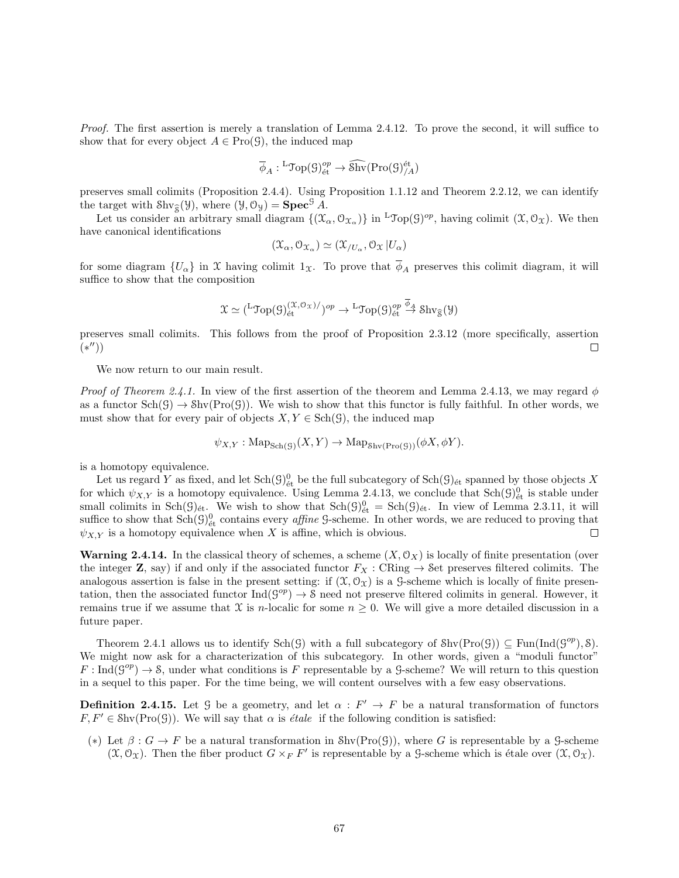Proof. The first assertion is merely a translation of Lemma 2.4.12. To prove the second, it will suffice to show that for every object  $A \in \text{Pro}(\mathcal{G})$ , the induced map

$$
\overline{\phi}_A : {}^{\mathbf{L}}\mathfrak{Top}(\mathcal{G})^{op}_{\text{\'et}} \to \widehat{\mathbf{Shv}}(\mathrm{Pro}(\mathcal{G})^{\text{\'et}}_{/A})
$$

preserves small colimits (Proposition 2.4.4). Using Proposition 1.1.12 and Theorem 2.2.12, we can identify the target with  $\text{Shv}_{\widehat{\mathcal{S}}}(\mathcal{Y})$ , where  $(\mathcal{Y}, \mathcal{O}_{\mathcal{Y}}) = \text{Spec}^{\mathcal{G}} A$ .

Let us consider an arbitrary small diagram  $\{(\mathfrak{X}_{\alpha}, \mathcal{O}_{\mathfrak{X}_{\alpha}})\}\$  in <sup>L</sup>Top(G)<sup>op</sup>, having colimit  $(\mathfrak{X}, \mathcal{O}_{\mathfrak{X}})$ . We then have canonical identifications

$$
(\mathfrak{X}_{\alpha},\mathfrak{O}_{\mathfrak{X}_{\alpha}})\simeq (\mathfrak{X}_{/U_{\alpha}},\mathfrak{O}_{\mathfrak{X}}|U_{\alpha})
$$

for some diagram  $\{U_\alpha\}$  in X having colimit  $1_\mathfrak{X}$ . To prove that  $\phi_A$  preserves this colimit diagram, it will suffice to show that the composition

$$
\mathfrak{X} \simeq {}^{L}\mathfrak{Top}(\mathcal{G})_{\mathrm{\acute{e}t}}^{(\mathfrak{X},\mathcal{O}_{\mathfrak{X}})} / {}^{op} \to {}^{L}\mathfrak{Top}(\mathcal{G})_{\mathrm{\acute{e}t}}^{op} \stackrel{\overline{\phi}_{\mathcal{A}}}{\to} \mathrm{Shv}_{\widehat{\mathfrak{F}}}(\mathcal{Y})
$$

preserves small colimits. This follows from the proof of Proposition 2.3.12 (more specifically, assertion  $(*'')$  $\Box$ 

We now return to our main result.

*Proof of Theorem 2.4.1.* In view of the first assertion of the theorem and Lemma 2.4.13, we may regard  $\phi$ as a functor  $\text{Sch}(\mathcal{G}) \to \text{Shv}(\text{Pro}(\mathcal{G}))$ . We wish to show that this functor is fully faithful. In other words, we must show that for every pair of objects  $X, Y \in Sch(G)$ , the induced map

$$
\psi_{X,Y} : \mathrm{Map}_{\mathrm{Sch}(\mathcal{G})}(X,Y) \to \mathrm{Map}_{\mathrm{Shv}(\mathrm{Pro}(\mathcal{G}))}(\phi X, \phi Y).
$$

is a homotopy equivalence.

Let us regard Y as fixed, and let  $\text{Sch}(G)_{\text{\'et}}^0$  be the full subcategory of  $\text{Sch}(G)_{\text{\'et}}$  spanned by those objects X for which  $\psi_{X,Y}$  is a homotopy equivalence. Using Lemma 2.4.13, we conclude that  $Sch(\mathcal{G})^0_{\text{\'{e}t}}$  is stable under small colimits in  $Sch(\mathcal{G})_{\text{\'et}}$ . We wish to show that  $Sch(\mathcal{G})_{\text{\'et}}^0 = Sch(\mathcal{G})_{\text{\'et}}$ . In view of Lemma 2.3.11, it will suffice to show that  $Sch(\mathcal{G})^0_{\text{\'et}}$  contains every *affine* G-scheme. In other words, we are reduced to proving that  $\psi_{X,Y}$  is a homotopy equivalence when X is affine, which is obvious.  $\Box$ 

**Warning 2.4.14.** In the classical theory of schemes, a scheme  $(X, \mathcal{O}_X)$  is locally of finite presentation (over the integer **Z**, say) if and only if the associated functor  $F_X$  : CRing  $\rightarrow$  Set preserves filtered colimits. The analogous assertion is false in the present setting: if  $(\mathfrak{X}, \mathfrak{O}_{\mathfrak{X}})$  is a G-scheme which is locally of finite presentation, then the associated functor  $\text{Ind}(S^{op}) \to \mathcal{S}$  need not preserve filtered colimits in general. However, it remains true if we assume that X is n-localic for some  $n \geq 0$ . We will give a more detailed discussion in a future paper.

Theorem 2.4.1 allows us to identify  $\text{Sch}(\mathcal{G})$  with a full subcategory of  $\text{Shv}(\text{Pro}(\mathcal{G})) \subseteq \text{Fun}(\text{Ind}(\mathcal{G}^{op}), \mathcal{S})$ . We might now ask for a characterization of this subcategory. In other words, given a "moduli functor"  $F: \text{Ind}(\mathcal{G}^{op}) \to \mathcal{S}$ , under what conditions is F representable by a G-scheme? We will return to this question in a sequel to this paper. For the time being, we will content ourselves with a few easy observations.

**Definition 2.4.15.** Let G be a geometry, and let  $\alpha$ :  $F' \rightarrow F$  be a natural transformation of functors  $F, F' \in Shv(Pro(G))$ . We will say that  $\alpha$  is *étale* if the following condition is satisfied:

(\*) Let  $\beta: G \to F$  be a natural transformation in Shv(Pro(G)), where G is representable by a G-scheme  $(\mathfrak{X}, \mathcal{O}_{\mathfrak{X}})$ . Then the fiber product  $G \times_F F'$  is representable by a G-scheme which is étale over  $(\mathfrak{X}, \mathcal{O}_{\mathfrak{X}})$ .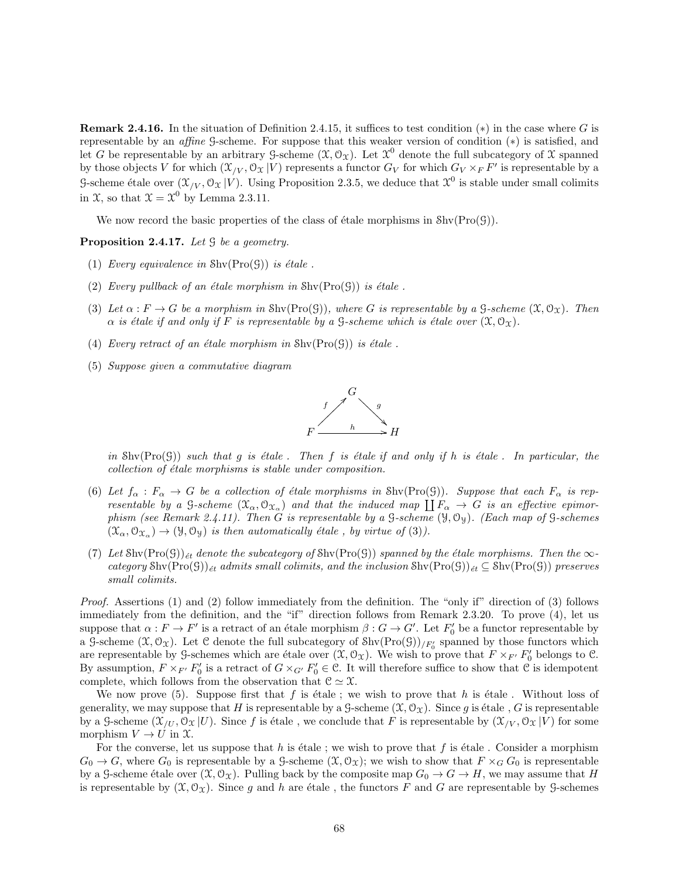**Remark 2.4.16.** In the situation of Definition 2.4.15, it suffices to test condition  $(*)$  in the case where G is representable by an affine G-scheme. For suppose that this weaker version of condition (∗) is satisfied, and let G be representable by an arbitrary G-scheme  $(\mathfrak{X}, \mathcal{O}_{\mathfrak{X}})$ . Let  $\mathfrak{X}^0$  denote the full subcategory of X spanned by those objects V for which  $(\mathfrak{X}_{/V}, \mathfrak{O}_{\mathfrak{X}} | V)$  represents a functor  $G_V$  for which  $G_V \times_F F'$  is representable by a G-scheme étale over  $(\mathfrak{X}_{/V}, \mathfrak{O}_{\mathfrak{X}} | V)$ . Using Proposition 2.3.5, we deduce that  $\mathfrak{X}^0$  is stable under small colimits in X, so that  $\mathfrak{X} = \mathfrak{X}^0$  by Lemma 2.3.11.

We now record the basic properties of the class of étale morphisms in  $\text{Shv}(\text{Pro}(\mathcal{G}))$ .

Proposition 2.4.17. Let  $\mathcal G$  be a geometry.

- (1) Every equivalence in  $\text{Shv}(\text{Pro}(\mathcal{G}))$  is étale.
- (2) Every pullback of an étale morphism in  $\text{Shv}(\text{Pro}(\mathcal{G}))$  is étale.
- (3) Let  $\alpha : F \to G$  be a morphism in Shv $(Pro(G))$ , where G is representable by a G-scheme  $(\mathfrak{X}, \mathcal{O}_{\mathfrak{X}})$ . Then  $\alpha$  is étale if and only if F is representable by a G-scheme which is étale over  $(\mathfrak{X}, \mathcal{O}_{\Upsilon})$ .
- (4) Every retract of an étale morphism in  $\text{Shv}(\text{Pro}(\mathcal{G}))$  is étale.
- (5) Suppose given a commutative diagram



in  $\text{Shv}(\text{Pro}(G))$  such that g is étale. Then f is étale if and only if h is étale. In particular, the  $collection of étale morphisms is stable under composition.$ 

- (6) Let  $f_\alpha : F_\alpha \to G$  be a collection of étale morphisms in Shv(Pro(G)). Suppose that each  $F_\alpha$  is representable by a G-scheme  $(\mathfrak{X}_{\alpha}, \mathfrak{O}_{\mathfrak{X}_{\alpha}})$  and that the induced map  $\prod F_{\alpha} \to G$  is an effective epimorphism (see Remark 2.4.11). Then G is representable by a  $\mathcal{G}\text{-}scheme$  ( $\mathcal{Y}, \mathcal{O}\mathcal{Y}$ ). (Each map of  $\mathcal{G}\text{-} schemes$  $(\mathfrak{X}_{\alpha}, \mathfrak{O}_{\mathfrak{X}_{\alpha}}) \rightarrow (\mathfrak{Y}, \mathfrak{O}_{\mathfrak{Y}})$  is then automatically étale, by virtue of (3)).
- (7) Let Shv $(Proj)_{\acute{e}t}$  denote the subcategory of Shv $(Proj)$  spanned by the étale morphisms. Then the  $\infty$ category Shv $(Pro(G))_{\acute{e}t}$  admits small colimits, and the inclusion Shv $(Pro(G))_{\acute{e}t} \subseteq Shv(Pro(G))$  preserves small colimits.

Proof. Assertions (1) and (2) follow immediately from the definition. The "only if" direction of (3) follows immediately from the definition, and the "if" direction follows from Remark 2.3.20. To prove (4), let us suppose that  $\alpha: F \to F'$  is a retract of an étale morphism  $\beta: G \to G'$ . Let  $F'_0$  be a functor representable by a G-scheme  $(\mathfrak{X}, \mathcal{O}_\mathfrak{X})$ . Let C denote the full subcategory of  $\text{Shv}(\text{Pro}(\mathcal{G}))_{/F'_0}$  spanned by those functors which are representable by G-schemes which are étale over  $(\mathfrak{X}, \mathcal{O}_{\mathfrak{X}})$ . We wish to prove that  $F \times_{F'} F'_{0}$  belongs to C. By assumption,  $F \times_{F'} F'_0$  is a retract of  $G \times_{G'} F'_0 \in \mathcal{C}$ . It will therefore suffice to show that  $\mathcal{C}$  is idempotent complete, which follows from the observation that  $C \simeq \mathfrak{X}$ .

We now prove (5). Suppose first that f is étale ; we wish to prove that h is étale . Without loss of generality, we may suppose that H is representable by a G-scheme  $(\mathfrak{X}, \mathcal{O}_{\mathfrak{X}})$ . Since g is étale , G is representable by a G-scheme  $(\mathfrak{X}_{U}, \mathfrak{O}_{\mathfrak{X}} |U)$ . Since f is étale, we conclude that F is representable by  $(\mathfrak{X}_{V}, \mathfrak{O}_{\mathfrak{X}} |V)$  for some morphism  $V \to U$  in  $\mathfrak{X}$ .

For the converse, let us suppose that h is étale ; we wish to prove that f is étale . Consider a morphism  $G_0 \to G$ , where  $G_0$  is representable by a G-scheme  $(\mathfrak{X}, \mathcal{O}_{\mathfrak{X}})$ ; we wish to show that  $F \times_G G_0$  is representable by a G-scheme étale over  $(\mathfrak{X}, \mathcal{O}_{\mathfrak{X}})$ . Pulling back by the composite map  $G_0 \to G \to H$ , we may assume that H is representable by  $(\mathfrak{X}, \mathcal{O}_{\mathfrak{X}})$ . Since g and h are étale, the functors F and G are representable by G-schemes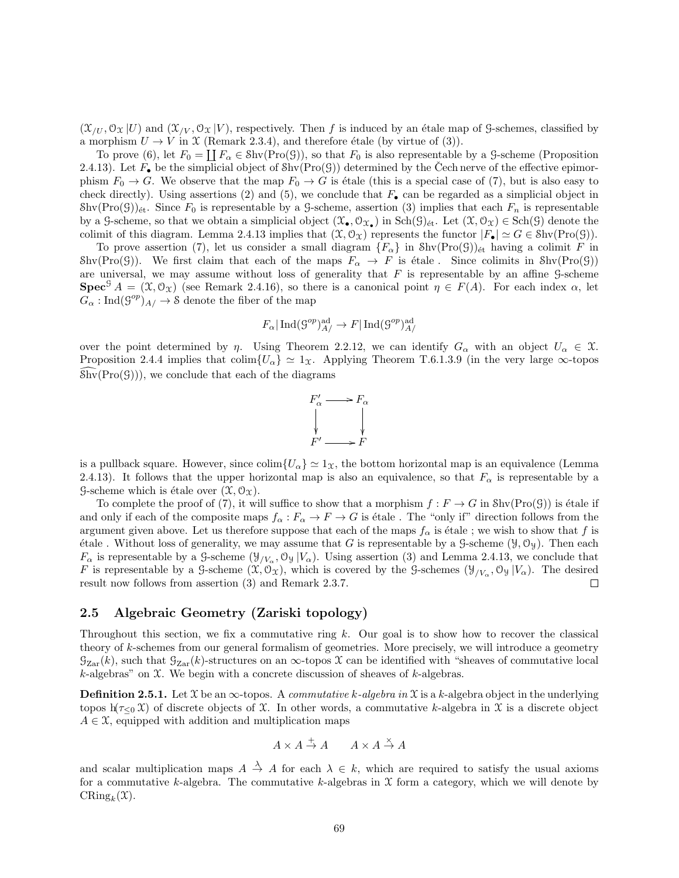$(\mathfrak{X}_{/U}, \mathfrak{O}_{\mathfrak{X}} |U)$  and  $(\mathfrak{X}_{/V}, \mathfrak{O}_{\mathfrak{X}} |V)$ , respectively. Then f is induced by an étale map of G-schemes, classified by a morphism  $U \to V$  in X (Remark 2.3.4), and therefore étale (by virtue of (3)).

To prove (6), let  $F_0 = \coprod F_\alpha \in \text{Shv}(\text{Pro}(\mathcal{G}))$ , so that  $F_0$  is also representable by a G-scheme (Proposition 2.4.13). Let  $F_{\bullet}$  be the simplicial object of  $\text{Shv}(\text{Pro}(\mathcal{G}))$  determined by the Cech nerve of the effective epimorphism  $F_0 \to G$ . We observe that the map  $F_0 \to G$  is étale (this is a special case of (7), but is also easy to check directly). Using assertions (2) and (5), we conclude that  $F_{\bullet}$  can be regarded as a simplicial object in  $\text{Shv}(\text{Pro}(\mathcal{G}))_{\text{\'et}}$ . Since  $F_0$  is representable by a G-scheme, assertion (3) implies that each  $F_n$  is representable by a G-scheme, so that we obtain a simplicial object  $(\mathfrak{X}_{\bullet}, \mathcal{O}_{\mathfrak{X}_{\bullet}})$  in  $Sch(\mathfrak{H})_{\text{\'et}}$ . Let  $(\mathfrak{X}, \mathcal{O}_{\mathfrak{X}}) \in Sch(\mathfrak{H})$  denote the colimit of this diagram. Lemma 2.4.13 implies that  $(\mathfrak{X}, \mathcal{O}_{\mathfrak{X}})$  represents the functor  $|F_{\bullet}| \simeq G \in \text{Shv}(\text{Pro}(\mathcal{G}))$ .

To prove assertion (7), let us consider a small diagram  $\{F_{\alpha}\}\$  in  $\text{Shv}(\text{Pro}(\mathcal{G}))_{\text{\'et}}$  having a colimit F in Shv(Pro(G)). We first claim that each of the maps  $F_{\alpha} \to F$  is étale. Since colimits in Shv(Pro(G)) are universal, we may assume without loss of generality that  $F$  is representable by an affine  $\mathcal G$ -scheme **Spec**<sup>G</sup>  $A = (\mathfrak{X}, \mathfrak{O}_{\mathfrak{X}})$  (see Remark 2.4.16), so there is a canonical point  $\eta \in F(A)$ . For each index  $\alpha$ , let  $G_{\alpha} : \text{Ind}(\mathcal{G}^{op})_{A}/ \rightarrow \mathcal{S}$  denote the fiber of the map

$$
F_{\alpha}|\operatorname{Ind}(\mathcal{G}^{op})^{\operatorname{ad}}_{A}/\to F|\operatorname{Ind}(\mathcal{G}^{op})^{\operatorname{ad}}_{A}/
$$

over the point determined by  $\eta$ . Using Theorem 2.2.12, we can identify  $G_{\alpha}$  with an object  $U_{\alpha} \in \mathcal{X}$ . Proposition 2.4.4 implies that colim $\{U_{\alpha}\}\simeq 1_{\mathcal{X}}$ . Applying Theorem T.6.1.3.9 (in the very large  $\infty$ -topos  $\text{Shv}(\text{Pro}(\mathcal{G}))$ , we conclude that each of the diagrams



is a pullback square. However, since  $\text{colim}\{U_{\alpha}\}\simeq 1_{\mathfrak{X}}$ , the bottom horizontal map is an equivalence (Lemma 2.4.13). It follows that the upper horizontal map is also an equivalence, so that  $F_{\alpha}$  is representable by a G-scheme which is étale over  $(\mathfrak{X}, \mathfrak{O}_{\mathfrak{X}})$ .

To complete the proof of (7), it will suffice to show that a morphism  $f : F \to G$  in  $\text{Shv}(\text{Pro}(\mathcal{G}))$  is étale if and only if each of the composite maps  $f_{\alpha}: F_{\alpha} \to F \to G$  is étale. The "only if" direction follows from the argument given above. Let us therefore suppose that each of the maps  $f_\alpha$  is étale ; we wish to show that f is étale . Without loss of generality, we may assume that G is representable by a G-scheme  $(\mathcal{Y}, \mathcal{O}_{\mathcal{Y}})$ . Then each  $F_{\alpha}$  is representable by a G-scheme  $(\mathcal{Y}_{/V_{\alpha}}, \mathcal{O}_{\mathcal{Y}} | V_{\alpha})$ . Using assertion (3) and Lemma 2.4.13, we conclude that F is representable by a G-scheme  $(\mathfrak{X}, \mathcal{O}_{\mathfrak{X}})$ , which is covered by the G-schemes  $(\mathcal{Y}_{/V_\alpha}, \mathcal{O}_{\mathcal{Y}} | V_\alpha)$ . The desired result now follows from assertion (3) and Remark 2.3.7.  $\Box$ 

## 2.5 Algebraic Geometry (Zariski topology)

Throughout this section, we fix a commutative ring k. Our goal is to show how to recover the classical theory of k-schemes from our general formalism of geometries. More precisely, we will introduce a geometry  $G_{Zar}(k)$ , such that  $G_{Zar}(k)$ -structures on an  $\infty$ -topos X can be identified with "sheaves of commutative local k-algebras" on  $\mathfrak X$ . We begin with a concrete discussion of sheaves of k-algebras.

**Definition 2.5.1.** Let  $\mathcal{X}$  be an  $\infty$ -topos. A *commutative k-algebra in*  $\mathcal{X}$  is a *k*-algebra object in the underlying topos h( $\tau_{\leq 0}$  X) of discrete objects of X. In other words, a commutative k-algebra in X is a discrete object  $A \in \mathfrak{X}$ , equipped with addition and multiplication maps

$$
A \times A \stackrel{+}{\to} A \qquad A \times A \stackrel{\times}{\to} A
$$

and scalar multiplication maps  $A \stackrel{\lambda}{\rightarrow} A$  for each  $\lambda \in k$ , which are required to satisfy the usual axioms for a commutative k-algebra. The commutative k-algebras in  $X$  form a category, which we will denote by  $\mathrm{CRing}_k(\mathfrak{X}).$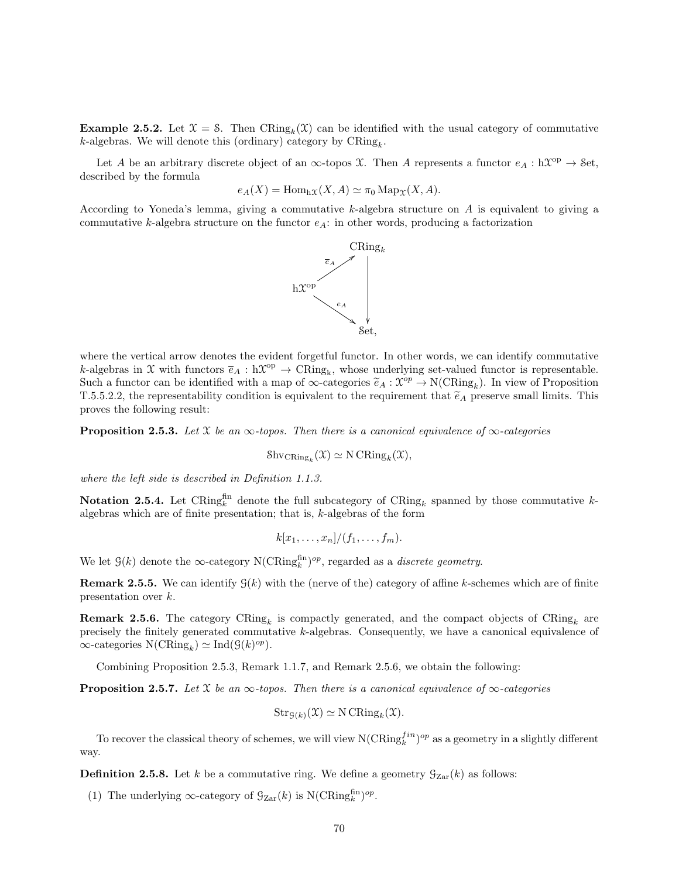**Example 2.5.2.** Let  $\mathcal{X} = \mathcal{S}$ . Then  $CRing_k(\mathcal{X})$  can be identified with the usual category of commutative  $k$ -algebras. We will denote this (ordinary) category by  $CRing_k$ .

Let A be an arbitrary discrete object of an  $\infty$ -topos X. Then A represents a functor  $e_A : hX^{op} \to$  Set, described by the formula

$$
e_A(X) = \text{Hom}_{h\mathcal{X}}(X, A) \simeq \pi_0 \text{Map}_{\mathcal{X}}(X, A).
$$

According to Yoneda's lemma, giving a commutative k-algebra structure on A is equivalent to giving a commutative k-algebra structure on the functor  $e_A$ : in other words, producing a factorization



where the vertical arrow denotes the evident forgetful functor. In other words, we can identify commutative k-algebras in X with functors  $\bar{e}_A : h\mathfrak{X}^{op} \to \text{CRing}_k$ , whose underlying set-valued functor is representable. Such a functor can be identified with a map of  $\infty$ -categories  $\tilde{e}_A : \mathcal{X}^{op} \to N(\text{CRing}_k)$ . In view of Proposition  $T \in \mathbb{R} \times \mathbb{R}$  are approximately to the requirement that  $\tilde{e}_A$  recorrigional limits. This T.5.5.2.2, the representability condition is equivalent to the requirement that  $\tilde{e}_A$  preserve small limits. This proves the following result:

**Proposition 2.5.3.** Let  $\mathcal{X}$  be an  $\infty$ -topos. Then there is a canonical equivalence of  $\infty$ -categories

$$
\mathrm{Shv}_{\mathrm{CRing}_k}(\mathfrak{X}) \simeq \mathrm{N}\,\mathrm{CRing}_k(\mathfrak{X}),
$$

where the left side is described in Definition 1.1.3.

Notation 2.5.4. Let CRing<sup>fin</sup> denote the full subcategory of  $\text{CRing}_k$  spanned by those commutative kalgebras which are of finite presentation; that is,  $k$ -algebras of the form

$$
k[x_1,\ldots,x_n]/(f_1,\ldots,f_m).
$$

We let  $\mathcal{G}(k)$  denote the  $\infty$ -category N(CRing<sup>fin</sup>)<sup>op</sup>, regarded as a *discrete geometry*.

**Remark 2.5.5.** We can identify  $\mathcal{G}(k)$  with the (nerve of the) category of affine k-schemes which are of finite presentation over k.

**Remark 2.5.6.** The category  $CRing_k$  is compactly generated, and the compact objects of  $CRing_k$  are precisely the finitely generated commutative k-algebras. Consequently, we have a canonical equivalence of  $\infty$ -categories  $N(\text{CRing}_k) \simeq \text{Ind}(\mathcal{G}(k)^{op}).$ 

Combining Proposition 2.5.3, Remark 1.1.7, and Remark 2.5.6, we obtain the following:

**Proposition 2.5.7.** Let  $\mathcal{X}$  be an  $\infty$ -topos. Then there is a canonical equivalence of  $\infty$ -categories

$$
\operatorname{Str}_{\mathcal{G}(k)}(\mathfrak{X}) \simeq N \operatorname{CRing}_k(\mathfrak{X}).
$$

To recover the classical theory of schemes, we will view  $N(\text{CRing}_k^{fin})^{op}$  as a geometry in a slightly different way.

**Definition 2.5.8.** Let k be a commutative ring. We define a geometry  $\mathcal{G}_{\text{Zar}}(k)$  as follows:

(1) The underlying  $\infty$ -category of  $\mathcal{G}_{\mathrm{Zar}}(k)$  is  $\mathrm{N}(\mathrm{CRing}_k^{\mathrm{fin}})^{op}$ .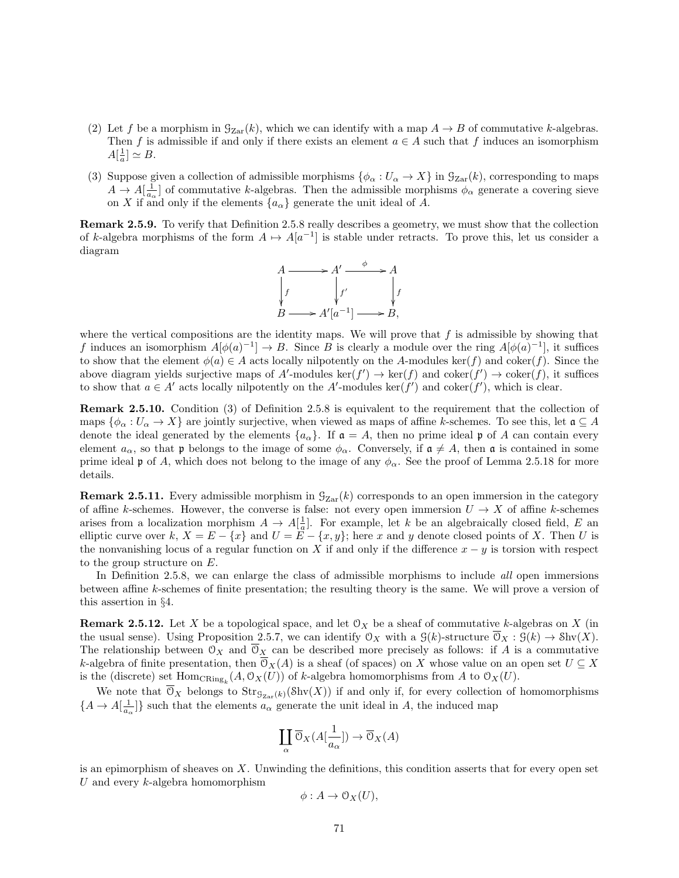- (2) Let f be a morphism in  $\mathcal{G}_{\text{Zar}}(k)$ , which we can identify with a map  $A \to B$  of commutative k-algebras. Then f is admissible if and only if there exists an element  $a \in A$  such that f induces an isomorphism  $A[\frac{1}{a}] \simeq B.$
- (3) Suppose given a collection of admissible morphisms  $\{\phi_{\alpha}: U_{\alpha} \to X\}$  in  $\mathcal{G}_{\mathrm{Zar}}(k)$ , corresponding to maps  $A \to A[\frac{1}{a_{\alpha}}]$  of commutative k-algebras. Then the admissible morphisms  $\phi_{\alpha}$  generate a covering sieve on X if and only if the elements  $\{a_{\alpha}\}\$  generate the unit ideal of A.

Remark 2.5.9. To verify that Definition 2.5.8 really describes a geometry, we must show that the collection of k-algebra morphisms of the form  $A \mapsto A[a^{-1}]$  is stable under retracts. To prove this, let us consider a diagram



where the vertical compositions are the identity maps. We will prove that  $f$  is admissible by showing that f induces an isomorphism  $A[\phi(a)^{-1}] \to B$ . Since B is clearly a module over the ring  $A[\phi(a)^{-1}]$ , it suffices to show that the element  $\phi(a) \in A$  acts locally nilpotently on the A-modules ker(f) and coker(f). Since the above diagram yields surjective maps of A'-modules  $\ker(f') \to \ker(f)$  and  $\operatorname{coker}(f') \to \operatorname{coker}(f)$ , it suffices to show that  $a \in A'$  acts locally nilpotently on the A'-modules ker(f') and coker(f'), which is clear.

Remark 2.5.10. Condition (3) of Definition 2.5.8 is equivalent to the requirement that the collection of maps  $\{\phi_\alpha: U_\alpha \to X\}$  are jointly surjective, when viewed as maps of affine k-schemes. To see this, let  $\mathfrak{a} \subseteq A$ denote the ideal generated by the elements  $\{a_{\alpha}\}\$ . If  $\mathfrak{a} = A$ , then no prime ideal  $\mathfrak{p}$  of A can contain every element  $a_{\alpha}$ , so that p belongs to the image of some  $\phi_{\alpha}$ . Conversely, if  $\mathfrak{a} \neq A$ , then  $\mathfrak{a}$  is contained in some prime ideal p of A, which does not belong to the image of any  $\phi_{\alpha}$ . See the proof of Lemma 2.5.18 for more details.

**Remark 2.5.11.** Every admissible morphism in  $\mathcal{G}_{\text{Zar}}(k)$  corresponds to an open immersion in the category of affine k-schemes. However, the converse is false: not every open immersion  $U \to X$  of affine k-schemes arises from a localization morphism  $A \to A[\frac{1}{a}]$ . For example, let k be an algebraically closed field, E an elliptic curve over k,  $X = E - \{x\}$  and  $U = \overline{E} - \{x, y\}$ ; here x and y denote closed points of X. Then U is the nonvanishing locus of a regular function on X if and only if the difference  $x - y$  is torsion with respect to the group structure on E.

In Definition 2.5.8, we can enlarge the class of admissible morphisms to include all open immersions between affine k-schemes of finite presentation; the resulting theory is the same. We will prove a version of this assertion in §4.

**Remark 2.5.12.** Let X be a topological space, and let  $\mathcal{O}_X$  be a sheaf of commutative k-algebras on X (in the usual sense). Using Proposition 2.5.7, we can identify  $\mathcal{O}_X$  with a  $\mathcal{G}(k)$ -structure  $\overline{\mathcal{O}}_X : \mathcal{G}(k) \to \text{Shv}(X)$ . The relationship between  $\mathcal{O}_X$  and  $\overline{\mathcal{O}}_X$  can be described more precisely as follows: if A is a commutative k-algebra of finite presentation, then  $\overline{O}_X(A)$  is a sheaf (of spaces) on X whose value on an open set  $U \subseteq X$ is the (discrete) set  $\text{Hom}_{\text{CRing}_k}(A, \mathcal{O}_X(U))$  of k-algebra homomorphisms from A to  $\mathcal{O}_X(U)$ .

We note that  $\mathfrak{O}_X$  belongs to  $\text{Str}_{\mathfrak{G}_{\text{Zar}}(k)}(\text{Shv}(X))$  if and only if, for every collection of homomorphisms  $\{A \to A[\frac{1}{a_\alpha}]\}\$  such that the elements  $a_\alpha$  generate the unit ideal in A, the induced map

$$
\coprod_{\alpha}\overline{\mathbb{O}}_X(A[\frac{1}{a_{\alpha}}])\to\overline{\mathbb{O}}_X(A)
$$

is an epimorphism of sheaves on X. Unwinding the definitions, this condition asserts that for every open set  $U$  and every  $k$ -algebra homomorphism

$$
\phi: A \to \mathcal{O}_X(U),
$$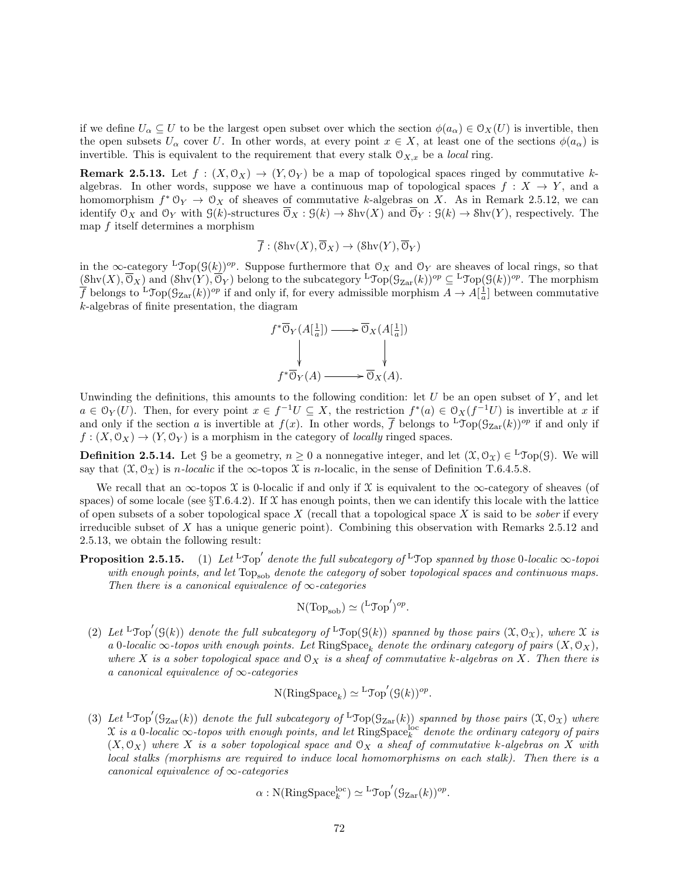if we define  $U_\alpha \subseteq U$  to be the largest open subset over which the section  $\phi(a_\alpha) \in \mathcal{O}_X(U)$  is invertible, then the open subsets  $U_{\alpha}$  cover U. In other words, at every point  $x \in X$ , at least one of the sections  $\phi(a_{\alpha})$  is invertible. This is equivalent to the requirement that every stalk  $\mathcal{O}_{X,x}$  be a local ring.

**Remark 2.5.13.** Let  $f : (X, \mathcal{O}_X) \to (Y, \mathcal{O}_Y)$  be a map of topological spaces ringed by commutative kalgebras. In other words, suppose we have a continuous map of topological spaces  $f: X \to Y$ , and a homomorphism  $f^* \mathbb{O}_Y \to \mathbb{O}_X$  of sheaves of commutative k-algebras on X. As in Remark 2.5.12, we can identify  $\mathcal{O}_X$  and  $\mathcal{O}_Y$  with  $\mathcal{G}(k)$ -structures  $\overline{\mathcal{O}}_X : \mathcal{G}(k) \to \text{Shv}(X)$  and  $\overline{\mathcal{O}}_Y : \mathcal{G}(k) \to \text{Shv}(Y)$ , respectively. The map f itself determines a morphism

$$
\overline{f}: (\text{Shv}(X), \overline{\mathcal{O}}_X) \to (\text{Shv}(Y), \overline{\mathcal{O}}_Y)
$$

in the  $\infty$ -category <sup>L</sup>Top( $\mathcal{G}(k)$ )<sup>op</sup>. Suppose furthermore that  $\mathcal{O}_X$  and  $\mathcal{O}_Y$  are sheaves of local rings, so that  $(\text{Shv}(X), \overline{\mathcal{O}}_X)$  and  $(\text{Shv}(Y), \overline{\mathcal{O}}_Y)$  belong to the subcategory  ${}^{\text{L}}\text{Top}(\mathcal{G}_{\text{Zar}}(k))^{op} \subseteq {}^{\text{L}}\text{Top}(\mathcal{G}(k))^{op}$ . The morphism  $\overline{f}$  belongs to  ${}^{\text{L}}\text{Top}(\mathcal{G}_{\text{Zar}}(k))^{op}$  if and only if, for every admissible morphism  $A \to A[\frac{1}{a}]$  between commutative k-algebras of finite presentation, the diagram

$$
f^*\overline{\mathcal{O}}_Y(A[\frac{1}{a}]) \longrightarrow \overline{\mathcal{O}}_X(A[\frac{1}{a}])
$$
  
\n
$$
\downarrow \qquad \qquad \downarrow
$$
  
\n
$$
f^*\overline{\mathcal{O}}_Y(A) \longrightarrow \overline{\mathcal{O}}_X(A).
$$

Unwinding the definitions, this amounts to the following condition: let  $U$  be an open subset of  $Y$ , and let  $a \in \mathcal{O}_Y(U)$ . Then, for every point  $x \in f^{-1}U \subseteq X$ , the restriction  $f^*(a) \in \mathcal{O}_X(f^{-1}U)$  is invertible at x if and only if the section a is invertible at  $f(x)$ . In other words,  $\overline{f}$  belongs to  ${}^L\text{Top}(\mathcal{G}_{Zar}(k))^{op}$  if and only if  $f: (X, \mathcal{O}_X) \to (Y, \mathcal{O}_Y)$  is a morphism in the category of *locally* ringed spaces.

**Definition 2.5.14.** Let  $\mathcal{G}$  be a geometry,  $n \geq 0$  a nonnegative integer, and let  $(\mathcal{X}, \mathcal{O}_\mathcal{X}) \in {}^L\mathcal{Top}(\mathcal{G})$ . We will say that  $(\mathfrak{X}, \mathcal{O}_{\mathfrak{X}})$  is *n*-localic if the  $\infty$ -topos  $\mathfrak{X}$  is *n*-localic, in the sense of Definition T.6.4.5.8.

We recall that an  $\infty$ -topos X is 0-localic if and only if X is equivalent to the  $\infty$ -category of sheaves (of spaces) of some locale (see  $\S T.6.4.2$ ). If X has enough points, then we can identify this locale with the lattice of open subsets of a sober topological space X (recall that a topological space X is said to be *sober* if every irreducible subset of  $X$  has a unique generic point). Combining this observation with Remarks 2.5.12 and 2.5.13, we obtain the following result:

**Proposition 2.5.15.** (1) Let  ${}^{\text{L}}$ Top' denote the full subcategory of  ${}^{\text{L}}$ Top spanned by those 0-localic  $\infty$ -topoi with enough points, and let  $Top_{sob}$  denote the category of sober topological spaces and continuous maps. Then there is a canonical equivalence of  $\infty$ -categories

$$
N(\text{Top}_{\text{sob}}) \simeq {\left( {^L \text{Top}' } \right)}^{op}.
$$

(2) Let  ${}^{\text{L}}\text{Top}'(\mathcal{G}(k))$  denote the full subcategory of  ${}^{\text{L}}\text{Top}(\mathcal{G}(k))$  spanned by those pairs  $(\mathfrak{X},\mathcal{O}_\mathfrak{X})$ , where  $\mathfrak X$  is a 0-localic  $\infty$ -topos with enough points. Let RingSpace<sub>k</sub> denote the ordinary category of pairs  $(X, \mathcal{O}_X)$ , where X is a sober topological space and  $\mathcal{O}_X$  is a sheaf of commutative k-algebras on X. Then there is a canonical equivalence of  $\infty$ -categories

$$
N(\mathrm{RingSpace}_k) \simeq {}^{\mathrm{L}}\mathrm{Top}'(\mathcal{G}(k))^{op}.
$$

(3) Let  ${}^{\text{L}}\text{Top}'(\mathcal{G}_{\text{Zar}}(k))$  denote the full subcategory of  ${}^{\text{L}}\text{Top}(\mathcal{G}_{\text{Zar}}(k))$  spanned by those pairs  $(\mathfrak{X},\mathcal{O}_{\mathfrak{X}})$  where  $\chi$  is a 0-localic  $\infty$ -topos with enough points, and let  $\mathrm{RingSpace}^{\mathrm{loc}}_k$  denote the ordinary category of pairs  $(X, \mathcal{O}_X)$  where X is a sober topological space and  $\mathcal{O}_X$  a sheaf of commutative k-algebras on X with local stalks (morphisms are required to induce local homomorphisms on each stalk). Then there is a canonical equivalence of  $\infty$ -categories

$$
\alpha:\mathrm{N}(\mathrm{RingSpace}_k^{\mathrm{loc}}) \simeq {}^{\mathrm{L}}\mathrm{Top}'(\mathrm{G}_{\mathrm{Zar}}(k))^{op}.
$$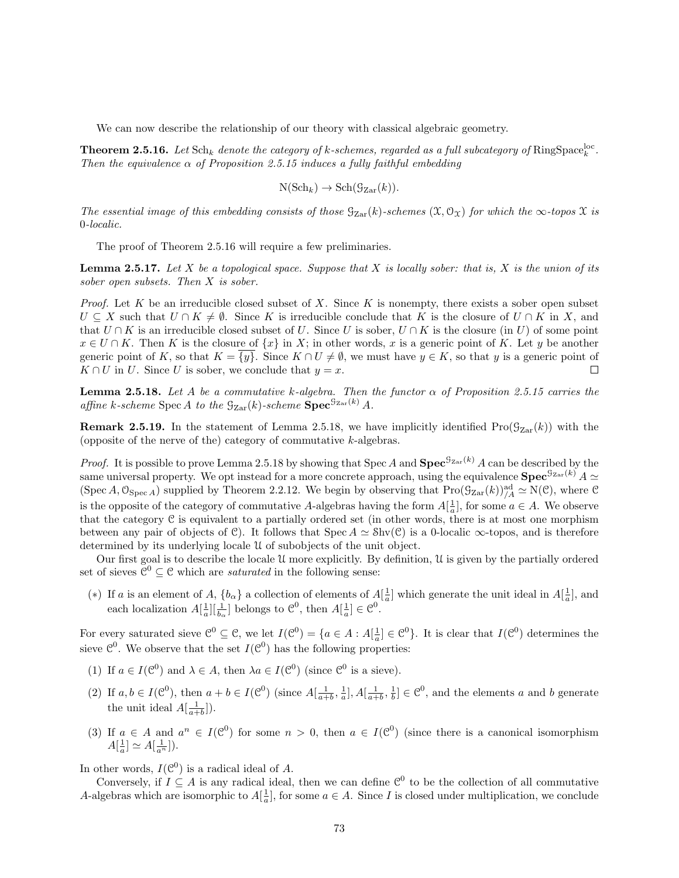We can now describe the relationship of our theory with classical algebraic geometry.

**Theorem 2.5.16.** Let  $\text{Sch}_k$  denote the category of k-schemes, regarded as a full subcategory of  $\text{RingSpace}_k^{\text{loc}}$ . Then the equivalence  $\alpha$  of Proposition 2.5.15 induces a fully faithful embedding

$$
N(\mathrm{Sch}_k) \to \mathrm{Sch}(\mathcal{G}_{\mathrm{Zar}}(k)).
$$

The essential image of this embedding consists of those  $G_{Zar}(k)$ -schemes  $(\mathfrak{X},\mathfrak{O}_{\mathfrak{X}})$  for which the  $\infty$ -topos  $\mathfrak{X}$  is 0-localic.

The proof of Theorem 2.5.16 will require a few preliminaries.

**Lemma 2.5.17.** Let X be a topological space. Suppose that X is locally sober: that is, X is the union of its sober open subsets. Then X is sober.

*Proof.* Let K be an irreducible closed subset of X. Since K is nonempty, there exists a sober open subset  $U \subseteq X$  such that  $U \cap K \neq \emptyset$ . Since K is irreducible conclude that K is the closure of  $U \cap K$  in X, and that  $U \cap K$  is an irreducible closed subset of U. Since U is sober,  $U \cap K$  is the closure (in U) of some point  $x \in U \cap K$ . Then K is the closure of  $\{x\}$  in X; in other words, x is a generic point of K. Let y be another generic point of K, so that  $K = \{y\}$ . Since  $K \cap U \neq \emptyset$ , we must have  $y \in K$ , so that y is a generic point of  $K \cap U$  in U. Since U is sober, we conclude that  $y = x$ .  $\Box$ 

**Lemma 2.5.18.** Let A be a commutative k-algebra. Then the functor  $\alpha$  of Proposition 2.5.15 carries the affine k-scheme Spec A to the  $\mathcal{G}_{\mathrm{Zar}}(k)$ -scheme  $\mathrm{Spec}^{\mathcal{G}_{\mathrm{Zar}}(k)}$  A.

**Remark 2.5.19.** In the statement of Lemma 2.5.18, we have implicitly identified  $\text{Pro}(\mathcal{G}_{Zar}(k))$  with the (opposite of the nerve of the) category of commutative  $k$ -algebras.

*Proof.* It is possible to prove Lemma 2.5.18 by showing that Spec A and  $\text{Spec}^{\mathcal{G}_{\text{Zar}}(k)}$  A can be described by the same universal property. We opt instead for a more concrete approach, using the equivalence  $\text{Spec}^{\mathcal{G}_{\text{Zar}}(k)} A \simeq$ (Spec A,  $\mathfrak{O}_{\text{Spec }A}$ ) supplied by Theorem 2.2.12. We begin by observing that  $\text{Pro}(\mathcal{G}_{\text{Zar}}(k))_{/A}^{\text{ad}} \simeq \text{N}(\mathcal{C})$ , where  $\mathcal{C}$ is the opposite of the category of commutative A-algebras having the form  $A[\frac{1}{a}]$ , for some  $a \in A$ . We observe that the category  $\mathfrak C$  is equivalent to a partially ordered set (in other words, there is at most one morphism between any pair of objects of C). It follows that  $Spec A \simeq Shv(C)$  is a 0-localic  $\infty$ -topos, and is therefore determined by its underlying locale U of subobjects of the unit object.

Our first goal is to describe the locale U more explicitly. By definition, U is given by the partially ordered set of sieves  $\mathcal{C}^0 \subseteq \mathcal{C}$  which are *saturated* in the following sense:

(\*) If a is an element of A,  $\{b_{\alpha}\}\$ a collection of elements of  $A[\frac{1}{a}]$  which generate the unit ideal in  $A[\frac{1}{a}]$ , and each localization  $A[\frac{1}{a}][\frac{1}{b_{\alpha}}]$  belongs to  $\mathcal{C}^0$ , then  $A[\frac{1}{a}] \in \mathcal{C}^0$ .

For every saturated sieve  $\mathcal{C}^0 \subseteq \mathcal{C}$ , we let  $I(\mathcal{C}^0) = \{a \in A : A[\frac{1}{a}] \in \mathcal{C}^0\}$ . It is clear that  $I(\mathcal{C}^0)$  determines the sieve  $\mathcal{C}^0$ . We observe that the set  $I(\mathcal{C}^0)$  has the following properties:

- (1) If  $a \in I(\mathcal{C}^0)$  and  $\lambda \in A$ , then  $\lambda a \in I(\mathcal{C}^0)$  (since  $\mathcal{C}^0$  is a sieve).
- (2) If  $a, b \in I(\mathcal{C}^0)$ , then  $a + b \in I(\mathcal{C}^0)$  (since  $A[\frac{1}{a+b}, \frac{1}{a}], A[\frac{1}{a+b}, \frac{1}{b}] \in \mathcal{C}^0$ , and the elements a and b generate the unit ideal  $A[\frac{1}{a+b}]).$
- (3) If  $a \in A$  and  $a^n \in I(\mathcal{C}^0)$  for some  $n > 0$ , then  $a \in I(\mathcal{C}^0)$  (since there is a canonical isomorphism  $A\left[\frac{1}{a}\right] \simeq A\left[\frac{1}{a^n}\right]$ ).

In other words,  $I(\mathcal{C}^0)$  is a radical ideal of A.

Conversely, if  $I \subseteq A$  is any radical ideal, then we can define  $\mathcal{C}^0$  to be the collection of all commutative A-algebras which are isomorphic to  $A[\frac{1}{a}]$ , for some  $a \in A$ . Since I is closed under multiplication, we conclude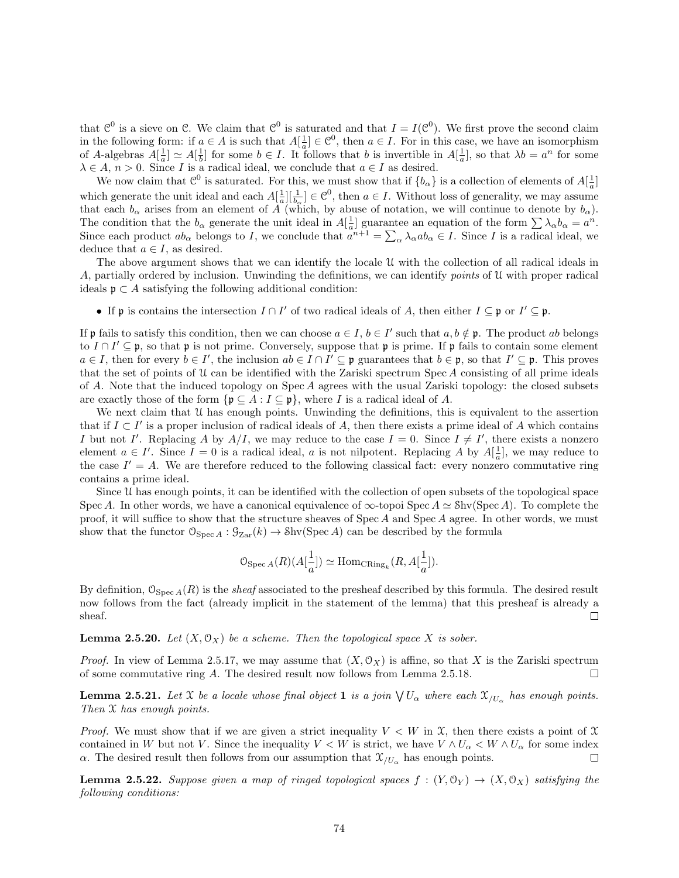that  $\mathcal{C}^0$  is a sieve on  $\mathcal{C}$ . We claim that  $\mathcal{C}^0$  is saturated and that  $I = I(\mathcal{C}^0)$ . We first prove the second claim in the following form: if  $a \in A$  is such that  $A[\frac{1}{a}] \in \mathcal{C}^0$ , then  $a \in I$ . For in this case, we have an isomorphism of A-algebras  $A[\frac{1}{a}] \simeq A[\frac{1}{b}]$  for some  $b \in I$ . It follows that b is invertible in  $A[\frac{1}{a}]$ , so that  $\lambda b = a^n$  for some  $\lambda \in A$ ,  $n > 0$ . Since I is a radical ideal, we conclude that  $a \in I$  as desired.

We now claim that  $\mathcal{C}^0$  is saturated. For this, we must show that if  $\{b_\alpha\}$  is a collection of elements of  $A[\frac{1}{a}]$ which generate the unit ideal and each  $A[\frac{1}{a}][\frac{1}{b_{\alpha}}] \in \mathcal{C}^0$ , then  $a \in I$ . Without loss of generality, we may assume that each  $b_{\alpha}$  arises from an element of A (which, by abuse of notation, we will continue to denote by  $b_{\alpha}$ ). The condition that the  $b_{\alpha}$  generate the unit ideal in  $A[\frac{1}{a}]$  guarantee an equation of the form  $\sum_{\alpha} \lambda_{\alpha} b_{\alpha} = a^n$ . Since each product  $ab_{\alpha}$  belongs to I, we conclude that  $a^{n+1} = \sum_{\alpha} \lambda_{\alpha} ab_{\alpha} \in I$ . Since I is a radical ideal, we deduce that  $a \in I$ , as desired.

The above argument shows that we can identify the locale U with the collection of all radical ideals in A, partially ordered by inclusion. Unwinding the definitions, we can identify *points* of  $\mathcal U$  with proper radical ideals  $\mathfrak{p} \subset A$  satisfying the following additional condition:

• If p is contains the intersection  $I \cap I'$  of two radical ideals of A, then either  $I \subseteq \mathfrak{p}$  or  $I' \subseteq \mathfrak{p}$ .

If p fails to satisfy this condition, then we can choose  $a \in I$ ,  $b \in I'$  such that  $a, b \notin \mathfrak{p}$ . The product ab belongs to  $I \cap I' \subseteq \mathfrak{p}$ , so that  $\mathfrak{p}$  is not prime. Conversely, suppose that  $\mathfrak{p}$  is prime. If  $\mathfrak{p}$  fails to contain some element  $a \in I$ , then for every  $b \in I'$ , the inclusion  $ab \in I \cap I' \subseteq \mathfrak{p}$  guarantees that  $b \in \mathfrak{p}$ , so that  $I' \subseteq \mathfrak{p}$ . This proves that the set of points of  $\mathfrak U$  can be identified with the Zariski spectrum Spec A consisting of all prime ideals of A. Note that the induced topology on Spec A agrees with the usual Zariski topology: the closed subsets are exactly those of the form  $\{ \mathfrak{p} \subseteq A : I \subseteq \mathfrak{p} \}$ , where I is a radical ideal of A.

We next claim that U has enough points. Unwinding the definitions, this is equivalent to the assertion that if  $I \subset I'$  is a proper inclusion of radical ideals of A, then there exists a prime ideal of A which contains I but not I'. Replacing A by  $A/I$ , we may reduce to the case  $I = 0$ . Since  $I \neq I'$ , there exists a nonzero element  $a \in I'$ . Since  $I = 0$  is a radical ideal, a is not nilpotent. Replacing A by  $A\left[\frac{1}{a}\right]$ , we may reduce to the case  $I' = A$ . We are therefore reduced to the following classical fact: every nonzero commutative ring contains a prime ideal.

Since U has enough points, it can be identified with the collection of open subsets of the topological space Spec A. In other words, we have a canonical equivalence of  $\infty$ -topoi Spec  $A \simeq$  Shv(Spec A). To complete the proof, it will suffice to show that the structure sheaves of Spec A and Spec A agree. In other words, we must show that the functor  $\mathcal{O}_{\text{Spec }A}: \mathcal{G}_{\text{Zar}}(k) \to \text{Shv}(\text{Spec }A)$  can be described by the formula

$$
\mathbb{O}_{\mathrm{Spec}\, A}(R)(A[\frac{1}{a}])\simeq \mathrm{Hom}_{\mathrm{CRing}_k}(R,A[\frac{1}{a}]).
$$

By definition,  $\mathcal{O}_{\text{Spec }A}(R)$  is the *sheaf* associated to the presheaf described by this formula. The desired result now follows from the fact (already implicit in the statement of the lemma) that this presheaf is already a sheaf.  $\Box$ 

**Lemma 2.5.20.** Let  $(X, \mathcal{O}_X)$  be a scheme. Then the topological space X is sober.

*Proof.* In view of Lemma 2.5.17, we may assume that  $(X, \mathcal{O}_X)$  is affine, so that X is the Zariski spectrum of some commutative ring A. The desired result now follows from Lemma 2.5.18.  $\Box$ 

**Lemma 2.5.21.** Let X be a locale whose final object **1** is a join  $\bigvee U_\alpha$  where each  $\mathfrak{X}_{/U_\alpha}$  has enough points. Then  $X$  has enough points.

*Proof.* We must show that if we are given a strict inequality  $V < W$  in X, then there exists a point of X contained in W but not V. Since the inequality  $V < W$  is strict, we have  $V \wedge U_\alpha < W \wedge U_\alpha$  for some index  $\alpha$ . The desired result then follows from our assumption that  $\mathfrak{X}_{/U_{\alpha}}$  has enough points.  $\Box$ 

**Lemma 2.5.22.** Suppose given a map of ringed topological spaces  $f : (Y, \mathbb{O}_Y) \to (X, \mathbb{O}_X)$  satisfying the following conditions: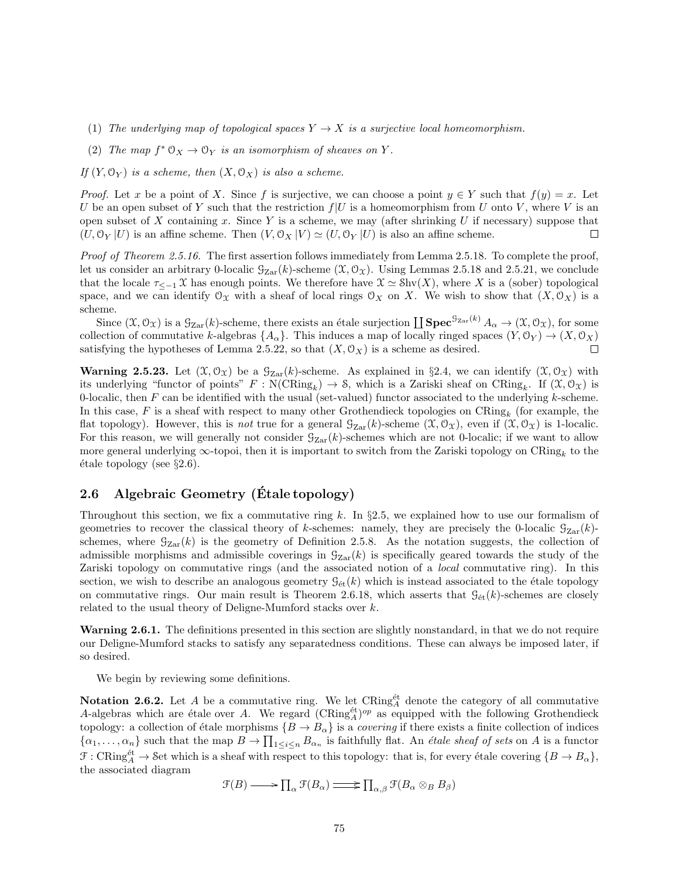- (1) The underlying map of topological spaces  $Y \to X$  is a surjective local homeomorphism.
- (2) The map  $f^* \mathfrak{O}_X \to \mathfrak{O}_Y$  is an isomorphism of sheaves on Y.

If  $(Y, \mathcal{O}_Y)$  is a scheme, then  $(X, \mathcal{O}_X)$  is also a scheme.

*Proof.* Let x be a point of X. Since f is surjective, we can choose a point  $y \in Y$  such that  $f(y) = x$ . Let U be an open subset of Y such that the restriction  $f|U$  is a homeomorphism from U onto V, where V is an open subset of X containing x. Since Y is a scheme, we may (after shrinking U if necessary) suppose that  $(U, \mathcal{O}_Y | U)$  is an affine scheme. Then  $(V, \mathcal{O}_X | V) \simeq (U, \mathcal{O}_Y | U)$  is also an affine scheme.  $\Box$ 

Proof of Theorem 2.5.16. The first assertion follows immediately from Lemma 2.5.18. To complete the proof, let us consider an arbitrary 0-localic  $\mathcal{G}_{\text{Zar}}(k)$ -scheme  $(\mathcal{X}, \mathcal{O}_{\mathcal{X}})$ . Using Lemmas 2.5.18 and 2.5.21, we conclude that the locale  $\tau_{\leq -1} \mathfrak{X}$  has enough points. We therefore have  $\mathfrak{X} \simeq \text{Shv}(X)$ , where X is a (sober) topological space, and we can identify  $\mathcal{O}_X$  with a sheaf of local rings  $\mathcal{O}_X$  on X. We wish to show that  $(X, \mathcal{O}_X)$  is a scheme.

Since  $(\mathfrak{X}, \mathcal{O}_{\mathfrak{X}})$  is a  $\mathcal{G}_{\mathrm{Zar}}(k)$ -scheme, there exists an étale surjection  $\coprod \mathrm{\mathbf{Spec}}^{\mathcal{G}_{\mathrm{Zar}}(k)} A_{\alpha} \to (\mathfrak{X}, \mathcal{O}_{\mathfrak{X}})$ , for some collection of commutative k-algebras  $\{A_{\alpha}\}\$ . This induces a map of locally ringed spaces  $(Y, \mathcal{O}_Y) \to (X, \mathcal{O}_X)$ satisfying the hypotheses of Lemma 2.5.22, so that  $(X, \mathcal{O}_X)$  is a scheme as desired. П

**Warning 2.5.23.** Let  $(\mathfrak{X}, \mathfrak{O}_{\mathfrak{X}})$  be a  $\mathfrak{G}_{\mathrm{Zar}}(k)$ -scheme. As explained in §2.4, we can identify  $(\mathfrak{X}, \mathfrak{O}_{\mathfrak{X}})$  with its underlying "functor of points"  $F: \mathcal{N}(\text{CRing}_k) \to \mathcal{S}$ , which is a Zariski sheaf on  $\text{CRing}_k$ . If  $(\mathcal{X}, \mathcal{O}_\mathcal{X})$  is 0-localic, then  $F$  can be identified with the usual (set-valued) functor associated to the underlying  $k$ -scheme. In this case, F is a sheaf with respect to many other Grothendieck topologies on  $CRing_k$  (for example, the flat topology). However, this is not true for a general  $\mathcal{G}_{\mathrm{Zar}}(k)$ -scheme  $(\mathcal{X}, \mathcal{O}_{\mathcal{X}})$ , even if  $(\mathcal{X}, \mathcal{O}_{\mathcal{X}})$  is 1-localic. For this reason, we will generally not consider  $\mathcal{G}_{\mathrm{Zar}}(k)$ -schemes which are not 0-localic; if we want to allow more general underlying  $\infty$ -topoi, then it is important to switch from the Zariski topology on  $\text{CRing}_k$  to the  $\text{étele topology}$  (see §2.6).

## 2.6 Algebraic Geometry (Etale topology)

Throughout this section, we fix a commutative ring k. In  $\S2.5$ , we explained how to use our formalism of geometries to recover the classical theory of k-schemes: namely, they are precisely the 0-localic  $\mathcal{G}_{Zar}(k)$ schemes, where  $\mathcal{G}_{\text{Zar}}(k)$  is the geometry of Definition 2.5.8. As the notation suggests, the collection of admissible morphisms and admissible coverings in  $\mathcal{G}_{\text{Zar}}(k)$  is specifically geared towards the study of the Zariski topology on commutative rings (and the associated notion of a local commutative ring). In this section, we wish to describe an analogous geometry  $\mathcal{G}_{\text{\'et}}(k)$  which is instead associated to the étale topology on commutative rings. Our main result is Theorem 2.6.18, which asserts that  $\mathcal{G}_{\text{\'et}}(k)$ -schemes are closely related to the usual theory of Deligne-Mumford stacks over k.

Warning 2.6.1. The definitions presented in this section are slightly nonstandard, in that we do not require our Deligne-Mumford stacks to satisfy any separatedness conditions. These can always be imposed later, if so desired.

We begin by reviewing some definitions.

Notation 2.6.2. Let A be a commutative ring. We let  $CRing_A^{\text{\'et}}$  denote the category of all commutative A-algebras which are étale over A. We regard  $(\mathrm{CRing}_{A}^{\text{\'et}})^{op}$  as equipped with the following Grothendieck topology: a collection of étale morphisms  ${B \to B_\alpha}$  is a *covering* if there exists a finite collection of indices  $\{\alpha_1,\ldots,\alpha_n\}$  such that the map  $B\to \prod_{1\leq i\leq n} B_{\alpha_n}$  is faithfully flat. An *étale sheaf of sets* on A is a functor  $\mathcal{F}: \mathbf{CRing}_{A}^{\text{\'et}} \to \mathcal{S}\text{et}$  which is a sheaf with respect to this topology: that is, for every étale covering  $\{B \to B_{\alpha}\}\$ , the associated diagram

 $\mathfrak{F}(B) \longrightarrow \prod_{\alpha} \mathfrak{F}(B_{\alpha}) \longrightarrow \prod_{\alpha,\beta} \mathfrak{F}(B_{\alpha} \otimes_{B} B_{\beta})$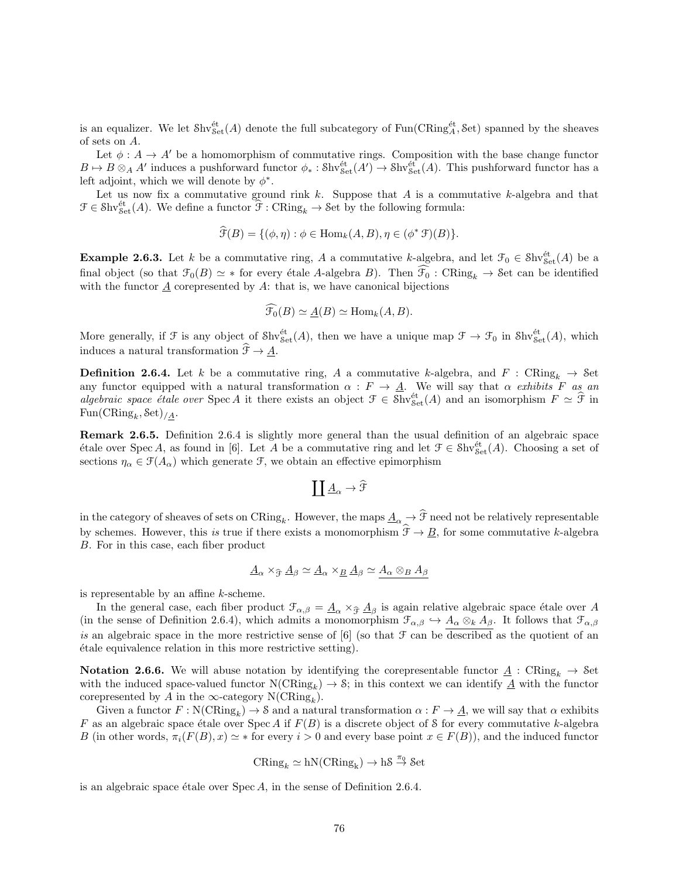is an equalizer. We let  $\text{Shv}_{\text{Set}}^{\text{\'et}}(A)$  denote the full subcategory of  $\text{Fun}(\text{CRing}^{\text{\'et}}_A, \text{Set})$  spanned by the sheaves of sets on A.

Let  $\phi: A \to A'$  be a homomorphism of commutative rings. Composition with the base change functor  $B \mapsto B \otimes_A A'$  induces a pushforward functor  $\phi_* : Shv^{\text{\'et}}_{Set}(A') \to Shv^{\text{\'et}}_{Set}(A)$ . This pushforward functor has a left adjoint, which we will denote by  $\phi^*$ .

Let us now fix a commutative ground rink  $k$ . Suppose that  $A$  is a commutative  $k$ -algebra and that  $\mathcal{F} \in \text{Shv}_{\text{Set}}^{\text{\'et}}(A)$ . We define a functor  $\widehat{\mathcal{F}}: \text{CRing}_k \to \text{Set}$  by the following formula:

$$
\widehat{\mathcal{F}}(B) = \{(\phi, \eta) : \phi \in \text{Hom}_k(A, B), \eta \in (\phi^* \mathcal{F})(B)\}.
$$

**Example 2.6.3.** Let k be a commutative ring, A a commutative k-algebra, and let  $\mathcal{F}_0 \in \text{Shv}_{\text{Set}}^{\text{\'et}}(A)$  be a final object (so that  $\mathcal{F}_0(B) \simeq *$  for every étale A-algebra B). Then  $\widehat{\mathcal{F}_0}$  : CRing<sub>k</sub>  $\rightarrow$  Set can be identified with the functor  $\underline{A}$  corepresented by  $A$ : that is, we have canonical bijections

$$
\widehat{\mathcal{F}_0}(B) \simeq \underline{A}(B) \simeq \text{Hom}_k(A, B).
$$

More generally, if  $\mathcal F$  is any object of  $\mathcal{S}\mathrm{hv}^{\text{\'et}}_{\mathcal{S}\text{et}}(A)$ , then we have a unique map  $\mathcal F\to\mathcal F_0$  in  $\mathcal{S}\mathrm{hv}^{\text{\'et}}_{\mathcal{S}\text{et}}(A)$ , which induces a natural transformation  $\widehat{\mathcal{F}} \to A$ .

**Definition 2.6.4.** Let k be a commutative ring, A a commutative k-algebra, and F : CRing<sub>k</sub>  $\rightarrow$  Set any functor equipped with a natural transformation  $\alpha : F \to A$ . We will say that  $\alpha$  exhibits F as an algebraic space étale over Spec A it there exists an object  $\mathcal{F} \in \text{Shv}_{\text{Set}}^{\text{\'et}}(A)$  and an isomorphism  $F \simeq \widehat{\mathcal{F}}$  in  $\text{Fun}(\text{CRing}_k, \text{Set})_{/\underline{A}}.$ 

Remark 2.6.5. Definition 2.6.4 is slightly more general than the usual definition of an algebraic space étale over Spec A, as found in [6]. Let A be a commutative ring and let  $\mathcal{F} \in \text{Shv}_{\text{Set}}^{\text{\'et}}(A)$ . Choosing a set of sections  $\eta_{\alpha} \in \mathcal{F}(A_{\alpha})$  which generate  $\mathcal{F}$ , we obtain an effective epimorphism

$$
\coprod \underline{A}_\alpha \to \widehat{\mathfrak{F}}
$$

in the category of sheaves of sets on  $\text{CRing}_k$ . However, the maps  $\underline{A}_{\alpha} \to \mathcal{F}$  need not be relatively representable by schemes. However, this is true if there exists a monomorphism  $\hat{\mathcal{F}} \to \underline{B}$ , for some commutative k-algebra B. For in this case, each fiber product

$$
\underline{A}_{\alpha} \times_{\widehat{\mathcal{F}}} \underline{A}_{\beta} \simeq \underline{A}_{\alpha} \times_{\underline{B}} \underline{A}_{\beta} \simeq \underline{A}_{\alpha} \otimes_{\underline{B}} A_{\beta}
$$

is representable by an affine k-scheme.

In the general case, each fiber product  $\mathcal{F}_{\alpha,\beta} = \underline{A}_{\alpha} \times_{\widehat{\mathcal{F}}} \underline{A}_{\beta}$  is again relative algebraic space étale over A<br>the space of Definition  $2\mathcal{L}A$  which a limit a magnesum binn  $\mathcal{F}_{\alpha}$  and  $A_{\alpha}$ . I (in the sense of Definition 2.6.4), which admits a monomorphism  $\mathcal{F}_{\alpha,\beta} \hookrightarrow A_{\alpha} \otimes_k A_{\beta}$ . It follows that  $\mathcal{F}_{\alpha,\beta}$ is an algebraic space in the more restrictive sense of  $[6]$  (so that  $\mathcal F$  can be described as the quotient of an ´etale equivalence relation in this more restrictive setting).

**Notation 2.6.6.** We will abuse notation by identifying the corepresentable functor  $\underline{A}$  : CRing<sub>k</sub>  $\rightarrow$  Set with the induced space-valued functor  $N(CRing_k) \to \mathcal{S}$ ; in this context we can identify  $\underline{A}$  with the functor corepresented by A in the  $\infty$ -category N(CRing<sub>k</sub>).

Given a functor  $F : \mathcal{N}(\mathbf{CRing}_k) \to \mathcal{S}$  and a natural transformation  $\alpha : F \to \underline{A}$ , we will say that  $\alpha$  exhibits F as an algebraic space étale over Spec A if  $F(B)$  is a discrete object of S for every commutative k-algebra B (in other words,  $\pi_i(F(B), x) \simeq *$  for every  $i > 0$  and every base point  $x \in F(B)$ ), and the induced functor

$$
CRing_k \simeq hN(CRing_k) \to hS \stackrel{\pi_0}{\to} Set
$$

is an algebraic space étale over  $Spec A$ , in the sense of Definition 2.6.4.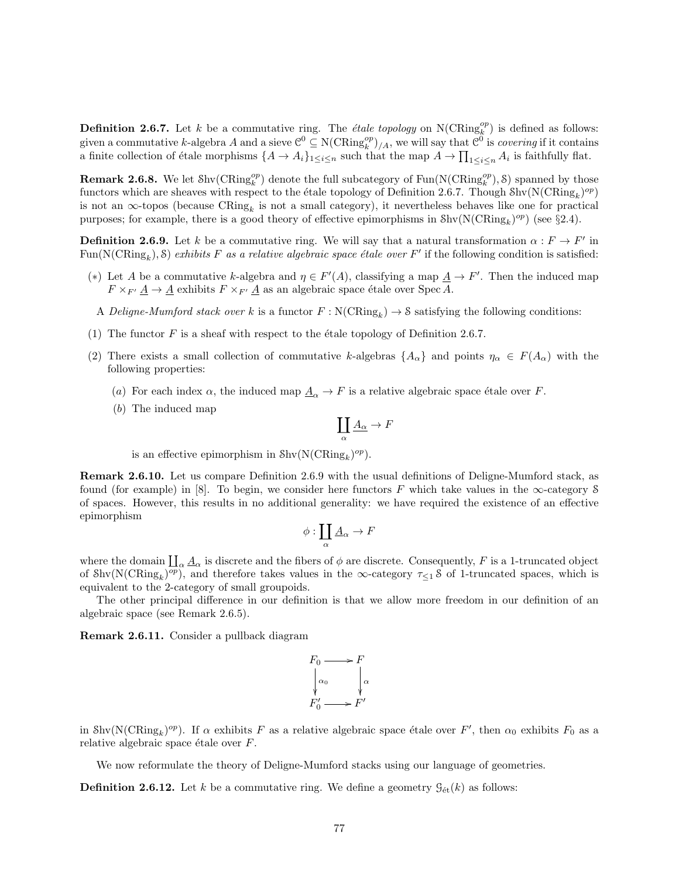**Definition 2.6.7.** Let k be a commutative ring. The *étale topology* on  $N(CRing_k^{op})$  is defined as follows: **Definition 2.0.1.** Let  $k$  be a commutative ring. The *etate topology* on  $N(\text{Cring}_k^p)$  is defined as follows.<br>given a commutative k-algebra A and a sieve  $\mathcal{C}^0 \subseteq N(\text{CRing}_k^{\rho_p})/A$ , we will say that  $\mathcal{C}^0$  is *cove* a finite collection of étale morphisms  $\{A \to A_i\}_{1 \leq i \leq n}$  such that the map  $A \to \prod_{1 \leq i \leq n} A_i$  is faithfully flat.

**Remark 2.6.8.** We let  $\text{Shv}(\text{CRing}_{k}^{op})$  denote the full subcategory of  $\text{Fun}(\text{N}(\text{CRing}_{k}^{op}), \mathcal{S})$  spanned by those functors which are sheaves with respect to the étale topology of Definition 2.6.7. Though  $\text{Shv}(\text{N}(\text{CRing}_k)^{op})$ is not an  $\infty$ -topos (because  $CRing_k$  is not a small category), it nevertheless behaves like one for practical purposes; for example, there is a good theory of effective epimorphisms in  $\text{Shv}(\text{N}(\text{CRing}_k)^{op})$  (see §2.4).

**Definition 2.6.9.** Let k be a commutative ring. We will say that a natural transformation  $\alpha : F \to F'$  in Fun(N(CRing<sub>k</sub>), S) exhibits F as a relative algebraic space étale over F' if the following condition is satisfied:

- (\*) Let A be a commutative k-algebra and  $\eta \in F'(A)$ , classifying a map  $\underline{A} \to F'$ . Then the induced map  $F \times_{F'} \underline{A} \to \underline{A}$  exhibits  $F \times_{F'} \underline{A}$  as an algebraic space étale over Spec A.
- A Deligne-Mumford stack over k is a functor  $F : N(\text{CRing}_k) \to \mathcal{S}$  satisfying the following conditions:
- (1) The functor F is a sheaf with respect to the etale topology of Definition 2.6.7.
- (2) There exists a small collection of commutative k-algebras  $\{A_{\alpha}\}\$  and points  $\eta_{\alpha} \in F(A_{\alpha})$  with the following properties:
	- (a) For each index  $\alpha$ , the induced map  $\underline{A}_{\alpha} \to F$  is a relative algebraic space étale over F.
	- (b) The induced map

$$
\coprod_\alpha \underline{A_\alpha} \to F
$$

is an effective epimorphism in  $\text{Shv}(\text{N}(\text{CRing}_k)^{op}).$ 

Remark 2.6.10. Let us compare Definition 2.6.9 with the usual definitions of Deligne-Mumford stack, as found (for example) in [8]. To begin, we consider here functors F which take values in the  $\infty$ -category S of spaces. However, this results in no additional generality: we have required the existence of an effective epimorphism

$$
\phi:\coprod_{\alpha}\underline{A}_{\alpha}\to F
$$

where the domain  $\coprod_{\alpha}\underline{A}_{\alpha}$  is discrete and the fibers of  $\phi$  are discrete. Consequently, F is a 1-truncated object of  $\text{Shv}(\text{N}(\text{CRing}_k)^{op})$ , and therefore takes values in the  $\infty$ -category  $\tau_{\leq 1}$  S of 1-truncated spaces, which is equivalent to the 2-category of small groupoids.

The other principal difference in our definition is that we allow more freedom in our definition of an algebraic space (see Remark 2.6.5).

Remark 2.6.11. Consider a pullback diagram



in Shv( $N(\text{CRing}_k)^{op}$ ). If  $\alpha$  exhibits F as a relative algebraic space étale over F', then  $\alpha_0$  exhibits  $F_0$  as a relative algebraic space étale over  $F$ .

We now reformulate the theory of Deligne-Mumford stacks using our language of geometries.

**Definition 2.6.12.** Let k be a commutative ring. We define a geometry  $\mathcal{G}_{\text{\'et}}(k)$  as follows: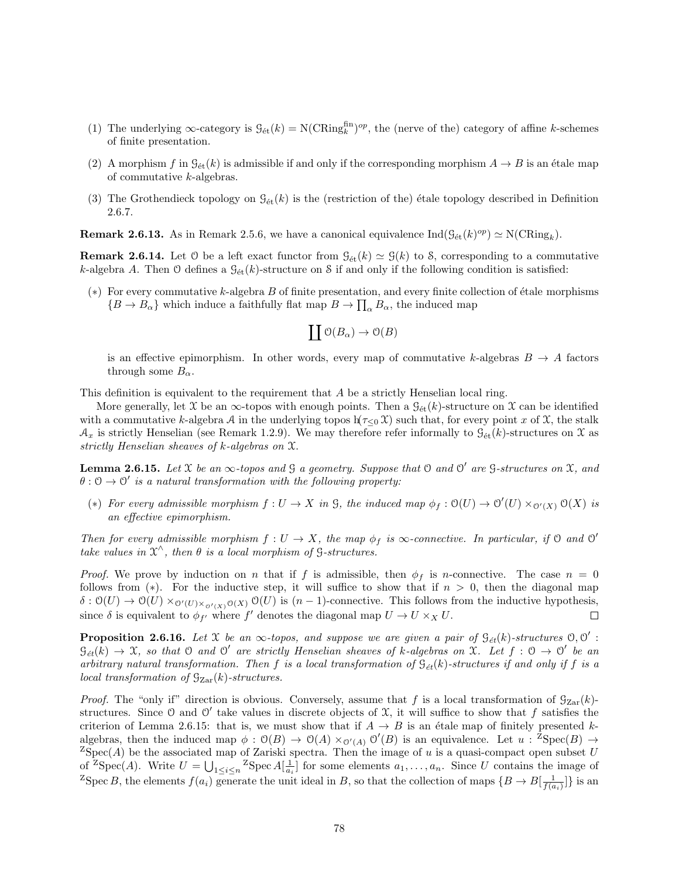- (1) The underlying  $\infty$ -category is  $\mathcal{G}_{\text{\'et}}(k) = \text{N}(CRing_k^{\text{fin}})^{op}$ , the (nerve of the) category of affine k-schemes of finite presentation.
- (2) A morphism f in  $\mathcal{G}_{\text{\'et}}(k)$  is admissible if and only if the corresponding morphism  $A \to B$  is an étale map of commutative k-algebras.
- (3) The Grothendieck topology on  $\mathcal{G}_{\text{\'et}}(k)$  is the (restriction of the) étale topology described in Definition 2.6.7.

**Remark 2.6.13.** As in Remark 2.5.6, we have a canonical equivalence  $\text{Ind}(\mathcal{G}_{\text{\'et}}(k)^{op}) \simeq \text{N}(\text{CRing}_k)$ .

**Remark 2.6.14.** Let 0 be a left exact functor from  $\mathcal{G}_{\text{\'et}}(k) \simeq \mathcal{G}(k)$  to 8, corresponding to a commutative k-algebra A. Then O defines a  $\mathcal{G}_{\text{\'et}}(k)$ -structure on S if and only if the following condition is satisfied:

(\*) For every commutative k-algebra B of finite presentation, and every finite collection of étale morphisms  ${B \to B_{\alpha}}$  which induce a faithfully flat map  $B \to \prod_{\alpha} B_{\alpha}$ , the induced map

$$
\coprod \mathfrak O(B_\alpha) \to \mathfrak O(B)
$$

is an effective epimorphism. In other words, every map of commutative k-algebras  $B \to A$  factors through some  $B_{\alpha}$ .

This definition is equivalent to the requirement that A be a strictly Henselian local ring.

More generally, let X be an  $\infty$ -topos with enough points. Then a  $\mathcal{G}_{\text{\'et}}(k)$ -structure on X can be identified with a commutative k-algebra A in the underlying topos  $h(\tau<sub>0</sub> \mathcal{X})$  such that, for every point x of X, the stalk  $\mathcal{A}_x$  is strictly Henselian (see Remark 1.2.9). We may therefore refer informally to  $\mathcal{G}_{\text{\'et}}(k)$ -structures on X as strictly Henselian sheaves of k-algebras on X.

**Lemma 2.6.15.** Let X be an  $\infty$ -topos and G a geometry. Suppose that O and O' are G-structures on X, and  $\theta: \mathcal{O} \to \mathcal{O}'$  is a natural transformation with the following property:

(\*) For every admissible morphism  $f: U \to X$  in  $\mathcal{G}$ , the induced map  $\phi_f: \mathcal{O}(U) \to \mathcal{O}'(U) \times_{\mathcal{O}'(X)} \mathcal{O}(X)$  is an effective epimorphism.

Then for every admissible morphism  $f: U \to X$ , the map  $\phi_f$  is  $\infty$ -connective. In particular, if  $\Theta$  and  $\Theta'$ take values in  $\mathfrak{X}^{\wedge}$ , then  $\theta$  is a local morphism of G-structures.

*Proof.* We prove by induction on n that if f is admissible, then  $\phi_f$  is n-connective. The case  $n = 0$ follows from (\*). For the inductive step, it will suffice to show that if  $n > 0$ , then the diagonal map  $\delta: \mathcal{O}(U) \to \mathcal{O}(U) \times_{\mathcal{O}'(U) \times_{\mathcal{O}'(X)} \mathcal{O}(X)} \mathcal{O}(U)$  is  $(n-1)$ -connective. This follows from the inductive hypothesis, since  $\delta$  is equivalent to  $\phi_{f'}$  where f' denotes the diagonal map  $U \to U \times_X U$ .  $\Box$ 

**Proposition 2.6.16.** Let X be an  $\infty$ -topos, and suppose we are given a pair of  $\mathcal{G}_{\acute{e}t}(k)$ -structures  $\mathcal{O}, \mathcal{O}'$ :  $\mathcal{G}_{et}(k) \to \mathfrak{X}$ , so that  $\mathfrak O$  and  $\mathfrak O'$  are strictly Henselian sheaves of k-algebras on  $\mathfrak X$ . Let  $f : \mathfrak O \to \mathfrak O'$  be an arbitrary natural transformation. Then f is a local transformation of  $\mathcal{G}_{\acute{e}t}(k)$ -structures if and only if f is a local transformation of  $\mathcal{G}_{Zar}(k)$ -structures.

*Proof.* The "only if" direction is obvious. Conversely, assume that f is a local transformation of  $\mathcal{G}_{\mathrm{Zar}}(k)$ structures. Since 0 and 0' take values in discrete objects of  $\mathfrak{X}$ , it will suffice to show that f satisfies the criterion of Lemma 2.6.15: that is, we must show that if  $A \to B$  is an étale map of finitely presented kalgebras, then the induced map  $\phi : \mathcal{O}(B) \to \mathcal{O}(A) \times_{\mathcal{O}'(A)} \mathcal{O}'(B)$  is an equivalence. Let  $u : {}^Z \text{Spec}(B) \to$  ${}^{Z}Spec(A)$  be the associated map of Zariski spectra. Then the image of u is a quasi-compact open subset U of <sup>Z</sup>Spec(*A*). Write  $U = \bigcup_{1 \leq i \leq n} {}^{Z}$ Spec  $A[\frac{1}{a_i}]$  for some elements  $a_1, \ldots, a_n$ . Since U contains the image of <sup>Z</sup>Spec B, the elements  $f(a_i)$  generate the unit ideal in B, so that the collection of maps  $\{B \to B[\frac{1}{f(a_i)}]\}$  is an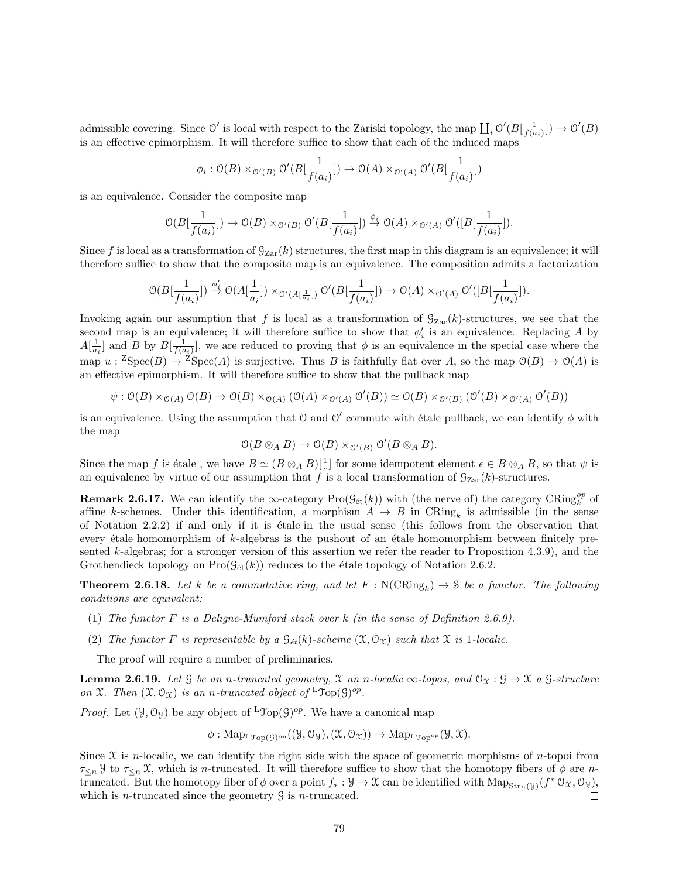admissible covering. Since  $\mathcal{O}'$  is local with respect to the Zariski topology, the map  $\prod_i \mathcal{O}'(B[\frac{1}{f(a_i)}]) \to \mathcal{O}'(B)$ is an effective epimorphism. It will therefore suffice to show that each of the induced maps

$$
\phi_i : \mathcal{O}(B) \times_{\mathcal{O}'(B)} \mathcal{O}'(B[\frac{1}{f(a_i)}]) \to \mathcal{O}(A) \times_{\mathcal{O}'(A)} \mathcal{O}'(B[\frac{1}{f(a_i)}])
$$

is an equivalence. Consider the composite map

$$
\mathcal{O}(B[\frac{1}{f(a_i)}]) \to \mathcal{O}(B) \times_{\mathcal{O}'(B)} \mathcal{O}'(B[\frac{1}{f(a_i)}]) \xrightarrow{\phi_i} \mathcal{O}(A) \times_{\mathcal{O}'(A)} \mathcal{O}'([B[\frac{1}{f(a_i)}]).
$$

Since f is local as a transformation of  $\mathcal{G}_{Zar}(k)$  structures, the first map in this diagram is an equivalence; it will therefore suffice to show that the composite map is an equivalence. The composition admits a factorization

$$
\mathcal{O}(B[\frac{1}{f(a_i)}])\stackrel{\phi'_i}{\rightarrow}\mathcal{O}(A[\frac{1}{a_i}])\times_{\mathcal{O}'(A[\frac{1}{a_i}])}\mathcal{O}'(B[\frac{1}{f(a_i)}])\rightarrow \mathcal{O}(A)\times_{\mathcal{O}'(A)}\mathcal{O}'([B[\frac{1}{f(a_i)}]).
$$

Invoking again our assumption that f is local as a transformation of  $\mathcal{G}_{\mathrm{Zar}}(k)$ -structures, we see that the second map is an equivalence; it will therefore suffice to show that  $\phi_i'$  is an equivalence. Replacing A by  $A[\frac{1}{a_i}]$  and B by  $B[\frac{1}{f(a_i)}]$ , we are reduced to proving that  $\phi$  is an equivalence in the special case where the map  $u: {}^{Z}Spec(B) \to {}^{Z}Spec(A)$  is surjective. Thus B is faithfully flat over A, so the map  $\mathcal{O}(B) \to \mathcal{O}(A)$  is an effective epimorphism. It will therefore suffice to show that the pullback map

 $\psi : \mathcal{O}(B) \times_{\mathcal{O}(A)} \mathcal{O}(B) \to \mathcal{O}(B) \times_{\mathcal{O}(A)} (\mathcal{O}(A) \times_{\mathcal{O}'(A)} \mathcal{O}'(B)) \simeq \mathcal{O}(B) \times_{\mathcal{O}'(B)} (\mathcal{O}'(B) \times_{\mathcal{O}'(A)} \mathcal{O}'(B))$ 

is an equivalence. Using the assumption that 0 and 0' commute with étale pullback, we can identify  $\phi$  with the map

$$
\mathcal{O}(B \otimes_A B) \to \mathcal{O}(B) \times_{\mathcal{O}'(B)} \mathcal{O}'(B \otimes_A B).
$$

Since the map f is étale, we have  $B \simeq (B \otimes_A B)[\frac{1}{e}]$  for some idempotent element  $e \in B \otimes_A B$ , so that  $\psi$  is an equivalence by virtue of our assumption that f is a local transformation of  $\mathcal{G}_{Zar}(k)$ -structures.  $\Box$ 

**Remark 2.6.17.** We can identify the  $\infty$ -category  $\text{Pro}(\mathcal{G}_{\text{\'et}}(k))$  with (the nerve of) the category  $\text{CRing}_{k}^{op}$  of affine k-schemes. Under this identification, a morphism  $A \to B$  in  $\text{CRing}_k$  is admissible (in the sense of Notation 2.2.2) if and only if it is ´etale in the usual sense (this follows from the observation that every étale homomorphism of  $k$ -algebras is the pushout of an étale homomorphism between finitely presented k-algebras; for a stronger version of this assertion we refer the reader to Proposition 4.3.9), and the Grothendieck topology on  $\text{Pro}(\mathcal{G}_{\text{\'et}}(k))$  reduces to the étale topology of Notation 2.6.2.

**Theorem 2.6.18.** Let k be a commutative ring, and let  $F : N(\text{CRing}_k) \to \mathcal{S}$  be a functor. The following conditions are equivalent:

- (1) The functor F is a Deligne-Mumford stack over k (in the sense of Definition 2.6.9).
- (2) The functor F is representable by a  $\mathcal{G}_{\acute{e}t}(k)$ -scheme  $(\mathfrak{X}, \mathcal{O}_{\mathfrak{X}})$  such that  $\mathfrak{X}$  is 1-localic.

The proof will require a number of preliminaries.

**Lemma 2.6.19.** Let G be an n-truncated geometry, X an n-localic  $\infty$ -topos, and  $\mathcal{O}_X : \mathcal{G} \to \mathcal{X}$  a G-structure on X. Then  $(\mathfrak{X}, \mathcal{O}_{\mathfrak{X}})$  is an n-truncated object of  ${}^{\mathsf{L}} \mathfrak{Top}(\mathfrak{G})^{\mathit{op}}$ .

*Proof.* Let  $(\mathcal{Y}, \mathcal{O}_{\mathcal{Y}})$  be any object of <sup>L</sup>Top(G)<sup>op</sup>. We have a canonical map

$$
\phi: \mathrm{Map}_{{}^{\mathsf{L}}\mathcal{T}_{\mathrm{op}}(\mathcal{G})^{op}}((\mathcal{Y}, \mathcal{O}_{\mathcal{Y}}), (\mathcal{X}, \mathcal{O}_{\mathcal{X}})) \to \mathrm{Map}_{{}^{\mathsf{L}}\mathcal{T}_{\mathrm{op}}^{op}}(\mathcal{Y}, \mathcal{X}).
$$

Since  $\mathfrak X$  is *n*-localic, we can identify the right side with the space of geometric morphisms of *n*-topoi from  $\tau_{\leq n}$  y to  $\tau_{\leq n}$  X, which is *n*-truncated. It will therefore suffice to show that the homotopy fibers of  $\phi$  are *n*truncated. But the homotopy fiber of  $\phi$  over a point  $f_* : \mathcal{Y} \to \mathcal{X}$  can be identified with  $\text{Map}_{\text{Str}_{\mathcal{G}}(\mathcal{Y})}(f^* \mathcal{O}_{\mathcal{X}}, \mathcal{O}_{\mathcal{Y}})$ , which is *n*-truncated since the geometry  $\mathcal{G}$  is *n*-truncated.  $\Box$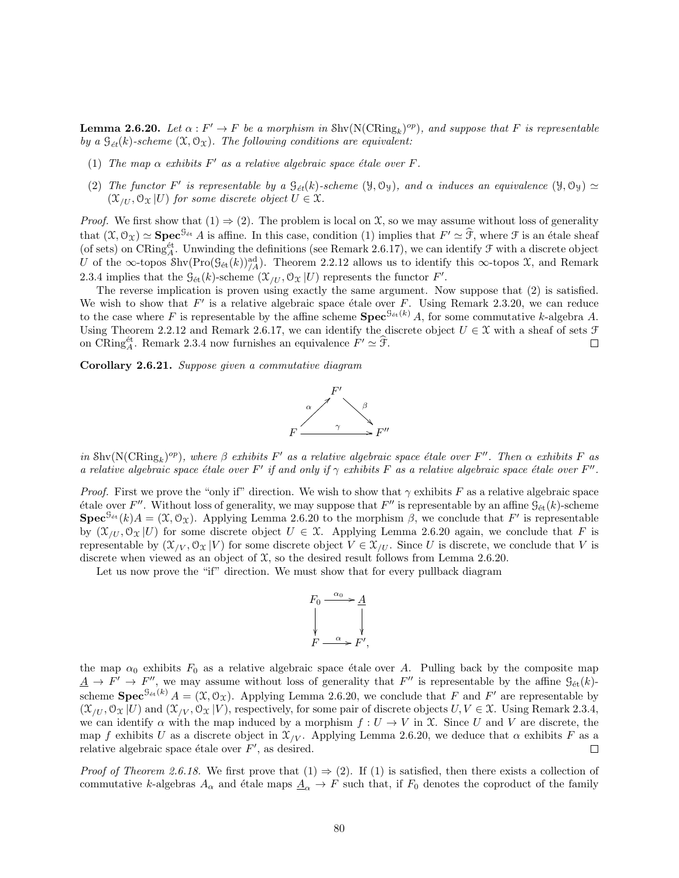**Lemma 2.6.20.** Let  $\alpha : F' \to F$  be a morphism in  $\text{Shv}(\text{N}(\text{CRing}_k)^{op})$ , and suppose that F is representable by a  $\mathcal{G}_{\acute{e}t}(k)$ -scheme  $(\mathfrak{X}, \mathcal{O}_{\mathfrak{X}})$ . The following conditions are equivalent:

- (1) The map  $\alpha$  exhibits F' as a relative algebraic space étale over F.
- (2) The functor F' is representable by a  $\mathcal{G}_{\acute{e}t}(k)$ -scheme  $(\mathcal{Y}, \mathcal{O}_{\mathcal{Y}})$ , and  $\alpha$  induces an equivalence  $(\mathcal{Y}, \mathcal{O}_{\mathcal{Y}}) \simeq$  $(\mathfrak{X}_{U}, \mathfrak{O}_{\Upsilon}|U)$  for some discrete object  $U \in \mathfrak{X}$ .

*Proof.* We first show that  $(1) \Rightarrow (2)$ . The problem is local on  $\mathcal{X}$ , so we may assume without loss of generality that  $(\mathfrak{X}, \mathcal{O}_{\mathfrak{X}}) \simeq$  **Spec**<sup>9</sup><sup>et</sup> A is affine. In this case, condition (1) implies that  $F' \simeq \hat{\mathfrak{F}}$ , where  $\mathfrak{F}$  is an étale sheaf (of sets) on CRing<sup>*t*</sup><sub>1</sub>. Unwinding the definitions (see Remark 2 U of the ∞-topos Shv $(Pro(g_{\acute{e}t}(k))_{/A}^{ad})$ . Theorem 2.2.12 allows us to identify this ∞-topos X, and Remark 2.3.4 implies that the  $\mathcal{G}_{\text{\'et}}(k)$ -scheme  $(\mathcal{X}_{/U}, \mathcal{O}_{\mathcal{X}} | U)$  represents the functor  $F'$ .

The reverse implication is proven using exactly the same argument. Now suppose that (2) is satisfied. We wish to show that  $F'$  is a relative algebraic space étale over F. Using Remark 2.3.20, we can reduce to the case where F is representable by the affine scheme  $\text{Spec}^{\mathcal{G}_{\text{\'et}}(k)} A$ , for some commutative k-algebra A. Using Theorem 2.2.12 and Remark 2.6.17, we can identify the discrete object  $U \in \mathcal{X}$  with a sheaf of sets  $\mathcal{F}$ on CRing<sup> $\text{\'et}_{A}$ </sup>. Remark 2.3.4 now furnishes an equivalence  $F' \simeq \hat{\mathcal{F}}$ .  $\Box$ 

Corollary 2.6.21. Suppose given a commutative diagram



in Shv( $N(\text{CRing}_k)^{op}$ ), where  $\beta$  exhibits  $F'$  as a relative algebraic space étale over  $F''$ . Then  $\alpha$  exhibits  $F$  as a relative algebraic space étale over F' if and only if  $\gamma$  exhibits F as a relative algebraic space étale over F''.

*Proof.* First we prove the "only if" direction. We wish to show that  $\gamma$  exhibits F as a relative algebraic space étale over F''. Without loss of generality, we may suppose that F'' is representable by an affine  $\mathcal{G}_{\text{\'et}}(k)$ -scheme **Spec**<sup>G<sub>ét</sub></sup> $(k)A = (\mathfrak{X}, \mathfrak{O}_{\mathfrak{X}})$ . Applying Lemma 2.6.20 to the morphism  $\beta$ , we conclude that F' is representable by  $(\mathfrak{X}_{/U}, \mathfrak{O}_{\mathfrak{X}} | U)$  for some discrete object  $U \in \mathfrak{X}$ . Applying Lemma 2.6.20 again, we conclude that F is representable by  $(\mathcal{X}_{V}, \mathcal{O}_{\mathcal{X}} | V)$  for some discrete object  $V \in \mathcal{X}_{U}$ . Since U is discrete, we conclude that V is discrete when viewed as an object of  $\mathfrak{X}$ , so the desired result follows from Lemma 2.6.20.

Let us now prove the "if" direction. We must show that for every pullback diagram



the map  $\alpha_0$  exhibits  $F_0$  as a relative algebraic space étale over A. Pulling back by the composite map  $\underline{A} \to F' \to F''$ , we may assume without loss of generality that  $F''$  is representable by the affine  $\mathcal{G}_{\text{\'{e}t}}(k)$ scheme  $Spec^{G_{\text{\'et}}(k)} A = (\mathfrak{X}, \mathcal{O}_{\mathfrak{X}})$ . Applying Lemma 2.6.20, we conclude that F and F' are representable by  $(\mathcal{X}_{U}, \mathcal{O}_{\mathcal{X}} | U)$  and  $(\mathcal{X}_{V}, \mathcal{O}_{\mathcal{X}} | V)$ , respectively, for some pair of discrete objects  $U, V \in \mathcal{X}$ . Using Remark 2.3.4, we can identify  $\alpha$  with the map induced by a morphism  $f: U \to V$  in X. Since U and V are discrete, the map f exhibits U as a discrete object in  $\mathcal{X}_{V}$ . Applying Lemma 2.6.20, we deduce that  $\alpha$  exhibits F as a relative algebraic space étale over  $F'$ , as desired.  $\Box$ 

*Proof of Theorem 2.6.18.* We first prove that  $(1) \Rightarrow (2)$ . If  $(1)$  is satisfied, then there exists a collection of commutative k-algebras  $A_{\alpha}$  and étale maps  $\underline{A}_{\alpha} \to F$  such that, if  $F_0$  denotes the coproduct of the family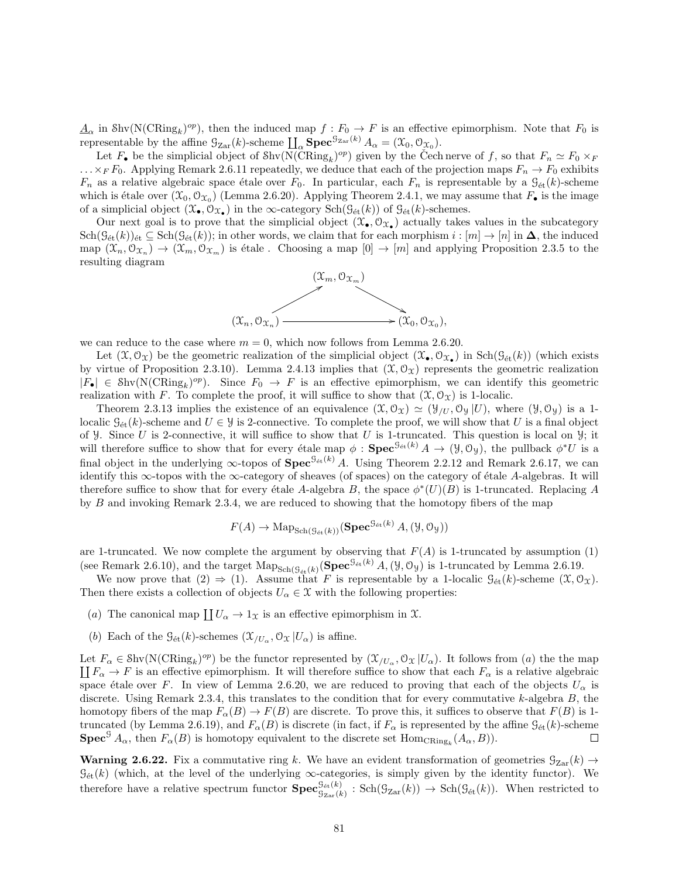$\underline{A}_{\alpha}$  in Shv(N(CRing<sub>k</sub>)<sup>op</sup>), then the induced map  $f: F_0 \to F$  is an effective epimorphism. Note that  $F_0$  is representable by the affine  $\mathcal{G}_{\mathrm{Zar}}(k)$ -scheme  $\prod_{\alpha} \mathbf{Spec}^{\mathcal{G}_{\mathrm{Zar}}(k)} A_{\alpha} = (\mathcal{X}_0, \mathcal{O}_{\mathcal{X}_0}).$ 

Let  $F_{\bullet}$  be the simplicial object of  $\text{Shv}(\widehat{\text{N}(\text{CRing}_k)^{op}})$  given by the Cech nerve of f, so that  $F_n \simeq F_0 \times_F$  $\ldots \times_F F_0$ . Applying Remark 2.6.11 repeatedly, we deduce that each of the projection maps  $F_n \to F_0$  exhibits  $F_n$  as a relative algebraic space étale over  $F_0$ . In particular, each  $F_n$  is representable by a  $\mathcal{G}_{\text{\'et}}(k)$ -scheme which is étale over  $(\mathfrak{X}_0, \mathfrak{O}_{\mathfrak{X}_0})$  (Lemma 2.6.20). Applying Theorem 2.4.1, we may assume that  $F_{\bullet}$  is the image of a simplicial object  $(\mathfrak{X}_{\bullet}, \mathcal{O}_{\mathfrak{X}_{\bullet}})$  in the  $\infty$ -category  $\text{Sch}(\mathcal{G}_{\text{\'et}}(k))$  of  $\mathcal{G}_{\text{\'et}}(k)$ -schemes.

Our next goal is to prove that the simplicial object  $(\mathfrak{X}_{\bullet}, \mathcal{O}_{\mathfrak{X}_{\bullet}})$  actually takes values in the subcategory  $\text{Sch}(\mathcal{G}_{\text{\'et}}(k))_{\text{\'et}} \subseteq \text{Sch}(\mathcal{G}_{\text{\'et}}(k))$ ; in other words, we claim that for each morphism  $i : [m] \to [n]$  in  $\Delta$ , the induced map  $(\mathfrak{X}_n, \mathfrak{O}_{\mathfrak{X}_n}) \to (\mathfrak{X}_m, \mathfrak{O}_{\mathfrak{X}_m})$  is étale. Choosing a map  $[0] \to [m]$  and applying Proposition 2.3.5 to the resulting diagram



we can reduce to the case where  $m = 0$ , which now follows from Lemma 2.6.20.

Let  $(\mathfrak{X}, \mathcal{O}_{\mathfrak{X}})$  be the geometric realization of the simplicial object  $(\mathfrak{X}_{\bullet}, \mathcal{O}_{\mathfrak{X}_{\bullet}})$  in  $\text{Sch}(\mathcal{G}_{\text{\'et}}(k))$  (which exists by virtue of Proposition 2.3.10). Lemma 2.4.13 implies that  $(\mathfrak{X}, \mathcal{O}_{\mathfrak{X}})$  represents the geometric realization  $|F_{\bullet}| \in Shv(N(CRing_k)^{op}).$  Since  $F_0 \to F$  is an effective epimorphism, we can identify this geometric realization with F. To complete the proof, it will suffice to show that  $(\mathfrak{X}, \mathfrak{O}_{\mathfrak{X}})$  is 1-localic.

Theorem 2.3.13 implies the existence of an equivalence  $(\mathfrak{X}, \mathcal{O}_{\mathfrak{X}}) \simeq (\mathfrak{Y}_{/U}, \mathcal{O}_{\mathfrak{Y}} |U)$ , where  $(\mathfrak{Y}, \mathcal{O}_{\mathfrak{Y}})$  is a 1localic  $\mathcal{G}_{\text{\'et}}(k)$ -scheme and  $U \in \mathcal{Y}$  is 2-connective. To complete the proof, we will show that U is a final object of y. Since U is 2-connective, it will suffice to show that U is 1-truncated. This question is local on y; it will therefore suffice to show that for every étale map  $\phi : \mathbf{Spec}^{\mathcal{G}_{\text{\'et}}(k)} A \to (\mathcal{Y}, \mathcal{O}_{\mathcal{Y}})$ , the pullback  $\phi^*U$  is a final object in the underlying  $\infty$ -topos of  $\text{Spec}^{\mathcal{G}_{\text{\'et}}(k)}$  A. Using Theorem 2.2.12 and Remark 2.6.17, we can identify this  $\infty$ -topos with the  $\infty$ -category of sheaves (of spaces) on the category of étale A-algebras. It will therefore suffice to show that for every étale A-algebra B, the space  $\phi^*(U)(B)$  is 1-truncated. Replacing A by B and invoking Remark 2.3.4, we are reduced to showing that the homotopy fibers of the map

$$
F(A) \to \mathrm{Map}_{\mathrm{Sch}(\mathcal{G}_{\mathrm{\acute{e}t}}(k))}(\mathbf{Spec}^{\mathcal{G}_{\mathrm{\acute{e}t}}(k)} A, (\mathcal{Y}, \mathcal{O}_{\mathcal{Y}}))
$$

are 1-truncated. We now complete the argument by observing that  $F(A)$  is 1-truncated by assumption (1) (see Remark 2.6.10), and the target  $\text{Map}_{\text{Sch}(\mathcal{G}_{\text{\'et}}(k)}(\text{Spec}^{\mathcal{G}_{\text{\'et}}(k)} A,(\mathcal{Y},\mathcal{O}_{\mathcal{Y}}))$  is 1-truncated by Lemma 2.6.19.

We now prove that  $(2) \Rightarrow (1)$ . Assume that F is representable by a 1-localic  $\mathcal{G}_{\text{\'et}}(k)$ -scheme  $(\mathfrak{X}, \mathcal{O}_{\mathfrak{X}})$ . Then there exists a collection of objects  $U_{\alpha} \in \mathcal{X}$  with the following properties:

- (a) The canonical map  $\coprod U_\alpha \to 1_\mathfrak{X}$  is an effective epimorphism in X.
- (b) Each of the  $\mathcal{G}_{\text{\'et}}(k)$ -schemes  $(\mathcal{X}_{/U_{\alpha}}, \mathcal{O}_{\mathcal{X}} | U_{\alpha})$  is affine.

Let  $F_{\alpha} \in \text{Shv}(\text{N}(\text{CRing}_k)^{op})$  be the functor represented by  $(\mathcal{X}_{/U_{\alpha}}, \mathcal{O}_{\mathcal{X}} | U_{\alpha})$ . It follows from (*a*) the the map  $\prod F_{\alpha} \to F$  is an effective epimorphism. It will therefore suffice to show that each  $\prod F_\alpha \to F$  is an effective epimorphism. It will therefore suffice to show that each  $F_\alpha$  is a relative algebraic space étale over F. In view of Lemma 2.6.20, we are reduced to proving that each of the objects  $U_{\alpha}$  is discrete. Using Remark 2.3.4, this translates to the condition that for every commutative  $k$ -algebra  $B$ , the homotopy fibers of the map  $F_{\alpha}(B) \to F(B)$  are discrete. To prove this, it suffices to observe that  $F(B)$  is 1truncated (by Lemma 2.6.19), and  $F_{\alpha}(B)$  is discrete (in fact, if  $F_{\alpha}$  is represented by the affine  $\mathcal{G}_{\text{\'et}}(k)$ -scheme **Spec**<sup>G</sup>  $A_{\alpha}$ , then  $F_{\alpha}(B)$  is homotopy equivalent to the discrete set  $Hom_{CRing_k}(A_{\alpha},B)$ .  $\Box$ 

**Warning 2.6.22.** Fix a commutative ring k. We have an evident transformation of geometries  $\mathcal{G}_{\text{Zar}}(k) \rightarrow$  $\mathcal{G}_{\text{\'et}}(k)$  (which, at the level of the underlying  $\infty$ -categories, is simply given by the identity functor). We therefore have a relative spectrum functor  $\textbf{Spec}^{\mathcal{G}_{\text{\'et}}(k)}_{\mathcal{G}_{\text{zar}}(k)} : \text{Sch}(\mathcal{G}_{\text{Zar}}(k)) \to \text{Sch}(\mathcal{G}_{\text{\'et}}(k)).$  When restricted to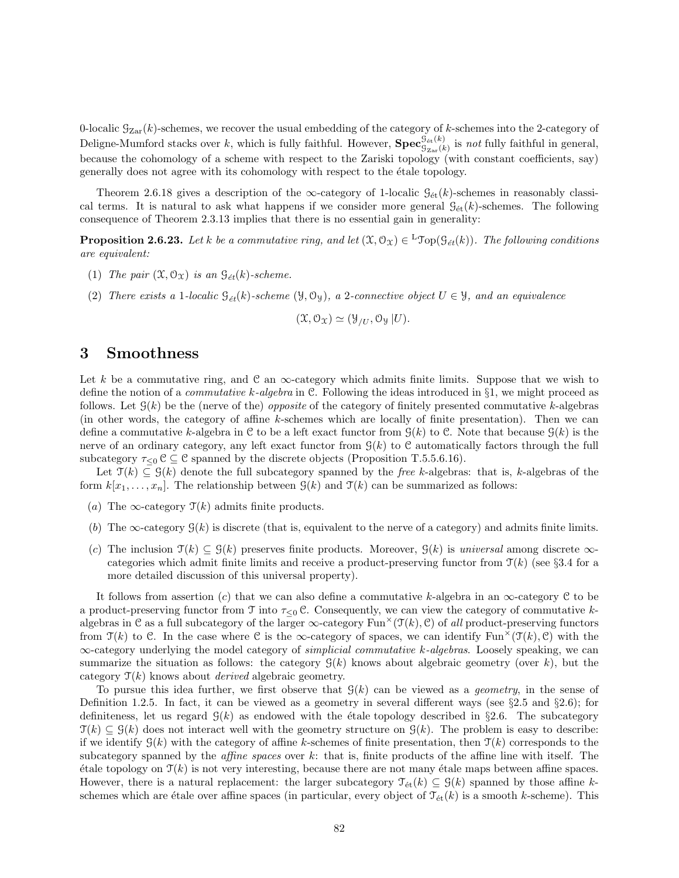0-localic  $\mathcal{G}_{\mathrm{Zar}}(k)$ -schemes, we recover the usual embedding of the category of k-schemes into the 2-category of Deligne-Mumford stacks over k, which is fully faithful. However,  $\mathbf{Spec}_{\mathcal{G}_{\mathrm{Zar}}(k)}^{\mathcal{G}_{\mathrm{\acute{e}t}}(k)}$  is not fully faithful in general, because the cohomology of a scheme with respect to the Zariski topology (with constant coefficients, say) generally does not agree with its cohomology with respect to the étale topology.

Theorem 2.6.18 gives a description of the  $\infty$ -category of 1-localic  $\mathcal{G}_{\text{\'et}}(k)$ -schemes in reasonably classical terms. It is natural to ask what happens if we consider more general  $\mathcal{G}_{\text{\'et}}(k)$ -schemes. The following consequence of Theorem 2.3.13 implies that there is no essential gain in generality:

**Proposition 2.6.23.** Let k be a commutative ring, and let  $(\mathfrak{X}, \mathcal{O}_\mathfrak{X}) \in {}^{\mathbf{L}}\mathcal{T}$ op $(\mathcal{G}_{\acute{e}t}(k))$ . The following conditions are equivalent:

- (1) The pair  $(\mathfrak{X}, \mathcal{O}_{\mathfrak{X}})$  is an  $\mathfrak{G}_{\acute{e}t}(k)$ -scheme.
- (2) There exists a 1-localic  $\mathcal{G}_{\acute{e}t}(k)$ -scheme ( $\mathcal{Y}, \mathcal{O}_{\mathcal{Y}}$ ), a 2-connective object  $U \in \mathcal{Y}$ , and an equivalence

$$
(\mathfrak{X},\mathcal{O}_{\mathfrak{X}})\simeq (\mathfrak{Y}_{/U},\mathcal{O}_{\mathfrak{Y}}|U).
$$

# 3 Smoothness

Let k be a commutative ring, and C an  $\infty$ -category which admits finite limits. Suppose that we wish to define the notion of a *commutative k-algebra* in C. Following the ideas introduced in  $\S1$ , we might proceed as follows. Let  $\mathcal{G}(k)$  be the (nerve of the) *opposite* of the category of finitely presented commutative k-algebras (in other words, the category of affine k-schemes which are locally of finite presentation). Then we can define a commutative k-algebra in C to be a left exact functor from  $\mathcal{G}(k)$  to C. Note that because  $\mathcal{G}(k)$  is the nerve of an ordinary category, any left exact functor from  $\mathcal{G}(k)$  to C automatically factors through the full subcategory  $\tau_{\leq 0}$  C  $\subseteq$  C spanned by the discrete objects (Proposition T.5.5.6.16).

Let  $\mathcal{T}(k) \subseteq \mathcal{G}(k)$  denote the full subcategory spanned by the free k-algebras: that is, k-algebras of the form  $k[x_1, \ldots, x_n]$ . The relationship between  $\mathcal{G}(k)$  and  $\mathcal{T}(k)$  can be summarized as follows:

- (a) The  $\infty$ -category  $\mathcal{T}(k)$  admits finite products.
- (b) The  $\infty$ -category  $\mathcal{G}(k)$  is discrete (that is, equivalent to the nerve of a category) and admits finite limits.
- (c) The inclusion  $\mathcal{T}(k) \subseteq \mathcal{G}(k)$  preserves finite products. Moreover,  $\mathcal{G}(k)$  is universal among discrete  $\infty$ categories which admit finite limits and receive a product-preserving functor from  $\mathcal{T}(k)$  (see §3.4 for a more detailed discussion of this universal property).

It follows from assertion (c) that we can also define a commutative k-algebra in an  $\infty$ -category C to be a product-preserving functor from  $\mathcal T$  into  $\tau_{\leq 0}$  C. Consequently, we can view the category of commutative kalgebras in C as a full subcategory of the larger  $\infty$ -category Fun<sup> $\times$ </sup>(T(k), C) of all product-preserving functors from  $\mathcal{T}(k)$  to C. In the case where C is the  $\infty$ -category of spaces, we can identify Fun<sup> $\times$ </sup>( $\mathcal{T}(k)$ , C) with the  $\infty$ -category underlying the model category of *simplicial commutative k-algebras*. Loosely speaking, we can summarize the situation as follows: the category  $\mathcal{G}(k)$  knows about algebraic geometry (over k), but the category  $\mathcal{T}(k)$  knows about *derived* algebraic geometry.

To pursue this idea further, we first observe that  $\mathcal{G}(k)$  can be viewed as a *geometry*, in the sense of Definition 1.2.5. In fact, it can be viewed as a geometry in several different ways (see  $\S 2.5$  and  $\S 2.6$ ); for definiteness, let us regard  $\mathcal{G}(k)$  as endowed with the étale topology described in §2.6. The subcategory  $\mathcal{T}(k) \subseteq \mathcal{G}(k)$  does not interact well with the geometry structure on  $\mathcal{G}(k)$ . The problem is easy to describe: if we identify  $\mathcal{G}(k)$  with the category of affine k-schemes of finite presentation, then  $\mathcal{T}(k)$  corresponds to the subcategory spanned by the *affine spaces* over  $k$ : that is, finite products of the affine line with itself. The  $\phi$  etale topology on  $\mathcal{T}(k)$  is not very interesting, because there are not many  $\phi$  tale maps between affine spaces. However, there is a natural replacement: the larger subcategory  $\mathcal{T}_{\text{\'et}}(k) \subseteq \mathcal{G}(k)$  spanned by those affine kschemes which are étale over affine spaces (in particular, every object of  $\mathcal{T}_{\text{\'et}}(k)$  is a smooth k-scheme). This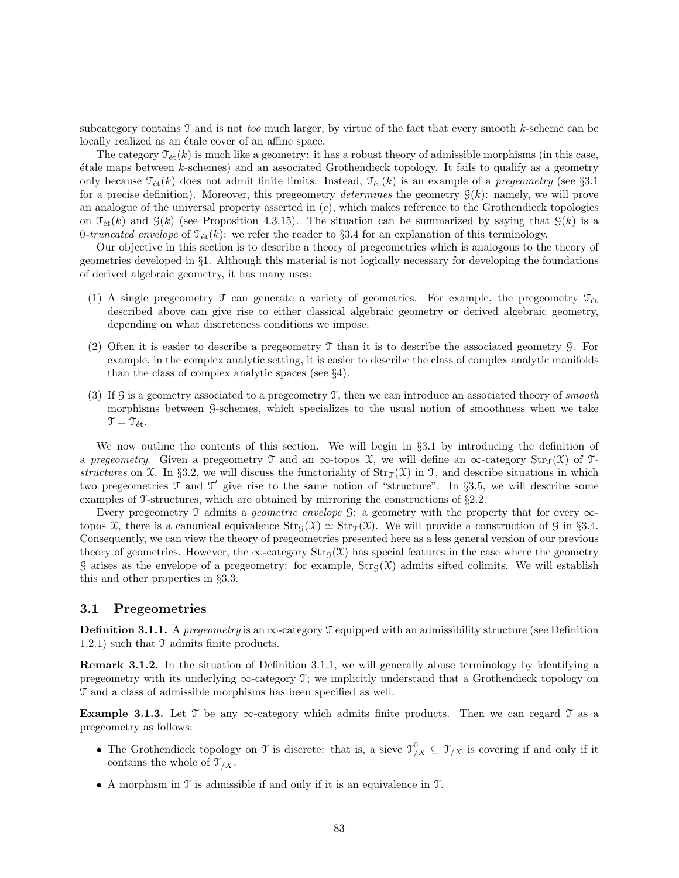subcategory contains  $\mathcal T$  and is not too much larger, by virtue of the fact that every smooth k-scheme can be locally realized as an étale cover of an affine space.

The category  $\mathcal{T}_{\acute{e}t}(k)$  is much like a geometry: it has a robust theory of admissible morphisms (in this case, ´etale maps between k-schemes) and an associated Grothendieck topology. It fails to qualify as a geometry only because  $\mathcal{T}_{\text{\'et}}(k)$  does not admit finite limits. Instead,  $\mathcal{T}_{\text{\'et}}(k)$  is an example of a *pregeometry* (see §3.1) for a precise definition). Moreover, this pregeometry determines the geometry  $\mathcal{G}(k)$ : namely, we will prove an analogue of the universal property asserted in  $(c)$ , which makes reference to the Grothendieck topologies on  $\mathcal{T}_{\text{\'et}}(k)$  and  $\mathcal{G}(k)$  (see Proposition 4.3.15). The situation can be summarized by saying that  $\mathcal{G}(k)$  is a 0-truncated envelope of  $\mathcal{T}_{\text{\'et}}(k)$ : we refer the reader to §3.4 for an explanation of this terminology.

Our objective in this section is to describe a theory of pregeometries which is analogous to the theory of geometries developed in §1. Although this material is not logically necessary for developing the foundations of derived algebraic geometry, it has many uses:

- (1) A single pregeometry  $\mathcal T$  can generate a variety of geometries. For example, the pregeometry  $\mathcal T_{\text{\'et}}$ described above can give rise to either classical algebraic geometry or derived algebraic geometry, depending on what discreteness conditions we impose.
- (2) Often it is easier to describe a pregeometry T than it is to describe the associated geometry G. For example, in the complex analytic setting, it is easier to describe the class of complex analytic manifolds than the class of complex analytic spaces (see §4).
- (3) If G is a geometry associated to a pregeometry T, then we can introduce an associated theory of *smooth* morphisms between G-schemes, which specializes to the usual notion of smoothness when we take  $\mathfrak{T} = \mathfrak{T}_{\mathrm{\acute{e}t}}.$

We now outline the contents of this section. We will begin in §3.1 by introducing the definition of a pregeometry. Given a pregeometry T and an  $\infty$ -topos X, we will define an  $\infty$ -category  $\text{Str}_{\mathcal{T}}(\mathcal{X})$  of Tstructures on X. In §3.2, we will discuss the functoriality of  $\text{Str}_{\mathcal{T}}(\mathcal{X})$  in T, and describe situations in which two pregeometries  $\mathcal T$  and  $\mathcal T'$  give rise to the same notion of "structure". In §3.5, we will describe some examples of T-structures, which are obtained by mirroring the constructions of §2.2.

Every pregeometry T admits a *geometric envelope*  $\mathcal G$ : a geometry with the property that for every  $\infty$ topos X, there is a canonical equivalence  $\text{Str}_{\mathcal{G}}(\mathcal{X}) \simeq \text{Str}_{\mathcal{T}}(\mathcal{X})$ . We will provide a construction of G in §3.4. Consequently, we can view the theory of pregeometries presented here as a less general version of our previous theory of geometries. However, the ∞-category  $\text{Str}_{G}(\mathcal{X})$  has special features in the case where the geometry G arises as the envelope of a pregeometry: for example,  $\text{Str}_G(\mathcal{X})$  admits sifted colimits. We will establish this and other properties in §3.3.

### 3.1 Pregeometries

**Definition 3.1.1.** A pregeometry is an  $\infty$ -category T equipped with an admissibility structure (see Definition 1.2.1) such that  $\mathcal T$  admits finite products.

Remark 3.1.2. In the situation of Definition 3.1.1, we will generally abuse terminology by identifying a pregeometry with its underlying  $\infty$ -category T; we implicitly understand that a Grothendieck topology on T and a class of admissible morphisms has been specified as well.

Example 3.1.3. Let  $\mathcal T$  be any  $\infty$ -category which admits finite products. Then we can regard  $\mathcal T$  as a pregeometry as follows:

- The Grothendieck topology on T is discrete: that is, a sieve  $\mathcal{T}_{/X}^0 \subseteq \mathcal{T}_{/X}$  is covering if and only if it contains the whole of  $\mathfrak{T}_{/X}$ .
- A morphism in T is admissible if and only if it is an equivalence in T.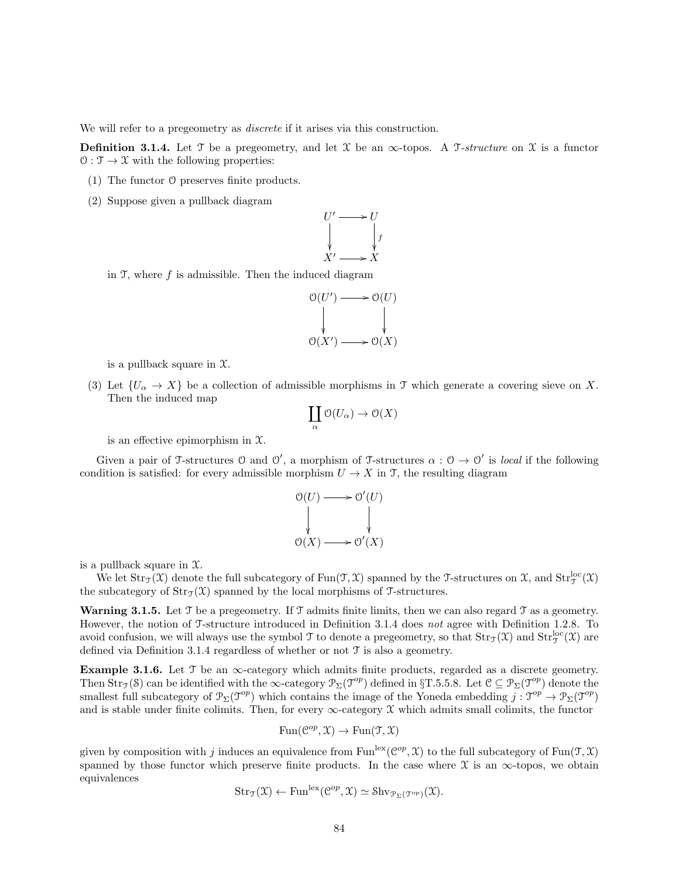We will refer to a pregeometry as *discrete* if it arises via this construction.

**Definition 3.1.4.** Let T be a pregeometry, and let X be an  $\infty$ -topos. A T-structure on X is a functor  $\mathcal{O}: \mathcal{T} \to \mathcal{X}$  with the following properties:

- (1) The functor O preserves finite products.
- (2) Suppose given a pullback diagram



in  $\mathfrak{I}$ , where  $f$  is admissible. Then the induced diagram



is a pullback square in  $\mathfrak{X}$ .

(3) Let  $\{U_{\alpha} \to X\}$  be a collection of admissible morphisms in T which generate a covering sieve on X. Then the induced map

$$
\coprod_{\alpha} \mathcal{O}(U_{\alpha}) \to \mathcal{O}(X)
$$

is an effective epimorphism in  $\mathfrak{X}$ .

Given a pair of T-structures  $\mathcal O$  and  $\mathcal O'$ , a morphism of T-structures  $\alpha : \mathcal O \to \mathcal O'$  is *local* if the following condition is satisfied: for every admissible morphism  $U \to X$  in T, the resulting diagram

$$
\begin{array}{ccc}\n\mathfrak{O}(U) & \longrightarrow & \mathfrak{O}'(U) \\
\downarrow & & \downarrow \\
\mathfrak{O}(X) & \longrightarrow & \mathfrak{O}'(X)\n\end{array}
$$

is a pullback square in  $\mathfrak{X}$ .

We let  $Str_{\mathcal{T}}(\mathfrak{X})$  denote the full subcategory of  $Fun(\mathfrak{T}, \mathfrak{X})$  spanned by the T-structures on  $\mathfrak{X}$ , and  $Str_{\mathcal{T}}^{loc}(\mathfrak{X})$ the subcategory of  $\text{Str}_{\mathcal{T}}(\mathcal{X})$  spanned by the local morphisms of T-structures.

**Warning 3.1.5.** Let T be a pregeometry. If T admits finite limits, then we can also regard T as a geometry. However, the notion of T-structure introduced in Definition 3.1.4 does not agree with Definition 1.2.8. To avoid confusion, we will always use the symbol  $\mathfrak I$  to denote a pregeometry, so that  $\mathrm{Str}_{\mathfrak I}(\mathfrak X)$  and  $\mathrm{Str}_{\mathfrak I}^{\mathrm{loc}}(\mathfrak X)$  are defined via Definition 3.1.4 regardless of whether or not T is also a geometry.

Example 3.1.6. Let  $\mathcal T$  be an  $\infty$ -category which admits finite products, regarded as a discrete geometry. Then  $Str_{\mathcal{T}}(\mathcal{S})$  can be identified with the  $\infty$ -category  $\mathcal{P}_{\Sigma}(\mathcal{T}^{op})$  defined in §T.5.5.8. Let  $\mathcal{C} \subseteq \mathcal{P}_{\Sigma}(\mathcal{T}^{op})$  denote the smallest full subcategory of  $\mathcal{P}_{\Sigma}(\mathcal{T}^{op})$  which contains the image of the Yoneda embedding  $j: \mathcal{T}^{op} \to \mathcal{P}_{\Sigma}(\mathcal{T}^{op})$ and is stable under finite colimits. Then, for every  $\infty$ -category X which admits small colimits, the functor

$$
Fun(\mathcal{C}^{op}, \mathfrak{X}) \to Fun(\mathfrak{T}, \mathfrak{X})
$$

given by composition with j induces an equivalence from Fun<sup>lex</sup>( $\mathcal{C}^{op}, \mathfrak{X}$ ) to the full subcategory of Fun( $\mathfrak{I}, \mathfrak{X}$ ) spanned by those functor which preserve finite products. In the case where  $\mathfrak X$  is an  $\infty$ -topos, we obtain equivalences

$$
Str_{\mathfrak{I}}(\mathfrak{X}) \leftarrow Fun^{lex}(\mathcal{C}^{op}, \mathfrak{X}) \simeq Shv_{\mathcal{P}_{\Sigma}(\mathfrak{I}^{op})}(\mathfrak{X}).
$$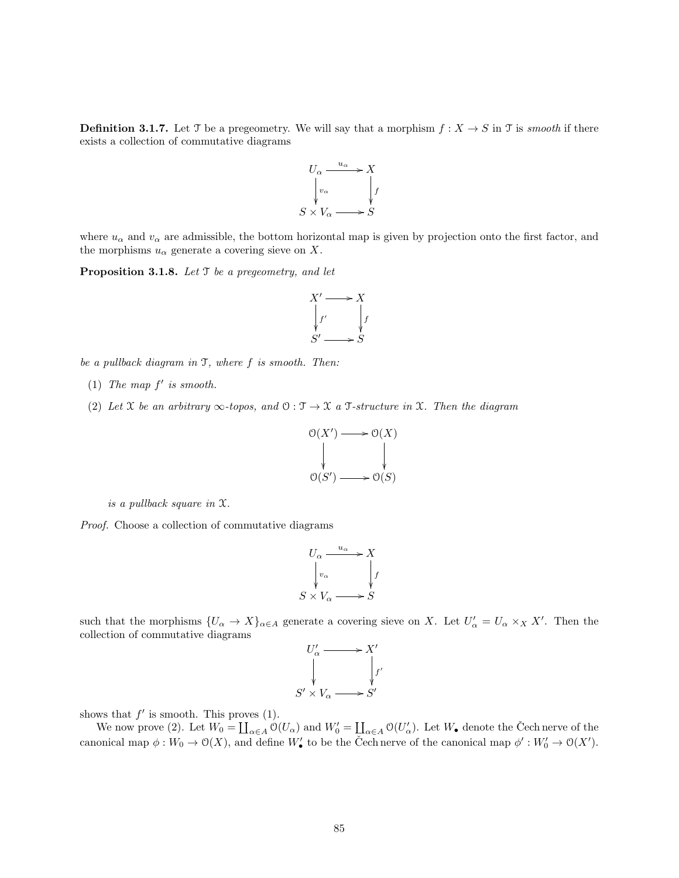**Definition 3.1.7.** Let T be a pregeometry. We will say that a morphism  $f : X \to S$  in T is *smooth* if there exists a collection of commutative diagrams



where  $u_{\alpha}$  and  $v_{\alpha}$  are admissible, the bottom horizontal map is given by projection onto the first factor, and the morphisms  $u_{\alpha}$  generate a covering sieve on X.

**Proposition 3.1.8.** Let  $\mathcal T$  be a pregeometry, and let



be a pullback diagram in T, where f is smooth. Then:

- (1) The map  $f'$  is smooth.
- (2) Let X be an arbitrary  $\infty$ -topos, and  $\mathcal{O}: \mathcal{T} \to \mathcal{X}$  a T-structure in X. Then the diagram



is a pullback square in X.

Proof. Choose a collection of commutative diagrams

$$
U_{\alpha} \xrightarrow{u_{\alpha}} X
$$
  
\n
$$
\downarrow_{v_{\alpha}} V_{\alpha} \xrightarrow{\downarrow} f
$$
  
\n
$$
S \times V_{\alpha} \longrightarrow S
$$

such that the morphisms  $\{U_{\alpha} \to X\}_{\alpha \in A}$  generate a covering sieve on X. Let  $U'_{\alpha} = U_{\alpha} \times_X X'$ . Then the collection of commutative diagrams

$$
U'_{\alpha} \longrightarrow X'
$$
  
\n
$$
\downarrow \qquad \qquad \downarrow f'
$$
  
\n
$$
S' \times V_{\alpha} \longrightarrow S'
$$

shows that  $f'$  is smooth. This proves  $(1)$ .

We now prove (2). Let  $W_0 = \coprod_{\alpha \in A} O(U_\alpha)$  and  $W'_0 = \coprod_{\alpha \in A} O(U'_\alpha)$ . Let  $W_\bullet$  denote the Čech nerve of the canonical map  $\phi: W_0 \to \mathcal{O}(X)$ , and define  $W'_\bullet$  to be the Čech nerve of the canonical map  $\phi': W'_0 \to \mathcal{O}(X')$ .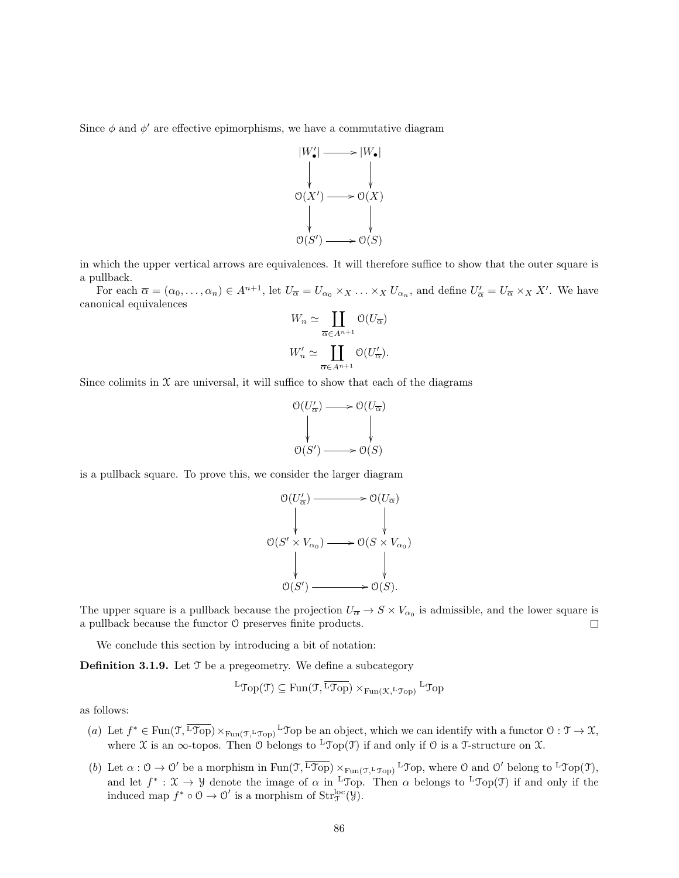Since  $\phi$  and  $\phi'$  are effective epimorphisms, we have a commutative diagram



in which the upper vertical arrows are equivalences. It will therefore suffice to show that the outer square is a pullback.

For each  $\overline{\alpha} = (\alpha_0, \ldots, \alpha_n) \in A^{n+1}$ , let  $U_{\overline{\alpha}} = U_{\alpha_0} \times_X \ldots \times_X U_{\alpha_n}$ , and define  $U'_{\overline{\alpha}} = U_{\overline{\alpha}} \times_X X'$ . We have canonical equivalences

$$
W_n \simeq \coprod_{\overline{\alpha} \in A^{n+1}} \mathcal{O}(U_{\overline{\alpha}})
$$
  

$$
W'_n \simeq \coprod_{\overline{\alpha} \in A^{n+1}} \mathcal{O}(U'_{\overline{\alpha}}).
$$

Since colimits in  $X$  are universal, it will suffice to show that each of the diagrams

$$
\begin{array}{ccc}\n\mathcal{O}(U'_{\overline{\alpha}}) & \longrightarrow & \mathcal{O}(U_{\overline{\alpha}}) \\
\downarrow & & \downarrow \\
\mathcal{O}(S') & \longrightarrow & \mathcal{O}(S)\n\end{array}
$$

is a pullback square. To prove this, we consider the larger diagram

$$
\begin{array}{ccc}\n\mathcal{O}(U'_{\overline{\alpha}}) & \longrightarrow & \mathcal{O}(U_{\overline{\alpha}}) \\
\downarrow & & \downarrow \\
\mathcal{O}(S' \times V_{\alpha_0}) & \longrightarrow & \mathcal{O}(S \times V_{\alpha_0}) \\
\downarrow & & \downarrow \\
\mathcal{O}(S') & \longrightarrow & \mathcal{O}(S).\n\end{array}
$$

The upper square is a pullback because the projection  $U_{\overline{\alpha}} \to S \times V_{\alpha_0}$  is admissible, and the lower square is a pullback because the functor O preserves finite products.  $\Box$ 

We conclude this section by introducing a bit of notation:

**Definition 3.1.9.** Let  $\mathcal{T}$  be a pregeometry. We define a subcategory

$$
{}^{\mathbf{L}}\mathcal{T}\mathrm{op}(\mathfrak{T}) \subseteq \mathrm{Fun}(\mathfrak{T},\overline{{}^{\mathbf{L}}\mathcal{T}\mathrm{op}}) \times_{\mathrm{Fun}(\mathfrak{K},{}^{\mathbf{L}}\mathcal{T}\mathrm{op})} {}^{\mathbf{L}}\mathcal{T}\mathrm{op}
$$

as follows:

- (a) Let  $f^* \in \text{Fun}(\mathfrak{I}, \overline{\text{top}}) \times_{\text{Fun}(\mathfrak{I}, \mathfrak{L} \mathfrak{I} \cap \text{p})} L \mathfrak{I}$ op be an object, which we can identify with a functor  $\mathfrak{O} : \mathfrak{I} \to \mathfrak{X}$ , where X is an  $\infty$ -topos. Then O belongs to <sup>L</sup>Top(T) if and only if O is a T-structure on X.
- (b) Let  $\alpha : \mathcal{O} \to \mathcal{O}'$  be a morphism in  $\text{Fun}(\mathcal{T}, \overline{\text{Top}}) \times_{\text{Fun}(\mathcal{T}, \text{Top})} L_{\text{Top}}$ , where  $\mathcal{O}$  and  $\mathcal{O}'$  belong to  $L_{\text{Top}}(\mathcal{T})$ , and let  $f^*: \mathfrak{X} \to \mathcal{Y}$  denote the image of  $\alpha$  in <sup>L</sup>Top. Then  $\alpha$  belongs to <sup>L</sup>Top(T) if and only if the induced map  $f^* \circ \mathcal{O} \to \mathcal{O}'$  is a morphism of  $\text{Str}^{\text{loc}}_{\mathcal{J}}(\mathcal{Y})$ .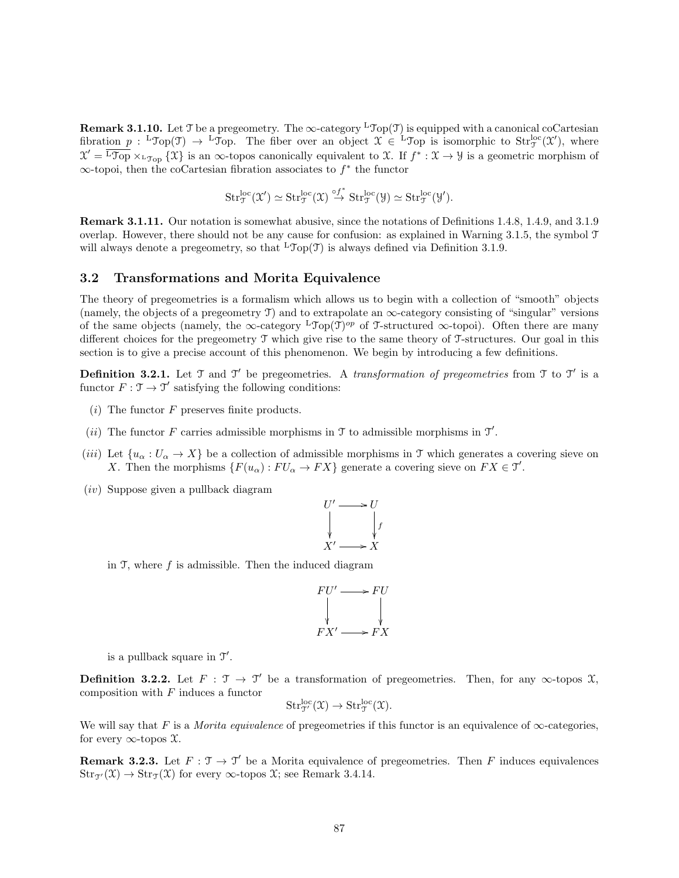**Remark 3.1.10.** Let T be a pregeometry. The  $\infty$ -category <sup>L</sup>Top(T) is equipped with a canonical coCartesian fibration  $p : L^{\infty}(\mathfrak{T}) \to L^{\infty}(\mathfrak{D})$ . The fiber over an object  $\mathfrak{X} \in L^{\infty}(\mathfrak{D})$  is isomorphic to  $\text{Str}^{\text{loc}}_{\mathfrak{I}}(\mathfrak{X}')$ , where  $\mathfrak{X}' = \overline{\mathfrak{L} \mathfrak{I}_{\mathrm{op}}} \times_{\mathfrak{L} \mathfrak{I}_{\mathrm{op}}} {\mathfrak{X}}$  is an  $\infty$ -topos canonically equivalent to X. If  $f^* : \mathfrak{X} \to \mathcal{Y}$  is a geometric morphism of  $\infty$ -topoi, then the coCartesian fibration associates to  $f^*$  the functor

$$
\mathrm{Str}^{\mathrm{loc}}_{\mathfrak{T}}(\mathfrak{X}') \simeq \mathrm{Str}^{\mathrm{loc}}_{\mathfrak{T}}(\mathfrak{X}) \stackrel{\circ f^*}{\to} \mathrm{Str}^{\mathrm{loc}}_{\mathfrak{T}}(\mathcal{Y}) \simeq \mathrm{Str}^{\mathrm{loc}}_{\mathfrak{T}}(\mathcal{Y}').
$$

Remark 3.1.11. Our notation is somewhat abusive, since the notations of Definitions 1.4.8, 1.4.9, and 3.1.9 overlap. However, there should not be any cause for confusion: as explained in Warning 3.1.5, the symbol T will always denote a pregeometry, so that  ${}^L\mathcal{Top}(\mathcal{T})$  is always defined via Definition 3.1.9.

#### 3.2 Transformations and Morita Equivalence

The theory of pregeometries is a formalism which allows us to begin with a collection of "smooth" objects (namely, the objects of a pregeometry T) and to extrapolate an  $\infty$ -category consisting of "singular" versions of the same objects (namely, the  $\infty$ -category <sup>L</sup>Top(T)<sup>op</sup> of T-structured  $\infty$ -topoi). Often there are many different choices for the pregeometry T which give rise to the same theory of T-structures. Our goal in this section is to give a precise account of this phenomenon. We begin by introducing a few definitions.

**Definition 3.2.1.** Let  $\mathcal{T}$  and  $\mathcal{T}'$  be pregeometries. A transformation of pregeometries from  $\mathcal{T}$  to  $\mathcal{T}'$  is a functor  $F : \mathfrak{I} \to \mathfrak{I}'$  satisfying the following conditions:

- $(i)$  The functor F preserves finite products.
- (*ii*) The functor F carries admissible morphisms in  $\mathcal T$  to admissible morphisms in  $\mathcal T'$ .
- (iii) Let  $\{u_{\alpha}: U_{\alpha} \to X\}$  be a collection of admissible morphisms in T which generates a covering sieve on X. Then the morphisms  $\{F(u_{\alpha}): FU_{\alpha} \to FX\}$  generate a covering sieve on  $FX \in \mathcal{T}'$ .
- (iv) Suppose given a pullback diagram



in  $\mathfrak T$ , where f is admissible. Then the induced diagram



is a pullback square in  $\mathcal{T}'$ .

**Definition 3.2.2.** Let  $F : \mathcal{T} \to \mathcal{T}'$  be a transformation of pregeometries. Then, for any  $\infty$ -topos X, composition with  $F$  induces a functor

$$
\mathrm{Str}^{\mathrm{loc}}_{\mathcal{T}'}(\mathfrak{X}) \to \mathrm{Str}^{\mathrm{loc}}_{\mathcal{T}}(\mathfrak{X}).
$$

We will say that F is a Morita equivalence of pregeometries if this functor is an equivalence of  $\infty$ -categories, for every  $\infty$ -topos  $\mathfrak{X}.$ 

**Remark 3.2.3.** Let  $F : \mathcal{T} \to \mathcal{T}'$  be a Morita equivalence of pregeometries. Then F induces equivalences  $\text{Str}_{\mathfrak{I}}(\mathfrak{X}) \to \text{Str}_{\mathfrak{I}}(\mathfrak{X})$  for every  $\infty$ -topos  $\mathfrak{X}$ ; see Remark 3.4.14.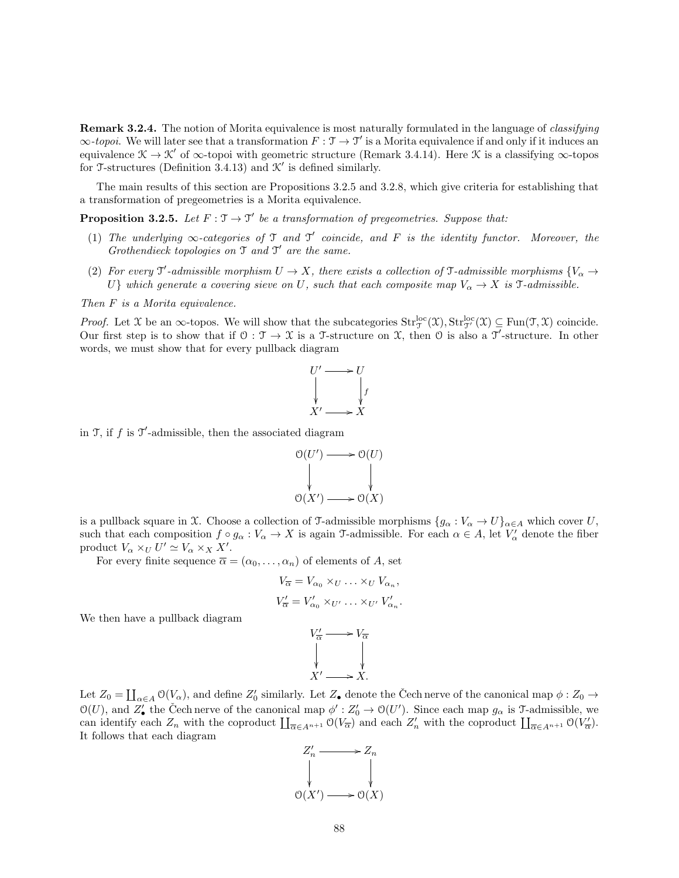Remark 3.2.4. The notion of Morita equivalence is most naturally formulated in the language of *classifying*  $\infty$ -topoi. We will later see that a transformation  $F: \mathcal{T} \to \mathcal{T}'$  is a Morita equivalence if and only if it induces an equivalence  $\mathcal{K} \to \mathcal{K}'$  of  $\infty$ -topoi with geometric structure (Remark 3.4.14). Here  $\mathcal{K}$  is a classifying  $\infty$ -topos for T-structures (Definition 3.4.13) and  $K'$  is defined similarly.

The main results of this section are Propositions 3.2.5 and 3.2.8, which give criteria for establishing that a transformation of pregeometries is a Morita equivalence.

**Proposition 3.2.5.** Let  $F: \mathcal{T} \to \mathcal{T}'$  be a transformation of pregeometries. Suppose that:

- (1) The underlying  $\infty$ -categories of  $\mathcal T$  and  $\mathcal T'$  coincide, and  $F$  is the identity functor. Moreover, the Grothendieck topologies on  $\mathfrak T$  and  $\mathfrak T'$  are the same.
- (2) For every  $\mathfrak{T}'$ -admissible morphism  $U \to X$ , there exists a collection of  $\mathfrak{T}$ -admissible morphisms  $\{V_{\alpha} \to V_{\alpha} \}$ U} which generate a covering sieve on U, such that each composite map  $V_{\alpha} \to X$  is  $\mathcal{T}$ -admissible.

Then F is a Morita equivalence.

*Proof.* Let X be an  $\infty$ -topos. We will show that the subcategories  $Str_{\mathcal{T}}^{loc}(\mathfrak{X}), Str_{\mathcal{T}}^{loc}(\mathfrak{X}) \subseteq Fun(\mathfrak{T}, \mathfrak{X})$  coincide. Our first step is to show that if  $0: \mathcal{T} \to \mathcal{X}$  is a T-structure on X, then  $\mathcal{O}$  is also a  $\mathcal{T}'$ -structure. In other words, we must show that for every pullback diagram



in  $\mathfrak{I}$ , if f is  $\mathfrak{I}'$ -admissible, then the associated diagram

$$
\begin{array}{ccc}\n\mathcal{O}(U') & \longrightarrow & \mathcal{O}(U) \\
\downarrow & & \downarrow \\
\mathcal{O}(X') & \longrightarrow & \mathcal{O}(X)\n\end{array}
$$

is a pullback square in X. Choose a collection of T-admissible morphisms  $\{g_{\alpha}: V_{\alpha} \to U\}_{\alpha \in A}$  which cover U, such that each composition  $f \circ g_\alpha : V_\alpha \to X$  is again T-admissible. For each  $\alpha \in A$ , let  $V'_\alpha$  denote the fiber product  $V_{\alpha} \times_U U' \simeq V_{\alpha} \times_X X'.$ 

For every finite sequence  $\overline{\alpha} = (\alpha_0, \dots, \alpha_n)$  of elements of A, set

$$
V_{\overline{\alpha}} = V_{\alpha_0} \times_U \dots \times_U V_{\alpha_n},
$$
  
\n
$$
V'_{\overline{\alpha}} = V'_{\alpha_0} \times_U \dots \times_U \times V'_{\alpha_n}.
$$
  
\n
$$
V'_{\overline{\alpha}} \longrightarrow V_{\overline{\alpha}}
$$

We then have a pullback diagram

$$
V'_{\overline{\alpha}} \longrightarrow V_{\overline{\alpha}}
$$
  
\n
$$
\downarrow \qquad \qquad \downarrow
$$
  
\n
$$
X' \longrightarrow X.
$$

Let  $Z_0 = \coprod_{\alpha \in A} \mathcal{O}(V_\alpha)$ , and define  $Z'_0$  similarly. Let  $Z_\bullet$  denote the Čech nerve of the canonical map  $\phi: Z_0 \to Z_0$  $\mathcal{O}(U)$ , and  $Z'_{\bullet}$  the Čech nerve of the canonical map  $\phi': Z'_{0} \to \mathcal{O}(U')$ . Since each map  $g_{\alpha}$  is T-admissible, we can identify each  $Z_n$  with the coproduct  $\prod_{\overline{\alpha} \in A^{n+1}} O(V_{\overline{\alpha}})$  and each  $Z'_n$  with the coproduct  $\prod_{\overline{\alpha} \in A^{n+1}} O(V_{\overline{\alpha}})$ . It follows that each diagram

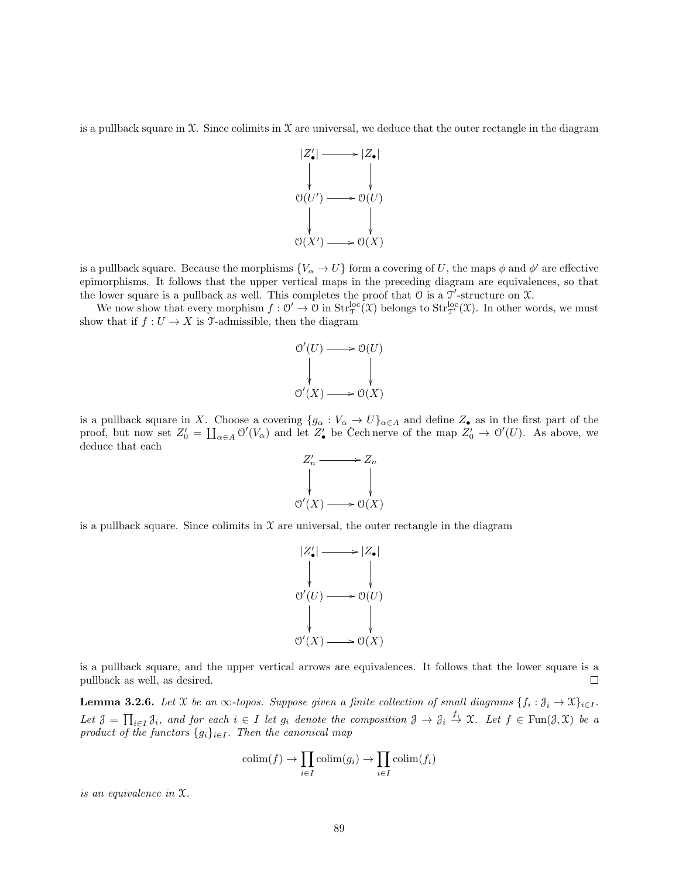is a pullback square in  $\mathfrak X$ . Since colimits in  $\mathfrak X$  are universal, we deduce that the outer rectangle in the diagram



is a pullback square. Because the morphisms  ${V_\alpha \to U}$  form a covering of U, the maps  $\phi$  and  $\phi'$  are effective epimorphisms. It follows that the upper vertical maps in the preceding diagram are equivalences, so that the lower square is a pullback as well. This completes the proof that  $\theta$  is a  $\mathcal{T}'$ -structure on  $\mathcal{X}$ .

We now show that every morphism  $f: \mathcal{O}' \to \mathcal{O}$  in  $\text{Str}_{\mathcal{J}}^{\text{loc}}(\mathfrak{X})$  belongs to  $\text{Str}_{\mathcal{J}'}^{\text{loc}}(\mathfrak{X})$ . In other words, we must show that if  $f: U \to X$  is T-admissible, then the diagram



is a pullback square in X. Choose a covering  $\{g_{\alpha}: V_{\alpha} \to U\}_{\alpha \in A}$  and define  $Z_{\bullet}$  as in the first part of the proof, but now set  $Z'_0 = \coprod_{\alpha \in A} \mathcal{O}'(V_\alpha)$  and let  $Z'_\bullet$  be Cech nerve of the map  $Z'_0 \to \mathcal{O}'(U)$ . As above, we deduce that each



is a pullback square. Since colimits in  $\mathfrak X$  are universal, the outer rectangle in the diagram



is a pullback square, and the upper vertical arrows are equivalences. It follows that the lower square is a pullback as well, as desired.  $\Box$ 

**Lemma 3.2.6.** Let X be an  $\infty$ -topos. Suppose given a finite collection of small diagrams  $\{f_i : \mathfrak{J}_i \to \mathfrak{X}\}_{i \in I}$ . Let  $\mathcal{J} = \prod_{i \in I} \mathcal{J}_i$ , and for each  $i \in I$  let  $g_i$  denote the composition  $\mathcal{J} \to \mathcal{J}_i \stackrel{f_i}{\to} \mathcal{X}$ . Let  $f \in \text{Fun}(\mathcal{J}, \mathcal{X})$  be a product of the functors  $\{g_i\}_{i\in I}$ . Then the canonical map

$$
\operatorname{colim}(f) \to \prod_{i \in I} \operatorname{colim}(g_i) \to \prod_{i \in I} \operatorname{colim}(f_i)
$$

is an equivalence in X.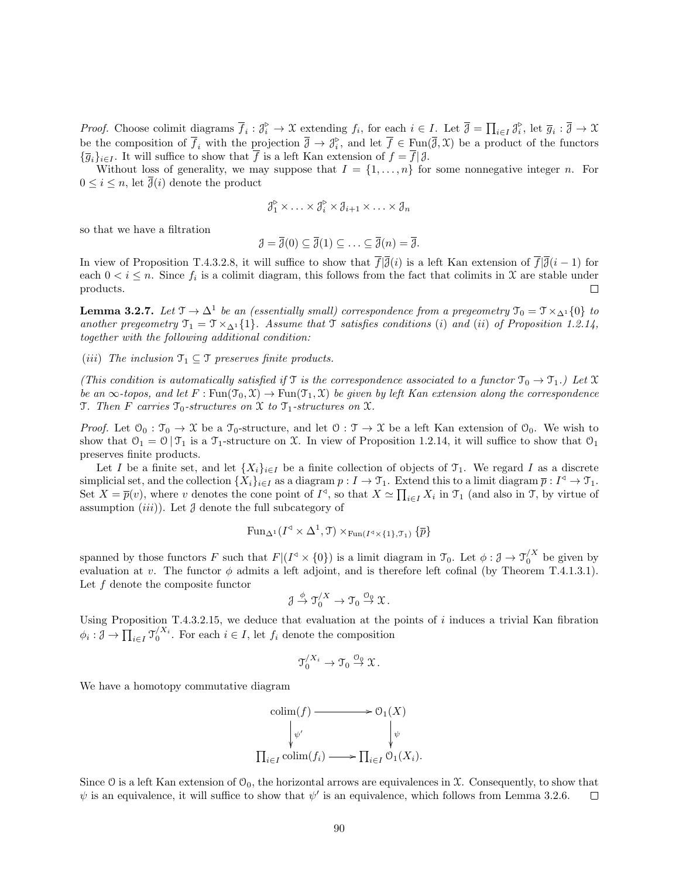*Proof.* Choose colimit diagrams  $\overline{f}_i : \mathcal{J}_i^{\triangleright} \to \mathcal{X}$  extending  $f_i$ , for each  $i \in I$ . Let  $\overline{\mathcal{J}} = \prod_{i \in I} \mathcal{J}_i^{\triangleright}$ , let  $\overline{g}_i : \overline{\mathcal{J}} \to \mathcal{X}$ be the composition of  $\overline{f}_i$  with the projection  $\overline{\partial} \to \mathcal{J}_i^{\triangleright}$ , and let  $\overline{f} \in \text{Fun}(\overline{\partial}, \mathfrak{X})$  be a product of the functors  ${\overline{g}}_i\}_{i\in I}$ . It will suffice to show that  $\overline{f}$  is a left Kan extension of  $f = \overline{f} | \mathcal{J}$ .

Without loss of generality, we may suppose that  $I = \{1, \ldots, n\}$  for some nonnegative integer n. For  $0 \leq i \leq n$ , let  $\overline{\partial}(i)$  denote the product

$$
\mathcal{J}_1^{\triangleright} \times \ldots \times \mathcal{J}_i^{\triangleright} \times \mathcal{J}_{i+1} \times \ldots \times \mathcal{J}_n
$$

so that we have a filtration

$$
\mathcal{J} = \overline{\mathcal{J}}(0) \subseteq \overline{\mathcal{J}}(1) \subseteq \ldots \subseteq \overline{\mathcal{J}}(n) = \overline{\mathcal{J}}.
$$

In view of Proposition T.4.3.2.8, it will suffice to show that  $\overline{f}|\overline{\partial}(i)$  is a left Kan extension of  $\overline{f}|\overline{\partial}(i-1)$  for each  $0 < i \leq n$ . Since  $f_i$  is a colimit diagram, this follows from the fact that colimits in X are stable under products.  $\Box$ 

**Lemma 3.2.7.** Let  $\mathcal{T} \to \Delta^1$  be an (essentially small) correspondence from a pregeometry  $\mathcal{T}_0 = \mathcal{T} \times_{\Delta^1} \{0\}$  to another pregeometry  $\mathfrak{T}_1 = \mathfrak{T} \times_{\Delta^1} \{1\}$ . Assume that  $\mathfrak{T}$  satisfies conditions (i) and (ii) of Proposition 1.2.14, together with the following additional condition:

(iii) The inclusion  $\mathfrak{T}_1 \subseteq \mathfrak{T}$  preserves finite products.

(This condition is automatically satisfied if  $\mathcal T$  is the correspondence associated to a functor  $\mathcal T_0 \to \mathcal T_1$ .) Let X be an  $\infty$ -topos, and let  $F : \text{Fun}(\mathcal{T}_0, \mathcal{X}) \to \text{Fun}(\mathcal{T}_1, \mathcal{X})$  be given by left Kan extension along the correspondence T. Then F carries  $\mathcal{T}_0$ -structures on X to  $\mathcal{T}_1$ -structures on X.

*Proof.* Let  $\mathcal{O}_0: \mathcal{T}_0 \to \mathcal{X}$  be a  $\mathcal{T}_0$ -structure, and let  $\mathcal{O}: \mathcal{T} \to \mathcal{X}$  be a left Kan extension of  $\mathcal{O}_0$ . We wish to show that  $\mathcal{O}_1 = \mathcal{O} | \mathcal{T}_1$  is a  $\mathcal{T}_1$ -structure on X. In view of Proposition 1.2.14, it will suffice to show that  $\mathcal{O}_1$ preserves finite products.

Let I be a finite set, and let  $\{X_i\}_{i\in I}$  be a finite collection of objects of  $\mathcal{T}_1$ . We regard I as a discrete simplicial set, and the collection  $\{X_i\}_{i\in I}$  as a diagram  $p: I \to \mathfrak{T}_1$ . Extend this to a limit diagram  $\overline{p}: I^{\triangleleft} \to \mathfrak{T}_1$ . Set  $X = \overline{p}(v)$ , where v denotes the cone point of  $I^{\triangleleft}$ , so that  $X \simeq \prod_{i \in I} X_i$  in  $\mathfrak{T}_1$  (and also in  $\mathfrak{T}$ , by virtue of assumption  $(iii)$ . Let  $\beta$  denote the full subcategory of

$$
\operatorname{Fun}_{\Delta^1}(I^{\triangleleft} \times \Delta^1, \mathfrak{T}) \times_{\operatorname{Fun}(I^{\triangleleft} \times \{1\}, \mathfrak{T}_1)} {\{\overline{p}\}}
$$

spanned by those functors F such that  $F|(I^{\triangleleft} \times \{0\})$  is a limit diagram in  $\mathfrak{T}_0$ . Let  $\phi: \mathfrak{J} \to \mathfrak{T}_0^{/X}$  be given by evaluation at v. The functor  $\phi$  admits a left adjoint, and is therefore left cofinal (by Theorem T.4.1.3.1). Let  $f$  denote the composite functor

$$
\mathcal{J} \xrightarrow{\phi} \mathcal{T}_0^{/X} \to \mathcal{T}_0 \xrightarrow{\mathcal{O}_0} \mathcal{X}.
$$

Using Proposition T.4.3.2.15, we deduce that evaluation at the points of  $i$  induces a trivial Kan fibration  $\phi_i : \mathcal{J} \to \prod_{i \in I} \mathcal{J}_0^{/X_i}$ . For each  $i \in I$ , let  $f_i$  denote the composition

$$
\mathfrak{T}'^{\mathfrak{X}_i}_0 \to \mathfrak{T}_0 \overset{\mathcal{O}_0}{\to} \mathfrak{X}.
$$

We have a homotopy commutative diagram

$$
\text{colim}(f) \longrightarrow \mathcal{O}_1(X)
$$
\n
$$
\downarrow \psi'
$$
\n
$$
\prod_{i \in I} \text{colim}(f_i) \longrightarrow \prod_{i \in I} \mathcal{O}_1(X_i).
$$

Since O is a left Kan extension of  $\mathcal{O}_0$ , the horizontal arrows are equivalences in X. Consequently, to show that  $\psi$  is an equivalence, it will suffice to show that  $\psi'$  is an equivalence, which follows from Lemma 3.2.6.  $\Box$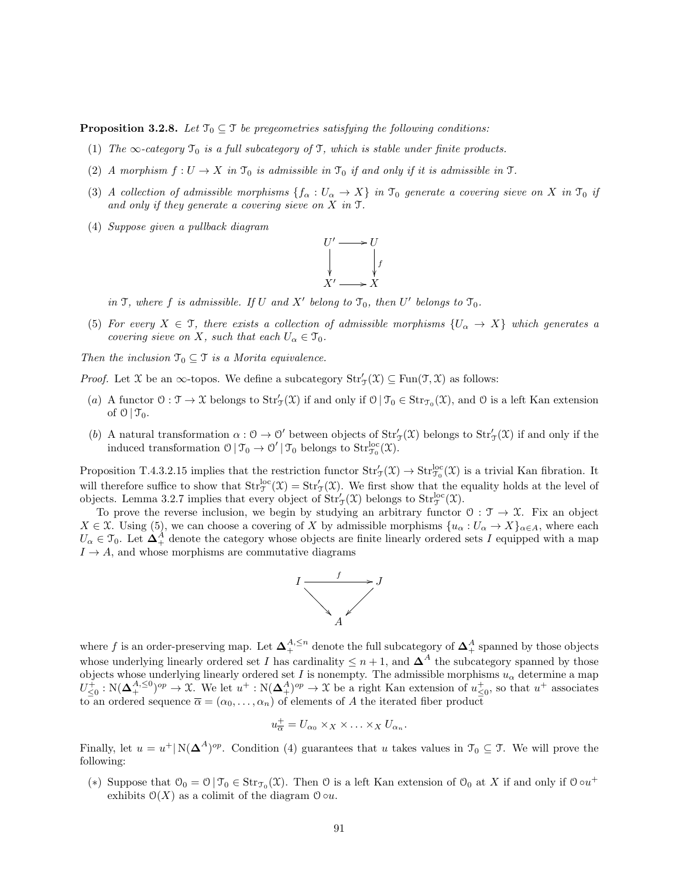**Proposition 3.2.8.** Let  $\mathcal{T}_0 \subseteq \mathcal{T}$  be pregeometries satisfying the following conditions:

- (1) The  $\infty$ -category  $\mathcal{T}_0$  is a full subcategory of  $\mathcal{T}$ , which is stable under finite products.
- (2) A morphism  $f: U \to X$  in  $\mathcal{T}_0$  is admissible in  $\mathcal{T}_0$  if and only if it is admissible in T.
- (3) A collection of admissible morphisms  $\{f_\alpha: U_\alpha \to X\}$  in  $\mathcal{T}_0$  generate a covering sieve on X in  $\mathcal{T}_0$  if and only if they generate a covering sieve on X in T.
- (4) Suppose given a pullback diagram



in  $\mathfrak{I}$ , where f is admissible. If U and X' belong to  $\mathfrak{I}_0$ , then U' belongs to  $\mathfrak{I}_0$ .

(5) For every  $X \in \mathcal{T}$ , there exists a collection of admissible morphisms  $\{U_{\alpha} \to X\}$  which generates a covering sieve on X, such that each  $U_{\alpha} \in \mathcal{T}_0$ .

Then the inclusion  $\mathfrak{T}_0 \subseteq \mathfrak{T}$  is a Morita equivalence.

*Proof.* Let  $X$  be an  $\infty$ -topos. We define a subcategory  $Str'_{\mathcal{T}}(\mathcal{X}) \subseteq Fun(\mathcal{T}, \mathcal{X})$  as follows:

- (a) A functor  $0: \mathcal{T} \to \mathcal{X}$  belongs to  $Str'_{\mathcal{T}}(\mathcal{X})$  if and only if  $0 | \mathcal{T}_0 \in Str_{\mathcal{T}_0}(\mathcal{X})$ , and  $0$  is a left Kan extension of  $\mathcal{O} \mid \mathcal{T}_0$ .
- (b) A natural transformation  $\alpha: \mathcal{O} \to \mathcal{O}'$  between objects of  $Str_{\mathcal{J}}'(\mathfrak{X})$  belongs to  $Str_{\mathcal{J}}'(\mathfrak{X})$  if and only if the induced transformation  $0 | \mathcal{T}_0 \to 0' | \mathcal{T}_0$  belongs to  $\text{Str}_{\mathcal{T}_0}^{\text{loc}}(\mathfrak{X})$ .

Proposition T.4.3.2.15 implies that the restriction functor  $Str_{\mathcal{J}}'(\mathfrak{X}) \to Str_{\mathcal{J}_0}^{loc}(\mathfrak{X})$  is a trivial Kan fibration. It will therefore suffice to show that  $Str^{\text{loc}}_{\mathcal{F}}(\mathfrak{X}) = Str'_{\mathcal{F}}(\mathfrak{X})$ . We first show that the equality holds at the level of objects. Lemma 3.2.7 implies that every object of  $\text{Str}'_{\mathcal{J}}(\mathcal{X})$  belongs to  $\text{Str}^{\text{loc}}_{\mathcal{J}}(\mathcal{X})$ .

To prove the reverse inclusion, we begin by studying an arbitrary functor  $0: \mathcal{T} \to \mathcal{X}$ . Fix an object  $X \in \mathfrak{X}$ . Using (5), we can choose a covering of X by admissible morphisms  $\{u_{\alpha}: U_{\alpha} \to X\}_{\alpha \in A}$ , where each  $U_{\alpha} \in \mathcal{T}_0$ . Let  $\Delta_{+}^A$  denote the category whose objects are finite linearly ordered sets I equipped with a map  $I \rightarrow A$ , and whose morphisms are commutative diagrams



where f is an order-preserving map. Let  $\Delta^{A, \leq n}_+$  denote the full subcategory of  $\Delta^A_+$  spanned by those objects whose underlying linearly ordered set I has cardinality  $\leq n+1$ , and  $\Delta^A$  the subcategory spanned by those objects whose underlying linearly ordered set I is nonempty. The admissible morphisms  $u_{\alpha}$  determine a map  $U_{\leq 0}^{\tilde{+}} : N(\mathbf{\Delta}_{+}^{A,\leq 0})^{op} \to \mathfrak{X}$ . We let  $u^{+} : N(\mathbf{\Delta}_{+}^{A})^{op} \to \mathfrak{X}$  be a right Kan extension of  $u_{\leq 0}^{+}$ , so that  $u^{+}$  associates to an ordered sequence  $\bar{\alpha} = (\alpha_0, \ldots, \alpha_n)$  of elements of A the iterated fiber product

$$
u_{\overline{\alpha}}^+ = U_{\alpha_0} \times_X \times \ldots \times_X U_{\alpha_n}.
$$

Finally, let  $u = u^+ | N(\mathbf{\Delta}^A)^{op}$ . Condition (4) guarantees that u takes values in  $\mathcal{T}_0 \subseteq \mathcal{T}$ . We will prove the following:

(\*) Suppose that  $\mathfrak{O}_0 = \mathfrak{O} | \mathfrak{I}_0 \in \text{Str}_{\mathfrak{I}_0}(\mathfrak{X})$ . Then  $\mathfrak{O}$  is a left Kan extension of  $\mathfrak{O}_0$  at X if and only if  $\mathfrak{O} \circ u^+$ exhibits  $\mathcal{O}(X)$  as a colimit of the diagram  $\mathcal{O} \circ u$ .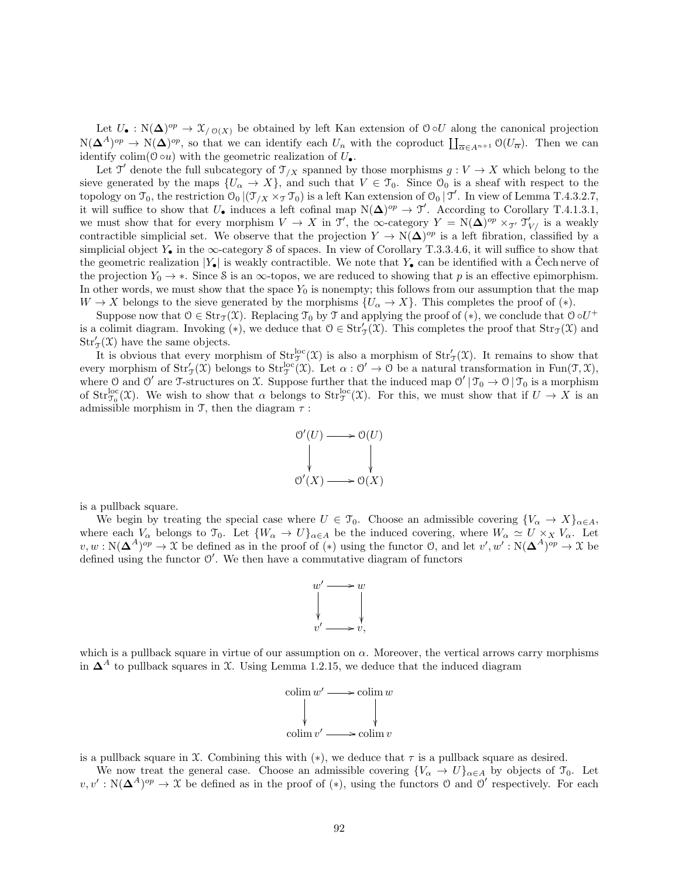Let  $U_{\bullet}: \mathbb{N}(\Delta)^{op} \to \mathfrak{X}_{/\mathfrak{O}(X)}$  be obtained by left Kan extension of  $\mathfrak{O} \circ U$  along the canonical projection  $N(\mathbf{\Delta}^{A})^{op} \to N(\mathbf{\Delta})^{op}$ , so that we can identify each  $U_n$  with the coproduct  $\prod_{\overline{\alpha} \in A^{n+1}} \mathcal{O}(U_{\overline{\alpha}})$ . Then we can identify colim( $0 \circ u$ ) with the geometric realization of  $U_{\bullet}$ .

Let  $\mathfrak{I}'$  denote the full subcategory of  $\mathfrak{I}_{/X}$  spanned by those morphisms  $g: V \to X$  which belong to the sieve generated by the maps  $\{U_{\alpha} \to X\}$ , and such that  $V \in \mathcal{T}_0$ . Since  $\mathcal{O}_0$  is a sheaf with respect to the topology on  $\mathcal{T}_0$ , the restriction  $\mathcal{O}_0$   $(\mathcal{T}_{/X} \times_{\mathcal{T}} \mathcal{T}_0)$  is a left Kan extension of  $\mathcal{O}_0$   $\mathcal{T}'$ . In view of Lemma T.4.3.2.7, it will suffice to show that  $U_{\bullet}$  induces a left cofinal map  $N(\Delta)^{op} \to \mathcal{T}'$ . According to Corollary T.4.1.3.1, we must show that for every morphism  $V \to X$  in  $\mathfrak{I}'$ , the  $\infty$ -category  $Y = N(\Delta)^{op} \times_{\mathfrak{I}'} \mathfrak{I}'_{V'}$  is a weakly contractible simplicial set. We observe that the projection  $Y \to N(\Delta)^{op}$  is a left fibration, classified by a simplicial object  $Y_{\bullet}$  in the  $\infty$ -category S of spaces. In view of Corollary T.3.3.4.6, it will suffice to show that the geometric realization  $|Y_{\bullet}|$  is weakly contractible. We note that  $Y_{\bullet}$  can be identified with a Čech nerve of the projection  $Y_0 \to *$ . Since S is an  $\infty$ -topos, we are reduced to showing that p is an effective epimorphism. In other words, we must show that the space  $Y_0$  is nonempty; this follows from our assumption that the map  $W \to X$  belongs to the sieve generated by the morphisms  $\{U_{\alpha} \to X\}$ . This completes the proof of  $(*)$ .

Suppose now that  $0 \in \text{Str}_{\mathfrak{I}}(\mathfrak{X})$ . Replacing  $\mathfrak{I}_0$  by  $\mathfrak{I}$  and applying the proof of  $(*)$ , we conclude that  $0 \circ U^+$ is a colimit diagram. Invoking (\*), we deduce that  $0 \in Str_{\mathcal{T}}(\mathcal{X})$ . This completes the proof that  $Str_{\mathcal{T}}(\mathcal{X})$  and  $Str'_{\mathcal{T}}(\mathfrak{X})$  have the same objects.

It is obvious that every morphism of  $Str^{\text{loc}}_{\mathcal{F}}(\mathcal{X})$  is also a morphism of  $Str'_{\mathcal{F}}(\mathcal{X})$ . It remains to show that every morphism of  $Str_{\mathcal{T}}'(\mathfrak{X})$  belongs to  $Str_{\mathcal{T}}^{loc}(\mathfrak{X})$ . Let  $\alpha : \mathcal{O}' \to \mathcal{O}$  be a natural transformation in Fun $(\mathcal{T}, \mathfrak{X})$ , where 0 and 0' are T-structures on X. Suppose further that the induced map  $0' | \mathcal{T}_0 \to 0 | \mathcal{T}_0$  is a morphism of  $Str_{\mathcal{T}_0}^{\text{loc}}(\mathcal{X})$ . We wish to show that  $\alpha$  belongs to  $Str_{\mathcal{T}}^{\text{loc}}(\mathcal{X})$ . For this, we must show that if  $U \to X$  is an admissible morphism in T, then the diagram  $\tau$ :



is a pullback square.

We begin by treating the special case where  $U \in \mathcal{T}_0$ . Choose an admissible covering  $\{V_{\alpha} \to X\}_{\alpha \in A}$ , where each  $V_{\alpha}$  belongs to  $\mathcal{T}_0$ . Let  $\{W_{\alpha} \to U\}_{\alpha \in A}$  be the induced covering, where  $W_{\alpha} \simeq U \times_X V_{\alpha}$ . Let  $v, w : N(\mathbf{\Delta}^A)^{op} \to \mathfrak{X}$  be defined as in the proof of  $(*)$  using the functor 0, and let  $v', w' : N(\mathbf{\Delta}^A)^{op} \to \mathfrak{X}$  be defined using the functor  $\mathcal{O}'$ . We then have a commutative diagram of functors



which is a pullback square in virtue of our assumption on  $\alpha$ . Moreover, the vertical arrows carry morphisms in  $\Delta^A$  to pullback squares in X. Using Lemma 1.2.15, we deduce that the induced diagram



is a pullback square in X. Combining this with  $(*)$ , we deduce that  $\tau$  is a pullback square as desired.

We now treat the general case. Choose an admissible covering  ${V_\alpha \to U}_{\alpha \in A}$  by objects of  $\mathcal{T}_0$ . Let  $v, v' : N(\Delta^A)^{op} \to \mathfrak{X}$  be defined as in the proof of (\*), using the functors O and O' respectively. For each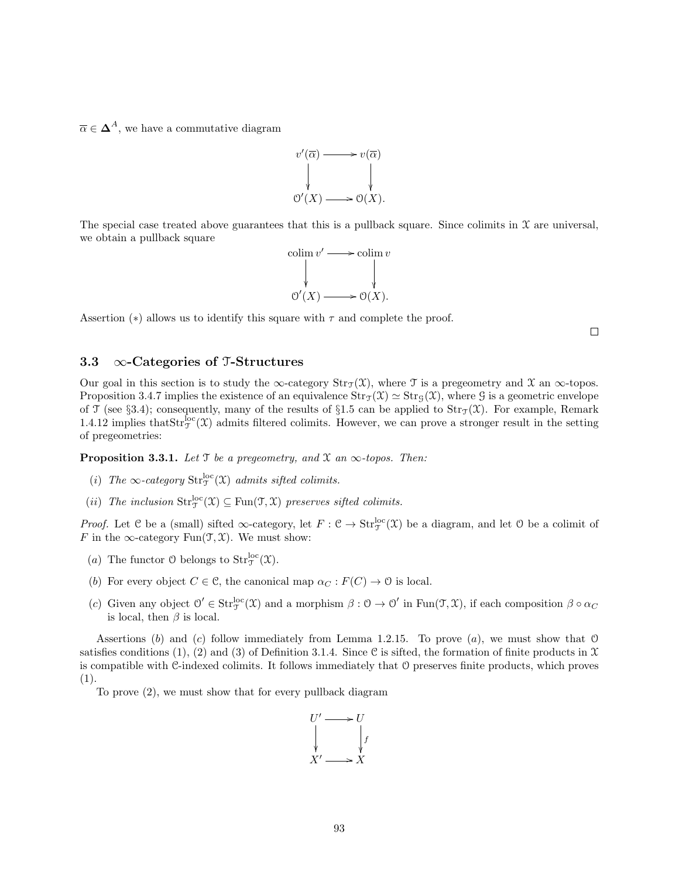$\overline{\alpha} \in \Delta^A$ , we have a commutative diagram



The special case treated above guarantees that this is a pullback square. Since colimits in  $\mathfrak X$  are universal, we obtain a pullback square



Assertion (\*) allows us to identify this square with  $\tau$  and complete the proof.

 $\Box$ 

## 3.3  $\infty$ -Categories of T-Structures

Our goal in this section is to study the  $\infty$ -category  $\text{Str}_{\mathcal{T}}(\mathcal{X})$ , where T is a pregeometry and X an  $\infty$ -topos. Proposition 3.4.7 implies the existence of an equivalence  $\text{Str}_{\mathcal{J}}(\mathcal{X}) \simeq \text{Str}_{\mathcal{G}}(\mathcal{X})$ , where G is a geometric envelope of T (see §3.4); consequently, many of the results of §1.5 can be applied to  $Str_{\mathcal{T}}(\mathcal{X})$ . For example, Remark 1.4.12 implies that  $Str_{\mathcal{T}}^{\text{loc}}(\mathcal{X})$  admits filtered colimits. However, we can prove a stronger result in the setting of pregeometries:

**Proposition 3.3.1.** Let  $\mathcal T$  be a pregeometry, and  $\mathcal X$  an  $\infty$ -topos. Then:

- (i) The  $\infty$ -category  $\text{Str}_{\mathcal{T}}^{\text{loc}}(\mathcal{X})$  admits sifted colimits.
- (*ii*) The inclusion  $Str_{\mathcal{T}}^{loc}(\mathfrak{X}) \subseteq Fun(\mathcal{T}, \mathfrak{X})$  preserves sifted colimits.

*Proof.* Let C be a (small) sifted  $\infty$ -category, let  $F : \mathcal{C} \to \text{Str}_{\mathcal{T}}^{\text{loc}}(\mathcal{X})$  be a diagram, and let O be a colimit of F in the  $\infty$ -category Fun $(\mathfrak{T}, \mathfrak{X})$ . We must show:

- (a) The functor O belongs to  $Str_{\mathcal{T}}^{\text{loc}}(\mathfrak{X})$ .
- (b) For every object  $C \in \mathcal{C}$ , the canonical map  $\alpha_C : F(C) \to \mathcal{O}$  is local.
- (c) Given any object  $\mathcal{O}' \in \text{Str}_{\mathcal{T}}^{\text{loc}}(\mathcal{X})$  and a morphism  $\beta : \mathcal{O} \to \mathcal{O}'$  in  $\text{Fun}(\mathcal{T}, \mathcal{X})$ , if each composition  $\beta \circ \alpha_C$ is local, then  $\beta$  is local.

Assertions (b) and (c) follow immediately from Lemma 1.2.15. To prove  $(a)$ , we must show that O satisfies conditions (1), (2) and (3) of Definition 3.1.4. Since C is sifted, the formation of finite products in  $\mathfrak X$ is compatible with C-indexed colimits. It follows immediately that O preserves finite products, which proves (1).

To prove (2), we must show that for every pullback diagram

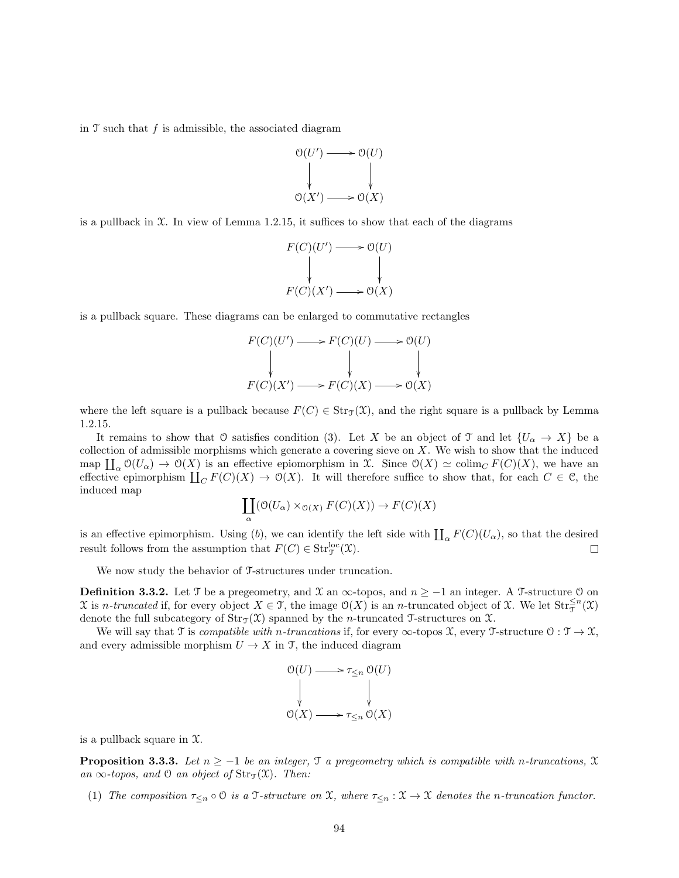in  $\mathcal T$  such that  $f$  is admissible, the associated diagram



is a pullback in  $X$ . In view of Lemma 1.2.15, it suffices to show that each of the diagrams

$$
F(C)(U') \longrightarrow U(U)
$$
  
\n
$$
\downarrow \qquad \qquad \downarrow
$$
  
\n
$$
F(C)(X') \longrightarrow U(X)
$$

is a pullback square. These diagrams can be enlarged to commutative rectangles

$$
F(C)(U') \longrightarrow F(C)(U) \longrightarrow \mathcal{O}(U)
$$
  
\n
$$
\downarrow \qquad \qquad \downarrow \qquad \qquad \downarrow
$$
  
\n
$$
F(C)(X') \longrightarrow F(C)(X) \longrightarrow \mathcal{O}(X)
$$

where the left square is a pullback because  $F(C) \in \text{Str}_{\mathcal{T}}(\mathcal{X})$ , and the right square is a pullback by Lemma 1.2.15.

It remains to show that O satisfies condition (3). Let X be an object of T and let  $\{U_{\alpha} \to X\}$  be a collection of admissible morphisms which generate a covering sieve on  $X$ . We wish to show that the induced map  $\prod_{\alpha} \mathcal{O}(U_{\alpha}) \to \mathcal{O}(X)$  is an effective epiomorphism in X. Since  $\mathcal{O}(X) \simeq \text{colim}_{C} F(C)(X)$ , we have an effective epimorphism  $\coprod_C F(C)(X) \to O(X)$ . It will therefore suffice to show that, for each  $C \in \mathcal{C}$ , the induced map

$$
\coprod_{\alpha} (\mathcal{O}(U_{\alpha}) \times_{\mathcal{O}(X)} F(C)(X)) \to F(C)(X)
$$

is an effective epimorphism. Using (b), we can identify the left side with  $\prod_{\alpha} F(C)(U_{\alpha})$ , so that the desired result follows from the assumption that  $F(C) \in \text{Str}_{\mathfrak{I}}^{\text{loc}}(\mathfrak{X})$ .  $\Box$ 

We now study the behavior of T-structures under truncation.

**Definition 3.3.2.** Let T be a pregeometry, and X an  $\infty$ -topos, and  $n \ge -1$  an integer. A T-structure 0 on  $\mathfrak X$  is *n*-truncated if, for every object  $X \in \mathfrak T$ , the image  $\mathfrak O(X)$  is an *n*-truncated object of  $\mathfrak X$ . We let  $\mathrm{Str}_{\mathfrak T}^{\leq n}(\mathfrak X)$ denote the full subcategory of  $\text{Str}_{\mathcal{T}}(\mathcal{X})$  spanned by the *n*-truncated T-structures on X.

We will say that  $\mathcal T$  is *compatible with n-truncations* if, for every  $\infty$ -topos  $\mathcal X$ , every  $\mathcal T$ -structure  $\mathcal O: \mathcal T \to \mathcal X$ , and every admissible morphism  $U \to X$  in T, the induced diagram

$$
\begin{array}{ccc}\n\mathfrak{O}(U) & \longrightarrow & \tau_{\leq n} \mathfrak{O}(U) \\
\downarrow & & \downarrow \\
\mathfrak{O}(X) & \longrightarrow & \tau_{\leq n} \mathfrak{O}(X)\n\end{array}
$$

is a pullback square in  $\mathfrak{X}$ .

**Proposition 3.3.3.** Let  $n \ge -1$  be an integer,  $\Im$  a pregeometry which is compatible with n-truncations,  $\mathfrak X$ an  $\infty$ -topos, and  $\mathcal O$  an object of  $\text{Str}_{\mathfrak{I}}(\mathfrak{X})$ . Then:

(1) The composition  $\tau_{\leq n} \circ \mathcal{O}$  is a  $\mathcal{T}$ -structure on  $\mathcal{X}$ , where  $\tau_{\leq n} : \mathcal{X} \to \mathcal{X}$  denotes the n-truncation functor.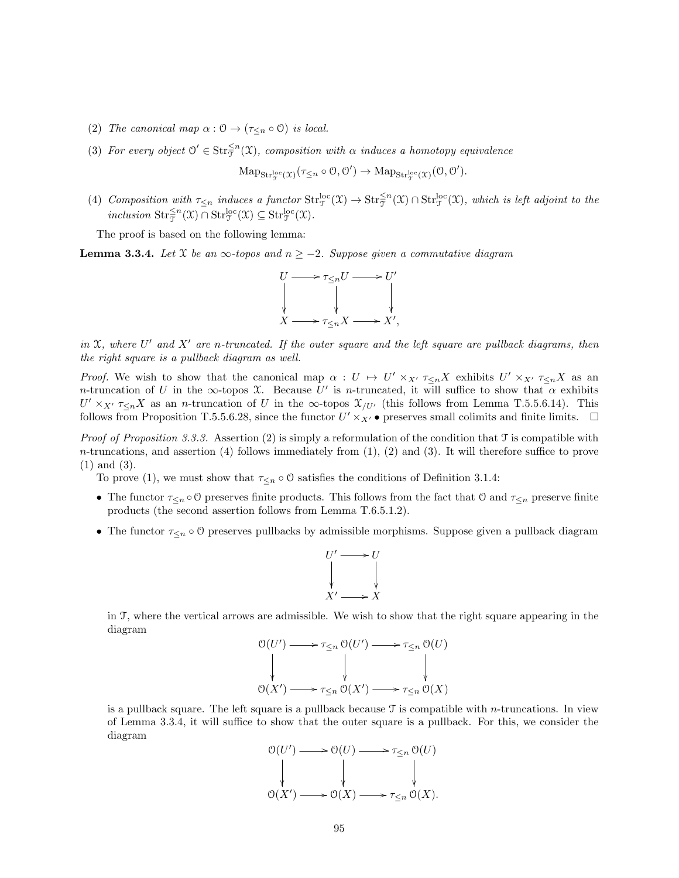- (2) The canonical map  $\alpha : \mathcal{O} \to (\tau_{\leq n} \circ \mathcal{O})$  is local.
- (3) For every object  $\mathcal{O}' \in \text{Str}_{\mathcal{T}}^{\leq n}(\mathfrak{X})$ , composition with  $\alpha$  induces a homotopy equivalence

$$
\mathrm{Map}_{\mathrm{Str}^{loc}_\mathcal{T}(\mathfrak{X})}(\tau_{\leq n}\circ \mathcal{O},\mathcal{O}')\rightarrow \mathrm{Map}_{\mathrm{Str}^{loc}_\mathcal{T}(\mathfrak{X})}(\mathcal{O},\mathcal{O}').
$$

(4) Composition with  $\tau_{\leq n}$  induces a functor  $\text{Str}_{\mathfrak{T}}^{\text{loc}}(\mathfrak{X}) \to \text{Str}_{\mathfrak{T}}^{\leq n}(\mathfrak{X}) \cap \text{Str}_{\mathfrak{T}}^{\text{loc}}(\mathfrak{X})$ , which is left adjoint to the inclusion  $\mathrm{Str}_{\mathfrak{T}}^{\leq n}(\mathfrak{X}) \cap \mathrm{Str}_{\mathfrak{T}}^{\mathrm{loc}}(\mathfrak{X}) \subseteq \mathrm{Str}_{\mathfrak{T}}^{\mathrm{loc}}(\mathfrak{X}).$ 

The proof is based on the following lemma:

**Lemma 3.3.4.** Let X be an  $\infty$ -topos and  $n \geq -2$ . Suppose given a commutative diagram



in X, where U' and X' are n-truncated. If the outer square and the left square are pullback diagrams, then the right square is a pullback diagram as well.

Proof. We wish to show that the canonical map  $\alpha: U \mapsto U' \times_{X'} \tau_{\leq n} X$  exhibits  $U' \times_{X'} \tau_{\leq n} X$  as an n-truncation of U in the  $\infty$ -topos X. Because U' is n-truncated, it will suffice to show that  $\alpha$  exhibits  $U' \times_{X'} \tau_{\leq n} X$  as an n-truncation of U in the  $\infty$ -topos  $\mathfrak{X}_{/U'}$  (this follows from Lemma T.5.5.6.14). This follows from Proposition T.5.5.6.28, since the functor  $U' \times_{X'} \bullet$  preserves small colimits and finite limits.

Proof of Proposition 3.3.3. Assertion (2) is simply a reformulation of the condition that  $\mathfrak T$  is compatible with  $n$ -truncations, and assertion (4) follows immediately from  $(1)$ ,  $(2)$  and  $(3)$ . It will therefore suffice to prove (1) and (3).

To prove (1), we must show that  $\tau_{\leq n} \circ \mathcal{O}$  satisfies the conditions of Definition 3.1.4:

- The functor  $\tau_{\leq n} \circ \mathcal{O}$  preserves finite products. This follows from the fact that  $\mathcal{O}$  and  $\tau_{\leq n}$  preserve finite products (the second assertion follows from Lemma T.6.5.1.2).
- The functor  $\tau_{\leq n} \circ \mathcal{O}$  preserves pullbacks by admissible morphisms. Suppose given a pullback diagram



in T, where the vertical arrows are admissible. We wish to show that the right square appearing in the diagram



is a pullback square. The left square is a pullback because  $\mathcal T$  is compatible with *n*-truncations. In view of Lemma 3.3.4, it will suffice to show that the outer square is a pullback. For this, we consider the diagram

$$
\begin{array}{ccc}\n\mathcal{O}(U') & \longrightarrow & \mathcal{O}(U) \longrightarrow & \tau_{\leq n} \mathcal{O}(U) \\
\downarrow & & \downarrow & \downarrow & \downarrow & \downarrow \\
\mathcal{O}(X') & \longrightarrow & \mathcal{O}(X) \longrightarrow & \tau_{\leq n} \mathcal{O}(X).\n\end{array}
$$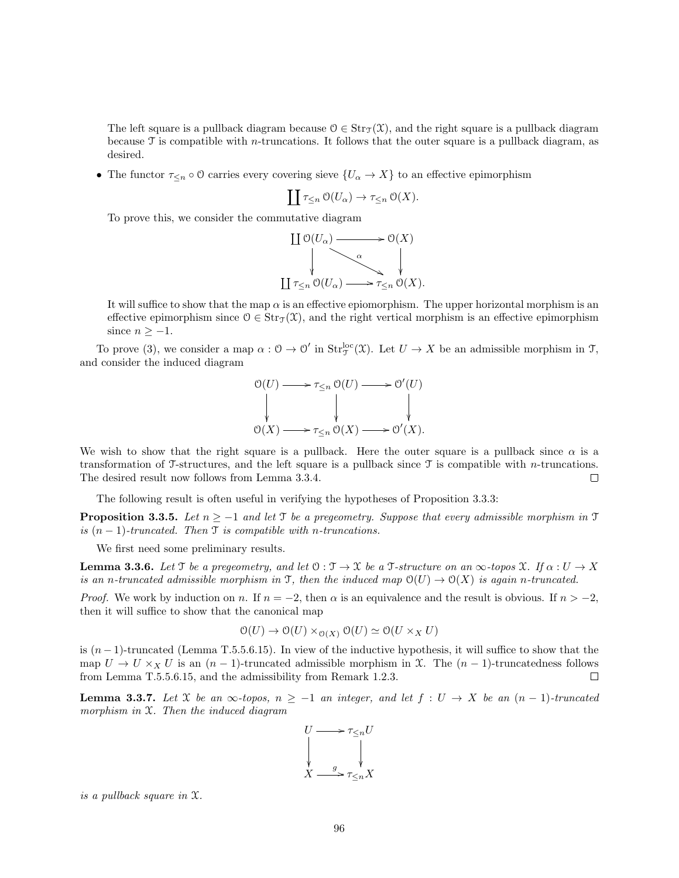The left square is a pullback diagram because  $0 \in \text{Str}_{\mathcal{T}}(\mathcal{X})$ , and the right square is a pullback diagram because  $\mathcal T$  is compatible with *n*-truncations. It follows that the outer square is a pullback diagram, as desired.

• The functor  $\tau_{\leq n} \circ \mathcal{O}$  carries every covering sieve  $\{U_\alpha \to X\}$  to an effective epimorphism

$$
\coprod \tau_{\leq n} \mathcal{O}(U_\alpha) \to \tau_{\leq n} \mathcal{O}(X).
$$

To prove this, we consider the commutative diagram

$$
\begin{array}{ccc}\n\coprod \mathfrak{O}(U_{\alpha}) & \longrightarrow & \mathfrak{O}(X) \\
\downarrow & & \downarrow \\
\downarrow & & \downarrow \\
\downarrow & & \downarrow \\
\downarrow & \uparrow & \searrow \\
\downarrow & & \downarrow \\
\downarrow & \uparrow & \searrow \\
\downarrow & & \downarrow \\
\downarrow & \uparrow & \searrow \\
\downarrow & & \downarrow \\
\downarrow & \uparrow & \searrow \\
\downarrow & & \downarrow \\
\downarrow & \downarrow & \searrow \\
\downarrow & & \downarrow \\
\downarrow & \downarrow & \searrow \\
\downarrow & & \downarrow \\
\downarrow & \downarrow & \searrow \\
\downarrow & & \downarrow & \searrow \\
\downarrow & \downarrow & \searrow & \searrow \\
\downarrow & \downarrow & \searrow & \searrow \\
\downarrow & \downarrow & \searrow & \searrow \\
\downarrow & \downarrow & \searrow & \searrow \\
\downarrow & \downarrow & \searrow & \searrow & \searrow \\
\downarrow & \downarrow & \searrow & \searrow & \searrow \\
\downarrow & \downarrow & \searrow & \searrow & \searrow \\
\downarrow & \downarrow & \searrow & \searrow & \searrow \\
\downarrow & \downarrow & \searrow & \searrow & \searrow & \searrow \\
\downarrow & \downarrow & \searrow & \searrow & \searrow & \searrow \\
\downarrow & \downarrow & \searrow & \searrow & \searrow & \searrow \\
\downarrow & \downarrow & \searrow & \searrow & \searrow & \searrow \\
\downarrow & \downarrow & \searrow & \searrow & \searrow & \searrow \\
\downarrow & \downarrow & \searrow & \searrow & \searrow & \searrow \\
\downarrow & \downarrow & \searrow & \searrow & \searrow & \searrow \\
\downarrow & \searrow & \searrow & \searrow & \searrow & \searrow
$$

It will suffice to show that the map  $\alpha$  is an effective epiomorphism. The upper horizontal morphism is an effective epimorphism since  $0 \in \text{Str}_{\mathcal{T}}(\mathcal{X})$ , and the right vertical morphism is an effective epimorphism since  $n \geq -1$ .

To prove (3), we consider a map  $\alpha: \mathcal{O} \to \mathcal{O}'$  in  $\text{Str}^{\text{loc}}_{\mathcal{J}}(\mathfrak{X})$ . Let  $U \to X$  be an admissible morphism in  $\mathcal{J}$ , and consider the induced diagram

$$
\begin{array}{ccc}\n\mathcal{O}(U) & \longrightarrow & \tau_{\leq n} \mathcal{O}(U) \longrightarrow & \mathcal{O}'(U) \\
\downarrow & & \downarrow & \downarrow & \downarrow & \downarrow \\
\mathcal{O}(X) & \longrightarrow & \tau_{\leq n} \mathcal{O}(X) \longrightarrow & \mathcal{O}'(X).\n\end{array}
$$

We wish to show that the right square is a pullback. Here the outer square is a pullback since  $\alpha$  is a transformation of T-structures, and the left square is a pullback since  $\mathcal T$  is compatible with *n*-truncations. The desired result now follows from Lemma 3.3.4.  $\Box$ 

The following result is often useful in verifying the hypotheses of Proposition 3.3.3:

**Proposition 3.3.5.** Let  $n \ge -1$  and let T be a pregeometry. Suppose that every admissible morphism in T is  $(n-1)$ -truncated. Then  $\mathfrak T$  is compatible with n-truncations.

We first need some preliminary results.

**Lemma 3.3.6.** Let T be a pregeometry, and let  $\mathcal{O}: \mathcal{T} \to \mathcal{X}$  be a T-structure on an  $\infty$ -topos X. If  $\alpha: U \to X$ is an n-truncated admissible morphism in T, then the induced map  $O(U) \to O(X)$  is again n-truncated.

*Proof.* We work by induction on n. If  $n = -2$ , then  $\alpha$  is an equivalence and the result is obvious. If  $n > -2$ , then it will suffice to show that the canonical map

$$
\mathcal{O}(U) \to \mathcal{O}(U) \times_{\mathcal{O}(X)} \mathcal{O}(U) \simeq \mathcal{O}(U \times_X U)
$$

is  $(n-1)$ -truncated (Lemma T.5.5.6.15). In view of the inductive hypothesis, it will suffice to show that the map  $U \to U \times_X U$  is an  $(n-1)$ -truncated admissible morphism in X. The  $(n-1)$ -truncatedness follows from Lemma T.5.5.6.15, and the admissibility from Remark 1.2.3.  $\Box$ 

**Lemma 3.3.7.** Let X be an  $\infty$ -topos,  $n \ge -1$  an integer, and let  $f: U \to X$  be an  $(n-1)$ -truncated morphism in  $X$ . Then the induced diagram



is a pullback square in X.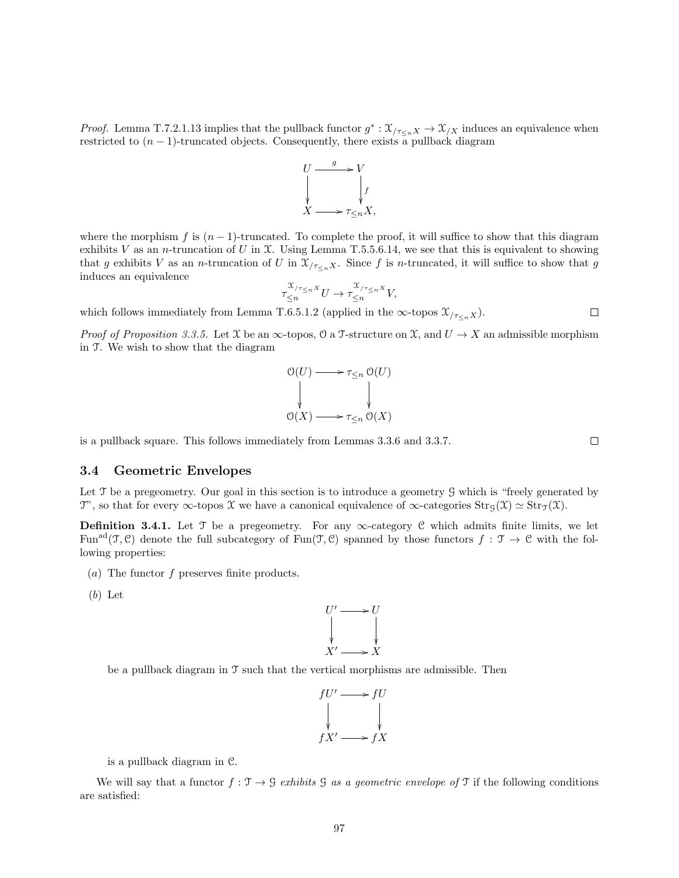*Proof.* Lemma T.7.2.1.13 implies that the pullback functor  $g^*: \mathcal{X}_{/\tau\lt n} \times \mathcal{X}_{/X}$  induces an equivalence when restricted to  $(n-1)$ -truncated objects. Consequently, there exists a pullback diagram



where the morphism f is  $(n - 1)$ -truncated. To complete the proof, it will suffice to show that this diagram exhibits V as an n-truncation of U in X. Using Lemma T.5.5.6.14, we see that this is equivalent to showing that g exhibits V as an n-truncation of U in  $\mathfrak{X}_{/\tau\leq n}$ . Since f is n-truncated, it will suffice to show that g induces an equivalence

$$
\tau_{\leq n}^{\mathfrak{X}_{/\tau_{\leq n}}x}U \to \tau_{\leq n}^{\mathfrak{X}_{/\tau_{\leq n}}x}V,
$$

which follows immediately from Lemma T.6.5.1.2 (applied in the  $\infty$ -topos  $\mathfrak{X}_{\tau_{\leq n}X}$ ).

*Proof of Proposition 3.3.5.* Let X be an  $\infty$ -topos,  $\mathcal{O}$  a T-structure on X, and  $U \to X$  an admissible morphism in T. We wish to show that the diagram

$$
\begin{array}{ccc}\n\mathfrak{O}(U) & \longrightarrow & \tau_{\leq n} \mathfrak{O}(U) \\
\downarrow & & \downarrow \\
\mathfrak{O}(X) & \longrightarrow & \tau_{\leq n} \mathfrak{O}(X)\n\end{array}
$$

is a pullback square. This follows immediately from Lemmas 3.3.6 and 3.3.7.

#### 3.4 Geometric Envelopes

Let  $\mathcal T$  be a pregeometry. Our goal in this section is to introduce a geometry  $\mathcal G$  which is "freely generated by T", so that for every  $\infty$ -topos X we have a canonical equivalence of  $\infty$ -categories  $\text{Str}_{\mathcal{G}}(\mathcal{X}) \simeq \text{Str}_{\mathcal{T}}(\mathcal{X})$ .

**Definition 3.4.1.** Let T be a pregeometry. For any  $\infty$ -category C which admits finite limits, we let Fun<sup>ad</sup>( $\mathcal{T}, \mathcal{C}$ ) denote the full subcategory of Fun( $\mathcal{T}, \mathcal{C}$ ) spanned by those functors  $f : \mathcal{T} \to \mathcal{C}$  with the following properties:

- (a) The functor  $f$  preserves finite products.
- (b) Let



be a pullback diagram in T such that the vertical morphisms are admissible. Then



is a pullback diagram in C.

We will say that a functor  $f : \mathcal{T} \to \mathcal{G}$  exhibits G as a geometric envelope of  $\mathcal{T}$  if the following conditions are satisfied:

 $\Box$ 

 $\Box$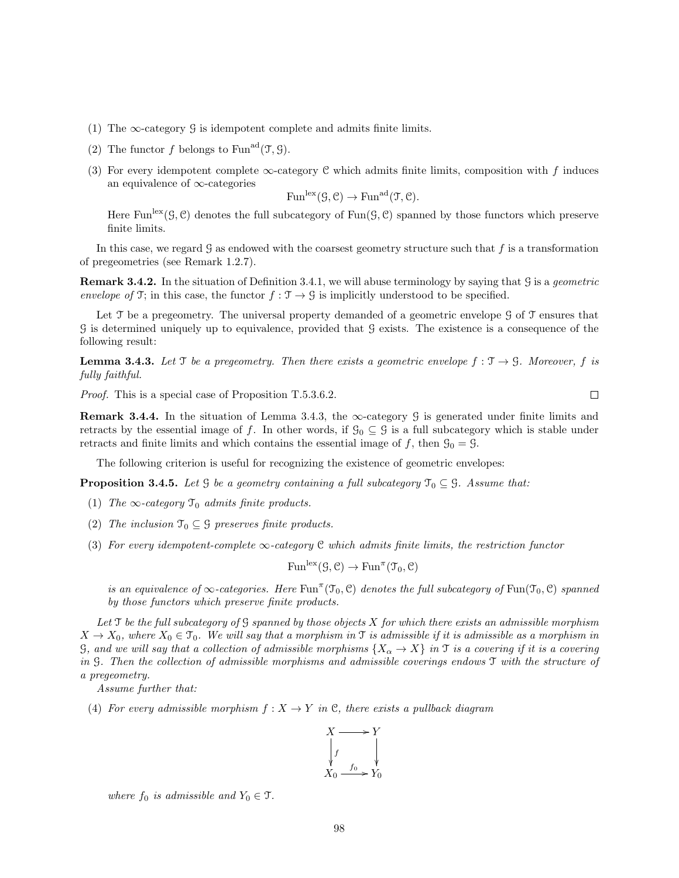- (1) The  $\infty$ -category  $\mathcal G$  is idempotent complete and admits finite limits.
- (2) The functor f belongs to Fun<sup>ad</sup>(T, G).
- (3) For every idempotent complete  $\infty$ -category C which admits finite limits, composition with f induces an equivalence of ∞-categories

$$
\mathrm{Fun}^{\mathrm{lex}}(\mathcal G, \mathcal C) \to \mathrm{Fun}^{\mathrm{ad}}(\mathcal T, \mathcal C).
$$

Here Fun<sup>lex</sup>( $\mathcal{G}, \mathcal{C}$ ) denotes the full subcategory of Fun( $\mathcal{G}, \mathcal{C}$ ) spanned by those functors which preserve finite limits.

In this case, we regard  $\mathcal G$  as endowed with the coarsest geometry structure such that f is a transformation of pregeometries (see Remark 1.2.7).

**Remark 3.4.2.** In the situation of Definition 3.4.1, we will abuse terminology by saying that G is a *geometric* envelope of T; in this case, the functor  $f : \mathcal{T} \to \mathcal{G}$  is implicitly understood to be specified.

Let  $\mathcal T$  be a pregeometry. The universal property demanded of a geometric envelope  $\mathcal G$  of  $\mathcal T$  ensures that G is determined uniquely up to equivalence, provided that G exists. The existence is a consequence of the following result:

**Lemma 3.4.3.** Let T be a pregeometry. Then there exists a geometric envelope  $f : \mathcal{T} \to \mathcal{G}$ . Moreover, f is fully faithful.

Proof. This is a special case of Proposition T.5.3.6.2.

**Remark 3.4.4.** In the situation of Lemma 3.4.3, the  $\infty$ -category G is generated under finite limits and retracts by the essential image of f. In other words, if  $\mathcal{G}_0 \subseteq \mathcal{G}$  is a full subcategory which is stable under retracts and finite limits and which contains the essential image of f, then  $\mathcal{G}_0 = \mathcal{G}$ .

The following criterion is useful for recognizing the existence of geometric envelopes:

**Proposition 3.4.5.** Let G be a geometry containing a full subcategory  $\mathcal{T}_0 \subseteq \mathcal{G}$ . Assume that:

- (1) The  $\infty$ -category  $\mathfrak{T}_0$  admits finite products.
- (2) The inclusion  $\mathcal{T}_0 \subseteq \mathcal{G}$  preserves finite products.
- (3) For every idempotent-complete  $\infty$ -category C which admits finite limits, the restriction functor

 $Fun<sup>lex</sup>(\mathcal{G}, \mathcal{C}) \to Fun<sup>\pi</sup>(\mathcal{T}_0, \mathcal{C})$ 

is an equivalence of  $\infty$ -categories. Here  $Fun^{\pi}(\mathfrak{T}_0, \mathfrak{C})$  denotes the full subcategory of  $Fun(\mathfrak{T}_0, \mathfrak{C})$  spanned by those functors which preserve finite products.

Let  $\mathcal T$  be the full subcategory of  $\mathcal G$  spanned by those objects  $X$  for which there exists an admissible morphism  $X \to X_0$ , where  $X_0 \in \mathcal{T}_0$ . We will say that a morphism in  $\mathcal{T}$  is admissible if it is admissible as a morphism in G, and we will say that a collection of admissible morphisms  $\{X_{\alpha} \to X\}$  in T is a covering if it is a covering in G. Then the collection of admissible morphisms and admissible coverings endows T with the structure of a pregeometry.

Assume further that:

(4) For every admissible morphism  $f: X \to Y$  in C, there exists a pullback diagram



where  $f_0$  is admissible and  $Y_0 \in \mathcal{T}$ .

 $\Box$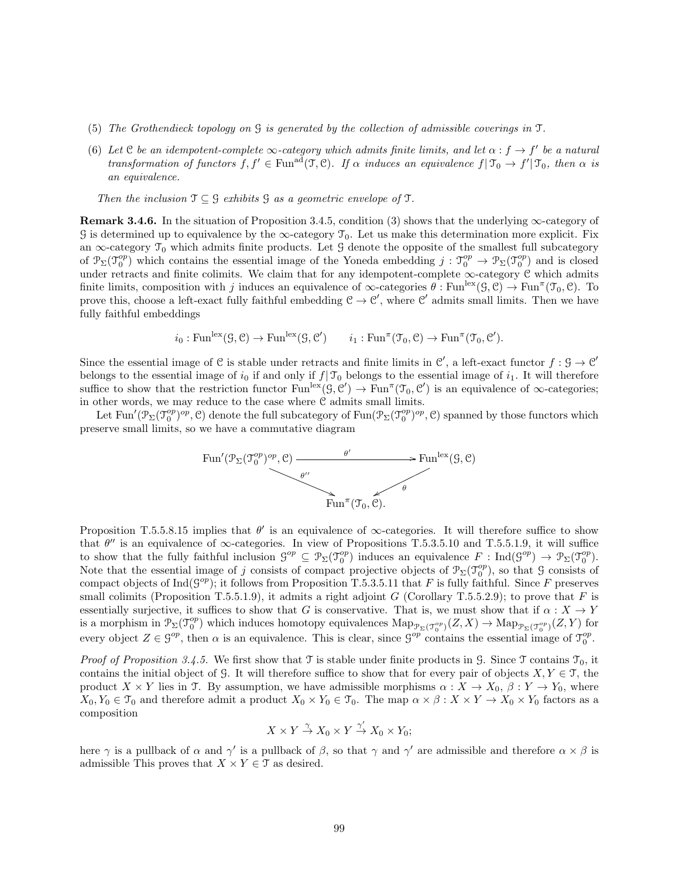- (5) The Grothendieck topology on G is generated by the collection of admissible coverings in T.
- (6) Let C be an idempotent-complete  $\infty$ -category which admits finite limits, and let  $\alpha : f \to f'$  be a natural transformation of functors  $f, f' \in \text{Fun}^{\text{ad}}(\mathfrak{I}, \mathfrak{C})$ . If  $\alpha$  induces an equivalence  $f | \mathfrak{I}_0 \to f' | \mathfrak{I}_0$ , then  $\alpha$  is an equivalence.

Then the inclusion  $\mathfrak{T} \subseteq \mathfrak{G}$  exhibits  $\mathfrak{G}$  as a geometric envelope of  $\mathfrak{T}$ .

**Remark 3.4.6.** In the situation of Proposition 3.4.5, condition (3) shows that the underlying  $\infty$ -category of G is determined up to equivalence by the  $\infty$ -category  $\mathcal{T}_0$ . Let us make this determination more explicit. Fix an  $\infty$ -category  $\mathcal{T}_0$  which admits finite products. Let G denote the opposite of the smallest full subcategory of  $\mathcal{P}_{\Sigma}(\mathcal{T}_{0}^{op})$  which contains the essential image of the Yoneda embedding  $j: \mathcal{T}_{0}^{op} \to \mathcal{P}_{\Sigma}(\mathcal{T}_{0}^{op})$  and is closed under retracts and finite colimits. We claim that for any idempotent-complete ∞-category C which admits finite limits, composition with j induces an equivalence of  $\infty$ -categories  $\theta$ : Fun<sup>lex</sup> $(\mathcal{G}, \mathcal{C}) \to \text{Fun}^{\pi}(\mathcal{T}_0, \mathcal{C})$ . To prove this, choose a left-exact fully faithful embedding  $C \to C'$ , where C' admits small limits. Then we have fully faithful embeddings

$$
i_0: \text{Fun}^{\text{lex}}(\mathcal{G}, \mathcal{C}) \to \text{Fun}^{\text{lex}}(\mathcal{G}, \mathcal{C}') \qquad i_1: \text{Fun}^{\pi}(\mathcal{T}_0, \mathcal{C}) \to \text{Fun}^{\pi}(\mathcal{T}_0, \mathcal{C}').
$$

Since the essential image of C is stable under retracts and finite limits in C', a left-exact functor  $f : \mathcal{G} \to \mathcal{C}'$ belongs to the essential image of  $i_0$  if and only if  $f| \mathcal{T}_0$  belongs to the essential image of  $i_1$ . It will therefore suffice to show that the restriction functor  $\text{Fun}^{\text{lex}}(\mathcal{G}, \mathcal{C}') \to \text{Fun}^{\pi}(\mathcal{I}_0, \mathcal{C}')$  is an equivalence of  $\infty$ -categories; in other words, we may reduce to the case where C admits small limits.

Let Fun<sup>'</sup> $(\mathcal{P}_{\Sigma}(\mathcal{T}_{0}^{op})^{op}, \mathcal{C})$  denote the full subcategory of Fun $(\mathcal{P}_{\Sigma}(\mathcal{T}_{0}^{op})^{op}, \mathcal{C})$  spanned by those functors which preserve small limits, so we have a commutative diagram



Proposition T.5.5.8.15 implies that  $\theta'$  is an equivalence of  $\infty$ -categories. It will therefore suffice to show that  $\theta''$  is an equivalence of  $\infty$ -categories. In view of Propositions T.5.3.5.10 and T.5.5.1.9, it will suffice to show that the fully faithful inclusion  $\mathcal{G}^{op} \subseteq \mathcal{P}_{\Sigma}(\mathcal{I}_{0}^{op})$  induces an equivalence  $F: \text{Ind}(\mathcal{G}^{op}) \to \mathcal{P}_{\Sigma}(\mathcal{I}_{0}^{op})$ . Note that the essential image of j consists of compact projective objects of  $\mathcal{P}_{\Sigma}(\mathcal{T}_0^{op})$ , so that  $\mathcal G$  consists of compact objects of  $\text{Ind}(S^{op})$ ; it follows from Proposition T.5.3.5.11 that F is fully faithful. Since F preserves small colimits (Proposition T.5.5.1.9), it admits a right adjoint  $G$  (Corollary T.5.5.2.9); to prove that  $F$  is essentially surjective, it suffices to show that G is conservative. That is, we must show that if  $\alpha: X \to Y$ is a morphism in  $\mathcal{P}_{\Sigma}(\mathcal{T}_{0}^{op})$  which induces homotopy equivalences  $\operatorname{Map}_{\mathcal{P}_{\Sigma}(\mathcal{T}_{0}^{op})}(Z,X) \to \operatorname{Map}_{\mathcal{P}_{\Sigma}(\mathcal{T}_{0}^{op})}(Z,Y)$  for every object  $Z \in \mathcal{G}^{op}$ , then  $\alpha$  is an equivalence. This is clear, since  $\mathcal{G}^{op}$  contains the essential image of  $\mathcal{T}^{op}_{0}$ .

*Proof of Proposition 3.4.5.* We first show that  $\mathcal T$  is stable under finite products in  $\mathcal G$ . Since  $\mathcal T$  contains  $\mathcal T_0$ , it contains the initial object of G. It will therefore suffice to show that for every pair of objects  $X, Y \in \mathcal{T}$ , the product  $X \times Y$  lies in T. By assumption, we have admissible morphisms  $\alpha : X \to X_0$ ,  $\beta : Y \to Y_0$ , where  $X_0, Y_0 \in \mathcal{T}_0$  and therefore admit a product  $X_0 \times Y_0 \in \mathcal{T}_0$ . The map  $\alpha \times \beta : X \times Y \to X_0 \times Y_0$  factors as a composition

$$
X\times Y\xrightarrow{\gamma} X_0\times Y\xrightarrow{\gamma'} X_0\times Y_0;
$$

here  $\gamma$  is a pullback of  $\alpha$  and  $\gamma'$  is a pullback of  $\beta$ , so that  $\gamma$  and  $\gamma'$  are admissible and therefore  $\alpha \times \beta$  is admissible This proves that  $X \times Y \in \mathcal{T}$  as desired.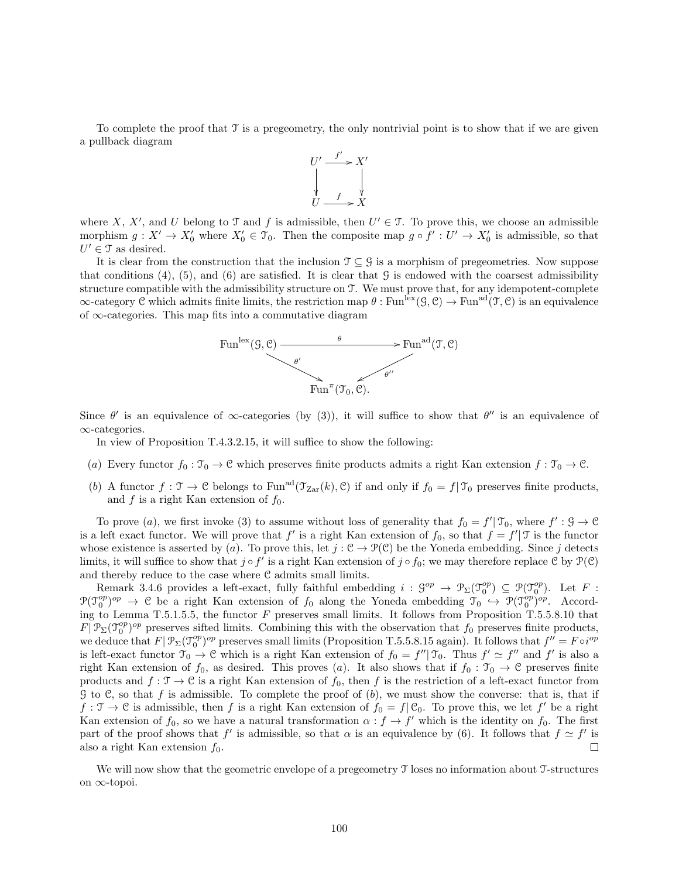To complete the proof that  $\mathcal T$  is a pregeometry, the only nontrivial point is to show that if we are given a pullback diagram



where X, X', and U belong to T and f is admissible, then  $U' \in \mathcal{T}$ . To prove this, we choose an admissible morphism  $g: X' \to X'_0$  where  $X'_0 \in \mathcal{T}_0$ . Then the composite map  $g \circ f' : U' \to X'_0$  is admissible, so that  $U' \in \mathcal{T}$  as desired.

It is clear from the construction that the inclusion  $\mathcal{T} \subseteq \mathcal{G}$  is a morphism of pregeometries. Now suppose that conditions  $(4)$ ,  $(5)$ , and  $(6)$  are satisfied. It is clear that G is endowed with the coarsest admissibility structure compatible with the admissibility structure on T. We must prove that, for any idempotent-complete  $\infty$ -category C which admits finite limits, the restriction map  $\theta$ : Fun<sup>lex</sup> $(\mathcal{G}, \mathcal{C}) \to \text{Fun}^{\text{ad}}(\mathcal{T}, \mathcal{C})$  is an equivalence of ∞-categories. This map fits into a commutative diagram



Since  $\theta'$  is an equivalence of  $\infty$ -categories (by (3)), it will suffice to show that  $\theta''$  is an equivalence of ∞-categories.

In view of Proposition T.4.3.2.15, it will suffice to show the following:

- (a) Every functor  $f_0 : \mathcal{T}_0 \to \mathcal{C}$  which preserves finite products admits a right Kan extension  $f : \mathcal{T}_0 \to \mathcal{C}$ .
- (b) A functor  $f: \mathcal{T} \to \mathcal{C}$  belongs to Fun<sup>ad</sup> $(\mathcal{T}_{\text{Zar}}(k), \mathcal{C})$  if and only if  $f_0 = f|\mathcal{T}_0$  preserves finite products, and  $f$  is a right Kan extension of  $f_0$ .

To prove (a), we first invoke (3) to assume without loss of generality that  $f_0 = f' | \mathcal{T}_0$ , where  $f' : \mathcal{G} \to \mathcal{C}$ is a left exact functor. We will prove that  $f'$  is a right Kan extension of  $f_0$ , so that  $f = f'$  is the functor whose existence is asserted by (a). To prove this, let  $j : \mathcal{C} \to \mathcal{P}(\mathcal{C})$  be the Yoneda embedding. Since j detects limits, it will suffice to show that  $j \circ f'$  is a right Kan extension of  $j \circ f_0$ ; we may therefore replace  $C$  by  $\mathcal{P}(C)$ and thereby reduce to the case where  $C$  admits small limits.

Remark 3.4.6 provides a left-exact, fully faithful embedding  $i : \mathcal{G}^{op} \to \mathcal{P}_{\Sigma}(\mathcal{T}_{0}^{op}) \subseteq \mathcal{P}(\mathcal{T}_{0}^{op})$ . Let F:  $\mathcal{P}(\mathcal{T}_0^{op})^{op} \to \mathcal{C}$  be a right Kan extension of  $f_0$  along the Yoneda embedding  $\mathcal{T}_0 \hookrightarrow \mathcal{P}(\mathcal{T}_0^{op})^{op}$ . According to Lemma T.5.1.5.5, the functor  $F$  preserves small limits. It follows from Proposition T.5.5.8.10 that  $F[\mathcal{P}_{\Sigma}(\mathcal{T}_{0}^{op})^{op}]$  preserves sifted limits. Combining this with the observation that  $f_0$  preserves finite products, we deduce that  $F | \mathcal{P}_{\Sigma}(\mathcal{T}_{0}^{op})^{op}$  preserves small limits (Proposition T.5.5.8.15 again). It follows that  $f'' = F \circ i^{op}$ is left-exact functor  $\mathcal{T}_0 \to \mathcal{C}$  which is a right Kan extension of  $f_0 = f'' | \mathcal{T}_0$ . Thus  $f' \simeq f''$  and f' is also a right Kan extension of  $f_0$ , as desired. This proves (a). It also shows that if  $f_0 : \mathcal{T}_0 \to \mathcal{C}$  preserves finite products and  $f: \mathcal{T} \to \mathcal{C}$  is a right Kan extension of  $f_0$ , then f is the restriction of a left-exact functor from  $G$  to  $C$ , so that f is admissible. To complete the proof of  $(b)$ , we must show the converse: that is, that if  $f: \mathcal{T} \to \mathcal{C}$  is admissible, then f is a right Kan extension of  $f_0 = f | \mathcal{C}_0$ . To prove this, we let f' be a right Kan extension of  $f_0$ , so we have a natural transformation  $\alpha : f \to f'$  which is the identity on  $f_0$ . The first part of the proof shows that f' is admissible, so that  $\alpha$  is an equivalence by (6). It follows that  $f \simeq f'$  is also a right Kan extension  $f_0$ .  $\Box$ 

We will now show that the geometric envelope of a pregeometry  $\mathcal T$  loses no information about T-structures on ∞-topoi.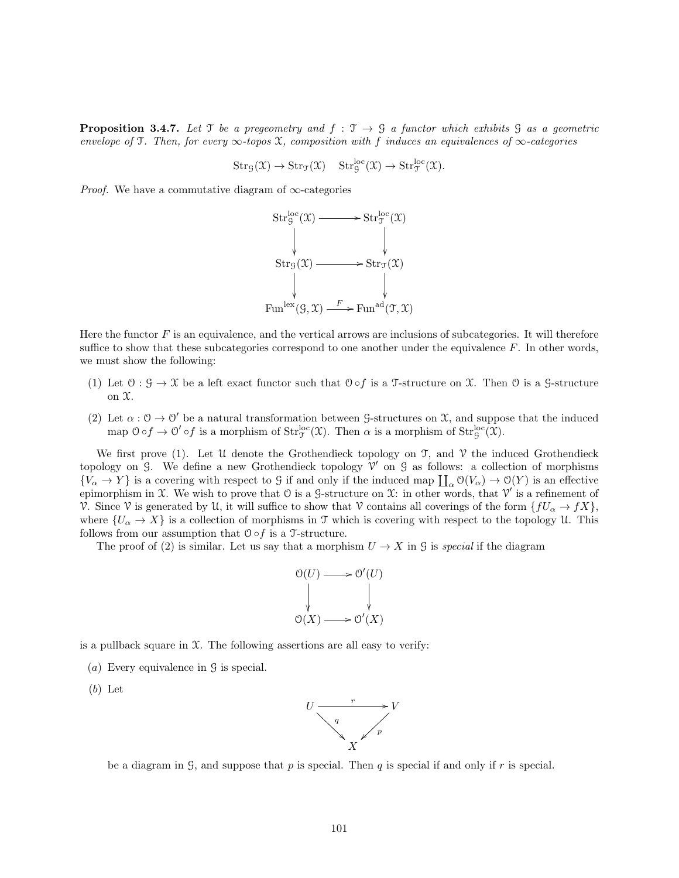**Proposition 3.4.7.** Let T be a pregeometry and  $f : \mathcal{T} \to \mathcal{G}$  a functor which exhibits  $\mathcal{G}$  as a geometric envelope of T. Then, for every  $\infty$ -topos X, composition with f induces an equivalences of  $\infty$ -categories

$$
Str_{\mathcal{G}}(\mathfrak{X}) \to Str_{\mathfrak{I}}(\mathfrak{X}) \quad Str_{\mathcal{G}}^{loc}(\mathfrak{X}) \to Str_{\mathfrak{I}}^{loc}(\mathfrak{X}).
$$

*Proof.* We have a commutative diagram of  $\infty$ -categories



Here the functor  $F$  is an equivalence, and the vertical arrows are inclusions of subcategories. It will therefore suffice to show that these subcategories correspond to one another under the equivalence  $F$ . In other words, we must show the following:

- (1) Let  $0: \mathcal{G} \to \mathcal{X}$  be a left exact functor such that  $0 \circ f$  is a T-structure on X. Then 0 is a G-structure on X.
- (2) Let  $\alpha: \mathcal{O} \to \mathcal{O}'$  be a natural transformation between G-structures on X, and suppose that the induced map  $0 \circ f \to 0' \circ f$  is a morphism of  $Str_{\mathcal{T}}^{\text{loc}}(\mathfrak{X})$ . Then  $\alpha$  is a morphism of  $Str_{\mathcal{G}}^{\text{loc}}(\mathfrak{X})$ .

We first prove (1). Let U denote the Grothendieck topology on  $\mathcal{T}$ , and  $\mathcal{V}$  the induced Grothendieck topology on G. We define a new Grothendieck topology  $V'$  on G as follows: a collection of morphisms  $\{V_\alpha \to Y\}$  is a covering with respect to G if and only if the induced map  $\prod_\alpha \mathcal{O}(V_\alpha) \to \mathcal{O}(Y)$  is an effective epimorphism in  $\mathfrak X$ . We wish to prove that  $\mathfrak O$  is a  $\mathfrak S$ -structure on  $\mathfrak X$ : in other words, that  $\mathfrak V'$  is a refinement of V. Since V is generated by U, it will suffice to show that V contains all coverings of the form  $\{fU_{\alpha} \to fX\}$ , where  $\{U_{\alpha} \to X\}$  is a collection of morphisms in T which is covering with respect to the topology U. This follows from our assumption that  $\mathcal{O} \circ f$  is a T-structure.

The proof of (2) is similar. Let us say that a morphism  $U \to X$  in G is special if the diagram



is a pullback square in  $X$ . The following assertions are all easy to verify:

(a) Every equivalence in  $\mathcal G$  is special.

(b) Let



be a diagram in G, and suppose that p is special. Then q is special if and only if r is special.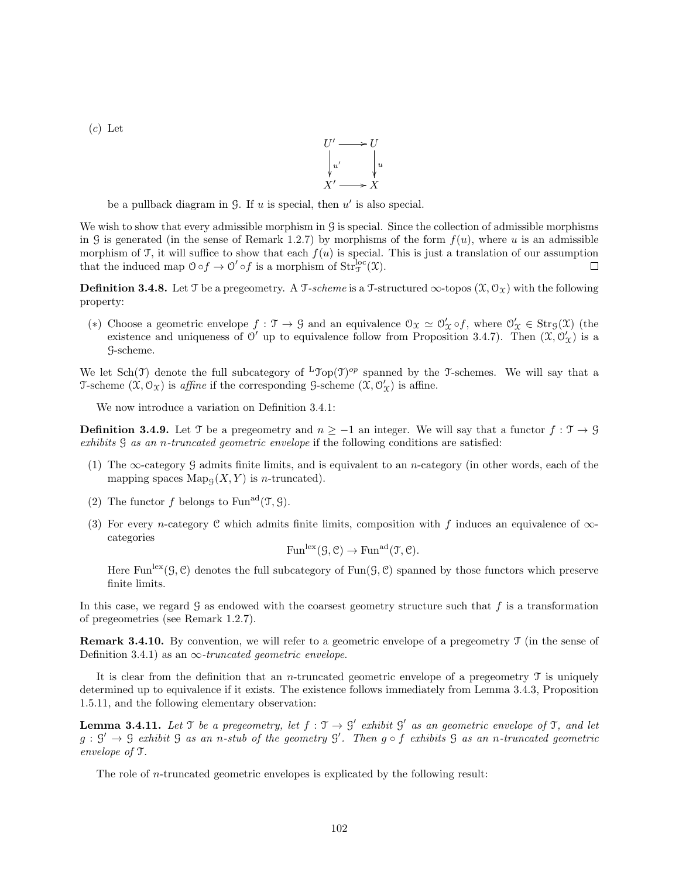$(c)$  Let



be a pullback diagram in  $G$ . If  $u$  is special, then  $u'$  is also special.

We wish to show that every admissible morphism in G is special. Since the collection of admissible morphisms in G is generated (in the sense of Remark 1.2.7) by morphisms of the form  $f(u)$ , where u is an admissible morphism of T, it will suffice to show that each  $f(u)$  is special. This is just a translation of our assumption that the induced map  $0 \circ f \to 0' \circ f$  is a morphism of  $\text{Str}_{\mathcal{T}}^{\text{loc}}(\mathfrak{X})$ .  $\Box$ 

**Definition 3.4.8.** Let T be a pregeometry. A T-scheme is a T-structured  $\infty$ -topos  $(\mathcal{X}, \mathcal{O}_\mathcal{X})$  with the following property:

(\*) Choose a geometric envelope  $f: \mathcal{T} \to \mathcal{G}$  and an equivalence  $\mathcal{O}_{\mathcal{X}} \simeq \mathcal{O}'_{\mathcal{X}} \circ f$ , where  $\mathcal{O}'_{\mathcal{X}} \in \text{Str}_{\mathcal{G}}(\mathcal{X})$  (the existence and uniqueness of  $\mathcal{O}'$  up to equivalence follow from Proposition 3.4.7). Then  $(\mathcal{X}, \mathcal{O}'_{\mathcal{X}})$  is a G-scheme.

We let  $Sch(\mathcal{T})$  denote the full subcategory of  ${}^L\mathcal{T}op(\mathcal{T})^{op}$  spanned by the T-schemes. We will say that a T-scheme  $(\mathfrak{X}, \mathcal{O}_{\mathfrak{X}})$  is affine if the corresponding G-scheme  $(\mathfrak{X}, \mathcal{O}_{\mathfrak{X}}')$  is affine.

We now introduce a variation on Definition 3.4.1:

**Definition 3.4.9.** Let T be a pregeometry and  $n \ge -1$  an integer. We will say that a functor  $f : \mathcal{T} \to \mathcal{G}$ exhibits G as an n-truncated geometric envelope if the following conditions are satisfied:

- (1) The ∞-category G admits finite limits, and is equivalent to an n-category (in other words, each of the mapping spaces  $\mathrm{Map}_{G}(X, Y)$  is *n*-truncated).
- (2) The functor f belongs to Fun<sup>ad</sup>(T, G).
- (3) For every n-category C which admits finite limits, composition with f induces an equivalence of  $\infty$ categories

$$
\mathrm{Fun}^{\mathrm{lex}}(\mathcal G,\mathcal C)\to \mathrm{Fun}^{\mathrm{ad}}(\mathcal T,\mathcal C).
$$

Here Fun<sup>lex</sup>( $\mathcal{G}, \mathcal{C}$ ) denotes the full subcategory of Fun( $\mathcal{G}, \mathcal{C}$ ) spanned by those functors which preserve finite limits.

In this case, we regard  $\mathcal G$  as endowed with the coarsest geometry structure such that  $f$  is a transformation of pregeometries (see Remark 1.2.7).

Remark 3.4.10. By convention, we will refer to a geometric envelope of a pregeometry T (in the sense of Definition 3.4.1) as an  $\infty$ -truncated geometric envelope.

It is clear from the definition that an *n*-truncated geometric envelope of a pregeometry  $\mathcal T$  is uniquely determined up to equivalence if it exists. The existence follows immediately from Lemma 3.4.3, Proposition 1.5.11, and the following elementary observation:

**Lemma 3.4.11.** Let T be a pregeometry, let  $f : \mathcal{T} \to \mathcal{G}'$  exhibit  $\mathcal{G}'$  as an geometric envelope of T, and let  $g: \mathcal{G}' \to \mathcal{G}$  exhibit  $\mathcal{G}$  as an n-stub of the geometry  $\mathcal{G}'$ . Then  $g \circ f$  exhibits  $\mathcal{G}$  as an n-truncated geometric envelope of T.

The role of n-truncated geometric envelopes is explicated by the following result: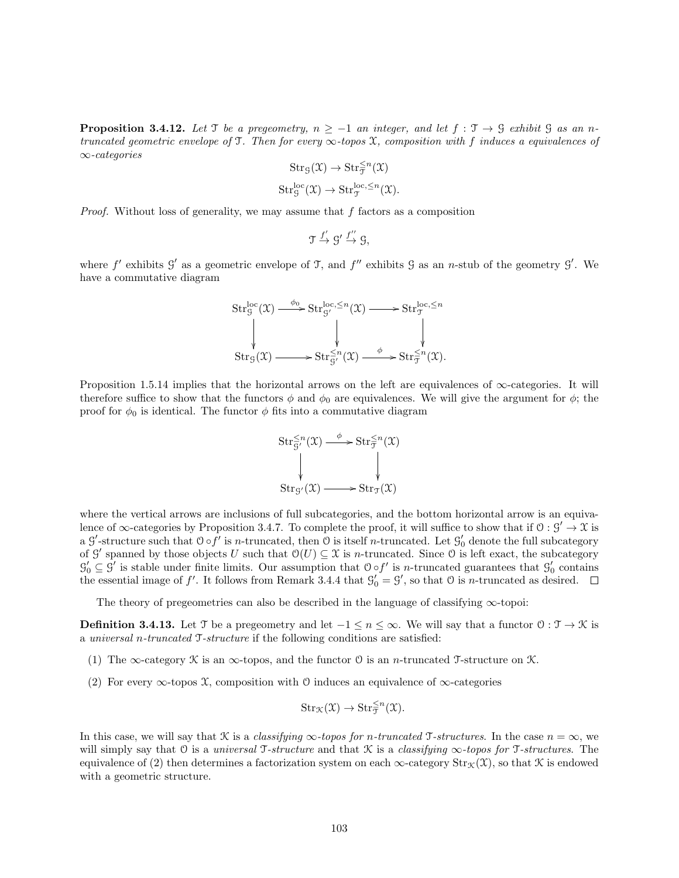**Proposition 3.4.12.** Let T be a pregeometry,  $n \ge -1$  an integer, and let  $f : \mathcal{T} \to \mathcal{G}$  exhibit  $\mathcal{G}$  as an ntruncated geometric envelope of T. Then for every  $\infty$ -topos X, composition with f induces a equivalences of ∞-categories

$$
Str_{\mathcal{G}}(\mathfrak{X}) \to Str_{\mathcal{T}}^{\leq n}(\mathfrak{X})
$$
  

$$
Str_{\mathcal{G}}^{\text{loc}}(\mathfrak{X}) \to Str_{\mathcal{T}}^{\text{loc}, \leq n}(\mathfrak{X}).
$$

*Proof.* Without loss of generality, we may assume that  $f$  factors as a composition

$$
\mathfrak{T} \xrightarrow{f'} \mathfrak{G}' \xrightarrow{f''} \mathfrak{G},
$$

where f' exhibits  $\mathcal{G}'$  as a geometric envelope of  $\mathcal{T}$ , and f'' exhibits  $\mathcal{G}$  as an n-stub of the geometry  $\mathcal{G}'$ . We have a commutative diagram

$$
\operatorname{Str}_g^{\operatorname{loc}}(\mathfrak{X}) \xrightarrow{\phi_0} \operatorname{Str}_{g'}^{\operatorname{loc}, \leq n}(\mathfrak{X}) \longrightarrow \operatorname{Str}_{\mathfrak{I}}^{\operatorname{loc}, \leq n}
$$
\n
$$
\downarrow \qquad \qquad \downarrow \qquad \qquad \downarrow
$$
\n
$$
\operatorname{Str}_g(\mathfrak{X}) \longrightarrow \operatorname{Str}_{g'}^{\leq n}(\mathfrak{X}) \xrightarrow{\phi} \operatorname{Str}_{\mathfrak{I}}^{\leq n}(\mathfrak{X}).
$$

Proposition 1.5.14 implies that the horizontal arrows on the left are equivalences of  $\infty$ -categories. It will therefore suffice to show that the functors  $\phi$  and  $\phi_0$  are equivalences. We will give the argument for  $\phi$ ; the proof for  $\phi_0$  is identical. The functor  $\phi$  fits into a commutative diagram



where the vertical arrows are inclusions of full subcategories, and the bottom horizontal arrow is an equivalence of  $\infty$ -categories by Proposition 3.4.7. To complete the proof, it will suffice to show that if  $0: \mathcal{G}' \to \mathcal{X}$  is a  $\mathcal{G}'$ -structure such that  $\mathcal{O} \circ f'$  is *n*-truncated, then  $\mathcal{O}$  is itself *n*-truncated. Let  $\mathcal{G}'_0$  denote the full subcategory of G' spanned by those objects U such that  $\mathcal{O}(U) \subseteq \mathcal{X}$  is n-truncated. Since O is left exact, the subcategory  $\mathcal{G}'_0 \subseteq \mathcal{G}'$  is stable under finite limits. Our assumption that  $\mathcal{O} \circ f'$  is *n*-truncated guarantees that  $\mathcal{G}'_0$  contains the essential image of f'. It follows from Remark 3.4.4 that  $\mathcal{G}'_0 = \mathcal{G}'$ , so that  $\mathcal{O}$  is *n*-truncated as desired.

The theory of pregeometries can also be described in the language of classifying  $\infty$ -topoi:

**Definition 3.4.13.** Let T be a pregeometry and let  $-1 \le n \le \infty$ . We will say that a functor  $0: \mathcal{T} \to \mathcal{K}$  is a universal n-truncated T-structure if the following conditions are satisfied:

- (1) The  $\infty$ -category K is an  $\infty$ -topos, and the functor O is an *n*-truncated T-structure on K.
- (2) For every  $\infty$ -topos X, composition with O induces an equivalence of  $\infty$ -categories

$$
\text{Str}_{\mathcal{K}}(\mathfrak{X}) \to \text{Str}_{\mathfrak{T}}^{\leq n}(\mathfrak{X}).
$$

In this case, we will say that K is a *classifying*  $\infty$ -topos for n-truncated T-structures. In the case  $n = \infty$ , we will simply say that O is a universal T-structure and that  $\mathcal K$  is a classifying  $\infty$ -topos for T-structures. The equivalence of (2) then determines a factorization system on each  $\infty$ -category  $\text{Str}_{\mathcal{K}}(\mathcal{X})$ , so that K is endowed with a geometric structure.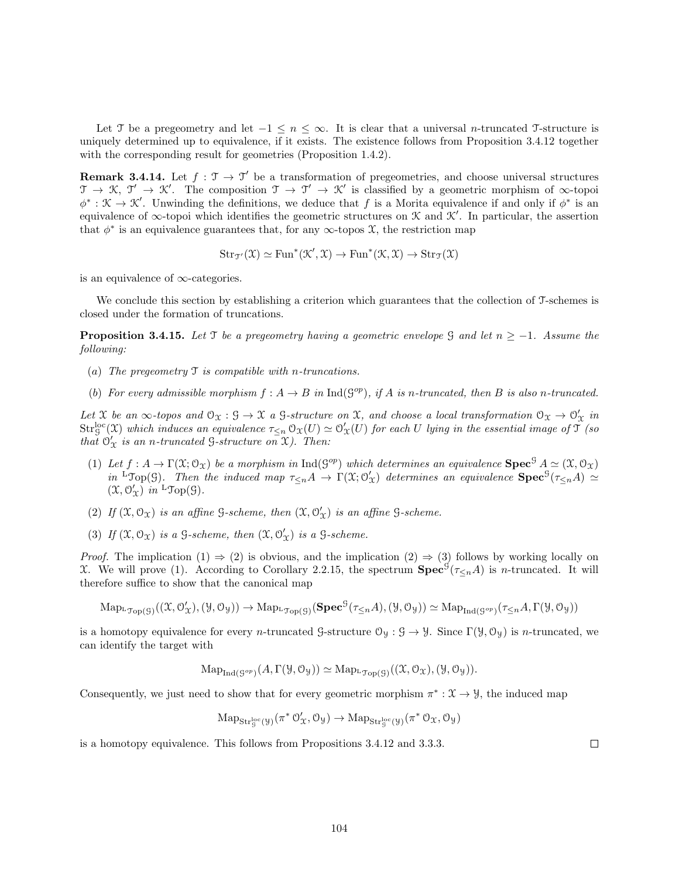Let T be a pregeometry and let  $-1 \leq n \leq \infty$ . It is clear that a universal n-truncated T-structure is uniquely determined up to equivalence, if it exists. The existence follows from Proposition 3.4.12 together with the corresponding result for geometries (Proposition 1.4.2).

**Remark 3.4.14.** Let  $f : \mathcal{T} \to \mathcal{T}'$  be a transformation of pregeometries, and choose universal structures  $\mathfrak{T} \to \mathfrak{K}, \mathfrak{T}' \to \mathfrak{K}'$ . The composition  $\mathfrak{T} \to \mathfrak{T}' \to \mathfrak{K}'$  is classified by a geometric morphism of  $\infty$ -topoi  $\phi^*: \mathcal{K} \to \mathcal{K}'$ . Unwinding the definitions, we deduce that f is a Morita equivalence if and only if  $\phi^*$  is an equivalence of  $\infty$ -topoi which identifies the geometric structures on K and K'. In particular, the assertion that  $\phi^*$  is an equivalence guarantees that, for any  $\infty$ -topos  $\mathfrak{X}$ , the restriction map

$$
\mathrm{Str}_{\mathfrak{T}'}(\mathfrak{X}) \simeq \mathrm{Fun}^*(\mathfrak{K}', \mathfrak{X}) \to \mathrm{Fun}^*(\mathfrak{K}, \mathfrak{X}) \to \mathrm{Str}_{\mathfrak{T}}(\mathfrak{X})
$$

is an equivalence of ∞-categories.

We conclude this section by establishing a criterion which guarantees that the collection of T-schemes is closed under the formation of truncations.

**Proposition 3.4.15.** Let T be a pregeometry having a geometric envelope G and let  $n \ge -1$ . Assume the following:

- (a) The pregeometry  $\mathcal T$  is compatible with n-truncations.
- (b) For every admissible morphism  $f : A \to B$  in  $\text{Ind}(\mathcal{G}^{op})$ , if A is n-truncated, then B is also n-truncated.

Let X be an  $\infty$ -topos and  $\mathcal{O}_\mathfrak{X} : \mathcal{G} \to \mathfrak{X}$  a  $\mathcal{G}$ -structure on X, and choose a local transformation  $\mathcal{O}_\mathfrak{X} \to \mathcal{O}'_\mathfrak{X}$  in  $\mathrm{Str}_\mathcal{G}^{\mathrm{loc}}(\mathfrak{X})$  which induces an equivalence  $\tau_{\leq n}\,\mathfrak{O}_\mathfrak{X}(U)\simeq \mathfrak{O}_\mathfrak{X}'(U)$  for each U lying in the essential image of  $\mathfrak{T}$  (so that  $\mathcal{O}'_{\mathfrak{X}}$  is an n-truncated G-structure on  $\mathfrak{X}$ ). Then:

- (1) Let  $f: A \to \Gamma(\mathfrak{X}; \mathfrak{O}_{\mathfrak{X}})$  be a morphism in  $\text{Ind}(\mathfrak{G}^{op})$  which determines an equivalence  $\text{Spec}^{\mathfrak{G}} A \simeq (\mathfrak{X}, \mathfrak{O}_{\mathfrak{X}})$ in <sup>L</sup>Top(G). Then the induced map  $\tau_{\leq n}A \to \Gamma(\mathfrak{X};\mathcal{O}'_{\mathfrak{X}})$  determines an equivalence  $\text{Spec}^{\mathcal{G}}(\tau_{\leq n}A) \simeq$  $(\mathfrak{X}, \mathfrak{O}_\mathfrak{X}')$  in  ${}^{\mathrm{L}} \mathfrak{Top}(\mathfrak{S})$ .
- (2) If  $(\mathfrak{X}, \mathcal{O}_{\mathfrak{X}})$  is an affine  $\mathcal{G}\text{-}scheme$ , then  $(\mathfrak{X}, \mathcal{O}_{\mathfrak{X}}')$  is an affine  $\mathcal{G}\text{-}scheme$ .
- (3) If  $(\mathfrak{X}, \mathcal{O}_{\mathfrak{X}})$  is a  $\mathcal{G}\text{-scheme}$ , then  $(\mathfrak{X}, \mathcal{O}'_{\mathfrak{X}})$  is a  $\mathcal{G}\text{-scheme}$ .

*Proof.* The implication  $(1) \Rightarrow (2)$  is obvious, and the implication  $(2) \Rightarrow (3)$  follows by working locally on X. We will prove (1). According to Corollary 2.2.15, the spectrum  $\mathbf{Spec}^{\mathcal{G}}(\tau_{\leq n}A)$  is *n*-truncated. It will therefore suffice to show that the canonical map

$$
\mathrm{Map}_{\mathrm{Top}(\mathcal{G})}((\mathfrak{X},\mathcal{O}'_{\mathfrak{X}}),(\mathcal{Y},\mathcal{O}_{\mathcal{Y}})) \to \mathrm{Map}_{\mathrm{Top}(\mathcal{G})}(\mathbf{Spec}^{\mathcal{G}}(\tau_{\leq n}A),(\mathcal{Y},\mathcal{O}_{\mathcal{Y}})) \simeq \mathrm{Map}_{\mathrm{Ind}(\mathcal{G}^{op})}(\tau_{\leq n}A,\Gamma(\mathcal{Y},\mathcal{O}_{\mathcal{Y}}))
$$

is a homotopy equivalence for every n-truncated G-structure  $\mathcal{O}_y : \mathcal{G} \to \mathcal{Y}$ . Since  $\Gamma(\mathcal{Y}, \mathcal{O}_y)$  is n-truncated, we can identify the target with

$$
\mathrm{Map}_{\mathrm{Ind}(\mathcal{G}^{op})}(A,\Gamma(\mathcal{Y},\mathcal{O}_{\mathcal{Y}})) \simeq \mathrm{Map}_{\mathrm{Top}(\mathcal{G})}((\mathfrak{X},\mathcal{O}_{\mathfrak{X}}),(\mathcal{Y},\mathcal{O}_{\mathcal{Y}})).
$$

Consequently, we just need to show that for every geometric morphism  $\pi^*: \mathfrak{X} \to \mathcal{Y}$ , the induced map

$$
\mathrm{Map}_{\mathrm{Str}_g^{\mathrm{loc}}(\mathcal{Y})}(\pi^*\,\mathcal{O}'_{\mathcal{X}}, \mathcal{O}_{\mathcal{Y}}) \rightarrow \mathrm{Map}_{\mathrm{Str}_g^{\mathrm{loc}}(\mathcal{Y})}(\pi^*\,\mathcal{O}_{\mathcal{X}}, \mathcal{O}_{\mathcal{Y}})
$$

is a homotopy equivalence. This follows from Propositions 3.4.12 and 3.3.3.

 $\Box$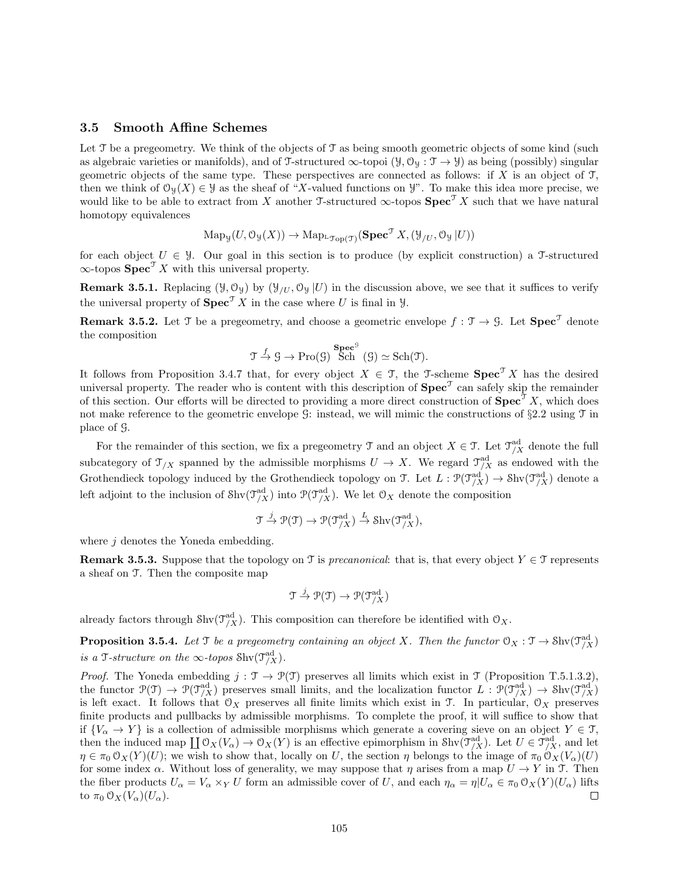#### 3.5 Smooth Affine Schemes

Let  $\mathcal T$  be a pregeometry. We think of the objects of  $\mathcal T$  as being smooth geometric objects of some kind (such as algebraic varieties or manifolds), and of T-structured  $\infty$ -topoi  $(\mathcal{Y}, \mathcal{O}_{\mathcal{Y}} : \mathcal{T} \to \mathcal{Y})$  as being (possibly) singular geometric objects of the same type. These perspectives are connected as follows: if X is an object of  $\mathcal{T}$ , then we think of  $\mathcal{O}_{\mathcal{Y}}(X) \in \mathcal{Y}$  as the sheaf of "X-valued functions on  $\mathcal{Y}$ ". To make this idea more precise, we would like to be able to extract from X another T-structured  $\infty$ -topos  $\text{Spec}^{\mathcal{T}} X$  such that we have natural homotopy equivalences

$$
\operatorname{Map}_{\mathcal{Y}}(U, \mathcal{O}_{\mathcal{Y}}(X)) \to \operatorname{Map}_{\mathcal{L}_{\mathcal{J}_{\text{op}}(\mathcal{T})}}(\mathbf{Spec}^{\mathcal{T}} X, (\mathcal{Y}_{/U}, \mathcal{O}_{\mathcal{Y}} | U))
$$

for each object  $U \in \mathcal{Y}$ . Our goal in this section is to produce (by explicit construction) a T-structured  $\infty$ -topos  $\text{Spec}^{\mathcal{T}} X$  with this universal property.

**Remark 3.5.1.** Replacing ( $\mathcal{Y}, \mathcal{O}_{\mathcal{Y}}$ ) by ( $\mathcal{Y}_{U}, \mathcal{O}_{\mathcal{Y}} | U$ ) in the discussion above, we see that it suffices to verify the universal property of  $\textbf{Spec}^T X$  in the case where U is final in Y.

**Remark 3.5.2.** Let T be a pregeometry, and choose a geometric envelope  $f : \mathcal{T} \to \mathcal{G}$ . Let  $\text{Spec}^{\mathcal{T}}$  denote the composition

$$
\mathfrak{T} \stackrel{f}{\rightarrow} \mathfrak{G} \rightarrow \text{Pro}(\mathfrak{G})
$$
  $\text{Sch}^{\mathfrak{G}}(\mathfrak{G}) \simeq \text{Sch}(\mathfrak{T}).$ 

It follows from Proposition 3.4.7 that, for every object  $X \in \mathcal{T}$ , the T-scheme  $\text{Spec}^{\mathcal{T}} X$  has the desired universal property. The reader who is content with this description of  $\text{Spec}^{\mathcal{T}}$  can safely skip the remainder of this section. Our efforts will be directed to providing a more direct construction of  $\text{Spec}^{\mathcal{F}} X$ , which does not make reference to the geometric envelope  $\mathcal{G}$ : instead, we will mimic the constructions of §2.2 using  $\mathcal{T}$  in place of G.

For the remainder of this section, we fix a pregeometry  $\mathcal{T}$  and an object  $X \in \mathcal{T}$ . Let  $\mathcal{T}_{/X}^{\text{ad}}$  denote the full subcategory of  $\mathcal{T}_{/X}$  spanned by the admissible morphisms  $U \to X$ . We regard  $\mathcal{T}_{/X}^{ad}$  as endowed with the Grothendieck topology induced by the Grothendieck topology on  $\mathfrak{I}$ . Let  $L : \mathfrak{P}(\mathfrak{I}^{\mathrm{ad}}_{/X}) \to \mathrm{Shv}(\mathfrak{I}^{\mathrm{ad}}_{/X})$  denote a left adjoint to the inclusion of  $\text{Shv}(\mathcal{T}_{/X}^{\text{ad}})$  into  $\mathcal{P}(\mathcal{T}_{/X}^{\text{ad}})$ . We let  $\mathcal{O}_X$  denote the composition

$$
\mathfrak{T} \xrightarrow{j} \mathfrak{P}(\mathfrak{T}) \to \mathfrak{P}(\mathfrak{T}^{\mathrm{ad}}_{/X}) \xrightarrow{L} \mathrm{Shv}(\mathfrak{T}^{\mathrm{ad}}_{/X}),
$$

where  $j$  denotes the Yoneda embedding.

**Remark 3.5.3.** Suppose that the topology on T is *precanonical*: that is, that every object  $Y \in \mathcal{T}$  represents a sheaf on T. Then the composite map

$$
\mathfrak{T} \xrightarrow{j} \mathfrak{P}(\mathfrak{T}) \to \mathfrak{P}(\mathfrak{T}^{\mathrm{ad}}_{/X})
$$

already factors through  $\text{Shv}(\mathcal{T}_{/X}^{\text{ad}})$ . This composition can therefore be identified with  $\mathcal{O}_X$ .

**Proposition 3.5.4.** Let T be a pregeometry containing an object X. Then the functor  $\mathcal{O}_X : \mathcal{T} \to \text{Shv}(\mathcal{T}_{/X}^{\text{ad}})$ is a T-structure on the  $\infty$ -topos Shv $(\mathfrak{I}_{/X}^{\text{ad}})$ .

Proof. The Yoneda embedding  $j : \mathcal{T} \to \mathcal{P}(\mathcal{T})$  preserves all limits which exist in  $\mathcal{T}$  (Proposition T.5.1.3.2), the functor  $\mathcal{P}(\mathcal{T}) \to \mathcal{P}(\mathcal{T}_{X}^{\text{ad}})$  preserves small limits, and the localization functor  $L: \mathcal{P}(\mathcal{T}_{X}^{\text{ad}}) \to \text{Shv}(\mathcal{T}_{X}^{\text{ad}})$ is left exact. It follows that  $\mathcal{O}_X$  preserves all finite limits which exist in T. In particular,  $\mathcal{O}_X$  preserves finite products and pullbacks by admissible morphisms. To complete the proof, it will suffice to show that if  ${V_\alpha \to Y}$  is a collection of admissible morphisms which generate a covering sieve on an object  $Y \in \mathcal{T}$ , then the induced map  $\coprod \mathfrak{O}_X(V_\alpha) \to \mathfrak{O}_X(Y)$  is an effective epimorphism in Shv $(\mathfrak{I}^{\mathop{\rm ad}}_{/X})$ . Let  $U \in \mathfrak{I}^{\mathop{\rm ad}}_{/X}$ , and let  $\eta \in \pi_0 \mathcal{O}_X(Y)(U)$ ; we wish to show that, locally on U, the section  $\eta$  belongs to the image of  $\pi_0 \mathcal{O}_X(V_\alpha)(U)$ for some index  $\alpha$ . Without loss of generality, we may suppose that  $\eta$  arises from a map  $U \to Y$  in T. Then the fiber products  $U_{\alpha} = V_{\alpha} \times_Y U$  form an admissible cover of U, and each  $\eta_{\alpha} = \eta | U_{\alpha} \in \pi_0 \mathcal{O}_X(Y)(U_{\alpha})$  lifts to  $\pi_0 \mathcal{O}_X(V_\alpha)(U_\alpha)$ . □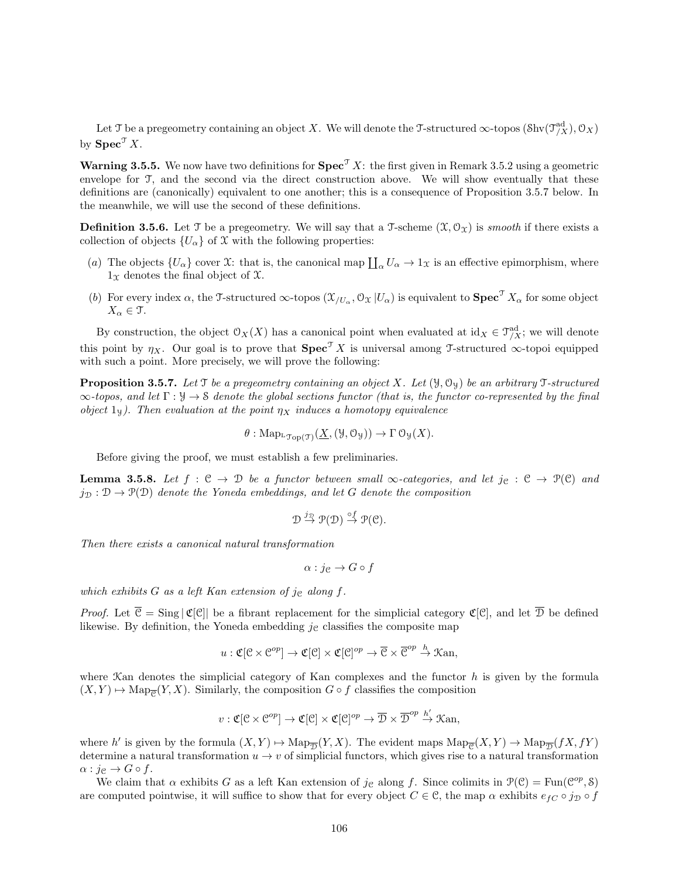Let T be a pregeometry containing an object X. We will denote the T-structured  $\infty$ -topos  $(\text{Shv}(\mathfrak{I}^{\text{ad}}_{/X}), \mathcal{O}_X)$ by  $\text{Spec}^{\mathcal{T}} X$ .

**Warning 3.5.5.** We now have two definitions for  $\text{Spec}^{\mathcal{T}} X$ : the first given in Remark 3.5.2 using a geometric envelope for  $\mathcal{T}$ , and the second via the direct construction above. We will show eventually that these definitions are (canonically) equivalent to one another; this is a consequence of Proposition 3.5.7 below. In the meanwhile, we will use the second of these definitions.

**Definition 3.5.6.** Let T be a pregeometry. We will say that a T-scheme  $(\mathcal{X}, \mathcal{O}_{\mathcal{X}})$  is *smooth* if there exists a collection of objects  $\{U_{\alpha}\}\$  of X with the following properties:

- (a) The objects  $\{U_{\alpha}\}\right\}$  cover X: that is, the canonical map  $\prod_{\alpha} U_{\alpha} \to 1_{\mathfrak{X}}\right\}$  is an effective epimorphism, where  $1<sub>x</sub>$  denotes the final object of  $x$ .
- (b) For every index  $\alpha$ , the T-structured  $\infty$ -topos  $(\mathcal{X}_{/U_{\alpha}}, \mathcal{O}_{\mathcal{X}} | U_{\alpha})$  is equivalent to  $\mathbf{Spec}^{\mathcal{T}} X_{\alpha}$  for some object  $X_{\alpha} \in \mathfrak{T}$ .

By construction, the object  $\mathcal{O}_X(X)$  has a canonical point when evaluated at  $id_X \in \mathcal{T}^{\mathrm{ad}}_X$ ; we will denote this point by  $\eta_X$ . Our goal is to prove that  $\text{Spec}^{\mathcal{T}} X$  is universal among T-structured  $\infty$ -topoi equipped with such a point. More precisely, we will prove the following:

**Proposition 3.5.7.** Let T be a pregeometry containing an object X. Let  $(\mathcal{Y}, \mathcal{O}_{\mathcal{Y}})$  be an arbitrary T-structured  $\infty$ -topos, and let  $\Gamma : \mathcal{Y} \to \mathcal{S}$  denote the global sections functor (that is, the functor co-represented by the final object  $1_y$ ). Then evaluation at the point  $\eta_X$  induces a homotopy equivalence

$$
\theta: \mathrm{Map}_{\mathrm{L}\mathfrak{Top}(\mathfrak{I})}(\underline{X},(\mathcal{Y},\mathcal{O}_{\mathcal{Y}})) \to \Gamma \mathfrak{O}_{\mathcal{Y}}(X).
$$

Before giving the proof, we must establish a few preliminaries.

**Lemma 3.5.8.** Let  $f : \mathcal{C} \to \mathcal{D}$  be a functor between small  $\infty$ -categories, and let  $j_{\mathcal{C}} : \mathcal{C} \to \mathcal{P}(\mathcal{C})$  and  $j_{\mathcal{D}} : \mathcal{D} \to \mathcal{P}(\mathcal{D})$  denote the Yoneda embeddings, and let G denote the composition

$$
\mathcal{D} \stackrel{j_{\mathcal{D}}}{\rightarrow} \mathcal{P}(\mathcal{D}) \stackrel{\circ f}{\rightarrow} \mathcal{P}(\mathcal{C}).
$$

Then there exists a canonical natural transformation

$$
\alpha : j_{\mathfrak{C}} \to G \circ f
$$

which exhibits  $G$  as a left Kan extension of je along  $f$ .

*Proof.* Let  $\overline{C} = \text{Sing} |\mathfrak{C}[C]|$  be a fibrant replacement for the simplicial category  $\mathfrak{C}[C]$ , and let  $\overline{D}$  be defined likewise. By definition, the Yoneda embedding  $j<sub>c</sub>$  classifies the composite map

$$
u: \mathfrak{C}[\mathcal{C} \times \mathcal{C}^{op}] \to \mathfrak{C}[\mathcal{C}] \times \mathfrak{C}[\mathcal{C}]^{op} \to \overline{\mathcal{C}} \times \overline{\mathcal{C}}^{op} \stackrel{h}{\to} \mathfrak{Kan},
$$

where  $\mathcal{K}$ an denotes the simplicial category of Kan complexes and the functor h is given by the formula  $(X, Y) \mapsto \text{Map}_{\overline{\mathcal{C}}}(Y, X)$ . Similarly, the composition  $G \circ f$  classifies the composition

$$
v: \mathfrak{C}[\mathcal{C} \times \mathcal{C}^{op}] \to \mathfrak{C}[\mathcal{C}] \times \mathfrak{C}[\mathcal{C}]^{op} \to \overline{\mathcal{D}} \times \overline{\mathcal{D}}^{op} \stackrel{h'}{\to} \mathfrak{Kan},
$$

where h' is given by the formula  $(X, Y) \mapsto \text{Map}_{\overline{\mathcal{D}}}(Y, X)$ . The evident maps  $\text{Map}_{\overline{\mathcal{C}}}(X, Y) \to \text{Map}_{\overline{\mathcal{D}}}(fX, fY)$ determine a natural transformation  $u \to v$  of simplicial functors, which gives rise to a natural transformation  $\alpha : j_{\mathcal{C}} \to G \circ f$ .

We claim that  $\alpha$  exhibits G as a left Kan extension of  $j_{\mathcal{C}}$  along f. Since colimits in  $\mathcal{P}(\mathcal{C}) = \text{Fun}(\mathcal{C}^{op}, \mathcal{S})$ are computed pointwise, it will suffice to show that for every object  $C \in \mathcal{C}$ , the map  $\alpha$  exhibits  $e_{fC} \circ j_{\mathcal{D}} \circ f$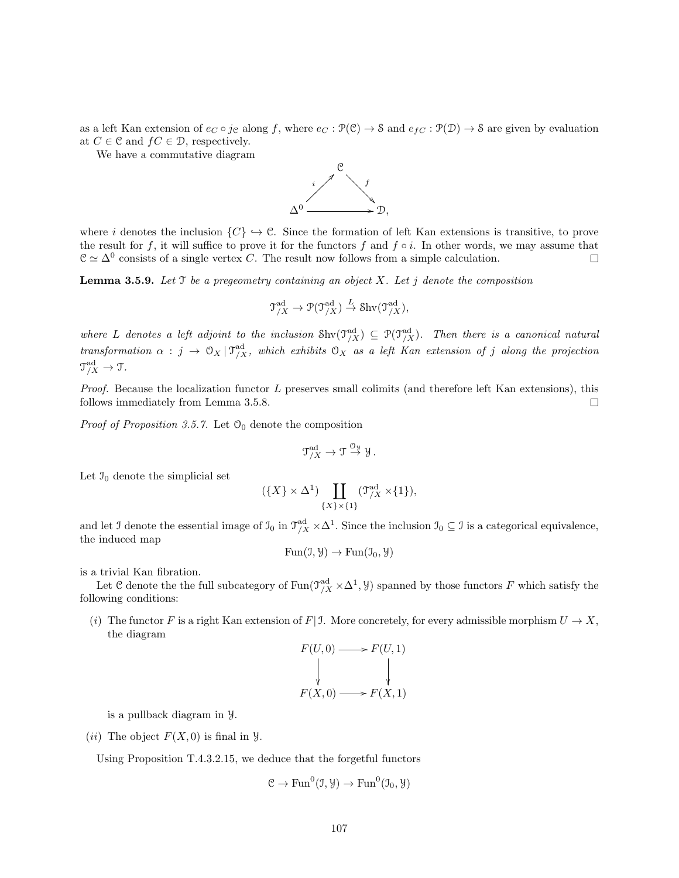as a left Kan extension of  $e_C \circ j_{\mathcal{C}}$  along f, where  $e_C : \mathcal{P}(\mathcal{C}) \to \mathcal{S}$  and  $e_{fC} : \mathcal{P}(\mathcal{D}) \to \mathcal{S}$  are given by evaluation at  $C \in \mathcal{C}$  and  $fC \in \mathcal{D}$ , respectively.

We have a commutative diagram



where i denotes the inclusion  $\{C\} \hookrightarrow \mathcal{C}$ . Since the formation of left Kan extensions is transitive, to prove the result for f, it will suffice to prove it for the functors f and  $f \circ i$ . In other words, we may assume that  $\mathcal{C} \simeq \Delta^0$  consists of a single vertex C. The result now follows from a simple calculation.  $\Box$ 

**Lemma 3.5.9.** Let  $\mathcal T$  be a pregeometry containing an object  $X$ . Let  $j$  denote the composition

$$
\mathfrak{T}^{\mathrm{ad}}_{/X} \to \mathcal{P}(\mathfrak{T}^{\mathrm{ad}}_{/X}) \stackrel{L}{\to} \operatorname{Shv}(\mathfrak{T}^{\mathrm{ad}}_{/X}),
$$

where L denotes a left adjoint to the inclusion  $\text{Shv}(\mathcal{T}_{/X}^{\text{ad}}) \subseteq \mathcal{P}(\mathcal{T}_{/X}^{\text{ad}})$ . Then there is a canonical natural transformation  $\alpha : j \to 0_X | \mathcal{T}_{/X}^{\mathrm{ad}}$ , which exhibits  $0_X$  as a left Kan extension of j along the projection  $\mathfrak{T}^{\rm ad}_{/X} \rightarrow \mathfrak{T}.$ 

*Proof.* Because the localization functor  $L$  preserves small colimits (and therefore left Kan extensions), this follows immediately from Lemma 3.5.8.  $\Box$ 

*Proof of Proposition 3.5.7.* Let  $O_0$  denote the composition

$$
\mathfrak{T}^{\mathrm{ad}}_{/X} \to \mathfrak{T} \stackrel{\mathcal{O}_\mathfrak{Y}}{\to} \mathcal{Y}.
$$

Let  $\mathfrak{I}_0$  denote the simplicial set

$$
(\{X\} \times \Delta^1) \coprod_{\{X\} \times \{1\}} (\mathfrak{I}_{/X}^{\mathrm{ad}} \times \{1\}),
$$

and let J denote the essential image of  $\mathcal{I}_0$  in  $\mathcal{T}_{/X}^{\text{ad}} \times \Delta^1$ . Since the inclusion  $\mathcal{I}_0 \subseteq \mathcal{I}$  is a categorical equivalence, the induced map

$$
Fun(\mathcal{I}, \mathcal{Y}) \to Fun(\mathcal{I}_0, \mathcal{Y})
$$

is a trivial Kan fibration.

Let C denote the the full subcategory of  $\text{Fun}(\mathfrak{I}^{\text{ad}}_{/X} \times \Delta^1, \mathcal{Y})$  spanned by those functors F which satisfy the following conditions:

(i) The functor F is a right Kan extension of F| J. More concretely, for every admissible morphism  $U \to X$ , the diagram

$$
F(U,0) \longrightarrow F(U,1)
$$
  
\n
$$
\downarrow \qquad \qquad \downarrow
$$
  
\n
$$
F(X,0) \longrightarrow F(X,1)
$$

is a pullback diagram in Y.

(*ii*) The object  $F(X, 0)$  is final in  $\mathcal{Y}$ .

Using Proposition T.4.3.2.15, we deduce that the forgetful functors

$$
\mathcal{C} \to \text{Fun}^0(\mathcal{I}, \mathcal{Y}) \to \text{Fun}^0(\mathcal{I}_0, \mathcal{Y})
$$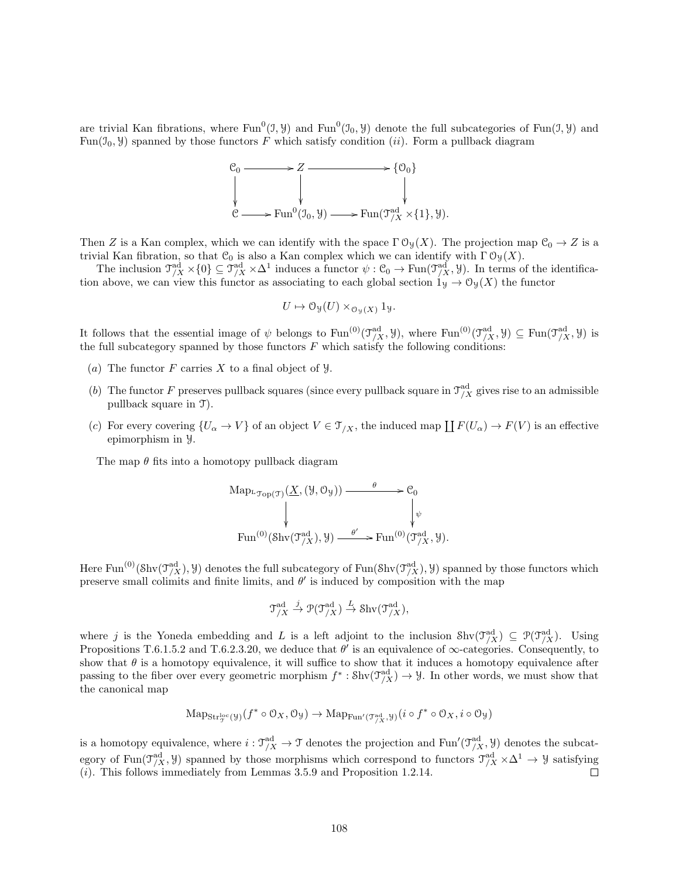are trivial Kan fibrations, where  $Fun^0(1, Y)$  and  $Fun^0(1, Y)$  denote the full subcategories of  $Fun(1, Y)$  and Fun( $\mathcal{I}_0$ ,  $\mathcal{Y}_1$ ) spanned by those functors F which satisfy condition (*ii*). Form a pullback diagram



Then Z is a Kan complex, which we can identify with the space  $\Gamma \mathcal{O}_{\mathcal{Y}}(X)$ . The projection map  $\mathcal{C}_0 \to Z$  is a trivial Kan fibration, so that  $\mathcal{C}_0$  is also a Kan complex which we can identify with  $\Gamma \mathcal{O}_{\mathcal{Y}}(X)$ .

The inclusion  $\mathcal{T}^{\text{ad}}_{/X} \times \{0\} \subseteq \mathcal{T}^{\text{ad}}_{/X} \times \Delta^1$  induces a functor  $\psi : \mathcal{C}_0 \to \text{Fun}(\mathcal{T}^{\text{ad}}_{/X}, \mathcal{Y})$ . In terms of the identification above, we can view this functor as associating to each global section  $1_y \to 0_y(X)$  the functor

$$
U \mapsto \mathcal{O}_{\mathcal{Y}}(U) \times_{\mathcal{O}_{\mathcal{Y}}(X)} 1_{\mathcal{Y}}.
$$

It follows that the essential image of  $\psi$  belongs to  $\text{Fun}^{(0)}(\mathfrak{I}^{\text{ad}}_{X}, \mathcal{Y})$ , where  $\text{Fun}^{(0)}(\mathfrak{I}^{\text{ad}}_{X}, \mathcal{Y}) \subseteq \text{Fun}(\mathfrak{I}^{\text{ad}}_{X}, \mathcal{Y})$  is the full subcategory spanned by those functors  $F$  which satisfy the following conditions:

- (a) The functor F carries X to a final object of  $\mathcal{Y}$ .
- (b) The functor F preserves pullback squares (since every pullback square in  $\mathcal{T}_{/X}^{ad}$  gives rise to an admissible pullback square in T).
- (c) For every covering  $\{U_\alpha \to V\}$  of an object  $V \in \mathcal{T}_{/X}$ , the induced map  $\prod F(U_\alpha) \to F(V)$  is an effective epimorphism in Y.

The map  $\theta$  fits into a homotopy pullback diagram

Map<sub>L<sub>Top</sub>(
$$
\mathcal{T}
$$
) ( $\underline{X}$ , ( $\vartheta$ ,  $\mathcal{O}_{\vartheta}$ ))  $\longrightarrow$   $\mathcal{C}_0$   
\n
$$
\downarrow \qquad \qquad \downarrow \qquad \qquad \downarrow \qquad \qquad \downarrow \qquad \downarrow
$$
\n
$$
\text{Fun}^{(0)}(\text{Shv}(\mathcal{T}_{/X}^{\text{ad}}), \vartheta) \xrightarrow{\theta'} \text{Fun}^{(0)}(\mathcal{T}_{/X}^{\text{ad}}, \vartheta).
$$</sub>

Here Fun<sup>(0)</sup>(Shv( $\mathcal{T}_{/X}^{ad}$ ),  $\mathcal{Y}$ ) denotes the full subcategory of Fun(Shv( $\mathcal{T}_{/X}^{ad}$ ),  $\mathcal{Y}$ ) spanned by those functors which preserve small colimits and finite limits, and  $\theta'$  is induced by composition with the map

$$
\mathfrak{T}^{\mathrm{ad}}_{/X} \xrightarrow{j} \mathfrak{P}(\mathfrak{T}^{\mathrm{ad}}_{/X}) \xrightarrow{L} \mathrm{Shv}(\mathfrak{T}^{\mathrm{ad}}_{/X}),
$$

where j is the Yoneda embedding and L is a left adjoint to the inclusion  $\text{Shv}(\mathcal{T}_{X}^{\text{ad}}) \subseteq \mathcal{P}(\mathcal{T}_{X}^{\text{ad}})$ . Using Propositions T.6.1.5.2 and T.6.2.3.20, we deduce that  $\theta'$  is an equivalence of  $\infty$ -categories. Consequently, to show that  $\theta$  is a homotopy equivalence, it will suffice to show that it induces a homotopy equivalence after passing to the fiber over every geometric morphism  $f^*: \text{Shv}(\mathcal{T}_{/X}^{ad}) \to \mathcal{Y}$ . In other words, we must show that the canonical map

$$
\mathrm{Map}_{\mathbf{Str}^{\mathrm{loc}}_T(y)}(f^* \circ \mathcal{O}_X, \mathcal{O}_y) \to \mathrm{Map}_{\mathrm{Fun}'(\mathcal{T}^{\mathrm{ad}}_{/X}, y)}(i \circ f^* \circ \mathcal{O}_X, i \circ \mathcal{O}_y)
$$

is a homotopy equivalence, where  $i: \mathcal{T}^{ad}_{/X} \to \mathcal{T}$  denotes the projection and Fun' $(\mathcal{T}^{ad}_{/X}, \mathcal{Y})$  denotes the subcategory of Fun( $\mathcal{T}^{\text{ad}}_{/X}$ , y) spanned by those morphisms which correspond to functors  $\mathcal{T}^{\text{ad}}_{/X} \times \Delta^1 \to \mathcal{Y}$  satisfying  $(i)$ . This follows immediately from Lemmas 3.5.9 and Proposition 1.2.14.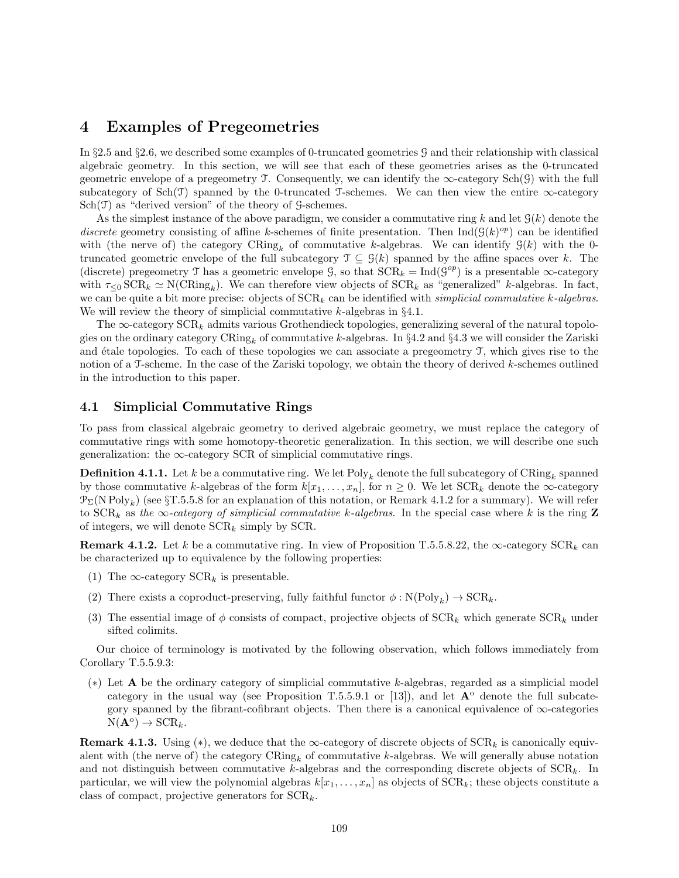# 4 Examples of Pregeometries

In §2.5 and §2.6, we described some examples of 0-truncated geometries G and their relationship with classical algebraic geometry. In this section, we will see that each of these geometries arises as the 0-truncated geometric envelope of a pregeometry T. Consequently, we can identify the  $\infty$ -category Sch(G) with the full subcategory of  $Sch(\mathcal{T})$  spanned by the 0-truncated  $\mathcal{T}$ -schemes. We can then view the entire  $\infty$ -category  $Sch(\mathcal{T})$  as "derived version" of the theory of  $\mathcal{G}\text{-schemes.}$ 

As the simplest instance of the above paradigm, we consider a commutative ring k and let  $\mathcal{G}(k)$  denote the discrete geometry consisting of affine k-schemes of finite presentation. Then  $\text{Ind}(\mathcal{G}(k)^{op})$  can be identified with (the nerve of) the category  $\text{CRing}_k$  of commutative k-algebras. We can identify  $\mathcal{G}(k)$  with the 0truncated geometric envelope of the full subcategory  $\mathcal{T} \subseteq \mathcal{G}(k)$  spanned by the affine spaces over k. The (discrete) pregeometry T has a geometric envelope  $\mathcal{G}$ , so that  $SCR_k = Ind(\mathcal{G}^{op})$  is a presentable  $\infty$ -category with  $\tau_{\leq 0}$  SCR<sub>k</sub>  $\simeq$  N(CRing<sub>k</sub>). We can therefore view objects of SCR<sub>k</sub> as "generalized" k-algebras. In fact, we can be quite a bit more precise: objects of  $SCR_k$  can be identified with simplicial commutative k-algebras. We will review the theory of simplicial commutative  $k$ -algebras in  $\S 4.1$ .

The  $\infty$ -category  $\text{SCR}_k$  admits various Grothendieck topologies, generalizing several of the natural topologies on the ordinary category CRing<sub>k</sub> of commutative k-algebras. In §4.2 and §4.3 we will consider the Zariski and étale topologies. To each of these topologies we can associate a pregeometry  $\mathcal{T}$ , which gives rise to the notion of a T-scheme. In the case of the Zariski topology, we obtain the theory of derived k-schemes outlined in the introduction to this paper.

### 4.1 Simplicial Commutative Rings

To pass from classical algebraic geometry to derived algebraic geometry, we must replace the category of commutative rings with some homotopy-theoretic generalization. In this section, we will describe one such generalization: the  $\infty$ -category SCR of simplicial commutative rings.

**Definition 4.1.1.** Let  $k$  be a commutative ring. We let  $\mathrm{Poly}_k$  denote the full subcategory of  $\mathrm{CRing}_k$  spanned by those commutative k-algebras of the form  $k[x_1, \ldots, x_n]$ , for  $n \geq 0$ . We let  $SCR_k$  denote the  $\infty$ -category  $\mathcal{P}_{\Sigma}(N \operatorname{Poly}_k)$  (see §T.5.5.8 for an explanation of this notation, or Remark 4.1.2 for a summary). We will refer to  $SCR_k$  as the  $\infty$ -category of simplicial commutative k-algebras. In the special case where k is the ring Z of integers, we will denote  $SCR_k$  simply by SCR.

**Remark 4.1.2.** Let k be a commutative ring. In view of Proposition T.5.5.8.22, the  $\infty$ -category SCR<sub>k</sub> can be characterized up to equivalence by the following properties:

- (1) The  $\infty$ -category  $\text{SCR}_k$  is presentable.
- (2) There exists a coproduct-preserving, fully faithful functor  $\phi : N(\text{Poly}_k) \to \text{SCR}_k$ .
- (3) The essential image of  $\phi$  consists of compact, projective objects of  $SCR_k$  which generate  $SCR_k$  under sifted colimits.

Our choice of terminology is motivated by the following observation, which follows immediately from Corollary T.5.5.9.3:

(∗) Let A be the ordinary category of simplicial commutative k-algebras, regarded as a simplicial model category in the usual way (see Proposition T.5.5.9.1 or [13]), and let  $A^{\circ}$  denote the full subcategory spanned by the fibrant-cofibrant objects. Then there is a canonical equivalence of  $\infty$ -categories  $N(\mathbf{A}^{\text{o}}) \rightarrow \text{SCR}_k.$ 

**Remark 4.1.3.** Using (\*), we deduce that the  $\infty$ -category of discrete objects of  $\text{SCR}_k$  is canonically equivalent with (the nerve of) the category  $CRing_k$  of commutative k-algebras. We will generally abuse notation and not distinguish between commutative k-algebras and the corresponding discrete objects of  $\text{SCR}_k$ . In particular, we will view the polynomial algebras  $k[x_1, \ldots, x_n]$  as objects of  $SCR_k$ ; these objects constitute a class of compact, projective generators for  $SCR_k$ .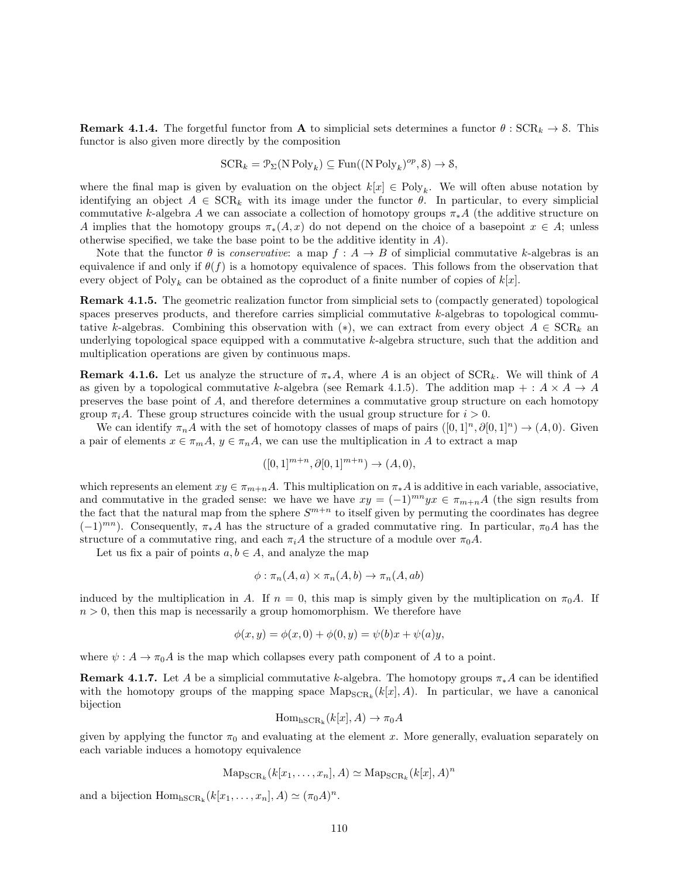**Remark 4.1.4.** The forgetful functor from **A** to simplicial sets determines a functor  $\theta$ :  $SCR_k \rightarrow \text{\&}$ . This functor is also given more directly by the composition

$$
SCR_k = \mathcal{P}_{\Sigma}(N \text{Poly}_k) \subseteq \text{Fun}((N \text{Poly}_k)^{op}, \mathcal{S}) \to \mathcal{S},
$$

where the final map is given by evaluation on the object  $k[x] \in Poly_k$ . We will often abuse notation by identifying an object  $A \in \text{SCR}_k$  with its image under the functor  $\theta$ . In particular, to every simplicial commutative k-algebra A we can associate a collection of homotopy groups  $\pi_* A$  (the additive structure on A implies that the homotopy groups  $\pi_*(A, x)$  do not depend on the choice of a basepoint  $x \in A$ ; unless otherwise specified, we take the base point to be the additive identity in  $A$ ).

Note that the functor  $\theta$  is *conservative*: a map  $f : A \to B$  of simplicial commutative k-algebras is an equivalence if and only if  $\theta(f)$  is a homotopy equivalence of spaces. This follows from the observation that every object of  $Poly_k$  can be obtained as the coproduct of a finite number of copies of  $k[x]$ .

Remark 4.1.5. The geometric realization functor from simplicial sets to (compactly generated) topological spaces preserves products, and therefore carries simplicial commutative k-algebras to topological commutative k-algebras. Combining this observation with (\*), we can extract from every object  $A \in \text{SCR}_k$  and underlying topological space equipped with a commutative k-algebra structure, such that the addition and multiplication operations are given by continuous maps.

**Remark 4.1.6.** Let us analyze the structure of  $\pi_* A$ , where A is an object of  $SCR_k$ . We will think of A as given by a topological commutative k-algebra (see Remark 4.1.5). The addition map + :  $A \times A \rightarrow A$ preserves the base point of A, and therefore determines a commutative group structure on each homotopy group  $\pi_iA$ . These group structures coincide with the usual group structure for  $i > 0$ .

We can identify  $\pi_n A$  with the set of homotopy classes of maps of pairs  $([0,1]^n, \partial [0,1]^n) \to (A, 0)$ . Given a pair of elements  $x \in \pi_m A$ ,  $y \in \pi_n A$ , we can use the multiplication in A to extract a map

$$
([0,1]^{m+n}, \partial[0,1]^{m+n}) \to (A,0),
$$

which represents an element  $xy \in \pi_{m+n}A$ . This multiplication on  $\pi_*A$  is additive in each variable, associative, and commutative in the graded sense: we have we have  $xy = (-1)^{mn}yx \in \pi_{m+n}A$  (the sign results from the fact that the natural map from the sphere  $S^{m+n}$  to itself given by permuting the coordinates has degree  $(-1)^{mn}$ ). Consequently,  $\pi_* A$  has the structure of a graded commutative ring. In particular,  $\pi_0 A$  has the structure of a commutative ring, and each  $\pi_i A$  the structure of a module over  $\pi_0 A$ .

Let us fix a pair of points  $a, b \in A$ , and analyze the map

$$
\phi : \pi_n(A, a) \times \pi_n(A, b) \to \pi_n(A, ab)
$$

induced by the multiplication in A. If  $n = 0$ , this map is simply given by the multiplication on  $\pi_0 A$ . If  $n > 0$ , then this map is necessarily a group homomorphism. We therefore have

$$
\phi(x, y) = \phi(x, 0) + \phi(0, y) = \psi(b)x + \psi(a)y,
$$

where  $\psi: A \to \pi_0 A$  is the map which collapses every path component of A to a point.

**Remark 4.1.7.** Let A be a simplicial commutative k-algebra. The homotopy groups  $\pi_* A$  can be identified with the homotopy groups of the mapping space  $\text{Map}_{\text{SCR}_k}(k[x], A)$ . In particular, we have a canonical bijection

$$
\mathrm{Hom}_{\mathrm{hSCR}_k}(k[x], A) \to \pi_0 A
$$

given by applying the functor  $\pi_0$  and evaluating at the element x. More generally, evaluation separately on each variable induces a homotopy equivalence

$$
\mathrm{Map}_{\mathrm{SCR}_k}(k[x_1,\ldots,x_n],A) \simeq \mathrm{Map}_{\mathrm{SCR}_k}(k[x],A)^n
$$

and a bijection  $Hom_{hSCR_k}(k[x_1, ..., x_n], A) \simeq (\pi_0 A)^n$ .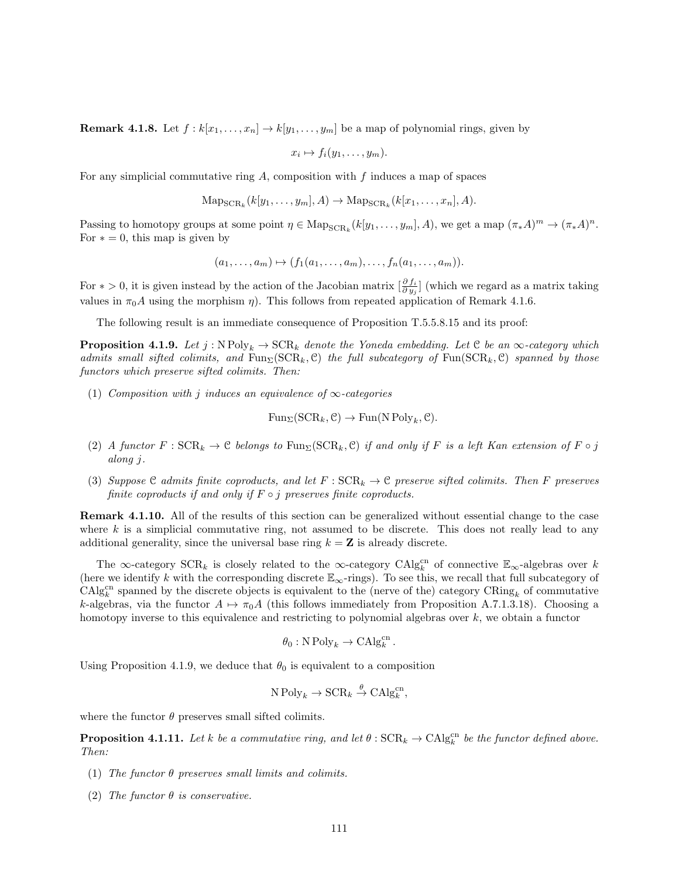**Remark 4.1.8.** Let  $f : k[x_1, \ldots, x_n] \to k[y_1, \ldots, y_m]$  be a map of polynomial rings, given by

$$
x_i \mapsto f_i(y_1, \ldots, y_m).
$$

For any simplicial commutative ring  $A$ , composition with  $f$  induces a map of spaces

$$
\mathrm{Map}_{\mathrm{SCR}_k}(k[y_1, \ldots, y_m], A) \to \mathrm{Map}_{\mathrm{SCR}_k}(k[x_1, \ldots, x_n], A).
$$

Passing to homotopy groups at some point  $\eta \in \text{Map}_{\text{SCR}_k}(k[y_1, \ldots, y_m], A)$ , we get a map  $(\pi_* A)^m \to (\pi_* A)^n$ . For  $* = 0$ , this map is given by

$$
(a_1,\ldots,a_m)\mapsto (f_1(a_1,\ldots,a_m),\ldots,f_n(a_1,\ldots,a_m)).
$$

For  $* > 0$ , it is given instead by the action of the Jacobian matrix  $\left[\frac{\partial f_i}{\partial y_j}\right]$  (which we regard as a matrix taking values in  $\pi_0 A$  using the morphism  $\eta$ ). This follows from repeated application of Remark 4.1.6.

The following result is an immediate consequence of Proposition T.5.5.8.15 and its proof:

**Proposition 4.1.9.** Let  $j : N Poly_k \to \text{SCR}_k$  denote the Yoneda embedding. Let C be an  $\infty$ -category which admits small sifted colimits, and  $Fun_{\Sigma}(\mathrm{SCR}_k, \mathcal{C})$  the full subcategory of  $Fun(\mathrm{SCR}_k, \mathcal{C})$  spanned by those functors which preserve sifted colimits. Then:

(1) Composition with j induces an equivalence of  $\infty$ -categories

$$
\mathrm{Fun}_{\Sigma}(\mathrm{SCR}_k, \mathcal{C}) \to \mathrm{Fun}(\mathrm{N}\,\mathrm{Poly}_k, \mathcal{C}).
$$

- (2) A functor  $F : \text{SCR}_k \to \mathcal{C}$  belongs to  $\text{Fun}_{\Sigma}(\text{SCR}_k, \mathcal{C})$  if and only if F is a left Kan extension of F  $\circ j$ along j.
- (3) Suppose C admits finite coproducts, and let  $F : \text{SCR}_k \to \mathcal{C}$  preserve sifted colimits. Then F preserves finite coproducts if and only if  $F \circ j$  preserves finite coproducts.

Remark 4.1.10. All of the results of this section can be generalized without essential change to the case where k is a simplicial commutative ring, not assumed to be discrete. This does not really lead to any additional generality, since the universal base ring  $k = \mathbf{Z}$  is already discrete.

The  $\infty$ -category  $\text{SCR}_k$  is closely related to the  $\infty$ -category  $\text{CAlg}_{k}^{\text{cn}}$  of connective  $\mathbb{E}_{\infty}$ -algebras over k (here we identify k with the corresponding discrete  $\mathbb{E}_{\infty}$ -rings). To see this, we recall that full subcategory of  $\text{CAlg}_{k}^{\text{cn}}$  spanned by the discrete objects is equivalent to the (nerve of the) category  $\text{CRing}_{k}$  of commutative k-algebras, via the functor  $A \mapsto \pi_0A$  (this follows immediately from Proposition A.7.1.3.18). Choosing a homotopy inverse to this equivalence and restricting to polynomial algebras over  $k$ , we obtain a functor

$$
\theta_0: \mathbf{N} \operatorname{Poly}_k \to \mathbf{CAlg}_k^{\rm cn}.
$$

Using Proposition 4.1.9, we deduce that  $\theta_0$  is equivalent to a composition

$$
N Poly_k \to \mathrm{SCR}_k \overset{\theta}{\to} \mathrm{CAlg}_k^{\mathrm{cn}},
$$

where the functor  $\theta$  preserves small sifted colimits.

**Proposition 4.1.11.** Let k be a commutative ring, and let  $\theta$ :  $SCR_k \rightarrow CAlg_k^{cn}$  be the functor defined above. Then:

- (1) The functor  $\theta$  preserves small limits and colimits.
- (2) The functor  $\theta$  is conservative.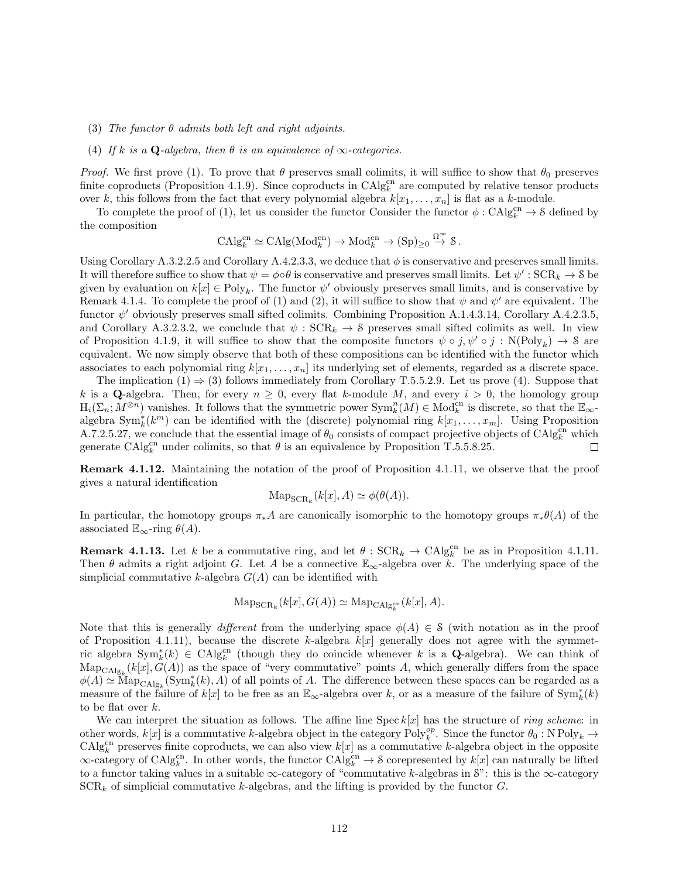- (3) The functor  $\theta$  admits both left and right adjoints.
- (4) If k is a Q-algebra, then  $\theta$  is an equivalence of  $\infty$ -categories.

*Proof.* We first prove (1). To prove that  $\theta$  preserves small colimits, it will suffice to show that  $\theta_0$  preserves finite coproducts (Proposition 4.1.9). Since coproducts in  $\text{CAlg}_{k}^{\text{cn}}$  are computed by relative tensor products over k, this follows from the fact that every polynomial algebra  $k[x_1, \ldots, x_n]$  is flat as a k-module.

To complete the proof of (1), let us consider the functor Consider the functor  $\phi: CAlg_k^{cn} \to \mathcal{S}$  defined by the composition

$$
\mathrm{CAlg}_{k}^{\mathrm{cn}} \simeq \mathrm{CAlg}(\mathrm{Mod}^{\mathrm{cn}}_{k}) \to \mathrm{Mod}^{\mathrm{cn}}_{k} \to (\mathrm{Sp})_{\geq 0} \stackrel{\Omega^{\infty}}{\to} \mathcal{S} \, .
$$

Using Corollary A.3.2.2.5 and Corollary A.4.2.3.3, we deduce that  $\phi$  is conservative and preserves small limits. It will therefore suffice to show that  $\psi = \phi \circ \theta$  is conservative and preserves small limits. Let  $\psi' : \text{SCR}_k \to \text{S}$  be given by evaluation on  $k[x] \in Poly_k$ . The functor  $\psi'$  obviously preserves small limits, and is conservative by Remark 4.1.4. To complete the proof of (1) and (2), it will suffice to show that  $\psi$  and  $\psi'$  are equivalent. The functor  $\psi'$  obviously preserves small sifted colimits. Combining Proposition A.1.4.3.14, Corollary A.4.2.3.5, and Corollary A.3.2.3.2, we conclude that  $\psi$ :  $SCR_k \rightarrow \delta$  preserves small sifted colimits as well. In view of Proposition 4.1.9, it will suffice to show that the composite functors  $\psi \circ j$ ,  $\psi' \circ j$ : N(Poly<sub>k</sub>)  $\to$  8 are equivalent. We now simply observe that both of these compositions can be identified with the functor which associates to each polynomial ring  $k[x_1, \ldots, x_n]$  its underlying set of elements, regarded as a discrete space.

The implication  $(1) \Rightarrow (3)$  follows immediately from Corollary T.5.5.2.9. Let us prove  $(4)$ . Suppose that k is a Q-algebra. Then, for every  $n \geq 0$ , every flat k-module M, and every  $i > 0$ , the homology group  $H_i(\Sigma_n; M^{\otimes n})$  vanishes. It follows that the symmetric power  $\text{Sym}_k^n(M) \in \text{Mod}_{k}^{cn}$  is discrete, so that the  $\mathbb{E}_{\infty}$ algebra  $\text{Sym}_{k}^{*}(k^{m})$  can be identified with the (discrete) polynomial ring  $k[x_1, \ldots, x_m]$ . Using Proposition A.7.2.5.27, we conclude that the essential image of  $\theta_0$  consists of compact projective objects of CAlg<sub>k</sub><sup>cn</sup> which generate  $\mathrm{CAlg}_{k}^{\mathrm{cn}}$  under colimits, so that  $\theta$  is an equivalence by Proposition T.5.5.8.25.  $\Box$ 

Remark 4.1.12. Maintaining the notation of the proof of Proposition 4.1.11, we observe that the proof gives a natural identification

$$
\operatorname{Map}_{\operatorname{SCR}_k}(k[x], A) \simeq \phi(\theta(A)).
$$

In particular, the homotopy groups  $\pi_* A$  are canonically isomorphic to the homotopy groups  $\pi_* \theta(A)$  of the associated  $\mathbb{E}_{\infty}$ -ring  $\theta(A)$ .

**Remark 4.1.13.** Let k be a commutative ring, and let  $\theta$ :  $SCR_k \rightarrow CAlg_k^{cn}$  be as in Proposition 4.1.11. Then  $\theta$  admits a right adjoint G. Let A be a connective  $\mathbb{E}_{\infty}$ -algebra over k. The underlying space of the simplicial commutative k-algebra  $G(A)$  can be identified with

$$
\mathrm{Map}_{\mathrm{SCR}_k}(k[x], G(A)) \simeq \mathrm{Map}_{\mathrm{CAlg}_k^{\mathrm{cn}}}(k[x], A).
$$

Note that this is generally different from the underlying space  $\phi(A) \in \mathcal{S}$  (with notation as in the proof of Proposition 4.1.11), because the discrete k-algebra  $k[x]$  generally does not agree with the symmetric algebra  $\text{Sym}_k^*(k) \in \text{CAlg}_{k}^{\text{cn}}$  (though they do coincide whenever k is a Q-algebra). We can think of  $\text{Map}_{\text{CAlg}_k}(k[x], G(A))$  as the space of "very commutative" points A, which generally differs from the space  $\phi(A) \simeq \text{Map}_{\text{CAlg}_k}(\text{Sym}_k^*(k), A)$  of all points of A. The difference between these spaces can be regarded as a measure of the failure of  $k[x]$  to be free as an  $\mathbb{E}_{\infty}$ -algebra over k, or as a measure of the failure of  $\text{Sym}_{k}^{*}(k)$ to be flat over k.

We can interpret the situation as follows. The affine line  $\text{Spec } k[x]$  has the structure of *ring scheme*: in other words,  $k[x]$  is a commutative k-algebra object in the category  $Poly_k^{op}$ . Since the functor  $\theta_0 : NPoly_k \to$  $\text{CAlg}_{k}^{\text{cn}}$  preserves finite coproducts, we can also view  $k[x]$  as a commutative k-algebra object in the opposite  $\infty$ -category of CAlg<sup>cn</sup>. In other words, the functor CAlg<sup>cn</sup>  $\to$  8 corepresented by k[x] can naturally be lifted to a functor taking values in a suitable  $\infty$ -category of "commutative k-algebras in S": this is the  $\infty$ -category  $SCR_k$  of simplicial commutative k-algebras, and the lifting is provided by the functor  $G$ .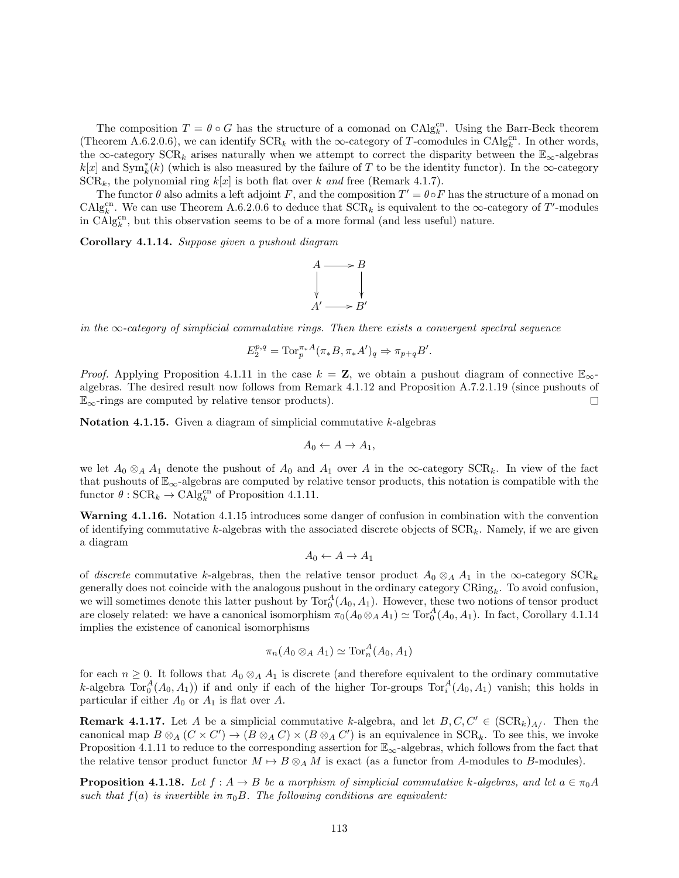The composition  $T = \theta \circ G$  has the structure of a comonad on  $\text{CAlg}_{k}^{\text{cn}}$ . Using the Barr-Beck theorem (Theorem A.6.2.0.6), we can identify  $\text{SCR}_k$  with the  $\infty$ -category of T-comodules in  $\text{CAlg}_k^{\text{cn}}$ . In other words, the ∞-category  $\text{SCR}_k$  arises naturally when we attempt to correct the disparity between the  $\mathbb{E}_{\infty}$ -algebras  $k[x]$  and  $\text{Sym}_{k}^{*}(k)$  (which is also measured by the failure of T to be the identity functor). In the ∞-category  $SCR_k$ , the polynomial ring  $k[x]$  is both flat over k and free (Remark 4.1.7).

The functor  $\theta$  also admits a left adjoint F, and the composition  $T' = \theta \circ F$  has the structure of a monad on CAlg<sup>cn</sup>. We can use Theorem A.6.2.0.6 to deduce that  $SCR_k$  is equivalent to the  $\infty$ -category of T'-modules in  $\widehat{CAlg}_k^{\text{cn}}$ , but this observation seems to be of a more formal (and less useful) nature.

Corollary 4.1.14. Suppose given a pushout diagram



in the  $\infty$ -category of simplicial commutative rings. Then there exists a convergent spectral sequence

$$
E_2^{p,q} = \text{Tor}_p^{\pi_*A}(\pi_*B, \pi_*A')_q \Rightarrow \pi_{p+q}B'.
$$

*Proof.* Applying Proposition 4.1.11 in the case  $k = \mathbb{Z}$ , we obtain a pushout diagram of connective  $\mathbb{E}_{\infty}$ algebras. The desired result now follows from Remark 4.1.12 and Proposition A.7.2.1.19 (since pushouts of  $\mathbb{E}_{\infty}$ -rings are computed by relative tensor products). П

Notation 4.1.15. Given a diagram of simplicial commutative  $k$ -algebras

$$
A_0 \leftarrow A \rightarrow A_1,
$$

we let  $A_0 \otimes_A A_1$  denote the pushout of  $A_0$  and  $A_1$  over A in the  $\infty$ -category SCR<sub>k</sub>. In view of the fact that pushouts of  $\mathbb{E}_{\infty}$ -algebras are computed by relative tensor products, this notation is compatible with the functor  $\theta$ :  $SCR_k \rightarrow CAlg_k^{cn}$  of Proposition 4.1.11.

Warning 4.1.16. Notation 4.1.15 introduces some danger of confusion in combination with the convention of identifying commutative k-algebras with the associated discrete objects of  $SCR_k$ . Namely, if we are given a diagram

$$
A_0 \leftarrow A \rightarrow A_1
$$

of discrete commutative k-algebras, then the relative tensor product  $A_0 \otimes_A A_1$  in the  $\infty$ -category  $\text{SCR}_k$ generally does not coincide with the analogous pushout in the ordinary category  $CRing_k$ . To avoid confusion, we will sometimes denote this latter pushout by  $\text{Tor}_0^A(A_0, A_1)$ . However, these two notions of tensor product are closely related: we have a canonical isomorphism  $\pi_0(A_0 \otimes_A A_1) \simeq \text{Tor}_0^A(A_0, A_1)$ . In fact, Corollary 4.1.14 implies the existence of canonical isomorphisms

$$
\pi_n(A_0 \otimes_A A_1) \simeq \text{Tor}_n^A(A_0, A_1)
$$

for each  $n \geq 0$ . It follows that  $A_0 \otimes_A A_1$  is discrete (and therefore equivalent to the ordinary commutative k-algebra  $Tor_0^A(A_0, A_1)$  if and only if each of the higher Tor-groups  $Tor_i^A(A_0, A_1)$  vanish; this holds in particular if either  $A_0$  or  $A_1$  is flat over A.

**Remark 4.1.17.** Let A be a simplicial commutative k-algebra, and let  $B, C, C' \in (\text{SCR}_k)_{A}$ . Then the canonical map  $B \otimes_A (C \times C') \to (B \otimes_A C) \times (B \otimes_A C')$  is an equivalence in  $SCR_k$ . To see this, we invoke Proposition 4.1.11 to reduce to the corresponding assertion for  $\mathbb{E}_{\infty}$ -algebras, which follows from the fact that the relative tensor product functor  $M \mapsto B \otimes_A M$  is exact (as a functor from A-modules to B-modules).

**Proposition 4.1.18.** Let  $f : A \rightarrow B$  be a morphism of simplicial commutative k-algebras, and let  $a \in \pi_0 A$ such that  $f(a)$  is invertible in  $\pi_0 B$ . The following conditions are equivalent: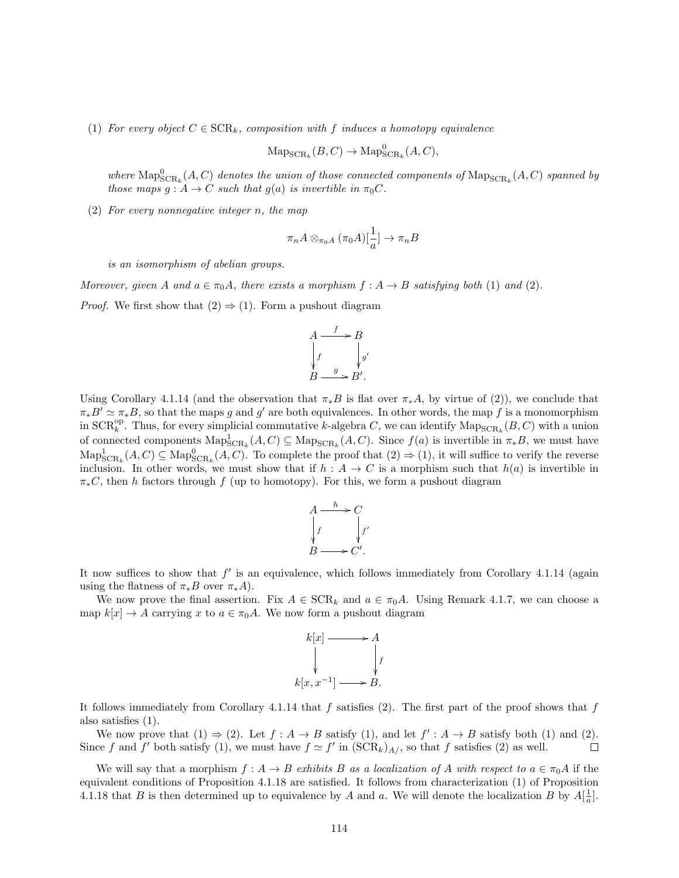(1) For every object  $C \in \text{SCR}_k$ , composition with f induces a homotopy equivalence

$$
\operatorname{Map}_{\operatorname{SCR}_k}(B, C) \to \operatorname{Map}^0_{\operatorname{SCR}_k}(A, C),
$$

where  $\text{Map}^0_{\text{SCR}_k}(A, C)$  denotes the union of those connected components of  $\text{Map}_{\text{SCR}_k}(A, C)$  spanned by those maps  $g : A \to C$  such that  $g(a)$  is invertible in  $\pi_0 C$ .

(2) For every nonnegative integer n, the map

$$
\pi_n A \otimes_{\pi_0 A} (\pi_0 A)[\frac{1}{a}] \to \pi_n B
$$

is an isomorphism of abelian groups.

Moreover, given A and  $a \in \pi_0 A$ , there exists a morphism  $f : A \to B$  satisfying both (1) and (2).

*Proof.* We first show that  $(2) \Rightarrow (1)$ . Form a pushout diagram

$$
A \xrightarrow{f} B
$$
  
\n
$$
\downarrow f \qquad \qquad \downarrow g'
$$
  
\n
$$
B \xrightarrow{g} B'.
$$

Using Corollary 4.1.14 (and the observation that  $\pi_* B$  is flat over  $\pi_* A$ , by virtue of (2)), we conclude that  $\pi_* B' \simeq \pi_* B$ , so that the maps g and g' are both equivalences. In other words, the map f is a monomorphism in  $SCR_k^{\rm op}$ . Thus, for every simplicial commutative k-algebra C, we can identify  $\mathrm{Map_{SCR_k}}(B, C)$  with a union of connected components  $\text{Map}^1_{\text{SCR}_k}(A, C) \subseteq \text{Map}_{\text{SCR}_k}(A, C)$ . Since  $f(a)$  is invertible in  $\pi_*B$ , we must have  $\text{Map}^1_{\text{SCR}_k}(A, C) \subseteq \text{Map}^0_{\text{SCR}_k}(A, C)$ . To complete the proof that  $(2) \Rightarrow (1)$ , it will suffice to verify the reverse inclusion. In other words, we must show that if  $h : A \to C$  is a morphism such that  $h(a)$  is invertible in  $\pi_*C$ , then h factors through f (up to homotopy). For this, we form a pushout diagram



It now suffices to show that  $f'$  is an equivalence, which follows immediately from Corollary 4.1.14 (again using the flatness of  $\pi_* B$  over  $\pi_* A$ ).

We now prove the final assertion. Fix  $A \in \text{SCR}_k$  and  $a \in \pi_0 A$ . Using Remark 4.1.7, we can choose a map  $k[x] \to A$  carrying x to  $a \in \pi_0 A$ . We now form a pushout diagram



It follows immediately from Corollary 4.1.14 that  $f$  satisfies (2). The first part of the proof shows that  $f$ also satisfies (1).

We now prove that  $(1) \Rightarrow (2)$ . Let  $f : A \rightarrow B$  satisfy  $(1)$ , and let  $f' : A \rightarrow B$  satisfy both  $(1)$  and  $(2)$ . Since f and f' both satisfy (1), we must have  $f \simeq f'$  in  $(\text{SCR}_k)_{A/}$ , so that f satisfies (2) as well.  $\Box$ 

We will say that a morphism  $f: A \to B$  exhibits B as a localization of A with respect to  $a \in \pi_0 A$  if the equivalent conditions of Proposition 4.1.18 are satisfied. It follows from characterization (1) of Proposition 4.1.18 that B is then determined up to equivalence by A and a. We will denote the localization B by  $A[\frac{1}{a}]$ .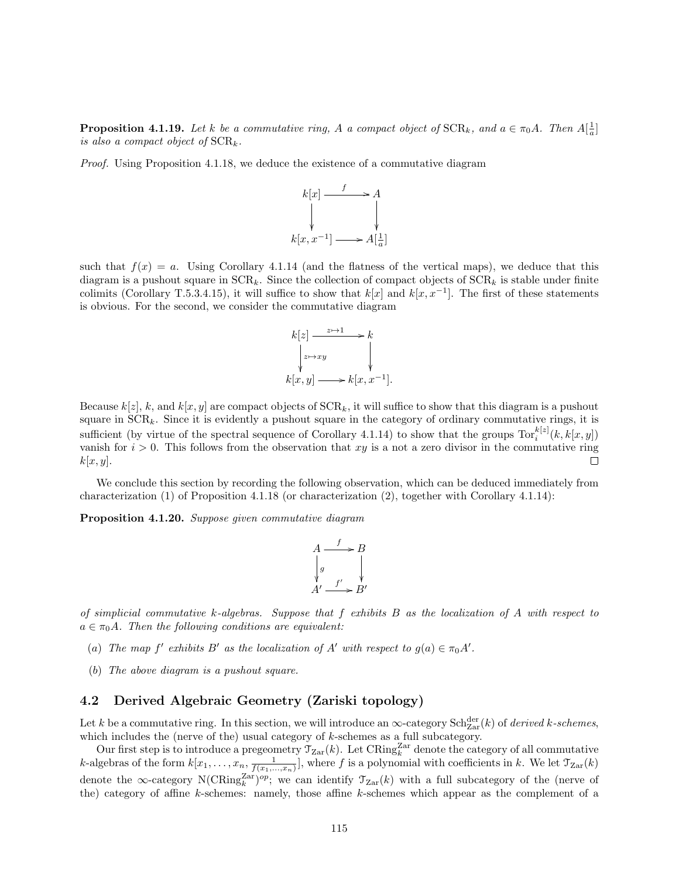**Proposition 4.1.19.** Let k be a commutative ring, A a compact object of  $SCR_k$ , and  $a \in \pi_0 A$ . Then  $A[\frac{1}{a}]$ is also a compact object of  $SCR_k$ .

Proof. Using Proposition 4.1.18, we deduce the existence of a commutative diagram



such that  $f(x) = a$ . Using Corollary 4.1.14 (and the flatness of the vertical maps), we deduce that this diagram is a pushout square in  $SCR_k$ . Since the collection of compact objects of  $SCR_k$  is stable under finite colimits (Corollary T.5.3.4.15), it will suffice to show that  $k[x]$  and  $k[x, x^{-1}]$ . The first of these statements is obvious. For the second, we consider the commutative diagram

$$
k[z] \xrightarrow{z \mapsto 1} k
$$
  
\n
$$
\downarrow z \mapsto xy
$$
  
\n
$$
k[x, y] \longrightarrow k[x, x^{-1}].
$$

Because  $k[z]$ , k, and  $k[x, y]$  are compact objects of  $SCR_k$ , it will suffice to show that this diagram is a pushout square in  $SCR_k$ . Since it is evidently a pushout square in the category of ordinary commutative rings, it is sufficient (by virtue of the spectral sequence of Corollary 4.1.14) to show that the groups  $\text{Tor}_i^{k[z]}(k, k[x, y])$ vanish for  $i > 0$ . This follows from the observation that xy is a not a zero divisor in the commutative ring  $k[x, y]$ . П

We conclude this section by recording the following observation, which can be deduced immediately from characterization (1) of Proposition 4.1.18 (or characterization (2), together with Corollary 4.1.14):

Proposition 4.1.20. Suppose given commutative diagram

$$
A \xrightarrow{f} B
$$
  
\n
$$
\downarrow g
$$
  
\n
$$
A' \xrightarrow{f'} B'
$$

of simplicial commutative k-algebras. Suppose that  $f$  exhibits  $B$  as the localization of  $A$  with respect to  $a \in \pi_0 A$ . Then the following conditions are equivalent:

- (a) The map  $f'$  exhibits  $B'$  as the localization of  $A'$  with respect to  $g(a) \in \pi_0 A'$ .
- (b) The above diagram is a pushout square.

### 4.2 Derived Algebraic Geometry (Zariski topology)

Let k be a commutative ring. In this section, we will introduce an  $\infty$ -category  $\text{Sch}^{\text{der}}_{\text{Zar}}(k)$  of *derived k-schemes*, which includes the (nerve of the) usual category of  $k$ -schemes as a full subcategory.

Our first step is to introduce a pregeometry  $\mathcal{T}_{\mathrm{Zar}}(k)$ . Let CRing<sup>Zar</sup> denote the category of all commutative k-algebras of the form  $k[x_1,\ldots,x_n,\frac{1}{f(x_1,\ldots,x_n)}]$ , where f is a polynomial with coefficients in k. We let  $\mathcal{T}_{\mathrm{Zar}}(k)$ denote the  $\infty$ -category N(CRing<sup>Zar</sup>)<sup>op</sup>; we can identify  $\mathcal{T}_{Zar}(k)$  with a full subcategory of the (nerve of the) category of affine k-schemes: namely, those affine k-schemes which appear as the complement of a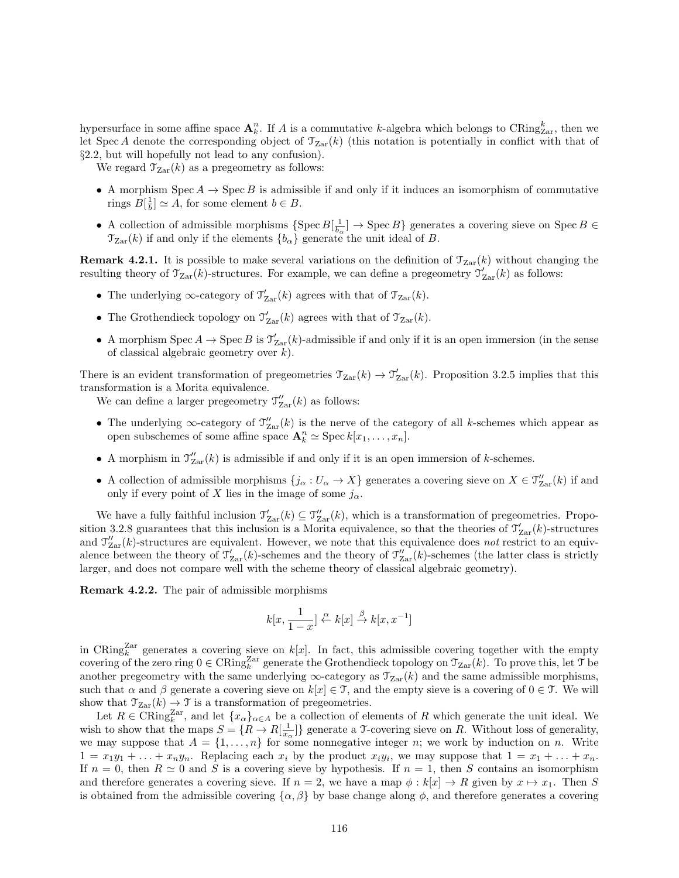hypersurface in some affine space  $\mathbf{A}_k^n$ . If A is a commutative k-algebra which belongs to CRing $_{\text{Zar}}^k$ , then we let Spec A denote the corresponding object of  $\mathcal{T}_{\text{Zar}}(k)$  (this notation is potentially in conflict with that of §2.2, but will hopefully not lead to any confusion).

We regard  $\mathcal{T}_{\text{Zar}}(k)$  as a pregeometry as follows:

- A morphism  $Spec A \rightarrow Spec B$  is admissible if and only if it induces an isomorphism of commutative rings  $B[\frac{1}{b}] \simeq A$ , for some element  $b \in B$ .
- A collection of admissible morphisms  $\{ \text{Spec } B[\frac{1}{b_{\alpha}}] \to \text{Spec } B \}$  generates a covering sieve on  $\text{Spec } B \in$  $\mathcal{T}_{\text{Zar}}(k)$  if and only if the elements  $\{b_{\alpha}\}\$  generate the unit ideal of B.

**Remark 4.2.1.** It is possible to make several variations on the definition of  $\mathcal{T}_{\text{Zar}}(k)$  without changing the resulting theory of  $\mathcal{T}_{\text{Zar}}(k)$ -structures. For example, we can define a pregeometry  $\mathcal{T}'_{\text{Zar}}(k)$  as follows:

- The underlying  $\infty$ -category of  $\mathcal{T}'_{\text{Zar}}(k)$  agrees with that of  $\mathcal{T}_{\text{Zar}}(k)$ .
- The Grothendieck topology on  $\mathcal{T}'_{\text{Zar}}(k)$  agrees with that of  $\mathcal{T}_{\text{Zar}}(k)$ .
- A morphism Spec  $A \to \text{Spec } B$  is  $\mathcal{T}'_{\text{Zar}}(k)$ -admissible if and only if it is an open immersion (in the sense of classical algebraic geometry over k).

There is an evident transformation of pregeometries  $\mathcal{T}_{\text{Zar}}(k) \to \mathcal{T}'_{\text{Zar}}(k)$ . Proposition 3.2.5 implies that this transformation is a Morita equivalence.

We can define a larger pregeometry  $\mathcal{T}''_{\text{Zar}}(k)$  as follows:

- The underlying  $\infty$ -category of  $\mathcal{T}''_{\text{Zar}}(k)$  is the nerve of the category of all k-schemes which appear as open subschemes of some affine space  $\mathbf{A}_k^n \simeq \operatorname{Spec} k[x_1, \ldots, x_n].$
- A morphism in  $\mathcal{T}''_{\text{Zar}}(k)$  is admissible if and only if it is an open immersion of k-schemes.
- A collection of admissible morphisms  $\{j_{\alpha}: U_{\alpha} \to X\}$  generates a covering sieve on  $X \in \mathcal{T}''_{\mathrm{Zar}}(k)$  if and only if every point of X lies in the image of some  $j_{\alpha}$ .

We have a fully faithful inclusion  $\mathcal{T}'_{\text{Zar}}(k) \subseteq \mathcal{T}''_{\text{Zar}}(k)$ , which is a transformation of pregeometries. Proposition 3.2.8 guarantees that this inclusion is a Morita equivalence, so that the theories of  $\mathcal{T}'_{\text{Zar}}(k)$ -structures and  $\mathcal{T}_{\text{Zar}}''(k)$ -structures are equivalent. However, we note that this equivalence does not restrict to an equivalence between the theory of  $\mathcal{T}'_{\text{Zar}}(k)$ -schemes and the theory of  $\mathcal{T}''_{\text{Zar}}(k)$ -schemes (the latter class is strictly larger, and does not compare well with the scheme theory of classical algebraic geometry).

Remark 4.2.2. The pair of admissible morphisms

$$
k[x, \frac{1}{1-x}] \stackrel{\alpha}{\leftarrow} k[x] \stackrel{\beta}{\rightarrow} k[x, x^{-1}]
$$

in CRing<sup>Zar</sup> generates a covering sieve on  $k[x]$ . In fact, this admissible covering together with the empty covering of the zero ring  $0 \in \text{CRing}_{k}^{\text{Zar}}$  generate the Grothendieck topology on  $\mathcal{T}_{\text{Zar}}(k)$ . To prove this, let T be another pregeometry with the same underlying  $\infty$ -category as  $\mathcal{T}_{Zar}(k)$  and the same admissible morphisms, such that  $\alpha$  and  $\beta$  generate a covering sieve on  $k[x] \in \mathcal{T}$ , and the empty sieve is a covering of  $0 \in \mathcal{T}$ . We will show that  $\mathcal{T}_{\text{Zar}}(k) \to \mathcal{T}$  is a transformation of pregeometries.

Let  $R \in \text{CRing}_{k}^{\text{Zar}}$ , and let  $\{x_{\alpha}\}_{\alpha \in A}$  be a collection of elements of R which generate the unit ideal. We wish to show that the maps  $S = \{R \to R[\frac{1}{x_\alpha}]\}$  generate a T-covering sieve on R. Without loss of generality, we may suppose that  $A = \{1, \ldots, n\}$  for some nonnegative integer n; we work by induction on n. Write  $1 = x_1y_1 + \ldots + x_ny_n$ . Replacing each  $x_i$  by the product  $x_iy_i$ , we may suppose that  $1 = x_1 + \ldots + x_n$ . If  $n = 0$ , then  $R \simeq 0$  and S is a covering sieve by hypothesis. If  $n = 1$ , then S contains an isomorphism and therefore generates a covering sieve. If  $n = 2$ , we have a map  $\phi : k[x] \to R$  given by  $x \mapsto x_1$ . Then S is obtained from the admissible covering  $\{\alpha, \beta\}$  by base change along  $\phi$ , and therefore generates a covering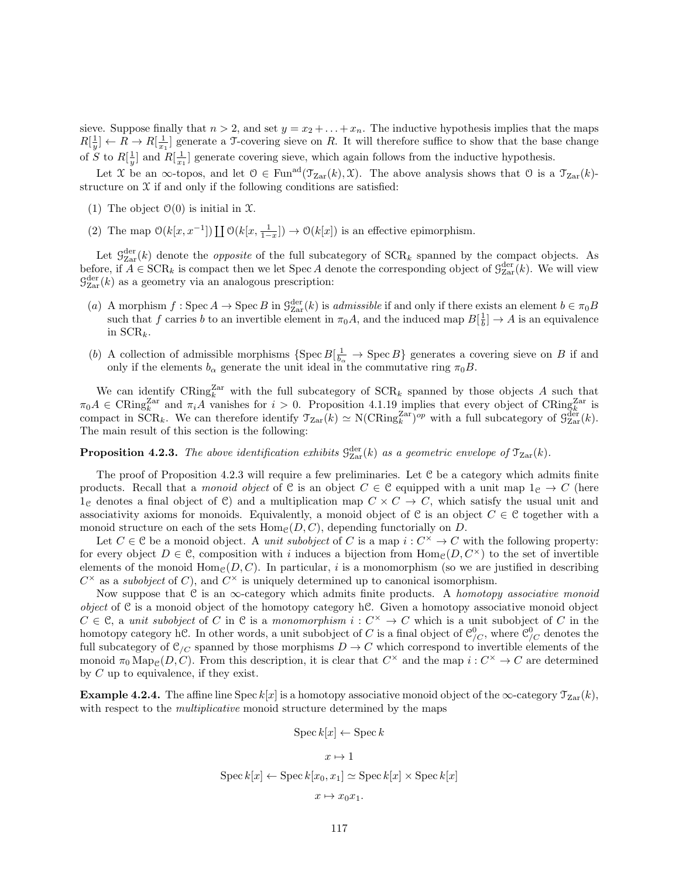sieve. Suppose finally that  $n > 2$ , and set  $y = x_2 + \ldots + x_n$ . The inductive hypothesis implies that the maps  $R[\frac{1}{y}] \leftarrow R \rightarrow R[\frac{1}{x_1}]$  generate a T-covering sieve on R. It will therefore suffice to show that the base change of S to  $R[\frac{1}{y}]$  and  $R[\frac{1}{x_1}]$  generate covering sieve, which again follows from the inductive hypothesis.

Let X be an  $\infty$ -topos, and let  $0 \in \text{Fun}^{\text{ad}}(\mathfrak{T}_{\text{Zar}}(k), \mathfrak{X})$ . The above analysis shows that  $0$  is a  $\mathfrak{T}_{\text{Zar}}(k)$ structure on  $\mathfrak X$  if and only if the following conditions are satisfied:

- (1) The object  $\mathcal{O}(0)$  is initial in  $\mathcal{X}$ .
- (2) The map  $\mathcal{O}(k[x, x^{-1}]) \coprod \mathcal{O}(k[x, \frac{1}{1-x}]) \to \mathcal{O}(k[x])$  is an effective epimorphism.

Let  $\mathcal{G}_{\text{Zar}}^{\text{der}}(k)$  denote the *opposite* of the full subcategory of  $\text{SCR}_k$  spanned by the compact objects. As before, if  $A \in \text{SCR}_k$  is compact then we let Spec A denote the corresponding object of  $\mathcal{G}_{\text{Zar}}^{\text{der}}(k)$ . We will view  $\mathcal{G}^{\text{der}}_{\text{Zar}}(k)$  as a geometry via an analogous prescription:

- (a) A morphism  $f: \text{Spec } A \to \text{Spec } B$  in  $\mathcal{G}_{\text{Zar}}^{\text{der}}(k)$  is admissible if and only if there exists an element  $b \in \pi_0 B$ such that f carries b to an invertible element in  $\pi_0 A$ , and the induced map  $B[\frac{1}{b}] \to A$  is an equivalence in  $\textrm{SCR}_k$ .
- (b) A collection of admissible morphisms  $\{Spec B[\frac{1}{b_{\alpha}} \to \text{Spec } B]$  generates a covering sieve on B if and only if the elements  $b_{\alpha}$  generate the unit ideal in the commutative ring  $\pi_0 B$ .

We can identify  $\text{CRing}_{k}^{\text{Zar}}$  with the full subcategory of  $\text{SCR}_k$  spanned by those objects A such that  $\pi_0 A \in \text{CRing}_{k}^{\text{Zar}}$  and  $\pi_i A$  vanishes for  $i > 0$ . Proposition 4.1.19 implies that every object of CRing $k^{\text{Zar}}$  is compact in SCR<sub>k</sub>. We can therefore identify  $\mathcal{T}_{\text{Zar}}(k) \simeq \text{N}(\text{CRing}_{k}^{\text{Zar}})^{op}$  with a full subcategory of  $\mathcal{G}_{\text{Zar}}^{\text{der}}(k)$ . The main result of this section is the following:

**Proposition 4.2.3.** The above identification exhibits  $\mathcal{G}_{\text{Zar}}^{\text{der}}(k)$  as a geometric envelope of  $\mathcal{T}_{\text{Zar}}(k)$ .

The proof of Proposition 4.2.3 will require a few preliminaries. Let C be a category which admits finite products. Recall that a monoid object of C is an object  $C \in \mathcal{C}$  equipped with a unit map  $1_{\mathcal{C}} \to C$  (here  $1_c$  denotes a final object of C) and a multiplication map  $C \times C \rightarrow C$ , which satisfy the usual unit and associativity axioms for monoids. Equivalently, a monoid object of C is an object  $C \in \mathcal{C}$  together with a monoid structure on each of the sets  $\text{Hom}_{\mathcal{C}}(D, C)$ , depending functorially on D.

Let  $C \in \mathcal{C}$  be a monoid object. A *unit subobject* of C is a map  $i: C^{\times} \to C$  with the following property: for every object  $D \in \mathcal{C}$ , composition with i induces a bijection from  $\text{Hom}_{\mathcal{C}}(D, C^{\times})$  to the set of invertible elements of the monoid  $\text{Hom}_{\mathcal{C}}(D, C)$ . In particular, i is a monomorphism (so we are justified in describing  $C^{\times}$  as a *subobject* of C), and  $C^{\times}$  is uniquely determined up to canonical isomorphism.

Now suppose that C is an  $\infty$ -category which admits finite products. A homotopy associative monoid object of  $C$  is a monoid object of the homotopy category h $C$ . Given a homotopy associative monoid object  $C \in \mathcal{C}$ , a unit subobject of C in  $\mathcal{C}$  is a monomorphism  $i: C^{\times} \to C$  which is a unit subobject of C in the homotopy category hC. In other words, a unit subobject of C is a final object of  $\mathcal{C}_{/C}^0$ , where  $\mathcal{C}_{/C}^0$  denotes the full subcategory of  $\mathcal{C}_{/C}$  spanned by those morphisms  $D \to C$  which correspond to invertible elements of the monoid  $\pi_0 \operatorname{Map}_{\mathcal{C}}(D, C)$ . From this description, it is clear that  $C^{\times}$  and the map  $i: C^{\times} \to C$  are determined by C up to equivalence, if they exist.

**Example 4.2.4.** The affine line Spec k[x] is a homotopy associative monoid object of the  $\infty$ -category  $\mathcal{T}_{Zar}(k)$ , with respect to the *multiplicative* monoid structure determined by the maps

$$
Spec k[x] \leftarrow Spec k
$$

$$
x \mapsto 1
$$

$$
Spec k[x] \leftarrow Spec k[x_0, x_1] \simeq Spec k[x] \times Spec k[x]
$$

$$
x \mapsto x_0 x_1.
$$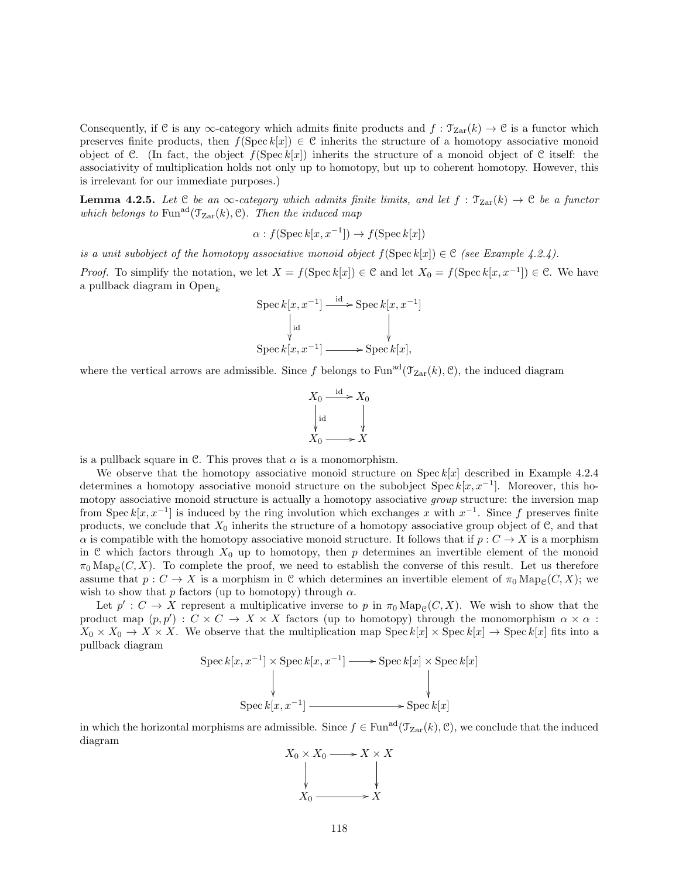Consequently, if C is any  $\infty$ -category which admits finite products and  $f : \mathcal{T}_{Zar}(k) \to \mathcal{C}$  is a functor which preserves finite products, then  $f(\text{Spec } k[x]) \in \mathcal{C}$  inherits the structure of a homotopy associative monoid object of C. (In fact, the object  $f(\text{Spec }k[x])$  inherits the structure of a monoid object of C itself: the associativity of multiplication holds not only up to homotopy, but up to coherent homotopy. However, this is irrelevant for our immediate purposes.)

**Lemma 4.2.5.** Let  $C$  be an  $\infty$ -category which admits finite limits, and let  $f : \mathcal{T}_{Zar}(k) \to C$  be a functor which belongs to Fun<sup>ad</sup>( $\mathcal{T}_{\text{Zar}}(k)$ , C). Then the induced map

$$
\alpha: f(\operatorname{Spec} k[x, x^{-1}]) \to f(\operatorname{Spec} k[x])
$$

is a unit subobject of the homotopy associative monoid object  $f(\text{Spec } k[x]) \in \mathcal{C}$  (see Example 4.2.4).

*Proof.* To simplify the notation, we let  $X = f(\text{Spec } k[x]) \in \mathcal{C}$  and let  $X_0 = f(\text{Spec } k[x, x^{-1}]) \in \mathcal{C}$ . We have a pullback diagram in  $Open_k$ 

$$
\operatorname{Spec} k[x, x^{-1}] \xrightarrow{\operatorname{id}} \operatorname{Spec} k[x, x^{-1}]
$$
\n
$$
\downarrow_{\operatorname{id}} \qquad \qquad \downarrow
$$
\n
$$
\operatorname{Spec} k[x, x^{-1}] \xrightarrow{\operatorname{id}} \operatorname{Spec} k[x],
$$

where the vertical arrows are admissible. Since f belongs to Fun<sup>ad</sup>( $\mathcal{T}_{Zar}(k)$ , C), the induced diagram

$$
X_0 \xrightarrow{\text{id}} X_0
$$
  
\n
$$
\downarrow \text{id}
$$
  
\n
$$
X_0 \longrightarrow X
$$

is a pullback square in C. This proves that  $\alpha$  is a monomorphism.

We observe that the homotopy associative monoid structure on Spec  $k[x]$  described in Example 4.2.4 determines a homotopy associative monoid structure on the subobject Spec  $k[x, x^{-1}]$ . Moreover, this homotopy associative monoid structure is actually a homotopy associative *group* structure: the inversion map from Spec  $k[x, x^{-1}]$  is induced by the ring involution which exchanges x with  $x^{-1}$ . Since f preserves finite products, we conclude that  $X_0$  inherits the structure of a homotopy associative group object of  $\mathcal{C}$ , and that  $\alpha$  is compatible with the homotopy associative monoid structure. It follows that if  $p : C \to X$  is a morphism in C which factors through  $X_0$  up to homotopy, then p determines an invertible element of the monoid  $\pi_0 \text{Map}_{\mathcal{C}}(C, X)$ . To complete the proof, we need to establish the converse of this result. Let us therefore assume that  $p: C \to X$  is a morphism in C which determines an invertible element of  $\pi_0 \text{Map}_c(C, X)$ ; we wish to show that p factors (up to homotopy) through  $\alpha$ .

Let  $p': C \to X$  represent a multiplicative inverse to p in  $\pi_0 \text{Map}_{\mathcal{C}}(C, X)$ . We wish to show that the product map  $(p, p') : C \times C \to X \times X$  factors (up to homotopy) through the monomorphism  $\alpha \times \alpha$ :  $X_0 \times X_0 \to X \times X$ . We observe that the multiplication map Spec  $k[x] \times \text{Spec } k[x] \to \text{Spec } k[x]$  fits into a pullback diagram

$$
\operatorname{Spec} k[x, x^{-1}] \times \operatorname{Spec} k[x, x^{-1}] \longrightarrow \operatorname{Spec} k[x] \times \operatorname{Spec} k[x]
$$
\n
$$
\downarrow \qquad \qquad \downarrow
$$
\n
$$
\operatorname{Spec} k[x, x^{-1}] \longrightarrow \operatorname{Spec} k[x]
$$

in which the horizontal morphisms are admissible. Since  $f \in \text{Fun}^{\text{ad}}(\mathcal{T}_{\text{Zar}}(k), \mathcal{C})$ , we conclude that the induced diagram

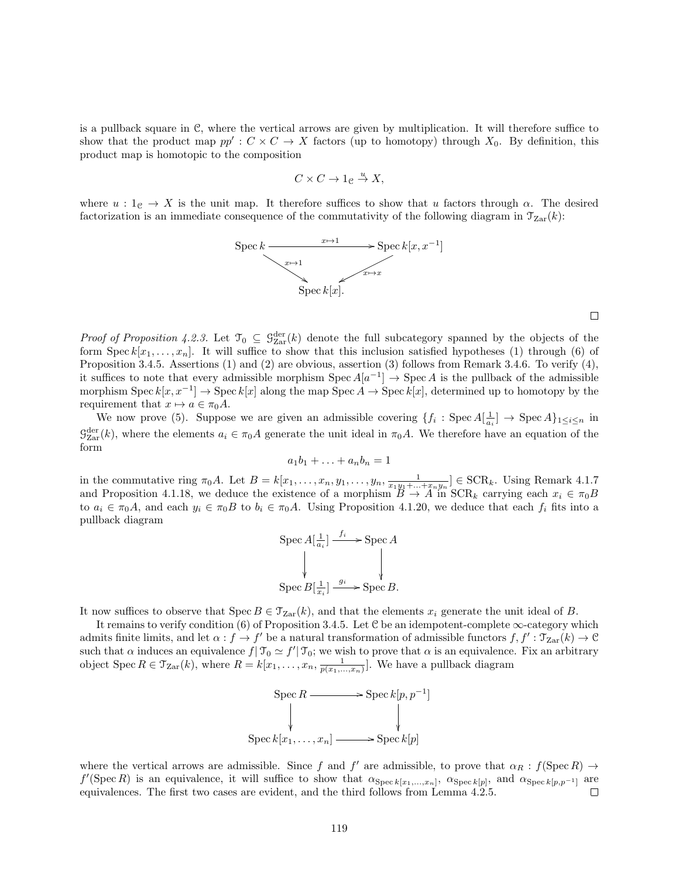is a pullback square in C, where the vertical arrows are given by multiplication. It will therefore suffice to show that the product map  $pp': C \times C \to X$  factors (up to homotopy) through  $X_0$ . By definition, this product map is homotopic to the composition

$$
C \times C \to 1_{\mathcal{C}} \stackrel{u}{\to} X,
$$

where  $u: 1_{\mathcal{C}} \to X$  is the unit map. It therefore suffices to show that u factors through  $\alpha$ . The desired factorization is an immediate consequence of the commutativity of the following diagram in  $\mathcal{T}_{\mathrm{Zar}}(k)$ :



Proof of Proposition 4.2.3. Let  $\mathcal{T}_0 \subseteq \mathcal{G}_{\text{Zar}}^{\text{der}}(k)$  denote the full subcategory spanned by the objects of the form Spec  $k[x_1, \ldots, x_n]$ . It will suffice to show that this inclusion satisfied hypotheses (1) through (6) of Proposition 3.4.5. Assertions (1) and (2) are obvious, assertion (3) follows from Remark 3.4.6. To verify (4), it suffices to note that every admissible morphism  $Spec A[a^{-1}] \rightarrow Spec A$  is the pullback of the admissible morphism Spec  $k[x, x^{-1}] \to \text{Spec } k[x]$  along the map Spec  $A \to \text{Spec } k[x]$ , determined up to homotopy by the requirement that  $x \mapsto a \in \pi_0 A$ .

We now prove (5). Suppose we are given an admissible covering  $\{f_i: {\rm Spec}\,A[\frac{1}{a_i}] \to {\rm Spec}\,A\}_{1\leq i\leq n}$  in  $\mathcal{G}_{\text{Zar}}^{\text{der}}(k)$ , where the elements  $a_i \in \pi_0 A$  generate the unit ideal in  $\pi_0 A$ . We therefore have an equation of the form

$$
a_1b_1+\ldots+a_nb_n=1
$$

in the commutative ring  $\pi_0 A$ . Let  $B = k[x_1, \ldots, x_n, y_1, \ldots, y_n, \frac{1}{x_1y_1 + \ldots + x_ny_n}] \in \text{SCR}_k$ . Using Remark 4.1.7 and Proposition 4.1.18, we deduce the existence of a morphism  $B \to A$  in  $SCR_k$  carrying each  $x_i \in \pi_0B$ to  $a_i \in \pi_0 A$ , and each  $y_i \in \pi_0 B$  to  $b_i \in \pi_0 A$ . Using Proposition 4.1.20, we deduce that each  $f_i$  fits into a pullback diagram

$$
\operatorname{Spec} A[\frac{1}{a_i}] \xrightarrow{f_i} \operatorname{Spec} A
$$
  
\n
$$
\downarrow \qquad \qquad \downarrow
$$
  
\n
$$
\operatorname{Spec} B[\frac{1}{x_i}] \xrightarrow{g_i} \operatorname{Spec} B.
$$

It now suffices to observe that  $Spec B \in \mathcal{T}_{Zar}(k)$ , and that the elements  $x_i$  generate the unit ideal of B.

It remains to verify condition  $(6)$  of Proposition 3.4.5. Let C be an idempotent-complete  $\infty$ -category which admits finite limits, and let  $\alpha : f \to f'$  be a natural transformation of admissible functors  $f, f': \mathfrak{T}_{\mathrm{Zar}}(k) \to \mathfrak{C}$ such that  $\alpha$  induces an equivalence  $f| \mathcal{T}_0 \simeq f' | \mathcal{T}_0$ ; we wish to prove that  $\alpha$  is an equivalence. Fix an arbitrary object Spec  $R \in \mathcal{T}_{\mathrm{Zar}}(k)$ , where  $R = k[x_1, \ldots, x_n, \frac{1}{p(x_1, \ldots, x_n)}]$ . We have a pullback diagram



where the vertical arrows are admissible. Since f and f' are admissible, to prove that  $\alpha_R : f(\text{Spec } R) \to$  $f'(\text{Spec } R)$  is an equivalence, it will suffice to show that  $\alpha_{\text{Spec } k[x_1,...,x_n]}$ ,  $\alpha_{\text{Spec } k[p]}$ , and  $\alpha_{\text{Spec } k[p, p^{-1}]}$  are equivalences. The first two cases are evident, and the third follows from Lemma 4.2.5.  $\Box$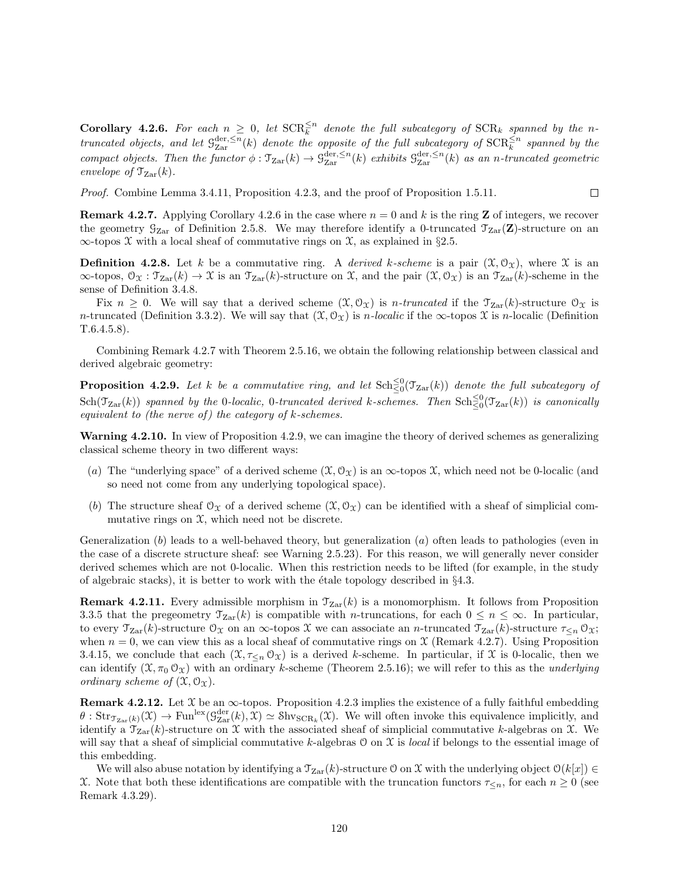**Corollary 4.2.6.** For each  $n \geq 0$ , let  $\text{SCR}_{k}^{\leq n}$  denote the full subcategory of  $\text{SCR}_{k}$  spanned by the nk truncated objects, and let  $\mathcal{G}_{\rm Zar}^{\rm der, \leq n}(k)$  denote the opposite of the full subcategory of  $\mathrm{SCR}^{\leq n}_k$  spanned by the compact objects. Then the functor  $\phi : \mathfrak{T}_{\mathrm{Zar}}(k) \to \mathfrak{G}_{\mathrm{Zar}}^{\mathrm{der},\leq n}(k)$  exhibits  $\mathfrak{G}_{\mathrm{Zar}}^{\mathrm{der},\leq n}(k)$  as an n-truncated geometric envelope of  $\mathcal{T}_{\text{Zar}}(k)$ .

Proof. Combine Lemma 3.4.11, Proposition 4.2.3, and the proof of Proposition 1.5.11.

**Remark 4.2.7.** Applying Corollary 4.2.6 in the case where  $n = 0$  and k is the ring **Z** of integers, we recover the geometry  $G_{Zar}$  of Definition 2.5.8. We may therefore identify a 0-truncated  $\mathcal{T}_{Zar}(\mathbf{Z})$ -structure on an  $\infty$ -topos X with a local sheaf of commutative rings on X, as explained in §2.5.

 $\Box$ 

**Definition 4.2.8.** Let k be a commutative ring. A derived k-scheme is a pair  $(\mathfrak{X}, \mathcal{O}_{\mathfrak{X}})$ , where  $\mathfrak{X}$  is an  $\infty$ -topos,  $\mathcal{O}_{\mathfrak{X}} : \mathfrak{T}_{\mathrm{Zar}}(k) \to \mathfrak{X}$  is an  $\mathfrak{T}_{\mathrm{Zar}}(k)$ -structure on X, and the pair  $(\mathfrak{X}, \mathcal{O}_{\mathfrak{X}})$  is an  $\mathfrak{T}_{\mathrm{Zar}}(k)$ -scheme in the sense of Definition 3.4.8.

Fix  $n \geq 0$ . We will say that a derived scheme  $(\mathfrak{X}, \mathfrak{O}_{\mathfrak{X}})$  is *n-truncated* if the  $\mathfrak{T}_{\mathrm{Zar}}(k)$ -structure  $\mathfrak{O}_{\mathfrak{X}}$  is n-truncated (Definition 3.3.2). We will say that  $(\mathfrak{X}, \mathcal{O}_\mathfrak{X})$  is n-localic if the  $\infty$ -topos  $\mathfrak{X}$  is n-localic (Definition T.6.4.5.8).

Combining Remark 4.2.7 with Theorem 2.5.16, we obtain the following relationship between classical and derived algebraic geometry:

**Proposition 4.2.9.** Let k be a commutative ring, and let  $\text{Sch}^{\leq 0}_{\leq 0}(\mathcal{T}_{\text{Zar}}(k))$  denote the full subcategory of  $\mathrm{Sch}(\mathfrak{T}_\mathrm{Zar}(k))$  spanned by the 0-localic, 0-truncated derived k-schemes. Then  $\mathrm{Sch}^{\leq 0}_\leq(\mathfrak{T}_\mathrm{Zar}(k))$  is canonically equivalent to (the nerve of) the category of  $k$ -schemes.

Warning 4.2.10. In view of Proposition 4.2.9, we can imagine the theory of derived schemes as generalizing classical scheme theory in two different ways:

- (a) The "underlying space" of a derived scheme  $(\mathfrak{X}, \mathfrak{O}_{\mathfrak{X}})$  is an  $\infty$ -topos  $\mathfrak{X}$ , which need not be 0-localic (and so need not come from any underlying topological space).
- (b) The structure sheaf  $\mathcal{O}_X$  of a derived scheme  $(\mathcal{X}, \mathcal{O}_X)$  can be identified with a sheaf of simplicial commutative rings on  $\mathfrak{X}$ , which need not be discrete.

Generalization  $(b)$  leads to a well-behaved theory, but generalization  $(a)$  often leads to pathologies (even in the case of a discrete structure sheaf: see Warning 2.5.23). For this reason, we will generally never consider derived schemes which are not 0-localic. When this restriction needs to be lifted (for example, in the study of algebraic stacks), it is better to work with the étale topology described in  $\S 4.3$ .

**Remark 4.2.11.** Every admissible morphism in  $\mathcal{T}_{\text{Zar}}(k)$  is a monomorphism. It follows from Proposition 3.3.5 that the pregeometry  $\mathcal{T}_{\text{Zar}}(k)$  is compatible with *n*-truncations, for each  $0 \leq n \leq \infty$ . In particular, to every  $\mathcal{T}_{\mathrm{Zar}}(k)$ -structure  $\mathcal{O}_{\mathfrak{X}}$  on an  $\infty$ -topos X we can associate an n-truncated  $\mathcal{T}_{\mathrm{Zar}}(k)$ -structure  $\tau_{\leq n} \mathcal{O}_{\mathfrak{X}}$ ; when  $n = 0$ , we can view this as a local sheaf of commutative rings on X (Remark 4.2.7). Using Proposition 3.4.15, we conclude that each  $(\mathfrak{X}, \tau_{\leq n} \mathfrak{O}_{\mathfrak{X}})$  is a derived k-scheme. In particular, if X is 0-localic, then we can identify  $(\mathfrak{X}, \pi_0 \mathfrak{O}_{\mathfrak{X}})$  with an ordinary k-scheme (Theorem 2.5.16); we will refer to this as the *underlying* ordinary scheme of  $(\mathfrak{X}, \mathfrak{O}_{\mathfrak{X}})$ .

**Remark 4.2.12.** Let  $\mathcal X$  be an  $\infty$ -topos. Proposition 4.2.3 implies the existence of a fully faithful embedding  $\theta$ :  $\text{Str}_{\mathcal{T}_{\text{Zar}}(k)}(\mathcal{X}) \to \text{Fun}^{\text{lex}}(\mathcal{G}_{\text{Zar}}^{\text{der}}(k), \mathcal{X}) \simeq \text{Shv}_{\text{SCR}_k}(\mathcal{X})$ . We will often invoke this equivalence implicitly, and identify a  $\mathcal{T}_{\text{Zar}}(k)$ -structure on X with the associated sheaf of simplicial commutative k-algebras on X. We will say that a sheaf of simplicial commutative k-algebras  $\mathcal O$  on  $\mathcal X$  is local if belongs to the essential image of this embedding.

We will also abuse notation by identifying a  $\mathcal{T}_{Zar}(k)$ -structure O on X with the underlying object  $\mathcal{O}(k[x]) \in$ X. Note that both these identifications are compatible with the truncation functors  $\tau_{\leq n}$ , for each  $n \geq 0$  (see Remark 4.3.29).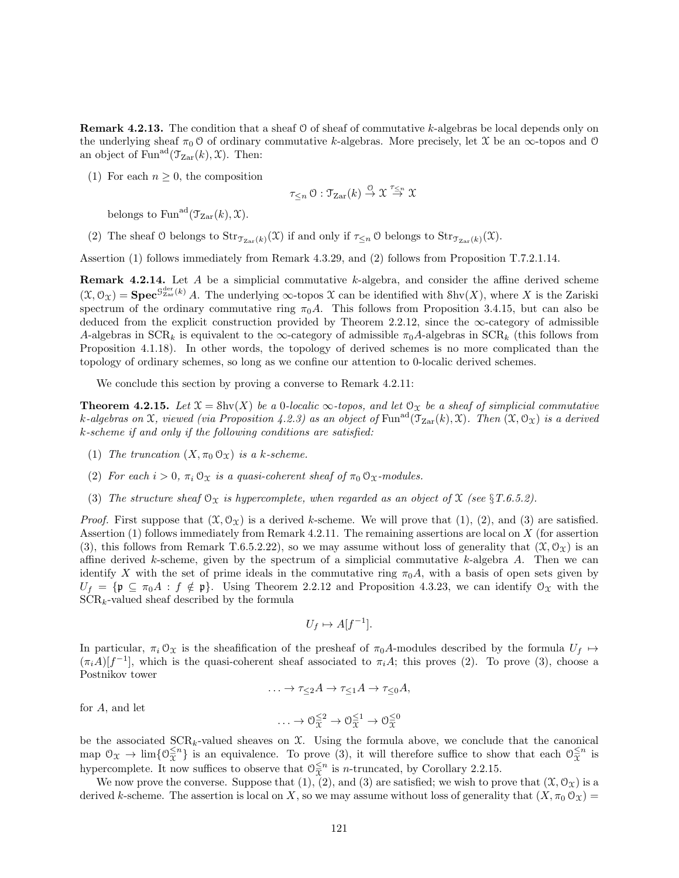**Remark 4.2.13.** The condition that a sheaf 0 of sheaf of commutative k-algebras be local depends only on the underlying sheaf  $\pi_0$  O of ordinary commutative k-algebras. More precisely, let X be an  $\infty$ -topos and O an object of Fun<sup>ad</sup> $(\mathcal{T}_{\mathrm{Zar}}(k), \mathcal{X})$ . Then:

(1) For each  $n \geq 0$ , the composition

$$
\tau_{\leq n} \circlearrowleft : \mathfrak{T}_{\mathrm{Zar}}(k) \stackrel{\circlearrowleft}{\to} \mathfrak{X} \stackrel{\tau_{\leq n}}{\to} \mathfrak{X}
$$

belongs to Fun<sup>ad</sup> $(\mathcal{T}_{\text{Zar}}(k), \mathcal{X})$ .

(2) The sheaf O belongs to  $\text{Str}_{\mathcal{T}_{\text{Zar}}(k)}(\mathfrak{X})$  if and only if  $\tau_{\leq n}$  O belongs to  $\text{Str}_{\mathcal{T}_{\text{Zar}}(k)}(\mathfrak{X})$ .

Assertion (1) follows immediately from Remark 4.3.29, and (2) follows from Proposition T.7.2.1.14.

Remark 4.2.14. Let A be a simplicial commutative k-algebra, and consider the affine derived scheme  $(\mathfrak{X}, \mathcal{O}_{\mathfrak{X}}) = \mathbf{Spec}^{\mathcal{G}_{\mathrm{Zar}}^{\mathrm{der}}(k)}$  A. The underlying  $\infty$ -topos  $\mathfrak{X}$  can be identified with  $\mathrm{Shv}(X)$ , where X is the Zariski spectrum of the ordinary commutative ring  $\pi_0 A$ . This follows from Proposition 3.4.15, but can also be deduced from the explicit construction provided by Theorem 2.2.12, since the  $\infty$ -category of admissible A-algebras in  $SCR_k$  is equivalent to the  $\infty$ -category of admissible  $\pi_0A$ -algebras in  $SCR_k$  (this follows from Proposition 4.1.18). In other words, the topology of derived schemes is no more complicated than the topology of ordinary schemes, so long as we confine our attention to 0-localic derived schemes.

We conclude this section by proving a converse to Remark 4.2.11:

**Theorem 4.2.15.** Let  $\mathfrak{X} = \text{Shv}(X)$  be a 0-localic  $\infty$ -topos, and let  $\mathfrak{O}_X$  be a sheaf of simplicial commutative k-algebras on X, viewed (via Proposition 4.2.3) as an object of  $\text{Fun}^{\text{ad}}(\mathfrak{T}_{\text{Zar}}(k), \mathfrak{X})$ . Then  $(\mathfrak{X}, \mathfrak{O}_{\mathfrak{X}})$  is a derived k-scheme if and only if the following conditions are satisfied:

- (1) The truncation  $(X, \pi_0 \mathcal{O}_X)$  is a k-scheme.
- (2) For each  $i > 0$ ,  $\pi_i \mathcal{O}_{\mathfrak{X}}$  is a quasi-coherent sheaf of  $\pi_0 \mathcal{O}_{\mathfrak{X}}$ -modules.
- (3) The structure sheaf  $\mathcal{O}_X$  is hypercomplete, when regarded as an object of X (see §T.6.5.2).

*Proof.* First suppose that  $(\mathfrak{X}, \mathcal{O}_{\mathfrak{X}})$  is a derived k-scheme. We will prove that  $(1), (2),$  and  $(3)$  are satisfied. Assertion (1) follows immediately from Remark 4.2.11. The remaining assertions are local on X (for assertion (3), this follows from Remark T.6.5.2.22), so we may assume without loss of generality that  $(\mathfrak{X}, \mathcal{O}_{\Upsilon})$  is an affine derived k-scheme, given by the spectrum of a simplicial commutative k-algebra  $A$ . Then we can identify X with the set of prime ideals in the commutative ring  $\pi_0 A$ , with a basis of open sets given by  $U_f = \{ \mathfrak{p} \subseteq \pi_0 A : f \notin \mathfrak{p} \}.$  Using Theorem 2.2.12 and Proposition 4.3.23, we can identify  $\mathfrak{O}_\mathfrak{X}$  with the  $SCR_k$ -valued sheaf described by the formula

$$
U_f \mapsto A[f^{-1}].
$$

In particular,  $\pi_i \mathcal{O}_{\mathfrak{X}}$  is the sheafification of the presheaf of  $\pi_0 A$ -modules described by the formula  $U_f \mapsto$  $(\pi_i A)[f^{-1}]$ , which is the quasi-coherent sheaf associated to  $\pi_i A$ ; this proves (2). To prove (3), choose a Postnikov tower

$$
\ldots \to \tau_{\leq 2}A \to \tau_{\leq 1}A \to \tau_{\leq 0}A,
$$

for A, and let

$$
\ldots \to \mathcal{O}_{\mathfrak{X}}^{\leq 2} \to \mathcal{O}_{\mathfrak{X}}^{\leq 1} \to \mathcal{O}_{\mathfrak{X}}^{\leq 0}
$$

be the associated  $SCR_k$ -valued sheaves on  $\mathfrak{X}$ . Using the formula above, we conclude that the canonical map  $\mathcal{O}_{\mathfrak{X}} \to \lim \{ \mathcal{O}_{\overline{\mathfrak{X}}}^{\leq n} \}$  is an equivalence. To prove (3), it will therefore suffice to show that each  $\mathcal{O}_{\overline{\mathfrak{X}}}^{\leq n}$  is hypercomplete. It now suffices to observe that  $\mathcal{O}_{\mathfrak{X}}^{\leq n}$  is *n*-truncated, by Corollary 2.2.15.

We now prove the converse. Suppose that  $(1), (2),$  and  $(3)$  are satisfied; we wish to prove that  $(\mathcal{X}, \mathcal{O}_{\mathcal{X}})$  is a derived k-scheme. The assertion is local on X, so we may assume without loss of generality that  $(X, \pi_0 \mathcal{O}_X)$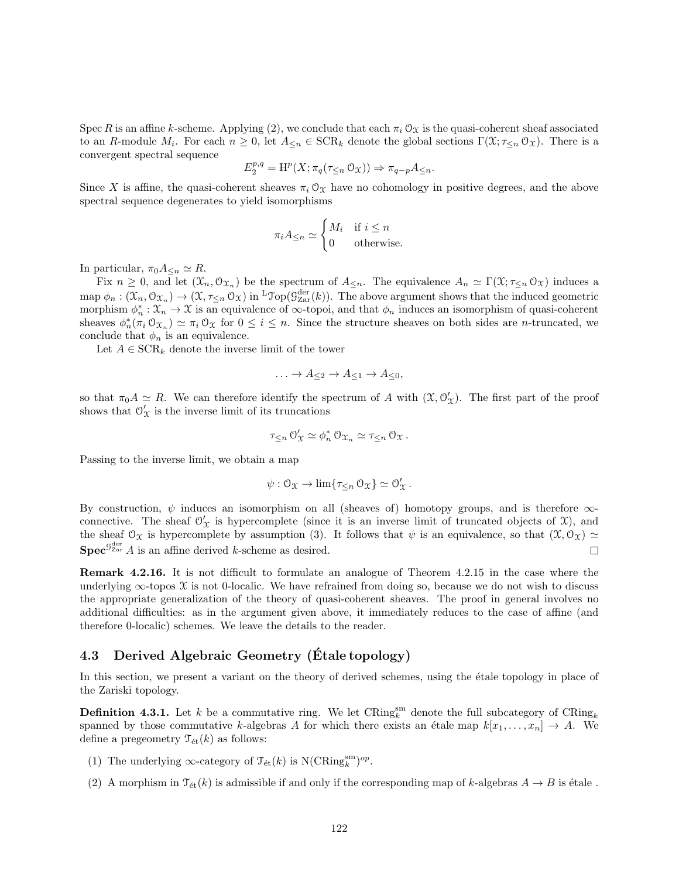Spec R is an affine k-scheme. Applying (2), we conclude that each  $\pi_i \mathcal{O}_X$  is the quasi-coherent sheaf associated to an R-module  $M_i$ . For each  $n \geq 0$ , let  $A_{\leq n} \in \text{SCR}_k$  denote the global sections  $\Gamma(\mathfrak{X}; \tau_{\leq n} \mathfrak{O}_{\mathfrak{X}})$ . There is a convergent spectral sequence

$$
E_2^{p,q} = \mathrm{H}^p(X; \pi_q(\tau_{\leq n} \mathcal{O}_X)) \Rightarrow \pi_{q-p} A_{\leq n}.
$$

Since X is affine, the quasi-coherent sheaves  $\pi_i \mathcal{O}_X$  have no cohomology in positive degrees, and the above spectral sequence degenerates to yield isomorphisms

$$
\pi_i A_{\leq n} \simeq \begin{cases} M_i & \text{if } i \leq n \\ 0 & \text{otherwise.} \end{cases}
$$

In particular,  $\pi_0 A_{\leq n} \simeq R$ .

Fix  $n \geq 0$ , and let  $(\mathfrak{X}_n, \mathfrak{O}_{\mathfrak{X}_n})$  be the spectrum of  $A_{\leq n}$ . The equivalence  $A_n \simeq \Gamma(\mathfrak{X}; \tau_{\leq n} \mathfrak{O}_{\mathfrak{X}})$  induces a map  $\phi_n: (\mathfrak{X}_n, \mathfrak{O}_{\mathfrak{X}_n}) \to (\mathfrak{X}, \tau_{\leq n} \mathfrak{O}_{\mathfrak{X}})$  in <sup>L</sup>Top( $\mathfrak{G}^{\text{der}}_{\text{Zar}}(k)$ ). The above argument shows that the induced geometric morphism  $\phi_n^*: \mathfrak{X}_n \to \mathfrak{X}$  is an equivalence of  $\infty$ -topoi, and that  $\phi_n$  induces an isomorphism of quasi-coherent sheaves  $\phi_n^*(\pi_i \mathcal{O}_{\mathfrak{X}_n}) \simeq \pi_i \mathcal{O}_{\mathfrak{X}}$  for  $0 \leq i \leq n$ . Since the structure sheaves on both sides are *n*-truncated, we conclude that  $\phi_n$  is an equivalence.

Let  $A \in \text{SCR}_k$  denote the inverse limit of the tower

$$
\ldots \to A_{\leq 2} \to A_{\leq 1} \to A_{\leq 0},
$$

so that  $\pi_0 A \simeq R$ . We can therefore identify the spectrum of A with  $(\mathfrak{X}, \mathcal{O}'_{\mathfrak{X}})$ . The first part of the proof shows that  $\mathcal{O}'_{\mathcal{X}}$  is the inverse limit of its truncations

$$
\tau_{\leq n} \, \mathcal{O}'_{\mathfrak{X}} \simeq \phi_n^* \, \mathcal{O}_{\mathfrak{X}_n} \simeq \tau_{\leq n} \, \mathcal{O}_{\mathfrak{X}} \, .
$$

Passing to the inverse limit, we obtain a map

$$
\psi: \mathcal{O}_{\mathfrak{X}} \to \lim \{ \tau_{\leq n} \mathcal{O}_{\mathfrak{X}} \} \simeq \mathcal{O}_{\mathfrak{X}}'.
$$

By construction,  $\psi$  induces an isomorphism on all (sheaves of) homotopy groups, and is therefore  $\infty$ connective. The sheaf  $\mathcal{O}'_{\mathcal{X}}$  is hypercomplete (since it is an inverse limit of truncated objects of  $\mathcal{X}$ ), and the sheaf  $\mathcal{O}_\mathcal{X}$  is hypercomplete by assumption (3). It follows that  $\psi$  is an equivalence, so that  $(\mathcal{X}, \mathcal{O}_\mathcal{X}) \simeq$  $\mathbf{Spec}^{\mathcal{G}^{\mathrm{der}}}_{\mathrm{Zar}} A$  is an affine derived k-scheme as desired.  $\Box$ 

Remark 4.2.16. It is not difficult to formulate an analogue of Theorem 4.2.15 in the case where the underlying  $\infty$ -topos X is not 0-localic. We have refrained from doing so, because we do not wish to discuss the appropriate generalization of the theory of quasi-coherent sheaves. The proof in general involves no additional difficulties: as in the argument given above, it immediately reduces to the case of affine (and therefore 0-localic) schemes. We leave the details to the reader.

### 4.3 Derived Algebraic Geometry (Etale topology)

In this section, we present a variant on the theory of derived schemes, using the étale topology in place of the Zariski topology.

**Definition 4.3.1.** Let k be a commutative ring. We let  $CRing_k^{\text{sm}}$  denote the full subcategory of  $CRing_k$ spanned by those commutative k-algebras A for which there exists an étale map  $k[x_1, \ldots, x_n] \rightarrow A$ . We define a pregeometry  $\mathcal{T}_{\text{\'et}}(k)$  as follows:

- (1) The underlying  $\infty$ -category of  $\mathcal{T}_{\text{\'et}}(k)$  is N(CRing $_k^{\text{sm}}$ )<sup>op</sup>.
- (2) A morphism in  $\mathcal{T}_{\text{\'et}}(k)$  is admissible if and only if the corresponding map of k-algebras  $A \to B$  is étale .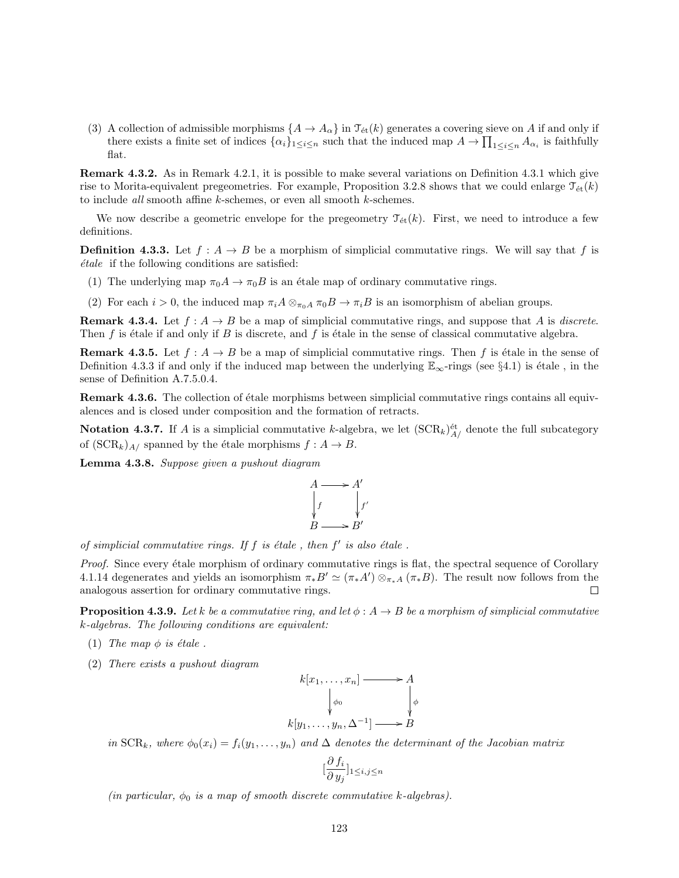(3) A collection of admissible morphisms  $\{A \to A_\alpha\}$  in  $\mathcal{T}_{\text{\'et}}(k)$  generates a covering sieve on A if and only if there exists a finite set of indices  $\{\alpha_i\}_{1\leq i\leq n}$  such that the induced map  $A \to \prod_{1\leq i\leq n} A_{\alpha_i}$  is faithfully flat.

Remark 4.3.2. As in Remark 4.2.1, it is possible to make several variations on Definition 4.3.1 which give rise to Morita-equivalent pregeometries. For example, Proposition 3.2.8 shows that we could enlarge  $\mathcal{T}_{\text{\'et}}(k)$ to include *all* smooth affine  $k$ -schemes, or even all smooth  $k$ -schemes.

We now describe a geometric envelope for the pregeometry  $\mathcal{T}_{\text{\'{e}t}}(k)$ . First, we need to introduce a few definitions.

**Definition 4.3.3.** Let  $f : A \rightarrow B$  be a morphism of simplicial commutative rings. We will say that f is  $étele$  if the following conditions are satisfied:

- (1) The underlying map  $\pi_0 A \to \pi_0 B$  is an étale map of ordinary commutative rings.
- (2) For each  $i > 0$ , the induced map  $\pi_i A \otimes_{\pi_0 A} \pi_0 B \to \pi_i B$  is an isomorphism of abelian groups.

**Remark 4.3.4.** Let  $f : A \rightarrow B$  be a map of simplicial commutative rings, and suppose that A is discrete. Then f is étale if and only if B is discrete, and f is étale in the sense of classical commutative algebra.

**Remark 4.3.5.** Let  $f : A \to B$  be a map of simplicial commutative rings. Then f is étale in the sense of Definition 4.3.3 if and only if the induced map between the underlying  $\mathbb{E}_{\infty}$ -rings (see §4.1) is étale, in the sense of Definition A.7.5.0.4.

**Remark 4.3.6.** The collection of étale morphisms between simplicial commutative rings contains all equivalences and is closed under composition and the formation of retracts.

Notation 4.3.7. If A is a simplicial commutative k-algebra, we let  $(\text{SCR}_k)_{A/}^{\text{\'et}}$  denote the full subcategory of  $(\text{SCR}_k)_{A}$  spanned by the étale morphisms  $f : A \to B$ .

Lemma 4.3.8. Suppose given a pushout diagram



of simplicial commutative rings. If  $f$  is étale, then  $f'$  is also étale.

Proof. Since every étale morphism of ordinary commutative rings is flat, the spectral sequence of Corollary 4.1.14 degenerates and yields an isomorphism  $\pi_* B' \simeq (\pi_* A') \otimes_{\pi_* A} (\pi_* B)$ . The result now follows from the analogous assertion for ordinary commutative rings.  $\Box$ 

**Proposition 4.3.9.** Let k be a commutative ring, and let  $\phi : A \rightarrow B$  be a morphism of simplicial commutative k-algebras. The following conditions are equivalent:

- (1) The map  $\phi$  is étale.
- (2) There exists a pushout diagram

$$
k[x_1, \ldots, x_n] \longrightarrow A
$$
  
\n
$$
\downarrow \phi_0
$$
  
\n
$$
k[y_1, \ldots, y_n, \Delta^{-1}] \longrightarrow B
$$

in  $SCR_k$ , where  $\phi_0(x_i) = f_i(y_1, \ldots, y_n)$  and  $\Delta$  denotes the determinant of the Jacobian matrix

$$
[\frac{\partial f_i}{\partial y_j}]_{1\leq i,j\leq n}
$$

(in particular,  $\phi_0$  is a map of smooth discrete commutative k-algebras).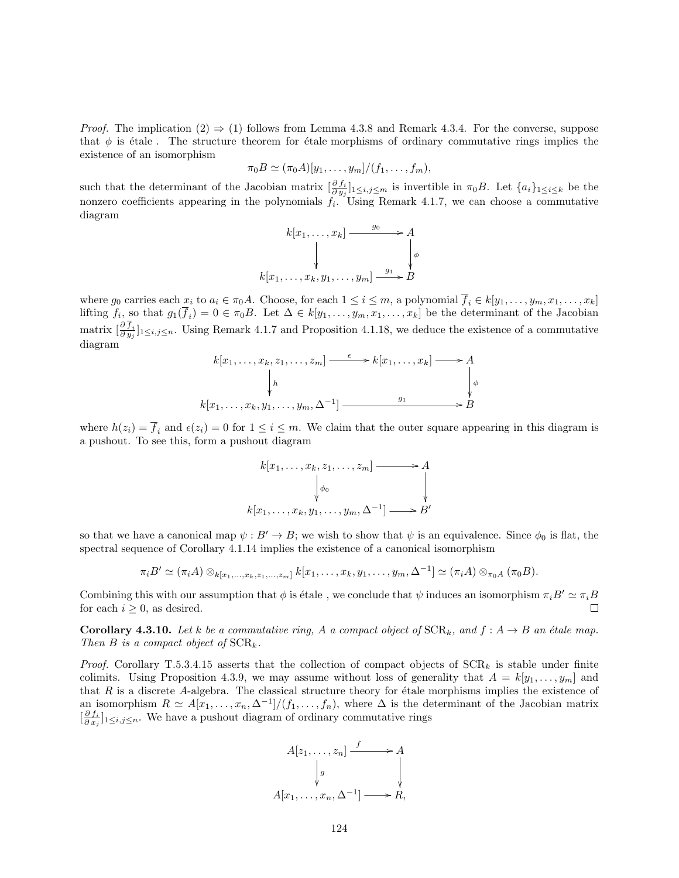*Proof.* The implication  $(2) \Rightarrow (1)$  follows from Lemma 4.3.8 and Remark 4.3.4. For the converse, suppose that  $\phi$  is étale. The structure theorem for étale morphisms of ordinary commutative rings implies the existence of an isomorphism

$$
\pi_0 B \simeq (\pi_0 A)[y_1,\ldots,y_m]/(f_1,\ldots,f_m),
$$

such that the determinant of the Jacobian matrix  $\left[\frac{\partial f_i}{\partial y_j}\right]_{1\leq i,j\leq m}$  is invertible in  $\pi_0B$ . Let  $\{a_i\}_{1\leq i\leq k}$  be the nonzero coefficients appearing in the polynomials  $f_i$ . Using Remark 4.1.7, we can choose a commutative diagram

$$
k[x_1, \ldots, x_k] \xrightarrow{g_0} A
$$
  
\n
$$
\downarrow \qquad \qquad \downarrow
$$
  
\n
$$
k[x_1, \ldots, x_k, y_1, \ldots, y_m] \xrightarrow{g_1} B
$$

where  $g_0$  carries each  $x_i$  to  $a_i \in \pi_0 A$ . Choose, for each  $1 \leq i \leq m$ , a polynomial  $f_i \in k[y_1, \ldots, y_m, x_1, \ldots, x_k]$ lifting  $f_i$ , so that  $g_1(f_i) = 0 \in \pi_0 B$ . Let  $\Delta \in k[y_1, \ldots, y_m, x_1, \ldots, x_k]$  be the determinant of the Jacobian matrix  $\left[\frac{\partial f_i}{\partial y_j}\right]_{1\leq i,j\leq n}$ . Using Remark 4.1.7 and Proposition 4.1.18, we deduce the existence of a commutative diagram

$$
k[x_1, \ldots, x_k, z_1, \ldots, z_m] \xrightarrow{\epsilon} k[x_1, \ldots, x_k] \longrightarrow A
$$
  
\n
$$
\downarrow h
$$
  
\n
$$
k[x_1, \ldots, x_k, y_1, \ldots, y_m, \Delta^{-1}] \xrightarrow{g_1} B
$$

where  $h(z_i) = \overline{f}_i$  and  $\epsilon(z_i) = 0$  for  $1 \leq i \leq m$ . We claim that the outer square appearing in this diagram is a pushout. To see this, form a pushout diagram

$$
k[x_1, \ldots, x_k, z_1, \ldots, z_m] \longrightarrow A
$$
  
\n
$$
\downarrow \phi_0
$$
  
\n
$$
k[x_1, \ldots, x_k, y_1, \ldots, y_m, \Delta^{-1}] \longrightarrow B'
$$

so that we have a canonical map  $\psi : B' \to B$ ; we wish to show that  $\psi$  is an equivalence. Since  $\phi_0$  is flat, the spectral sequence of Corollary 4.1.14 implies the existence of a canonical isomorphism

$$
\pi_i B' \simeq (\pi_i A) \otimes_{k[x_1,...,x_k,z_1,...,z_m]} k[x_1,...,x_k,y_1,...,y_m,\Delta^{-1}] \simeq (\pi_i A) \otimes_{\pi_0 A} (\pi_0 B).
$$

Combining this with our assumption that  $\phi$  is étale, we conclude that  $\psi$  induces an isomorphism  $\pi_i B' \simeq \pi_i B$ for each  $i \geq 0$ , as desired.  $\Box$ 

**Corollary 4.3.10.** Let k be a commutative ring, A a compact object of  $\text{SCR}_k$ , and  $f : A \rightarrow B$  an étale map. Then B is a compact object of  $\text{SCR}_k$ .

*Proof.* Corollary T.5.3.4.15 asserts that the collection of compact objects of  $SCR_k$  is stable under finite colimits. Using Proposition 4.3.9, we may assume without loss of generality that  $A = k[y_1, \ldots, y_m]$  and that  $R$  is a discrete A-algebra. The classical structure theory for étale morphisms implies the existence of an isomorphism  $R \simeq A[x_1, \ldots, x_n, \Delta^{-1}]/(f_1, \ldots, f_n)$ , where  $\Delta$  is the determinant of the Jacobian matrix  $\left[\frac{\partial f_i}{\partial x_j}\right]_{1\leq i,j\leq n}$ . We have a pushout diagram of ordinary commutative rings

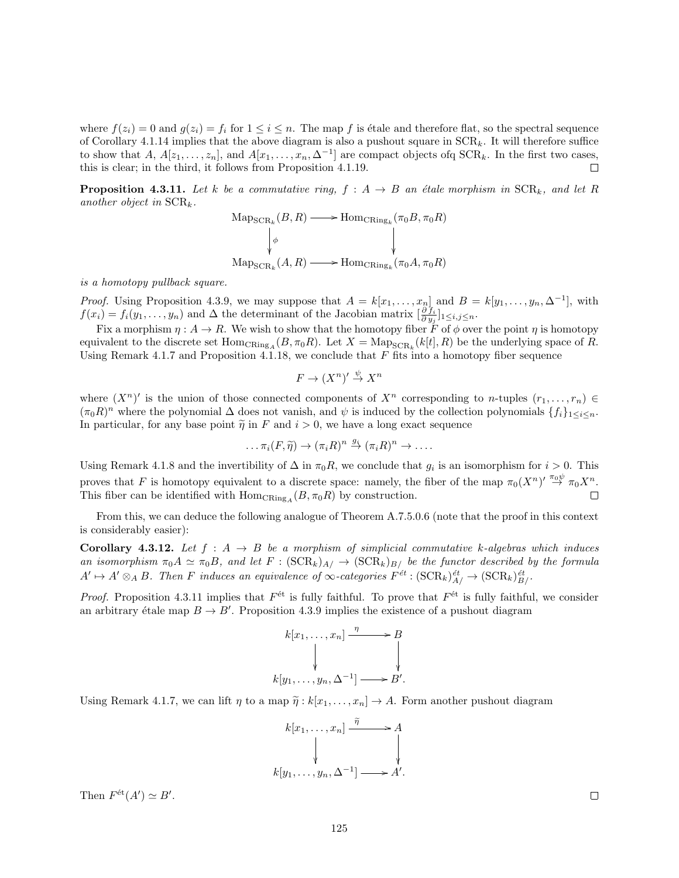where  $f(z_i) = 0$  and  $g(z_i) = f_i$  for  $1 \leq i \leq n$ . The map f is étale and therefore flat, so the spectral sequence of Corollary 4.1.14 implies that the above diagram is also a pushout square in  $SCR_k$ . It will therefore suffice to show that A,  $A[z_1,\ldots,z_n]$ , and  $A[x_1,\ldots,x_n,\Delta^{-1}]$  are compact objects of  $\text{SCR}_k$ . In the first two cases, this is clear; in the third, it follows from Proposition 4.1.19.  $\Box$ 

**Proposition 4.3.11.** Let k be a commutative ring,  $f : A \rightarrow B$  an étale morphism in  $SCR_k$ , and let R another object in  $SCR_k$ .

$$
\mathrm{Map_{SCR_k}}(B, R) \longrightarrow \mathrm{Hom_{CRing_k}}(\pi_0 B, \pi_0 R)
$$
  
\n
$$
\downarrow \phi
$$
  
\n
$$
\mathrm{Map_{SCR_k}}(A, R) \longrightarrow \mathrm{Hom_{CRing_k}}(\pi_0 A, \pi_0 R)
$$

is a homotopy pullback square.

*Proof.* Using Proposition 4.3.9, we may suppose that  $A = k[x_1, \ldots, x_n]$  and  $B = k[y_1, \ldots, y_n, \Delta^{-1}]$ , with  $f(x_i) = f_i(y_1, \ldots, y_n)$  and  $\Delta$  the determinant of the Jacobian matrix  $\left[\frac{\partial f_i}{\partial y_j}\right]_{1 \leq i,j \leq n}$ .

Fix a morphism  $\eta : A \to R$ . We wish to show that the homotopy fiber  $\tilde{F}$  of  $\phi$  over the point  $\eta$  is homotopy equivalent to the discrete set  $\text{Hom}_{CRing_A}(B, \pi_0 R)$ . Let  $X = \text{Map}_{SCR_k}(k[t], R)$  be the underlying space of R. Using Remark 4.1.7 and Proposition 4.1.18, we conclude that  $F$  fits into a homotopy fiber sequence

$$
F \to (X^n)' \overset{\psi}{\to} X^n
$$

where  $(X^n)'$  is the union of those connected components of  $X^n$  corresponding to *n*-tuples  $(r_1, \ldots, r_n)$  $(\pi_0 R)^n$  where the polynomial  $\Delta$  does not vanish, and  $\psi$  is induced by the collection polynomials  $\{f_i\}_{1\leq i\leq n}$ . In particular, for any base point  $\tilde{\eta}$  in F and  $i > 0$ , we have a long exact sequence

$$
\ldots \pi_i(F,\widetilde{\eta}) \to (\pi_i R)^n \stackrel{g_i}{\to} (\pi_i R)^n \to \ldots
$$

Using Remark 4.1.8 and the invertibility of  $\Delta$  in  $\pi_0 R$ , we conclude that  $g_i$  is an isomorphism for  $i > 0$ . This proves that F is homotopy equivalent to a discrete space: namely, the fiber of the map  $\pi_0(X^n) \stackrel{\pi_0 \psi}{\rightarrow} \pi_0 X^n$ . This fiber can be identified with  $\text{Hom}_{\text{CRing}_A}(B, \pi_0 R)$  by construction.  $\Box$ 

From this, we can deduce the following analogue of Theorem A.7.5.0.6 (note that the proof in this context is considerably easier):

Corollary 4.3.12. Let  $f : A \rightarrow B$  be a morphism of simplicial commutative k-algebras which induces an isomorphism  $\pi_0 A \simeq \pi_0 B$ , and let  $F : (\text{SCR}_k)_{A} \to (\text{SCR}_k)_{B}$  be the functor described by the formula  $A' \mapsto A' \otimes_A B$ . Then F induces an equivalence of  $\infty$ -categories  $F^{\acute{e}t} : (\text{SCR}_k)^{\acute{e}t}_{A'} \to (\text{SCR}_k)^{\acute{e}t}_{B'}$ .

*Proof.* Proposition 4.3.11 implies that  $F^{\text{\'et}}$  is fully faithful. To prove that  $F^{\text{\'et}}$  is fully faithful, we consider an arbitrary étale map  $B \to B'$ . Proposition 4.3.9 implies the existence of a pushout diagram

$$
k[x_1, \ldots, x_n] \xrightarrow{\eta} B
$$
  
\n
$$
\downarrow \qquad \qquad \downarrow
$$
  
\n
$$
k[y_1, \ldots, y_n, \Delta^{-1}] \longrightarrow B'.
$$

Using Remark 4.1.7, we can lift  $\eta$  to a map  $\tilde{\eta}: k[x_1, \ldots, x_n] \to A$ . Form another pushout diagram

$$
k[x_1, \ldots, x_n] \xrightarrow{\tilde{\eta}} A
$$
  
\n
$$
\downarrow \qquad \qquad \downarrow
$$
  
\n
$$
k[y_1, \ldots, y_n, \Delta^{-1}] \longrightarrow A'.
$$

Then  $F^{\text{\'et}}(A') \simeq B'.$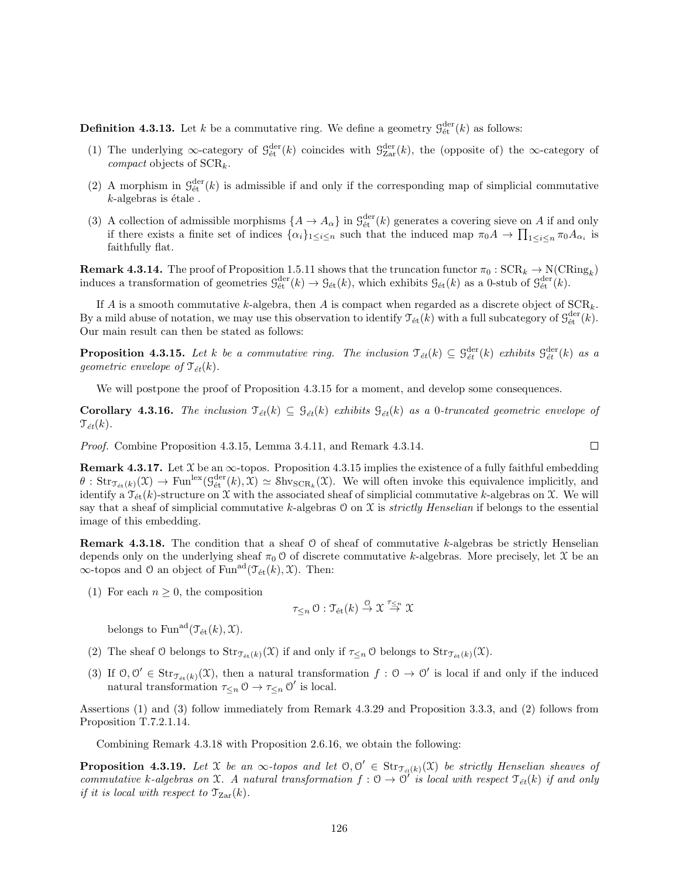**Definition 4.3.13.** Let k be a commutative ring. We define a geometry  $\mathcal{G}^{\text{der}}_{\text{\'{e}t}}(k)$  as follows:

- (1) The underlying  $\infty$ -category of  $\mathcal{G}^{\text{der}}_{\text{\'{e}t}}(k)$  coincides with  $\mathcal{G}^{\text{der}}_{\text{Zar}}(k)$ , the (opposite of) the  $\infty$ -category of *compact* objects of  $SCR_k$ .
- (2) A morphism in  $\mathcal{G}^{\text{der}}_{\text{\'et}}(k)$  is admissible if and only if the corresponding map of simplicial commutative  $k$ -algebras is étale.
- (3) A collection of admissible morphisms  $\{A \to A_\alpha\}$  in  $\mathcal{G}^{\text{der}}_{\text{\'{e}t}}(k)$  generates a covering sieve on A if and only if there exists a finite set of indices  $\{\alpha_i\}_{1\leq i\leq n}$  such that the induced map  $\pi_0 A \to \prod_{1\leq i\leq n} \pi_0 A_{\alpha_i}$  is faithfully flat.

**Remark 4.3.14.** The proof of Proposition 1.5.11 shows that the truncation functor  $\pi_0$ :  $\text{SCR}_k \to \text{N}(\text{CRing}_k)$ induces a transformation of geometries  $\mathcal{G}^{\text{der}}_{\text{\'{e}t}}(k) \to \mathcal{G}_{\text{\'{e}t}}(k)$ , which exhibits  $\mathcal{G}_{\text{\'{e}t}}(k)$  as a 0-stub of  $\mathcal{G}^{\text{der}}_{\text{\'{e}t}}(k)$ .

If A is a smooth commutative k-algebra, then A is compact when regarded as a discrete object of  $\text{SCR}_k$ . By a mild abuse of notation, we may use this observation to identify  $\mathcal{T}_{\text{\'et}}(k)$  with a full subcategory of  $\mathcal{G}_{\text{\'et}}^{\text{der}}(k)$ . Our main result can then be stated as follows:

**Proposition 4.3.15.** Let k be a commutative ring. The inclusion  $\mathcal{T}_{\acute{e}t}(k) \subseteq \mathcal{G}_{\acute{e}t}^{\text{der}}(k)$  exhibits  $\mathcal{G}_{\acute{e}t}^{\text{der}}(k)$  as a geometric envelope of  $\mathcal{T}_{\acute{e}t}(k)$ .

We will postpone the proof of Proposition 4.3.15 for a moment, and develop some consequences.

**Corollary 4.3.16.** The inclusion  $\mathcal{T}_{\acute{e}t}(k) \subseteq \mathcal{G}_{\acute{e}t}(k)$  exhibits  $\mathcal{G}_{\acute{e}t}(k)$  as a 0-truncated geometric envelope of  $\mathcal{T}_{\acute{e}t}(k)$ .

Proof. Combine Proposition 4.3.15, Lemma 3.4.11, and Remark 4.3.14.

**Remark 4.3.17.** Let  $X$  be an  $\infty$ -topos. Proposition 4.3.15 implies the existence of a fully faithful embedding  $\theta$ :  $\text{Str}_{\mathfrak{I}_{\text{\'et}}(k)}(\mathfrak{X}) \to \text{Fun}^{\text{lex}}(\mathfrak{G}_{\text{\'et}}^{\text{der}}(k), \mathfrak{X}) \simeq \text{Shv}_{\text{SCR}_k}(\mathfrak{X})$ . We will often invoke this equivalence implicitly, and identify a  $\mathcal{T}_{\text{\'et}}(k)$ -structure on X with the associated sheaf of simplicial commutative k-algebras on X. We will say that a sheaf of simplicial commutative k-algebras  $\mathcal O$  on  $\mathcal X$  is *strictly Henselian* if belongs to the essential image of this embedding.

**Remark 4.3.18.** The condition that a sheaf  $\theta$  of sheaf of commutative k-algebras be strictly Henselian depends only on the underlying sheaf  $\pi_0$  O of discrete commutative k-algebras. More precisely, let  $\mathfrak X$  be an  $\infty$ -topos and 0 an object of Fun<sup>ad</sup>( $\mathcal{T}_{\text{\'et}}(k), \mathcal{X}$ ). Then:

(1) For each  $n \geq 0$ , the composition

$$
\tau_{\leq n}\circlearrowleft :\mathfrak{T}_{\text{\'et}}(k)\overset{\circ}{\to} \mathfrak{X}\overset{\tau_{\leq n}}{\to}\mathfrak{X}
$$

belongs to Fun<sup>ad</sup> $(\mathcal{T}_{\text{\'et}}(k), \mathcal{X})$ .

- (2) The sheaf O belongs to  $\text{Str}_{\mathcal{T}_{\text{\'et}}(k)}(\mathfrak{X})$  if and only if  $\tau_{\leq n}$  O belongs to  $\text{Str}_{\mathcal{T}_{\text{\'et}}(k)}(\mathfrak{X})$ .
- (3) If  $0,0' \in \text{Str}_{\mathcal{T}_{\text{\'{e}t}}(k)}(\mathfrak{X})$ , then a natural transformation  $f: 0 \to 0'$  is local if and only if the induced natural transformation  $\tau_{\leq n} \n\cup \rightarrow \tau_{\leq n} \n\cup'$  is local.

Assertions (1) and (3) follow immediately from Remark 4.3.29 and Proposition 3.3.3, and (2) follows from Proposition T.7.2.1.14.

Combining Remark 4.3.18 with Proposition 2.6.16, we obtain the following:

**Proposition 4.3.19.** Let X be an  $\infty$ -topos and let  $0, 0' \in \text{Str}_{\mathcal{T}_{\text{\'et}}(k)}(\mathfrak{X})$  be strictly Henselian sheaves of commutative k-algebras on X. A natural transformation  $f: 0 \to 0'$  is local with respect  $\mathcal{T}_{\acute{e}t}(k)$  if and only if it is local with respect to  $\mathcal{T}_{\text{Zar}}(k)$ .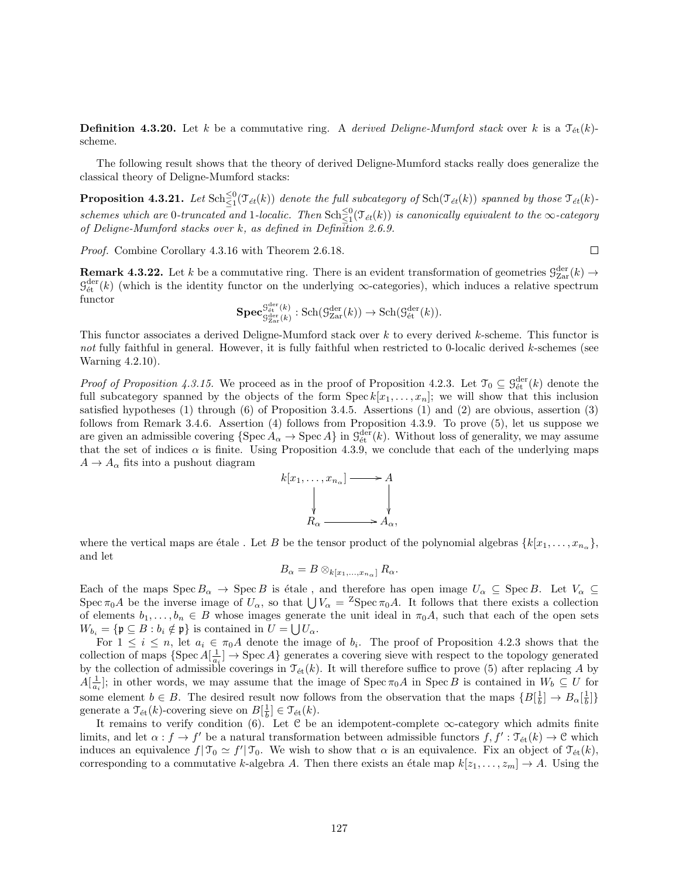**Definition 4.3.20.** Let k be a commutative ring. A derived Deligne-Mumford stack over k is a  $\mathcal{T}_{\text{\'et}}(k)$ scheme.

The following result shows that the theory of derived Deligne-Mumford stacks really does generalize the classical theory of Deligne-Mumford stacks:

**Proposition 4.3.21.** Let  $\text{Sch}^{\leq 0}_{\leq 1}(\mathcal{T}_{\acute{e}t}(k))$  denote the full subcategory of  $\text{Sch}(\mathcal{T}_{\acute{e}t}(k))$  spanned by those  $\mathcal{T}_{\acute{e}t}(k)$ schemes which are 0-truncated and 1-localic. Then  $\text{Sch}\frac{\leq 0}{\leq 1}(\mathcal{T}_{\acute{e}t}(k))$  is canonically equivalent to the  $\infty$ -category of Deligne-Mumford stacks over k, as defined in Definition 2.6.9.

Proof. Combine Corollary 4.3.16 with Theorem 2.6.18.

**Remark 4.3.22.** Let k be a commutative ring. There is an evident transformation of geometries  $\mathcal{G}_{\text{Zar}}^{\text{der}}(k) \rightarrow$  $\mathcal{G}_{\text{\'et}}^{\text{der}}(k)$  (which is the identity functor on the underlying  $\infty$ -categories), which induces a relative spectrum functor

$$
\mathbf{Spec}_{\mathcal{G}^{\mathrm{der}}_{\mathrm{Zar}}(k)}^{\mathcal{G}^{\mathrm{der}}_{\mathrm{\acute{e}t}}(k)}:\mathrm{Sch}(\mathcal{G}^{\mathrm{der}}_{\mathrm{Zar}}(k))\to \mathrm{Sch}(\mathcal{G}^{\mathrm{der}}_{\mathrm{\acute{e}t}}(k)).
$$

This functor associates a derived Deligne-Mumford stack over k to every derived k-scheme. This functor is not fully faithful in general. However, it is fully faithful when restricted to 0-localic derived k-schemes (see Warning 4.2.10).

*Proof of Proposition 4.3.15.* We proceed as in the proof of Proposition 4.2.3. Let  $\mathcal{T}_0 \subseteq \mathcal{G}_{\text{\'{e}t}}^{\text{der}}(k)$  denote the full subcategory spanned by the objects of the form  $\text{Spec } k[x_1, \ldots, x_n]$ ; we will show that this inclusion satisfied hypotheses (1) through (6) of Proposition 3.4.5. Assertions (1) and (2) are obvious, assertion (3) follows from Remark 3.4.6. Assertion (4) follows from Proposition 4.3.9. To prove (5), let us suppose we are given an admissible covering  $\{\text{Spec } A_\alpha \to \text{Spec } A\}$  in  $\mathcal{G}_{\text{\'et}}^{\text{der}}(k)$ . Without loss of generality, we may assume that the set of indices  $\alpha$  is finite. Using Proposition 4.3.9, we conclude that each of the underlying maps  $A \rightarrow A_{\alpha}$  fits into a pushout diagram



where the vertical maps are étale. Let B be the tensor product of the polynomial algebras  $\{k[x_1, \ldots, x_{n_\alpha}\},\$ and let

$$
B_{\alpha}=B\otimes_{k[x_1,\ldots,x_{n_{\alpha}}]}R_{\alpha}.
$$

Each of the maps  $Spec B_{\alpha} \rightarrow Spec B$  is étale, and therefore has open image  $U_{\alpha} \subseteq Spec B$ . Let  $V_{\alpha} \subseteq$ Spec  $\pi_0 A$  be the inverse image of  $U_\alpha$ , so that  $\bigcup V_\alpha = {}^Z \text{Spec} \pi_0 A$ . It follows that there exists a collection of elements  $b_1, \ldots, b_n \in B$  whose images generate the unit ideal in  $\pi_0 A$ , such that each of the open sets  $W_{b_i} = {\mathfrak{p} \subseteq B : b_i \notin \mathfrak{p}}$  is contained in  $U = \bigcup U_{\alpha}$ .

For  $1 \leq i \leq n$ , let  $a_i \in \pi_0 A$  denote the image of  $b_i$ . The proof of Proposition 4.2.3 shows that the collection of maps  $\{Spec A[\frac{1}{a_i}] \to \text{Spec } A\}$  generates a covering sieve with respect to the topology generated by the collection of admissible coverings in  $\mathcal{T}_{\text{\'et}}(k)$ . It will therefore suffice to prove (5) after replacing A by  $A[\frac{1}{a_i}]$ ; in other words, we may assume that the image of Spec  $\pi_0 A$  in Spec B is contained in  $W_b \subseteq U$  for some element  $b \in B$ . The desired result now follows from the observation that the maps  $\{B[\frac{1}{b}] \to B_\alpha[\frac{1}{b}]\}$ generate a  $\mathfrak{T}_{\text{\'et}}(k)$ -covering sieve on  $B[\frac{1}{b}] \in \mathfrak{T}_{\text{\'et}}(k)$ .

It remains to verify condition (6). Let C be an idempotent-complete  $\infty$ -category which admits finite limits, and let  $\alpha : f \to f'$  be a natural transformation between admissible functors  $f, f' : \mathfrak{T}_{\text{\'et}}(k) \to \mathfrak{C}$  which induces an equivalence  $f| \mathcal{T}_0 \simeq f' | \mathcal{T}_0$ . We wish to show that  $\alpha$  is an equivalence. Fix an object of  $\mathcal{T}_{\text{\'et}}(k)$ , corresponding to a commutative k-algebra A. Then there exists an étale map  $k[z_1, \ldots, z_m] \to A$ . Using the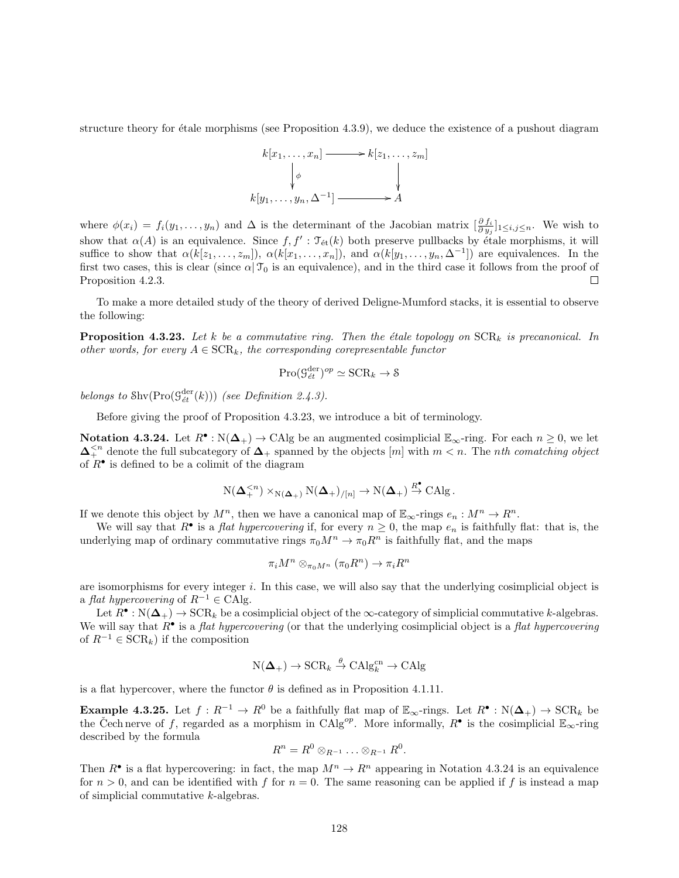structure theory for  $\acute{e}$ tale morphisms (see Proposition 4.3.9), we deduce the existence of a pushout diagram



where  $\phi(x_i) = f_i(y_1, \ldots, y_n)$  and  $\Delta$  is the determinant of the Jacobian matrix  $\left[\frac{\partial f_i}{\partial y_j}\right]_{1 \leq i,j \leq n}$ . We wish to show that  $\alpha(A)$  is an equivalence. Since  $f, f': \mathfrak{T}_{\text{\'et}}(k)$  both preserve pullbacks by étale morphisms, it will suffice to show that  $\alpha(k[z_1,\ldots,z_m])$ ,  $\alpha(k[x_1,\ldots,x_n])$ , and  $\alpha(k[y_1,\ldots,y_n,\Delta^{-1}])$  are equivalences. In the first two cases, this is clear (since  $\alpha|\mathcal{T}_0$  is an equivalence), and in the third case it follows from the proof of Proposition 4.2.3.  $\Box$ 

To make a more detailed study of the theory of derived Deligne-Mumford stacks, it is essential to observe the following:

**Proposition 4.3.23.** Let k be a commutative ring. Then the étale topology on  $SCR_k$  is precanonical. In other words, for every  $A \in \text{SCR}_k$ , the corresponding corepresentable functor

$$
\mathrm{Pro}(\mathcal{G}_{\acute{e}t}^{\mathrm{der}})^{op} \simeq \mathrm{SCR}_k \to \mathcal{S}
$$

belongs to  $\text{Shv}(\text{Pro}(\mathcal{G}^{\text{der}}_{\text{\textit{\'et}}}(k)))$  (see Definition 2.4.3).

Before giving the proof of Proposition 4.3.23, we introduce a bit of terminology.

**Notation 4.3.24.** Let  $R^{\bullet}: N(\Delta_{+}) \to \text{CAlg}$  be an augmented cosimplicial  $\mathbb{E}_{\infty}$ -ring. For each  $n \geq 0$ , we let  $\Delta^{ denote the full subcategory of  $\Delta_+$  spanned by the objects  $[m]$  with  $m < n$ . The nth comatching object$ of  $R^{\bullet}$  is defined to be a colimit of the diagram

$$
\mathrm{N}(\mathbf{\Delta}_{+}^{
$$

If we denote this object by  $M^n$ , then we have a canonical map of  $\mathbb{E}_{\infty}$ -rings  $e_n : M^n \to R^n$ .

We will say that  $R^{\bullet}$  is a *flat hypercovering* if, for every  $n \geq 0$ , the map  $e_n$  is faithfully flat: that is, the underlying map of ordinary commutative rings  $\pi_0 M^n \to \pi_0 R^n$  is faithfully flat, and the maps

$$
\pi_i M^n \otimes_{\pi_0 M^n} (\pi_0 R^n) \to \pi_i R^n
$$

are isomorphisms for every integer i. In this case, we will also say that the underlying cosimplicial object is a flat hypercovering of  $R^{-1} \in CA$ lg.

Let  $R^{\bullet}: \mathbb{N}(\Delta_{+}) \to \text{SCR}_k$  be a cosimplicial object of the  $\infty$ -category of simplicial commutative k-algebras. We will say that  $R^{\bullet}$  is a *flat hypercovering* (or that the underlying cosimplicial object is a *flat hypercovering* of  $R^{-1} \in \text{SCR}_k$ ) if the composition

$$
N(\mathbf{\Delta}_{+}) \to \mathrm{SCR}_k \overset{\theta}{\to} \mathrm{CAlg}_k^{\mathrm{cn}} \to \mathrm{CAlg}
$$

is a flat hypercover, where the functor  $\theta$  is defined as in Proposition 4.1.11.

**Example 4.3.25.** Let  $f: R^{-1} \to R^0$  be a faithfully flat map of  $\mathbb{E}_{\infty}$ -rings. Let  $R^{\bullet}: N(\Delta_{+}) \to \text{SCR}_k$  be the Čech nerve of f, regarded as a morphism in CAlg<sup>op</sup>. More informally,  $R^{\bullet}$  is the cosimplicial  $\mathbb{E}_{\infty}$ -ring described by the formula

$$
R^n = R^0 \otimes_{R^{-1}} \ldots \otimes_{R^{-1}} R^0.
$$

Then  $R^{\bullet}$  is a flat hypercovering: in fact, the map  $M^n \to R^n$  appearing in Notation 4.3.24 is an equivalence for  $n > 0$ , and can be identified with f for  $n = 0$ . The same reasoning can be applied if f is instead a map of simplicial commutative k-algebras.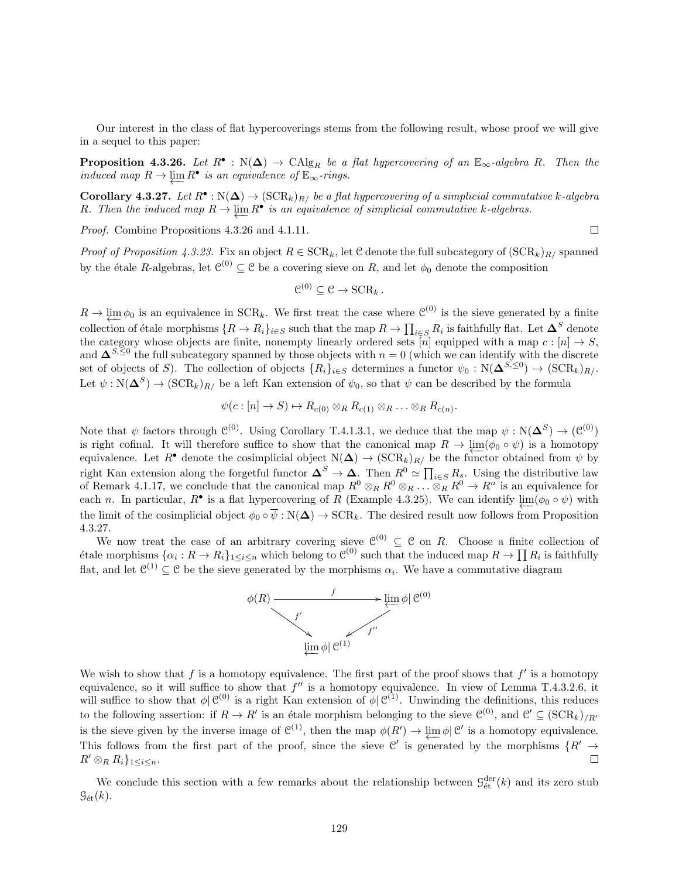Our interest in the class of flat hypercoverings stems from the following result, whose proof we will give in a sequel to this paper:

**Proposition 4.3.26.** Let  $R^{\bullet}$ :  $N(\Delta)$   $\rightarrow$   $CAlg_R$  be a flat hypercovering of an  $\mathbb{E}_{\infty}$ -algebra R. Then the induced map  $R \to \underleftarrow{\lim} R^{\bullet}$  is an equivalence of  $\mathbb{E}_{\infty}$ -rings.

**Corollary 4.3.27.** Let  $R^{\bullet}: N(\Delta) \to (\text{SCR}_k)_{R}/$  be a flat hypercovering of a simplicial commutative k-algebra R. Then the induced map  $R \to \varprojlim R^{\bullet}$  is an equivalence of simplicial commutative k-algebras.

Proof. Combine Propositions 4.3.26 and 4.1.11.

 $\Box$ 

*Proof of Proposition 4.3.23.* Fix an object  $R \in \text{SCR}_k$ , let C denote the full subcategory of  $(\text{SCR}_k)_{R}$  spanned by the étale R-algebras, let  $\mathcal{C}^{(0)} \subseteq \mathcal{C}$  be a covering sieve on R, and let  $\phi_0$  denote the composition

$$
\mathfrak{C}^{(0)}\subseteq \mathfrak{C}\to \mathrm{SCR}_k\,.
$$

 $R \to \varprojlim \phi_0$  is an equivalence in  $SCR_k$ . We first treat the case where  $\mathcal{C}^{(0)}$  is the sieve generated by a finite collection of étale morphisms  $\{R\to R_i\}_{i\in S}$  such that the map  $R\to \prod_{i\in S}R_i$  is faithfully flat. Let  $\mathbf{\Delta}^S$  denote the category whose objects are finite, nonempty linearly ordered sets [n] equipped with a map  $c : [n] \to S$ , and  $\Delta^{S,\leq 0}$  the full subcategory spanned by those objects with  $n=0$  (which we can identify with the discrete set of objects of S). The collection of objects  ${R_i}_{i\in S}$  determines a functor  $\psi_0: N(\mathbf{\Delta}^{S,\leq 0}) \to (\text{SCR}_k)_{R/L}$ Let  $\psi : \mathcal{N}(\mathbf{\Delta}^S) \to (\mathcal{SCR}_k)_{R}$  be a left Kan extension of  $\psi_0$ , so that  $\psi$  can be described by the formula

$$
\psi(c:[n]\to S)\mapsto R_{c(0)}\otimes_R R_{c(1)}\otimes_R \ldots \otimes_R R_{c(n)}.
$$

Note that  $\psi$  factors through  $\mathcal{C}^{(0)}$ . Using Corollary T.4.1.3.1, we deduce that the map  $\psi : N(\mathbf{\Delta}^S) \to (\mathcal{C}^{(0)})$ is right cofinal. It will therefore suffice to show that the canonical map  $R \to \lim_{\epsilon \to 0} (\phi_0 \circ \psi)$  is a homotopy equivalence. Let R<sup>•</sup> denote the cosimplicial object  $N(\Delta) \rightarrow (SCR_k)_{R}$  be the functor obtained from  $\psi$  by right Kan extension along the forgetful functor  $\mathbf{\Delta}^S \to \mathbf{\Delta}$ . Then  $R^0 \simeq \prod_{i \in S} R_s$ . Using the distributive law of Remark 4.1.17, we conclude that the canonical map  $R^0 \otimes_R R^0 \otimes_R \ldots \otimes_R R^0 \to R^n$  is an equivalence for each n. In particular,  $R^{\bullet}$  is a flat hypercovering of R (Example 4.3.25). We can identify  $\varprojlim(\phi_0 \circ \psi)$  with the limit of the cosimplicial object  $\phi_0 \circ \overline{\psi} : N(\Delta) \to \text{SCR}_k$ . The desired result now follows from Proposition 4.3.27.

We now treat the case of an arbitrary covering sieve  $\mathcal{C}^{(0)} \subseteq \mathcal{C}$  on R. Choose a finite collection of étale morphisms  $\{\alpha_i: R \to R_i\}_{1 \leq i \leq n}$  which belong to  $\mathcal{C}^{(0)}$  such that the induced map  $R \to \prod R_i$  is faithfully flat, and let  $\mathcal{C}^{(1)} \subseteq \mathcal{C}$  be the sieve generated by the morphisms  $\alpha_i$ . We have a commutative diagram



We wish to show that  $f$  is a homotopy equivalence. The first part of the proof shows that  $f'$  is a homotopy equivalence, so it will suffice to show that  $f''$  is a homotopy equivalence. In view of Lemma T.4.3.2.6, it will suffice to show that  $\phi | \mathcal{C}^{(0)}$  is a right Kan extension of  $\phi | \mathcal{C}^{(1)}$ . Unwinding the definitions, this reduces to the following assertion: if  $R \to R'$  is an étale morphism belonging to the sieve  $\mathcal{C}^{(0)}$ , and  $\mathcal{C}' \subseteq (\text{SCR}_k)_{/R'}$ is the sieve given by the inverse image of  $\mathcal{C}^{(1)}$ , then the map  $\phi(R') \to \varprojlim \phi | \mathcal{C}'$  is a homotopy equivalence. This follows from the first part of the proof, since the sieve C' is generated by the morphisms  $\{R' \rightarrow$  $R' \otimes_R R_i\}_{1 \leq i \leq n}$ .  $\Box$ 

We conclude this section with a few remarks about the relationship between  $\mathcal{G}^{\text{der}}_{\text{\'{e}t}}(k)$  and its zero stub  $\mathcal{G}_{\text{\'et}}(k)$ .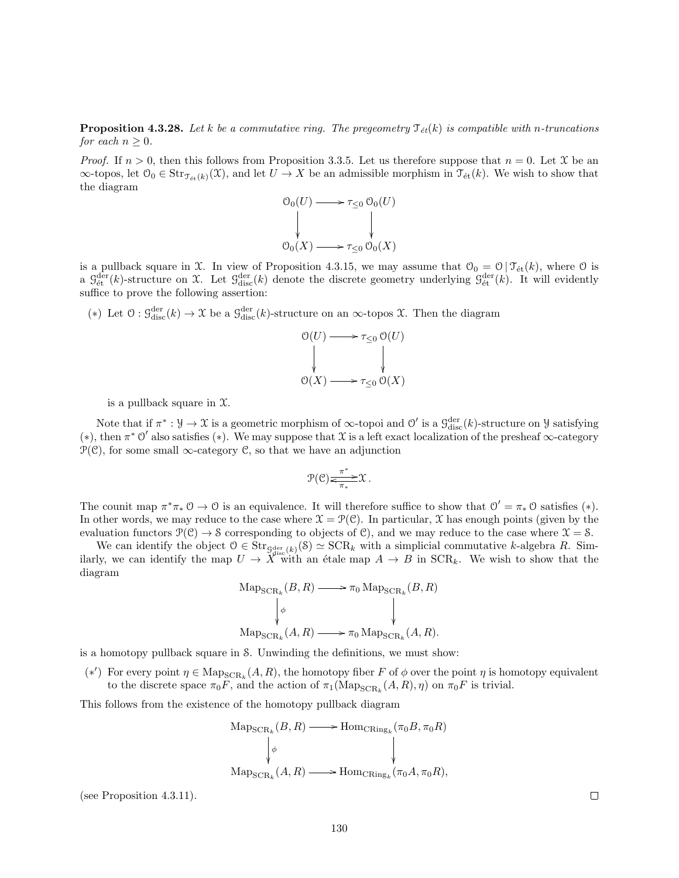**Proposition 4.3.28.** Let k be a commutative ring. The pregeometry  $\mathcal{T}_{\acute{e}t}(k)$  is compatible with n-truncations for each  $n \geq 0$ .

*Proof.* If  $n > 0$ , then this follows from Proposition 3.3.5. Let us therefore suppose that  $n = 0$ . Let X be an  $\infty$ -topos, let  $\mathfrak{O}_0 \in \text{Str}_{\mathfrak{I}_{\text{\'{e}t}}(k)}(\mathfrak{X})$ , and let  $U \to X$  be an admissible morphism in  $\mathfrak{I}_{\text{\'{e}t}}(k)$ . We wish to show that the diagram

$$
\begin{array}{ccc}\n\mathcal{O}_0(U) & \longrightarrow & \tau_{\leq 0} \mathcal{O}_0(U) \\
\downarrow & & \downarrow \\
\mathcal{O}_0(X) & \longrightarrow & \tau_{\leq 0} \mathcal{O}_0(X)\n\end{array}
$$

is a pullback square in X. In view of Proposition 4.3.15, we may assume that  $\mathcal{O}_0 = \mathcal{O} | \mathcal{T}_{\text{\'{e}t}}(k)$ , where  $\mathcal O$  is a  $\mathcal{G}^{\text{der}}_{\text{\'et}}(k)$ -structure on X. Let  $\mathcal{G}^{\text{der}}_{\text{disc}}(k)$  denote the discrete geometry underlying  $\mathcal{G}^{\text{der}}_{\text{\'et}}(k)$ . It will evidently suffice to prove the following assertion:

(\*) Let  $\mathcal{O}: \mathcal{G}_{\text{disc}}^{\text{der}}(k) \to \mathcal{X}$  be a  $\mathcal{G}_{\text{disc}}^{\text{der}}(k)$ -structure on an  $\infty$ -topos  $\mathcal{X}$ . Then the diagram

$$
\begin{array}{ccc}\n\mathcal{O}(U) & \longrightarrow & \tau_{\leq 0} \mathcal{O}(U) \\
\downarrow & & \downarrow \\
\mathcal{O}(X) & \longrightarrow & \tau_{\leq 0} \mathcal{O}(X)\n\end{array}
$$

is a pullback square in  $\mathfrak{X}$ .

Note that if  $\pi^*: \mathcal{Y} \to \mathcal{X}$  is a geometric morphism of  $\infty$ -topoi and  $\mathcal{O}'$  is a  $\mathcal{G}_{disc}^{\text{der}}(k)$ -structure on  $\mathcal{Y}$  satisfying (\*), then  $\pi^*$  O' also satisfies (\*). We may suppose that X is a left exact localization of the presheaf  $\infty$ -category  $\mathcal{P}(\mathcal{C})$ , for some small  $\infty$ -category  $\mathcal{C}$ , so that we have an adjunction

$$
\mathcal{P}(\mathcal{C})\frac{\pi^*}{\leq \pi_*}\mathcal{X}\,.
$$

The counit map  $\pi^*\pi_*\mathcal{O} \to \mathcal{O}$  is an equivalence. It will therefore suffice to show that  $\mathcal{O}' = \pi_*\mathcal{O}$  satisfies (\*). In other words, we may reduce to the case where  $\mathcal{X} = \mathcal{P}(\mathcal{C})$ . In particular, X has enough points (given by the evaluation functors  $\mathcal{P}(\mathcal{C}) \to \mathcal{S}$  corresponding to objects of  $\mathcal{C}$ ), and we may reduce to the case where  $\mathcal{X} = \mathcal{S}$ .

We can identify the object  $0 \in \text{Str}_{\mathcal{G}_{disc}^{der}(k)}(\mathcal{S}) \simeq \text{SCR}_k$  with a simplicial commutative k-algebra R. Similarly, we can identify the map  $U \to X^{\infty}$  with an étale map  $A \to B$  in  $SCR_k$ . We wish to show that the diagram

$$
\operatorname{Map_{SCR_k}}(B, R) \longrightarrow \pi_0 \operatorname{Map_{SCR_k}}(B, R)
$$
  
\n
$$
\downarrow \phi
$$
  
\n
$$
\operatorname{Map_{SCR_k}}(A, R) \longrightarrow \pi_0 \operatorname{Map_{SCR_k}}(A, R).
$$

is a homotopy pullback square in S. Unwinding the definitions, we must show:

(\*') For every point  $\eta \in \text{Map}_{\text{SCR}_k}(A, R)$ , the homotopy fiber F of  $\phi$  over the point  $\eta$  is homotopy equivalent to the discrete space  $\pi_0 F$ , and the action of  $\pi_1(\text{Map}_{\text{SCR}_k}(A, R), \eta)$  on  $\pi_0 F$  is trivial.

This follows from the existence of the homotopy pullback diagram

$$
\operatorname{Map_{SCR_k}}(B, R) \longrightarrow \operatorname{Hom_{CRing_k}}(\pi_0 B, \pi_0 R)
$$
  
\n
$$
\downarrow \phi
$$
  
\n
$$
\operatorname{Map_{SCR_k}}(A, R) \longrightarrow \operatorname{Hom_{CRing_k}}(\pi_0 A, \pi_0 R),
$$

(see Proposition 4.3.11).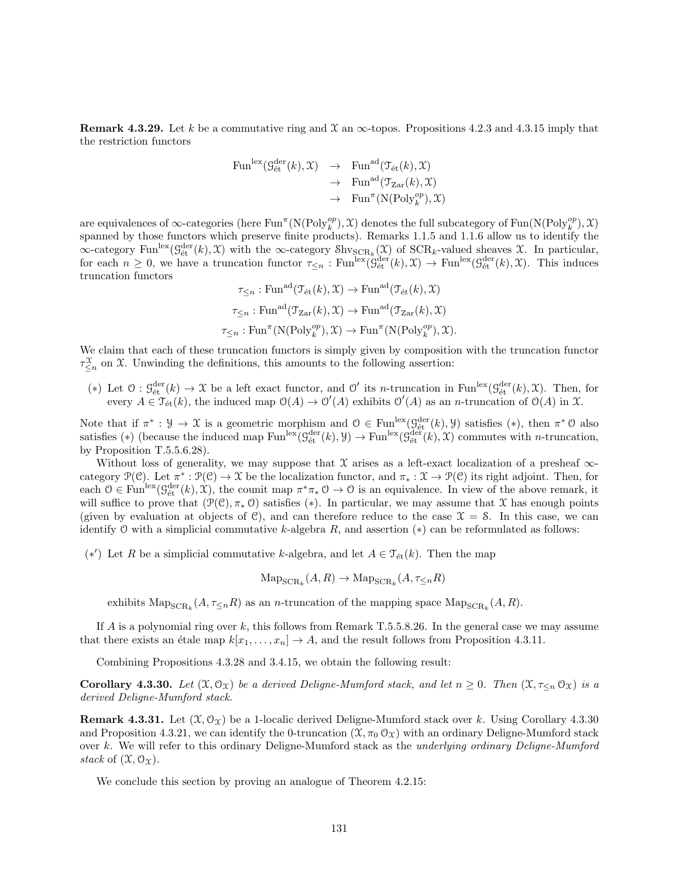**Remark 4.3.29.** Let k be a commutative ring and  $\mathcal{X}$  an  $\infty$ -topos. Propositions 4.2.3 and 4.3.15 imply that the restriction functors

$$
\begin{array}{rcl}\n\operatorname{Fun}^{\mathrm{lex}}( \mathcal{G}_{\text{\'et}}^{\text{der}}(k), \mathfrak{X}) & \to & \operatorname{Fun}^{\mathrm{ad}}(\mathcal{T}_{\text{\'et}}(k), \mathfrak{X}) \\
 & \to & \operatorname{Fun}^{\mathrm{ad}}(\mathcal{T}_{\operatorname{Zar}}(k), \mathfrak{X}) \\
 & \to & \operatorname{Fun}^{\pi}(\operatorname{N}(\operatorname{Poly}_k^{\circ p}), \mathfrak{X})\n\end{array}
$$

are equivalences of  $\infty$ -categories (here  $\text{Fun}^{\pi}(\mathcal{N}(\text{Poly}_k^{op}), \mathcal{X})$  denotes the full subcategory of  $\text{Fun}(\mathcal{N}(\text{Poly}_k^{op}), \mathcal{X})$ spanned by those functors which preserve finite products). Remarks 1.1.5 and 1.1.6 allow us to identify the  $\infty$ -category Fun<sup>lex</sup> $(\mathcal{G}_{\text{\'et}}^{\text{der}}(k), \mathcal{X})$  with the  $\infty$ -category  $\text{Shv}_{\text{SCR}_k}(\mathcal{X})$  of  $\text{SCR}_k$ -valued sheaves  $\mathcal{X}$ . In particular, for each  $n \geq 0$ , we have a truncation functor  $\tau_{\leq n} : \text{Fun}^{\text{lex}}(\hat{\mathcal{G}}_{\text{\'{e}t}}^{\text{der}}(k), \mathfrak{X}) \to \text{Fun}^{\text{lex}}(\hat{\mathcal{G}}_{\text{\'{e}t}}^{\text{der}}(k), \mathfrak{X})$ . This induces truncation functors

 $\tau_{\leq n} : \text{Fun}^{\text{ad}}(\mathcal{T}_{\text{\'et}}(k), \mathcal{X}) \to \text{Fun}^{\text{ad}}(\mathcal{T}_{\text{\'et}}(k), \mathcal{X})$  $\tau_{\leq n} : \text{Fun}^{\text{ad}}(\mathfrak{T}_{\text{Zar}}(k), \mathfrak{X}) \to \text{Fun}^{\text{ad}}(\mathfrak{T}_{\text{Zar}}(k), \mathfrak{X})$  $\tau_{\leq n} : \text{Fun}^{\pi}(\mathcal{N}(\text{Poly}_k^{op}), \mathcal{X}) \to \text{Fun}^{\pi}(\mathcal{N}(\text{Poly}_k^{op}), \mathcal{X}).$ 

We claim that each of these truncation functors is simply given by composition with the truncation functor  $\tau_{\leq n}^{\mathfrak{X}}$  on X. Unwinding the definitions, this amounts to the following assertion:

(\*) Let  $\mathcal{O}: \mathcal{G}_{\text{\'et}}^{\text{der}}(k) \to \mathcal{X}$  be a left exact functor, and  $\mathcal{O}'$  its *n*-truncation in Fun<sup>lex</sup>( $\mathcal{G}_{\text{\'et}}^{\text{der}}(k), \mathcal{X}$ ). Then, for every  $A \in \mathfrak{T}_{\text{\'et}}(k)$ , the induced map  $\mathfrak{O}(A) \to \mathfrak{O}'(A)$  exhibits  $\mathfrak{O}'(A)$  as an *n*-truncation of  $\mathfrak{O}(A)$  in  $\mathfrak{X}$ .

Note that if  $\pi^*: \mathcal{Y} \to \mathcal{X}$  is a geometric morphism and  $\mathcal{O} \in \text{Fun}^{\text{lex}}(\mathcal{G}_{\text{\'et}}^{\text{der}}(k), \mathcal{Y})$  satisfies  $(*),$  then  $\pi^* \mathcal{O}$  also satisfies (\*) (because the induced map  $\text{Fun}^{\text{lex}}(\mathcal{G}^{\text{der}}_{\text{\'{e}t}}(k),\mathcal{Y}) \to \text{Fun}^{\text{lex}}(\mathcal{G}^{\text{der}}_{\text{\'{e}t}}(k),\mathcal{X})$  commutes with *n*-truncation, by Proposition T.5.5.6.28).

Without loss of generality, we may suppose that  $X$  arises as a left-exact localization of a presheaf  $\infty$ category  $\mathcal{P}(\mathcal{C})$ . Let  $\pi^*: \mathcal{P}(\mathcal{C}) \to \mathcal{X}$  be the localization functor, and  $\pi_*: \mathcal{X} \to \mathcal{P}(\mathcal{C})$  its right adjoint. Then, for each  $0 \in \text{Fun}^{\text{lex}}(\mathcal{G}_{\text{\'et}}^{\text{der}}(k), \mathcal{X})$ , the counit map  $\pi^*\pi_*0 \to 0$  is an equivalence. In view of the above remark, it will suffice to prove that  $(\mathcal{P}(\mathcal{C}), \pi_*)$  satisfies (\*). In particular, we may assume that X has enough points (given by evaluation at objects of C), and can therefore reduce to the case  $\mathcal{X} = \mathcal{S}$ . In this case, we can identify O with a simplicial commutative k-algebra  $R$ , and assertion  $(*)$  can be reformulated as follows:

(\*') Let R be a simplicial commutative k-algebra, and let  $A \in \mathcal{T}_{\text{\'et}}(k)$ . Then the map

$$
\mathrm{Map}_{\mathrm{SCR}_k}(A, R) \to \mathrm{Map}_{\mathrm{SCR}_k}(A, \tau_{\leq n}R)
$$

exhibits  $\text{Map}_{\text{SCR}_k}(A, \tau_{\leq n}R)$  as an *n*-truncation of the mapping space  $\text{Map}_{\text{SCR}_k}(A, R)$ .

If  $A$  is a polynomial ring over  $k$ , this follows from Remark T.5.5.8.26. In the general case we may assume that there exists an étale map  $k[x_1, \ldots, x_n] \to A$ , and the result follows from Proposition 4.3.11.

Combining Propositions 4.3.28 and 3.4.15, we obtain the following result:

**Corollary 4.3.30.** Let  $(\mathfrak{X}, \mathfrak{O}_{\mathfrak{X}})$  be a derived Deligne-Mumford stack, and let  $n \geq 0$ . Then  $(\mathfrak{X}, \tau_{\leq n} \mathfrak{O}_{\mathfrak{X}})$  is a derived Deligne-Mumford stack.

**Remark 4.3.31.** Let  $(\mathcal{X}, \mathcal{O}_{\mathcal{X}})$  be a 1-localic derived Deligne-Mumford stack over k. Using Corollary 4.3.30 and Proposition 4.3.21, we can identify the 0-truncation  $(\mathfrak{X}, \pi_0 \mathfrak{O}_{\mathfrak{X}})$  with an ordinary Deligne-Mumford stack over k. We will refer to this ordinary Deligne-Mumford stack as the *underlying ordinary Deligne-Mumford* stack of  $(\mathfrak{X}, \mathfrak{O}_{\mathfrak{X}}).$ 

We conclude this section by proving an analogue of Theorem 4.2.15: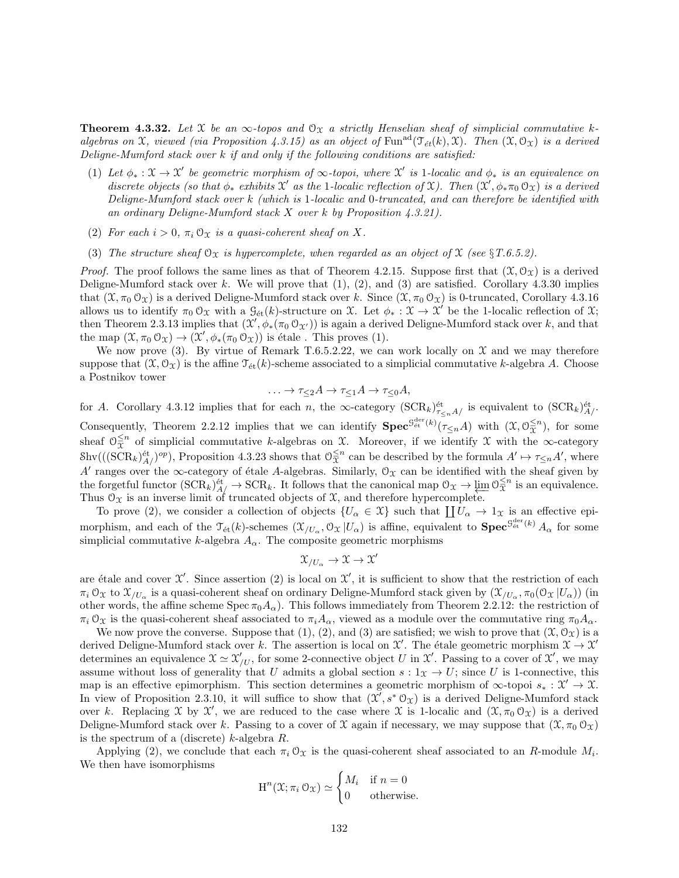**Theorem 4.3.32.** Let X be an  $\infty$ -topos and  $\mathcal{O}_X$  a strictly Henselian sheaf of simplicial commutative kalgebras on X, viewed (via Proposition 4.3.15) as an object of Fun<sup>ad</sup>( $\mathcal{T}_{\acute{e}t}(k), \mathcal{X}$ ). Then  $(\mathcal{X}, \mathcal{O}_{\mathcal{X}})$  is a derived Deligne-Mumford stack over  $k$  if and only if the following conditions are satisfied:

- (1) Let  $\phi_* : \mathfrak{X} \to \mathfrak{X}'$  be geometric morphism of  $\infty$ -topoi, where  $\mathfrak{X}'$  is 1-localic and  $\phi_*$  is an equivalence on discrete objects (so that  $\phi_*$  exhibits  $\mathfrak{X}'$  as the 1-localic reflection of  $\mathfrak{X}$ ). Then  $(\mathfrak{X}', \phi_* \pi_0 \mathfrak{O}_{\mathfrak{X}})$  is a derived Deligne-Mumford stack over k (which is 1-localic and 0-truncated, and can therefore be identified with an ordinary Deligne-Mumford stack X over k by Proposition 4.3.21).
- (2) For each  $i > 0$ ,  $\pi_i \mathcal{O}_{\mathfrak{X}}$  is a quasi-coherent sheaf on X.
- (3) The structure sheaf  $\mathcal{O}_X$  is hypercomplete, when regarded as an object of X (see §T.6.5.2).

*Proof.* The proof follows the same lines as that of Theorem 4.2.15. Suppose first that  $(\mathfrak{X}, \mathcal{O}_\Upsilon)$  is a derived Deligne-Mumford stack over k. We will prove that  $(1)$ ,  $(2)$ , and  $(3)$  are satisfied. Corollary 4.3.30 implies that  $(\mathfrak{X}, \pi_0 \mathfrak{O}_{\mathfrak{X}})$  is a derived Deligne-Mumford stack over k. Since  $(\mathfrak{X}, \pi_0 \mathfrak{O}_{\mathfrak{X}})$  is 0-truncated, Corollary 4.3.16 allows us to identify  $\pi_0 \mathcal{O}_\mathfrak{X}$  with a  $\mathcal{G}_{\text{\'et}}(k)$ -structure on X. Let  $\phi_* : \mathfrak{X} \to \mathfrak{X}'$  be the 1-localic reflection of X; then Theorem 2.3.13 implies that  $(\mathcal{X}', \phi_*(\pi_0 \mathcal{O}_{\mathcal{X}'}))$  is again a derived Deligne-Mumford stack over k, and that the map  $(\mathfrak{X}, \pi_0 \mathfrak{O}_{\mathfrak{X}}) \to (\mathfrak{X}', \phi_*(\pi_0 \mathfrak{O}_{\mathfrak{X}}))$  is étale. This proves (1).

We now prove (3). By virtue of Remark T.6.5.2.22, we can work locally on  $\mathcal X$  and we may therefore suppose that  $(\mathfrak{X}, \mathfrak{O}_{\mathfrak{X}})$  is the affine  $\mathfrak{T}_{\text{\'et}}(k)$ -scheme associated to a simplicial commutative k-algebra A. Choose a Postnikov tower

$$
\ldots \to \tau_{\leq 2}A \to \tau_{\leq 1}A \to \tau_{\leq 0}A,
$$

for A. Corollary 4.3.12 implies that for each n, the  $\infty$ -category  $(\text{SCR}_k)_{\tau\lt nA/}^{\text{\'et}}$  is equivalent to  $(\text{SCR}_k)_{A/}^{\text{\'et}}$ . Consequently, Theorem 2.2.12 implies that we can identify  $\textbf{Spec}^{\mathcal{G}_{\text{\'{e}t}}^{der}(k)}(\tau_{\leq n}A)$  with  $(\mathfrak{X}, \mathcal{O}_{\mathfrak{X}}^{\leq n})$ , for some sheaf  $\mathcal{O}_{\overline{X}}^{\leq n}$  of simplicial commutative k-algebras on X. Moreover, if we identify X with the  $\infty$ -category  $\text{Shv}(((\text{SCR}_k)^{\text{\'et}}_{A/})^{op}),$  Proposition 4.3.23 shows that  $\mathcal{O}_{\mathfrak{X}}^{\leq n}$  can be described by the formula  $A' \mapsto \tau_{\leq n}A'$ , where A' ranges over the  $\infty$ -category of étale A-algebras. Similarly,  $\mathcal{O}_\mathfrak{X}$  can be identified with the sheaf given by the forgetful functor  $(\text{SCR}_k)_{A/\!/}^{\text{\'et}} \to \text{SCR}_k$ . It follows that the canonical map  $\mathcal{O}_{\mathfrak{X}} \to \varprojlim \mathcal{O}_{\mathfrak{X}}^{\leq n}$  is an equivalence. Thus  $\mathcal{O}_{\mathfrak{X}}$  is an inverse limit of truncated objects of  $\mathfrak{X}$ , and therefore hypercomplete.

To prove (2), we consider a collection of objects  $\{U_{\alpha} \in \mathcal{X}\}\$  such that  $\prod U_{\alpha} \to 1_{\mathcal{X}}\$ is an effective epimorphism, and each of the  $\mathcal{T}_{\text{\'et}}(k)$ -schemes  $(\mathcal{X}_{/U_\alpha}, \mathcal{O}_{\mathcal{X}} | U_\alpha)$  is affine, equivalent to  $\mathbf{Spec}^{\mathcal{G}^{\text{der}}_{\text{\'et}}(k)} A_\alpha$  for some simplicial commutative k-algebra  $A_{\alpha}$ . The composite geometric morphisms

$$
\mathfrak{X}_{/U_{\alpha}} \to \mathfrak{X} \to \mathfrak{X}
$$

 $\prime$ 

are étale and cover  $\mathfrak{X}'$ . Since assertion (2) is local on  $\mathfrak{X}'$ , it is sufficient to show that the restriction of each  $\pi_i \, \mathcal{O}_\mathfrak{X}$  to  $\mathfrak{X}_{/U_\alpha}$  is a quasi-coherent sheaf on ordinary Deligne-Mumford stack given by  $(\mathfrak{X}_{/U_\alpha}, \pi_0(\mathcal{O}_\mathfrak{X} | U_\alpha))$  (in other words, the affine scheme  $Spec \pi_0 A_\alpha$ . This follows immediately from Theorem 2.2.12: the restriction of  $\pi_i$  O<sub>X</sub> is the quasi-coherent sheaf associated to  $\pi_i A_\alpha$ , viewed as a module over the commutative ring  $\pi_0 A_\alpha$ .

We now prove the converse. Suppose that  $(1), (2),$  and  $(3)$  are satisfied; we wish to prove that  $(\mathfrak{X}, \mathfrak{O}_{\mathfrak{X}})$  is a derived Deligne-Mumford stack over k. The assertion is local on  $\mathcal{X}'$ . The étale geometric morphism  $\mathcal{X} \to \mathcal{X}'$ determines an equivalence  $\mathfrak{X} \simeq \mathfrak{X}'_{/U}$ , for some 2-connective object U in X'. Passing to a cover of X', we may assume without loss of generality that U admits a global section  $s: 1<sub>X</sub> \to U$ ; since U is 1-connective, this map is an effective epimorphism. This section determines a geometric morphism of  $\infty$ -topoi  $s_* : \mathcal{X}' \to \mathcal{X}$ . In view of Proposition 2.3.10, it will suffice to show that  $(\mathcal{X}, s^* \mathcal{O}_{\mathcal{X}})$  is a derived Deligne-Mumford stack over k. Replacing X by X', we are reduced to the case where X is 1-localic and  $(\mathfrak{X}, \pi_0 \mathfrak{O}_{\mathfrak{X}})$  is a derived Deligne-Mumford stack over k. Passing to a cover of X again if necessary, we may suppose that  $(\mathfrak{X}, \pi_0 \mathfrak{O}_{\mathfrak{X}})$ is the spectrum of a (discrete)  $k$ -algebra  $R$ .

Applying (2), we conclude that each  $\pi_i \mathcal{O}_{\mathfrak{X}}$  is the quasi-coherent sheaf associated to an R-module  $M_i$ . We then have isomorphisms

$$
H^{n}(\mathfrak{X}; \pi_{i} \mathcal{O}_{\mathfrak{X}}) \simeq \begin{cases} M_{i} & \text{if } n = 0 \\ 0 & \text{otherwise.} \end{cases}
$$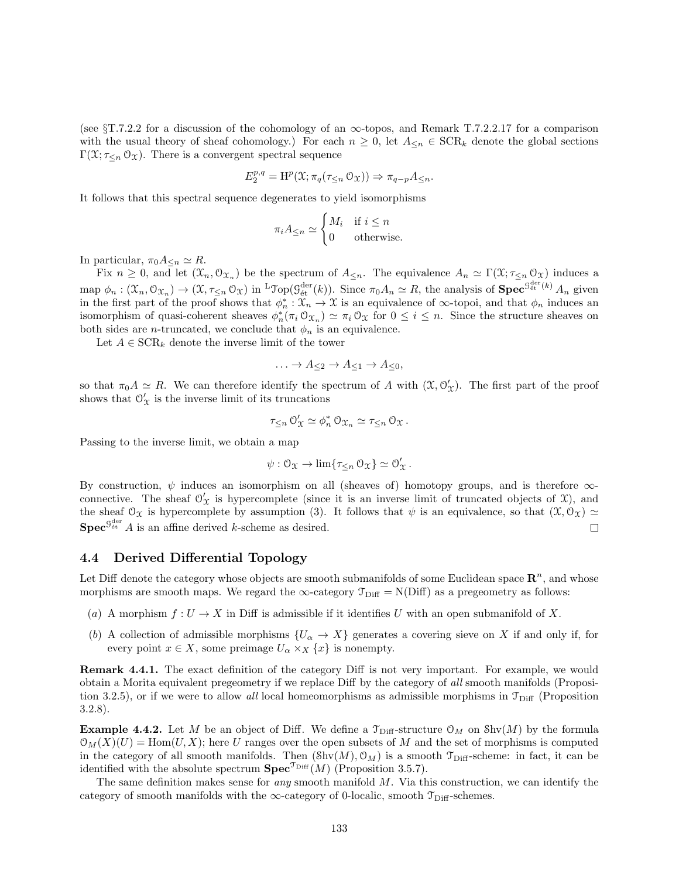(see  $\S T.7.2.2$  for a discussion of the cohomology of an  $\infty$ -topos, and Remark T.7.2.2.17 for a comparison with the usual theory of sheaf cohomology.) For each  $n \geq 0$ , let  $A_{\leq n} \in \text{SCR}_k$  denote the global sections Γ( $\mathcal{X}; \tau_{\leq n} \mathcal{O}_{\mathcal{X}}$ ). There is a convergent spectral sequence

$$
E_2^{p,q} = \mathrm{H}^p(\mathfrak{X}; \pi_q(\tau_{\leq n} \mathfrak{O}_{\mathfrak{X}})) \Rightarrow \pi_{q-p} A_{\leq n}.
$$

It follows that this spectral sequence degenerates to yield isomorphisms

$$
\pi_i A_{\leq n} \simeq \begin{cases} M_i & \text{if } i \leq n \\ 0 & \text{otherwise.} \end{cases}
$$

In particular,  $\pi_0 A_{\leq n} \simeq R$ .

Fix  $n \geq 0$ , and let  $(\mathfrak{X}_n, \mathfrak{O}_{\mathfrak{X}_n})$  be the spectrum of  $A_{\leq n}$ . The equivalence  $A_n \simeq \Gamma(\mathfrak{X}; \tau_{\leq n} \mathfrak{O}_{\mathfrak{X}})$  induces a map  $\phi_n: (\mathfrak{X}_n, \mathfrak{O}_{\mathfrak{X}_n}) \to (\mathfrak{X}, \tau_{\leq n} \mathfrak{O}_{\mathfrak{X}})$  in <sup>L</sup>Top( $\mathfrak{G}_{\text{\'et}}^{\text{der}}(k)$ ). Since  $\pi_0 A_n \simeq R$ , the analysis of **Spec**<sup> $\mathfrak{G}_{\text{\'et}}^{\text{der}}(k)$   $A_n$  given</sup> in the first part of the proof shows that  $\phi_n^*: \mathfrak{X}_n \to \mathfrak{X}$  is an equivalence of  $\infty$ -topoi, and that  $\phi_n$  induces an isomorphism of quasi-coherent sheaves  $\phi_n^*(\pi_i \mathcal{O}_{\mathfrak{X}_n}) \simeq \pi_i \mathcal{O}_{\mathfrak{X}}$  for  $0 \leq i \leq n$ . Since the structure sheaves on both sides are *n*-truncated, we conclude that  $\phi_n$  is an equivalence.

Let  $A \in \text{SCR}_k$  denote the inverse limit of the tower

$$
\ldots \to A_{\leq 2} \to A_{\leq 1} \to A_{\leq 0},
$$

so that  $\pi_0 A \simeq R$ . We can therefore identify the spectrum of A with  $(\mathfrak{X}, \mathcal{O}'_{\mathfrak{X}})$ . The first part of the proof shows that  $\mathcal{O}'_{\mathcal{X}}$  is the inverse limit of its truncations

$$
\tau_{\leq n} \, \mathcal{O}'_{\mathfrak{X}} \simeq \phi_n^* \, \mathcal{O}_{\mathfrak{X}_n} \simeq \tau_{\leq n} \, \mathcal{O}_{\mathfrak{X}} \, .
$$

Passing to the inverse limit, we obtain a map

$$
\psi: \mathcal{O}_{\mathfrak{X}} \to \lim \{ \tau_{\leq n} \mathcal{O}_{\mathfrak{X}} \} \simeq \mathcal{O}_{\mathfrak{X}}'.
$$

By construction,  $\psi$  induces an isomorphism on all (sheaves of) homotopy groups, and is therefore  $\infty$ connective. The sheaf  $\mathcal{O}'_{\mathcal{X}}$  is hypercomplete (since it is an inverse limit of truncated objects of  $\mathcal{X}$ ), and the sheaf  $\mathcal{O}_{\mathfrak{X}}$  is hypercomplete by assumption (3). It follows that  $\psi$  is an equivalence, so that  $(\mathfrak{X}, \mathcal{O}_{\mathfrak{X}}) \simeq$  $\mathbf{Spec}^{\mathcal{G}^{\text{der}}}_{\text{\'et}} A$  is an affine derived k-scheme as desired.  $\Box$ 

#### 4.4 Derived Differential Topology

Let Diff denote the category whose objects are smooth submanifolds of some Euclidean space  $\mathbb{R}^n$ , and whose morphisms are smooth maps. We regard the  $\infty$ -category  $\mathcal{T}_{\text{Diff}} = N(\text{Diff})$  as a pregeometry as follows:

- (a) A morphism  $f: U \to X$  in Diff is admissible if it identifies U with an open submanifold of X.
- (b) A collection of admissible morphisms  $\{U_\alpha \to X\}$  generates a covering sieve on X if and only if, for every point  $x \in X$ , some preimage  $U_{\alpha} \times_X \{x\}$  is nonempty.

Remark 4.4.1. The exact definition of the category Diff is not very important. For example, we would obtain a Morita equivalent pregeometry if we replace Diff by the category of all smooth manifolds (Proposition 3.2.5), or if we were to allow all local homeomorphisms as admissible morphisms in  $\mathcal{T}_{\text{Diff}}$  (Proposition 3.2.8).

**Example 4.4.2.** Let M be an object of Diff. We define a  $\mathcal{T}_{\text{Diff}}\text{-structure } \mathcal{O}_M$  on  $\text{Shv}(M)$  by the formula  $\mathcal{O}_M(X)(U) = \text{Hom}(U, X);$  here U ranges over the open subsets of M and the set of morphisms is computed in the category of all smooth manifolds. Then  $(\text{Shv}(M), \mathcal{O}_M)$  is a smooth  $\mathcal{T}_{\text{Diff}}$ -scheme: in fact, it can be identified with the absolute spectrum  $\text{Spec}^{\mathcal{T}_{\text{Diff}}}(M)$  (Proposition 3.5.7).

The same definition makes sense for *any* smooth manifold  $M$ . Via this construction, we can identify the category of smooth manifolds with the  $\infty$ -category of 0-localic, smooth  $\mathcal{T}_{\text{Diff}}$ -schemes.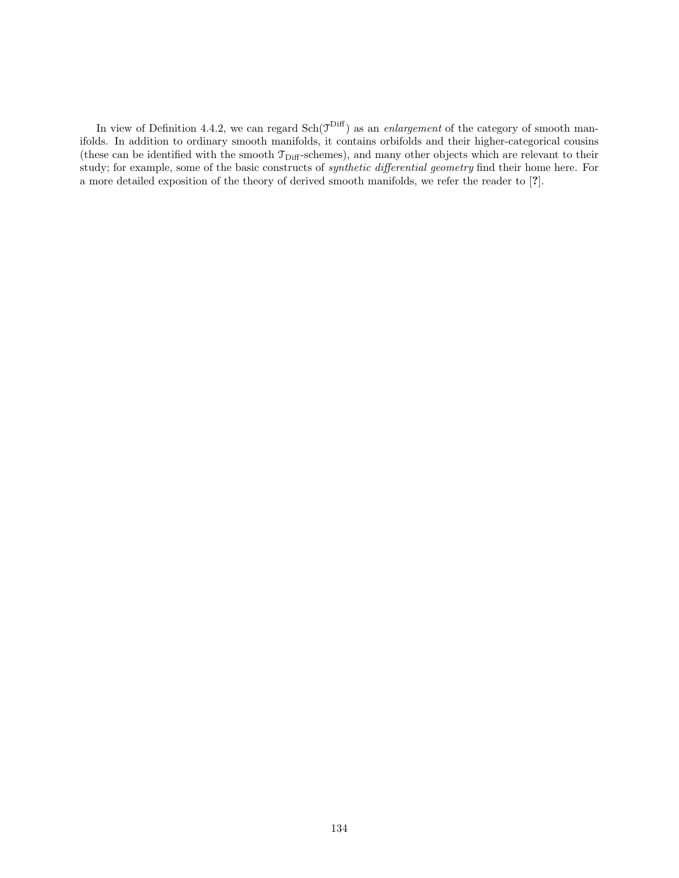In view of Definition 4.4.2, we can regard  $Sch(\mathcal{T}^{Diff})$  as an *enlargement* of the category of smooth manifolds. In addition to ordinary smooth manifolds, it contains orbifolds and their higher-categorical cousins (these can be identified with the smooth  $\mathcal{T}_{\text{Diff}}$ -schemes), and many other objects which are relevant to their study; for example, some of the basic constructs of synthetic differential geometry find their home here. For a more detailed exposition of the theory of derived smooth manifolds, we refer the reader to [?].